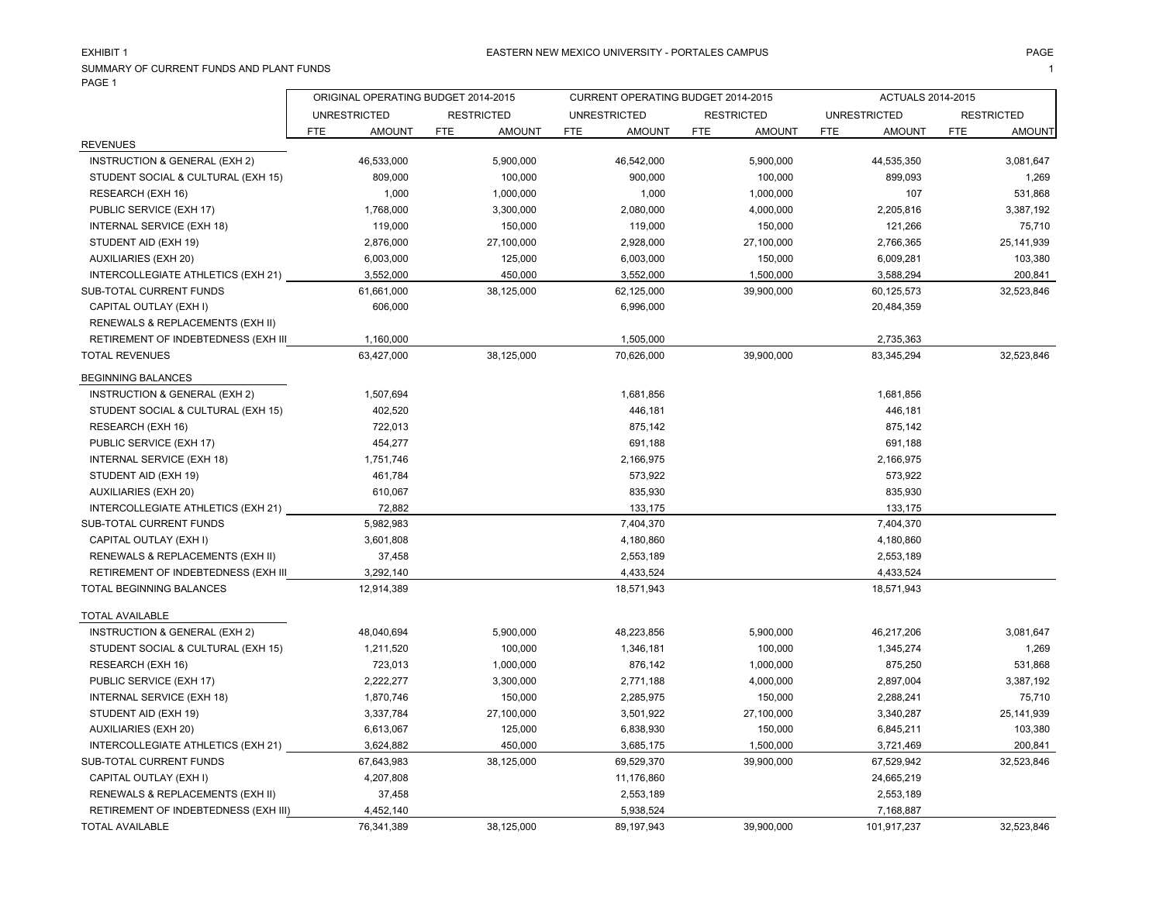# EXHIBIT 1

SUMMARY OF CURRENT FUNDS AND PLANT FUNDS $\mathsf S$ PAGE 1  $\blacksquare$ 

|                                      | ORIGINAL OPERATING BUDGET 2014-2015 |               |            |                   | CURRENT OPERATING BUDGET 2014-2015 |                     |     |                   | ACTUALS 2014-2015 |                     |            |                   |
|--------------------------------------|-------------------------------------|---------------|------------|-------------------|------------------------------------|---------------------|-----|-------------------|-------------------|---------------------|------------|-------------------|
|                                      | <b>UNRESTRICTED</b>                 |               |            | <b>RESTRICTED</b> |                                    | <b>UNRESTRICTED</b> |     | <b>RESTRICTED</b> |                   | <b>UNRESTRICTED</b> |            | <b>RESTRICTED</b> |
|                                      | <b>FTE</b>                          | <b>AMOUNT</b> | <b>FTE</b> | <b>AMOUNT</b>     | <b>FTE</b>                         | <b>AMOUNT</b>       | FTE | <b>AMOUNT</b>     | FTE.              | <b>AMOUNT</b>       | <b>FTE</b> | <b>AMOUNT</b>     |
| <b>REVENUES</b>                      |                                     |               |            |                   |                                    |                     |     |                   |                   |                     |            |                   |
| INSTRUCTION & GENERAL (EXH 2)        |                                     | 46,533,000    |            | 5,900,000         |                                    | 46,542,000          |     | 5,900,000         |                   | 44,535,350          |            | 3,081,647         |
| STUDENT SOCIAL & CULTURAL (EXH 15)   |                                     | 809,000       |            | 100,000           |                                    | 900,000             |     | 100,000           |                   | 899,093             |            | 1,269             |
| RESEARCH (EXH 16)                    |                                     | 1,000         |            | 1,000,000         |                                    | 1,000               |     | 1,000,000         |                   | 107                 |            | 531,868           |
| PUBLIC SERVICE (EXH 17)              |                                     | 1,768,000     |            | 3,300,000         |                                    | 2,080,000           |     | 4,000,000         |                   | 2,205,816           |            | 3,387,192         |
| INTERNAL SERVICE (EXH 18)            |                                     | 119,000       |            | 150,000           |                                    | 119,000             |     | 150,000           |                   | 121,266             |            | 75,710            |
| STUDENT AID (EXH 19)                 |                                     | 2,876,000     |            | 27,100,000        |                                    | 2,928,000           |     | 27,100,000        |                   | 2,766,365           |            | 25,141,939        |
| <b>AUXILIARIES (EXH 20)</b>          |                                     | 6,003,000     |            | 125,000           |                                    | 6,003,000           |     | 150,000           |                   | 6,009,281           |            | 103,380           |
| INTERCOLLEGIATE ATHLETICS (EXH 21)   |                                     | 3,552,000     |            | 450,000           |                                    | 3,552,000           |     | 1,500,000         |                   | 3,588,294           |            | 200,841           |
| SUB-TOTAL CURRENT FUNDS              |                                     | 61,661,000    |            | 38,125,000        |                                    | 62,125,000          |     | 39,900,000        |                   | 60,125,573          |            | 32,523,846        |
| CAPITAL OUTLAY (EXH I)               |                                     | 606,000       |            |                   |                                    | 6,996,000           |     |                   |                   | 20,484,359          |            |                   |
| RENEWALS & REPLACEMENTS (EXH II)     |                                     |               |            |                   |                                    |                     |     |                   |                   |                     |            |                   |
| RETIREMENT OF INDEBTEDNESS (EXH III  |                                     | 1,160,000     |            |                   |                                    | 1,505,000           |     |                   |                   | 2,735,363           |            |                   |
| <b>TOTAL REVENUES</b>                |                                     | 63,427,000    |            | 38,125,000        |                                    | 70,626,000          |     | 39,900,000        |                   | 83,345,294          |            | 32,523,846        |
| <b>BEGINNING BALANCES</b>            |                                     |               |            |                   |                                    |                     |     |                   |                   |                     |            |                   |
| INSTRUCTION & GENERAL (EXH 2)        |                                     | 1,507,694     |            |                   |                                    | 1,681,856           |     |                   |                   | 1,681,856           |            |                   |
| STUDENT SOCIAL & CULTURAL (EXH 15)   |                                     | 402,520       |            |                   |                                    | 446,181             |     |                   |                   | 446,181             |            |                   |
| RESEARCH (EXH 16)                    |                                     | 722,013       |            |                   |                                    | 875.142             |     |                   |                   | 875,142             |            |                   |
| PUBLIC SERVICE (EXH 17)              |                                     | 454,277       |            |                   |                                    | 691,188             |     |                   |                   | 691,188             |            |                   |
| INTERNAL SERVICE (EXH 18)            |                                     | 1,751,746     |            |                   |                                    | 2,166,975           |     |                   |                   | 2,166,975           |            |                   |
| STUDENT AID (EXH 19)                 |                                     | 461,784       |            |                   |                                    | 573,922             |     |                   |                   | 573,922             |            |                   |
| <b>AUXILIARIES (EXH 20)</b>          |                                     | 610,067       |            |                   |                                    | 835,930             |     |                   |                   | 835,930             |            |                   |
| INTERCOLLEGIATE ATHLETICS (EXH 21)   |                                     | 72,882        |            |                   |                                    | 133,175             |     |                   |                   | 133,175             |            |                   |
| SUB-TOTAL CURRENT FUNDS              |                                     | 5,982,983     |            |                   |                                    | 7,404,370           |     |                   |                   | 7,404,370           |            |                   |
| CAPITAL OUTLAY (EXH I)               |                                     | 3,601,808     |            |                   |                                    | 4,180,860           |     |                   |                   | 4,180,860           |            |                   |
| RENEWALS & REPLACEMENTS (EXH II)     |                                     | 37,458        |            |                   |                                    | 2,553,189           |     |                   |                   | 2,553,189           |            |                   |
| RETIREMENT OF INDEBTEDNESS (EXH III  |                                     | 3,292,140     |            |                   |                                    | 4,433,524           |     |                   |                   | 4,433,524           |            |                   |
| TOTAL BEGINNING BALANCES             |                                     | 12,914,389    |            |                   |                                    | 18,571,943          |     |                   |                   | 18,571,943          |            |                   |
| <b>TOTAL AVAILABLE</b>               |                                     |               |            |                   |                                    |                     |     |                   |                   |                     |            |                   |
| INSTRUCTION & GENERAL (EXH 2)        |                                     | 48,040,694    |            | 5,900,000         |                                    | 48,223,856          |     | 5,900,000         |                   | 46,217,206          |            | 3,081,647         |
| STUDENT SOCIAL & CULTURAL (EXH 15)   |                                     | 1,211,520     |            | 100,000           |                                    | 1,346,181           |     | 100,000           |                   | 1,345,274           |            | 1,269             |
| RESEARCH (EXH 16)                    |                                     | 723,013       |            | 1,000,000         |                                    | 876,142             |     | 1,000,000         |                   | 875,250             |            | 531,868           |
| PUBLIC SERVICE (EXH 17)              |                                     | 2,222,277     |            | 3,300,000         |                                    | 2,771,188           |     | 4,000,000         |                   | 2,897,004           |            | 3,387,192         |
| INTERNAL SERVICE (EXH 18)            |                                     | 1,870,746     |            | 150,000           |                                    | 2,285,975           |     | 150,000           |                   | 2,288,241           |            | 75,710            |
| STUDENT AID (EXH 19)                 |                                     | 3,337,784     |            | 27,100,000        |                                    | 3,501,922           |     | 27,100,000        |                   | 3,340,287           |            | 25,141,939        |
| <b>AUXILIARIES (EXH 20)</b>          |                                     | 6,613,067     |            | 125,000           |                                    | 6,838,930           |     | 150,000           |                   | 6,845,211           |            | 103,380           |
| INTERCOLLEGIATE ATHLETICS (EXH 21)   |                                     | 3,624,882     |            | 450,000           |                                    | 3,685,175           |     | 1,500,000         |                   | 3,721,469           |            | 200,841           |
| SUB-TOTAL CURRENT FUNDS              |                                     | 67,643,983    |            | 38,125,000        |                                    | 69,529,370          |     | 39,900,000        |                   | 67,529,942          |            | 32,523,846        |
| CAPITAL OUTLAY (EXH I)               |                                     | 4,207,808     |            |                   |                                    | 11,176,860          |     |                   |                   | 24,665,219          |            |                   |
| RENEWALS & REPLACEMENTS (EXH II)     |                                     | 37,458        |            |                   |                                    | 2,553,189           |     |                   |                   | 2,553,189           |            |                   |
| RETIREMENT OF INDEBTEDNESS (EXH III) |                                     | 4,452,140     |            |                   |                                    | 5,938,524           |     |                   |                   | 7,168,887           |            |                   |
| <b>TOTAL AVAILABLE</b>               |                                     | 76,341,389    |            | 38,125,000        |                                    | 89,197,943          |     | 39,900,000        |                   | 101,917,237         |            | 32,523,846        |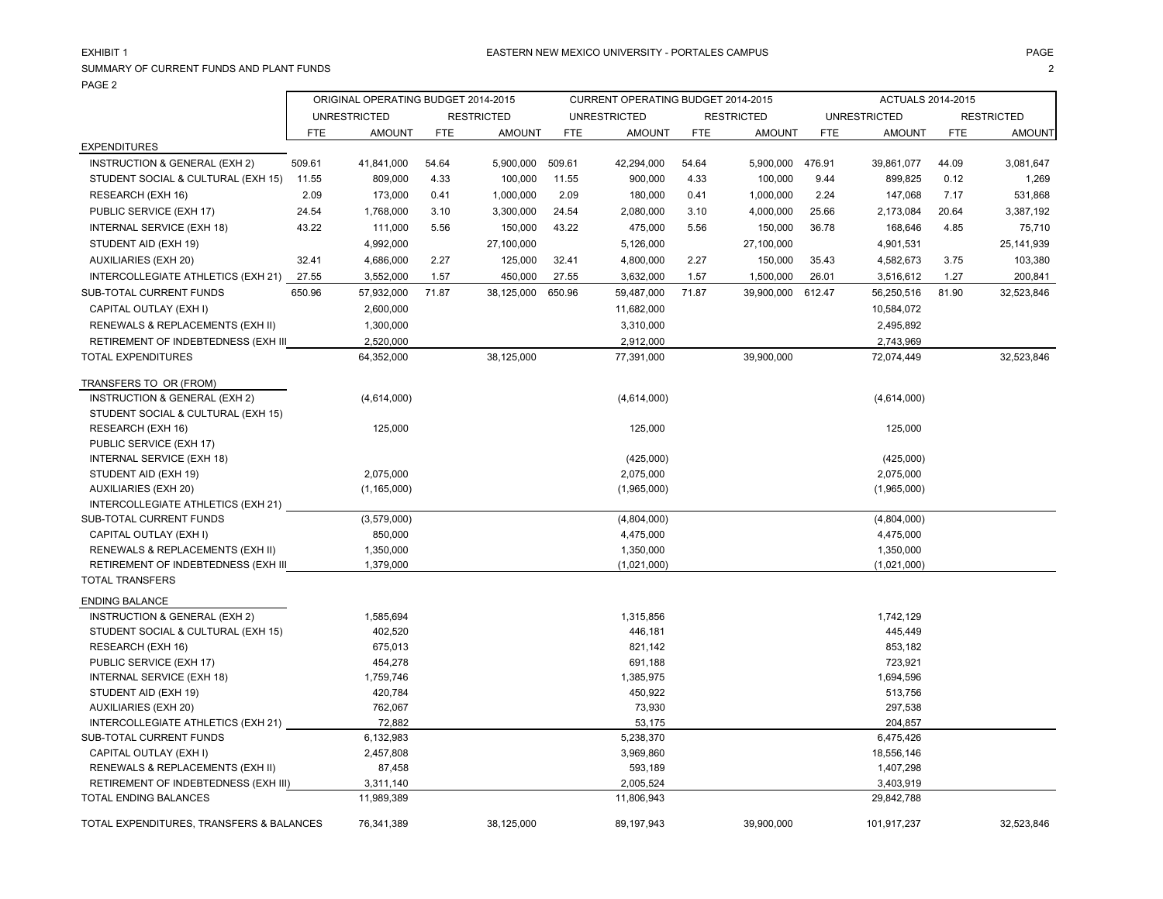# EXHIBIT 1

### SUMMARY OF CURRENT FUNDS AND PLANT FUNDS $\mathsf S$  2 PAGE 2

|                                          | ORIGINAL OPERATING BUDGET 2014-2015 |                     |            |                   |            | CURRENT OPERATING BUDGET 2014-2015 |            |                   |            | <b>ACTUALS 2014-2015</b> |            |                   |
|------------------------------------------|-------------------------------------|---------------------|------------|-------------------|------------|------------------------------------|------------|-------------------|------------|--------------------------|------------|-------------------|
|                                          |                                     | <b>UNRESTRICTED</b> |            | <b>RESTRICTED</b> |            | <b>UNRESTRICTED</b>                |            | <b>RESTRICTED</b> |            | <b>UNRESTRICTED</b>      |            | <b>RESTRICTED</b> |
|                                          | <b>FTE</b>                          | <b>AMOUNT</b>       | <b>FTE</b> | <b>AMOUNT</b>     | <b>FTE</b> | <b>AMOUNT</b>                      | <b>FTE</b> | <b>AMOUNT</b>     | <b>FTE</b> | <b>AMOUNT</b>            | <b>FTE</b> | <b>AMOUNT</b>     |
| <b>EXPENDITURES</b>                      |                                     |                     |            |                   |            |                                    |            |                   |            |                          |            |                   |
| INSTRUCTION & GENERAL (EXH 2)            | 509.61                              | 41,841,000          | 54.64      | 5,900,000         | 509.61     | 42,294,000                         | 54.64      | 5,900,000         | 476.91     | 39,861,077               | 44.09      | 3,081,647         |
| STUDENT SOCIAL & CULTURAL (EXH 15)       | 11.55                               | 809,000             | 4.33       | 100,000           | 11.55      | 900,000                            | 4.33       | 100,000           | 9.44       | 899,825                  | 0.12       | 1,269             |
| RESEARCH (EXH 16)                        | 2.09                                | 173,000             | 0.41       | 1,000,000         | 2.09       | 180,000                            | 0.41       | 1,000,000         | 2.24       | 147,068                  | 7.17       | 531,868           |
| PUBLIC SERVICE (EXH 17)                  | 24.54                               | 1,768,000           | 3.10       | 3,300,000         | 24.54      | 2,080,000                          | 3.10       | 4,000,000         | 25.66      | 2,173,084                | 20.64      | 3,387,192         |
| INTERNAL SERVICE (EXH 18)                | 43.22                               | 111,000             | 5.56       | 150,000           | 43.22      | 475,000                            | 5.56       | 150,000           | 36.78      | 168,646                  | 4.85       | 75,710            |
| STUDENT AID (EXH 19)                     |                                     | 4,992,000           |            | 27,100,000        |            | 5,126,000                          |            | 27,100,000        |            | 4,901,531                |            | 25, 141, 939      |
| <b>AUXILIARIES (EXH 20)</b>              | 32.41                               | 4,686,000           | 2.27       | 125,000           | 32.41      | 4,800,000                          | 2.27       | 150,000           | 35.43      | 4,582,673                | 3.75       | 103,380           |
| INTERCOLLEGIATE ATHLETICS (EXH 21)       | 27.55                               | 3,552,000           | 1.57       | 450,000           | 27.55      | 3,632,000                          | 1.57       | 1,500,000         | 26.01      | 3,516,612                | 1.27       | 200,841           |
| SUB-TOTAL CURRENT FUNDS                  | 650.96                              | 57,932,000          | 71.87      | 38,125,000        | 650.96     | 59,487,000                         | 71.87      | 39,900,000        | 612.47     | 56,250,516               | 81.90      | 32,523,846        |
| CAPITAL OUTLAY (EXH I)                   |                                     | 2,600,000           |            |                   |            | 11,682,000                         |            |                   |            | 10,584,072               |            |                   |
| RENEWALS & REPLACEMENTS (EXH II)         |                                     | 1,300,000           |            |                   |            | 3,310,000                          |            |                   |            | 2,495,892                |            |                   |
| RETIREMENT OF INDEBTEDNESS (EXH III      |                                     | 2,520,000           |            |                   |            | 2,912,000                          |            |                   |            | 2,743,969                |            |                   |
| <b>TOTAL EXPENDITURES</b>                |                                     | 64,352,000          |            | 38,125,000        |            | 77,391,000                         |            | 39,900,000        |            | 72,074,449               |            | 32,523,846        |
|                                          |                                     |                     |            |                   |            |                                    |            |                   |            |                          |            |                   |
| TRANSFERS TO OR (FROM)                   |                                     |                     |            |                   |            |                                    |            |                   |            |                          |            |                   |
| INSTRUCTION & GENERAL (EXH 2)            |                                     | (4,614,000)         |            |                   |            | (4,614,000)                        |            |                   |            | (4,614,000)              |            |                   |
| STUDENT SOCIAL & CULTURAL (EXH 15)       |                                     |                     |            |                   |            |                                    |            |                   |            |                          |            |                   |
| RESEARCH (EXH 16)                        |                                     | 125,000             |            |                   |            | 125,000                            |            |                   |            | 125,000                  |            |                   |
| PUBLIC SERVICE (EXH 17)                  |                                     |                     |            |                   |            |                                    |            |                   |            |                          |            |                   |
| INTERNAL SERVICE (EXH 18)                |                                     |                     |            |                   |            | (425,000)                          |            |                   |            | (425,000)                |            |                   |
| STUDENT AID (EXH 19)                     |                                     | 2,075,000           |            |                   |            | 2,075,000                          |            |                   |            | 2,075,000                |            |                   |
| AUXILIARIES (EXH 20)                     |                                     | (1, 165, 000)       |            |                   |            | (1,965,000)                        |            |                   |            | (1,965,000)              |            |                   |
| INTERCOLLEGIATE ATHLETICS (EXH 21)       |                                     |                     |            |                   |            |                                    |            |                   |            |                          |            |                   |
| SUB-TOTAL CURRENT FUNDS                  |                                     | (3,579,000)         |            |                   |            | (4,804,000)                        |            |                   |            | (4,804,000)              |            |                   |
| CAPITAL OUTLAY (EXH I)                   |                                     | 850,000             |            |                   |            | 4,475,000                          |            |                   |            | 4,475,000                |            |                   |
| RENEWALS & REPLACEMENTS (EXH II)         |                                     | 1,350,000           |            |                   |            | 1,350,000                          |            |                   |            | 1,350,000                |            |                   |
| RETIREMENT OF INDEBTEDNESS (EXH III      |                                     | 1,379,000           |            |                   |            | (1,021,000)                        |            |                   |            | (1,021,000)              |            |                   |
| <b>TOTAL TRANSFERS</b>                   |                                     |                     |            |                   |            |                                    |            |                   |            |                          |            |                   |
| ENDING BALANCE                           |                                     |                     |            |                   |            |                                    |            |                   |            |                          |            |                   |
| INSTRUCTION & GENERAL (EXH 2)            |                                     | 1,585,694           |            |                   |            | 1,315,856                          |            |                   |            | 1,742,129                |            |                   |
| STUDENT SOCIAL & CULTURAL (EXH 15)       |                                     | 402,520             |            |                   |            | 446,181                            |            |                   |            | 445,449                  |            |                   |
| RESEARCH (EXH 16)                        |                                     | 675,013             |            |                   |            | 821,142                            |            |                   |            | 853,182                  |            |                   |
| PUBLIC SERVICE (EXH 17)                  |                                     | 454,278             |            |                   |            | 691,188                            |            |                   |            | 723,921                  |            |                   |
| INTERNAL SERVICE (EXH 18)                |                                     | 1,759,746           |            |                   |            | 1,385,975                          |            |                   |            | 1,694,596                |            |                   |
| STUDENT AID (EXH 19)                     |                                     | 420,784             |            |                   |            | 450,922                            |            |                   |            | 513,756                  |            |                   |
| <b>AUXILIARIES (EXH 20)</b>              |                                     | 762,067             |            |                   |            | 73,930                             |            |                   |            | 297,538                  |            |                   |
| INTERCOLLEGIATE ATHLETICS (EXH 21)       |                                     | 72,882              |            |                   |            | 53,175                             |            |                   |            | 204,857                  |            |                   |
| SUB-TOTAL CURRENT FUNDS                  |                                     | 6,132,983           |            |                   |            | 5,238,370                          |            |                   |            | 6,475,426                |            |                   |
| CAPITAL OUTLAY (EXH I)                   |                                     | 2,457,808           |            |                   |            | 3,969,860                          |            |                   |            | 18,556,146               |            |                   |
| RENEWALS & REPLACEMENTS (EXH II)         |                                     | 87,458              |            |                   |            | 593,189                            |            |                   |            | 1,407,298                |            |                   |
| RETIREMENT OF INDEBTEDNESS (EXH III)     |                                     | 3,311,140           |            |                   |            | 2,005,524                          |            |                   |            | 3,403,919                |            |                   |
| TOTAL ENDING BALANCES                    |                                     | 11,989,389          |            |                   |            | 11,806,943                         |            |                   |            | 29,842,788               |            |                   |
| TOTAL EXPENDITURES, TRANSFERS & BALANCES |                                     | 76,341,389          |            | 38,125,000        |            | 89,197,943                         |            | 39,900,000        |            | 101,917,237              |            | 32,523,846        |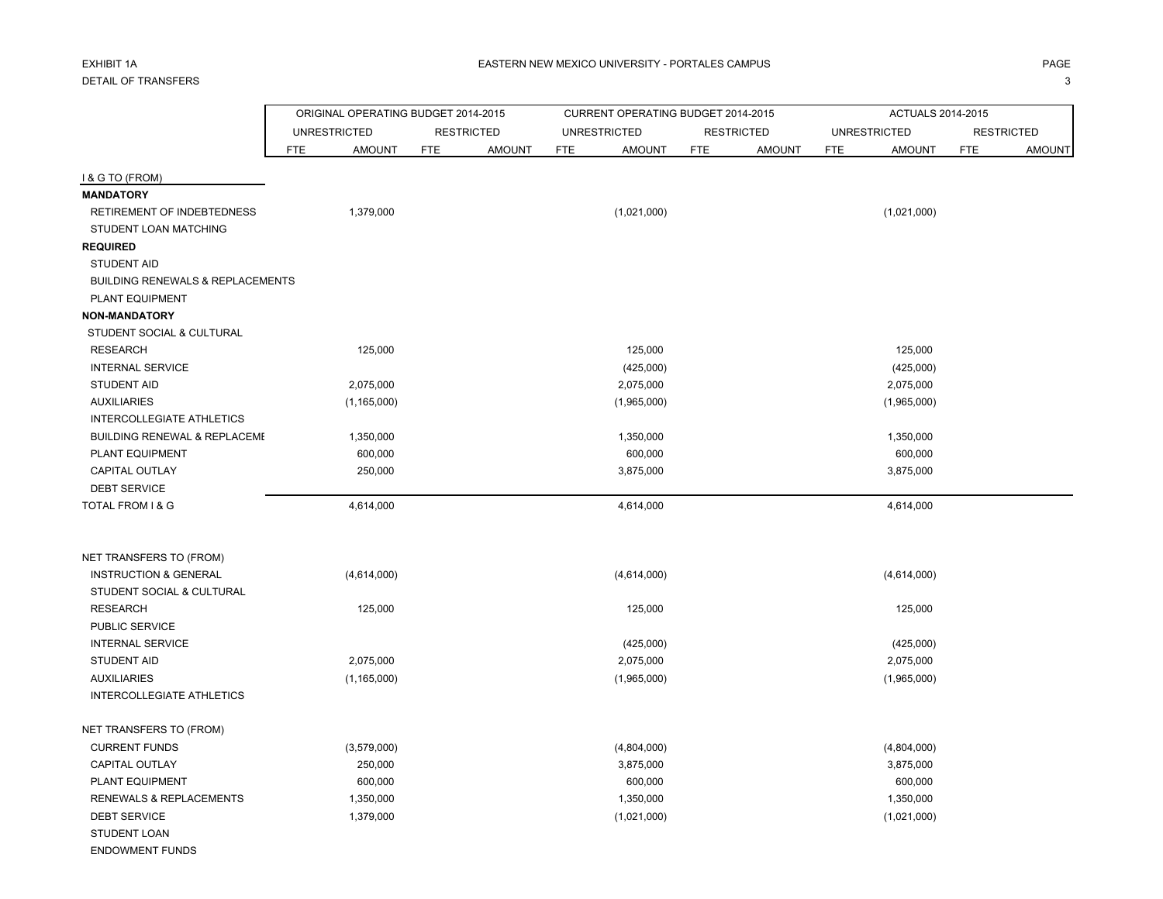|                                             | ORIGINAL OPERATING BUDGET 2014-2015 |                   |               |            | CURRENT OPERATING BUDGET 2014-2015 |                   |               |     | ACTUALS 2014-2015   |                   |               |
|---------------------------------------------|-------------------------------------|-------------------|---------------|------------|------------------------------------|-------------------|---------------|-----|---------------------|-------------------|---------------|
|                                             | <b>UNRESTRICTED</b>                 | <b>RESTRICTED</b> |               |            | <b>UNRESTRICTED</b>                | <b>RESTRICTED</b> |               |     | <b>UNRESTRICTED</b> | <b>RESTRICTED</b> |               |
|                                             | <b>FTE</b><br><b>AMOUNT</b>         | <b>FTE</b>        | <b>AMOUNT</b> | <b>FTE</b> | <b>AMOUNT</b>                      | <b>FTE</b>        | <b>AMOUNT</b> | FTE | <b>AMOUNT</b>       | <b>FTE</b>        | <b>AMOUNT</b> |
| I & G TO (FROM)                             |                                     |                   |               |            |                                    |                   |               |     |                     |                   |               |
| <b>MANDATORY</b>                            |                                     |                   |               |            |                                    |                   |               |     |                     |                   |               |
| RETIREMENT OF INDEBTEDNESS                  | 1,379,000                           |                   |               |            | (1,021,000)                        |                   |               |     | (1,021,000)         |                   |               |
| STUDENT LOAN MATCHING                       |                                     |                   |               |            |                                    |                   |               |     |                     |                   |               |
| <b>REQUIRED</b>                             |                                     |                   |               |            |                                    |                   |               |     |                     |                   |               |
| <b>STUDENT AID</b>                          |                                     |                   |               |            |                                    |                   |               |     |                     |                   |               |
| <b>BUILDING RENEWALS &amp; REPLACEMENTS</b> |                                     |                   |               |            |                                    |                   |               |     |                     |                   |               |
| PLANT EQUIPMENT                             |                                     |                   |               |            |                                    |                   |               |     |                     |                   |               |
| <b>NON-MANDATORY</b>                        |                                     |                   |               |            |                                    |                   |               |     |                     |                   |               |
| STUDENT SOCIAL & CULTURAL                   |                                     |                   |               |            |                                    |                   |               |     |                     |                   |               |
| <b>RESEARCH</b>                             | 125,000                             |                   |               |            | 125,000                            |                   |               |     | 125,000             |                   |               |
| <b>INTERNAL SERVICE</b>                     |                                     |                   |               |            | (425,000)                          |                   |               |     | (425,000)           |                   |               |
| <b>STUDENT AID</b>                          | 2,075,000                           |                   |               |            | 2,075,000                          |                   |               |     | 2,075,000           |                   |               |
| <b>AUXILIARIES</b>                          | (1, 165, 000)                       |                   |               |            | (1,965,000)                        |                   |               |     | (1,965,000)         |                   |               |
| <b>INTERCOLLEGIATE ATHLETICS</b>            |                                     |                   |               |            |                                    |                   |               |     |                     |                   |               |
| <b>BUILDING RENEWAL &amp; REPLACEME</b>     | 1,350,000                           |                   |               |            | 1,350,000                          |                   |               |     | 1,350,000           |                   |               |
| PLANT EQUIPMENT                             | 600,000                             |                   |               |            | 600,000                            |                   |               |     | 600,000             |                   |               |
| <b>CAPITAL OUTLAY</b>                       | 250,000                             |                   |               |            | 3,875,000                          |                   |               |     | 3,875,000           |                   |               |
| <b>DEBT SERVICE</b>                         |                                     |                   |               |            |                                    |                   |               |     |                     |                   |               |
| TOTAL FROM I & G                            | 4,614,000                           |                   |               |            | 4,614,000                          |                   |               |     | 4,614,000           |                   |               |
| NET TRANSFERS TO (FROM)                     |                                     |                   |               |            |                                    |                   |               |     |                     |                   |               |
| <b>INSTRUCTION &amp; GENERAL</b>            | (4,614,000)                         |                   |               |            | (4,614,000)                        |                   |               |     | (4,614,000)         |                   |               |
| STUDENT SOCIAL & CULTURAL                   |                                     |                   |               |            |                                    |                   |               |     |                     |                   |               |
| <b>RESEARCH</b>                             | 125,000                             |                   |               |            | 125,000                            |                   |               |     | 125,000             |                   |               |
| PUBLIC SERVICE                              |                                     |                   |               |            |                                    |                   |               |     |                     |                   |               |
| <b>INTERNAL SERVICE</b>                     |                                     |                   |               |            | (425,000)                          |                   |               |     | (425,000)           |                   |               |
| <b>STUDENT AID</b>                          | 2,075,000                           |                   |               |            | 2,075,000                          |                   |               |     | 2,075,000           |                   |               |
| <b>AUXILIARIES</b>                          | (1, 165, 000)                       |                   |               |            | (1,965,000)                        |                   |               |     | (1,965,000)         |                   |               |
| <b>INTERCOLLEGIATE ATHLETICS</b>            |                                     |                   |               |            |                                    |                   |               |     |                     |                   |               |
| NET TRANSFERS TO (FROM)                     |                                     |                   |               |            |                                    |                   |               |     |                     |                   |               |
| <b>CURRENT FUNDS</b>                        | (3,579,000)                         |                   |               |            | (4,804,000)                        |                   |               |     | (4,804,000)         |                   |               |
| CAPITAL OUTLAY                              | 250,000                             |                   |               |            | 3,875,000                          |                   |               |     | 3,875,000           |                   |               |
| PLANT EQUIPMENT                             | 600,000                             |                   |               |            | 600,000                            |                   |               |     | 600,000             |                   |               |
| <b>RENEWALS &amp; REPLACEMENTS</b>          | 1,350,000                           |                   |               |            | 1,350,000                          |                   |               |     | 1,350,000           |                   |               |
| <b>DEBT SERVICE</b>                         | 1,379,000                           |                   |               |            | (1,021,000)                        |                   |               |     | (1,021,000)         |                   |               |
| STUDENT LOAN                                |                                     |                   |               |            |                                    |                   |               |     |                     |                   |               |

ENDOWMENT FUNDS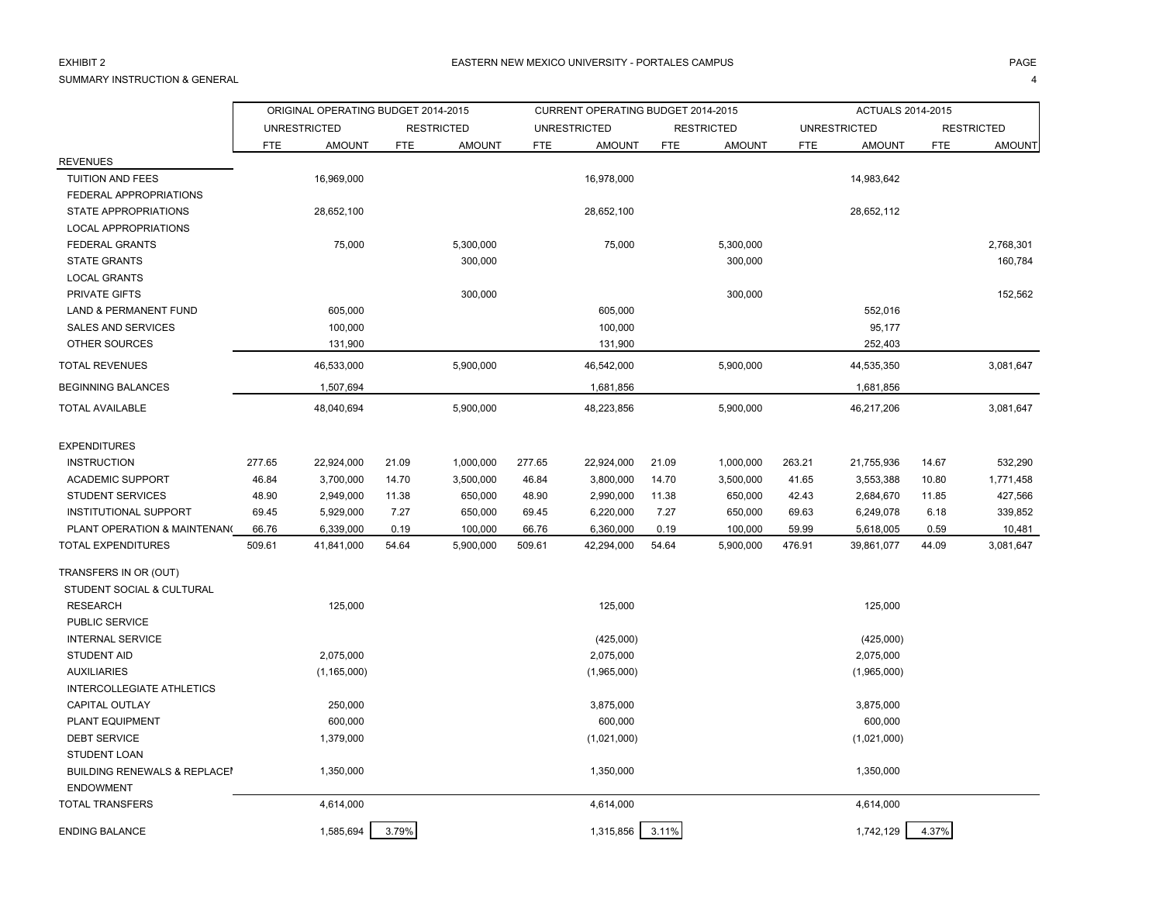# EXHIBIT 2

SUMMARY INSTRUCTION & GENERAL

4

|                                         | ORIGINAL OPERATING BUDGET 2014-2015 |                     |            |                   |            | CURRENT OPERATING BUDGET 2014-2015 |            |                   |            | ACTUALS 2014-2015   |            |                   |
|-----------------------------------------|-------------------------------------|---------------------|------------|-------------------|------------|------------------------------------|------------|-------------------|------------|---------------------|------------|-------------------|
|                                         |                                     | <b>UNRESTRICTED</b> |            | <b>RESTRICTED</b> |            | <b>UNRESTRICTED</b>                |            | <b>RESTRICTED</b> |            | <b>UNRESTRICTED</b> |            | <b>RESTRICTED</b> |
|                                         | FTE                                 | <b>AMOUNT</b>       | <b>FTE</b> | <b>AMOUNT</b>     | <b>FTE</b> | <b>AMOUNT</b>                      | <b>FTE</b> | <b>AMOUNT</b>     | <b>FTE</b> | <b>AMOUNT</b>       | <b>FTE</b> | <b>AMOUNT</b>     |
| <b>REVENUES</b>                         |                                     |                     |            |                   |            |                                    |            |                   |            |                     |            |                   |
| <b>TUITION AND FEES</b>                 |                                     | 16,969,000          |            |                   |            | 16,978,000                         |            |                   |            | 14,983,642          |            |                   |
| FEDERAL APPROPRIATIONS                  |                                     |                     |            |                   |            |                                    |            |                   |            |                     |            |                   |
| STATE APPROPRIATIONS                    |                                     | 28,652,100          |            |                   |            | 28,652,100                         |            |                   |            | 28,652,112          |            |                   |
| <b>LOCAL APPROPRIATIONS</b>             |                                     |                     |            |                   |            |                                    |            |                   |            |                     |            |                   |
| <b>FEDERAL GRANTS</b>                   |                                     | 75,000              |            | 5,300,000         |            | 75,000                             |            | 5,300,000         |            |                     |            | 2,768,301         |
| <b>STATE GRANTS</b>                     |                                     |                     |            | 300,000           |            |                                    |            | 300,000           |            |                     |            | 160,784           |
| <b>LOCAL GRANTS</b>                     |                                     |                     |            |                   |            |                                    |            |                   |            |                     |            |                   |
| PRIVATE GIFTS                           |                                     |                     |            | 300,000           |            |                                    |            | 300,000           |            |                     |            | 152,562           |
| <b>LAND &amp; PERMANENT FUND</b>        |                                     | 605,000             |            |                   |            | 605,000                            |            |                   |            | 552,016             |            |                   |
| <b>SALES AND SERVICES</b>               |                                     | 100,000             |            |                   |            | 100,000                            |            |                   |            | 95,177              |            |                   |
| OTHER SOURCES                           |                                     | 131,900             |            |                   |            | 131,900                            |            |                   |            | 252,403             |            |                   |
| <b>TOTAL REVENUES</b>                   |                                     | 46,533,000          |            | 5,900,000         |            | 46,542,000                         |            | 5,900,000         |            | 44,535,350          |            | 3,081,647         |
| <b>BEGINNING BALANCES</b>               |                                     | 1,507,694           |            |                   |            | 1,681,856                          |            |                   |            | 1,681,856           |            |                   |
| <b>TOTAL AVAILABLE</b>                  |                                     | 48,040,694          |            | 5,900,000         |            | 48,223,856                         |            | 5,900,000         |            | 46,217,206          |            | 3,081,647         |
| <b>EXPENDITURES</b>                     |                                     |                     |            |                   |            |                                    |            |                   |            |                     |            |                   |
| <b>INSTRUCTION</b>                      | 277.65                              | 22,924,000          | 21.09      | 1,000,000         | 277.65     | 22,924,000                         | 21.09      | 1,000,000         | 263.21     | 21,755,936          | 14.67      | 532,290           |
| <b>ACADEMIC SUPPORT</b>                 | 46.84                               | 3,700,000           | 14.70      | 3,500,000         | 46.84      | 3,800,000                          | 14.70      | 3,500,000         | 41.65      | 3,553,388           | 10.80      | 1,771,458         |
| <b>STUDENT SERVICES</b>                 | 48.90                               | 2,949,000           | 11.38      | 650,000           | 48.90      | 2,990,000                          | 11.38      | 650,000           | 42.43      | 2,684,670           | 11.85      | 427,566           |
| <b>INSTITUTIONAL SUPPORT</b>            | 69.45                               | 5,929,000           | 7.27       | 650,000           | 69.45      | 6,220,000                          | 7.27       | 650,000           | 69.63      | 6,249,078           | 6.18       | 339,852           |
| PLANT OPERATION & MAINTENANG            | 66.76                               | 6,339,000           | 0.19       | 100,000           | 66.76      | 6,360,000                          | 0.19       | 100,000           | 59.99      | 5,618,005           | 0.59       | 10,481            |
| <b>TOTAL EXPENDITURES</b>               | 509.61                              | 41,841,000          | 54.64      | 5,900,000         | 509.61     | 42,294,000                         | 54.64      | 5,900,000         | 476.91     | 39,861,077          | 44.09      | 3,081,647         |
| TRANSFERS IN OR (OUT)                   |                                     |                     |            |                   |            |                                    |            |                   |            |                     |            |                   |
| STUDENT SOCIAL & CULTURAL               |                                     |                     |            |                   |            |                                    |            |                   |            |                     |            |                   |
| <b>RESEARCH</b>                         |                                     | 125,000             |            |                   |            | 125,000                            |            |                   |            | 125,000             |            |                   |
| <b>PUBLIC SERVICE</b>                   |                                     |                     |            |                   |            |                                    |            |                   |            |                     |            |                   |
| <b>INTERNAL SERVICE</b>                 |                                     |                     |            |                   |            | (425,000)                          |            |                   |            | (425,000)           |            |                   |
| <b>STUDENT AID</b>                      |                                     | 2,075,000           |            |                   |            | 2,075,000                          |            |                   |            | 2,075,000           |            |                   |
| <b>AUXILIARIES</b>                      |                                     | (1, 165, 000)       |            |                   |            | (1,965,000)                        |            |                   |            | (1,965,000)         |            |                   |
| <b>INTERCOLLEGIATE ATHLETICS</b>        |                                     |                     |            |                   |            |                                    |            |                   |            |                     |            |                   |
| <b>CAPITAL OUTLAY</b>                   |                                     | 250,000             |            |                   |            | 3,875,000                          |            |                   |            | 3,875,000           |            |                   |
| PLANT EQUIPMENT                         |                                     | 600,000             |            |                   |            | 600,000                            |            |                   |            | 600,000             |            |                   |
| <b>DEBT SERVICE</b>                     |                                     | 1,379,000           |            |                   |            | (1,021,000)                        |            |                   |            | (1,021,000)         |            |                   |
| STUDENT LOAN                            |                                     |                     |            |                   |            |                                    |            |                   |            |                     |            |                   |
| <b>BUILDING RENEWALS &amp; REPLACE!</b> |                                     | 1,350,000           |            |                   |            | 1,350,000                          |            |                   |            | 1,350,000           |            |                   |
| <b>ENDOWMENT</b>                        |                                     |                     |            |                   |            |                                    |            |                   |            |                     |            |                   |
| <b>TOTAL TRANSFERS</b>                  |                                     | 4,614,000           |            |                   |            | 4,614,000                          |            |                   |            | 4,614,000           |            |                   |
| <b>ENDING BALANCE</b>                   |                                     | 1,585,694           | 3.79%      |                   |            | 1,315,856                          | 3.11%      |                   |            | 1,742,129           | 4.37%      |                   |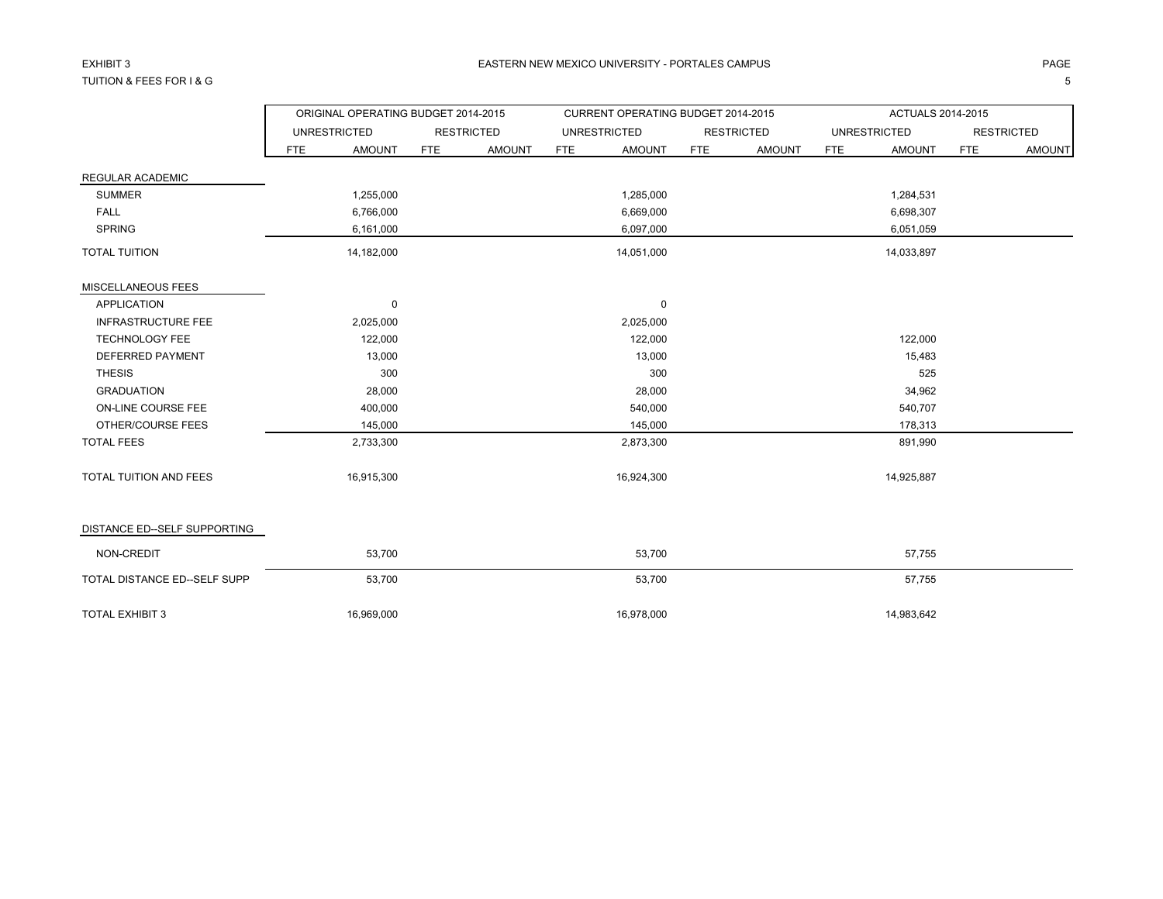# EXHIBIT 3TUITION & FEES FOR I & G

G and the contract of the contract of the contract of the contract of the contract of the contract of the contract of the contract of the contract of the contract of the contract of the contract of the contract of the cont

|                               |     | ORIGINAL OPERATING BUDGET 2014-2015 |            |                   |            | CURRENT OPERATING BUDGET 2014-2015 |            |                   |            | ACTUALS 2014-2015   |            |                   |
|-------------------------------|-----|-------------------------------------|------------|-------------------|------------|------------------------------------|------------|-------------------|------------|---------------------|------------|-------------------|
|                               |     | <b>UNRESTRICTED</b>                 |            | <b>RESTRICTED</b> |            | <b>UNRESTRICTED</b>                |            | <b>RESTRICTED</b> |            | <b>UNRESTRICTED</b> |            | <b>RESTRICTED</b> |
|                               | FTE | <b>AMOUNT</b>                       | <b>FTE</b> | <b>AMOUNT</b>     | <b>FTE</b> | <b>AMOUNT</b>                      | <b>FTE</b> | <b>AMOUNT</b>     | <b>FTE</b> | <b>AMOUNT</b>       | <b>FTE</b> | <b>AMOUNT</b>     |
| <b>REGULAR ACADEMIC</b>       |     |                                     |            |                   |            |                                    |            |                   |            |                     |            |                   |
| <b>SUMMER</b>                 |     | 1,255,000                           |            |                   |            | 1,285,000                          |            |                   |            | 1,284,531           |            |                   |
| <b>FALL</b>                   |     | 6,766,000                           |            |                   |            | 6,669,000                          |            |                   |            | 6,698,307           |            |                   |
| <b>SPRING</b>                 |     | 6,161,000                           |            |                   |            | 6,097,000                          |            |                   |            | 6,051,059           |            |                   |
| <b>TOTAL TUITION</b>          |     | 14,182,000                          |            |                   |            | 14,051,000                         |            |                   |            | 14,033,897          |            |                   |
| MISCELLANEOUS FEES            |     |                                     |            |                   |            |                                    |            |                   |            |                     |            |                   |
| <b>APPLICATION</b>            |     | $\Omega$                            |            |                   |            | $\mathbf 0$                        |            |                   |            |                     |            |                   |
| INFRASTRUCTURE FEE            |     | 2,025,000                           |            |                   |            | 2,025,000                          |            |                   |            |                     |            |                   |
| <b>TECHNOLOGY FEE</b>         |     | 122,000                             |            |                   |            | 122,000                            |            |                   |            | 122,000             |            |                   |
| DEFERRED PAYMENT              |     | 13,000                              |            |                   |            | 13,000                             |            |                   |            | 15,483              |            |                   |
| <b>THESIS</b>                 |     | 300                                 |            |                   |            | 300                                |            |                   |            | 525                 |            |                   |
| <b>GRADUATION</b>             |     | 28,000                              |            |                   |            | 28,000                             |            |                   |            | 34,962              |            |                   |
| ON-LINE COURSE FEE            |     | 400,000                             |            |                   |            | 540,000                            |            |                   |            | 540,707             |            |                   |
| OTHER/COURSE FEES             |     | 145,000                             |            |                   |            | 145,000                            |            |                   |            | 178,313             |            |                   |
| <b>TOTAL FEES</b>             |     | 2,733,300                           |            |                   |            | 2,873,300                          |            |                   |            | 891,990             |            |                   |
| <b>TOTAL TUITION AND FEES</b> |     | 16,915,300                          |            |                   |            | 16,924,300                         |            |                   |            | 14,925,887          |            |                   |
| DISTANCE ED--SELF SUPPORTING  |     |                                     |            |                   |            |                                    |            |                   |            |                     |            |                   |
| NON-CREDIT                    |     | 53,700                              |            |                   |            | 53,700                             |            |                   |            | 57,755              |            |                   |
| TOTAL DISTANCE ED--SELF SUPP  |     | 53,700                              |            |                   |            | 53,700                             |            |                   |            | 57,755              |            |                   |
| <b>TOTAL EXHIBIT 3</b>        |     | 16,969,000                          |            |                   |            | 16,978,000                         |            |                   |            | 14,983,642          |            |                   |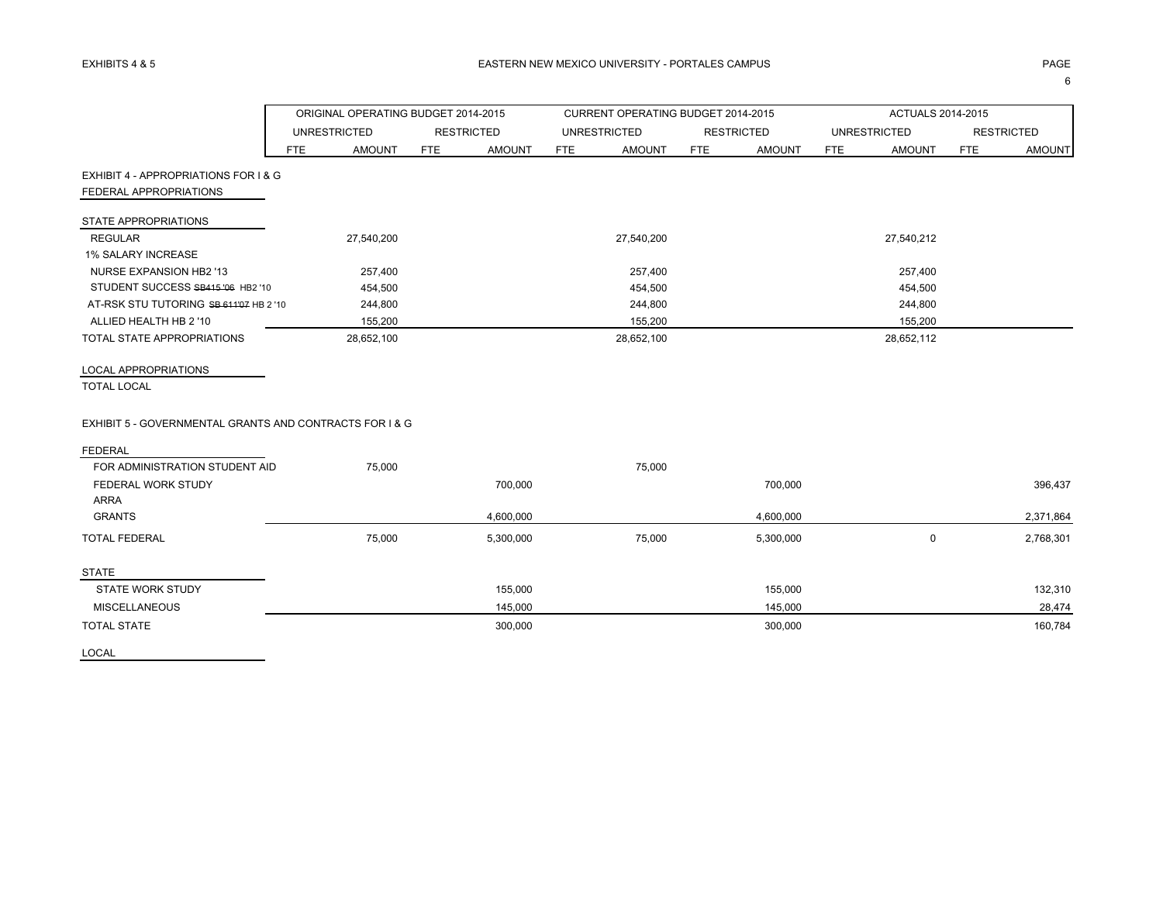|                                                         | ORIGINAL OPERATING BUDGET 2014-2015 |                     |            |                   |            | CURRENT OPERATING BUDGET 2014-2015 |            |                   |            | ACTUALS 2014-2015   |            |                   |
|---------------------------------------------------------|-------------------------------------|---------------------|------------|-------------------|------------|------------------------------------|------------|-------------------|------------|---------------------|------------|-------------------|
|                                                         |                                     | <b>UNRESTRICTED</b> |            | <b>RESTRICTED</b> |            | <b>UNRESTRICTED</b>                |            | <b>RESTRICTED</b> |            | <b>UNRESTRICTED</b> |            | <b>RESTRICTED</b> |
|                                                         | <b>FTE</b>                          | <b>AMOUNT</b>       | <b>FTE</b> | <b>AMOUNT</b>     | <b>FTE</b> | <b>AMOUNT</b>                      | <b>FTE</b> | <b>AMOUNT</b>     | <b>FTE</b> | <b>AMOUNT</b>       | <b>FTE</b> | <b>AMOUNT</b>     |
| EXHIBIT 4 - APPROPRIATIONS FOR I & G                    |                                     |                     |            |                   |            |                                    |            |                   |            |                     |            |                   |
| FEDERAL APPROPRIATIONS                                  |                                     |                     |            |                   |            |                                    |            |                   |            |                     |            |                   |
| STATE APPROPRIATIONS                                    |                                     |                     |            |                   |            |                                    |            |                   |            |                     |            |                   |
| <b>REGULAR</b>                                          |                                     | 27,540,200          |            |                   |            | 27,540,200                         |            |                   |            | 27,540,212          |            |                   |
| <b>1% SALARY INCREASE</b>                               |                                     |                     |            |                   |            |                                    |            |                   |            |                     |            |                   |
| NURSE EXPANSION HB2 '13                                 |                                     | 257,400             |            |                   |            | 257,400                            |            |                   |            | 257,400             |            |                   |
| STUDENT SUCCESS SB415 '06 HB2 '10                       |                                     | 454,500             |            |                   |            | 454,500                            |            |                   |            | 454,500             |            |                   |
| AT-RSK STU TUTORING SB 611'07 HB 2 '10                  |                                     | 244,800             |            |                   |            | 244,800                            |            |                   |            | 244,800             |            |                   |
| ALLIED HEALTH HB 2 '10                                  |                                     | 155,200             |            |                   |            | 155,200                            |            |                   |            | 155,200             |            |                   |
| <b>TOTAL STATE APPROPRIATIONS</b>                       |                                     | 28,652,100          |            |                   |            | 28,652,100                         |            |                   |            | 28,652,112          |            |                   |
| <b>LOCAL APPROPRIATIONS</b>                             |                                     |                     |            |                   |            |                                    |            |                   |            |                     |            |                   |
| <b>TOTAL LOCAL</b>                                      |                                     |                     |            |                   |            |                                    |            |                   |            |                     |            |                   |
| EXHIBIT 5 - GOVERNMENTAL GRANTS AND CONTRACTS FOR I & G |                                     |                     |            |                   |            |                                    |            |                   |            |                     |            |                   |
| <b>FEDERAL</b>                                          |                                     |                     |            |                   |            |                                    |            |                   |            |                     |            |                   |
| FOR ADMINISTRATION STUDENT AID                          |                                     | 75,000              |            |                   |            | 75,000                             |            |                   |            |                     |            |                   |
| <b>FEDERAL WORK STUDY</b>                               |                                     |                     |            | 700,000           |            |                                    |            | 700,000           |            |                     |            | 396,437           |
| <b>ARRA</b>                                             |                                     |                     |            |                   |            |                                    |            |                   |            |                     |            |                   |
| <b>GRANTS</b>                                           |                                     |                     |            | 4,600,000         |            |                                    |            | 4,600,000         |            |                     |            | 2,371,864         |
| <b>TOTAL FEDERAL</b>                                    |                                     | 75,000              |            | 5,300,000         |            | 75,000                             |            | 5,300,000         |            | $\mathbf 0$         |            | 2,768,301         |
| <b>STATE</b>                                            |                                     |                     |            |                   |            |                                    |            |                   |            |                     |            |                   |
| <b>STATE WORK STUDY</b>                                 |                                     |                     |            | 155,000           |            |                                    |            | 155,000           |            |                     |            | 132,310           |
| <b>MISCELLANEOUS</b>                                    |                                     |                     |            | 145,000           |            |                                    |            | 145,000           |            |                     |            | 28,474            |
| <b>TOTAL STATE</b>                                      |                                     |                     |            | 300,000           |            |                                    |            | 300,000           |            |                     |            | 160,784           |
| LOCAL                                                   |                                     |                     |            |                   |            |                                    |            |                   |            |                     |            |                   |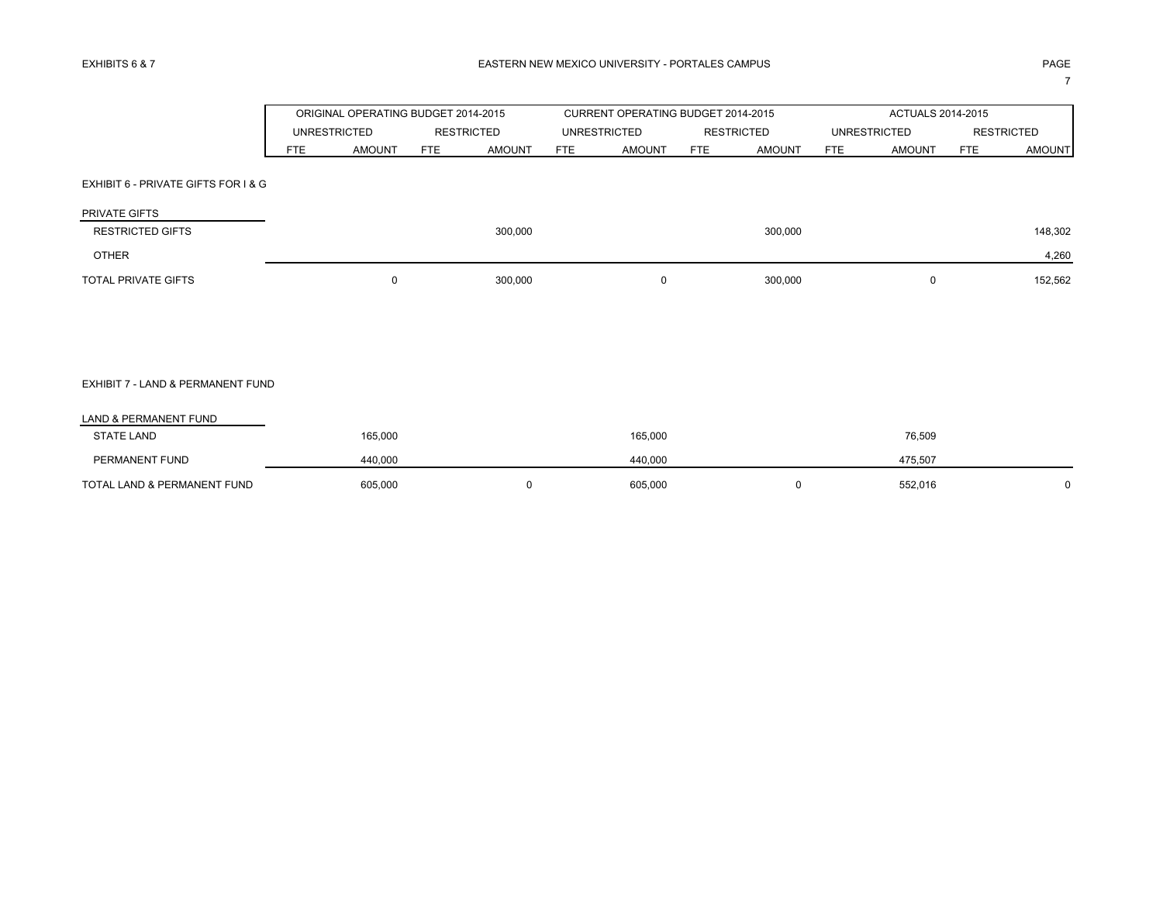|                                     |            |                     | ORIGINAL OPERATING BUDGET 2014-2015 |     | CURRENT OPERATING BUDGET 2014-2015 |            |                   |                     |               | ACTUALS 2014-2015 |                   |
|-------------------------------------|------------|---------------------|-------------------------------------|-----|------------------------------------|------------|-------------------|---------------------|---------------|-------------------|-------------------|
|                                     |            | <b>UNRESTRICTED</b> | <b>RESTRICTED</b>                   |     | <b>UNRESTRICTED</b>                |            | <b>RESTRICTED</b> | <b>UNRESTRICTED</b> |               |                   | <b>RESTRICTED</b> |
|                                     | <b>FTE</b> | <b>AMOUNT</b>       | FTE<br><b>AMOUNT</b>                | FTE | <b>AMOUNT</b>                      | <b>FTE</b> | <b>AMOUNT</b>     | <b>FTE</b>          | <b>AMOUNT</b> | <b>FTE</b>        | <b>AMOUNT</b>     |
| EXHIBIT 6 - PRIVATE GIFTS FOR I & G |            |                     |                                     |     |                                    |            |                   |                     |               |                   |                   |
| PRIVATE GIFTS                       |            |                     |                                     |     |                                    |            |                   |                     |               |                   |                   |
| <b>RESTRICTED GIFTS</b>             |            |                     | 300,000                             |     |                                    |            | 300,000           |                     |               |                   | 148,302           |
| <b>OTHER</b>                        |            |                     |                                     |     |                                    |            |                   |                     |               |                   | 4,260             |
| <b>TOTAL PRIVATE GIFTS</b>          |            | $\mathbf 0$         | 300,000                             |     | 0                                  |            | 300,000           |                     | $\mathbf 0$   |                   | 152,562           |
|                                     |            |                     |                                     |     |                                    |            |                   |                     |               |                   |                   |
|                                     |            |                     |                                     |     |                                    |            |                   |                     |               |                   |                   |
|                                     |            |                     |                                     |     |                                    |            |                   |                     |               |                   |                   |
| EXHIBIT 7 - LAND & PERMANENT FUND   |            |                     |                                     |     |                                    |            |                   |                     |               |                   |                   |
| LAND & PERMANENT FUND               |            |                     |                                     |     |                                    |            |                   |                     |               |                   |                   |
| <b>STATE LAND</b>                   |            | 165,000             |                                     |     | 165,000                            |            |                   |                     | 76,509        |                   |                   |
| PERMANENT FUND                      |            | 440,000             |                                     |     | 440,000                            |            |                   |                     | 475,507       |                   |                   |

TOTAL LAND & PERMANENT FUND 605,000 605,000 0 605,000 605,000 0 605,000 0 552,016 0 0 552,016 0 0 552,016 0 0 0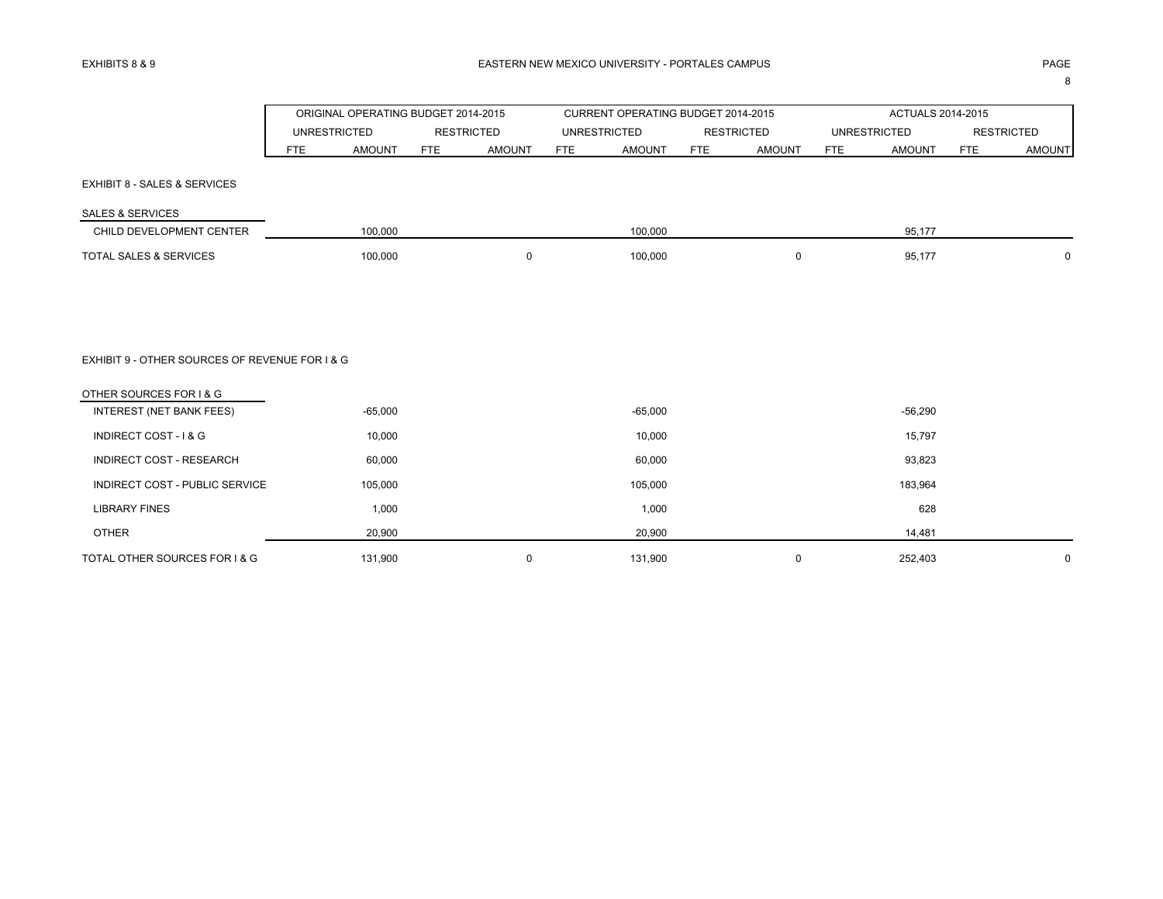8

|                                                |                             | ORIGINAL OPERATING BUDGET 2014-2015 | CURRENT OPERATING BUDGET 2014-2015 |                             | ACTUALS 2014-2015           |                             |
|------------------------------------------------|-----------------------------|-------------------------------------|------------------------------------|-----------------------------|-----------------------------|-----------------------------|
|                                                | <b>UNRESTRICTED</b>         | <b>RESTRICTED</b>                   | <b>UNRESTRICTED</b>                | <b>RESTRICTED</b>           | <b>UNRESTRICTED</b>         | <b>RESTRICTED</b>           |
|                                                | <b>AMOUNT</b><br><b>FTE</b> | <b>FTE</b><br><b>AMOUNT</b>         | <b>FTE</b><br><b>AMOUNT</b>        | <b>AMOUNT</b><br><b>FTE</b> | <b>FTE</b><br><b>AMOUNT</b> | <b>FTE</b><br><b>AMOUNT</b> |
| EXHIBIT 8 - SALES & SERVICES                   |                             |                                     |                                    |                             |                             |                             |
| <b>SALES &amp; SERVICES</b>                    |                             |                                     |                                    |                             |                             |                             |
| CHILD DEVELOPMENT CENTER                       | 100,000                     |                                     | 100,000                            |                             | 95,177                      |                             |
| TOTAL SALES & SERVICES                         | 100,000                     | $\mathbf 0$                         | 100,000                            | $\mathbf 0$                 | 95,177                      | $\mathbf{0}$                |
|                                                |                             |                                     |                                    |                             |                             |                             |
| EXHIBIT 9 - OTHER SOURCES OF REVENUE FOR I & G |                             |                                     |                                    |                             |                             |                             |
| OTHER SOURCES FOR I & G                        |                             |                                     |                                    |                             |                             |                             |
| INTEREST (NET BANK FEES)                       | $-65,000$                   |                                     | $-65,000$                          |                             | $-56,290$                   |                             |
| INDIRECT COST - I & G                          | 10,000                      |                                     | 10,000                             |                             | 15,797                      |                             |
| <b>INDIRECT COST - RESEARCH</b>                | 60,000                      |                                     | 60,000                             |                             | 93,823                      |                             |
| INDIRECT COST - PUBLIC SERVICE                 | 105,000                     |                                     | 105,000                            |                             | 183,964                     |                             |
| <b>LIBRARY FINES</b>                           | 1,000                       |                                     | 1,000                              |                             | 628                         |                             |
| <b>OTHER</b>                                   | 20,900                      |                                     | 20,900                             |                             | 14,481                      |                             |
| TOTAL OTHER SOURCES FOR I & G                  | 131,900                     | $\Omega$                            | 131,900                            | $\mathbf 0$                 | 252,403                     | $\mathbf 0$                 |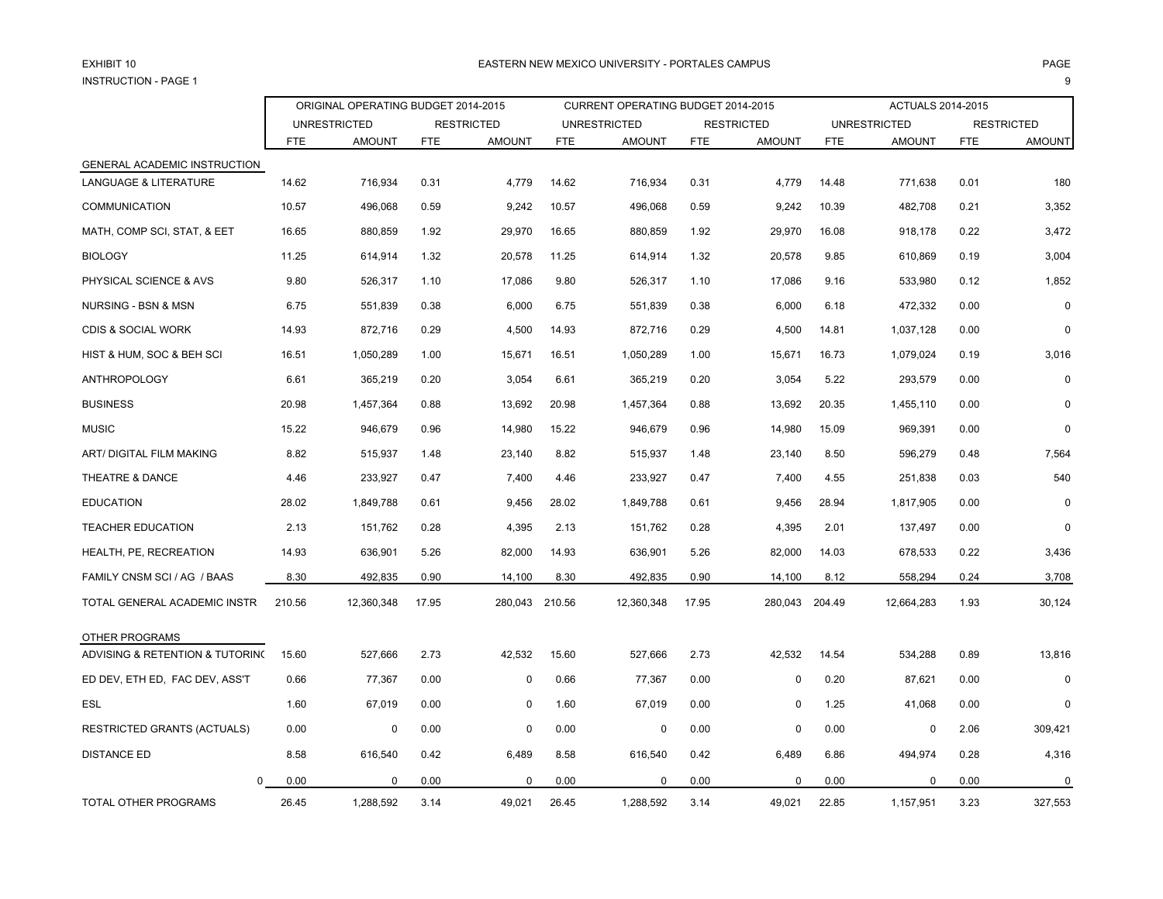# EXHIBIT 10INSTRUCTION - PAGE 1

# 0 EASTERN NEW MEXICO UNIVERSITY - PORTALES CAMPUS PAGE es and the second second second second second second second second second second second second second second s

|                                    | ORIGINAL OPERATING BUDGET 2014-2015 |                     |            |                   |        | CURRENT OPERATING BUDGET 2014-2015 |            |                   |            | ACTUALS 2014-2015   |            |                   |
|------------------------------------|-------------------------------------|---------------------|------------|-------------------|--------|------------------------------------|------------|-------------------|------------|---------------------|------------|-------------------|
|                                    |                                     | <b>UNRESTRICTED</b> |            | <b>RESTRICTED</b> |        | <b>UNRESTRICTED</b>                |            | <b>RESTRICTED</b> |            | <b>UNRESTRICTED</b> |            | <b>RESTRICTED</b> |
|                                    | <b>FTE</b>                          | <b>AMOUNT</b>       | <b>FTE</b> | <b>AMOUNT</b>     | FTE    | <b>AMOUNT</b>                      | <b>FTE</b> | <b>AMOUNT</b>     | <b>FTE</b> | <b>AMOUNT</b>       | <b>FTE</b> | <b>AMOUNT</b>     |
| GENERAL ACADEMIC INSTRUCTION       |                                     |                     |            |                   |        |                                    |            |                   |            |                     |            |                   |
| <b>LANGUAGE &amp; LITERATURE</b>   | 14.62                               | 716,934             | 0.31       | 4,779             | 14.62  | 716,934                            | 0.31       | 4,779             | 14.48      | 771,638             | 0.01       | 180               |
| <b>COMMUNICATION</b>               | 10.57                               | 496,068             | 0.59       | 9,242             | 10.57  | 496,068                            | 0.59       | 9,242             | 10.39      | 482,708             | 0.21       | 3,352             |
| MATH, COMP SCI, STAT, & EET        | 16.65                               | 880,859             | 1.92       | 29,970            | 16.65  | 880,859                            | 1.92       | 29,970            | 16.08      | 918,178             | 0.22       | 3,472             |
| <b>BIOLOGY</b>                     | 11.25                               | 614,914             | 1.32       | 20,578            | 11.25  | 614,914                            | 1.32       | 20,578            | 9.85       | 610,869             | 0.19       | 3,004             |
| PHYSICAL SCIENCE & AVS             | 9.80                                | 526,317             | 1.10       | 17,086            | 9.80   | 526,317                            | 1.10       | 17,086            | 9.16       | 533,980             | 0.12       | 1,852             |
| NURSING - BSN & MSN                | 6.75                                | 551,839             | 0.38       | 6,000             | 6.75   | 551,839                            | 0.38       | 6,000             | 6.18       | 472,332             | 0.00       | $\mathbf 0$       |
| <b>CDIS &amp; SOCIAL WORK</b>      | 14.93                               | 872,716             | 0.29       | 4,500             | 14.93  | 872,716                            | 0.29       | 4,500             | 14.81      | 1,037,128           | 0.00       | $\Omega$          |
| HIST & HUM, SOC & BEH SCI          | 16.51                               | 1,050,289           | 1.00       | 15,671            | 16.51  | 1,050,289                          | 1.00       | 15,671            | 16.73      | 1,079,024           | 0.19       | 3,016             |
| <b>ANTHROPOLOGY</b>                | 6.61                                | 365,219             | 0.20       | 3,054             | 6.61   | 365,219                            | 0.20       | 3,054             | 5.22       | 293,579             | 0.00       | $\Omega$          |
| <b>BUSINESS</b>                    | 20.98                               | 1,457,364           | 0.88       | 13,692            | 20.98  | 1,457,364                          | 0.88       | 13,692            | 20.35      | 1,455,110           | 0.00       | 0                 |
| <b>MUSIC</b>                       | 15.22                               | 946,679             | 0.96       | 14,980            | 15.22  | 946,679                            | 0.96       | 14,980            | 15.09      | 969,391             | 0.00       | $\mathbf 0$       |
| <b>ART/ DIGITAL FILM MAKING</b>    | 8.82                                | 515,937             | 1.48       | 23,140            | 8.82   | 515,937                            | 1.48       | 23,140            | 8.50       | 596,279             | 0.48       | 7,564             |
| THEATRE & DANCE                    | 4.46                                | 233,927             | 0.47       | 7,400             | 4.46   | 233,927                            | 0.47       | 7,400             | 4.55       | 251,838             | 0.03       | 540               |
| <b>EDUCATION</b>                   | 28.02                               | 1,849,788           | 0.61       | 9,456             | 28.02  | 1,849,788                          | 0.61       | 9,456             | 28.94      | 1,817,905           | 0.00       |                   |
| <b>TEACHER EDUCATION</b>           | 2.13                                | 151,762             | 0.28       | 4,395             | 2.13   | 151,762                            | 0.28       | 4,395             | 2.01       | 137,497             | 0.00       | $\Omega$          |
| HEALTH, PE, RECREATION             | 14.93                               | 636,901             | 5.26       | 82,000            | 14.93  | 636,901                            | 5.26       | 82,000            | 14.03      | 678,533             | 0.22       | 3,436             |
| FAMILY CNSM SCI / AG / BAAS        | 8.30                                | 492,835             | 0.90       | 14,100            | 8.30   | 492,835                            | 0.90       | 14,100            | 8.12       | 558,294             | 0.24       | 3,708             |
| TOTAL GENERAL ACADEMIC INSTR       | 210.56                              | 12,360,348          | 17.95      | 280,043           | 210.56 | 12,360,348                         | 17.95      | 280,043           | 204.49     | 12,664,283          | 1.93       | 30,124            |
| OTHER PROGRAMS                     |                                     |                     |            |                   |        |                                    |            |                   |            |                     |            |                   |
| ADVISING & RETENTION & TUTORING    | 15.60                               | 527,666             | 2.73       | 42,532            | 15.60  | 527,666                            | 2.73       | 42,532            | 14.54      | 534,288             | 0.89       | 13,816            |
| ED DEV, ETH ED, FAC DEV, ASS'T     | 0.66                                | 77,367              | 0.00       | $\mathbf 0$       | 0.66   | 77,367                             | 0.00       | $\Omega$          | 0.20       | 87,621              | 0.00       | 0                 |
| ESL                                | 1.60                                | 67,019              | 0.00       | $\mathbf 0$       | 1.60   | 67,019                             | 0.00       | 0                 | 1.25       | 41,068              | 0.00       | $\Omega$          |
| <b>RESTRICTED GRANTS (ACTUALS)</b> | 0.00                                | 0                   | 0.00       | $\mathbf 0$       | 0.00   | 0                                  | 0.00       | 0                 | 0.00       | $\mathbf 0$         | 2.06       | 309,421           |
| <b>DISTANCE ED</b>                 | 8.58                                | 616,540             | 0.42       | 6,489             | 8.58   | 616,540                            | 0.42       | 6,489             | 6.86       | 494,974             | 0.28       | 4,316             |
| 0                                  | 0.00                                | 0                   | 0.00       | $\Omega$          | 0.00   | 0                                  | 0.00       | 0                 | 0.00       | 0                   | 0.00       | $\mathbf 0$       |
| TOTAL OTHER PROGRAMS               | 26.45                               | 1,288,592           | 3.14       | 49,021            | 26.45  | 1,288,592                          | 3.14       | 49,021            | 22.85      | 1,157,951           | 3.23       | 327,553           |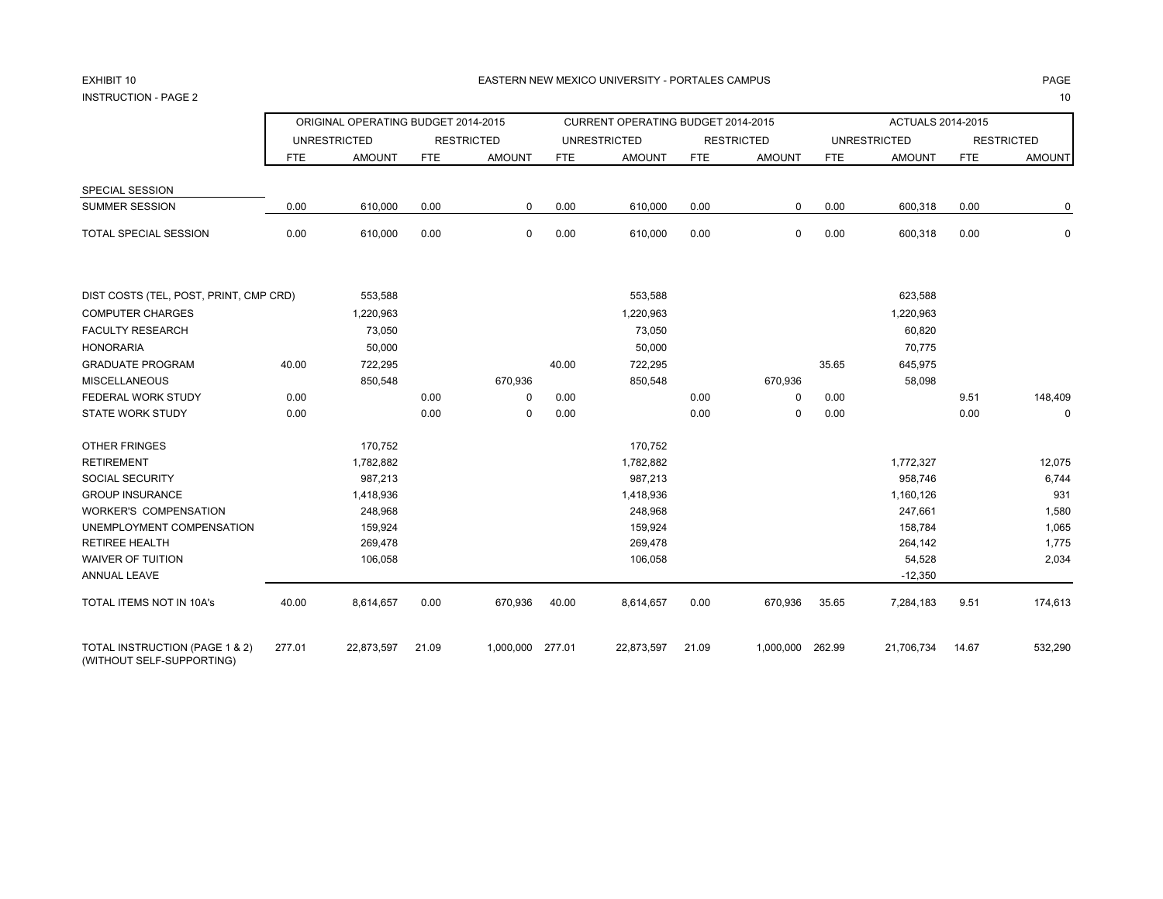# EXHIBIT 10

INSTRUCTION - PAGE 22 декември 10 жылы 2 декемв<u>и 2 декември 2 декемви 2 декемви 2 декемви 2 декемви 2 декемви 2 декемви 2 декемви 2</u>

|                                                             |            | ORIGINAL OPERATING BUDGET 2014-2015 |            |                   |            | CURRENT OPERATING BUDGET 2014-2015 |            |                   |            | <b>ACTUALS 2014-2015</b> |            |                   |
|-------------------------------------------------------------|------------|-------------------------------------|------------|-------------------|------------|------------------------------------|------------|-------------------|------------|--------------------------|------------|-------------------|
|                                                             |            | <b>UNRESTRICTED</b>                 |            | <b>RESTRICTED</b> |            | <b>UNRESTRICTED</b>                |            | <b>RESTRICTED</b> |            | <b>UNRESTRICTED</b>      |            | <b>RESTRICTED</b> |
|                                                             | <b>FTE</b> | <b>AMOUNT</b>                       | <b>FTE</b> | <b>AMOUNT</b>     | <b>FTE</b> | <b>AMOUNT</b>                      | <b>FTE</b> | <b>AMOUNT</b>     | <b>FTE</b> | <b>AMOUNT</b>            | <b>FTE</b> | <b>AMOUNT</b>     |
| SPECIAL SESSION                                             |            |                                     |            |                   |            |                                    |            |                   |            |                          |            |                   |
| SUMMER SESSION                                              | 0.00       | 610,000                             | 0.00       | 0                 | 0.00       | 610,000                            | 0.00       | 0                 | 0.00       | 600,318                  | 0.00       | 0                 |
| TOTAL SPECIAL SESSION                                       | 0.00       | 610,000                             | 0.00       | 0                 | 0.00       | 610,000                            | 0.00       | 0                 | 0.00       | 600,318                  | 0.00       | $\mathbf 0$       |
| DIST COSTS (TEL, POST, PRINT, CMP CRD)                      |            | 553,588                             |            |                   |            | 553,588                            |            |                   |            | 623,588                  |            |                   |
| <b>COMPUTER CHARGES</b>                                     |            | 1,220,963                           |            |                   |            | 1,220,963                          |            |                   |            | 1,220,963                |            |                   |
| <b>FACULTY RESEARCH</b>                                     |            | 73,050                              |            |                   |            | 73,050                             |            |                   |            | 60,820                   |            |                   |
| <b>HONORARIA</b>                                            |            | 50,000                              |            |                   |            | 50,000                             |            |                   |            | 70,775                   |            |                   |
| GRADUATE PROGRAM                                            | 40.00      | 722,295                             |            |                   | 40.00      | 722,295                            |            |                   | 35.65      | 645,975                  |            |                   |
| MISCELLANEOUS                                               |            | 850,548                             |            | 670,936           |            | 850,548                            |            | 670,936           |            | 58,098                   |            |                   |
| FEDERAL WORK STUDY                                          | 0.00       |                                     | 0.00       | $\mathbf 0$       | 0.00       |                                    | 0.00       | 0                 | 0.00       |                          | 9.51       | 148,409           |
| STATE WORK STUDY                                            | 0.00       |                                     | 0.00       | $\mathbf 0$       | 0.00       |                                    | 0.00       | 0                 | 0.00       |                          | 0.00       | $\Omega$          |
| OTHER FRINGES                                               |            | 170,752                             |            |                   |            | 170,752                            |            |                   |            |                          |            |                   |
| <b>RETIREMENT</b>                                           |            | 1,782,882                           |            |                   |            | 1,782,882                          |            |                   |            | 1,772,327                |            | 12,075            |
| SOCIAL SECURITY                                             |            | 987,213                             |            |                   |            | 987,213                            |            |                   |            | 958,746                  |            | 6,744             |
| <b>GROUP INSURANCE</b>                                      |            | 1,418,936                           |            |                   |            | 1,418,936                          |            |                   |            | 1,160,126                |            | 931               |
| WORKER'S COMPENSATION                                       |            | 248,968                             |            |                   |            | 248,968                            |            |                   |            | 247,661                  |            | 1,580             |
| UNEMPLOYMENT COMPENSATION                                   |            | 159,924                             |            |                   |            | 159,924                            |            |                   |            | 158,784                  |            | 1,065             |
| RETIREE HEALTH                                              |            | 269,478                             |            |                   |            | 269,478                            |            |                   |            | 264,142                  |            | 1,775             |
| WAIVER OF TUITION<br><b>ANNUAL LEAVE</b>                    |            | 106,058                             |            |                   |            | 106,058                            |            |                   |            | 54,528<br>$-12,350$      |            | 2,034             |
| TOTAL ITEMS NOT IN 10A's                                    | 40.00      | 8,614,657                           | 0.00       | 670,936           | 40.00      | 8,614,657                          | 0.00       | 670,936           | 35.65      | 7,284,183                | 9.51       | 174,613           |
| TOTAL INSTRUCTION (PAGE 1 & 2)<br>(WITHOUT SELF-SUPPORTING) | 277.01     | 22,873,597                          | 21.09      | 1,000,000         | 277.01     | 22,873,597                         | 21.09      | 1,000,000         | 262.99     | 21,706,734               | 14.67      | 532,290           |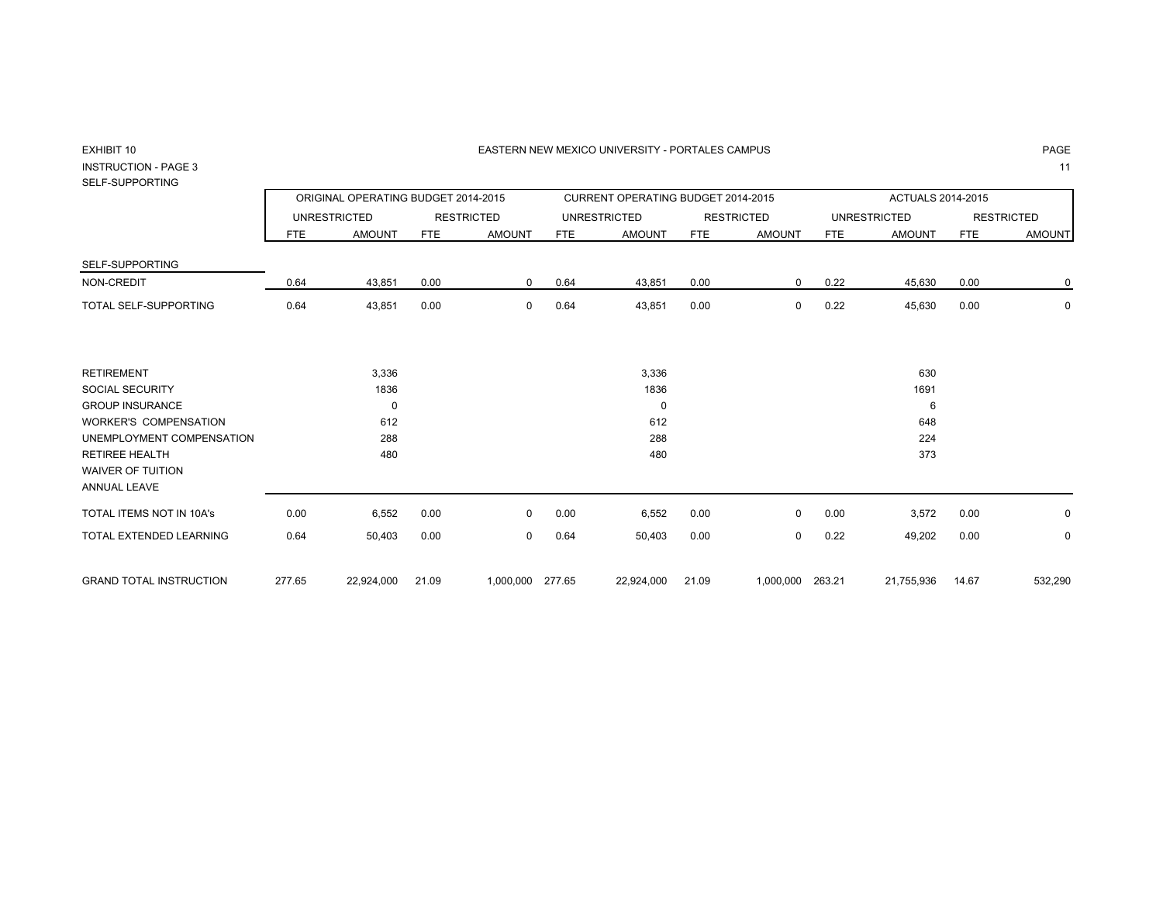### 0 EASTERN NEW MEXICO UNIVERSITY - PORTALES CAMPUS PAGE

# EXHIBIT 10INSTRUCTION - PAGE 3

# SELF-SUPPORTING

|                                                                   |        | ORIGINAL OPERATING BUDGET 2014-2015 |            |                   |        | CURRENT OPERATING BUDGET 2014-2015 |       |                   |            | ACTUALS 2014-2015   |            |                   |
|-------------------------------------------------------------------|--------|-------------------------------------|------------|-------------------|--------|------------------------------------|-------|-------------------|------------|---------------------|------------|-------------------|
|                                                                   |        | <b>UNRESTRICTED</b>                 |            | <b>RESTRICTED</b> |        | <b>UNRESTRICTED</b>                |       | <b>RESTRICTED</b> |            | <b>UNRESTRICTED</b> |            | <b>RESTRICTED</b> |
|                                                                   | FTE    | <b>AMOUNT</b>                       | <b>FTE</b> | <b>AMOUNT</b>     | FTE    | <b>AMOUNT</b>                      | FTE   | <b>AMOUNT</b>     | <b>FTE</b> | <b>AMOUNT</b>       | <b>FTE</b> | <b>AMOUNT</b>     |
| SELF-SUPPORTING                                                   |        |                                     |            |                   |        |                                    |       |                   |            |                     |            |                   |
| NON-CREDIT                                                        | 0.64   | 43,851                              | 0.00       | 0                 | 0.64   | 43,851                             | 0.00  | $\mathbf{0}$      | 0.22       | 45,630              | 0.00       | 0                 |
| <b>TOTAL SELF-SUPPORTING</b>                                      | 0.64   | 43,851                              | 0.00       | $\mathbf 0$       | 0.64   | 43,851                             | 0.00  | $\mathbf{0}$      | 0.22       | 45,630              | 0.00       | $\mathbf 0$       |
| <b>RETIREMENT</b>                                                 |        | 3,336                               |            |                   |        | 3,336                              |       |                   |            | 630                 |            |                   |
| <b>SOCIAL SECURITY</b>                                            |        | 1836                                |            |                   |        | 1836                               |       |                   |            | 1691                |            |                   |
| <b>GROUP INSURANCE</b>                                            |        | 0                                   |            |                   |        | $\mathbf 0$                        |       |                   |            | 6                   |            |                   |
| <b>WORKER'S COMPENSATION</b>                                      |        | 612                                 |            |                   |        | 612                                |       |                   |            | 648                 |            |                   |
| UNEMPLOYMENT COMPENSATION                                         |        | 288                                 |            |                   |        | 288                                |       |                   |            | 224                 |            |                   |
| <b>RETIREE HEALTH</b><br><b>WAIVER OF TUITION</b><br>ANNUAL LEAVE |        | 480                                 |            |                   |        | 480                                |       |                   |            | 373                 |            |                   |
| TOTAL ITEMS NOT IN 10A's                                          | 0.00   | 6,552                               | 0.00       | 0                 | 0.00   | 6,552                              | 0.00  | $\Omega$          | 0.00       | 3,572               | 0.00       | 0                 |
| TOTAL EXTENDED LEARNING                                           | 0.64   | 50,403                              | 0.00       | 0                 | 0.64   | 50,403                             | 0.00  | $\mathbf{0}$      | 0.22       | 49,202              | 0.00       | $\mathbf 0$       |
| <b>GRAND TOTAL INSTRUCTION</b>                                    | 277.65 | 22,924,000                          | 21.09      | 1,000,000         | 277.65 | 22,924,000                         | 21.09 | 1,000,000         | 263.21     | 21,755,936          | 14.67      | 532,290           |

PAGE

 $3$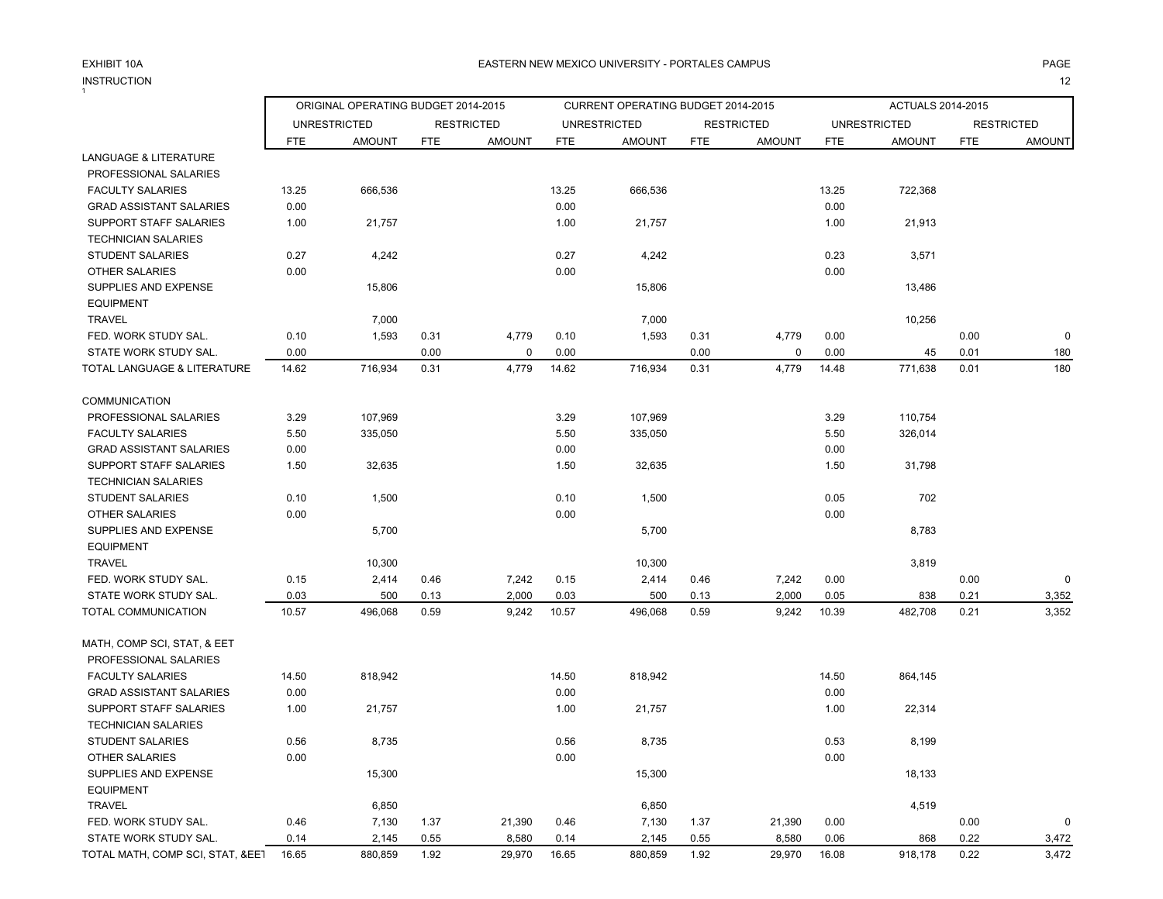### EXHIBIT 10AINSTRUCTION<br><sup>1</sup> N 22 and 22 and 22 and 23 and 24 and 25 and 26 and 26 and 26 and 26 and 26 and 26 and 26 and 26 and 26 and 26

|                                  | ORIGINAL OPERATING BUDGET 2014-2015 |                     |            |                   |       | CURRENT OPERATING BUDGET 2014-2015 |            |                   |            | <b>ACTUALS 2014-2015</b> |            |                   |
|----------------------------------|-------------------------------------|---------------------|------------|-------------------|-------|------------------------------------|------------|-------------------|------------|--------------------------|------------|-------------------|
|                                  |                                     | <b>UNRESTRICTED</b> |            | <b>RESTRICTED</b> |       | <b>UNRESTRICTED</b>                |            | <b>RESTRICTED</b> |            | <b>UNRESTRICTED</b>      |            | <b>RESTRICTED</b> |
|                                  | <b>FTE</b>                          | <b>AMOUNT</b>       | <b>FTE</b> | <b>AMOUNT</b>     | FTE   | <b>AMOUNT</b>                      | <b>FTE</b> | <b>AMOUNT</b>     | <b>FTE</b> | <b>AMOUNT</b>            | <b>FTE</b> | <b>AMOUNT</b>     |
| <b>LANGUAGE &amp; LITERATURE</b> |                                     |                     |            |                   |       |                                    |            |                   |            |                          |            |                   |
| PROFESSIONAL SALARIES            |                                     |                     |            |                   |       |                                    |            |                   |            |                          |            |                   |
| <b>FACULTY SALARIES</b>          | 13.25                               | 666,536             |            |                   | 13.25 | 666,536                            |            |                   | 13.25      | 722,368                  |            |                   |
| <b>GRAD ASSISTANT SALARIES</b>   | 0.00                                |                     |            |                   | 0.00  |                                    |            |                   | 0.00       |                          |            |                   |
| SUPPORT STAFF SALARIES           | 1.00                                | 21,757              |            |                   | 1.00  | 21,757                             |            |                   | 1.00       | 21,913                   |            |                   |
| <b>TECHNICIAN SALARIES</b>       |                                     |                     |            |                   |       |                                    |            |                   |            |                          |            |                   |
| <b>STUDENT SALARIES</b>          | 0.27                                | 4,242               |            |                   | 0.27  | 4,242                              |            |                   | 0.23       | 3,571                    |            |                   |
| <b>OTHER SALARIES</b>            | 0.00                                |                     |            |                   | 0.00  |                                    |            |                   | 0.00       |                          |            |                   |
| SUPPLIES AND EXPENSE             |                                     | 15,806              |            |                   |       | 15,806                             |            |                   |            | 13,486                   |            |                   |
| <b>EQUIPMENT</b>                 |                                     |                     |            |                   |       |                                    |            |                   |            |                          |            |                   |
| <b>TRAVEL</b>                    |                                     | 7,000               |            |                   |       | 7,000                              |            |                   |            | 10,256                   |            |                   |
| FED. WORK STUDY SAL.             | 0.10                                | 1,593               | 0.31       | 4,779             | 0.10  | 1,593                              | 0.31       | 4,779             | 0.00       |                          | 0.00       | $\Omega$          |
| STATE WORK STUDY SAL.            | 0.00                                |                     | 0.00       | 0                 | 0.00  |                                    | 0.00       | $\mathbf 0$       | 0.00       | 45                       | 0.01       | 180               |
| TOTAL LANGUAGE & LITERATURE      | 14.62                               | 716,934             | 0.31       | 4,779             | 14.62 | 716,934                            | 0.31       | 4,779             | 14.48      | 771,638                  | 0.01       | 180               |
| <b>COMMUNICATION</b>             |                                     |                     |            |                   |       |                                    |            |                   |            |                          |            |                   |
| PROFESSIONAL SALARIES            | 3.29                                | 107,969             |            |                   | 3.29  | 107,969                            |            |                   | 3.29       | 110,754                  |            |                   |
| <b>FACULTY SALARIES</b>          | 5.50                                | 335,050             |            |                   | 5.50  | 335,050                            |            |                   | 5.50       | 326,014                  |            |                   |
| <b>GRAD ASSISTANT SALARIES</b>   | 0.00                                |                     |            |                   | 0.00  |                                    |            |                   | 0.00       |                          |            |                   |
| SUPPORT STAFF SALARIES           | 1.50                                | 32,635              |            |                   | 1.50  | 32,635                             |            |                   | 1.50       | 31,798                   |            |                   |
| <b>TECHNICIAN SALARIES</b>       |                                     |                     |            |                   |       |                                    |            |                   |            |                          |            |                   |
| <b>STUDENT SALARIES</b>          | 0.10                                | 1,500               |            |                   | 0.10  | 1,500                              |            |                   | 0.05       | 702                      |            |                   |
| <b>OTHER SALARIES</b>            | 0.00                                |                     |            |                   | 0.00  |                                    |            |                   | 0.00       |                          |            |                   |
| SUPPLIES AND EXPENSE             |                                     | 5,700               |            |                   |       | 5,700                              |            |                   |            | 8,783                    |            |                   |
| <b>EQUIPMENT</b>                 |                                     |                     |            |                   |       |                                    |            |                   |            |                          |            |                   |
| <b>TRAVEL</b>                    |                                     | 10,300              |            |                   |       | 10,300                             |            |                   |            | 3,819                    |            |                   |
| FED. WORK STUDY SAL.             | 0.15                                | 2,414               | 0.46       | 7,242             | 0.15  | 2,414                              | 0.46       | 7,242             | 0.00       |                          | 0.00       | $\mathbf 0$       |
| STATE WORK STUDY SAL.            | 0.03                                | 500                 | 0.13       | 2,000             | 0.03  | 500                                | 0.13       | 2,000             | 0.05       | 838                      | 0.21       | 3,352             |
| TOTAL COMMUNICATION              | 10.57                               | 496,068             | 0.59       | 9,242             | 10.57 | 496,068                            | 0.59       | 9,242             | 10.39      | 482,708                  | 0.21       | 3,352             |
| MATH, COMP SCI, STAT, & EET      |                                     |                     |            |                   |       |                                    |            |                   |            |                          |            |                   |
| PROFESSIONAL SALARIES            |                                     |                     |            |                   |       |                                    |            |                   |            |                          |            |                   |
| <b>FACULTY SALARIES</b>          | 14.50                               | 818,942             |            |                   | 14.50 | 818,942                            |            |                   | 14.50      | 864,145                  |            |                   |
| <b>GRAD ASSISTANT SALARIES</b>   | 0.00                                |                     |            |                   | 0.00  |                                    |            |                   | 0.00       |                          |            |                   |
| <b>SUPPORT STAFF SALARIES</b>    | 1.00                                | 21,757              |            |                   | 1.00  | 21,757                             |            |                   | 1.00       | 22,314                   |            |                   |
| <b>TECHNICIAN SALARIES</b>       |                                     |                     |            |                   |       |                                    |            |                   |            |                          |            |                   |
| <b>STUDENT SALARIES</b>          | 0.56                                | 8,735               |            |                   | 0.56  | 8,735                              |            |                   | 0.53       | 8,199                    |            |                   |
| <b>OTHER SALARIES</b>            | 0.00                                |                     |            |                   | 0.00  |                                    |            |                   | 0.00       |                          |            |                   |
| SUPPLIES AND EXPENSE             |                                     | 15,300              |            |                   |       | 15,300                             |            |                   |            | 18,133                   |            |                   |
| <b>EQUIPMENT</b>                 |                                     |                     |            |                   |       |                                    |            |                   |            |                          |            |                   |
| <b>TRAVEL</b>                    |                                     | 6,850               |            |                   |       | 6,850                              |            |                   |            | 4,519                    |            |                   |
| FED. WORK STUDY SAL.             | 0.46                                | 7,130               | 1.37       | 21,390            | 0.46  | 7,130                              | 1.37       | 21,390            | 0.00       |                          | 0.00       | 0                 |
| STATE WORK STUDY SAL.            | 0.14                                | 2,145               | 0.55       | 8,580             | 0.14  | 2,145                              | 0.55       | 8,580             | 0.06       | 868                      | 0.22       | 3,472             |

TOTAL MATH, COMP SCI, STAT, &EET 16.65 880,859 1.92 29,970 16.65 880,859 1.92 29,970 16.08 918,178 0.22 3,472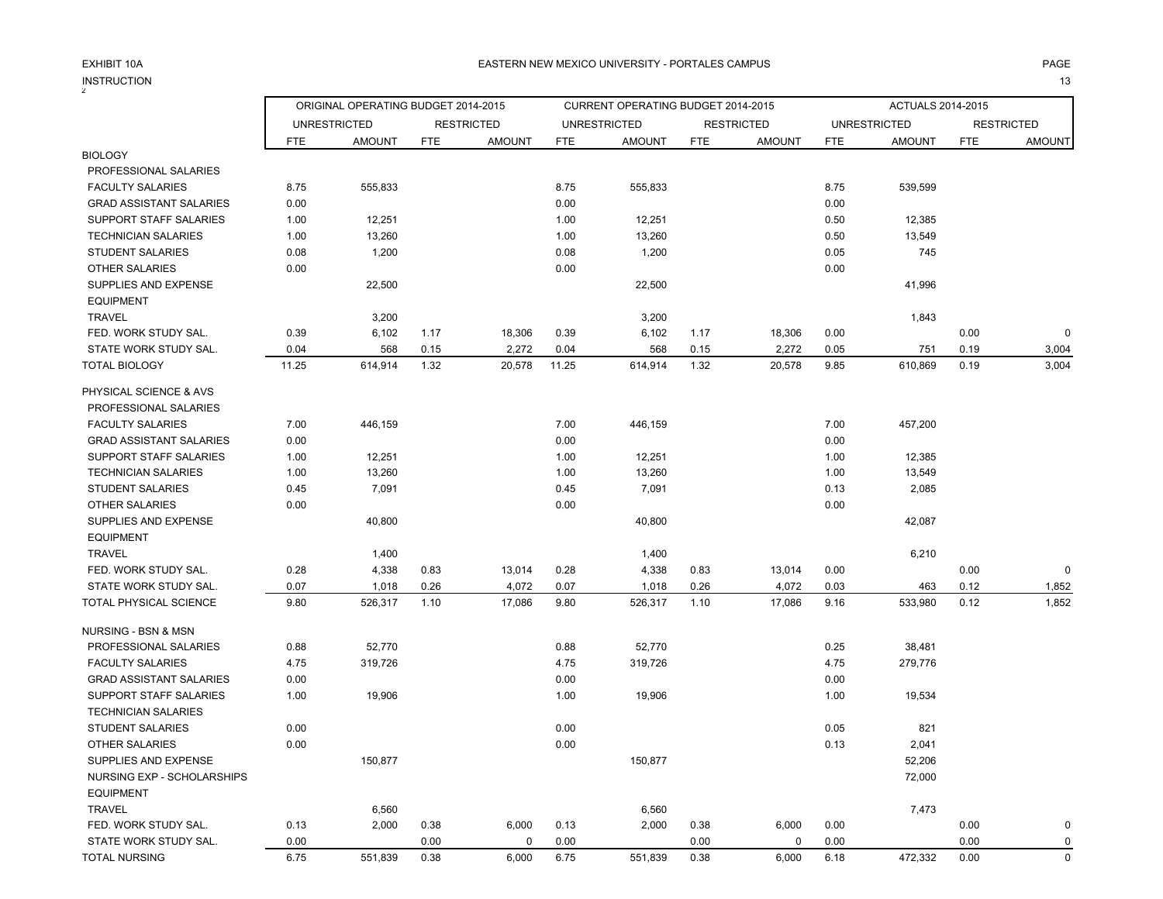INSTRUCTION<br><sup>2</sup> N and the contract of the contract of the contract of the contract of the contract of the contract of the contract of the contract of the contract of the contract of the contract of the contract of the contract of the cont

|                                | ORIGINAL OPERATING BUDGET 2014-2015<br>CURRENT OPERATING BUDGET 2014-2015 |                     |            |                   |            |                                      | ACTUALS 2014-2015 |                                    |            |                                      |            |                                    |
|--------------------------------|---------------------------------------------------------------------------|---------------------|------------|-------------------|------------|--------------------------------------|-------------------|------------------------------------|------------|--------------------------------------|------------|------------------------------------|
|                                |                                                                           | <b>UNRESTRICTED</b> |            | <b>RESTRICTED</b> |            |                                      |                   |                                    |            |                                      |            |                                    |
|                                | <b>FTE</b>                                                                | <b>AMOUNT</b>       | <b>FTE</b> | <b>AMOUNT</b>     | <b>FTE</b> | <b>UNRESTRICTED</b><br><b>AMOUNT</b> | <b>FTE</b>        | <b>RESTRICTED</b><br><b>AMOUNT</b> | <b>FTE</b> | <b>UNRESTRICTED</b><br><b>AMOUNT</b> | <b>FTE</b> | <b>RESTRICTED</b><br><b>AMOUNT</b> |
| <b>BIOLOGY</b>                 |                                                                           |                     |            |                   |            |                                      |                   |                                    |            |                                      |            |                                    |
| PROFESSIONAL SALARIES          |                                                                           |                     |            |                   |            |                                      |                   |                                    |            |                                      |            |                                    |
| <b>FACULTY SALARIES</b>        | 8.75                                                                      | 555,833             |            |                   | 8.75       | 555,833                              |                   |                                    | 8.75       | 539,599                              |            |                                    |
| <b>GRAD ASSISTANT SALARIES</b> | 0.00                                                                      |                     |            |                   | 0.00       |                                      |                   |                                    | 0.00       |                                      |            |                                    |
| SUPPORT STAFF SALARIES         | 1.00                                                                      | 12,251              |            |                   | 1.00       | 12,251                               |                   |                                    | 0.50       | 12,385                               |            |                                    |
| <b>TECHNICIAN SALARIES</b>     | 1.00                                                                      | 13,260              |            |                   | 1.00       | 13,260                               |                   |                                    | 0.50       | 13,549                               |            |                                    |
| <b>STUDENT SALARIES</b>        | 0.08                                                                      | 1,200               |            |                   | 0.08       | 1,200                                |                   |                                    | 0.05       | 745                                  |            |                                    |
| <b>OTHER SALARIES</b>          | 0.00                                                                      |                     |            |                   | 0.00       |                                      |                   |                                    | 0.00       |                                      |            |                                    |
| SUPPLIES AND EXPENSE           |                                                                           | 22,500              |            |                   |            | 22,500                               |                   |                                    |            | 41,996                               |            |                                    |
| <b>EQUIPMENT</b>               |                                                                           |                     |            |                   |            |                                      |                   |                                    |            |                                      |            |                                    |
| <b>TRAVEL</b>                  |                                                                           | 3,200               |            |                   |            | 3,200                                |                   |                                    |            | 1,843                                |            |                                    |
| FED. WORK STUDY SAL.           | 0.39                                                                      | 6,102               | 1.17       | 18,306            | 0.39       | 6,102                                | 1.17              | 18,306                             | 0.00       |                                      | 0.00       | 0                                  |
| STATE WORK STUDY SAL.          | 0.04                                                                      | 568                 | 0.15       | 2,272             | 0.04       | 568                                  | 0.15              | 2,272                              | 0.05       | 751                                  | 0.19       | 3,004                              |
| <b>TOTAL BIOLOGY</b>           | 11.25                                                                     | 614,914             | 1.32       | 20,578            | 11.25      | 614,914                              | 1.32              | 20,578                             | 9.85       | 610,869                              | 0.19       | 3,004                              |
| PHYSICAL SCIENCE & AVS         |                                                                           |                     |            |                   |            |                                      |                   |                                    |            |                                      |            |                                    |
| PROFESSIONAL SALARIES          |                                                                           |                     |            |                   |            |                                      |                   |                                    |            |                                      |            |                                    |
| <b>FACULTY SALARIES</b>        | 7.00                                                                      | 446,159             |            |                   | 7.00       | 446,159                              |                   |                                    | 7.00       | 457,200                              |            |                                    |
| <b>GRAD ASSISTANT SALARIES</b> | 0.00                                                                      |                     |            |                   | 0.00       |                                      |                   |                                    | 0.00       |                                      |            |                                    |
| <b>SUPPORT STAFF SALARIES</b>  | 1.00                                                                      | 12,251              |            |                   | 1.00       | 12,251                               |                   |                                    | 1.00       | 12,385                               |            |                                    |
| <b>TECHNICIAN SALARIES</b>     | 1.00                                                                      | 13,260              |            |                   | 1.00       | 13,260                               |                   |                                    | 1.00       | 13,549                               |            |                                    |
| <b>STUDENT SALARIES</b>        | 0.45                                                                      | 7,091               |            |                   | 0.45       | 7,091                                |                   |                                    | 0.13       | 2,085                                |            |                                    |
| <b>OTHER SALARIES</b>          | 0.00                                                                      |                     |            |                   | 0.00       |                                      |                   |                                    | 0.00       |                                      |            |                                    |
| SUPPLIES AND EXPENSE           |                                                                           | 40,800              |            |                   |            | 40,800                               |                   |                                    |            | 42,087                               |            |                                    |
| <b>EQUIPMENT</b>               |                                                                           |                     |            |                   |            |                                      |                   |                                    |            |                                      |            |                                    |
| <b>TRAVEL</b>                  |                                                                           | 1,400               |            |                   |            | 1,400                                |                   |                                    |            | 6,210                                |            |                                    |
| FED. WORK STUDY SAL.           | 0.28                                                                      | 4,338               | 0.83       | 13,014            | 0.28       | 4,338                                | 0.83              | 13,014                             | 0.00       |                                      | 0.00       | $\mathbf 0$                        |
| STATE WORK STUDY SAL.          | 0.07                                                                      | 1,018               | 0.26       | 4,072             | 0.07       | 1,018                                | 0.26              | 4,072                              | 0.03       | 463                                  | 0.12       | 1,852                              |
| TOTAL PHYSICAL SCIENCE         | 9.80                                                                      | 526,317             | 1.10       | 17,086            | 9.80       | 526,317                              | 1.10              | 17,086                             | 9.16       | 533,980                              | 0.12       | 1,852                              |
| NURSING - BSN & MSN            |                                                                           |                     |            |                   |            |                                      |                   |                                    |            |                                      |            |                                    |
| PROFESSIONAL SALARIES          | 0.88                                                                      | 52,770              |            |                   | 0.88       | 52,770                               |                   |                                    | 0.25       | 38,481                               |            |                                    |
| <b>FACULTY SALARIES</b>        | 4.75                                                                      | 319,726             |            |                   | 4.75       | 319,726                              |                   |                                    | 4.75       | 279,776                              |            |                                    |
| <b>GRAD ASSISTANT SALARIES</b> | 0.00                                                                      |                     |            |                   | 0.00       |                                      |                   |                                    | 0.00       |                                      |            |                                    |
| SUPPORT STAFF SALARIES         | 1.00                                                                      | 19,906              |            |                   | 1.00       | 19,906                               |                   |                                    | 1.00       | 19,534                               |            |                                    |
| <b>TECHNICIAN SALARIES</b>     |                                                                           |                     |            |                   |            |                                      |                   |                                    |            |                                      |            |                                    |
| <b>STUDENT SALARIES</b>        | 0.00                                                                      |                     |            |                   | 0.00       |                                      |                   |                                    | 0.05       | 821                                  |            |                                    |
| <b>OTHER SALARIES</b>          | 0.00                                                                      |                     |            |                   | 0.00       |                                      |                   |                                    | 0.13       | 2,041                                |            |                                    |
| SUPPLIES AND EXPENSE           |                                                                           | 150,877             |            |                   |            | 150,877                              |                   |                                    |            | 52,206                               |            |                                    |
| NURSING EXP - SCHOLARSHIPS     |                                                                           |                     |            |                   |            |                                      |                   |                                    |            | 72,000                               |            |                                    |
| <b>EQUIPMENT</b>               |                                                                           |                     |            |                   |            |                                      |                   |                                    |            |                                      |            |                                    |
| <b>TRAVEL</b>                  |                                                                           | 6,560               |            |                   |            | 6,560                                |                   |                                    |            | 7,473                                |            |                                    |
| FED. WORK STUDY SAL.           | 0.13                                                                      | 2,000               | 0.38       | 6,000             | 0.13       | 2,000                                | 0.38              | 6,000                              | 0.00       |                                      | 0.00       | 0                                  |
| STATE WORK STUDY SAL.          | 0.00                                                                      |                     | 0.00       | 0                 | 0.00       |                                      | 0.00              | 0                                  | 0.00       |                                      | 0.00       | 0                                  |
| <b>TOTAL NURSING</b>           | 6.75                                                                      | 551,839             | 0.38       | 6,000             | 6.75       | 551,839                              | 0.38              | 6,000                              | 6.18       | 472,332                              | 0.00       | $\mathsf 0$                        |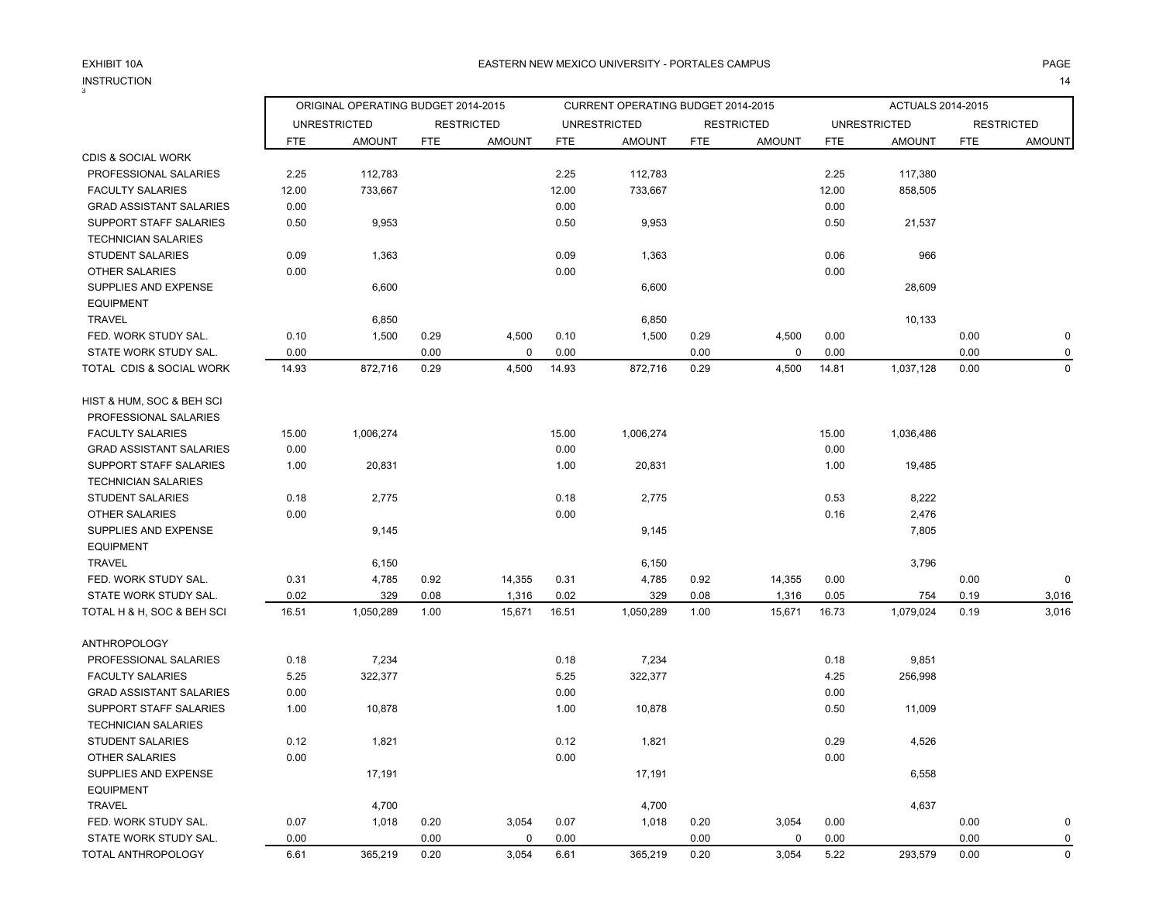EXHIBIT 10AINSTRUCTIONN 214

|                                                             |            | ORIGINAL OPERATING BUDGET 2014-2015 |            | CURRENT OPERATING BUDGET 2014-2015 |            |                     |            |                   |            | <b>ACTUALS 2014-2015</b> |            |                   |  |
|-------------------------------------------------------------|------------|-------------------------------------|------------|------------------------------------|------------|---------------------|------------|-------------------|------------|--------------------------|------------|-------------------|--|
|                                                             |            | <b>UNRESTRICTED</b>                 |            | <b>RESTRICTED</b>                  |            | <b>UNRESTRICTED</b> |            | <b>RESTRICTED</b> |            | <b>UNRESTRICTED</b>      |            | <b>RESTRICTED</b> |  |
|                                                             | <b>FTE</b> | <b>AMOUNT</b>                       | <b>FTE</b> | <b>AMOUNT</b>                      | <b>FTE</b> | <b>AMOUNT</b>       | <b>FTE</b> | <b>AMOUNT</b>     | <b>FTE</b> | <b>AMOUNT</b>            | <b>FTE</b> | <b>AMOUNT</b>     |  |
| CDIS & SOCIAL WORK                                          |            |                                     |            |                                    |            |                     |            |                   |            |                          |            |                   |  |
| PROFESSIONAL SALARIES                                       | 2.25       | 112,783                             |            |                                    | 2.25       | 112,783             |            |                   | 2.25       | 117,380                  |            |                   |  |
| FACULTY SALARIES                                            | 12.00      | 733,667                             |            |                                    | 12.00      | 733,667             |            |                   | 12.00      | 858,505                  |            |                   |  |
| <b>GRAD ASSISTANT SALARIES</b>                              | 0.00       |                                     |            |                                    | 0.00       |                     |            |                   | 0.00       |                          |            |                   |  |
| SUPPORT STAFF SALARIES                                      | 0.50       | 9,953                               |            |                                    | 0.50       | 9,953               |            |                   | 0.50       | 21,537                   |            |                   |  |
| <b>TECHNICIAN SALARIES</b>                                  |            |                                     |            |                                    |            |                     |            |                   |            |                          |            |                   |  |
| <b>STUDENT SALARIES</b>                                     | 0.09       | 1,363                               |            |                                    | 0.09       | 1,363               |            |                   | 0.06       | 966                      |            |                   |  |
| <b>OTHER SALARIES</b>                                       | 0.00       |                                     |            |                                    | 0.00       |                     |            |                   | 0.00       |                          |            |                   |  |
| SUPPLIES AND EXPENSE<br><b>EQUIPMENT</b>                    |            | 6,600                               |            |                                    |            | 6,600               |            |                   |            | 28,609                   |            |                   |  |
| <b>TRAVEL</b>                                               |            | 6,850                               |            |                                    |            | 6,850               |            |                   |            | 10,133                   |            |                   |  |
| FED. WORK STUDY SAL.                                        | 0.10       | 1,500                               | 0.29       | 4,500                              | 0.10       | 1,500               | 0.29       | 4,500             | 0.00       |                          | 0.00       |                   |  |
| STATE WORK STUDY SAL.                                       | 0.00       |                                     | 0.00       | $\mathbf 0$                        | 0.00       |                     | 0.00       | $\overline{0}$    | 0.00       |                          | 0.00       |                   |  |
| TOTAL CDIS & SOCIAL WORK                                    | 14.93      | 872,716                             | 0.29       | 4,500                              | 14.93      | 872,716             | 0.29       | 4,500             | 14.81      | 1,037,128                | 0.00       | $\Omega$          |  |
| HIST & HUM, SOC & BEH SCI                                   |            |                                     |            |                                    |            |                     |            |                   |            |                          |            |                   |  |
| PROFESSIONAL SALARIES                                       |            |                                     |            |                                    |            |                     |            |                   |            |                          |            |                   |  |
| <b>FACULTY SALARIES</b>                                     | 15.00      | 1,006,274                           |            |                                    | 15.00      | 1,006,274           |            |                   | 15.00      | 1,036,486                |            |                   |  |
| <b>GRAD ASSISTANT SALARIES</b>                              | 0.00       |                                     |            |                                    | 0.00       |                     |            |                   | 0.00       |                          |            |                   |  |
| SUPPORT STAFF SALARIES                                      | 1.00       | 20,831                              |            |                                    | 1.00       | 20,831              |            |                   | 1.00       | 19,485                   |            |                   |  |
| <b>TECHNICIAN SALARIES</b>                                  |            |                                     |            |                                    |            |                     |            |                   |            |                          |            |                   |  |
| <b>STUDENT SALARIES</b>                                     | 0.18       | 2,775                               |            |                                    | 0.18       | 2,775               |            |                   | 0.53       | 8,222                    |            |                   |  |
| <b>OTHER SALARIES</b>                                       | 0.00       |                                     |            |                                    | 0.00       |                     |            |                   | 0.16       | 2,476                    |            |                   |  |
| SUPPLIES AND EXPENSE                                        |            | 9,145                               |            |                                    |            | 9,145               |            |                   |            | 7,805                    |            |                   |  |
| <b>EQUIPMENT</b>                                            |            |                                     |            |                                    |            |                     |            |                   |            |                          |            |                   |  |
| <b>TRAVEL</b>                                               |            | 6,150                               |            |                                    |            | 6,150               |            |                   |            | 3,796                    |            |                   |  |
| FED. WORK STUDY SAL.                                        | 0.31       | 4,785                               | 0.92       | 14,355                             | 0.31       | 4,785               | 0.92       | 14,355            | 0.00       |                          | 0.00       | $\mathbf 0$       |  |
| STATE WORK STUDY SAL.                                       | 0.02       | 329                                 | 0.08       | 1,316                              | 0.02       | 329                 | 0.08       | 1,316             | 0.05       | 754                      | 0.19       | 3,016             |  |
| TOTAL H & H, SOC & BEH SCI                                  | 16.51      | 1,050,289                           | 1.00       | 15,671                             | 16.51      | 1,050,289           | 1.00       | 15,671            | 16.73      | 1,079,024                | 0.19       | 3,016             |  |
| ANTHROPOLOGY                                                |            |                                     |            |                                    |            |                     |            |                   |            |                          |            |                   |  |
| PROFESSIONAL SALARIES                                       | 0.18       | 7,234                               |            |                                    | 0.18       | 7,234               |            |                   | 0.18       | 9,851                    |            |                   |  |
| <b>FACULTY SALARIES</b>                                     | 5.25       | 322,377                             |            |                                    | 5.25       | 322,377             |            |                   | 4.25       | 256,998                  |            |                   |  |
| <b>GRAD ASSISTANT SALARIES</b>                              | 0.00       |                                     |            |                                    | 0.00       |                     |            |                   | 0.00       |                          |            |                   |  |
| <b>SUPPORT STAFF SALARIES</b><br><b>TECHNICIAN SALARIES</b> | 1.00       | 10,878                              |            |                                    | 1.00       | 10,878              |            |                   | 0.50       | 11,009                   |            |                   |  |
| <b>STUDENT SALARIES</b>                                     | 0.12       | 1,821                               |            |                                    | 0.12       | 1,821               |            |                   | 0.29       | 4,526                    |            |                   |  |
| OTHER SALARIES                                              | 0.00       |                                     |            |                                    | 0.00       |                     |            |                   | 0.00       |                          |            |                   |  |
| SUPPLIES AND EXPENSE                                        |            | 17,191                              |            |                                    |            | 17,191              |            |                   |            | 6,558                    |            |                   |  |
| <b>EQUIPMENT</b>                                            |            |                                     |            |                                    |            |                     |            |                   |            |                          |            |                   |  |
| <b>TRAVEL</b>                                               |            | 4,700                               |            |                                    |            | 4,700               |            |                   |            | 4,637                    |            |                   |  |
| FED. WORK STUDY SAL.                                        | 0.07       | 1,018                               | 0.20       | 3,054                              | 0.07       | 1,018               | 0.20       | 3,054             | 0.00       |                          | 0.00       |                   |  |
| STATE WORK STUDY SAL.                                       | 0.00       |                                     | 0.00       | $\Omega$                           | 0.00       |                     | 0.00       | $\mathbf 0$       | 0.00       |                          | 0.00       | $\Omega$          |  |

TOTAL ANTHROPOLOGY 6.61 365,219 0.20 3,054 6.61 365,219 0.20 3,054 5.22 293,579 0.00 0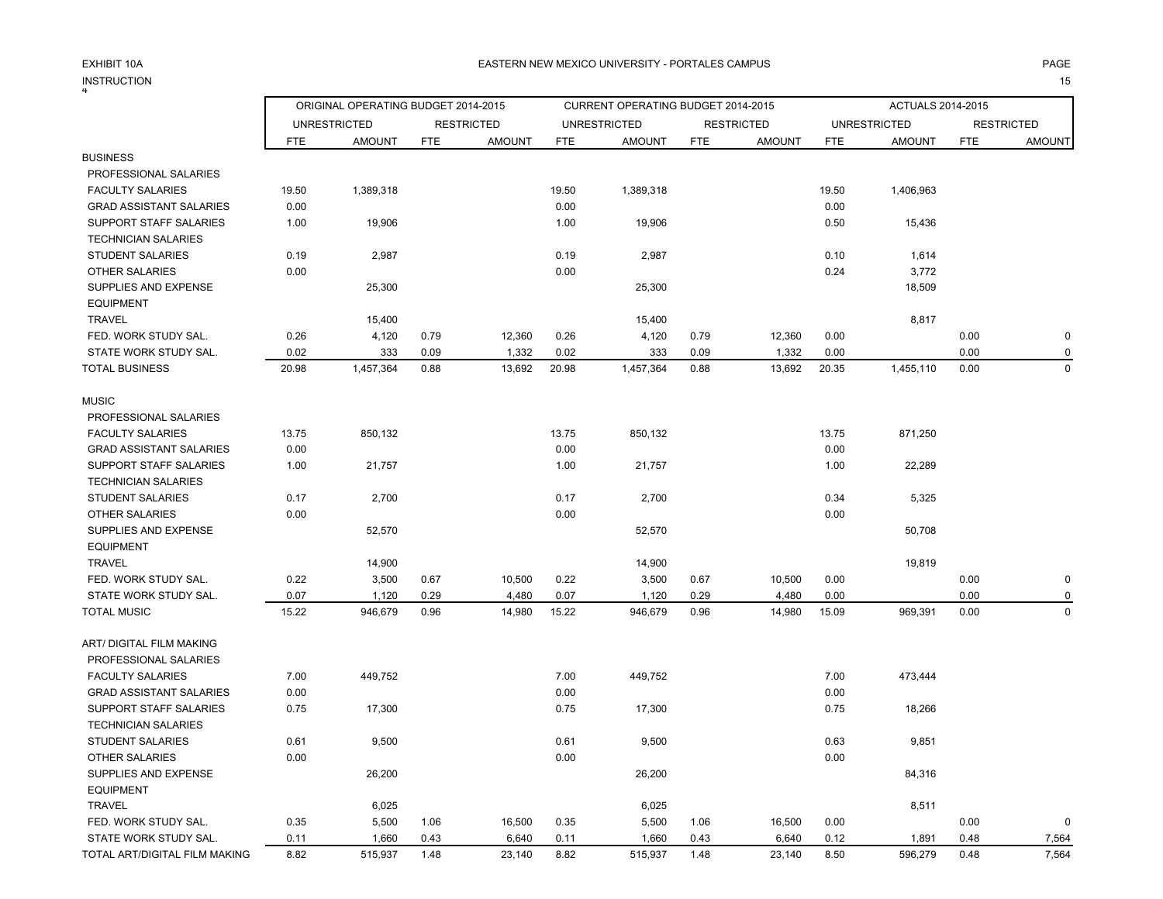INSTRUCTION<br><sup>4</sup> N and the contract of the contract of the contract of the contract of the contract of the contract of the contract of the contract of the contract of the contract of the contract of the contract of the contract of the cont

### EXHIBIT 10A PAGE PAGE ASTERN NEW MEXICO UNIVERSITY - PORTALES CAMPUS PAGE AND MAGE AND PAGE

|                                                |               | ORIGINAL OPERATING BUDGET 2014-2015 |              |                   |               | CURRENT OPERATING BUDGET 2014-2015 |              |                   |               | ACTUALS 2014-2015   |              |                   |
|------------------------------------------------|---------------|-------------------------------------|--------------|-------------------|---------------|------------------------------------|--------------|-------------------|---------------|---------------------|--------------|-------------------|
|                                                |               | <b>UNRESTRICTED</b>                 |              | <b>RESTRICTED</b> |               | <b>UNRESTRICTED</b>                |              | <b>RESTRICTED</b> |               | <b>UNRESTRICTED</b> |              | <b>RESTRICTED</b> |
|                                                | <b>FTE</b>    | <b>AMOUNT</b>                       | <b>FTE</b>   | <b>AMOUNT</b>     | <b>FTE</b>    | <b>AMOUNT</b>                      | <b>FTE</b>   | <b>AMOUNT</b>     | <b>FTE</b>    | <b>AMOUNT</b>       | <b>FTE</b>   | <b>AMOUNT</b>     |
| <b>BUSINESS</b>                                |               |                                     |              |                   |               |                                    |              |                   |               |                     |              |                   |
| PROFESSIONAL SALARIES                          |               |                                     |              |                   |               |                                    |              |                   |               |                     |              |                   |
| <b>FACULTY SALARIES</b>                        | 19.50         | 1,389,318                           |              |                   | 19.50         | 1,389,318                          |              |                   | 19.50         | 1,406,963           |              |                   |
| <b>GRAD ASSISTANT SALARIES</b>                 | 0.00          |                                     |              |                   | 0.00          |                                    |              |                   | 0.00          |                     |              |                   |
| SUPPORT STAFF SALARIES                         | 1.00          | 19,906                              |              |                   | 1.00          | 19,906                             |              |                   | 0.50          | 15,436              |              |                   |
| <b>TECHNICIAN SALARIES</b>                     |               |                                     |              |                   |               |                                    |              |                   |               |                     |              |                   |
| <b>STUDENT SALARIES</b>                        | 0.19          | 2,987                               |              |                   | 0.19          | 2,987                              |              |                   | 0.10          | 1,614               |              |                   |
| <b>OTHER SALARIES</b>                          | 0.00          |                                     |              |                   | 0.00          |                                    |              |                   | 0.24          | 3,772               |              |                   |
| SUPPLIES AND EXPENSE                           |               | 25,300                              |              |                   |               | 25,300                             |              |                   |               | 18,509              |              |                   |
| <b>EQUIPMENT</b>                               |               |                                     |              |                   |               |                                    |              |                   |               |                     |              |                   |
| <b>TRAVEL</b>                                  |               | 15,400                              |              |                   |               | 15,400                             |              |                   |               | 8,817               |              |                   |
| FED. WORK STUDY SAL.                           | 0.26          | 4,120                               | 0.79         | 12,360            | 0.26          | 4,120                              | 0.79         | 12,360            | 0.00          |                     | 0.00         | $\pmb{0}$         |
| STATE WORK STUDY SAL.<br><b>TOTAL BUSINESS</b> | 0.02<br>20.98 | 333                                 | 0.09<br>0.88 | 1,332             | 0.02<br>20.98 | 333                                | 0.09<br>0.88 | 1,332             | 0.00<br>20.35 |                     | 0.00<br>0.00 | 0<br>$\Omega$     |
|                                                |               | 1,457,364                           |              | 13,692            |               | 1,457,364                          |              | 13,692            |               | 1,455,110           |              |                   |
| <b>MUSIC</b>                                   |               |                                     |              |                   |               |                                    |              |                   |               |                     |              |                   |
| PROFESSIONAL SALARIES                          |               |                                     |              |                   |               |                                    |              |                   |               |                     |              |                   |
| <b>FACULTY SALARIES</b>                        | 13.75         | 850,132                             |              |                   | 13.75         | 850,132                            |              |                   | 13.75         | 871,250             |              |                   |
| <b>GRAD ASSISTANT SALARIES</b>                 | 0.00          |                                     |              |                   | 0.00          |                                    |              |                   | 0.00          |                     |              |                   |
| SUPPORT STAFF SALARIES                         | 1.00          | 21,757                              |              |                   | 1.00          | 21,757                             |              |                   | 1.00          | 22,289              |              |                   |
| <b>TECHNICIAN SALARIES</b>                     |               |                                     |              |                   |               |                                    |              |                   |               |                     |              |                   |
| <b>STUDENT SALARIES</b>                        | 0.17          | 2,700                               |              |                   | 0.17          | 2,700                              |              |                   | 0.34          | 5,325               |              |                   |
| <b>OTHER SALARIES</b>                          | 0.00          |                                     |              |                   | 0.00          |                                    |              |                   | 0.00          |                     |              |                   |
| SUPPLIES AND EXPENSE                           |               | 52,570                              |              |                   |               | 52,570                             |              |                   |               | 50,708              |              |                   |
| <b>EQUIPMENT</b>                               |               |                                     |              |                   |               |                                    |              |                   |               |                     |              |                   |
| <b>TRAVEL</b>                                  |               | 14,900                              |              |                   |               | 14,900                             |              |                   |               | 19,819              |              |                   |
| FED. WORK STUDY SAL.                           | 0.22          | 3,500                               | 0.67         | 10,500            | 0.22          | 3,500                              | 0.67         | 10,500            | 0.00          |                     | 0.00         | $\mathbf 0$       |
| STATE WORK STUDY SAL.                          | 0.07          | 1,120                               | 0.29         | 4,480             | 0.07          | 1,120                              | 0.29         | 4,480             | 0.00          |                     | 0.00         | $\Omega$          |
| <b>TOTAL MUSIC</b>                             | 15.22         | 946,679                             | 0.96         | 14,980            | 15.22         | 946,679                            | 0.96         | 14,980            | 15.09         | 969,391             | 0.00         | $\Omega$          |
| ART/ DIGITAL FILM MAKING                       |               |                                     |              |                   |               |                                    |              |                   |               |                     |              |                   |
| PROFESSIONAL SALARIES                          |               |                                     |              |                   |               |                                    |              |                   |               |                     |              |                   |
| <b>FACULTY SALARIES</b>                        | 7.00          | 449,752                             |              |                   | 7.00          | 449,752                            |              |                   | 7.00          | 473,444             |              |                   |
| <b>GRAD ASSISTANT SALARIES</b>                 | 0.00          |                                     |              |                   | 0.00          |                                    |              |                   | 0.00          |                     |              |                   |
| SUPPORT STAFF SALARIES                         | 0.75          | 17,300                              |              |                   | 0.75          | 17,300                             |              |                   | 0.75          | 18,266              |              |                   |
| <b>TECHNICIAN SALARIES</b>                     |               |                                     |              |                   |               |                                    |              |                   |               |                     |              |                   |
| STUDENT SALARIES                               | 0.61          | 9,500                               |              |                   | 0.61          | 9,500                              |              |                   | 0.63          | 9,851               |              |                   |
| <b>OTHER SALARIES</b>                          | 0.00          |                                     |              |                   | 0.00          |                                    |              |                   | 0.00          |                     |              |                   |
| SUPPLIES AND EXPENSE                           |               | 26,200                              |              |                   |               | 26,200                             |              |                   |               | 84,316              |              |                   |
| <b>EQUIPMENT</b>                               |               |                                     |              |                   |               |                                    |              |                   |               |                     |              |                   |
| <b>TRAVEL</b>                                  |               | 6,025                               |              |                   |               | 6,025                              |              |                   |               | 8,511               |              |                   |
| FED. WORK STUDY SAL.                           | 0.35          | 5,500                               | 1.06         | 16,500            | 0.35          | 5,500                              | 1.06         | 16,500            | 0.00          |                     | 0.00         | $\mathbf 0$       |
| STATE WORK STUDY SAL.                          | 0.11          | 1,660                               | 0.43         | 6,640             | 0.11          | 1,660                              | 0.43         | 6,640             | 0.12          | 1,891               | 0.48         | 7,564             |
| TOTAL ART/DIGITAL FILM MAKING                  | 8.82          | 515,937                             | 1.48         | 23,140            | 8.82          | 515,937                            | 1.48         | 23,140            | 8.50          | 596,279             | 0.48         | 7,564             |
|                                                |               |                                     |              |                   |               |                                    |              |                   |               |                     |              |                   |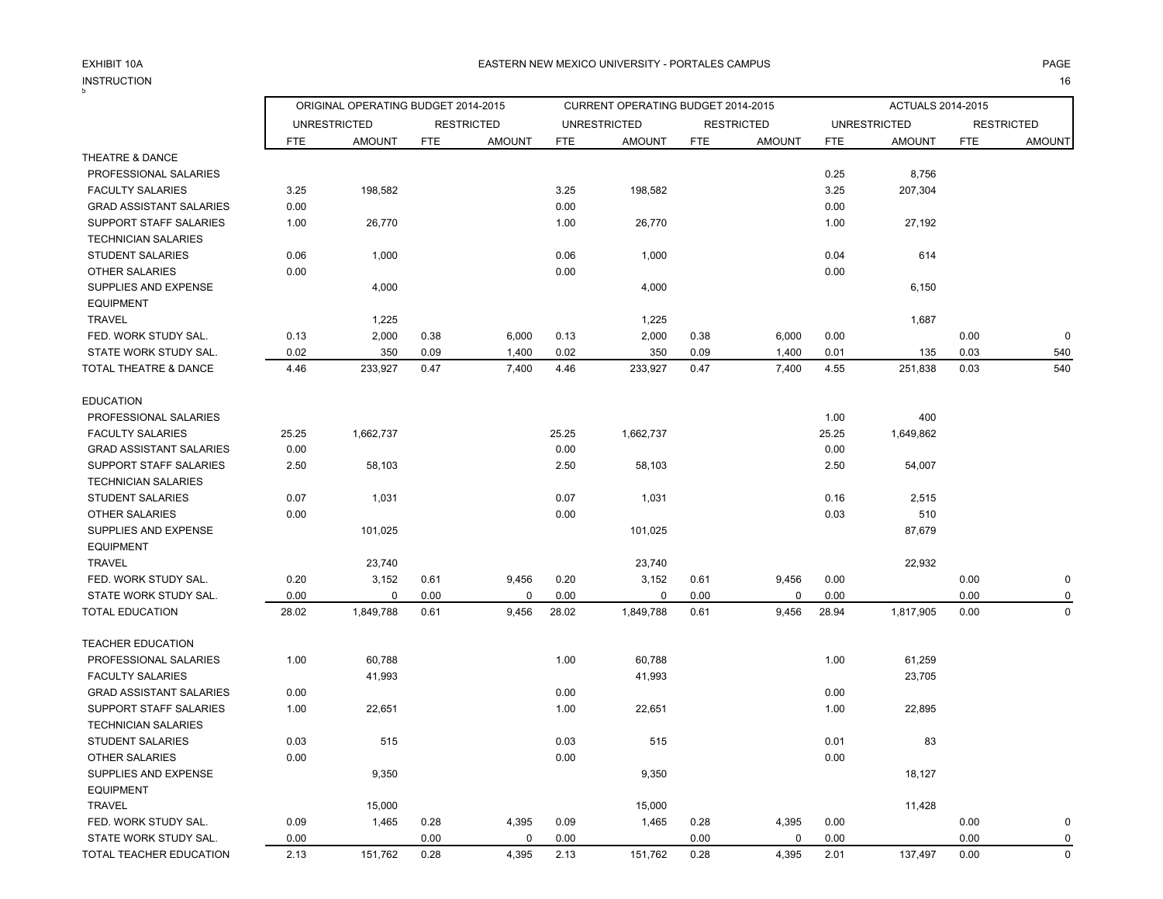N and the contract of the contract of the contract of the contract of the contract of the contract of the contract of the contract of the contract of the contract of the contract of the contract of the contract of the cont

| <b>INSTRUCTION</b>               |                                                                                 |               |            |               |            |                                    |            |                   |            |                     |            | 16                |
|----------------------------------|---------------------------------------------------------------------------------|---------------|------------|---------------|------------|------------------------------------|------------|-------------------|------------|---------------------|------------|-------------------|
|                                  | ORIGINAL OPERATING BUDGET 2014-2015<br><b>UNRESTRICTED</b><br><b>RESTRICTED</b> |               |            |               |            | CURRENT OPERATING BUDGET 2014-2015 |            |                   |            | ACTUALS 2014-2015   |            |                   |
|                                  |                                                                                 |               |            |               |            | <b>UNRESTRICTED</b>                |            | <b>RESTRICTED</b> |            | <b>UNRESTRICTED</b> |            | <b>RESTRICTED</b> |
|                                  | <b>FTE</b>                                                                      | <b>AMOUNT</b> | <b>FTE</b> | <b>AMOUNT</b> | <b>FTE</b> | <b>AMOUNT</b>                      | <b>FTE</b> | <b>AMOUNT</b>     | <b>FTE</b> | <b>AMOUNT</b>       | <b>FTE</b> | <b>AMOUNT</b>     |
| THEATRE & DANCE                  |                                                                                 |               |            |               |            |                                    |            |                   |            |                     |            |                   |
| PROFESSIONAL SALARIES            |                                                                                 |               |            |               |            |                                    |            |                   | 0.25       | 8,756               |            |                   |
| <b>FACULTY SALARIES</b>          | 3.25                                                                            | 198,582       |            |               | 3.25       | 198,582                            |            |                   | 3.25       | 207,304             |            |                   |
| <b>GRAD ASSISTANT SALARIES</b>   | 0.00                                                                            |               |            |               | 0.00       |                                    |            |                   | 0.00       |                     |            |                   |
| SUPPORT STAFF SALARIES           | 1.00                                                                            | 26,770        |            |               | 1.00       | 26,770                             |            |                   | 1.00       | 27,192              |            |                   |
| <b>TECHNICIAN SALARIES</b>       |                                                                                 |               |            |               |            |                                    |            |                   |            |                     |            |                   |
| <b>STUDENT SALARIES</b>          | 0.06                                                                            | 1,000         |            |               | 0.06       | 1,000                              |            |                   | 0.04       | 614                 |            |                   |
| OTHER SALARIES                   | 0.00                                                                            |               |            |               | 0.00       |                                    |            |                   | 0.00       |                     |            |                   |
| SUPPLIES AND EXPENSE             |                                                                                 | 4,000         |            |               |            | 4,000                              |            |                   |            | 6,150               |            |                   |
| <b>EQUIPMENT</b>                 |                                                                                 |               |            |               |            |                                    |            |                   |            |                     |            |                   |
| <b>TRAVEL</b>                    |                                                                                 | 1,225         |            |               |            | 1,225                              |            |                   |            | 1,687               |            |                   |
| FED. WORK STUDY SAL.             | 0.13                                                                            | 2,000         | 0.38       | 6,000         | 0.13       | 2,000                              | 0.38       | 6,000             | 0.00       |                     | 0.00       | $\mathbf 0$       |
| STATE WORK STUDY SAL.            | 0.02                                                                            | 350           | 0.09       | 1,400         | 0.02       | 350                                | 0.09       | 1,400             | 0.01       | 135                 | 0.03       | 540               |
| <b>TOTAL THEATRE &amp; DANCE</b> | 4.46                                                                            | 233,927       | 0.47       | 7,400         | 4.46       | 233,927                            | 0.47       | 7,400             | 4.55       | 251,838             | 0.03       | 540               |
| <b>EDUCATION</b>                 |                                                                                 |               |            |               |            |                                    |            |                   |            |                     |            |                   |
| PROFESSIONAL SALARIES            |                                                                                 |               |            |               |            |                                    |            |                   | 1.00       | 400                 |            |                   |
| <b>FACULTY SALARIES</b>          | 25.25                                                                           | 1,662,737     |            |               | 25.25      | 1,662,737                          |            |                   | 25.25      | 1,649,862           |            |                   |
| <b>GRAD ASSISTANT SALARIES</b>   | 0.00                                                                            |               |            |               | 0.00       |                                    |            |                   | 0.00       |                     |            |                   |
| SUPPORT STAFF SALARIES           | 2.50                                                                            | 58,103        |            |               | 2.50       | 58,103                             |            |                   | 2.50       | 54,007              |            |                   |
| <b>TECHNICIAN SALARIES</b>       |                                                                                 |               |            |               |            |                                    |            |                   |            |                     |            |                   |
| <b>STUDENT SALARIES</b>          | 0.07                                                                            | 1,031         |            |               | 0.07       | 1,031                              |            |                   | 0.16       | 2,515               |            |                   |
| <b>OTHER SALARIES</b>            | 0.00                                                                            |               |            |               | 0.00       |                                    |            |                   | 0.03       | 510                 |            |                   |
| SUPPLIES AND EXPENSE             |                                                                                 | 101,025       |            |               |            | 101,025                            |            |                   |            | 87,679              |            |                   |
| <b>EQUIPMENT</b>                 |                                                                                 |               |            |               |            |                                    |            |                   |            |                     |            |                   |
| <b>TRAVEL</b>                    |                                                                                 | 23,740        |            |               |            | 23,740                             |            |                   |            | 22,932              |            |                   |
| FED. WORK STUDY SAL.             | 0.20                                                                            | 3,152         | 0.61       | 9,456         | 0.20       | 3,152                              | 0.61       | 9,456             | 0.00       |                     | 0.00       | $\mathbf 0$       |
| STATE WORK STUDY SAL.            | 0.00                                                                            | 0             | 0.00       | 0             | 0.00       | 0                                  | 0.00       | $\mathbf 0$       | 0.00       |                     | 0.00       | 0                 |
| <b>TOTAL EDUCATION</b>           | 28.02                                                                           | 1,849,788     | 0.61       | 9,456         | 28.02      | 1,849,788                          | 0.61       | 9,456             | 28.94      | 1,817,905           | 0.00       | $\mathbf 0$       |
| <b>TEACHER EDUCATION</b>         |                                                                                 |               |            |               |            |                                    |            |                   |            |                     |            |                   |
| PROFESSIONAL SALARIES            | 1.00                                                                            | 60,788        |            |               | 1.00       | 60,788                             |            |                   | 1.00       | 61,259              |            |                   |
| <b>FACULTY SALARIES</b>          |                                                                                 | 41,993        |            |               |            | 41,993                             |            |                   |            | 23,705              |            |                   |
| <b>GRAD ASSISTANT SALARIES</b>   | 0.00                                                                            |               |            |               | 0.00       |                                    |            |                   | 0.00       |                     |            |                   |
| SUPPORT STAFF SALARIES           | 1.00                                                                            | 22,651        |            |               | 1.00       | 22,651                             |            |                   | 1.00       | 22,895              |            |                   |
| <b>TECHNICIAN SALARIES</b>       |                                                                                 |               |            |               |            |                                    |            |                   |            |                     |            |                   |
| <b>STUDENT SALARIES</b>          | 0.03                                                                            | 515           |            |               | 0.03       | 515                                |            |                   | 0.01       | 83                  |            |                   |
| <b>OTHER SALARIES</b>            | 0.00                                                                            |               |            |               | 0.00       |                                    |            |                   | 0.00       |                     |            |                   |
| SUPPLIES AND EXPENSE             |                                                                                 | 9,350         |            |               |            | 9,350                              |            |                   |            | 18,127              |            |                   |
| <b>EQUIPMENT</b>                 |                                                                                 |               |            |               |            |                                    |            |                   |            |                     |            |                   |
| <b>TRAVEL</b>                    |                                                                                 | 15,000        |            |               |            | 15,000                             |            |                   |            | 11,428              |            |                   |
| FED. WORK STUDY SAL.             | 0.09                                                                            | 1,465         | 0.28       | 4,395         | 0.09       | 1,465                              | 0.28       | 4,395             | 0.00       |                     | 0.00       | 0                 |
| STATE WORK STUDY SAL.            | 0.00                                                                            |               | 0.00       | 0             | 0.00       |                                    | 0.00       | 0                 | 0.00       |                     | 0.00       | 0                 |
| TOTAL TEACHER EDUCATION          | 2.13                                                                            | 151,762       | 0.28       | 4,395         | 2.13       | 151,762                            | 0.28       | 4,395             | 2.01       | 137,497             | 0.00       | $\mathbf 0$       |
|                                  |                                                                                 |               |            |               |            |                                    |            |                   |            |                     |            |                   |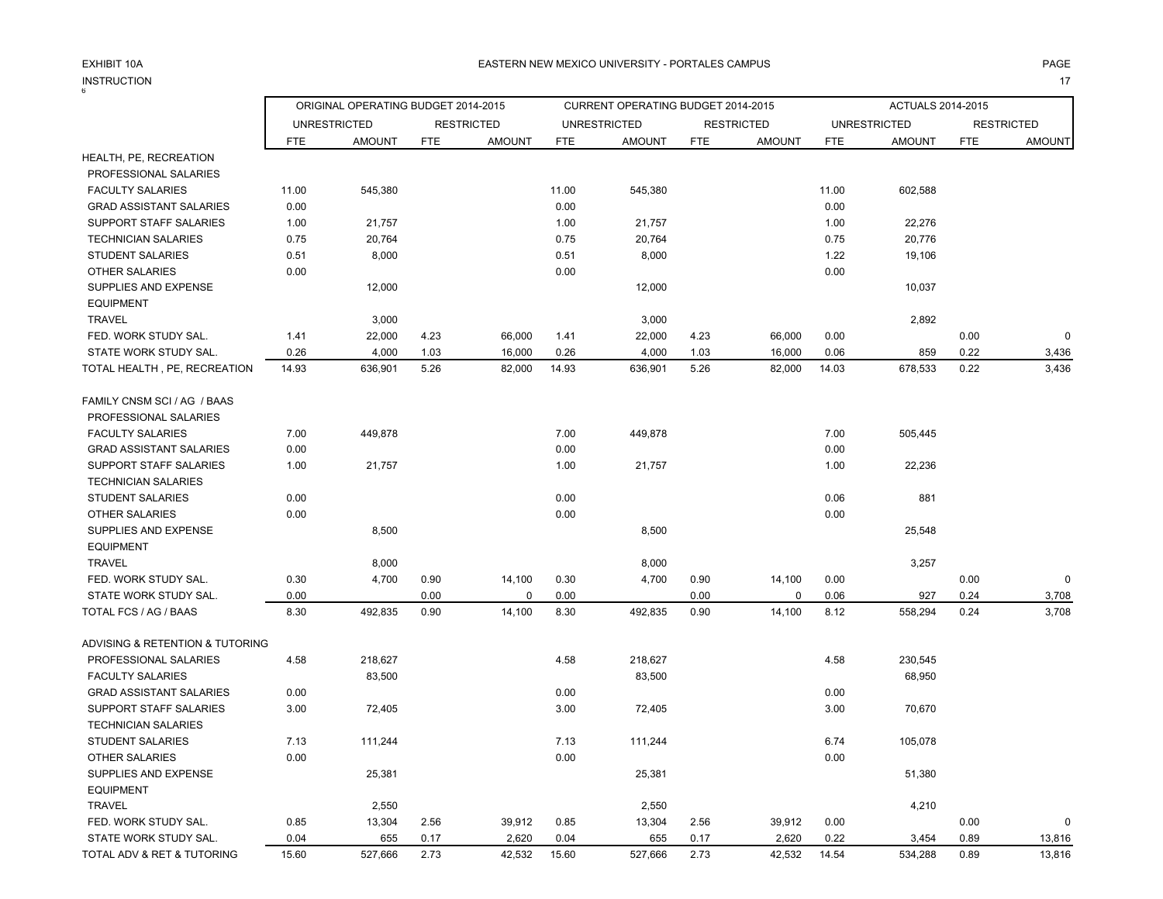INSTRUCTION $\mathsf{N}$  and the state of  $\mathsf{N}$  and  $\mathsf{N}$  and  $\mathsf{N}$  and  $\mathsf{N}$  and  $\mathsf{N}$  and  $\mathsf{N}$  and  $\mathsf{N}$  and  $\mathsf{N}$  and  $\mathsf{N}$  and  $\mathsf{N}$  and  $\mathsf{N}$  and  $\mathsf{N}$  and  $\mathsf{N}$  and  $\mathsf{N}$  and  $\mathsf{N}$  and

|                                 | ORIGINAL OPERATING BUDGET 2014-2015 |                     |            |                   |            | <b>CURRENT OPERATING BUDGET 2014-2015</b> |            |                   | <b>ACTUALS 2014-2015</b> |                     |            |                   |
|---------------------------------|-------------------------------------|---------------------|------------|-------------------|------------|-------------------------------------------|------------|-------------------|--------------------------|---------------------|------------|-------------------|
|                                 |                                     | <b>UNRESTRICTED</b> |            | <b>RESTRICTED</b> |            | <b>UNRESTRICTED</b>                       |            | <b>RESTRICTED</b> |                          | <b>UNRESTRICTED</b> |            | <b>RESTRICTED</b> |
|                                 | <b>FTE</b>                          | <b>AMOUNT</b>       | <b>FTE</b> | <b>AMOUNT</b>     | <b>FTE</b> | <b>AMOUNT</b>                             | <b>FTE</b> | <b>AMOUNT</b>     | <b>FTE</b>               | <b>AMOUNT</b>       | <b>FTE</b> | <b>AMOUNT</b>     |
| HEALTH, PE, RECREATION          |                                     |                     |            |                   |            |                                           |            |                   |                          |                     |            |                   |
| PROFESSIONAL SALARIES           |                                     |                     |            |                   |            |                                           |            |                   |                          |                     |            |                   |
| <b>FACULTY SALARIES</b>         | 11.00                               | 545,380             |            |                   | 11.00      | 545,380                                   |            |                   | 11.00                    | 602,588             |            |                   |
| <b>GRAD ASSISTANT SALARIES</b>  | 0.00                                |                     |            |                   | 0.00       |                                           |            |                   | 0.00                     |                     |            |                   |
| SUPPORT STAFF SALARIES          | 1.00                                | 21,757              |            |                   | 1.00       | 21,757                                    |            |                   | 1.00                     | 22,276              |            |                   |
| <b>TECHNICIAN SALARIES</b>      | 0.75                                | 20,764              |            |                   | 0.75       | 20,764                                    |            |                   | 0.75                     | 20,776              |            |                   |
| <b>STUDENT SALARIES</b>         | 0.51                                | 8,000               |            |                   | 0.51       | 8,000                                     |            |                   | 1.22                     | 19,106              |            |                   |
| <b>OTHER SALARIES</b>           | 0.00                                |                     |            |                   | 0.00       |                                           |            |                   | 0.00                     |                     |            |                   |
| SUPPLIES AND EXPENSE            |                                     | 12,000              |            |                   |            | 12,000                                    |            |                   |                          | 10,037              |            |                   |
| <b>EQUIPMENT</b>                |                                     |                     |            |                   |            |                                           |            |                   |                          |                     |            |                   |
| <b>TRAVEL</b>                   |                                     | 3,000               |            |                   |            | 3,000                                     |            |                   |                          | 2,892               |            |                   |
| FED. WORK STUDY SAL.            | 1.41                                | 22,000              | 4.23       | 66,000            | 1.41       | 22,000                                    | 4.23       | 66,000            | 0.00                     |                     | 0.00       | $\Omega$          |
| STATE WORK STUDY SAL.           | 0.26                                | 4,000               | 1.03       | 16,000            | 0.26       | 4,000                                     | 1.03       | 16,000            | 0.06                     | 859                 | 0.22       | 3,436             |
| TOTAL HEALTH, PE, RECREATION    | 14.93                               | 636,901             | 5.26       | 82,000            | 14.93      | 636,901                                   | 5.26       | 82,000            | 14.03                    | 678,533             | 0.22       | 3,436             |
| FAMILY CNSM SCI / AG / BAAS     |                                     |                     |            |                   |            |                                           |            |                   |                          |                     |            |                   |
| PROFESSIONAL SALARIES           |                                     |                     |            |                   |            |                                           |            |                   |                          |                     |            |                   |
| <b>FACULTY SALARIES</b>         | 7.00                                | 449,878             |            |                   | 7.00       | 449,878                                   |            |                   | 7.00                     | 505,445             |            |                   |
| <b>GRAD ASSISTANT SALARIES</b>  | 0.00                                |                     |            |                   | 0.00       |                                           |            |                   | 0.00                     |                     |            |                   |
| SUPPORT STAFF SALARIES          | 1.00                                | 21,757              |            |                   | 1.00       | 21,757                                    |            |                   | 1.00                     | 22,236              |            |                   |
| <b>TECHNICIAN SALARIES</b>      |                                     |                     |            |                   |            |                                           |            |                   |                          |                     |            |                   |
| <b>STUDENT SALARIES</b>         | 0.00                                |                     |            |                   | 0.00       |                                           |            |                   | 0.06                     | 881                 |            |                   |
| <b>OTHER SALARIES</b>           | 0.00                                |                     |            |                   | 0.00       |                                           |            |                   | 0.00                     |                     |            |                   |
| SUPPLIES AND EXPENSE            |                                     | 8,500               |            |                   |            | 8,500                                     |            |                   |                          | 25,548              |            |                   |
| <b>EQUIPMENT</b>                |                                     |                     |            |                   |            |                                           |            |                   |                          |                     |            |                   |
| <b>TRAVEL</b>                   |                                     | 8,000               |            |                   |            | 8,000                                     |            |                   |                          | 3,257               |            |                   |
| FED. WORK STUDY SAL.            | 0.30                                | 4,700               | 0.90       | 14,100            | 0.30       | 4,700                                     | 0.90       | 14,100            | 0.00                     |                     | 0.00       | $\Omega$          |
| STATE WORK STUDY SAL.           | 0.00                                |                     | 0.00       | $\Omega$          | 0.00       |                                           | 0.00       | 0                 | 0.06                     | 927                 | 0.24       | 3,708             |
| TOTAL FCS / AG / BAAS           | 8.30                                | 492,835             | 0.90       | 14,100            | 8.30       | 492,835                                   | 0.90       | 14,100            | 8.12                     | 558,294             | 0.24       | 3,708             |
| ADVISING & RETENTION & TUTORING |                                     |                     |            |                   |            |                                           |            |                   |                          |                     |            |                   |
| PROFESSIONAL SALARIES           | 4.58                                | 218,627             |            |                   | 4.58       | 218,627                                   |            |                   | 4.58                     | 230,545             |            |                   |
| <b>FACULTY SALARIES</b>         |                                     | 83,500              |            |                   |            | 83,500                                    |            |                   |                          | 68,950              |            |                   |
| <b>GRAD ASSISTANT SALARIES</b>  | 0.00                                |                     |            |                   | 0.00       |                                           |            |                   | 0.00                     |                     |            |                   |
| <b>SUPPORT STAFF SALARIES</b>   | 3.00                                | 72,405              |            |                   | 3.00       | 72,405                                    |            |                   | 3.00                     | 70,670              |            |                   |
| <b>TECHNICIAN SALARIES</b>      |                                     |                     |            |                   |            |                                           |            |                   |                          |                     |            |                   |
| <b>STUDENT SALARIES</b>         | 7.13                                | 111,244             |            |                   | 7.13       | 111,244                                   |            |                   | 6.74                     | 105,078             |            |                   |
| <b>OTHER SALARIES</b>           | 0.00                                |                     |            |                   | 0.00       |                                           |            |                   | 0.00                     |                     |            |                   |
| SUPPLIES AND EXPENSE            |                                     | 25,381              |            |                   |            | 25,381                                    |            |                   |                          | 51,380              |            |                   |
| <b>EQUIPMENT</b>                |                                     |                     |            |                   |            |                                           |            |                   |                          |                     |            |                   |
| <b>TRAVEL</b>                   |                                     | 2,550               |            |                   |            | 2,550                                     |            |                   |                          | 4,210               |            |                   |
| FED. WORK STUDY SAL.            | 0.85                                | 13,304              | 2.56       | 39,912            | 0.85       | 13,304                                    | 2.56       | 39,912            | 0.00                     |                     | 0.00       | 0                 |
| STATE WORK STUDY SAL.           | 0.04                                | 655                 | 0.17       | 2,620             | 0.04       | 655                                       | 0.17       | 2,620             | 0.22                     | 3,454               | 0.89       | 13,816            |

TOTAL ADV & RET & TUTORING 15.60 527,666 2.73 42,532 15.60 527,666 2.73 42,532 14.54 534,288 0.89 13,816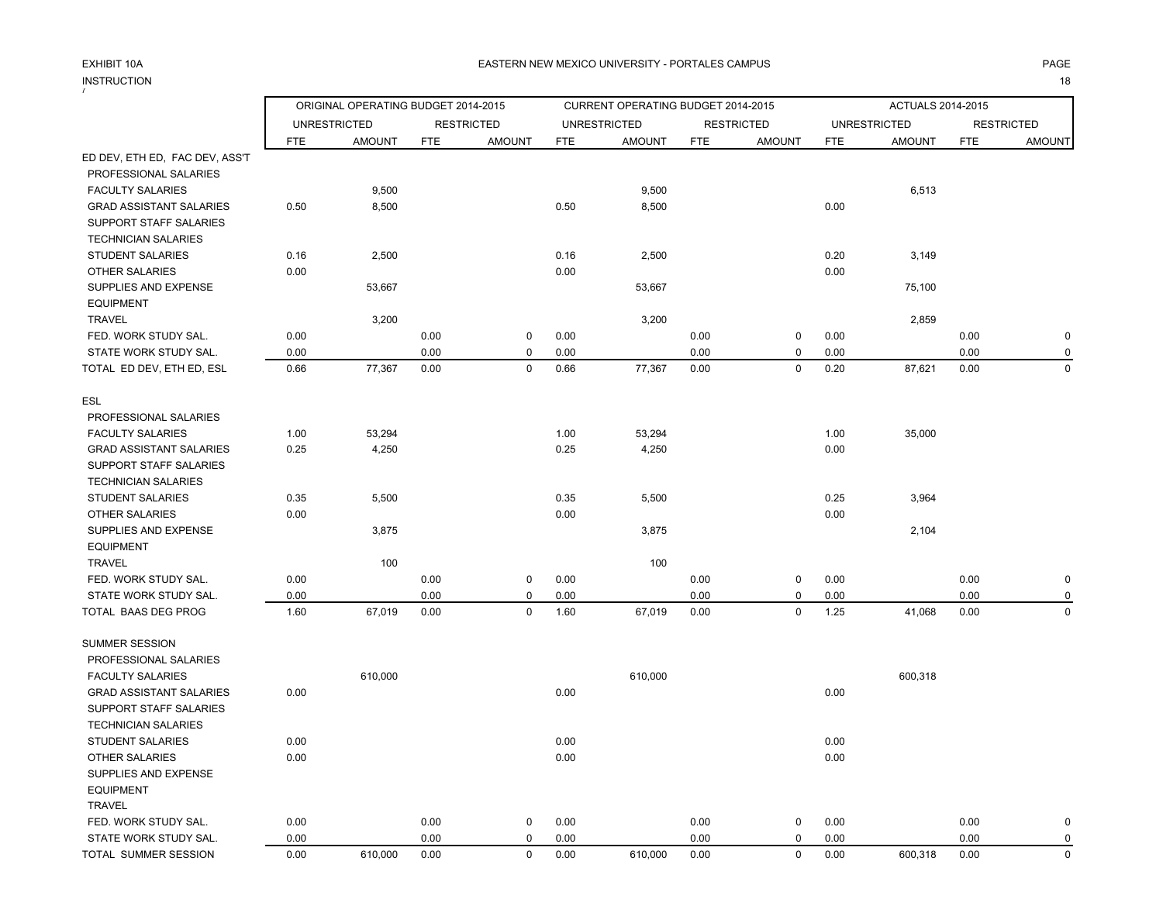# INSTRUCTION<br><sup>7</sup>

N and the contract of the contract of the contract of the contract of the contract of the contract of the contract of the contract of the contract of the contract of the contract of the contract of the contract of the cont

|                                |      | ORIGINAL OPERATING BUDGET 2014-2015<br>CURRENT OPERATING BUDGET 2014-2015<br>ACTUALS 2014-2015 |            |                   |            |                     |            |                   |            |                     |            |                   |
|--------------------------------|------|------------------------------------------------------------------------------------------------|------------|-------------------|------------|---------------------|------------|-------------------|------------|---------------------|------------|-------------------|
|                                |      | <b>UNRESTRICTED</b>                                                                            |            | <b>RESTRICTED</b> |            | <b>UNRESTRICTED</b> |            | <b>RESTRICTED</b> |            | <b>UNRESTRICTED</b> |            | <b>RESTRICTED</b> |
|                                | FTE  | <b>AMOUNT</b>                                                                                  | <b>FTE</b> | <b>AMOUNT</b>     | <b>FTE</b> | <b>AMOUNT</b>       | <b>FTE</b> | <b>AMOUNT</b>     | <b>FTE</b> | <b>AMOUNT</b>       | <b>FTE</b> | <b>AMOUNT</b>     |
| ED DEV, ETH ED, FAC DEV, ASS'T |      |                                                                                                |            |                   |            |                     |            |                   |            |                     |            |                   |
| PROFESSIONAL SALARIES          |      |                                                                                                |            |                   |            |                     |            |                   |            |                     |            |                   |
| <b>FACULTY SALARIES</b>        |      | 9,500                                                                                          |            |                   |            | 9,500               |            |                   |            | 6,513               |            |                   |
| <b>GRAD ASSISTANT SALARIES</b> | 0.50 | 8,500                                                                                          |            |                   | 0.50       | 8,500               |            |                   | 0.00       |                     |            |                   |
| SUPPORT STAFF SALARIES         |      |                                                                                                |            |                   |            |                     |            |                   |            |                     |            |                   |
| <b>TECHNICIAN SALARIES</b>     |      |                                                                                                |            |                   |            |                     |            |                   |            |                     |            |                   |
| <b>STUDENT SALARIES</b>        | 0.16 | 2,500                                                                                          |            |                   | 0.16       | 2,500               |            |                   | 0.20       | 3,149               |            |                   |
| <b>OTHER SALARIES</b>          | 0.00 |                                                                                                |            |                   | 0.00       |                     |            |                   | 0.00       |                     |            |                   |
| SUPPLIES AND EXPENSE           |      | 53,667                                                                                         |            |                   |            | 53,667              |            |                   |            | 75,100              |            |                   |
| <b>EQUIPMENT</b>               |      |                                                                                                |            |                   |            |                     |            |                   |            |                     |            |                   |
| <b>TRAVEL</b>                  |      | 3,200                                                                                          |            |                   |            | 3,200               |            |                   |            | 2,859               |            |                   |
| FED. WORK STUDY SAL.           | 0.00 |                                                                                                | 0.00       | $\mathbf 0$       | 0.00       |                     | 0.00       | 0                 | 0.00       |                     | 0.00       | $\pmb{0}$         |
| STATE WORK STUDY SAL.          | 0.00 |                                                                                                | 0.00       | $\mathbf 0$       | 0.00       |                     | 0.00       | $\pmb{0}$         | 0.00       |                     | 0.00       | $\pmb{0}$         |
| TOTAL ED DEV, ETH ED, ESL      | 0.66 | 77,367                                                                                         | 0.00       | $\mathbf 0$       | 0.66       | 77,367              | 0.00       | 0                 | 0.20       | 87,621              | 0.00       | $\mathbf 0$       |
| <b>ESL</b>                     |      |                                                                                                |            |                   |            |                     |            |                   |            |                     |            |                   |
| PROFESSIONAL SALARIES          |      |                                                                                                |            |                   |            |                     |            |                   |            |                     |            |                   |
| <b>FACULTY SALARIES</b>        | 1.00 | 53,294                                                                                         |            |                   | 1.00       | 53,294              |            |                   | 1.00       | 35,000              |            |                   |
| <b>GRAD ASSISTANT SALARIES</b> | 0.25 | 4,250                                                                                          |            |                   | 0.25       | 4,250               |            |                   | 0.00       |                     |            |                   |
| SUPPORT STAFF SALARIES         |      |                                                                                                |            |                   |            |                     |            |                   |            |                     |            |                   |
| <b>TECHNICIAN SALARIES</b>     |      |                                                                                                |            |                   |            |                     |            |                   |            |                     |            |                   |
| <b>STUDENT SALARIES</b>        | 0.35 | 5,500                                                                                          |            |                   | 0.35       | 5,500               |            |                   | 0.25       | 3,964               |            |                   |
| OTHER SALARIES                 | 0.00 |                                                                                                |            |                   | 0.00       |                     |            |                   | 0.00       |                     |            |                   |
| SUPPLIES AND EXPENSE           |      | 3,875                                                                                          |            |                   |            | 3,875               |            |                   |            | 2,104               |            |                   |
| <b>EQUIPMENT</b>               |      |                                                                                                |            |                   |            |                     |            |                   |            |                     |            |                   |
| <b>TRAVEL</b>                  |      | 100                                                                                            |            |                   |            | 100                 |            |                   |            |                     |            |                   |
| FED. WORK STUDY SAL.           | 0.00 |                                                                                                | 0.00       | 0                 | 0.00       |                     | 0.00       | 0                 | 0.00       |                     | 0.00       | $\mathbf 0$       |
| STATE WORK STUDY SAL.          | 0.00 |                                                                                                | 0.00       | $\mathbf 0$       | 0.00       |                     | 0.00       | $\pmb{0}$         | 0.00       |                     | 0.00       | $\mathbf 0$       |
| TOTAL BAAS DEG PROG            | 1.60 | 67,019                                                                                         | 0.00       | $\mathbf 0$       | 1.60       | 67,019              | 0.00       | $\pmb{0}$         | 1.25       | 41,068              | 0.00       | $\mathbf 0$       |
| <b>SUMMER SESSION</b>          |      |                                                                                                |            |                   |            |                     |            |                   |            |                     |            |                   |
| PROFESSIONAL SALARIES          |      |                                                                                                |            |                   |            |                     |            |                   |            |                     |            |                   |
| <b>FACULTY SALARIES</b>        |      | 610,000                                                                                        |            |                   |            | 610,000             |            |                   |            | 600,318             |            |                   |
| <b>GRAD ASSISTANT SALARIES</b> | 0.00 |                                                                                                |            |                   | 0.00       |                     |            |                   | 0.00       |                     |            |                   |
| SUPPORT STAFF SALARIES         |      |                                                                                                |            |                   |            |                     |            |                   |            |                     |            |                   |
| <b>TECHNICIAN SALARIES</b>     |      |                                                                                                |            |                   |            |                     |            |                   |            |                     |            |                   |
| <b>STUDENT SALARIES</b>        | 0.00 |                                                                                                |            |                   | 0.00       |                     |            |                   | 0.00       |                     |            |                   |
| <b>OTHER SALARIES</b>          | 0.00 |                                                                                                |            |                   | 0.00       |                     |            |                   | 0.00       |                     |            |                   |
| SUPPLIES AND EXPENSE           |      |                                                                                                |            |                   |            |                     |            |                   |            |                     |            |                   |
| <b>EQUIPMENT</b>               |      |                                                                                                |            |                   |            |                     |            |                   |            |                     |            |                   |
| <b>TRAVEL</b>                  |      |                                                                                                |            |                   |            |                     |            |                   |            |                     |            |                   |
| FED. WORK STUDY SAL.           | 0.00 |                                                                                                | 0.00       | 0                 | 0.00       |                     | 0.00       | 0                 | 0.00       |                     | 0.00       | $\pmb{0}$         |
| STATE WORK STUDY SAL.          | 0.00 |                                                                                                | 0.00       | $\mathbf 0$       | 0.00       |                     | 0.00       | 0                 | 0.00       |                     | 0.00       | $\mathbf 0$       |
| TOTAL SUMMER SESSION           | 0.00 | 610,000                                                                                        | 0.00       | $\Omega$          | 0.00       | 610,000             | 0.00       | $\pmb{0}$         | 0.00       | 600,318             | 0.00       | $\pmb{0}$         |
|                                |      |                                                                                                |            |                   |            |                     |            |                   |            |                     |            |                   |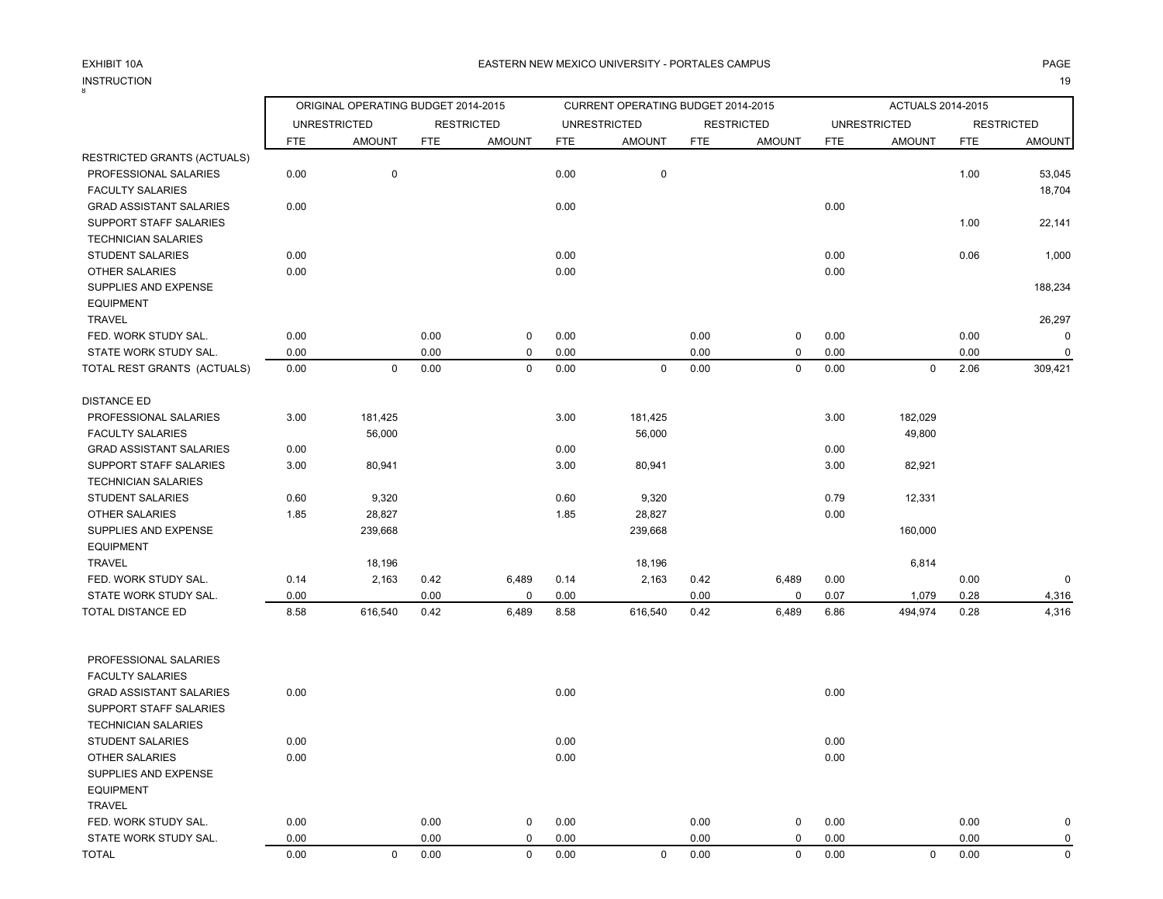# INSTRUCTION<br>8

|                                                       |            | ORIGINAL OPERATING BUDGET 2014-2015 |            |                   |            | CURRENT OPERATING BUDGET 2014-2015 |            |                   |            | ACTUALS 2014-2015   |            |                   |
|-------------------------------------------------------|------------|-------------------------------------|------------|-------------------|------------|------------------------------------|------------|-------------------|------------|---------------------|------------|-------------------|
|                                                       |            | <b>UNRESTRICTED</b>                 |            | <b>RESTRICTED</b> |            | <b>UNRESTRICTED</b>                |            | <b>RESTRICTED</b> |            | <b>UNRESTRICTED</b> |            | <b>RESTRICTED</b> |
|                                                       | <b>FTE</b> | <b>AMOUNT</b>                       | <b>FTE</b> | <b>AMOUNT</b>     | <b>FTE</b> | <b>AMOUNT</b>                      | <b>FTE</b> | <b>AMOUNT</b>     | <b>FTE</b> | <b>AMOUNT</b>       | <b>FTE</b> | <b>AMOUNT</b>     |
| RESTRICTED GRANTS (ACTUALS)                           |            |                                     |            |                   |            |                                    |            |                   |            |                     |            |                   |
| PROFESSIONAL SALARIES                                 | 0.00       | 0                                   |            |                   | 0.00       | $\mathbf 0$                        |            |                   |            |                     | 1.00       | 53,045            |
| <b>FACULTY SALARIES</b>                               |            |                                     |            |                   |            |                                    |            |                   |            |                     |            | 18,704            |
| <b>GRAD ASSISTANT SALARIES</b>                        | 0.00       |                                     |            |                   | 0.00       |                                    |            |                   | 0.00       |                     |            |                   |
| SUPPORT STAFF SALARIES                                |            |                                     |            |                   |            |                                    |            |                   |            |                     | 1.00       | 22,141            |
| <b>TECHNICIAN SALARIES</b><br><b>STUDENT SALARIES</b> | 0.00       |                                     |            |                   | 0.00       |                                    |            |                   | 0.00       |                     | 0.06       | 1,000             |
| <b>OTHER SALARIES</b>                                 | 0.00       |                                     |            |                   | 0.00       |                                    |            |                   | 0.00       |                     |            |                   |
| SUPPLIES AND EXPENSE                                  |            |                                     |            |                   |            |                                    |            |                   |            |                     |            | 188,234           |
| <b>EQUIPMENT</b>                                      |            |                                     |            |                   |            |                                    |            |                   |            |                     |            |                   |
| <b>TRAVEL</b>                                         |            |                                     |            |                   |            |                                    |            |                   |            |                     |            | 26,297            |
| FED. WORK STUDY SAL.                                  | 0.00       |                                     | 0.00       | 0                 | 0.00       |                                    | 0.00       | 0                 | 0.00       |                     | 0.00       | 0                 |
| STATE WORK STUDY SAL.                                 | 0.00       |                                     | 0.00       | $\mathbf 0$       | 0.00       |                                    | 0.00       | 0                 | 0.00       |                     | 0.00       | $\mathbf 0$       |
| TOTAL REST GRANTS (ACTUALS)                           | 0.00       | $\mathbf 0$                         | 0.00       | $\mathsf 0$       | 0.00       | $\mathbf 0$                        | 0.00       | 0                 | 0.00       | $\mathbf 0$         | 2.06       | 309,421           |
| <b>DISTANCE ED</b>                                    |            |                                     |            |                   |            |                                    |            |                   |            |                     |            |                   |
| PROFESSIONAL SALARIES                                 | 3.00       | 181,425                             |            |                   | 3.00       | 181,425                            |            |                   | 3.00       | 182,029             |            |                   |
| <b>FACULTY SALARIES</b>                               |            | 56,000                              |            |                   |            | 56,000                             |            |                   |            | 49,800              |            |                   |
| <b>GRAD ASSISTANT SALARIES</b>                        | 0.00       |                                     |            |                   | 0.00       |                                    |            |                   | 0.00       |                     |            |                   |
| SUPPORT STAFF SALARIES                                | 3.00       | 80,941                              |            |                   | 3.00       | 80,941                             |            |                   | 3.00       | 82,921              |            |                   |
| <b>TECHNICIAN SALARIES</b>                            |            |                                     |            |                   |            |                                    |            |                   |            |                     |            |                   |
| <b>STUDENT SALARIES</b>                               | 0.60       | 9,320                               |            |                   | 0.60       | 9,320                              |            |                   | 0.79       | 12,331              |            |                   |
| OTHER SALARIES                                        | 1.85       | 28,827                              |            |                   | 1.85       | 28,827                             |            |                   | 0.00       |                     |            |                   |
| SUPPLIES AND EXPENSE                                  |            | 239,668                             |            |                   |            | 239,668                            |            |                   |            | 160,000             |            |                   |
| <b>EQUIPMENT</b>                                      |            |                                     |            |                   |            |                                    |            |                   |            |                     |            |                   |
| <b>TRAVEL</b>                                         |            | 18,196                              |            |                   |            | 18,196                             |            |                   |            | 6,814               |            |                   |
| FED. WORK STUDY SAL.                                  | 0.14       | 2,163                               | 0.42       | 6,489             | 0.14       | 2,163                              | 0.42       | 6,489             | 0.00       |                     | 0.00       | $\mathbf 0$       |
| STATE WORK STUDY SAL.                                 | 0.00       |                                     | 0.00       | 0                 | 0.00       |                                    | 0.00       | 0                 | 0.07       | 1,079               | 0.28       | 4,316             |
| TOTAL DISTANCE ED                                     | 8.58       | 616,540                             | 0.42       | 6,489             | 8.58       | 616,540                            | 0.42       | 6,489             | 6.86       | 494,974             | 0.28       | 4,316             |
| PROFESSIONAL SALARIES                                 |            |                                     |            |                   |            |                                    |            |                   |            |                     |            |                   |
| <b>FACULTY SALARIES</b>                               |            |                                     |            |                   |            |                                    |            |                   |            |                     |            |                   |
| <b>GRAD ASSISTANT SALARIES</b>                        | 0.00       |                                     |            |                   | 0.00       |                                    |            |                   | 0.00       |                     |            |                   |
| SUPPORT STAFF SALARIES                                |            |                                     |            |                   |            |                                    |            |                   |            |                     |            |                   |
| <b>TECHNICIAN SALARIES</b>                            |            |                                     |            |                   |            |                                    |            |                   |            |                     |            |                   |
| STUDENT SALARIES                                      | 0.00       |                                     |            |                   | 0.00       |                                    |            |                   | 0.00       |                     |            |                   |
| OTHER SALARIES                                        | 0.00       |                                     |            |                   | 0.00       |                                    |            |                   | 0.00       |                     |            |                   |
| SUPPLIES AND EXPENSE                                  |            |                                     |            |                   |            |                                    |            |                   |            |                     |            |                   |
| <b>EQUIPMENT</b>                                      |            |                                     |            |                   |            |                                    |            |                   |            |                     |            |                   |
| <b>TRAVEL</b>                                         |            |                                     |            |                   |            |                                    |            |                   |            |                     |            |                   |
| FED. WORK STUDY SAL.                                  | 0.00       |                                     | 0.00       | $\mathbf 0$       | 0.00       |                                    | 0.00       | 0                 | 0.00       |                     | 0.00       | $\mathbf 0$       |
| STATE WORK STUDY SAL.                                 | 0.00       |                                     | 0.00       | 0                 | 0.00       |                                    | 0.00       | 0                 | 0.00       |                     | 0.00       | 0                 |
| <b>TOTAL</b>                                          | 0.00       | $\mathbf 0$                         | 0.00       | $\mathbf 0$       | 0.00       | $\mathsf{O}$                       | 0.00       | 0                 | 0.00       | $\mathbf 0$         | 0.00       | 0                 |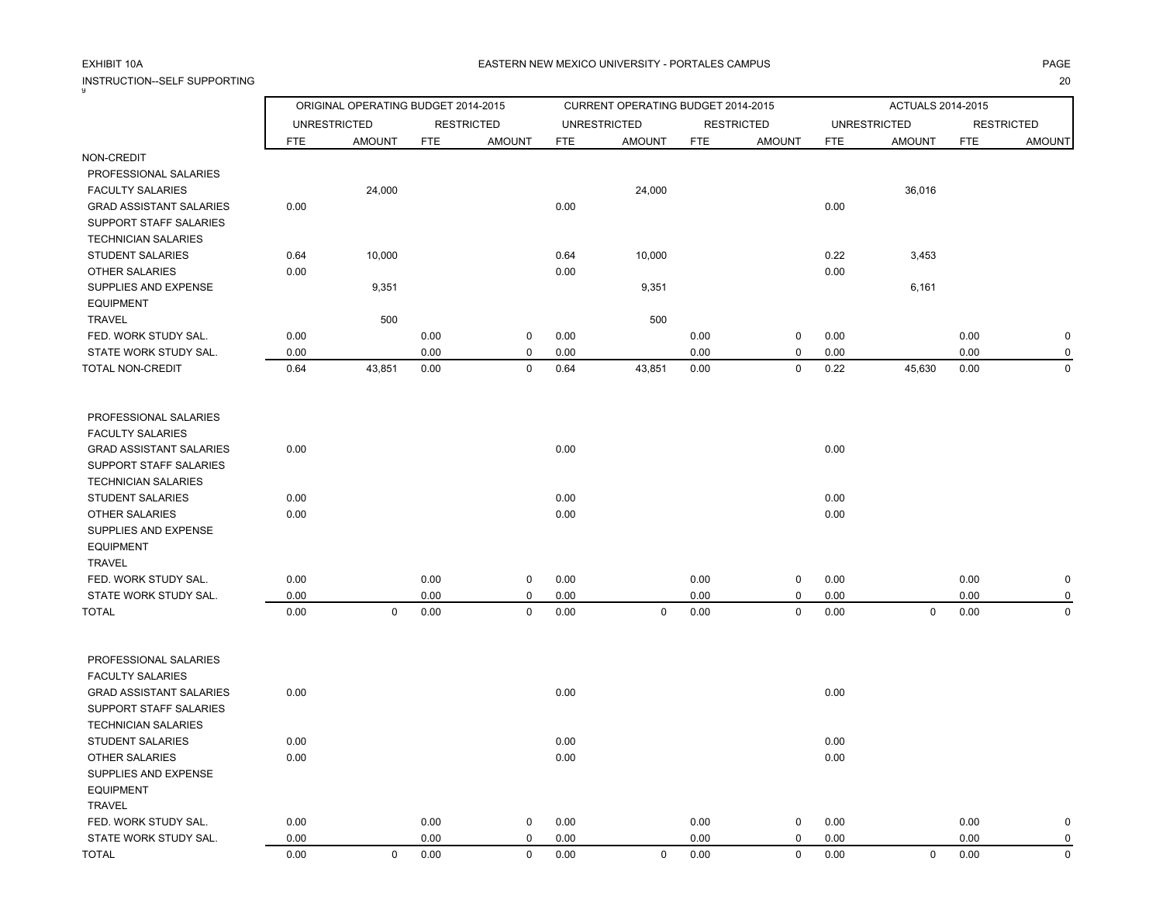INSTRUCTION--SELF SUPPORTING20

| 9                                             |              | ORIGINAL OPERATING BUDGET 2014-2015 |              |                   |              | CURRENT OPERATING BUDGET 2014-2015 |              |                   |              | ACTUALS 2014-2015   |              |                   |
|-----------------------------------------------|--------------|-------------------------------------|--------------|-------------------|--------------|------------------------------------|--------------|-------------------|--------------|---------------------|--------------|-------------------|
|                                               |              | <b>UNRESTRICTED</b>                 |              | <b>RESTRICTED</b> |              | <b>UNRESTRICTED</b>                |              | <b>RESTRICTED</b> |              | <b>UNRESTRICTED</b> |              | <b>RESTRICTED</b> |
|                                               | <b>FTE</b>   | <b>AMOUNT</b>                       | <b>FTE</b>   | <b>AMOUNT</b>     | <b>FTE</b>   | <b>AMOUNT</b>                      | <b>FTE</b>   | <b>AMOUNT</b>     | <b>FTE</b>   | <b>AMOUNT</b>       | <b>FTE</b>   | <b>AMOUNT</b>     |
| NON-CREDIT                                    |              |                                     |              |                   |              |                                    |              |                   |              |                     |              |                   |
| PROFESSIONAL SALARIES                         |              |                                     |              |                   |              |                                    |              |                   |              |                     |              |                   |
| <b>FACULTY SALARIES</b>                       |              | 24,000                              |              |                   |              | 24,000                             |              |                   |              | 36,016              |              |                   |
| <b>GRAD ASSISTANT SALARIES</b>                | 0.00         |                                     |              |                   | 0.00         |                                    |              |                   | 0.00         |                     |              |                   |
| SUPPORT STAFF SALARIES                        |              |                                     |              |                   |              |                                    |              |                   |              |                     |              |                   |
| <b>TECHNICIAN SALARIES</b>                    |              |                                     |              |                   |              |                                    |              |                   |              |                     |              |                   |
| <b>STUDENT SALARIES</b>                       | 0.64         | 10,000                              |              |                   | 0.64         | 10,000                             |              |                   | 0.22         | 3,453               |              |                   |
| <b>OTHER SALARIES</b>                         | 0.00         |                                     |              |                   | 0.00         |                                    |              |                   | 0.00         |                     |              |                   |
| SUPPLIES AND EXPENSE                          |              | 9,351                               |              |                   |              | 9,351                              |              |                   |              | 6,161               |              |                   |
| <b>EQUIPMENT</b>                              |              |                                     |              |                   |              |                                    |              |                   |              |                     |              |                   |
| TRAVEL<br>FED. WORK STUDY SAL.                | 0.00         | 500                                 | 0.00         | 0                 | 0.00         | 500                                | 0.00         | 0                 | 0.00         |                     | 0.00         | $\pmb{0}$         |
| STATE WORK STUDY SAL.                         | 0.00         |                                     | 0.00         | 0                 | 0.00         |                                    | 0.00         | 0                 | 0.00         |                     | 0.00         | 0                 |
| TOTAL NON-CREDIT                              | 0.64         | 43,851                              | 0.00         | 0                 | 0.64         | 43,851                             | 0.00         | 0                 | 0.22         | 45,630              | 0.00         | $\mathbf 0$       |
|                                               |              |                                     |              |                   |              |                                    |              |                   |              |                     |              |                   |
| PROFESSIONAL SALARIES                         |              |                                     |              |                   |              |                                    |              |                   |              |                     |              |                   |
| <b>FACULTY SALARIES</b>                       |              |                                     |              |                   |              |                                    |              |                   |              |                     |              |                   |
| <b>GRAD ASSISTANT SALARIES</b>                | 0.00         |                                     |              |                   | 0.00         |                                    |              |                   | 0.00         |                     |              |                   |
| SUPPORT STAFF SALARIES                        |              |                                     |              |                   |              |                                    |              |                   |              |                     |              |                   |
| <b>TECHNICIAN SALARIES</b>                    |              |                                     |              |                   |              |                                    |              |                   |              |                     |              |                   |
| <b>STUDENT SALARIES</b>                       | 0.00         |                                     |              |                   | 0.00         |                                    |              |                   | 0.00         |                     |              |                   |
| OTHER SALARIES                                | 0.00         |                                     |              |                   | 0.00         |                                    |              |                   | 0.00         |                     |              |                   |
| SUPPLIES AND EXPENSE                          |              |                                     |              |                   |              |                                    |              |                   |              |                     |              |                   |
| <b>EQUIPMENT</b>                              |              |                                     |              |                   |              |                                    |              |                   |              |                     |              |                   |
| <b>TRAVEL</b>                                 |              |                                     |              |                   |              |                                    |              |                   |              |                     |              |                   |
| FED. WORK STUDY SAL.<br>STATE WORK STUDY SAL. | 0.00<br>0.00 |                                     | 0.00<br>0.00 | 0<br>$\mathbf 0$  | 0.00<br>0.00 |                                    | 0.00<br>0.00 | 0<br>0            | 0.00         |                     | 0.00<br>0.00 | $\mathbf 0$<br>0  |
| <b>TOTAL</b>                                  | 0.00         | $\mathbf 0$                         | 0.00         | $\mathbf 0$       | 0.00         | $\mathbf 0$                        | 0.00         | $\mathbf 0$       | 0.00<br>0.00 | 0                   | 0.00         | $\mathbf 0$       |
|                                               |              |                                     |              |                   |              |                                    |              |                   |              |                     |              |                   |
| PROFESSIONAL SALARIES                         |              |                                     |              |                   |              |                                    |              |                   |              |                     |              |                   |
| <b>FACULTY SALARIES</b>                       |              |                                     |              |                   |              |                                    |              |                   |              |                     |              |                   |
| <b>GRAD ASSISTANT SALARIES</b>                | 0.00         |                                     |              |                   | 0.00         |                                    |              |                   | 0.00         |                     |              |                   |
| SUPPORT STAFF SALARIES                        |              |                                     |              |                   |              |                                    |              |                   |              |                     |              |                   |
| <b>TECHNICIAN SALARIES</b>                    |              |                                     |              |                   |              |                                    |              |                   |              |                     |              |                   |
| <b>STUDENT SALARIES</b>                       | 0.00         |                                     |              |                   | 0.00         |                                    |              |                   | 0.00         |                     |              |                   |
| OTHER SALARIES                                | $0.00\,$     |                                     |              |                   | $0.00\,$     |                                    |              |                   | $0.00\,$     |                     |              |                   |
| SUPPLIES AND EXPENSE                          |              |                                     |              |                   |              |                                    |              |                   |              |                     |              |                   |
| <b>EQUIPMENT</b>                              |              |                                     |              |                   |              |                                    |              |                   |              |                     |              |                   |
| <b>TRAVEL</b>                                 |              |                                     |              |                   |              |                                    |              |                   |              |                     |              |                   |
| FED. WORK STUDY SAL.                          | 0.00         |                                     | 0.00         | 0                 | 0.00         |                                    | 0.00         | 0                 | 0.00         |                     | 0.00         | $\pmb{0}$         |
| STATE WORK STUDY SAL.                         | 0.00         |                                     | 0.00         | 0                 | 0.00         |                                    | 0.00         | 0                 | 0.00         |                     | 0.00         | $\pmb{0}$         |
| TOTAL                                         | $0.00\,$     | $\mathbf 0$                         | 0.00         | $\mathsf{O}$      | $0.00\,$     | $\mathsf{O}$                       | 0.00         | $\mathbf 0$       | 0.00         | $\mathsf{O}$        | 0.00         | $\mathsf 0$       |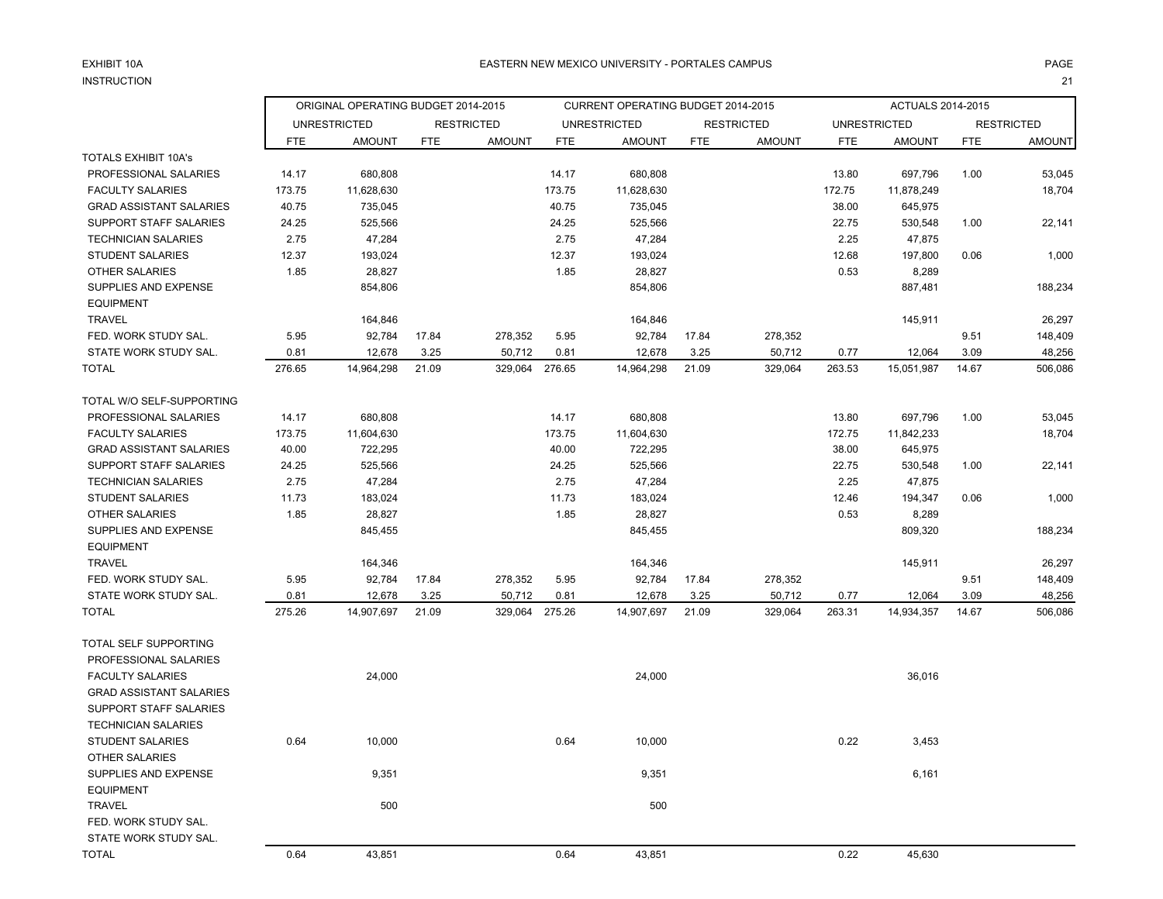#### EXHIBIT 10A**INSTRUCTION** N and  $21$

EQUIPMENT

 FED. WORK STUDY SAL. STATE WORK STUDY SAL.

TRAVEL 500 500

ORIGINAL OPERATING BUDGET 2014-2015 CURRENT OPERATING BUDGET 2014-2015 ACTUALS 2014-2015

|                                |            | <b>UNRESTRICTED</b> |            | <b>RESTRICTED</b> |            | <b>UNRESTRICTED</b> |            | <b>RESTRICTED</b> | <b>UNRESTRICTED</b> |               |            | <b>RESTRICTED</b> |
|--------------------------------|------------|---------------------|------------|-------------------|------------|---------------------|------------|-------------------|---------------------|---------------|------------|-------------------|
|                                | <b>FTE</b> | <b>AMOUNT</b>       | <b>FTE</b> | <b>AMOUNT</b>     | <b>FTE</b> | <b>AMOUNT</b>       | <b>FTE</b> | <b>AMOUNT</b>     | <b>FTE</b>          | <b>AMOUNT</b> | <b>FTE</b> | <b>AMOUNT</b>     |
| TOTALS EXHIBIT 10A's           |            |                     |            |                   |            |                     |            |                   |                     |               |            |                   |
| PROFESSIONAL SALARIES          | 14.17      | 680,808             |            |                   | 14.17      | 680,808             |            |                   | 13.80               | 697,796       | 1.00       | 53,045            |
| <b>FACULTY SALARIES</b>        | 173.75     | 11,628,630          |            |                   | 173.75     | 11,628,630          |            |                   | 172.75              | 11,878,249    |            | 18,704            |
| <b>GRAD ASSISTANT SALARIES</b> | 40.75      | 735,045             |            |                   | 40.75      | 735,045             |            |                   | 38.00               | 645,975       |            |                   |
| SUPPORT STAFF SALARIES         | 24.25      | 525,566             |            |                   | 24.25      | 525,566             |            |                   | 22.75               | 530,548       | 1.00       | 22,141            |
| <b>TECHNICIAN SALARIES</b>     | 2.75       | 47,284              |            |                   | 2.75       | 47,284              |            |                   | 2.25                | 47,875        |            |                   |
| <b>STUDENT SALARIES</b>        | 12.37      | 193,024             |            |                   | 12.37      | 193,024             |            |                   | 12.68               | 197,800       | 0.06       | 1,000             |
| <b>OTHER SALARIES</b>          | 1.85       | 28,827              |            |                   | 1.85       | 28,827              |            |                   | 0.53                | 8,289         |            |                   |
| SUPPLIES AND EXPENSE           |            | 854,806             |            |                   |            | 854,806             |            |                   |                     | 887,481       |            | 188,234           |
| <b>EQUIPMENT</b>               |            |                     |            |                   |            |                     |            |                   |                     |               |            |                   |
| <b>TRAVEL</b>                  |            | 164,846             |            |                   |            | 164,846             |            |                   |                     | 145,911       |            | 26,297            |
| FED. WORK STUDY SAL.           | 5.95       | 92,784              | 17.84      | 278,352           | 5.95       | 92,784              | 17.84      | 278,352           |                     |               | 9.51       | 148,409           |
| STATE WORK STUDY SAL.          | 0.81       | 12,678              | 3.25       | 50,712            | 0.81       | 12,678              | 3.25       | 50,712            | 0.77                | 12,064        | 3.09       | 48,256            |
| TOTAL                          | 276.65     | 14,964,298          | 21.09      | 329,064           | 276.65     | 14,964,298          | 21.09      | 329,064           | 263.53              | 15,051,987    | 14.67      | 506,086           |
| TOTAL W/O SELF-SUPPORTING      |            |                     |            |                   |            |                     |            |                   |                     |               |            |                   |
| PROFESSIONAL SALARIES          | 14.17      | 680,808             |            |                   | 14.17      | 680,808             |            |                   | 13.80               | 697,796       | 1.00       | 53,045            |
| <b>FACULTY SALARIES</b>        | 173.75     | 11,604,630          |            |                   | 173.75     | 11,604,630          |            |                   | 172.75              | 11,842,233    |            | 18,704            |
| <b>GRAD ASSISTANT SALARIES</b> | 40.00      | 722,295             |            |                   | 40.00      | 722,295             |            |                   | 38.00               | 645,975       |            |                   |
| SUPPORT STAFF SALARIES         | 24.25      | 525,566             |            |                   | 24.25      | 525,566             |            |                   | 22.75               | 530,548       | 1.00       | 22,141            |
| <b>TECHNICIAN SALARIES</b>     | 2.75       | 47,284              |            |                   | 2.75       | 47,284              |            |                   | 2.25                | 47,875        |            |                   |
| <b>STUDENT SALARIES</b>        | 11.73      | 183,024             |            |                   | 11.73      | 183,024             |            |                   | 12.46               | 194,347       | 0.06       | 1,000             |
| <b>OTHER SALARIES</b>          | 1.85       | 28,827              |            |                   | 1.85       | 28,827              |            |                   | 0.53                | 8,289         |            |                   |
| SUPPLIES AND EXPENSE           |            | 845,455             |            |                   |            | 845,455             |            |                   |                     | 809,320       |            | 188,234           |
| <b>EQUIPMENT</b>               |            |                     |            |                   |            |                     |            |                   |                     |               |            |                   |
| <b>TRAVEL</b>                  |            | 164,346             |            |                   |            | 164,346             |            |                   |                     | 145,911       |            | 26,297            |
| FED. WORK STUDY SAL.           | 5.95       | 92,784              | 17.84      | 278,352           | 5.95       | 92,784              | 17.84      | 278,352           |                     |               | 9.51       | 148,409           |
| STATE WORK STUDY SAL.          | 0.81       | 12,678              | 3.25       | 50,712            | 0.81       | 12,678              | 3.25       | 50,712            | 0.77                | 12,064        | 3.09       | 48,256            |
| <b>TOTAL</b>                   | 275.26     | 14,907,697          | 21.09      | 329,064           | 275.26     | 14,907,697          | 21.09      | 329,064           | 263.31              | 14,934,357    | 14.67      | 506,086           |
| TOTAL SELF SUPPORTING          |            |                     |            |                   |            |                     |            |                   |                     |               |            |                   |
| PROFESSIONAL SALARIES          |            |                     |            |                   |            |                     |            |                   |                     |               |            |                   |
| <b>FACULTY SALARIES</b>        |            | 24,000              |            |                   |            | 24,000              |            |                   |                     | 36,016        |            |                   |
| <b>GRAD ASSISTANT SALARIES</b> |            |                     |            |                   |            |                     |            |                   |                     |               |            |                   |
| SUPPORT STAFF SALARIES         |            |                     |            |                   |            |                     |            |                   |                     |               |            |                   |
| <b>TECHNICIAN SALARIES</b>     |            |                     |            |                   |            |                     |            |                   |                     |               |            |                   |
| <b>STUDENT SALARIES</b>        | 0.64       | 10,000              |            |                   | 0.64       | 10,000              |            |                   | 0.22                | 3,453         |            |                   |
| <b>OTHER SALARIES</b>          |            |                     |            |                   |            |                     |            |                   |                     |               |            |                   |
| SUPPLIES AND EXPENSE           |            | 9.351               |            |                   |            | 9.351               |            |                   |                     | 6.161         |            |                   |

TOTAL 0.64 43,851 0.64 43,851 0.22 45,630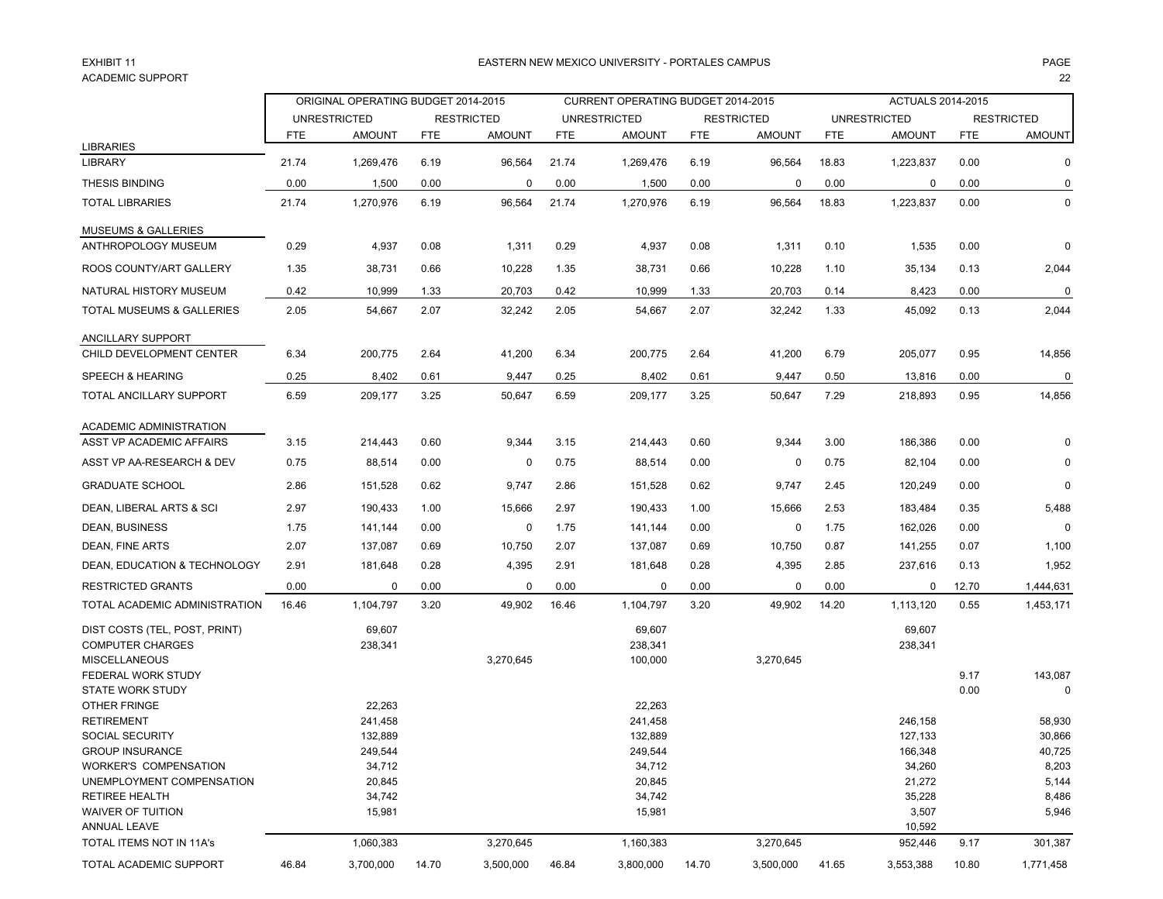#### EXHIBIT 11ACADEMIC SUPPORTт само на 122 мај 132 мај 132 мај 132 мај 132 мај 132 мај 132 мај 132 мај 132 мај 132 мај 132 мај 132 мај 132

### 1 EASTERN NEW MEXICO UNIVERSITY - PORTALES CAMPUS PAGE

|                                         |       | ORIGINAL OPERATING BUDGET 2014-2015 |            |                   |            | CURRENT OPERATING BUDGET 2014-2015 |            |                   |            | <b>ACTUALS 2014-2015</b> |            |                   |
|-----------------------------------------|-------|-------------------------------------|------------|-------------------|------------|------------------------------------|------------|-------------------|------------|--------------------------|------------|-------------------|
|                                         |       | <b>UNRESTRICTED</b>                 |            | <b>RESTRICTED</b> |            | <b>UNRESTRICTED</b>                |            | <b>RESTRICTED</b> |            | <b>UNRESTRICTED</b>      |            | <b>RESTRICTED</b> |
|                                         | FTE   | <b>AMOUNT</b>                       | <b>FTE</b> | <b>AMOUNT</b>     | <b>FTE</b> | <b>AMOUNT</b>                      | <b>FTE</b> | <b>AMOUNT</b>     | <b>FTE</b> | <b>AMOUNT</b>            | <b>FTE</b> | <b>AMOUNT</b>     |
| <b>LIBRARIES</b><br><b>LIBRARY</b>      | 21.74 |                                     |            |                   |            |                                    | 6.19       |                   |            |                          | 0.00       | 0                 |
|                                         |       | 1,269,476                           | 6.19       | 96,564            | 21.74      | 1,269,476                          |            | 96,564            | 18.83      | 1,223,837                |            |                   |
| <b>THESIS BINDING</b>                   | 0.00  | 1,500                               | 0.00       | $\mathbf 0$       | 0.00       | 1,500                              | 0.00       | 0                 | 0.00       | 0                        | 0.00       | 0                 |
| <b>TOTAL LIBRARIES</b>                  | 21.74 | 1,270,976                           | 6.19       | 96,564            | 21.74      | 1,270,976                          | 6.19       | 96,564            | 18.83      | 1,223,837                | 0.00       | 0                 |
| <b>MUSEUMS &amp; GALLERIES</b>          |       |                                     |            |                   |            |                                    |            |                   |            |                          |            |                   |
| ANTHROPOLOGY MUSEUM                     | 0.29  | 4,937                               | 0.08       | 1,311             | 0.29       | 4,937                              | 0.08       | 1,311             | 0.10       | 1,535                    | 0.00       | 0                 |
| ROOS COUNTY/ART GALLERY                 | 1.35  | 38,731                              | 0.66       | 10,228            | 1.35       | 38,731                             | 0.66       | 10,228            | 1.10       | 35,134                   | 0.13       | 2,044             |
| NATURAL HISTORY MUSEUM                  | 0.42  | 10,999                              | 1.33       | 20,703            | 0.42       | 10,999                             | 1.33       | 20,703            | 0.14       | 8,423                    | 0.00       | 0                 |
| TOTAL MUSEUMS & GALLERIES               | 2.05  | 54,667                              | 2.07       | 32,242            | 2.05       | 54,667                             | 2.07       | 32,242            | 1.33       | 45,092                   | 0.13       | 2,044             |
| <b>ANCILLARY SUPPORT</b>                |       |                                     |            |                   |            |                                    |            |                   |            |                          |            |                   |
| CHILD DEVELOPMENT CENTER                | 6.34  | 200,775                             | 2.64       | 41,200            | 6.34       | 200,775                            | 2.64       | 41,200            | 6.79       | 205,077                  | 0.95       | 14,856            |
| SPEECH & HEARING                        | 0.25  | 8,402                               | 0.61       | 9,447             | 0.25       | 8,402                              | 0.61       | 9,447             | 0.50       | 13,816                   | 0.00       | 0                 |
| TOTAL ANCILLARY SUPPORT                 | 6.59  | 209,177                             | 3.25       | 50,647            | 6.59       | 209,177                            | 3.25       | 50,647            | 7.29       | 218,893                  | 0.95       | 14,856            |
| ACADEMIC ADMINISTRATION                 |       |                                     |            |                   |            |                                    |            |                   |            |                          |            |                   |
| ASST VP ACADEMIC AFFAIRS                | 3.15  | 214,443                             | 0.60       | 9,344             | 3.15       | 214,443                            | 0.60       | 9,344             | 3.00       | 186,386                  | 0.00       | $\Omega$          |
| ASST VP AA-RESEARCH & DEV               | 0.75  | 88,514                              | 0.00       | 0                 | 0.75       | 88,514                             | 0.00       | 0                 | 0.75       | 82,104                   | 0.00       | 0                 |
| <b>GRADUATE SCHOOL</b>                  | 2.86  | 151,528                             | 0.62       | 9,747             | 2.86       | 151,528                            | 0.62       | 9,747             | 2.45       | 120,249                  | 0.00       | $\mathbf 0$       |
| DEAN, LIBERAL ARTS & SCI                | 2.97  | 190,433                             | 1.00       | 15,666            | 2.97       | 190,433                            | 1.00       | 15,666            | 2.53       | 183,484                  | 0.35       | 5,488             |
| DEAN, BUSINESS                          | 1.75  | 141,144                             | 0.00       | 0                 | 1.75       | 141,144                            | 0.00       | 0                 | 1.75       | 162,026                  | 0.00       | 0                 |
| DEAN, FINE ARTS                         | 2.07  | 137,087                             | 0.69       | 10,750            | 2.07       | 137,087                            | 0.69       | 10,750            | 0.87       | 141,255                  | 0.07       | 1,100             |
| DEAN, EDUCATION & TECHNOLOGY            | 2.91  | 181,648                             | 0.28       | 4,395             | 2.91       | 181,648                            | 0.28       | 4,395             | 2.85       | 237,616                  | 0.13       | 1,952             |
| <b>RESTRICTED GRANTS</b>                | 0.00  | 0                                   | 0.00       | $\mathbf 0$       | 0.00       | 0                                  | 0.00       | 0                 | 0.00       | 0                        | 12.70      | 1,444,631         |
| TOTAL ACADEMIC ADMINISTRATION           | 16.46 | 1,104,797                           | 3.20       | 49,902            | 16.46      | 1,104,797                          | 3.20       | 49,902            | 14.20      | 1,113,120                | 0.55       | 1,453,171         |
| DIST COSTS (TEL, POST, PRINT)           |       | 69,607                              |            |                   |            | 69,607                             |            |                   |            | 69,607                   |            |                   |
| <b>COMPUTER CHARGES</b>                 |       | 238,341                             |            |                   |            | 238,341                            |            |                   |            | 238,341                  |            |                   |
| <b>MISCELLANEOUS</b>                    |       |                                     |            | 3,270,645         |            | 100,000                            |            | 3,270,645         |            |                          |            |                   |
| FEDERAL WORK STUDY                      |       |                                     |            |                   |            |                                    |            |                   |            |                          | 9.17       | 143,087           |
| <b>STATE WORK STUDY</b><br>OTHER FRINGE |       | 22,263                              |            |                   |            | 22,263                             |            |                   |            |                          | 0.00       | 0                 |
| <b>RETIREMENT</b>                       |       | 241,458                             |            |                   |            | 241,458                            |            |                   |            | 246,158                  |            | 58,930            |
| <b>SOCIAL SECURITY</b>                  |       | 132,889                             |            |                   |            | 132,889                            |            |                   |            | 127,133                  |            | 30,866            |
| <b>GROUP INSURANCE</b>                  |       | 249,544                             |            |                   |            | 249,544                            |            |                   |            | 166,348                  |            | 40,725            |
| <b>WORKER'S COMPENSATION</b>            |       | 34,712                              |            |                   |            | 34,712                             |            |                   |            | 34,260                   |            | 8,203             |
|                                         |       |                                     |            |                   |            |                                    |            |                   |            |                          |            |                   |
| UNEMPLOYMENT COMPENSATION               |       | 20,845                              |            |                   |            | 20,845                             |            |                   |            | 21,272                   |            | 5,144             |
| <b>RETIREE HEALTH</b>                   |       | 34,742                              |            |                   |            | 34,742                             |            |                   |            | 35,228                   |            | 8,486             |
| WAIVER OF TUITION                       |       | 15,981                              |            |                   |            | 15,981                             |            |                   |            | 3,507                    |            | 5,946             |
| ANNUAL LEAVE                            |       |                                     |            |                   |            |                                    |            |                   |            | 10,592                   |            |                   |
| TOTAL ITEMS NOT IN 11A's                |       | 1,060,383                           |            | 3,270,645         |            | 1,160,383                          |            | 3,270,645         |            | 952,446                  | 9.17       | 301,387           |
| <b>TOTAL ACADEMIC SUPPORT</b>           | 46.84 | 3,700,000                           | 14.70      | 3,500,000         | 46.84      | 3,800,000                          | 14.70      | 3,500,000         | 41.65      | 3,553,388                | 10.80      | 1,771,458         |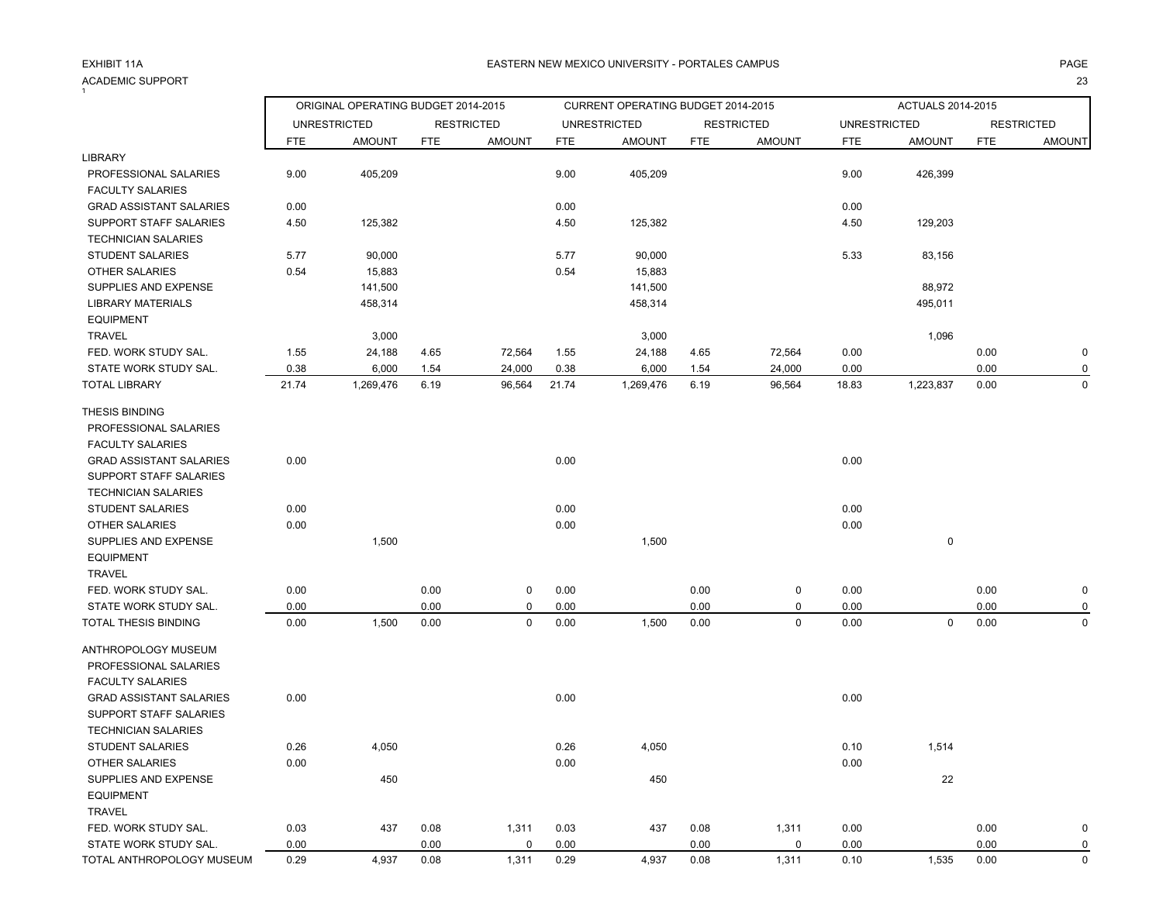### ACADEMIC SUPPORT<br><sup>1</sup> т с произведения с произведения с произведения с произведения с произведения с произведения с произведения с 23<br>После при применении с произведения с произведения с произведения с произведения с произведения с произведени

### A EASTERN NEW MEXICO UNIVERSITY - PORTALES CAMPUS AND THE RESERVE AND RESERVE THE RESERVE TO A SERVE THE RESERVE

|                                | ORIGINAL OPERATING BUDGET 2014-2015 |                     |            |                   | CURRENT OPERATING BUDGET 2014-2015 |                     |            |                   | ACTUALS 2014-2015   |               |            |                   |
|--------------------------------|-------------------------------------|---------------------|------------|-------------------|------------------------------------|---------------------|------------|-------------------|---------------------|---------------|------------|-------------------|
|                                |                                     | <b>UNRESTRICTED</b> |            | <b>RESTRICTED</b> |                                    | <b>UNRESTRICTED</b> |            | <b>RESTRICTED</b> | <b>UNRESTRICTED</b> |               |            | <b>RESTRICTED</b> |
|                                | FTE                                 | <b>AMOUNT</b>       | <b>FTE</b> | <b>AMOUNT</b>     | <b>FTE</b>                         | <b>AMOUNT</b>       | <b>FTE</b> | <b>AMOUNT</b>     | <b>FTE</b>          | <b>AMOUNT</b> | <b>FTE</b> | <b>AMOUNT</b>     |
| <b>LIBRARY</b>                 |                                     |                     |            |                   |                                    |                     |            |                   |                     |               |            |                   |
| PROFESSIONAL SALARIES          | 9.00                                | 405,209             |            |                   | 9.00                               | 405,209             |            |                   | 9.00                | 426,399       |            |                   |
| <b>FACULTY SALARIES</b>        |                                     |                     |            |                   |                                    |                     |            |                   |                     |               |            |                   |
| <b>GRAD ASSISTANT SALARIES</b> | 0.00                                |                     |            |                   | 0.00                               |                     |            |                   | 0.00                |               |            |                   |
| SUPPORT STAFF SALARIES         | 4.50                                | 125,382             |            |                   | 4.50                               | 125,382             |            |                   | 4.50                | 129,203       |            |                   |
| <b>TECHNICIAN SALARIES</b>     |                                     |                     |            |                   |                                    |                     |            |                   |                     |               |            |                   |
| <b>STUDENT SALARIES</b>        | 5.77                                | 90,000              |            |                   | 5.77                               | 90,000              |            |                   | 5.33                | 83,156        |            |                   |
| OTHER SALARIES                 | 0.54                                | 15,883              |            |                   | 0.54                               | 15,883              |            |                   |                     |               |            |                   |
| SUPPLIES AND EXPENSE           |                                     | 141,500             |            |                   |                                    | 141,500             |            |                   |                     | 88,972        |            |                   |
| <b>LIBRARY MATERIALS</b>       |                                     | 458,314             |            |                   |                                    | 458,314             |            |                   |                     | 495,011       |            |                   |
| <b>EQUIPMENT</b>               |                                     |                     |            |                   |                                    |                     |            |                   |                     |               |            |                   |
| <b>TRAVEL</b>                  |                                     | 3,000               |            |                   |                                    | 3,000               |            |                   |                     | 1,096         |            |                   |
| FED. WORK STUDY SAL.           | 1.55                                | 24,188              | 4.65       | 72,564            | 1.55                               | 24,188              | 4.65       | 72,564            | 0.00                |               | 0.00       | $\mathbf 0$       |
| STATE WORK STUDY SAL.          | 0.38                                | 6,000               | 1.54       | 24,000            | 0.38                               | 6,000               | 1.54       | 24,000            | 0.00                |               | 0.00       | 0                 |
| <b>TOTAL LIBRARY</b>           | 21.74                               | 1,269,476           | 6.19       | 96,564            | 21.74                              | 1,269,476           | 6.19       | 96,564            | 18.83               | 1,223,837     | 0.00       | 0                 |
| <b>THESIS BINDING</b>          |                                     |                     |            |                   |                                    |                     |            |                   |                     |               |            |                   |
| PROFESSIONAL SALARIES          |                                     |                     |            |                   |                                    |                     |            |                   |                     |               |            |                   |
| <b>FACULTY SALARIES</b>        |                                     |                     |            |                   |                                    |                     |            |                   |                     |               |            |                   |
| <b>GRAD ASSISTANT SALARIES</b> | 0.00                                |                     |            |                   | 0.00                               |                     |            |                   | 0.00                |               |            |                   |
| <b>SUPPORT STAFF SALARIES</b>  |                                     |                     |            |                   |                                    |                     |            |                   |                     |               |            |                   |
| <b>TECHNICIAN SALARIES</b>     |                                     |                     |            |                   |                                    |                     |            |                   |                     |               |            |                   |
| <b>STUDENT SALARIES</b>        | 0.00                                |                     |            |                   | 0.00                               |                     |            |                   | 0.00                |               |            |                   |
| <b>OTHER SALARIES</b>          | 0.00                                |                     |            |                   | 0.00                               |                     |            |                   | 0.00                |               |            |                   |
| SUPPLIES AND EXPENSE           |                                     | 1,500               |            |                   |                                    | 1,500               |            |                   |                     | $\pmb{0}$     |            |                   |
| <b>EQUIPMENT</b>               |                                     |                     |            |                   |                                    |                     |            |                   |                     |               |            |                   |
| <b>TRAVEL</b>                  |                                     |                     |            |                   |                                    |                     |            |                   |                     |               |            |                   |
| FED. WORK STUDY SAL.           | 0.00                                |                     | 0.00       | 0                 | 0.00                               |                     | 0.00       | $\pmb{0}$         | 0.00                |               | 0.00       | $\mathbf 0$       |
| STATE WORK STUDY SAL.          | 0.00                                |                     | 0.00       | 0                 | 0.00                               |                     | 0.00       | 0                 | 0.00                |               | 0.00       | 0                 |
| TOTAL THESIS BINDING           | 0.00                                | 1,500               | 0.00       | 0                 | 0.00                               | 1,500               | 0.00       | $\mathbf 0$       | 0.00                | 0             | 0.00       | 0                 |
| ANTHROPOLOGY MUSEUM            |                                     |                     |            |                   |                                    |                     |            |                   |                     |               |            |                   |
|                                |                                     |                     |            |                   |                                    |                     |            |                   |                     |               |            |                   |
| PROFESSIONAL SALARIES          |                                     |                     |            |                   |                                    |                     |            |                   |                     |               |            |                   |
| <b>FACULTY SALARIES</b>        |                                     |                     |            |                   |                                    |                     |            |                   |                     |               |            |                   |
| <b>GRAD ASSISTANT SALARIES</b> | 0.00                                |                     |            |                   | 0.00                               |                     |            |                   | 0.00                |               |            |                   |
| <b>SUPPORT STAFF SALARIES</b>  |                                     |                     |            |                   |                                    |                     |            |                   |                     |               |            |                   |
| <b>TECHNICIAN SALARIES</b>     |                                     |                     |            |                   |                                    |                     |            |                   |                     |               |            |                   |
| <b>STUDENT SALARIES</b>        | 0.26                                | 4,050               |            |                   | 0.26                               | 4,050               |            |                   | 0.10                | 1,514         |            |                   |
| OTHER SALARIES                 | 0.00                                |                     |            |                   | 0.00                               |                     |            |                   | 0.00                |               |            |                   |
| SUPPLIES AND EXPENSE           |                                     | 450                 |            |                   |                                    | 450                 |            |                   |                     | 22            |            |                   |
| <b>EQUIPMENT</b>               |                                     |                     |            |                   |                                    |                     |            |                   |                     |               |            |                   |
| <b>TRAVEL</b>                  |                                     |                     |            |                   |                                    |                     |            |                   |                     |               |            |                   |
| FED. WORK STUDY SAL.           | 0.03                                | 437                 | 0.08       | 1,311             | 0.03                               | 437                 | 0.08       | 1,311             | 0.00                |               | 0.00       | $\mathbf 0$       |
| STATE WORK STUDY SAL.          | 0.00                                |                     | 0.00       | 0                 | 0.00                               |                     | 0.00       | 0                 | 0.00                |               | 0.00       | 0                 |
| TOTAL ANTHROPOLOGY MUSEUM      | 0.29                                | 4,937               | 0.08       | 1,311             | 0.29                               | 4,937               | 0.08       | 1,311             | 0.10                | 1,535         | 0.00       | $\mathbf 0$       |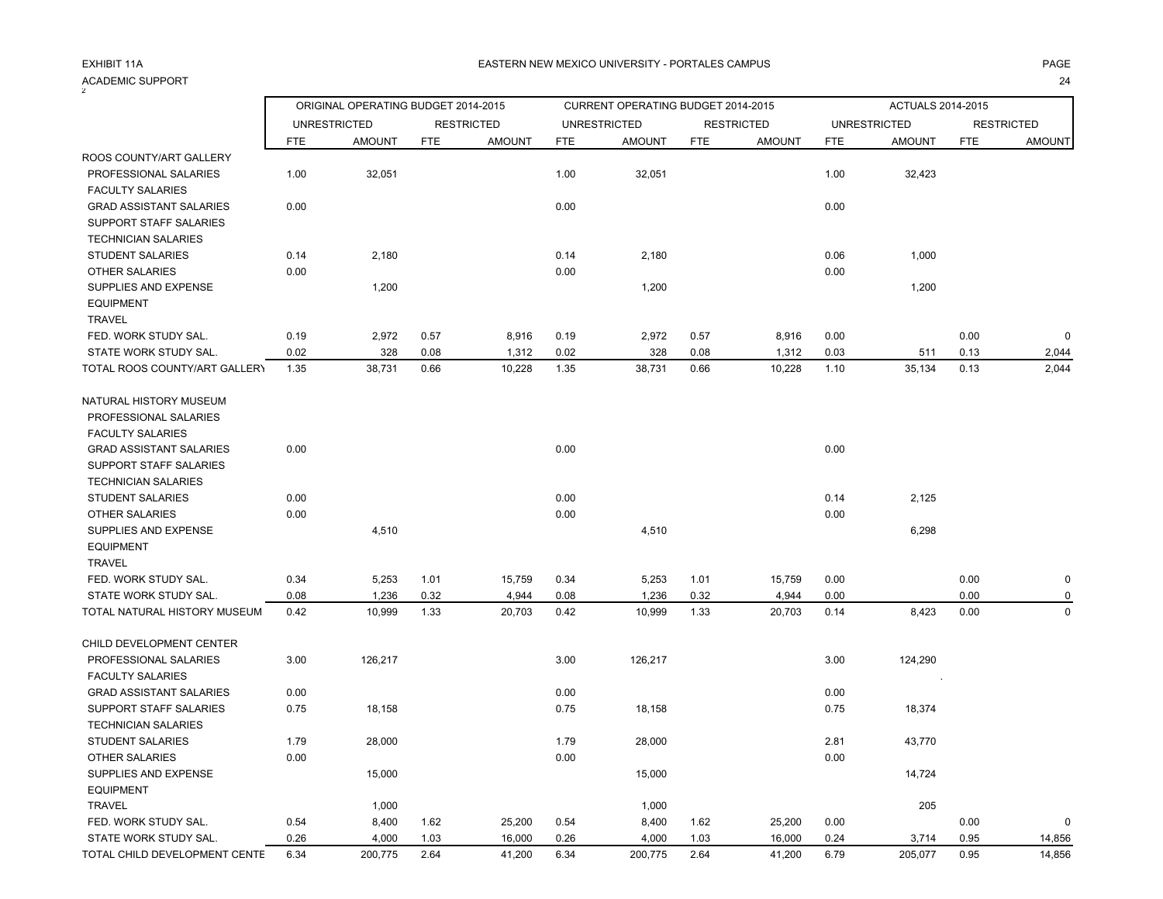#### ACADEMIC SUPPORT<br><sup>2</sup> The contract of the contract of the contract of the contract of the contract of the contract of the contract of the contract of the contract of the contract of the contract of the contract of the contract of the contract o

TOTAL CHILD DEVELOPMENT CENTE

|                                |            | ORIGINAL OPERATING BUDGET 2014-2015 |      |                   |            | CURRENT OPERATING BUDGET 2014-2015 |            |                   |            | ACTUALS 2014-2015   |            |                   |
|--------------------------------|------------|-------------------------------------|------|-------------------|------------|------------------------------------|------------|-------------------|------------|---------------------|------------|-------------------|
|                                |            | <b>UNRESTRICTED</b>                 |      | <b>RESTRICTED</b> |            | <b>UNRESTRICTED</b>                |            | <b>RESTRICTED</b> |            | <b>UNRESTRICTED</b> |            | <b>RESTRICTED</b> |
|                                | <b>FTE</b> | <b>AMOUNT</b>                       | FTE  | <b>AMOUNT</b>     | <b>FTE</b> | <b>AMOUNT</b>                      | <b>FTE</b> | <b>AMOUNT</b>     | <b>FTE</b> | <b>AMOUNT</b>       | <b>FTE</b> | <b>AMOUNT</b>     |
| ROOS COUNTY/ART GALLERY        |            |                                     |      |                   |            |                                    |            |                   |            |                     |            |                   |
| PROFESSIONAL SALARIES          | 1.00       | 32,051                              |      |                   | 1.00       | 32,051                             |            |                   | 1.00       | 32,423              |            |                   |
| <b>FACULTY SALARIES</b>        |            |                                     |      |                   |            |                                    |            |                   |            |                     |            |                   |
| <b>GRAD ASSISTANT SALARIES</b> | 0.00       |                                     |      |                   | 0.00       |                                    |            |                   | 0.00       |                     |            |                   |
| SUPPORT STAFF SALARIES         |            |                                     |      |                   |            |                                    |            |                   |            |                     |            |                   |
| <b>TECHNICIAN SALARIES</b>     |            |                                     |      |                   |            |                                    |            |                   |            |                     |            |                   |
| <b>STUDENT SALARIES</b>        | 0.14       | 2,180                               |      |                   | 0.14       | 2,180                              |            |                   | 0.06       | 1,000               |            |                   |
| <b>OTHER SALARIES</b>          | 0.00       |                                     |      |                   | 0.00       |                                    |            |                   | 0.00       |                     |            |                   |
| SUPPLIES AND EXPENSE           |            | 1,200                               |      |                   |            | 1,200                              |            |                   |            | 1,200               |            |                   |
| <b>EQUIPMENT</b>               |            |                                     |      |                   |            |                                    |            |                   |            |                     |            |                   |
| <b>TRAVEL</b>                  |            |                                     |      |                   |            |                                    |            |                   |            |                     |            |                   |
| FED. WORK STUDY SAL.           | 0.19       | 2,972                               | 0.57 | 8,916             | 0.19       | 2,972                              | 0.57       | 8,916             | 0.00       |                     | 0.00       | $\Omega$          |
| STATE WORK STUDY SAL.          | 0.02       | 328                                 | 0.08 | 1,312             | 0.02       | 328                                | 0.08       | 1,312             | 0.03       | 511                 | 0.13       | 2,044             |
| TOTAL ROOS COUNTY/ART GALLERY  | 1.35       | 38,731                              | 0.66 | 10,228            | 1.35       | 38,731                             | 0.66       | 10,228            | 1.10       | 35,134              | 0.13       | 2,044             |
| NATURAL HISTORY MUSEUM         |            |                                     |      |                   |            |                                    |            |                   |            |                     |            |                   |
| PROFESSIONAL SALARIES          |            |                                     |      |                   |            |                                    |            |                   |            |                     |            |                   |
| <b>FACULTY SALARIES</b>        |            |                                     |      |                   |            |                                    |            |                   |            |                     |            |                   |
| <b>GRAD ASSISTANT SALARIES</b> | 0.00       |                                     |      |                   | 0.00       |                                    |            |                   | 0.00       |                     |            |                   |
| SUPPORT STAFF SALARIES         |            |                                     |      |                   |            |                                    |            |                   |            |                     |            |                   |
| <b>TECHNICIAN SALARIES</b>     |            |                                     |      |                   |            |                                    |            |                   |            |                     |            |                   |
| <b>STUDENT SALARIES</b>        | 0.00       |                                     |      |                   | 0.00       |                                    |            |                   | 0.14       | 2,125               |            |                   |
| <b>OTHER SALARIES</b>          | 0.00       |                                     |      |                   | 0.00       |                                    |            |                   | 0.00       |                     |            |                   |
| SUPPLIES AND EXPENSE           |            | 4,510                               |      |                   |            | 4,510                              |            |                   |            | 6,298               |            |                   |
| <b>EQUIPMENT</b>               |            |                                     |      |                   |            |                                    |            |                   |            |                     |            |                   |
| <b>TRAVEL</b>                  |            |                                     |      |                   |            |                                    |            |                   |            |                     |            |                   |
| FED. WORK STUDY SAL.           | 0.34       | 5,253                               | 1.01 | 15,759            | 0.34       | 5,253                              | 1.01       | 15,759            | 0.00       |                     | 0.00       | 0                 |
| STATE WORK STUDY SAL.          | 0.08       | 1,236                               | 0.32 | 4,944             | 0.08       | 1,236                              | 0.32       | 4,944             | 0.00       |                     | 0.00       |                   |
| TOTAL NATURAL HISTORY MUSEUM   | 0.42       | 10,999                              | 1.33 | 20,703            | 0.42       | 10,999                             | 1.33       | 20,703            | 0.14       | 8,423               | 0.00       | $\Omega$          |
| CHILD DEVELOPMENT CENTER       |            |                                     |      |                   |            |                                    |            |                   |            |                     |            |                   |
| PROFESSIONAL SALARIES          | 3.00       | 126,217                             |      |                   | 3.00       | 126,217                            |            |                   | 3.00       | 124,290             |            |                   |
| <b>FACULTY SALARIES</b>        |            |                                     |      |                   |            |                                    |            |                   |            |                     |            |                   |
| <b>GRAD ASSISTANT SALARIES</b> | 0.00       |                                     |      |                   | 0.00       |                                    |            |                   | 0.00       |                     |            |                   |
| SUPPORT STAFF SALARIES         | 0.75       | 18,158                              |      |                   | 0.75       | 18,158                             |            |                   | 0.75       | 18,374              |            |                   |
| <b>TECHNICIAN SALARIES</b>     |            |                                     |      |                   |            |                                    |            |                   |            |                     |            |                   |
| <b>STUDENT SALARIES</b>        | 1.79       | 28,000                              |      |                   | 1.79       | 28,000                             |            |                   | 2.81       | 43,770              |            |                   |
| <b>OTHER SALARIES</b>          | 0.00       |                                     |      |                   | 0.00       |                                    |            |                   | 0.00       |                     |            |                   |
| SUPPLIES AND EXPENSE           |            | 15,000                              |      |                   |            | 15,000                             |            |                   |            | 14,724              |            |                   |
| <b>EQUIPMENT</b>               |            |                                     |      |                   |            |                                    |            |                   |            |                     |            |                   |
| <b>TRAVEL</b>                  |            | 1,000                               |      |                   |            | 1,000                              |            |                   |            | 205                 |            |                   |

 FED. WORK STUDY SAL. 0.54 8,400 1.62 25,200 0.54 8,400 1.62 25,200 0.00 0.00 0 STATE WORK STUDY SAL. 0.26 4,000 1.03 16,000 0.26 4,000 1.03 16,000 0.24 3,714 0.95 14,856

6.34 200,775 2.64 41,200 6.34 200,775 2.64 41,200 6.79 205,077 0.95 14,856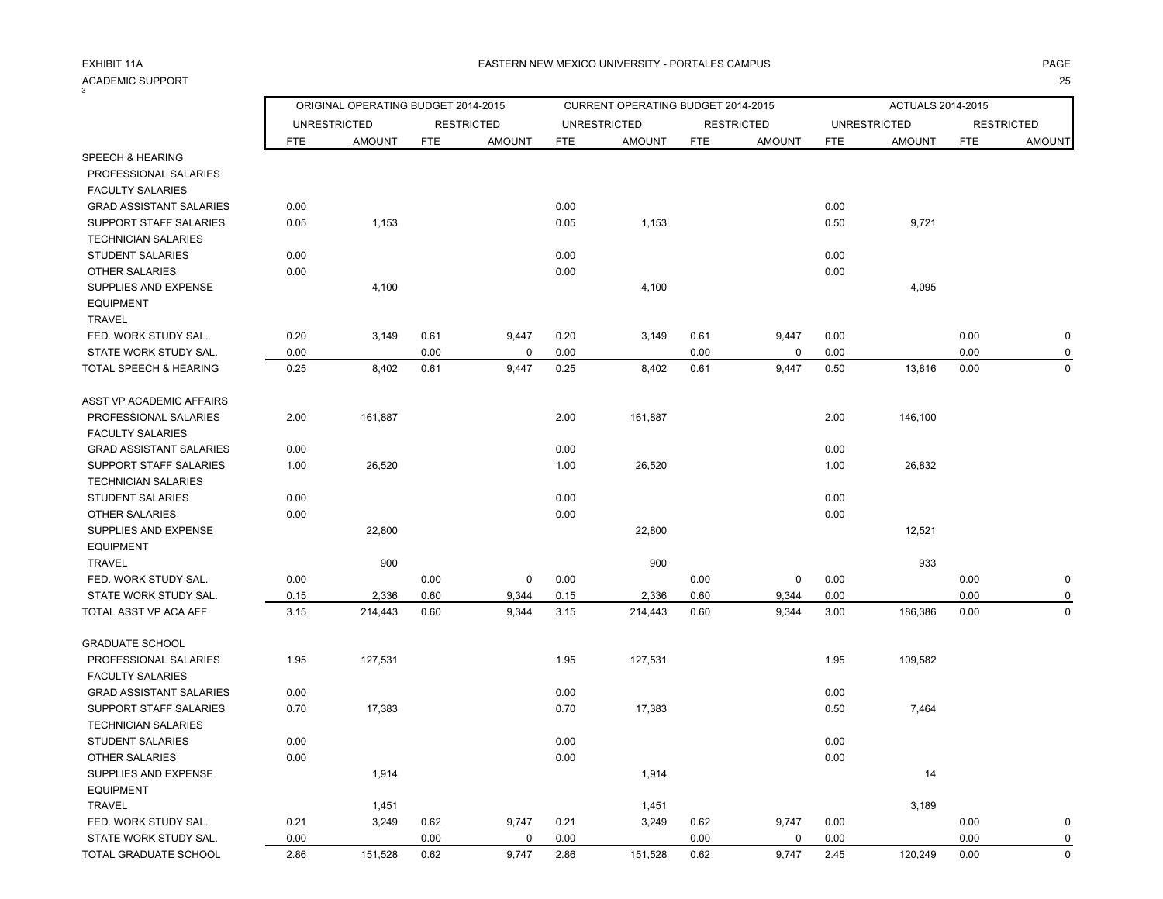# ACADEMIC SUPPORT<br><sup>3</sup>

т произведения произведения с произведения с произведения с произведения с произведения с произведения с произв

|                                |            | ORIGINAL OPERATING BUDGET 2014-2015 |            |                   |            | CURRENT OPERATING BUDGET 2014-2015 |            |                   |            | ACTUALS 2014-2015   |            |                   |
|--------------------------------|------------|-------------------------------------|------------|-------------------|------------|------------------------------------|------------|-------------------|------------|---------------------|------------|-------------------|
|                                |            | <b>UNRESTRICTED</b>                 |            | <b>RESTRICTED</b> |            | <b>UNRESTRICTED</b>                |            | <b>RESTRICTED</b> |            | <b>UNRESTRICTED</b> |            | <b>RESTRICTED</b> |
|                                | <b>FTE</b> | <b>AMOUNT</b>                       | <b>FTE</b> | <b>AMOUNT</b>     | <b>FTE</b> | <b>AMOUNT</b>                      | <b>FTE</b> | <b>AMOUNT</b>     | <b>FTE</b> | <b>AMOUNT</b>       | <b>FTE</b> | <b>AMOUNT</b>     |
| SPEECH & HEARING               |            |                                     |            |                   |            |                                    |            |                   |            |                     |            |                   |
| PROFESSIONAL SALARIES          |            |                                     |            |                   |            |                                    |            |                   |            |                     |            |                   |
| <b>FACULTY SALARIES</b>        |            |                                     |            |                   |            |                                    |            |                   |            |                     |            |                   |
| <b>GRAD ASSISTANT SALARIES</b> | 0.00       |                                     |            |                   | 0.00       |                                    |            |                   | 0.00       |                     |            |                   |
| SUPPORT STAFF SALARIES         | 0.05       | 1,153                               |            |                   | 0.05       | 1,153                              |            |                   | 0.50       | 9,721               |            |                   |
| <b>TECHNICIAN SALARIES</b>     |            |                                     |            |                   |            |                                    |            |                   |            |                     |            |                   |
| <b>STUDENT SALARIES</b>        | 0.00       |                                     |            |                   | 0.00       |                                    |            |                   | 0.00       |                     |            |                   |
| <b>OTHER SALARIES</b>          | 0.00       |                                     |            |                   | 0.00       |                                    |            |                   | 0.00       |                     |            |                   |
| SUPPLIES AND EXPENSE           |            | 4,100                               |            |                   |            | 4,100                              |            |                   |            | 4,095               |            |                   |
| <b>EQUIPMENT</b>               |            |                                     |            |                   |            |                                    |            |                   |            |                     |            |                   |
| <b>TRAVEL</b>                  |            |                                     |            |                   |            |                                    |            |                   |            |                     |            |                   |
| FED. WORK STUDY SAL.           | 0.20       | 3,149                               | 0.61       | 9,447             | 0.20       | 3,149                              | 0.61       | 9,447             | 0.00       |                     | 0.00       | $\pmb{0}$         |
| STATE WORK STUDY SAL.          | 0.00       |                                     | 0.00       | $\mathbf 0$       | 0.00       |                                    | 0.00       | $\pmb{0}$         | 0.00       |                     | 0.00       | $\mathbf 0$       |
| TOTAL SPEECH & HEARING         | 0.25       | 8,402                               | 0.61       | 9,447             | 0.25       | 8,402                              | 0.61       | 9,447             | 0.50       | 13,816              | 0.00       | $\mathbf 0$       |
| ASST VP ACADEMIC AFFAIRS       |            |                                     |            |                   |            |                                    |            |                   |            |                     |            |                   |
| PROFESSIONAL SALARIES          | 2.00       | 161,887                             |            |                   | 2.00       | 161,887                            |            |                   | 2.00       | 146,100             |            |                   |
| <b>FACULTY SALARIES</b>        |            |                                     |            |                   |            |                                    |            |                   |            |                     |            |                   |
| <b>GRAD ASSISTANT SALARIES</b> | 0.00       |                                     |            |                   | 0.00       |                                    |            |                   | 0.00       |                     |            |                   |
| SUPPORT STAFF SALARIES         | 1.00       | 26,520                              |            |                   | 1.00       | 26,520                             |            |                   | 1.00       | 26,832              |            |                   |
| <b>TECHNICIAN SALARIES</b>     |            |                                     |            |                   |            |                                    |            |                   |            |                     |            |                   |
| STUDENT SALARIES               | 0.00       |                                     |            |                   | 0.00       |                                    |            |                   | 0.00       |                     |            |                   |
| <b>OTHER SALARIES</b>          | 0.00       |                                     |            |                   | 0.00       |                                    |            |                   | 0.00       |                     |            |                   |
| SUPPLIES AND EXPENSE           |            | 22,800                              |            |                   |            | 22,800                             |            |                   |            | 12,521              |            |                   |
| <b>EQUIPMENT</b>               |            |                                     |            |                   |            |                                    |            |                   |            |                     |            |                   |
| <b>TRAVEL</b>                  |            | 900                                 |            |                   |            | 900                                |            |                   |            | 933                 |            |                   |
| FED. WORK STUDY SAL.           | 0.00       |                                     | 0.00       | $\mathbf 0$       | 0.00       |                                    | 0.00       | 0                 | 0.00       |                     | 0.00       | $\mathbf 0$       |
| STATE WORK STUDY SAL.          | 0.15       | 2,336                               | 0.60       | 9,344             | 0.15       | 2,336                              | 0.60       | 9,344             | 0.00       |                     | 0.00       | 0                 |
| TOTAL ASST VP ACA AFF          | 3.15       | 214,443                             | 0.60       | 9,344             | 3.15       | 214,443                            | 0.60       | 9,344             | 3.00       | 186,386             | 0.00       | $\mathbf 0$       |
| <b>GRADUATE SCHOOL</b>         |            |                                     |            |                   |            |                                    |            |                   |            |                     |            |                   |
| PROFESSIONAL SALARIES          | 1.95       | 127,531                             |            |                   | 1.95       | 127,531                            |            |                   | 1.95       | 109,582             |            |                   |
| <b>FACULTY SALARIES</b>        |            |                                     |            |                   |            |                                    |            |                   |            |                     |            |                   |
| <b>GRAD ASSISTANT SALARIES</b> | 0.00       |                                     |            |                   | 0.00       |                                    |            |                   | 0.00       |                     |            |                   |
| <b>SUPPORT STAFF SALARIES</b>  | 0.70       | 17,383                              |            |                   | 0.70       | 17,383                             |            |                   | 0.50       | 7,464               |            |                   |
| <b>TECHNICIAN SALARIES</b>     |            |                                     |            |                   |            |                                    |            |                   |            |                     |            |                   |
| <b>STUDENT SALARIES</b>        | 0.00       |                                     |            |                   | 0.00       |                                    |            |                   | 0.00       |                     |            |                   |
| <b>OTHER SALARIES</b>          | 0.00       |                                     |            |                   | 0.00       |                                    |            |                   | 0.00       |                     |            |                   |
| SUPPLIES AND EXPENSE           |            | 1,914                               |            |                   |            | 1,914                              |            |                   |            | 14                  |            |                   |
| <b>EQUIPMENT</b>               |            |                                     |            |                   |            |                                    |            |                   |            |                     |            |                   |
| <b>TRAVEL</b>                  |            | 1,451                               |            |                   |            | 1,451                              |            |                   |            | 3,189               |            |                   |
| FED. WORK STUDY SAL.           | 0.21       | 3,249                               | 0.62       | 9,747             | 0.21       | 3,249                              | 0.62       | 9,747             | 0.00       |                     | 0.00       | $\mathbf 0$       |
| STATE WORK STUDY SAL.          | 0.00       |                                     | 0.00       | 0                 | 0.00       |                                    | 0.00       | 0                 | 0.00       |                     | 0.00       | 0                 |
| TOTAL GRADUATE SCHOOL          | 2.86       | 151,528                             | 0.62       | 9,747             | 2.86       | 151,528                            | 0.62       | 9,747             | 2.45       | 120,249             | 0.00       | $\mathbf 0$       |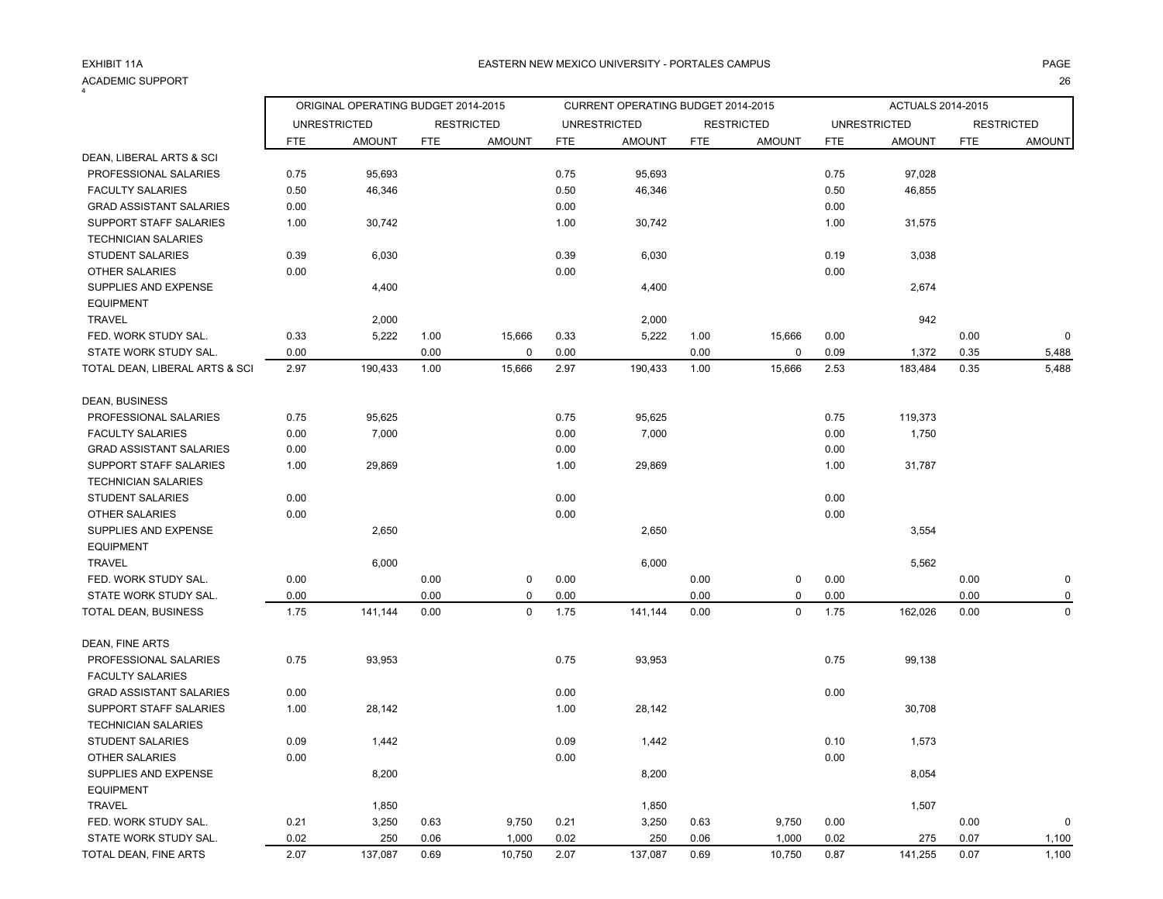### ACADEMIC SUPPORT<br><sup>4</sup> т произведения произведения с произведения с произведения с произведения с произведения с произведения с произв

|                                |            | ORIGINAL OPERATING BUDGET 2014-2015 |            |                   |            | CURRENT OPERATING BUDGET 2014-2015 |            |                   |            | ACTUALS 2014-2015   |            |                   |
|--------------------------------|------------|-------------------------------------|------------|-------------------|------------|------------------------------------|------------|-------------------|------------|---------------------|------------|-------------------|
|                                |            | <b>UNRESTRICTED</b>                 |            | <b>RESTRICTED</b> |            | <b>UNRESTRICTED</b>                |            | <b>RESTRICTED</b> |            | <b>UNRESTRICTED</b> |            | <b>RESTRICTED</b> |
|                                | <b>FTE</b> | <b>AMOUNT</b>                       | <b>FTE</b> | <b>AMOUNT</b>     | <b>FTE</b> | <b>AMOUNT</b>                      | <b>FTE</b> | <b>AMOUNT</b>     | <b>FTE</b> | <b>AMOUNT</b>       | <b>FTE</b> | <b>AMOUNT</b>     |
| DEAN, LIBERAL ARTS & SCI       |            |                                     |            |                   |            |                                    |            |                   |            |                     |            |                   |
| PROFESSIONAL SALARIES          | 0.75       | 95,693                              |            |                   | 0.75       | 95,693                             |            |                   | 0.75       | 97,028              |            |                   |
| <b>FACULTY SALARIES</b>        | 0.50       | 46,346                              |            |                   | 0.50       | 46,346                             |            |                   | 0.50       | 46,855              |            |                   |
| <b>GRAD ASSISTANT SALARIES</b> | 0.00       |                                     |            |                   | 0.00       |                                    |            |                   | 0.00       |                     |            |                   |
| SUPPORT STAFF SALARIES         | 1.00       | 30,742                              |            |                   | 1.00       | 30,742                             |            |                   | 1.00       | 31,575              |            |                   |
| <b>TECHNICIAN SALARIES</b>     |            |                                     |            |                   |            |                                    |            |                   |            |                     |            |                   |
| <b>STUDENT SALARIES</b>        | 0.39       | 6,030                               |            |                   | 0.39       | 6,030                              |            |                   | 0.19       | 3,038               |            |                   |
| <b>OTHER SALARIES</b>          | 0.00       |                                     |            |                   | 0.00       |                                    |            |                   | 0.00       |                     |            |                   |
| SUPPLIES AND EXPENSE           |            | 4,400                               |            |                   |            | 4,400                              |            |                   |            | 2,674               |            |                   |
| <b>EQUIPMENT</b>               |            |                                     |            |                   |            |                                    |            |                   |            |                     |            |                   |
| <b>TRAVEL</b>                  |            | 2,000                               |            |                   |            | 2,000                              |            |                   |            | 942                 |            |                   |
| FED. WORK STUDY SAL.           | 0.33       | 5,222                               | 1.00       | 15,666            | 0.33       | 5,222                              | 1.00       | 15,666            | 0.00       |                     | 0.00       | 0                 |
| STATE WORK STUDY SAL.          | 0.00       |                                     | 0.00       | $\mathbf 0$       | 0.00       |                                    | 0.00       | 0                 | 0.09       | 1,372               | 0.35       | 5,488             |
| TOTAL DEAN, LIBERAL ARTS & SCI | 2.97       | 190,433                             | 1.00       | 15,666            | 2.97       | 190,433                            | 1.00       | 15,666            | 2.53       | 183,484             | 0.35       | 5,488             |
| DEAN, BUSINESS                 |            |                                     |            |                   |            |                                    |            |                   |            |                     |            |                   |
| PROFESSIONAL SALARIES          | 0.75       | 95,625                              |            |                   | 0.75       | 95,625                             |            |                   | 0.75       | 119,373             |            |                   |
| <b>FACULTY SALARIES</b>        | 0.00       | 7,000                               |            |                   | 0.00       | 7,000                              |            |                   | 0.00       | 1,750               |            |                   |
| <b>GRAD ASSISTANT SALARIES</b> | 0.00       |                                     |            |                   | 0.00       |                                    |            |                   | 0.00       |                     |            |                   |
| SUPPORT STAFF SALARIES         | 1.00       | 29,869                              |            |                   | 1.00       | 29,869                             |            |                   | 1.00       | 31,787              |            |                   |
| <b>TECHNICIAN SALARIES</b>     |            |                                     |            |                   |            |                                    |            |                   |            |                     |            |                   |
| <b>STUDENT SALARIES</b>        | 0.00       |                                     |            |                   | 0.00       |                                    |            |                   | 0.00       |                     |            |                   |
| OTHER SALARIES                 | 0.00       |                                     |            |                   | 0.00       |                                    |            |                   | 0.00       |                     |            |                   |
| SUPPLIES AND EXPENSE           |            | 2,650                               |            |                   |            | 2,650                              |            |                   |            | 3,554               |            |                   |
| <b>EQUIPMENT</b>               |            |                                     |            |                   |            |                                    |            |                   |            |                     |            |                   |
| <b>TRAVEL</b>                  |            | 6,000                               |            |                   |            | 6,000                              |            |                   |            | 5,562               |            |                   |
| FED. WORK STUDY SAL.           | 0.00       |                                     | 0.00       | $\mathbf 0$       | 0.00       |                                    | 0.00       | 0                 | 0.00       |                     | 0.00       | 0                 |
| STATE WORK STUDY SAL.          | 0.00       |                                     | 0.00       | 0                 | 0.00       |                                    | 0.00       | 0                 | 0.00       |                     | 0.00       |                   |
| TOTAL DEAN, BUSINESS           | 1.75       | 141,144                             | 0.00       | $\mathbf 0$       | 1.75       | 141,144                            | 0.00       | 0                 | 1.75       | 162,026             | 0.00       | $\Omega$          |
| DEAN, FINE ARTS                |            |                                     |            |                   |            |                                    |            |                   |            |                     |            |                   |
| PROFESSIONAL SALARIES          | 0.75       | 93,953                              |            |                   | 0.75       | 93,953                             |            |                   | 0.75       | 99,138              |            |                   |
| <b>FACULTY SALARIES</b>        |            |                                     |            |                   |            |                                    |            |                   |            |                     |            |                   |
| <b>GRAD ASSISTANT SALARIES</b> | 0.00       |                                     |            |                   | 0.00       |                                    |            |                   | 0.00       |                     |            |                   |
| SUPPORT STAFF SALARIES         | 1.00       | 28,142                              |            |                   | 1.00       | 28,142                             |            |                   |            | 30,708              |            |                   |
| <b>TECHNICIAN SALARIES</b>     |            |                                     |            |                   |            |                                    |            |                   |            |                     |            |                   |
| <b>STUDENT SALARIES</b>        | 0.09       | 1,442                               |            |                   | 0.09       | 1,442                              |            |                   | 0.10       | 1,573               |            |                   |
| OTHER SALARIES                 | 0.00       |                                     |            |                   | 0.00       |                                    |            |                   | 0.00       |                     |            |                   |
| SUPPLIES AND EXPENSE           |            | 8,200                               |            |                   |            | 8,200                              |            |                   |            | 8,054               |            |                   |
| <b>EQUIPMENT</b>               |            |                                     |            |                   |            |                                    |            |                   |            |                     |            |                   |
| <b>TRAVEL</b>                  |            | 1,850                               |            |                   |            | 1,850                              |            |                   |            | 1,507               |            |                   |
| FED. WORK STUDY SAL.           | 0.21       | 3,250                               | 0.63       | 9,750             | 0.21       | 3,250                              | 0.63       | 9,750             | 0.00       |                     | 0.00       | 0                 |
| STATE WORK STUDY SAL.          | 0.02       | 250                                 | 0.06       | 1,000             | 0.02       | 250                                | 0.06       | 1,000             | 0.02       | 275                 | 0.07       | 1,100             |

TOTAL DEAN, FINE ARTS 2.07 137,087 0.69 10,750 2.07 137,087 0.69 10,750 0.87 141,255 0.07 1,100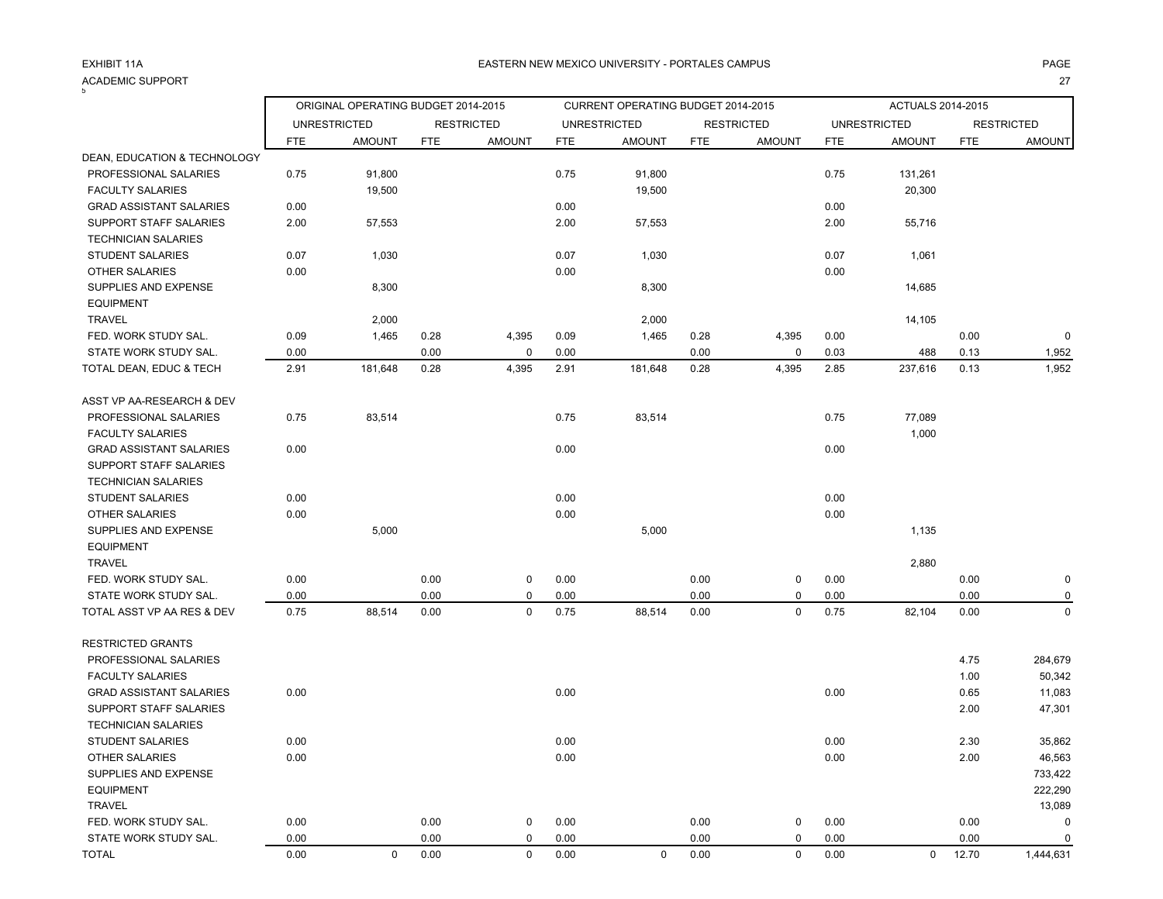### ACADEMIC SUPPORT<br><sup>5</sup> т с последници по последници с последници с последници с последници с последници с последници с последници с п<br>Последници с последници с последници с последници с последници с последници с последници с последници с послед

|                                |            | ORIGINAL OPERATING BUDGET 2014-2015 |            |                   |            | CURRENT OPERATING BUDGET 2014-2015 |            |                   |            | ACTUALS 2014-2015   |            |                   |
|--------------------------------|------------|-------------------------------------|------------|-------------------|------------|------------------------------------|------------|-------------------|------------|---------------------|------------|-------------------|
|                                |            | <b>UNRESTRICTED</b>                 |            | <b>RESTRICTED</b> |            | <b>UNRESTRICTED</b>                |            | <b>RESTRICTED</b> |            | <b>UNRESTRICTED</b> |            | <b>RESTRICTED</b> |
|                                | <b>FTE</b> | <b>AMOUNT</b>                       | <b>FTE</b> | <b>AMOUNT</b>     | <b>FTE</b> | <b>AMOUNT</b>                      | <b>FTE</b> | <b>AMOUNT</b>     | <b>FTE</b> | <b>AMOUNT</b>       | <b>FTE</b> | <b>AMOUNT</b>     |
| DEAN, EDUCATION & TECHNOLOGY   |            |                                     |            |                   |            |                                    |            |                   |            |                     |            |                   |
| PROFESSIONAL SALARIES          | 0.75       | 91,800                              |            |                   | 0.75       | 91,800                             |            |                   | 0.75       | 131,261             |            |                   |
| <b>FACULTY SALARIES</b>        |            | 19,500                              |            |                   |            | 19,500                             |            |                   |            | 20,300              |            |                   |
| <b>GRAD ASSISTANT SALARIES</b> | 0.00       |                                     |            |                   | 0.00       |                                    |            |                   | 0.00       |                     |            |                   |
| SUPPORT STAFF SALARIES         | 2.00       | 57,553                              |            |                   | 2.00       | 57,553                             |            |                   | 2.00       | 55,716              |            |                   |
| <b>TECHNICIAN SALARIES</b>     |            |                                     |            |                   |            |                                    |            |                   |            |                     |            |                   |
| STUDENT SALARIES               | 0.07       | 1,030                               |            |                   | 0.07       | 1,030                              |            |                   | 0.07       | 1,061               |            |                   |
| OTHER SALARIES                 | 0.00       |                                     |            |                   | 0.00       |                                    |            |                   | 0.00       |                     |            |                   |
| SUPPLIES AND EXPENSE           |            | 8,300                               |            |                   |            | 8,300                              |            |                   |            | 14,685              |            |                   |
| <b>EQUIPMENT</b>               |            |                                     |            |                   |            |                                    |            |                   |            |                     |            |                   |
| <b>TRAVEL</b>                  |            | 2,000                               |            |                   |            | 2,000                              |            |                   |            | 14,105              |            |                   |
| FED. WORK STUDY SAL.           | 0.09       | 1,465                               | 0.28       | 4,395             | 0.09       | 1,465                              | 0.28       | 4,395             | 0.00       |                     | 0.00       | $\mathbf 0$       |
| STATE WORK STUDY SAL.          | 0.00       |                                     | 0.00       | 0                 | 0.00       |                                    | 0.00       | 0                 | 0.03       | 488                 | 0.13       | 1,952             |
| TOTAL DEAN, EDUC & TECH        | 2.91       | 181,648                             | 0.28       | 4,395             | 2.91       | 181,648                            | 0.28       | 4,395             | 2.85       | 237,616             | 0.13       | 1,952             |
| ASST VP AA-RESEARCH & DEV      |            |                                     |            |                   |            |                                    |            |                   |            |                     |            |                   |
| PROFESSIONAL SALARIES          | 0.75       | 83,514                              |            |                   | 0.75       | 83,514                             |            |                   | 0.75       | 77,089              |            |                   |
| <b>FACULTY SALARIES</b>        |            |                                     |            |                   |            |                                    |            |                   |            | 1,000               |            |                   |
| <b>GRAD ASSISTANT SALARIES</b> | 0.00       |                                     |            |                   | 0.00       |                                    |            |                   | 0.00       |                     |            |                   |
| <b>SUPPORT STAFF SALARIES</b>  |            |                                     |            |                   |            |                                    |            |                   |            |                     |            |                   |
| <b>TECHNICIAN SALARIES</b>     |            |                                     |            |                   |            |                                    |            |                   |            |                     |            |                   |
| <b>STUDENT SALARIES</b>        | 0.00       |                                     |            |                   | 0.00       |                                    |            |                   | 0.00       |                     |            |                   |
| OTHER SALARIES                 | 0.00       |                                     |            |                   | 0.00       |                                    |            |                   | 0.00       |                     |            |                   |
| SUPPLIES AND EXPENSE           |            | 5,000                               |            |                   |            | 5,000                              |            |                   |            | 1,135               |            |                   |
| <b>EQUIPMENT</b>               |            |                                     |            |                   |            |                                    |            |                   |            |                     |            |                   |
| <b>TRAVEL</b>                  |            |                                     |            |                   |            |                                    |            |                   |            | 2,880               |            |                   |
| FED. WORK STUDY SAL.           | 0.00       |                                     | 0.00       | $\mathbf 0$       | 0.00       |                                    | 0.00       | $\pmb{0}$         | 0.00       |                     | 0.00       | $\pmb{0}$         |
| STATE WORK STUDY SAL.          | 0.00       |                                     | 0.00       | $\mathbf 0$       | 0.00       |                                    | 0.00       | $\pmb{0}$         | 0.00       |                     | 0.00       | 0                 |
| TOTAL ASST VP AA RES & DEV     | 0.75       | 88,514                              | 0.00       | $\mathbf 0$       | 0.75       | 88,514                             | 0.00       | 0                 | 0.75       | 82,104              | 0.00       | $\mathbf 0$       |
| <b>RESTRICTED GRANTS</b>       |            |                                     |            |                   |            |                                    |            |                   |            |                     |            |                   |
| PROFESSIONAL SALARIES          |            |                                     |            |                   |            |                                    |            |                   |            |                     | 4.75       | 284,679           |
| <b>FACULTY SALARIES</b>        |            |                                     |            |                   |            |                                    |            |                   |            |                     | 1.00       | 50,342            |
| <b>GRAD ASSISTANT SALARIES</b> | 0.00       |                                     |            |                   | 0.00       |                                    |            |                   | 0.00       |                     | 0.65       | 11,083            |
| SUPPORT STAFF SALARIES         |            |                                     |            |                   |            |                                    |            |                   |            |                     | 2.00       | 47,301            |
| <b>TECHNICIAN SALARIES</b>     |            |                                     |            |                   |            |                                    |            |                   |            |                     |            |                   |
| <b>STUDENT SALARIES</b>        | 0.00       |                                     |            |                   | 0.00       |                                    |            |                   | 0.00       |                     | 2.30       | 35,862            |
| <b>OTHER SALARIES</b>          | 0.00       |                                     |            |                   | 0.00       |                                    |            |                   | 0.00       |                     | 2.00       | 46,563            |
| SUPPLIES AND EXPENSE           |            |                                     |            |                   |            |                                    |            |                   |            |                     |            | 733,422           |
| <b>EQUIPMENT</b>               |            |                                     |            |                   |            |                                    |            |                   |            |                     |            | 222,290           |
| <b>TRAVEL</b>                  |            |                                     |            |                   |            |                                    |            |                   |            |                     |            | 13,089            |
| FED. WORK STUDY SAL.           | 0.00       |                                     | 0.00       | 0                 | 0.00       |                                    | 0.00       | 0                 | 0.00       |                     | 0.00       | $\mathsf 0$       |
| STATE WORK STUDY SAL.          | 0.00       |                                     | 0.00       | $\Omega$          | 0.00       |                                    | 0.00       | $\mathbf 0$       | 0.00       |                     | 0.00       | $\mathbf 0$       |

TOTAL 0.00 0 0.00 0 0.00 0 0.00 0 0.00 0 12.70 1,444,631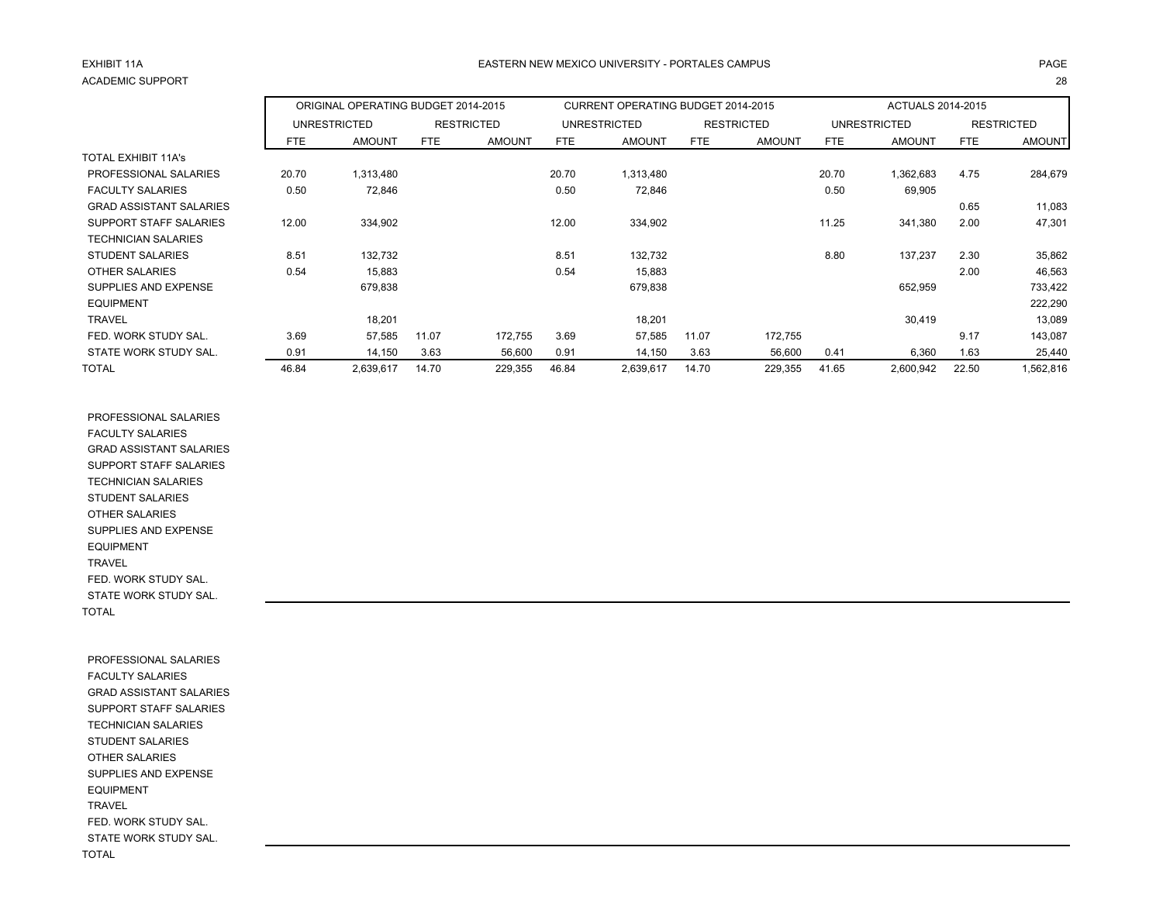# EXHIBIT 11AACADEMIC SUPPORT

# A EASTERN NEW MEXICO UNIVERSITY - PORTALES CAMPUS AND AND AND ANGELES ON A PAGE AND A PAGE т с произведения на селото на 1992 година од 28 април од 28 април од 28 април од 28 април од 28 април од 28

|                                |       | ORIGINAL OPERATING BUDGET 2014-2015 |       |                   |       | CURRENT OPERATING BUDGET 2014-2015 |       |                   |       | ACTUALS 2014-2015 |       |                   |
|--------------------------------|-------|-------------------------------------|-------|-------------------|-------|------------------------------------|-------|-------------------|-------|-------------------|-------|-------------------|
|                                |       | <b>UNRESTRICTED</b>                 |       | <b>RESTRICTED</b> |       | <b>UNRESTRICTED</b>                |       | <b>RESTRICTED</b> |       | UNRESTRICTED      |       | <b>RESTRICTED</b> |
|                                | FTE   | <b>AMOUNT</b>                       | FTE   | <b>AMOUNT</b>     | FTE   | <b>AMOUNT</b>                      | FTE   | <b>AMOUNT</b>     | FTE   | <b>AMOUNT</b>     | FTE   | <b>AMOUNT</b>     |
| <b>TOTAL EXHIBIT 11A's</b>     |       |                                     |       |                   |       |                                    |       |                   |       |                   |       |                   |
| PROFESSIONAL SALARIES          | 20.70 | 1,313,480                           |       |                   | 20.70 | 1,313,480                          |       |                   | 20.70 | 1,362,683         | 4.75  | 284,679           |
| <b>FACULTY SALARIES</b>        | 0.50  | 72,846                              |       |                   | 0.50  | 72,846                             |       |                   | 0.50  | 69,905            |       |                   |
| <b>GRAD ASSISTANT SALARIES</b> |       |                                     |       |                   |       |                                    |       |                   |       |                   | 0.65  | 11,083            |
| SUPPORT STAFF SALARIES         | 12.00 | 334,902                             |       |                   | 12.00 | 334,902                            |       |                   | 11.25 | 341,380           | 2.00  | 47,301            |
| <b>TECHNICIAN SALARIES</b>     |       |                                     |       |                   |       |                                    |       |                   |       |                   |       |                   |
| <b>STUDENT SALARIES</b>        | 8.51  | 132,732                             |       |                   | 8.51  | 132,732                            |       |                   | 8.80  | 137,237           | 2.30  | 35,862            |
| <b>OTHER SALARIES</b>          | 0.54  | 15,883                              |       |                   | 0.54  | 15,883                             |       |                   |       |                   | 2.00  | 46,563            |
| SUPPLIES AND EXPENSE           |       | 679,838                             |       |                   |       | 679,838                            |       |                   |       | 652,959           |       | 733,422           |
| <b>EQUIPMENT</b>               |       |                                     |       |                   |       |                                    |       |                   |       |                   |       | 222,290           |
| <b>TRAVEL</b>                  |       | 18,201                              |       |                   |       | 18,201                             |       |                   |       | 30,419            |       | 13,089            |
| FED. WORK STUDY SAL.           | 3.69  | 57,585                              | 11.07 | 172,755           | 3.69  | 57,585                             | 11.07 | 172,755           |       |                   | 9.17  | 143,087           |
| STATE WORK STUDY SAL.          | 0.91  | 14,150                              | 3.63  | 56,600            | 0.91  | 14,150                             | 3.63  | 56,600            | 0.41  | 6,360             | 1.63  | 25,440            |
| <b>TOTAL</b>                   | 46.84 | 2,639,617                           | 14.70 | 229,355           | 46.84 | 2,639,617                          | 14.70 | 229,355           | 41.65 | 2,600,942         | 22.50 | .562,816          |

 PROFESSIONAL SALARIES FACULTY SALARIES GRAD ASSISTANT SALARIES SUPPORT STAFF SALARIES TECHNICIAN SALARIES STUDENT SALARIES OTHER SALARIES SUPPLIES AND EXPENSE EQUIPMENT TRAVEL FED. WORK STUDY SAL. STATE WORK STUDY SAL. TOTAL

 PROFESSIONAL SALARIES FACULTY SALARIES GRAD ASSISTANT SALARIES SUPPORT STAFF SALARIES TECHNICIAN SALARIES STUDENT SALARIES OTHER SALARIES SUPPLIES AND EXPENSE EQUIPMENT TRAVEL FED. WORK STUDY SAL. STATE WORK STUDY SAL. TOTAL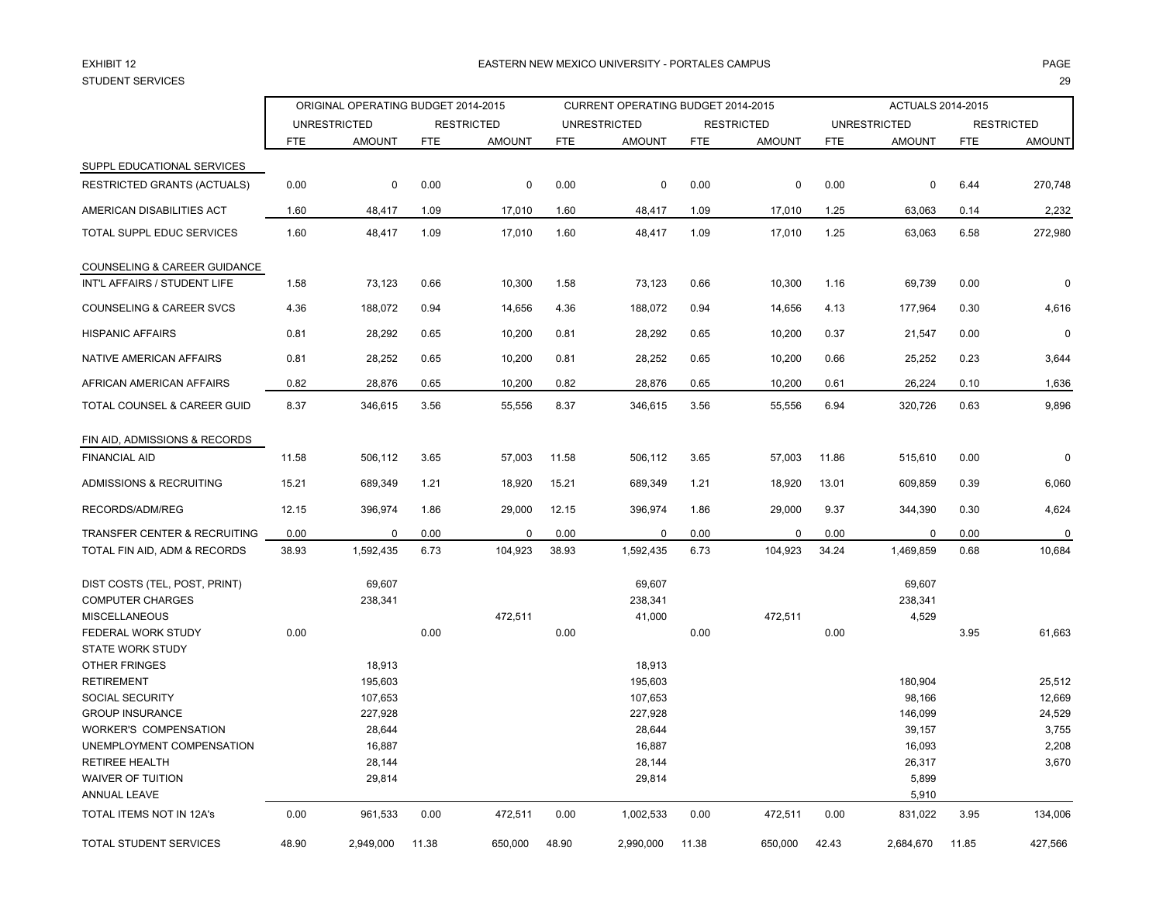# EXHIBIT 12STUDENT SERVICES

# 2 EASTERN NEW MEXICO UNIVERSITY - PORTALES CAMPUS PAGE estimates the contract of the contract of the contract of the contract of the contract of the contract of the contract of the contract of the contract of the contract of the contract of the contract of the contract of the

|                                                                                  |            | ORIGINAL OPERATING BUDGET 2014-2015 |            |                   |            | CURRENT OPERATING BUDGET 2014-2015 |            |                   |            | ACTUALS 2014-2015          |            |                   |
|----------------------------------------------------------------------------------|------------|-------------------------------------|------------|-------------------|------------|------------------------------------|------------|-------------------|------------|----------------------------|------------|-------------------|
|                                                                                  |            | <b>UNRESTRICTED</b>                 |            | <b>RESTRICTED</b> |            | <b>UNRESTRICTED</b>                |            | <b>RESTRICTED</b> |            | <b>UNRESTRICTED</b>        |            | <b>RESTRICTED</b> |
|                                                                                  | <b>FTE</b> | <b>AMOUNT</b>                       | <b>FTE</b> | <b>AMOUNT</b>     | <b>FTE</b> | <b>AMOUNT</b>                      | <b>FTE</b> | <b>AMOUNT</b>     | <b>FTE</b> | <b>AMOUNT</b>              | <b>FTE</b> | <b>AMOUNT</b>     |
| SUPPL EDUCATIONAL SERVICES                                                       |            |                                     |            |                   |            |                                    |            |                   |            |                            |            |                   |
| RESTRICTED GRANTS (ACTUALS)                                                      | 0.00       | 0                                   | 0.00       | 0                 | 0.00       | 0                                  | 0.00       | 0                 | 0.00       | 0                          | 6.44       | 270,748           |
| AMERICAN DISABILITIES ACT                                                        | 1.60       | 48,417                              | 1.09       | 17,010            | 1.60       | 48,417                             | 1.09       | 17,010            | 1.25       | 63,063                     | 0.14       | 2,232             |
| TOTAL SUPPL EDUC SERVICES                                                        | 1.60       | 48,417                              | 1.09       | 17,010            | 1.60       | 48,417                             | 1.09       | 17,010            | 1.25       | 63,063                     | 6.58       | 272,980           |
| COUNSELING & CAREER GUIDANCE<br>INT'L AFFAIRS / STUDENT LIFE                     | 1.58       | 73,123                              | 0.66       | 10,300            | 1.58       | 73,123                             | 0.66       | 10,300            | 1.16       | 69,739                     | 0.00       | $\Omega$          |
| <b>COUNSELING &amp; CAREER SVCS</b>                                              | 4.36       | 188,072                             | 0.94       | 14,656            | 4.36       | 188,072                            | 0.94       | 14,656            | 4.13       | 177,964                    | 0.30       | 4,616             |
| <b>HISPANIC AFFAIRS</b>                                                          | 0.81       | 28,292                              | 0.65       | 10,200            | 0.81       | 28,292                             | 0.65       | 10,200            | 0.37       | 21,547                     | 0.00       | $\mathbf 0$       |
| NATIVE AMERICAN AFFAIRS                                                          | 0.81       | 28,252                              | 0.65       | 10,200            | 0.81       | 28,252                             | 0.65       | 10,200            | 0.66       | 25,252                     | 0.23       | 3,644             |
| AFRICAN AMERICAN AFFAIRS                                                         | 0.82       | 28,876                              | 0.65       | 10,200            | 0.82       | 28,876                             | 0.65       | 10,200            | 0.61       | 26,224                     | 0.10       | 1,636             |
| TOTAL COUNSEL & CAREER GUID                                                      | 8.37       | 346,615                             | 3.56       | 55,556            | 8.37       | 346,615                            | 3.56       | 55,556            | 6.94       | 320,726                    | 0.63       | 9,896             |
| FIN AID, ADMISSIONS & RECORDS                                                    |            |                                     |            |                   |            |                                    |            |                   |            |                            |            |                   |
| <b>FINANCIAL AID</b>                                                             | 11.58      | 506,112                             | 3.65       | 57,003            | 11.58      | 506,112                            | 3.65       | 57,003            | 11.86      | 515,610                    | 0.00       | $\Omega$          |
| ADMISSIONS & RECRUITING                                                          | 15.21      | 689,349                             | 1.21       | 18,920            | 15.21      | 689,349                            | 1.21       | 18,920            | 13.01      | 609,859                    | 0.39       | 6,060             |
| RECORDS/ADM/REG                                                                  | 12.15      | 396,974                             | 1.86       | 29,000            | 12.15      | 396,974                            | 1.86       | 29,000            | 9.37       | 344,390                    | 0.30       | 4,624             |
| TRANSFER CENTER & RECRUITING                                                     | 0.00       | 0                                   | 0.00       | 0                 | 0.00       | 0                                  | 0.00       | $\mathbf 0$       | 0.00       | $\mathbf 0$                | 0.00       | $\mathbf 0$       |
| TOTAL FIN AID, ADM & RECORDS                                                     | 38.93      | 1,592,435                           | 6.73       | 104,923           | 38.93      | 1,592,435                          | 6.73       | 104,923           | 34.24      | 1,469,859                  | 0.68       | 10,684            |
| DIST COSTS (TEL, POST, PRINT)<br><b>COMPUTER CHARGES</b><br><b>MISCELLANEOUS</b> |            | 69,607<br>238,341                   |            | 472,511           |            | 69,607<br>238,341<br>41,000        |            | 472,511           |            | 69,607<br>238,341<br>4,529 |            |                   |
| FEDERAL WORK STUDY<br><b>STATE WORK STUDY</b><br>OTHER FRINGES                   | 0.00       | 18,913                              | 0.00       |                   | 0.00       | 18,913                             | 0.00       |                   | 0.00       |                            | 3.95       | 61,663            |
| <b>RETIREMENT</b><br>SOCIAL SECURITY                                             |            | 195,603<br>107,653                  |            |                   |            | 195,603<br>107,653                 |            |                   |            | 180,904<br>98,166          |            | 25,512<br>12,669  |
| <b>GROUP INSURANCE</b>                                                           |            | 227,928                             |            |                   |            | 227,928                            |            |                   |            | 146,099                    |            | 24,529            |
| <b>WORKER'S COMPENSATION</b>                                                     |            | 28,644                              |            |                   |            | 28,644                             |            |                   |            | 39,157                     |            | 3,755             |
| UNEMPLOYMENT COMPENSATION                                                        |            | 16,887                              |            |                   |            | 16,887                             |            |                   |            | 16,093                     |            | 2,208             |
| <b>RETIREE HEALTH</b>                                                            |            | 28,144                              |            |                   |            | 28,144                             |            |                   |            | 26,317                     |            | 3,670             |
| <b>WAIVER OF TUITION</b><br><b>ANNUAL LEAVE</b>                                  |            | 29,814                              |            |                   |            | 29,814                             |            |                   |            | 5,899<br>5,910             |            |                   |
| TOTAL ITEMS NOT IN 12A's                                                         | 0.00       | 961,533                             | 0.00       | 472,511           | 0.00       | 1,002,533                          | 0.00       | 472,511           | 0.00       | 831,022                    | 3.95       | 134,006           |
| TOTAL STUDENT SERVICES                                                           | 48.90      | 2,949,000                           | 11.38      | 650,000           | 48.90      | 2,990,000                          | 11.38      | 650,000           | 42.43      | 2,684,670                  | 11.85      | 427,566           |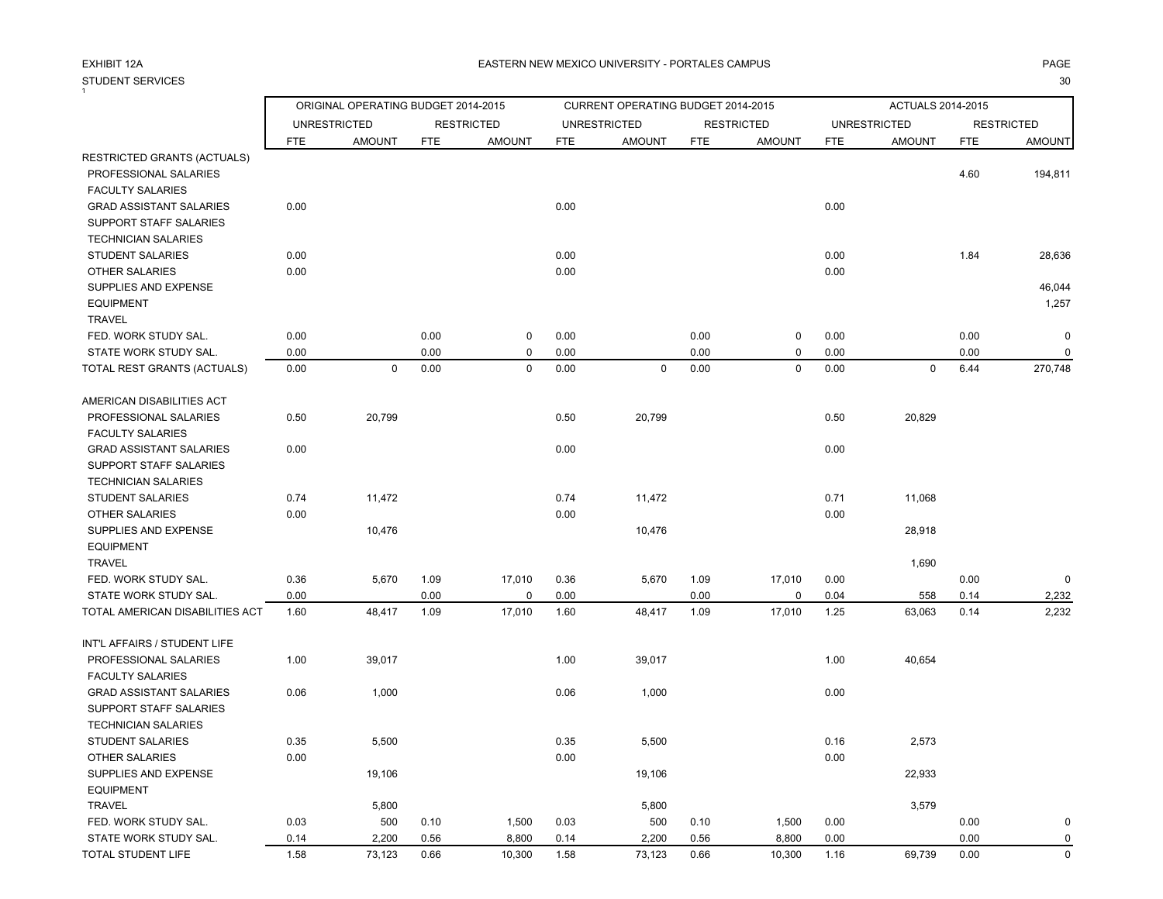# STUDENT SERVICES<br><sup>1</sup>

S and the contract of the contract of the contract of the contract of the contract of the contract of the contract of the contract of the contract of the contract of the contract of the contract of the contract of the cont

|                                 |            | ORIGINAL OPERATING BUDGET 2014-2015 |            |                   |            | CURRENT OPERATING BUDGET 2014-2015 |            |                   |            | ACTUALS 2014-2015   |            |                   |
|---------------------------------|------------|-------------------------------------|------------|-------------------|------------|------------------------------------|------------|-------------------|------------|---------------------|------------|-------------------|
|                                 |            | <b>UNRESTRICTED</b>                 |            | <b>RESTRICTED</b> |            | <b>UNRESTRICTED</b>                |            | <b>RESTRICTED</b> |            | <b>UNRESTRICTED</b> |            | <b>RESTRICTED</b> |
|                                 | <b>FTE</b> | <b>AMOUNT</b>                       | <b>FTE</b> | <b>AMOUNT</b>     | <b>FTE</b> | <b>AMOUNT</b>                      | <b>FTE</b> | <b>AMOUNT</b>     | <b>FTE</b> | <b>AMOUNT</b>       | <b>FTE</b> | <b>AMOUNT</b>     |
| RESTRICTED GRANTS (ACTUALS)     |            |                                     |            |                   |            |                                    |            |                   |            |                     |            |                   |
| PROFESSIONAL SALARIES           |            |                                     |            |                   |            |                                    |            |                   |            |                     | 4.60       | 194,811           |
| <b>FACULTY SALARIES</b>         |            |                                     |            |                   |            |                                    |            |                   |            |                     |            |                   |
| <b>GRAD ASSISTANT SALARIES</b>  | 0.00       |                                     |            |                   | 0.00       |                                    |            |                   | 0.00       |                     |            |                   |
| SUPPORT STAFF SALARIES          |            |                                     |            |                   |            |                                    |            |                   |            |                     |            |                   |
| <b>TECHNICIAN SALARIES</b>      |            |                                     |            |                   |            |                                    |            |                   |            |                     |            |                   |
| <b>STUDENT SALARIES</b>         | 0.00       |                                     |            |                   | 0.00       |                                    |            |                   | 0.00       |                     | 1.84       | 28,636            |
| <b>OTHER SALARIES</b>           | 0.00       |                                     |            |                   | 0.00       |                                    |            |                   | 0.00       |                     |            |                   |
| SUPPLIES AND EXPENSE            |            |                                     |            |                   |            |                                    |            |                   |            |                     |            | 46,044            |
| <b>EQUIPMENT</b>                |            |                                     |            |                   |            |                                    |            |                   |            |                     |            | 1,257             |
| <b>TRAVEL</b>                   |            |                                     |            |                   |            |                                    |            |                   |            |                     |            |                   |
| FED. WORK STUDY SAL.            | 0.00       |                                     | 0.00       | $\mathbf 0$       | 0.00       |                                    | 0.00       | $\mathbf 0$       | 0.00       |                     | 0.00       | $\pmb{0}$         |
| STATE WORK STUDY SAL.           | 0.00       |                                     | 0.00       | 0                 | 0.00       |                                    | 0.00       | 0                 | 0.00       |                     | 0.00       | $\mathbf 0$       |
| TOTAL REST GRANTS (ACTUALS)     | 0.00       | $\mathbf 0$                         | 0.00       | $\mathbf 0$       | 0.00       | $\mathbf 0$                        | 0.00       | $\mathbf 0$       | 0.00       | $\mathbf 0$         | 6.44       | 270,748           |
| AMERICAN DISABILITIES ACT       |            |                                     |            |                   |            |                                    |            |                   |            |                     |            |                   |
| PROFESSIONAL SALARIES           | 0.50       | 20,799                              |            |                   | 0.50       | 20,799                             |            |                   | 0.50       | 20,829              |            |                   |
| <b>FACULTY SALARIES</b>         |            |                                     |            |                   |            |                                    |            |                   |            |                     |            |                   |
| <b>GRAD ASSISTANT SALARIES</b>  | 0.00       |                                     |            |                   | 0.00       |                                    |            |                   | 0.00       |                     |            |                   |
| <b>SUPPORT STAFF SALARIES</b>   |            |                                     |            |                   |            |                                    |            |                   |            |                     |            |                   |
| <b>TECHNICIAN SALARIES</b>      |            |                                     |            |                   |            |                                    |            |                   |            |                     |            |                   |
| <b>STUDENT SALARIES</b>         | 0.74       | 11,472                              |            |                   | 0.74       | 11,472                             |            |                   | 0.71       | 11,068              |            |                   |
| <b>OTHER SALARIES</b>           | 0.00       |                                     |            |                   | 0.00       |                                    |            |                   | 0.00       |                     |            |                   |
| SUPPLIES AND EXPENSE            |            | 10,476                              |            |                   |            | 10,476                             |            |                   |            | 28,918              |            |                   |
| <b>EQUIPMENT</b>                |            |                                     |            |                   |            |                                    |            |                   |            |                     |            |                   |
| <b>TRAVEL</b>                   |            |                                     |            |                   |            |                                    |            |                   |            | 1,690               |            |                   |
| FED. WORK STUDY SAL.            | 0.36       | 5,670                               | 1.09       | 17,010            | 0.36       | 5,670                              | 1.09       | 17,010            | 0.00       |                     | 0.00       | $\mathbf 0$       |
| STATE WORK STUDY SAL.           | 0.00       |                                     | 0.00       | $\mathbf 0$       | 0.00       |                                    | 0.00       | $\pmb{0}$         | 0.04       | 558                 | 0.14       | 2,232             |
| TOTAL AMERICAN DISABILITIES ACT | 1.60       | 48,417                              | 1.09       | 17,010            | 1.60       | 48,417                             | 1.09       | 17,010            | 1.25       | 63,063              | 0.14       | 2,232             |
| INT'L AFFAIRS / STUDENT LIFE    |            |                                     |            |                   |            |                                    |            |                   |            |                     |            |                   |
| PROFESSIONAL SALARIES           | 1.00       | 39,017                              |            |                   | 1.00       | 39,017                             |            |                   | 1.00       | 40,654              |            |                   |
| <b>FACULTY SALARIES</b>         |            |                                     |            |                   |            |                                    |            |                   |            |                     |            |                   |
| <b>GRAD ASSISTANT SALARIES</b>  | 0.06       | 1,000                               |            |                   | 0.06       | 1,000                              |            |                   | 0.00       |                     |            |                   |
| SUPPORT STAFF SALARIES          |            |                                     |            |                   |            |                                    |            |                   |            |                     |            |                   |
| <b>TECHNICIAN SALARIES</b>      |            |                                     |            |                   |            |                                    |            |                   |            |                     |            |                   |
| STUDENT SALARIES                | 0.35       | 5,500                               |            |                   | 0.35       | 5,500                              |            |                   | 0.16       | 2,573               |            |                   |
| OTHER SALARIES                  | 0.00       |                                     |            |                   | 0.00       |                                    |            |                   | 0.00       |                     |            |                   |
| SUPPLIES AND EXPENSE            |            | 19,106                              |            |                   |            | 19,106                             |            |                   |            | 22,933              |            |                   |
| <b>EQUIPMENT</b>                |            |                                     |            |                   |            |                                    |            |                   |            |                     |            |                   |
| <b>TRAVEL</b>                   |            | 5,800                               |            |                   |            | 5,800                              |            |                   |            | 3,579               |            |                   |
| FED. WORK STUDY SAL.            | 0.03       | 500                                 | 0.10       | 1,500             | 0.03       | 500                                | 0.10       | 1,500             | 0.00       |                     | 0.00       | $\mathbf 0$       |
| STATE WORK STUDY SAL.           | 0.14       | 2,200                               | 0.56       | 8,800             | 0.14       | 2,200                              | 0.56       | 8,800             | 0.00       |                     | 0.00       | $\pmb{0}$         |
| TOTAL STUDENT LIFE              | 1.58       | 73,123                              | 0.66       | 10,300            | 1.58       | 73,123                             | 0.66       | 10,300            | 1.16       | 69,739              | 0.00       | $\Omega$          |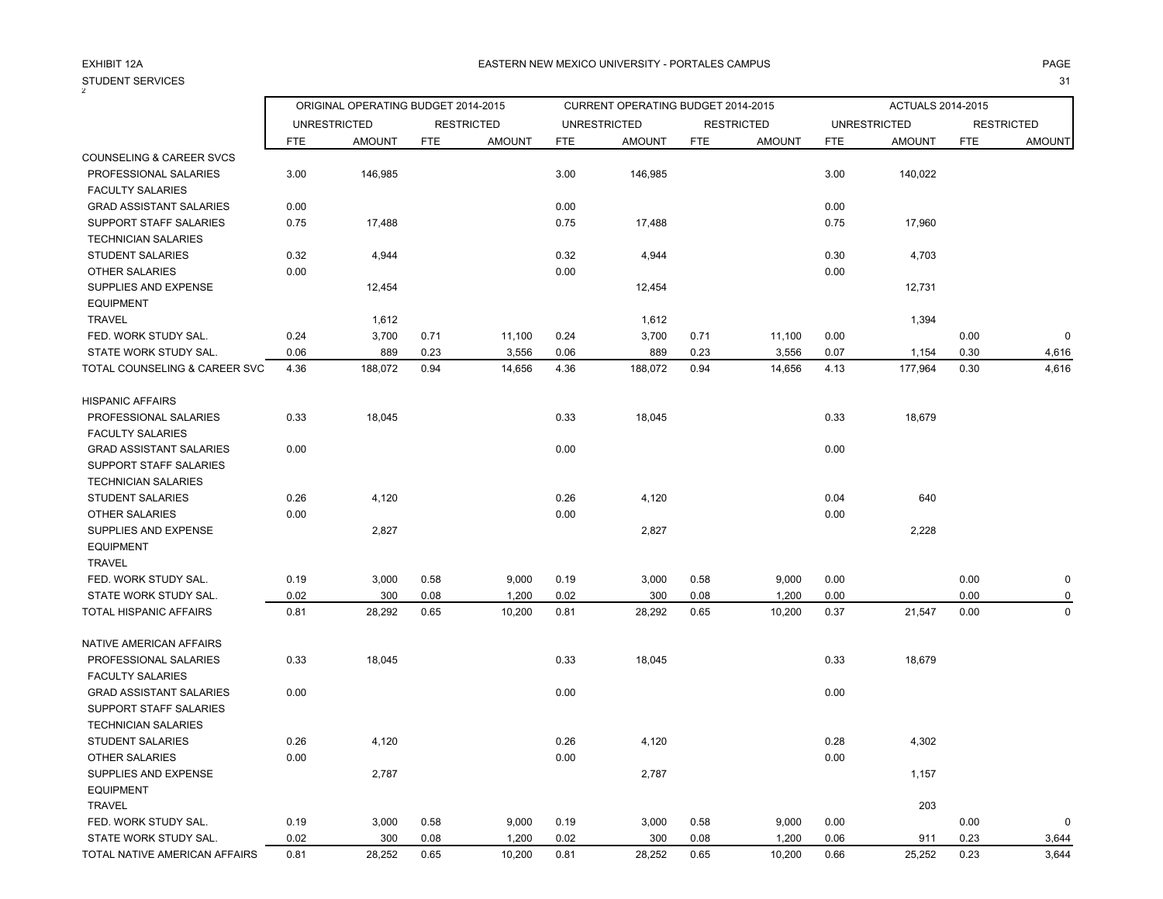# STUDENT SERVICES<br><sup>2</sup>

### A EASTERN NEW MEXICO UNIVERSITY - PORTALES CAMPUS AND AND AND ANGELES ON A PAGE AND A PAGE

S and the contract of the contract of the contract of the contract of the contract of the contract of the contract of the contract of the contract of the contract of the contract of the contract of the contract of the cont

|                                |            | ORIGINAL OPERATING BUDGET 2014-2015 |            |                   |      | CURRENT OPERATING BUDGET 2014-2015 |            |                   |            | ACTUALS 2014-2015   |            |                   |
|--------------------------------|------------|-------------------------------------|------------|-------------------|------|------------------------------------|------------|-------------------|------------|---------------------|------------|-------------------|
|                                |            | <b>UNRESTRICTED</b>                 |            | <b>RESTRICTED</b> |      | <b>UNRESTRICTED</b>                |            | <b>RESTRICTED</b> |            | <b>UNRESTRICTED</b> |            | <b>RESTRICTED</b> |
|                                | <b>FTE</b> | <b>AMOUNT</b>                       | <b>FTE</b> | <b>AMOUNT</b>     | FTE  | <b>AMOUNT</b>                      | <b>FTE</b> | <b>AMOUNT</b>     | <b>FTE</b> | <b>AMOUNT</b>       | <b>FTE</b> | <b>AMOUNT</b>     |
| COUNSELING & CAREER SVCS       |            |                                     |            |                   |      |                                    |            |                   |            |                     |            |                   |
| PROFESSIONAL SALARIES          | 3.00       | 146,985                             |            |                   | 3.00 | 146,985                            |            |                   | 3.00       | 140,022             |            |                   |
| <b>FACULTY SALARIES</b>        |            |                                     |            |                   |      |                                    |            |                   |            |                     |            |                   |
| <b>GRAD ASSISTANT SALARIES</b> | 0.00       |                                     |            |                   | 0.00 |                                    |            |                   | 0.00       |                     |            |                   |
| SUPPORT STAFF SALARIES         | 0.75       | 17,488                              |            |                   | 0.75 | 17,488                             |            |                   | 0.75       | 17,960              |            |                   |
| <b>TECHNICIAN SALARIES</b>     |            |                                     |            |                   |      |                                    |            |                   |            |                     |            |                   |
| <b>STUDENT SALARIES</b>        | 0.32       | 4,944                               |            |                   | 0.32 | 4,944                              |            |                   | 0.30       | 4,703               |            |                   |
| <b>OTHER SALARIES</b>          | 0.00       |                                     |            |                   | 0.00 |                                    |            |                   | 0.00       |                     |            |                   |
| SUPPLIES AND EXPENSE           |            | 12,454                              |            |                   |      | 12,454                             |            |                   |            | 12,731              |            |                   |
| <b>EQUIPMENT</b>               |            |                                     |            |                   |      |                                    |            |                   |            |                     |            |                   |
| <b>TRAVEL</b>                  |            | 1,612                               |            |                   |      | 1,612                              |            |                   |            | 1,394               |            |                   |
| FED. WORK STUDY SAL.           | 0.24       | 3,700                               | 0.71       | 11,100            | 0.24 | 3,700                              | 0.71       | 11,100            | 0.00       |                     | 0.00       | $\pmb{0}$         |
| STATE WORK STUDY SAL.          | 0.06       | 889                                 | 0.23       | 3,556             | 0.06 | 889                                | 0.23       | 3,556             | 0.07       | 1,154               | 0.30       | 4,616             |
| TOTAL COUNSELING & CAREER SVC  | 4.36       | 188,072                             | 0.94       | 14,656            | 4.36 | 188,072                            | 0.94       | 14,656            | 4.13       | 177,964             | 0.30       | 4,616             |
| <b>HISPANIC AFFAIRS</b>        |            |                                     |            |                   |      |                                    |            |                   |            |                     |            |                   |
| PROFESSIONAL SALARIES          | 0.33       | 18,045                              |            |                   | 0.33 | 18,045                             |            |                   | 0.33       | 18,679              |            |                   |
| <b>FACULTY SALARIES</b>        |            |                                     |            |                   |      |                                    |            |                   |            |                     |            |                   |
| <b>GRAD ASSISTANT SALARIES</b> | 0.00       |                                     |            |                   | 0.00 |                                    |            |                   | 0.00       |                     |            |                   |
| SUPPORT STAFF SALARIES         |            |                                     |            |                   |      |                                    |            |                   |            |                     |            |                   |
| <b>TECHNICIAN SALARIES</b>     |            |                                     |            |                   |      |                                    |            |                   |            |                     |            |                   |
| <b>STUDENT SALARIES</b>        | 0.26       | 4,120                               |            |                   | 0.26 | 4,120                              |            |                   | 0.04       | 640                 |            |                   |
| OTHER SALARIES                 | 0.00       |                                     |            |                   | 0.00 |                                    |            |                   | 0.00       |                     |            |                   |
| SUPPLIES AND EXPENSE           |            | 2,827                               |            |                   |      | 2,827                              |            |                   |            | 2,228               |            |                   |
| <b>EQUIPMENT</b>               |            |                                     |            |                   |      |                                    |            |                   |            |                     |            |                   |
| <b>TRAVEL</b>                  |            |                                     |            |                   |      |                                    |            |                   |            |                     |            |                   |
| FED. WORK STUDY SAL.           | 0.19       | 3,000                               | 0.58       | 9,000             | 0.19 | 3,000                              | 0.58       | 9,000             | 0.00       |                     | 0.00       | $\pmb{0}$         |
| STATE WORK STUDY SAL.          | 0.02       | 300                                 | 0.08       | 1,200             | 0.02 | 300                                | 0.08       | 1,200             | 0.00       |                     | 0.00       | $\mathbf 0$       |
| TOTAL HISPANIC AFFAIRS         | 0.81       | 28,292                              | 0.65       | 10,200            | 0.81 | 28,292                             | 0.65       | 10,200            | 0.37       | 21,547              | 0.00       | $\mathbf 0$       |
| NATIVE AMERICAN AFFAIRS        |            |                                     |            |                   |      |                                    |            |                   |            |                     |            |                   |
| PROFESSIONAL SALARIES          | 0.33       | 18,045                              |            |                   | 0.33 | 18,045                             |            |                   | 0.33       | 18,679              |            |                   |
| <b>FACULTY SALARIES</b>        |            |                                     |            |                   |      |                                    |            |                   |            |                     |            |                   |
| <b>GRAD ASSISTANT SALARIES</b> | 0.00       |                                     |            |                   | 0.00 |                                    |            |                   | 0.00       |                     |            |                   |
| SUPPORT STAFF SALARIES         |            |                                     |            |                   |      |                                    |            |                   |            |                     |            |                   |
| <b>TECHNICIAN SALARIES</b>     |            |                                     |            |                   |      |                                    |            |                   |            |                     |            |                   |
| STUDENT SALARIES               | 0.26       | 4,120                               |            |                   | 0.26 | 4,120                              |            |                   | 0.28       | 4,302               |            |                   |
| <b>OTHER SALARIES</b>          | 0.00       |                                     |            |                   | 0.00 |                                    |            |                   | 0.00       |                     |            |                   |
| SUPPLIES AND EXPENSE           |            | 2,787                               |            |                   |      | 2,787                              |            |                   |            | 1,157               |            |                   |
| <b>EQUIPMENT</b>               |            |                                     |            |                   |      |                                    |            |                   |            |                     |            |                   |
| <b>TRAVEL</b>                  |            |                                     |            |                   |      |                                    |            |                   |            | 203                 |            |                   |
| FED. WORK STUDY SAL.           | 0.19       | 3,000                               | 0.58       | 9,000             | 0.19 | 3,000                              | 0.58       | 9,000             | 0.00       |                     | 0.00       | $\Omega$          |
| STATE WORK STUDY SAL.          | 0.02       | 300                                 | 0.08       | 1,200             | 0.02 | 300                                | 0.08       | 1,200             | 0.06       | 911                 | 0.23       | 3,644             |
| TOTAL NATIVE AMERICAN AFFAIRS  | 0.81       | 28.252                              | 0.65       | 10.200            | 0.81 | 28.252                             | 0.65       | 10.200            | 0.66       | 25.252              | 0.23       | 3.644             |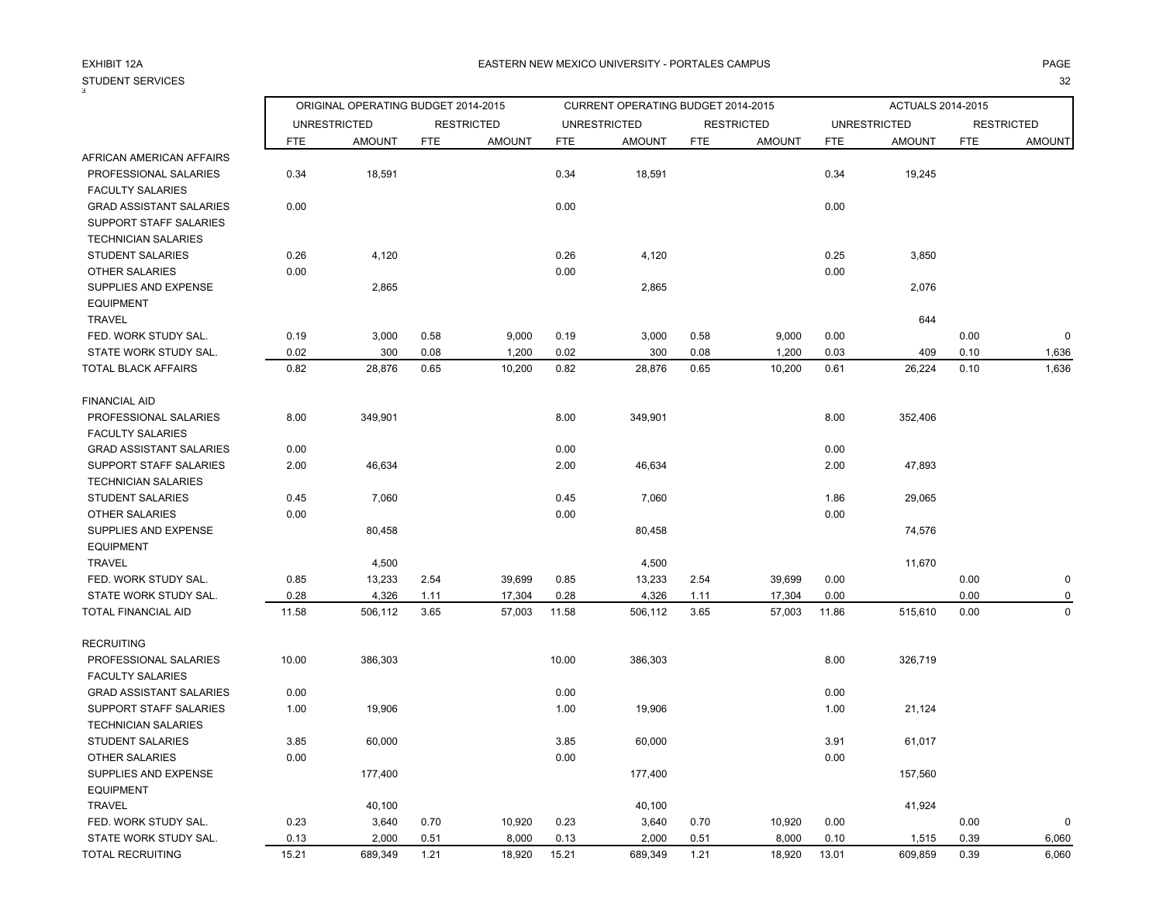STUDENT SERVICES<br><sup>3</sup> S and the contract of the contract of the contract of the contract of the contract of the contract of the contract of the contract of the contract of the contract of the contract of the contract of the contract of the cont

### A EASTERN NEW MEXICO UNIVERSITY - PORTALES CAMPUS AND AND AND ANGELES ON A PAGE AND A PAGE

|                                |            | ORIGINAL OPERATING BUDGET 2014-2015 |            |                   |            | CURRENT OPERATING BUDGET 2014-2015 |            |                   |            | <b>ACTUALS 2014-2015</b> |            |                   |
|--------------------------------|------------|-------------------------------------|------------|-------------------|------------|------------------------------------|------------|-------------------|------------|--------------------------|------------|-------------------|
|                                |            | <b>UNRESTRICTED</b>                 |            | <b>RESTRICTED</b> |            | <b>UNRESTRICTED</b>                |            | <b>RESTRICTED</b> |            | <b>UNRESTRICTED</b>      |            | <b>RESTRICTED</b> |
|                                | <b>FTE</b> | <b>AMOUNT</b>                       | <b>FTE</b> | <b>AMOUNT</b>     | <b>FTE</b> | <b>AMOUNT</b>                      | <b>FTE</b> | <b>AMOUNT</b>     | <b>FTE</b> | <b>AMOUNT</b>            | <b>FTE</b> | <b>AMOUNT</b>     |
| AFRICAN AMERICAN AFFAIRS       |            |                                     |            |                   |            |                                    |            |                   |            |                          |            |                   |
| PROFESSIONAL SALARIES          | 0.34       | 18,591                              |            |                   | 0.34       | 18,591                             |            |                   | 0.34       | 19,245                   |            |                   |
| <b>FACULTY SALARIES</b>        |            |                                     |            |                   |            |                                    |            |                   |            |                          |            |                   |
| <b>GRAD ASSISTANT SALARIES</b> | 0.00       |                                     |            |                   | 0.00       |                                    |            |                   | 0.00       |                          |            |                   |
| <b>SUPPORT STAFF SALARIES</b>  |            |                                     |            |                   |            |                                    |            |                   |            |                          |            |                   |
| <b>TECHNICIAN SALARIES</b>     |            |                                     |            |                   |            |                                    |            |                   |            |                          |            |                   |
| STUDENT SALARIES               | 0.26       | 4,120                               |            |                   | 0.26       | 4,120                              |            |                   | 0.25       | 3,850                    |            |                   |
| <b>OTHER SALARIES</b>          | 0.00       |                                     |            |                   | 0.00       |                                    |            |                   | 0.00       |                          |            |                   |
| SUPPLIES AND EXPENSE           |            | 2,865                               |            |                   |            | 2,865                              |            |                   |            | 2,076                    |            |                   |
| <b>EQUIPMENT</b>               |            |                                     |            |                   |            |                                    |            |                   |            |                          |            |                   |
| <b>TRAVEL</b>                  |            |                                     |            |                   |            |                                    |            |                   |            | 644                      |            |                   |
| FED. WORK STUDY SAL.           | 0.19       | 3,000                               | 0.58       | 9,000             | 0.19       | 3,000                              | 0.58       | 9,000             | 0.00       |                          | 0.00       | $\Omega$          |
| STATE WORK STUDY SAL.          | 0.02       | 300                                 | 0.08       | 1,200             | 0.02       | 300                                | 0.08       | 1,200             | 0.03       | 409                      | 0.10       | 1,636             |
| TOTAL BLACK AFFAIRS            | 0.82       | 28,876                              | 0.65       | 10,200            | 0.82       | 28,876                             | 0.65       | 10,200            | 0.61       | 26,224                   | 0.10       | 1,636             |
| <b>FINANCIAL AID</b>           |            |                                     |            |                   |            |                                    |            |                   |            |                          |            |                   |
| PROFESSIONAL SALARIES          | 8.00       | 349,901                             |            |                   | 8.00       | 349,901                            |            |                   | 8.00       | 352,406                  |            |                   |
| <b>FACULTY SALARIES</b>        |            |                                     |            |                   |            |                                    |            |                   |            |                          |            |                   |
| <b>GRAD ASSISTANT SALARIES</b> | 0.00       |                                     |            |                   | 0.00       |                                    |            |                   | 0.00       |                          |            |                   |
| <b>SUPPORT STAFF SALARIES</b>  | 2.00       | 46,634                              |            |                   | 2.00       | 46,634                             |            |                   | 2.00       | 47,893                   |            |                   |
| <b>TECHNICIAN SALARIES</b>     |            |                                     |            |                   |            |                                    |            |                   |            |                          |            |                   |
| <b>STUDENT SALARIES</b>        | 0.45       | 7,060                               |            |                   | 0.45       | 7,060                              |            |                   | 1.86       | 29,065                   |            |                   |
| <b>OTHER SALARIES</b>          | 0.00       |                                     |            |                   | 0.00       |                                    |            |                   | 0.00       |                          |            |                   |
| SUPPLIES AND EXPENSE           |            | 80,458                              |            |                   |            | 80,458                             |            |                   |            | 74,576                   |            |                   |
| <b>EQUIPMENT</b>               |            |                                     |            |                   |            |                                    |            |                   |            |                          |            |                   |
| <b>TRAVEL</b>                  |            | 4,500                               |            |                   |            | 4,500                              |            |                   |            | 11,670                   |            |                   |
| FED. WORK STUDY SAL.           | 0.85       | 13,233                              | 2.54       | 39,699            | 0.85       | 13,233                             | 2.54       | 39,699            | 0.00       |                          | 0.00       |                   |
| STATE WORK STUDY SAL.          | 0.28       | 4,326                               | 1.11       | 17,304            | 0.28       | 4,326                              | 1.11       | 17,304            | 0.00       |                          | 0.00       |                   |
| TOTAL FINANCIAL AID            | 11.58      | 506,112                             | 3.65       | 57,003            | 11.58      | 506,112                            | 3.65       | 57,003            | 11.86      | 515,610                  | 0.00       | $\Omega$          |
| <b>RECRUITING</b>              |            |                                     |            |                   |            |                                    |            |                   |            |                          |            |                   |
| PROFESSIONAL SALARIES          | 10.00      | 386,303                             |            |                   | 10.00      | 386,303                            |            |                   | 8.00       | 326,719                  |            |                   |
| <b>FACULTY SALARIES</b>        |            |                                     |            |                   |            |                                    |            |                   |            |                          |            |                   |
| <b>GRAD ASSISTANT SALARIES</b> | 0.00       |                                     |            |                   | 0.00       |                                    |            |                   | 0.00       |                          |            |                   |
| SUPPORT STAFF SALARIES         | 1.00       | 19,906                              |            |                   | 1.00       | 19,906                             |            |                   | 1.00       | 21,124                   |            |                   |
| <b>TECHNICIAN SALARIES</b>     |            |                                     |            |                   |            |                                    |            |                   |            |                          |            |                   |
| <b>STUDENT SALARIES</b>        | 3.85       | 60,000                              |            |                   | 3.85       | 60,000                             |            |                   | 3.91       | 61,017                   |            |                   |
| OTHER SALARIES                 | 0.00       |                                     |            |                   | 0.00       |                                    |            |                   | 0.00       |                          |            |                   |
| SUPPLIES AND EXPENSE           |            | 177,400                             |            |                   |            | 177,400                            |            |                   |            | 157,560                  |            |                   |
| <b>EQUIPMENT</b>               |            |                                     |            |                   |            |                                    |            |                   |            |                          |            |                   |
| <b>TRAVEL</b>                  |            | 40,100                              |            |                   |            | 40,100                             |            |                   |            | 41,924                   |            |                   |
| FED. WORK STUDY SAL.           | 0.23       | 3.640                               | 0.70       | 10.920            | 0.23       | 3.640                              | 0.70       | 10.920            | 0.00       |                          | 0.00       |                   |

 STATE WORK STUDY SAL. 0.13 2,000 0.51 8,000 0.13 2,000 0.51 8,000 0.10 1,515 0.39 6,060 TOTAL RECRUITING 15.21 689,349 1.21 18,920 15.21 689,349 1.21 18,920 13.01 609,859 0.39 6,060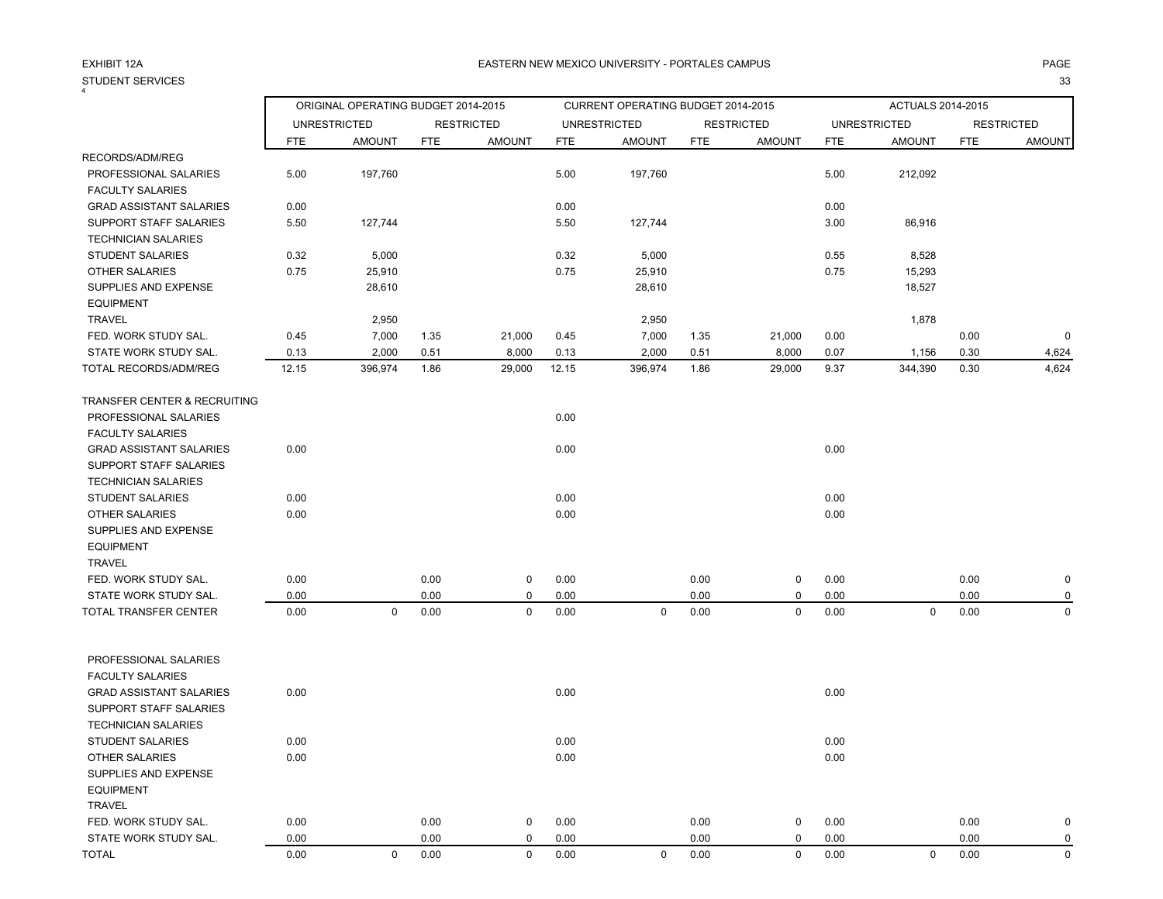### STUDENT SERVICES<br><sup>4</sup> S and the contract of the contract of the contract of the contract of the contract of the contract of the contract of the contract of the contract of the contract of the contract of the contract of the contract of the cont

### A EASTERN NEW MEXICO UNIVERSITY - PORTALES CAMPUS AND AND AND ANGELES ON A PAGE AND A PAGE

|                                               |            | ORIGINAL OPERATING BUDGET 2014-2015 |            |                   |            | CURRENT OPERATING BUDGET 2014-2015 |            |                   |            | ACTUALS 2014-2015   |            |                   |
|-----------------------------------------------|------------|-------------------------------------|------------|-------------------|------------|------------------------------------|------------|-------------------|------------|---------------------|------------|-------------------|
|                                               |            | <b>UNRESTRICTED</b>                 |            | <b>RESTRICTED</b> |            | <b>UNRESTRICTED</b>                |            | <b>RESTRICTED</b> |            | <b>UNRESTRICTED</b> |            | <b>RESTRICTED</b> |
|                                               | <b>FTE</b> | <b>AMOUNT</b>                       | <b>FTE</b> | <b>AMOUNT</b>     | <b>FTE</b> | <b>AMOUNT</b>                      | <b>FTE</b> | <b>AMOUNT</b>     | <b>FTE</b> | <b>AMOUNT</b>       | <b>FTE</b> | <b>AMOUNT</b>     |
| RECORDS/ADM/REG                               |            |                                     |            |                   |            |                                    |            |                   |            |                     |            |                   |
| PROFESSIONAL SALARIES                         | 5.00       | 197,760                             |            |                   | 5.00       | 197,760                            |            |                   | 5.00       | 212,092             |            |                   |
| <b>FACULTY SALARIES</b>                       |            |                                     |            |                   |            |                                    |            |                   |            |                     |            |                   |
| <b>GRAD ASSISTANT SALARIES</b>                | 0.00       |                                     |            |                   | 0.00       |                                    |            |                   | 0.00       |                     |            |                   |
| SUPPORT STAFF SALARIES                        | 5.50       | 127,744                             |            |                   | 5.50       | 127,744                            |            |                   | 3.00       | 86,916              |            |                   |
| <b>TECHNICIAN SALARIES</b>                    |            |                                     |            |                   |            |                                    |            |                   |            |                     |            |                   |
| <b>STUDENT SALARIES</b>                       | 0.32       | 5,000                               |            |                   | 0.32       | 5,000                              |            |                   | 0.55       | 8,528               |            |                   |
| <b>OTHER SALARIES</b>                         | 0.75       | 25,910                              |            |                   | 0.75       | 25,910                             |            |                   | 0.75       | 15,293              |            |                   |
| SUPPLIES AND EXPENSE                          |            | 28,610                              |            |                   |            | 28,610                             |            |                   |            | 18,527              |            |                   |
| <b>EQUIPMENT</b>                              |            |                                     |            |                   |            |                                    |            |                   |            |                     |            |                   |
| <b>TRAVEL</b>                                 |            | 2,950                               |            |                   |            | 2,950                              |            |                   |            | 1,878               |            |                   |
| FED. WORK STUDY SAL.                          | 0.45       | 7,000                               | 1.35       | 21,000            | 0.45       | 7,000                              | 1.35       | 21,000            | 0.00       |                     | 0.00       | $\Omega$          |
| STATE WORK STUDY SAL.                         | 0.13       | 2,000                               | 0.51       | 8,000             | 0.13       | 2,000                              | 0.51       | 8,000             | 0.07       | 1,156               | 0.30       | 4,624             |
| TOTAL RECORDS/ADM/REG                         | 12.15      | 396,974                             | 1.86       | 29,000            | 12.15      | 396,974                            | 1.86       | 29,000            | 9.37       | 344,390             | 0.30       | 4,624             |
| TRANSFER CENTER & RECRUITING                  |            |                                     |            |                   |            |                                    |            |                   |            |                     |            |                   |
| PROFESSIONAL SALARIES                         |            |                                     |            |                   | 0.00       |                                    |            |                   |            |                     |            |                   |
| <b>FACULTY SALARIES</b>                       |            |                                     |            |                   |            |                                    |            |                   |            |                     |            |                   |
| <b>GRAD ASSISTANT SALARIES</b>                | 0.00       |                                     |            |                   | 0.00       |                                    |            |                   | 0.00       |                     |            |                   |
| SUPPORT STAFF SALARIES                        |            |                                     |            |                   |            |                                    |            |                   |            |                     |            |                   |
| <b>TECHNICIAN SALARIES</b>                    |            |                                     |            |                   |            |                                    |            |                   |            |                     |            |                   |
| STUDENT SALARIES                              | 0.00       |                                     |            |                   | 0.00       |                                    |            |                   | 0.00       |                     |            |                   |
| OTHER SALARIES                                | 0.00       |                                     |            |                   | 0.00       |                                    |            |                   | 0.00       |                     |            |                   |
| SUPPLIES AND EXPENSE                          |            |                                     |            |                   |            |                                    |            |                   |            |                     |            |                   |
| <b>EQUIPMENT</b>                              |            |                                     |            |                   |            |                                    |            |                   |            |                     |            |                   |
| <b>TRAVEL</b>                                 |            |                                     |            |                   |            |                                    |            |                   |            |                     |            |                   |
| FED. WORK STUDY SAL.                          | 0.00       |                                     | 0.00       | 0                 | 0.00       |                                    | 0.00       | $\mathsf{O}$      | 0.00       |                     | 0.00       | 0                 |
| STATE WORK STUDY SAL.                         | 0.00       |                                     | 0.00       | $\mathbf 0$       | 0.00       |                                    | 0.00       | 0                 | 0.00       |                     | 0.00       | $\Omega$          |
| <b>TOTAL TRANSFER CENTER</b>                  | 0.00       | $\mathbf 0$                         | 0.00       | $\mathbf 0$       | 0.00       | $\mathbf 0$                        | 0.00       | $\mathbf 0$       | 0.00       | $\mathbf 0$         | 0.00       | $\Omega$          |
| PROFESSIONAL SALARIES                         |            |                                     |            |                   |            |                                    |            |                   |            |                     |            |                   |
| <b>FACULTY SALARIES</b>                       |            |                                     |            |                   |            |                                    |            |                   |            |                     |            |                   |
| <b>GRAD ASSISTANT SALARIES</b>                | 0.00       |                                     |            |                   | 0.00       |                                    |            |                   | 0.00       |                     |            |                   |
| SUPPORT STAFF SALARIES                        |            |                                     |            |                   |            |                                    |            |                   |            |                     |            |                   |
| <b>TECHNICIAN SALARIES</b>                    |            |                                     |            |                   |            |                                    |            |                   |            |                     |            |                   |
| <b>STUDENT SALARIES</b>                       | 0.00       |                                     |            |                   | 0.00       |                                    |            |                   | 0.00       |                     |            |                   |
|                                               |            |                                     |            |                   |            |                                    |            |                   |            |                     |            |                   |
| <b>OTHER SALARIES</b><br>SUPPLIES AND EXPENSE | 0.00       |                                     |            |                   | 0.00       |                                    |            |                   | 0.00       |                     |            |                   |
| <b>EQUIPMENT</b>                              |            |                                     |            |                   |            |                                    |            |                   |            |                     |            |                   |
|                                               |            |                                     |            |                   |            |                                    |            |                   |            |                     |            |                   |
| <b>TRAVEL</b>                                 |            |                                     |            |                   |            |                                    |            |                   |            |                     |            |                   |

 FED. WORK STUDY SAL. 0.00 0.00 0 0.00 0.00 0 0.00 0.00 0 STATE WORK STUDY SAL.  $0.00$   $0.00$   $0.00$   $0.00$   $0.00$   $0.00$   $0.00$   $0.00$   $0.00$   $0.00$   $0.00$ TOTAL 0.00 0 0.00 0 0.00 0 0.00 0 0.00 0 0.00 0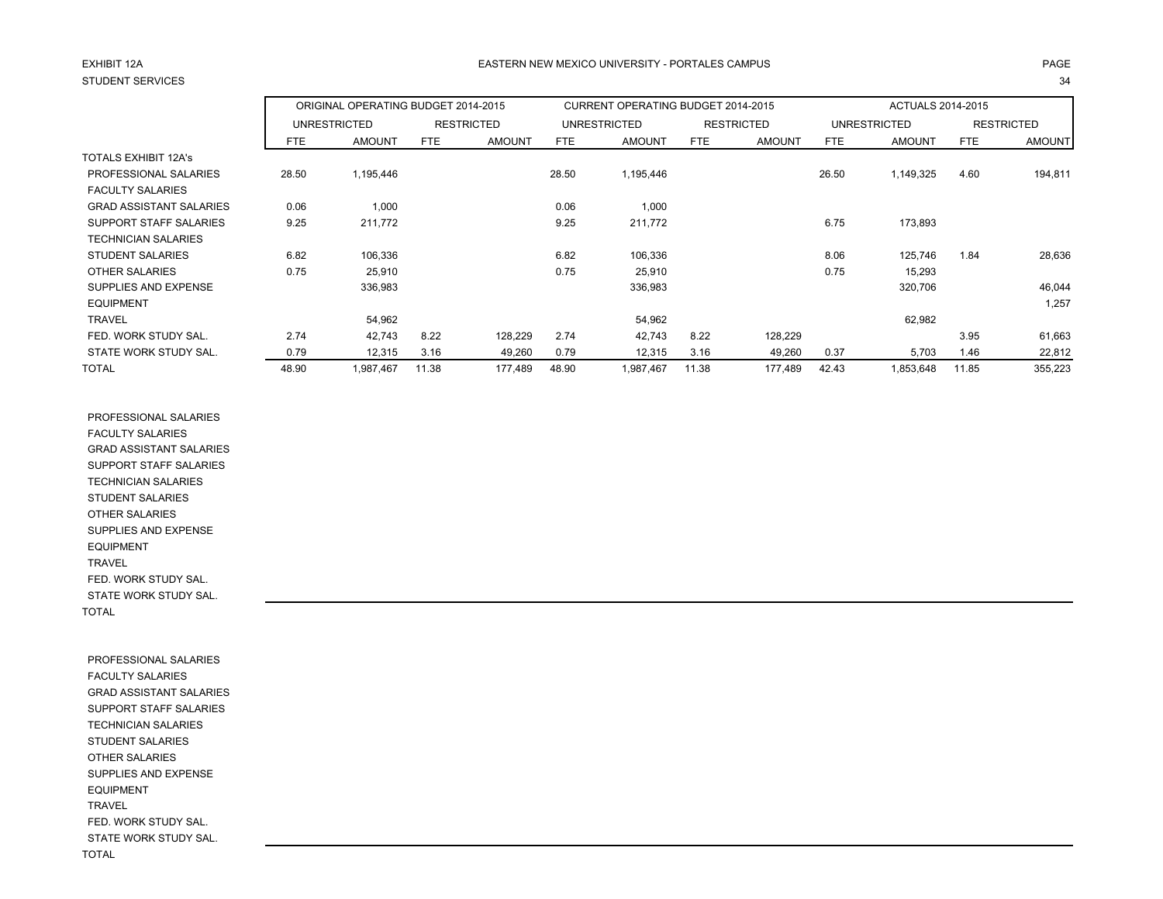# EXHIBIT 12ASTUDENT SERVICES

# A EASTERN NEW MEXICO UNIVERSITY - PORTALES CAMPUS AND AND AND ANGELES ON A PAGE AND A PAGE S and the contract of the contract of the contract of the contract of the contract of the contract of the contract of the contract of the contract of the contract of the contract of the contract of the contract of the cont

|                                |       | ORIGINAL OPERATING BUDGET 2014-2015 |       |                   |       | CURRENT OPERATING BUDGET 2014-2015 |       |                   |       | <b>ACTUALS 2014-2015</b> |       |                   |
|--------------------------------|-------|-------------------------------------|-------|-------------------|-------|------------------------------------|-------|-------------------|-------|--------------------------|-------|-------------------|
|                                |       | <b>UNRESTRICTED</b>                 |       | <b>RESTRICTED</b> |       | <b>UNRESTRICTED</b>                |       | <b>RESTRICTED</b> |       | UNRESTRICTED             |       | <b>RESTRICTED</b> |
|                                | FTE   | <b>AMOUNT</b>                       | FTE   | <b>AMOUNT</b>     | FTE   | <b>AMOUNT</b>                      | FTE   | <b>AMOUNT</b>     | FTE   | <b>AMOUNT</b>            | FTE   | <b>AMOUNT</b>     |
| <b>TOTALS EXHIBIT 12A's</b>    |       |                                     |       |                   |       |                                    |       |                   |       |                          |       |                   |
| PROFESSIONAL SALARIES          | 28.50 | 1,195,446                           |       |                   | 28.50 | 1,195,446                          |       |                   | 26.50 | 1,149,325                | 4.60  | 194,811           |
| <b>FACULTY SALARIES</b>        |       |                                     |       |                   |       |                                    |       |                   |       |                          |       |                   |
| <b>GRAD ASSISTANT SALARIES</b> | 0.06  | 1,000                               |       |                   | 0.06  | 1,000                              |       |                   |       |                          |       |                   |
| SUPPORT STAFF SALARIES         | 9.25  | 211,772                             |       |                   | 9.25  | 211,772                            |       |                   | 6.75  | 173,893                  |       |                   |
| <b>TECHNICIAN SALARIES</b>     |       |                                     |       |                   |       |                                    |       |                   |       |                          |       |                   |
| <b>STUDENT SALARIES</b>        | 6.82  | 106,336                             |       |                   | 6.82  | 106,336                            |       |                   | 8.06  | 125,746                  | 1.84  | 28,636            |
| <b>OTHER SALARIES</b>          | 0.75  | 25,910                              |       |                   | 0.75  | 25,910                             |       |                   | 0.75  | 15,293                   |       |                   |
| SUPPLIES AND EXPENSE           |       | 336,983                             |       |                   |       | 336,983                            |       |                   |       | 320,706                  |       | 46,044            |
| <b>EQUIPMENT</b>               |       |                                     |       |                   |       |                                    |       |                   |       |                          |       | 1,257             |
| <b>TRAVEL</b>                  |       | 54,962                              |       |                   |       | 54,962                             |       |                   |       | 62,982                   |       |                   |
| FED. WORK STUDY SAL.           | 2.74  | 42,743                              | 8.22  | 128,229           | 2.74  | 42,743                             | 8.22  | 128,229           |       |                          | 3.95  | 61,663            |
| STATE WORK STUDY SAL.          | 0.79  | 12,315                              | 3.16  | 49,260            | 0.79  | 12,315                             | 3.16  | 49,260            | 0.37  | 5,703                    | 1.46  | 22,812            |
| <b>TOTAL</b>                   | 48.90 | 1,987,467                           | 11.38 | 177,489           | 48.90 | 1,987,467                          | 11.38 | 177,489           | 42.43 | 1,853,648                | 11.85 | 355,223           |

 PROFESSIONAL SALARIES FACULTY SALARIES GRAD ASSISTANT SALARIES SUPPORT STAFF SALARIES TECHNICIAN SALARIES STUDENT SALARIES OTHER SALARIES SUPPLIES AND EXPENSE EQUIPMENT TRAVEL FED. WORK STUDY SAL. STATE WORK STUDY SAL. TOTAL

 PROFESSIONAL SALARIES FACULTY SALARIES GRAD ASSISTANT SALARIES SUPPORT STAFF SALARIES TECHNICIAN SALARIES STUDENT SALARIES OTHER SALARIES SUPPLIES AND EXPENSE EQUIPMENT TRAVEL FED. WORK STUDY SAL. STATE WORK STUDY SAL. TOTAL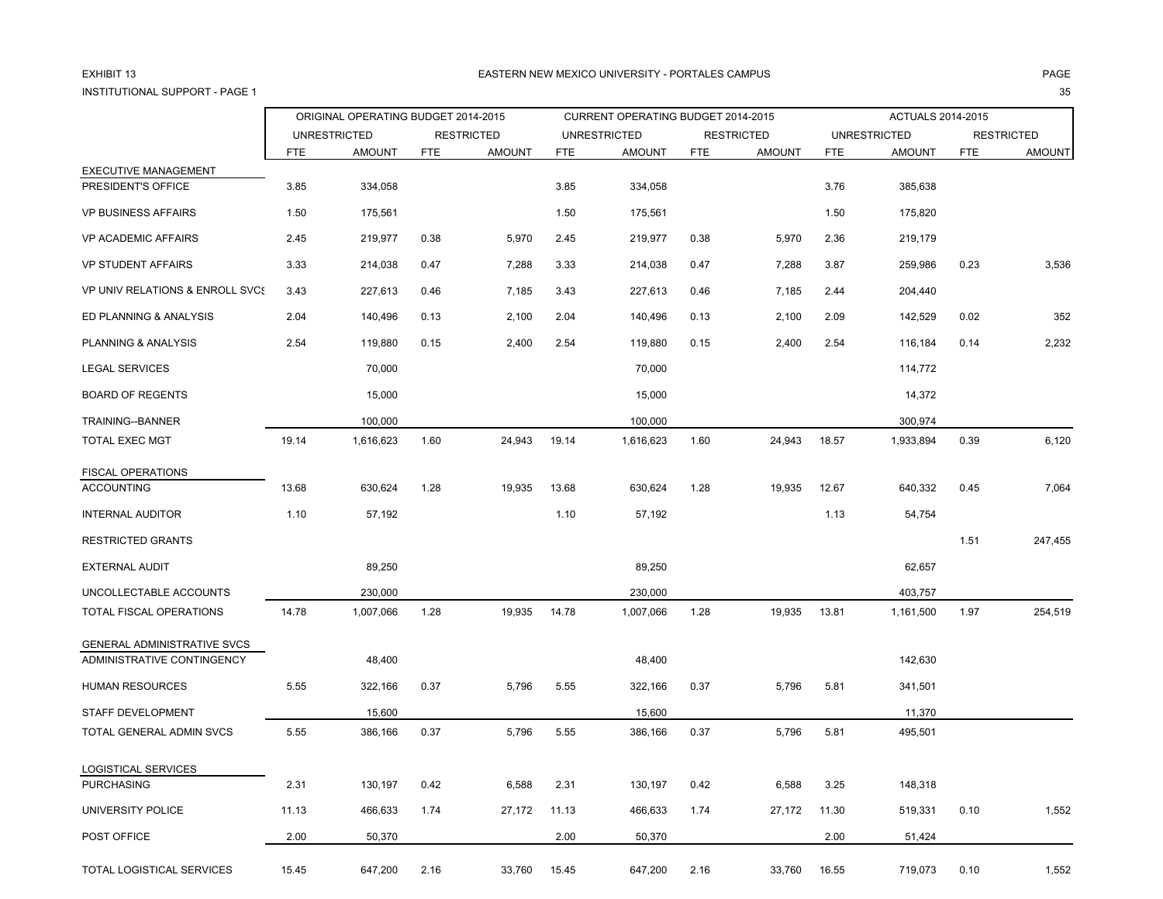# EXHIBIT 13INSTITUTIONAL SUPPORT - PAGE 1

35

|                                                   |            | ORIGINAL OPERATING BUDGET 2014-2015 |            |                   |            |                                    |            |                   |            |                     |            |                   |
|---------------------------------------------------|------------|-------------------------------------|------------|-------------------|------------|------------------------------------|------------|-------------------|------------|---------------------|------------|-------------------|
|                                                   |            |                                     |            |                   |            | CURRENT OPERATING BUDGET 2014-2015 |            |                   |            | ACTUALS 2014-2015   |            |                   |
|                                                   |            | <b>UNRESTRICTED</b>                 |            | <b>RESTRICTED</b> |            | <b>UNRESTRICTED</b>                |            | <b>RESTRICTED</b> |            | <b>UNRESTRICTED</b> |            | <b>RESTRICTED</b> |
|                                                   | <b>FTE</b> | <b>AMOUNT</b>                       | <b>FTE</b> | <b>AMOUNT</b>     | <b>FTE</b> | <b>AMOUNT</b>                      | <b>FTE</b> | <b>AMOUNT</b>     | <b>FTE</b> | <b>AMOUNT</b>       | <b>FTE</b> | <b>AMOUNT</b>     |
| <b>EXECUTIVE MANAGEMENT</b><br>PRESIDENT'S OFFICE | 3.85       | 334,058                             |            |                   | 3.85       | 334,058                            |            |                   | 3.76       | 385,638             |            |                   |
| <b>VP BUSINESS AFFAIRS</b>                        | 1.50       | 175,561                             |            |                   | 1.50       | 175,561                            |            |                   | 1.50       | 175,820             |            |                   |
| <b>VP ACADEMIC AFFAIRS</b>                        | 2.45       | 219,977                             | 0.38       | 5,970             | 2.45       | 219,977                            | 0.38       | 5,970             | 2.36       | 219,179             |            |                   |
| <b>VP STUDENT AFFAIRS</b>                         | 3.33       | 214,038                             | 0.47       | 7,288             | 3.33       | 214,038                            | 0.47       | 7,288             | 3.87       | 259,986             | 0.23       | 3,536             |
| <b>VP UNIV RELATIONS &amp; ENROLL SVCS</b>        | 3.43       | 227,613                             | 0.46       | 7,185             | 3.43       | 227,613                            | 0.46       | 7,185             | 2.44       | 204,440             |            |                   |
| ED PLANNING & ANALYSIS                            | 2.04       | 140,496                             | 0.13       | 2,100             | 2.04       | 140,496                            | 0.13       | 2,100             | 2.09       | 142,529             | 0.02       | 352               |
| PLANNING & ANALYSIS                               | 2.54       | 119,880                             | 0.15       | 2,400             | 2.54       | 119,880                            | 0.15       | 2,400             | 2.54       | 116,184             | 0.14       | 2,232             |
| <b>LEGAL SERVICES</b>                             |            | 70,000                              |            |                   |            | 70,000                             |            |                   |            | 114,772             |            |                   |
| <b>BOARD OF REGENTS</b>                           |            | 15,000                              |            |                   |            | 15,000                             |            |                   |            | 14,372              |            |                   |
| TRAINING--BANNER                                  |            | 100,000                             |            |                   |            | 100,000                            |            |                   |            | 300,974             |            |                   |
| <b>TOTAL EXEC MGT</b>                             | 19.14      | 1,616,623                           | 1.60       | 24,943            | 19.14      | 1,616,623                          | 1.60       | 24,943            | 18.57      | 1,933,894           | 0.39       | 6,120             |
| <b>FISCAL OPERATIONS</b>                          |            |                                     |            |                   |            |                                    |            |                   |            |                     |            |                   |
| <b>ACCOUNTING</b>                                 | 13.68      | 630,624                             | 1.28       | 19,935            | 13.68      | 630,624                            | 1.28       | 19,935            | 12.67      | 640,332             | 0.45       | 7,064             |
| <b>INTERNAL AUDITOR</b>                           | 1.10       | 57,192                              |            |                   | 1.10       | 57,192                             |            |                   | 1.13       | 54,754              |            |                   |
| <b>RESTRICTED GRANTS</b>                          |            |                                     |            |                   |            |                                    |            |                   |            |                     | 1.51       | 247,455           |
| EXTERNAL AUDIT                                    |            | 89,250                              |            |                   |            | 89,250                             |            |                   |            | 62,657              |            |                   |
| UNCOLLECTABLE ACCOUNTS                            |            | 230,000                             |            |                   |            | 230,000                            |            |                   |            | 403,757             |            |                   |
| TOTAL FISCAL OPERATIONS                           | 14.78      | 1,007,066                           | 1.28       | 19,935            | 14.78      | 1,007,066                          | 1.28       | 19,935            | 13.81      | 1,161,500           | 1.97       | 254,519           |
| GENERAL ADMINISTRATIVE SVCS                       |            |                                     |            |                   |            |                                    |            |                   |            |                     |            |                   |
| ADMINISTRATIVE CONTINGENCY                        |            | 48,400                              |            |                   |            | 48,400                             |            |                   |            | 142,630             |            |                   |
| <b>HUMAN RESOURCES</b>                            | 5.55       | 322,166                             | 0.37       | 5,796             | 5.55       | 322,166                            | 0.37       | 5,796             | 5.81       | 341,501             |            |                   |
| STAFF DEVELOPMENT                                 |            | 15,600                              |            |                   |            | 15,600                             |            |                   |            | 11,370              |            |                   |
| <b>TOTAL GENERAL ADMIN SVCS</b>                   | 5.55       | 386,166                             | 0.37       | 5,796             | 5.55       | 386,166                            | 0.37       | 5,796             | 5.81       | 495,501             |            |                   |
| LOGISTICAL SERVICES                               |            |                                     |            |                   |            |                                    |            |                   |            |                     |            |                   |
| <b>PURCHASING</b>                                 | 2.31       | 130,197                             | 0.42       | 6,588             | 2.31       | 130,197                            | 0.42       | 6,588             | 3.25       | 148,318             |            |                   |
| UNIVERSITY POLICE                                 | 11.13      | 466,633                             | 1.74       | 27,172            | 11.13      | 466,633                            | 1.74       | 27,172            | 11.30      | 519,331             | 0.10       | 1,552             |
| POST OFFICE                                       | 2.00       | 50,370                              |            |                   | 2.00       | 50,370                             |            |                   | 2.00       | 51,424              |            |                   |
| TOTAL LOGISTICAL SERVICES                         | 15.45      | 647,200                             | 2.16       | 33,760            | 15.45      | 647,200                            | 2.16       | 33,760            | 16.55      | 719,073             | 0.10       | 1,552             |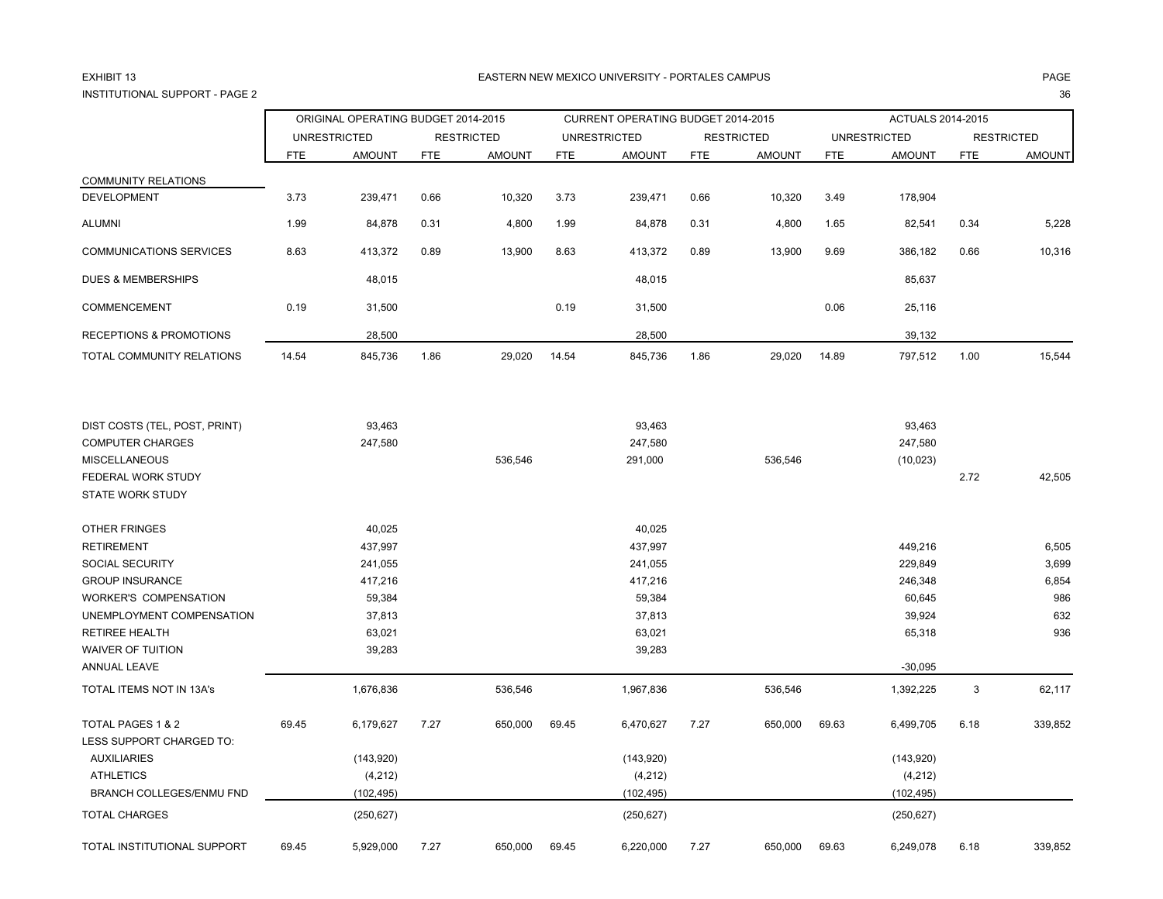### EXHIBIT 13INSTITUTIONAL SUPPORT - PAGE 2е произведения с произведения с произведения с произведения с произведения с произведения с произведения с за<br>2

### 3 EASTERN NEW MEXICO UNIVERSITY - PORTALES CAMPUS PAGE

ORIGINAL OPERATING BUDGET 2014-2015 CURRENT OPERATING BUDGET 2014-2015 ACTUALS 2014-2015 UNRESTRICTED RESTRICTED UNRESTRICTED RESTRICTED UNRESTRICTED RESTRICTED FTE AMOUNT FTE AMOUNT FTE AMOUNT FTE AMOUNT FTE AMOUNT FTE AMOUNT COMMUNITY RELATIONS DEVELOPMENT 3.73 239,471 0.66 10,320 3.73 239,471 0.66 10,320 3.49 178,904 ALUMNI 1.99 84,878 0.31 4,800 1.99 84,878 0.31 4,800 1.65 82,541 0.34 5,228 COMMUNICATIONS SERVICES 8.63 413,372 0.89 13,900 8.63 413,372 0.89 13,900 9.69 386,182 0.66 10,316 DUES & MEMBERSHIPS 48,015 48,015 85,637 COMMENCEMENT 0.19 31,500 0.19 31,500 0.06 25,116 RECEPTIONS & PROMOTIONS 28.500 28.500 28.500 28.500 28.500 28.500 28.500 28.500 28.500 28.500 28.500 28.500 28.500 28.500 28.500 28.500 28.500 28.500 28.500 28.500 28.500 28.500 28.500 28.500 28.500 28.500 28.500 28.500 28 TOTAL COMMUNITY RELATIONS 14.54 845,736 1.86 29,020 14.54 845,736 1.86 29,020 14.89 797,512 1.00 15,544 DIST COSTS (TEL, POST, PRINT) 93,463 93,463 93,463 COMPUTER CHARGES 247,580 247,580 247,580 MISCELLANEOUS 536,546 291,000 536,546 (10,023) FEDERAL WORK STUDY 2.72 42,505 STATE WORK STUDYOTHER FRINGES 40,025 40,025 RETIREMENT 437,997 437,997 449,216 6,505 SOCIAL SECURITY 241,055 241,055 229,849 3,699 GROUP INSURANCE 417,216 417,216 246,348 6,854 WORKER'S COMPENSATION 69,384 59,384 59,384 59,384 59,384 59,384 59,384 59,384 59,384 59,585 59,384 59,585 59,585 59,585 59,585 59,585 59,585 59,585 59,586 59,585 59,586 59,586 59,586 59,586 59,586 59,586 59,586 59,586 59,5 UNEMPLOYMENT COMPENSATION 632 (1993) 37,813 37,813 37,813 37,813 39,924 37,813 39,924 532 RETIREE HEALTH 63,021 63,021 65,318 936 WAIVER OF TUITION 39,283 39,283 ANNUAL LEAVE -30,095 TOTAL ITEMS NOT IN 13A's 1,676,836 1,676,836 536,546 536,546 536,546 536,546 536,546 536,546 536,546 536,546 536,546 TOTAL PAGES 1 & 2 69.45 6,179,627 7.27 650,000 69.45 6,470,627 7.27 650,000 69.63 6,499,705 6.18 339,852 LESS SUPPORT CHARGED TO: AUXILIARIES (143,920) (143,920) (143,920) ATHLETICS (4,212) (4,212) (4,212) BRANCH COLLEGES/ENMU FND (102,495) (102,495) (102,495) TOTAL CHARGES (250,627) (250,627) (250,627) TOTAL INSTITUTIONAL SUPPORT 69.45 5,929,000 7.27 650,000 69.45 6,220,000 7.27 650,000 69.63 6,249,078 6.18 339,852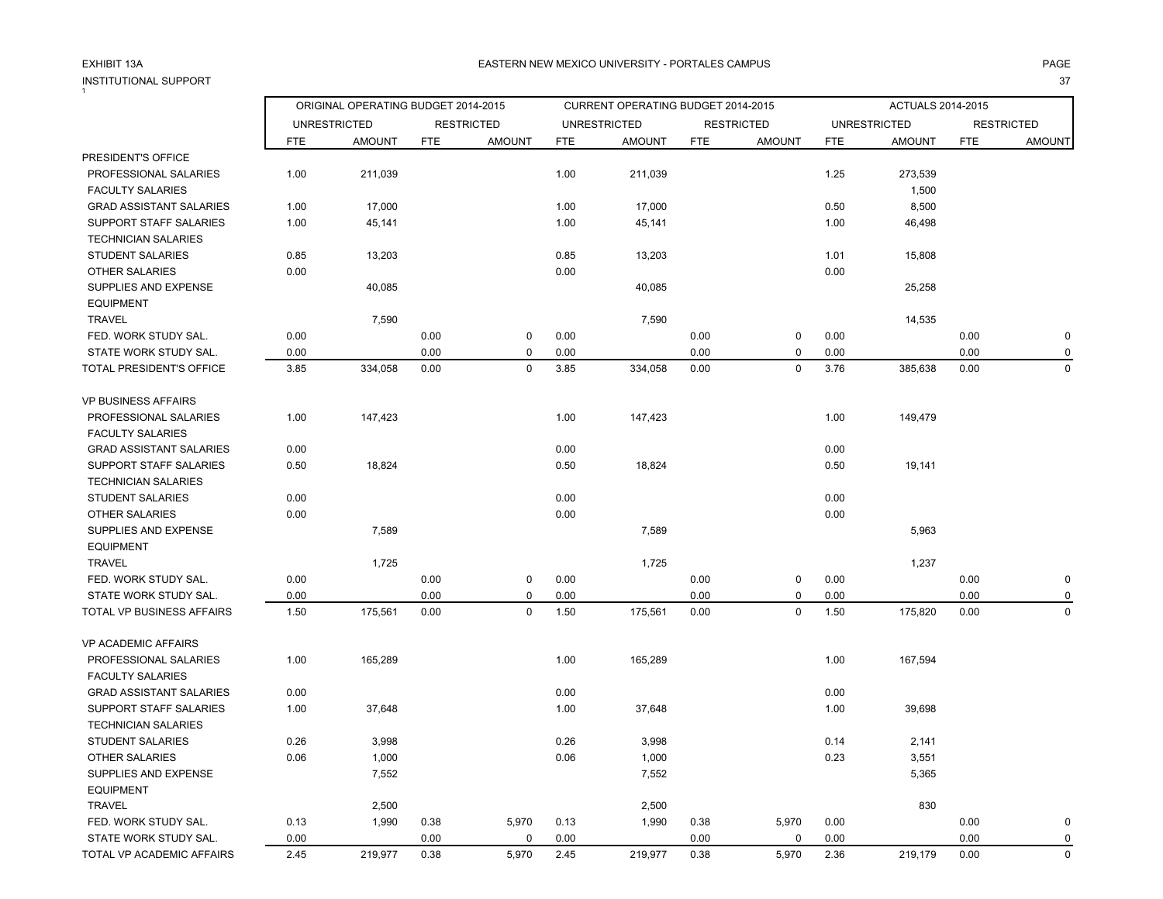### EXHIBIT 13AINSTITUTIONAL SUPPORT $\ddot{i}$

ORIGINAL OPERATING BUDGET 2014-2015 CURRENT OPERATING BUDGET 2014-2015 ACTUALS 2014-2015

|                                |            | <b>UNRESTRICTED</b> |            | <b>RESTRICTED</b> |            | <b>UNRESTRICTED</b> |            | <b>RESTRICTED</b> |            | <b>UNRESTRICTED</b> |            | <b>RESTRICTED</b> |
|--------------------------------|------------|---------------------|------------|-------------------|------------|---------------------|------------|-------------------|------------|---------------------|------------|-------------------|
|                                | <b>FTE</b> | <b>AMOUNT</b>       | <b>FTE</b> | <b>AMOUNT</b>     | <b>FTE</b> | <b>AMOUNT</b>       | <b>FTE</b> | <b>AMOUNT</b>     | <b>FTE</b> | <b>AMOUNT</b>       | <b>FTE</b> | <b>AMOUNT</b>     |
| PRESIDENT'S OFFICE             |            |                     |            |                   |            |                     |            |                   |            |                     |            |                   |
| PROFESSIONAL SALARIES          | 1.00       | 211,039             |            |                   | 1.00       | 211,039             |            |                   | 1.25       | 273,539             |            |                   |
| <b>FACULTY SALARIES</b>        |            |                     |            |                   |            |                     |            |                   |            | 1,500               |            |                   |
| <b>GRAD ASSISTANT SALARIES</b> | 1.00       | 17,000              |            |                   | 1.00       | 17,000              |            |                   | 0.50       | 8,500               |            |                   |
| SUPPORT STAFF SALARIES         | 1.00       | 45,141              |            |                   | 1.00       | 45,141              |            |                   | 1.00       | 46,498              |            |                   |
| TECHNICIAN SALARIES            |            |                     |            |                   |            |                     |            |                   |            |                     |            |                   |
| STUDENT SALARIES               | 0.85       | 13,203              |            |                   | 0.85       | 13,203              |            |                   | 1.01       | 15,808              |            |                   |
| <b>OTHER SALARIES</b>          | 0.00       |                     |            |                   | 0.00       |                     |            |                   | 0.00       |                     |            |                   |
| SUPPLIES AND EXPENSE           |            | 40,085              |            |                   |            | 40,085              |            |                   |            | 25,258              |            |                   |
| <b>EQUIPMENT</b>               |            |                     |            |                   |            |                     |            |                   |            |                     |            |                   |
| <b>TRAVEL</b>                  |            | 7,590               |            |                   |            | 7,590               |            |                   |            | 14,535              |            |                   |
| FED. WORK STUDY SAL.           | 0.00       |                     | 0.00       | 0                 | 0.00       |                     | 0.00       | 0                 | 0.00       |                     | 0.00       | O                 |
| STATE WORK STUDY SAL.          | 0.00       |                     | 0.00       | 0                 | 0.00       |                     | 0.00       | 0                 | 0.00       |                     | 0.00       |                   |
| TOTAL PRESIDENT'S OFFICE       | 3.85       | 334,058             | 0.00       | $\mathbf 0$       | 3.85       | 334,058             | 0.00       | $\mathbf 0$       | 3.76       | 385,638             | 0.00       | $\Omega$          |
| VP BUSINESS AFFAIRS            |            |                     |            |                   |            |                     |            |                   |            |                     |            |                   |
| PROFESSIONAL SALARIES          | 1.00       | 147,423             |            |                   | 1.00       | 147,423             |            |                   | 1.00       | 149,479             |            |                   |
| <b>FACULTY SALARIES</b>        |            |                     |            |                   |            |                     |            |                   |            |                     |            |                   |
| <b>GRAD ASSISTANT SALARIES</b> | 0.00       |                     |            |                   | 0.00       |                     |            |                   | 0.00       |                     |            |                   |
| SUPPORT STAFF SALARIES         | 0.50       | 18,824              |            |                   | 0.50       | 18,824              |            |                   | 0.50       | 19,141              |            |                   |
| <b>TECHNICIAN SALARIES</b>     |            |                     |            |                   |            |                     |            |                   |            |                     |            |                   |
| <b>STUDENT SALARIES</b>        | 0.00       |                     |            |                   | 0.00       |                     |            |                   | 0.00       |                     |            |                   |
| <b>OTHER SALARIES</b>          | 0.00       |                     |            |                   | 0.00       |                     |            |                   | 0.00       |                     |            |                   |
| SUPPLIES AND EXPENSE           |            | 7,589               |            |                   |            | 7,589               |            |                   |            | 5,963               |            |                   |
| <b>EQUIPMENT</b>               |            |                     |            |                   |            |                     |            |                   |            |                     |            |                   |
| <b>TRAVEL</b>                  |            | 1,725               |            |                   |            | 1,725               |            |                   |            | 1,237               |            |                   |
| FED. WORK STUDY SAL.           | 0.00       |                     | 0.00       | 0                 | 0.00       |                     | 0.00       | 0                 | 0.00       |                     | 0.00       | 0                 |
| STATE WORK STUDY SAL.          | 0.00       |                     | 0.00       | 0                 | 0.00       |                     | 0.00       | $\mathbf 0$       | 0.00       |                     | 0.00       |                   |
| TOTAL VP BUSINESS AFFAIRS      | 1.50       | 175,561             | 0.00       | 0                 | 1.50       | 175,561             | 0.00       | $\mathbf 0$       | 1.50       | 175,820             | 0.00       | $\mathbf 0$       |
| VP ACADEMIC AFFAIRS            |            |                     |            |                   |            |                     |            |                   |            |                     |            |                   |
| PROFESSIONAL SALARIES          | 1.00       | 165,289             |            |                   | 1.00       | 165,289             |            |                   | 1.00       | 167,594             |            |                   |
| <b>FACULTY SALARIES</b>        |            |                     |            |                   |            |                     |            |                   |            |                     |            |                   |
| <b>GRAD ASSISTANT SALARIES</b> | 0.00       |                     |            |                   | 0.00       |                     |            |                   | 0.00       |                     |            |                   |
| SUPPORT STAFF SALARIES         | 1.00       | 37,648              |            |                   | 1.00       | 37,648              |            |                   | 1.00       | 39,698              |            |                   |
| <b>TECHNICIAN SALARIES</b>     |            |                     |            |                   |            |                     |            |                   |            |                     |            |                   |
| <b>STUDENT SALARIES</b>        | 0.26       | 3,998               |            |                   | 0.26       | 3,998               |            |                   | 0.14       | 2,141               |            |                   |
| <b>OTHER SALARIES</b>          | 0.06       | 1,000               |            |                   | 0.06       | 1,000               |            |                   | 0.23       | 3,551               |            |                   |
| SUPPLIES AND EXPENSE           |            | 7,552               |            |                   |            | 7,552               |            |                   |            | 5,365               |            |                   |
| <b>EQUIPMENT</b>               |            |                     |            |                   |            |                     |            |                   |            |                     |            |                   |
| <b>TRAVEL</b>                  |            | 2,500               |            |                   |            | 2,500               |            |                   |            | 830                 |            |                   |
| FED. WORK STUDY SAL.           | 0.13       | 1.990               | 0.38       | 5.970             | 0.13       | 1.990               | 0.38       | 5.970             | 0.00       |                     | 0.00       |                   |

STATE WORK STUDY SAL.  $0.00$   $0.00$   $0.00$   $0.00$   $0.00$   $0.00$   $0.00$   $0.00$   $0.00$   $0.00$ TOTAL VP ACADEMIC AFFAIRS 2.45 219,977 0.38 5,970 2.45 219,977 0.38 5,970 2.36 219,179 0.00 0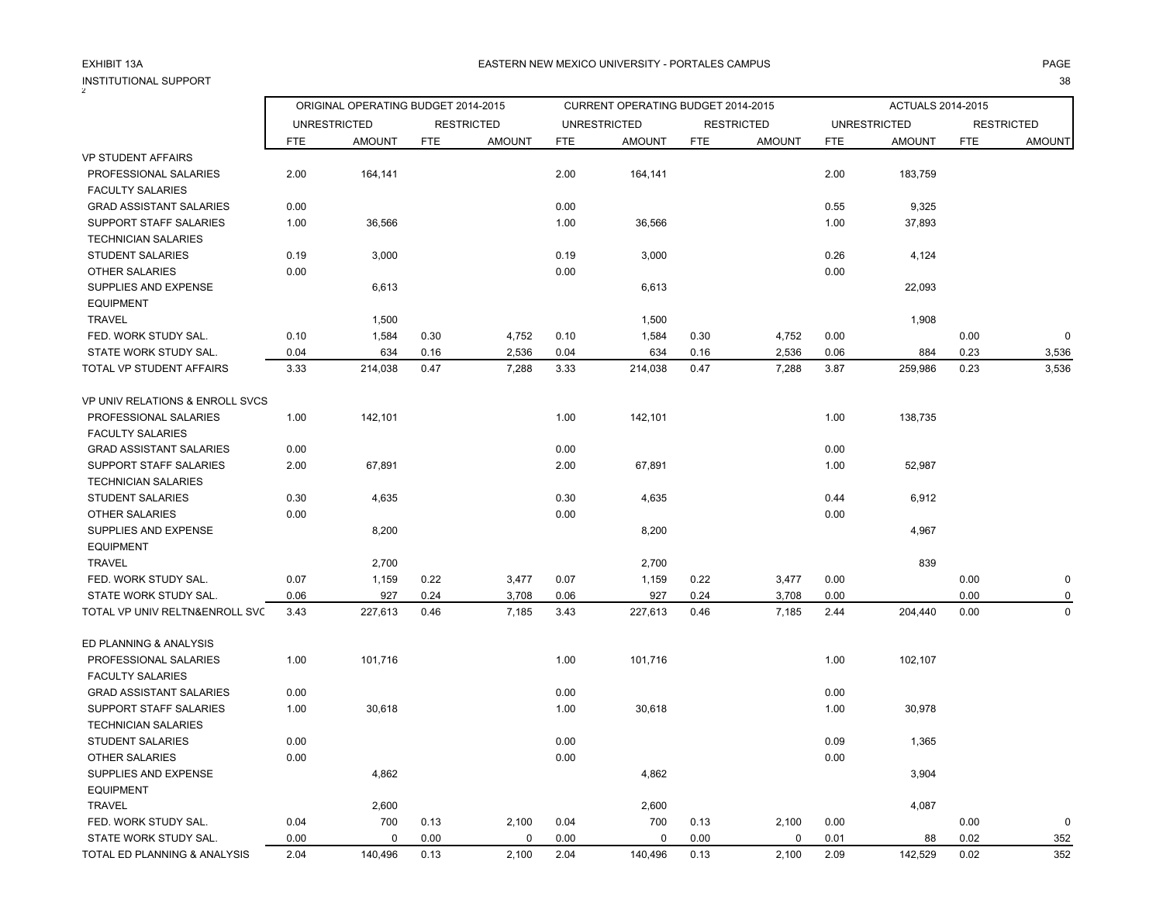т с последници по последници с последници с последници с последници с последници с последници с 38 године. В 38

|                                 |            | ORIGINAL OPERATING BUDGET 2014-2015 |            |                   |            | CURRENT OPERATING BUDGET 2014-2015 |            |                   |            | ACTUALS 2014-2015   |            |                   |
|---------------------------------|------------|-------------------------------------|------------|-------------------|------------|------------------------------------|------------|-------------------|------------|---------------------|------------|-------------------|
|                                 |            | <b>UNRESTRICTED</b>                 |            | <b>RESTRICTED</b> |            | <b>UNRESTRICTED</b>                |            | <b>RESTRICTED</b> |            | <b>UNRESTRICTED</b> |            | <b>RESTRICTED</b> |
|                                 | <b>FTE</b> | <b>AMOUNT</b>                       | <b>FTE</b> | <b>AMOUNT</b>     | <b>FTE</b> | <b>AMOUNT</b>                      | <b>FTE</b> | <b>AMOUNT</b>     | <b>FTE</b> | <b>AMOUNT</b>       | <b>FTE</b> | <b>AMOUNT</b>     |
| VP STUDENT AFFAIRS              |            |                                     |            |                   |            |                                    |            |                   |            |                     |            |                   |
| PROFESSIONAL SALARIES           | 2.00       | 164,141                             |            |                   | 2.00       | 164,141                            |            |                   | 2.00       | 183,759             |            |                   |
| <b>FACULTY SALARIES</b>         |            |                                     |            |                   |            |                                    |            |                   |            |                     |            |                   |
| <b>GRAD ASSISTANT SALARIES</b>  | 0.00       |                                     |            |                   | 0.00       |                                    |            |                   | 0.55       | 9,325               |            |                   |
| SUPPORT STAFF SALARIES          | 1.00       | 36,566                              |            |                   | 1.00       | 36,566                             |            |                   | 1.00       | 37,893              |            |                   |
| <b>TECHNICIAN SALARIES</b>      |            |                                     |            |                   |            |                                    |            |                   |            |                     |            |                   |
| <b>STUDENT SALARIES</b>         | 0.19       | 3,000                               |            |                   | 0.19       | 3,000                              |            |                   | 0.26       | 4,124               |            |                   |
| <b>OTHER SALARIES</b>           | 0.00       |                                     |            |                   | 0.00       |                                    |            |                   | 0.00       |                     |            |                   |
| SUPPLIES AND EXPENSE            |            | 6,613                               |            |                   |            | 6,613                              |            |                   |            | 22,093              |            |                   |
| <b>EQUIPMENT</b>                |            |                                     |            |                   |            |                                    |            |                   |            |                     |            |                   |
| <b>TRAVEL</b>                   |            | 1,500                               |            |                   |            | 1,500                              |            |                   |            | 1,908               |            |                   |
| FED. WORK STUDY SAL.            | 0.10       | 1,584                               | 0.30       | 4,752             | 0.10       | 1,584                              | 0.30       | 4,752             | 0.00       |                     | 0.00       | $\Omega$          |
| STATE WORK STUDY SAL.           | 0.04       | 634                                 | 0.16       | 2,536             | 0.04       | 634                                | 0.16       | 2,536             | 0.06       | 884                 | 0.23       | 3,536             |
| TOTAL VP STUDENT AFFAIRS        | 3.33       | 214,038                             | 0.47       | 7,288             | 3.33       | 214,038                            | 0.47       | 7,288             | 3.87       | 259,986             | 0.23       | 3,536             |
| VP UNIV RELATIONS & ENROLL SVCS |            |                                     |            |                   |            |                                    |            |                   |            |                     |            |                   |
| PROFESSIONAL SALARIES           | 1.00       | 142,101                             |            |                   | 1.00       | 142,101                            |            |                   | 1.00       | 138,735             |            |                   |
| <b>FACULTY SALARIES</b>         |            |                                     |            |                   |            |                                    |            |                   |            |                     |            |                   |
| <b>GRAD ASSISTANT SALARIES</b>  | 0.00       |                                     |            |                   | 0.00       |                                    |            |                   | 0.00       |                     |            |                   |
| SUPPORT STAFF SALARIES          | 2.00       | 67,891                              |            |                   | 2.00       | 67,891                             |            |                   | 1.00       | 52,987              |            |                   |
| <b>TECHNICIAN SALARIES</b>      |            |                                     |            |                   |            |                                    |            |                   |            |                     |            |                   |
| <b>STUDENT SALARIES</b>         | 0.30       | 4,635                               |            |                   | 0.30       | 4,635                              |            |                   | 0.44       | 6,912               |            |                   |
| <b>OTHER SALARIES</b>           | 0.00       |                                     |            |                   | 0.00       |                                    |            |                   | 0.00       |                     |            |                   |
| SUPPLIES AND EXPENSE            |            | 8,200                               |            |                   |            | 8,200                              |            |                   |            | 4,967               |            |                   |
| <b>EQUIPMENT</b>                |            |                                     |            |                   |            |                                    |            |                   |            |                     |            |                   |
| <b>TRAVEL</b>                   |            | 2,700                               |            |                   |            | 2,700                              |            |                   |            | 839                 |            |                   |
| FED. WORK STUDY SAL.            | 0.07       | 1,159                               | 0.22       | 3,477             | 0.07       | 1,159                              | 0.22       | 3,477             | 0.00       |                     | 0.00       | 0                 |
| STATE WORK STUDY SAL.           | 0.06       | 927                                 | 0.24       | 3,708             | 0.06       | 927                                | 0.24       | 3,708             | 0.00       |                     | 0.00       |                   |
| TOTAL VP UNIV RELTN&ENROLL SVC  | 3.43       | 227,613                             | 0.46       | 7,185             | 3.43       | 227,613                            | 0.46       | 7,185             | 2.44       | 204,440             | 0.00       | $\mathbf 0$       |
| ED PLANNING & ANALYSIS          |            |                                     |            |                   |            |                                    |            |                   |            |                     |            |                   |
| PROFESSIONAL SALARIES           | 1.00       | 101,716                             |            |                   | 1.00       | 101,716                            |            |                   | 1.00       | 102,107             |            |                   |
| <b>FACULTY SALARIES</b>         |            |                                     |            |                   |            |                                    |            |                   |            |                     |            |                   |
| <b>GRAD ASSISTANT SALARIES</b>  | 0.00       |                                     |            |                   | 0.00       |                                    |            |                   | 0.00       |                     |            |                   |
| SUPPORT STAFF SALARIES          | 1.00       | 30,618                              |            |                   | 1.00       | 30,618                             |            |                   | 1.00       | 30,978              |            |                   |
| <b>TECHNICIAN SALARIES</b>      |            |                                     |            |                   |            |                                    |            |                   |            |                     |            |                   |
| <b>STUDENT SALARIES</b>         | 0.00       |                                     |            |                   | 0.00       |                                    |            |                   | 0.09       | 1,365               |            |                   |
| <b>OTHER SALARIES</b>           | 0.00       |                                     |            |                   | 0.00       |                                    |            |                   | 0.00       |                     |            |                   |
| SUPPLIES AND EXPENSE            |            | 4,862                               |            |                   |            | 4,862                              |            |                   |            | 3,904               |            |                   |
| <b>EQUIPMENT</b>                |            |                                     |            |                   |            |                                    |            |                   |            |                     |            |                   |
| <b>TRAVEL</b>                   |            | 2,600                               |            |                   |            | 2,600                              |            |                   |            | 4,087               |            |                   |
| FED. WORK STUDY SAL.            | 0.04       | 700                                 | 0.13       | 2,100             | 0.04       | 700                                | 0.13       | 2,100             | 0.00       |                     | 0.00       | 0                 |
| STATE WORK STUDY SAL            | 0.00       | $\mathbf 0$                         | 0.00       | $\mathbf 0$       | 0.00       | 0                                  | 0.00       | $\mathbf 0$       | 0.01       | 88                  | 0.02       | 352               |

TOTAL ED PLANNING & ANALYSIS 2.04 140,496 0.13 2,100 2.04 140,496 0.13 2,100 2.09 142,529 0.02 352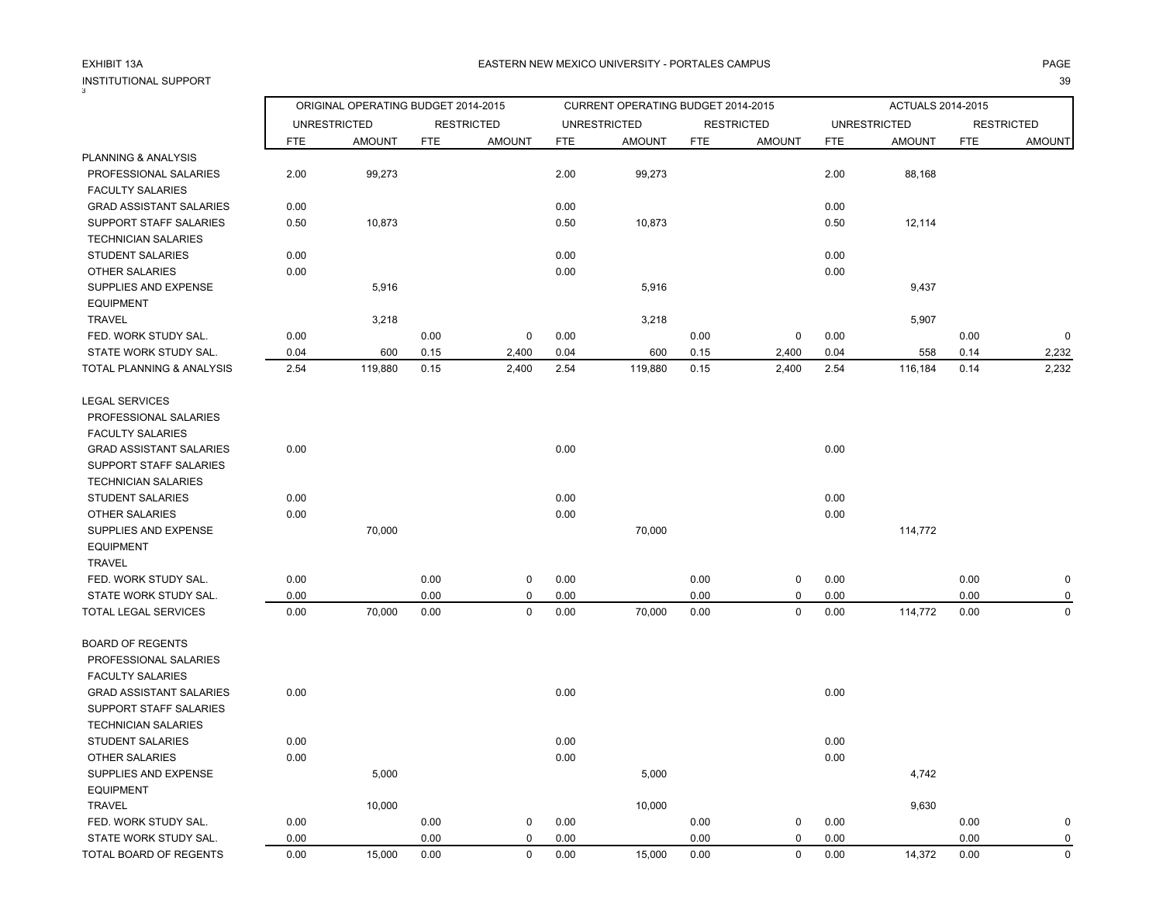### INSTITUTIONAL SUPPORT<br><sup>3</sup> т с последници по последници с последници с последници с последници с последници с последници с 39 године. В 39

### A EASTERN NEW MEXICO UNIVERSITY - PORTALES CAMPUS AND AND AND ANGELES ON A PAGE AND A PAGE

| ು                              |            |                                     |            |                   |            |                                    |            |                   |            |                     |            |                   |
|--------------------------------|------------|-------------------------------------|------------|-------------------|------------|------------------------------------|------------|-------------------|------------|---------------------|------------|-------------------|
|                                |            | ORIGINAL OPERATING BUDGET 2014-2015 |            |                   |            | CURRENT OPERATING BUDGET 2014-2015 |            |                   |            | ACTUALS 2014-2015   |            |                   |
|                                |            | <b>UNRESTRICTED</b>                 |            | <b>RESTRICTED</b> |            | <b>UNRESTRICTED</b>                |            | <b>RESTRICTED</b> |            | <b>UNRESTRICTED</b> |            | <b>RESTRICTED</b> |
|                                | <b>FTE</b> | <b>AMOUNT</b>                       | <b>FTE</b> | <b>AMOUNT</b>     | <b>FTE</b> | <b>AMOUNT</b>                      | <b>FTE</b> | <b>AMOUNT</b>     | <b>FTE</b> | <b>AMOUNT</b>       | <b>FTE</b> | <b>AMOUNT</b>     |
| PLANNING & ANALYSIS            |            |                                     |            |                   |            |                                    |            |                   |            |                     |            |                   |
| PROFESSIONAL SALARIES          | 2.00       | 99,273                              |            |                   | 2.00       | 99,273                             |            |                   | 2.00       | 88,168              |            |                   |
| <b>FACULTY SALARIES</b>        |            |                                     |            |                   |            |                                    |            |                   |            |                     |            |                   |
| <b>GRAD ASSISTANT SALARIES</b> | 0.00       |                                     |            |                   | 0.00       |                                    |            |                   | 0.00       |                     |            |                   |
| SUPPORT STAFF SALARIES         | 0.50       | 10,873                              |            |                   | 0.50       | 10,873                             |            |                   | 0.50       | 12,114              |            |                   |
| <b>TECHNICIAN SALARIES</b>     |            |                                     |            |                   |            |                                    |            |                   |            |                     |            |                   |
| <b>STUDENT SALARIES</b>        | 0.00       |                                     |            |                   | 0.00       |                                    |            |                   | 0.00       |                     |            |                   |
| <b>OTHER SALARIES</b>          | 0.00       |                                     |            |                   | 0.00       |                                    |            |                   | 0.00       |                     |            |                   |
| SUPPLIES AND EXPENSE           |            | 5,916                               |            |                   |            | 5,916                              |            |                   |            | 9,437               |            |                   |
| <b>EQUIPMENT</b>               |            |                                     |            |                   |            |                                    |            |                   |            |                     |            |                   |
| <b>TRAVEL</b>                  |            | 3,218                               |            |                   |            | 3,218                              |            |                   |            | 5,907               |            |                   |
| FED. WORK STUDY SAL.           | 0.00       |                                     | 0.00       | 0                 | 0.00       |                                    | 0.00       | 0                 | 0.00       |                     | 0.00       | $\mathbf 0$       |
| STATE WORK STUDY SAL.          | 0.04       | 600                                 | 0.15       | 2,400             | 0.04       | 600                                | 0.15       | 2,400             | 0.04       | 558                 | 0.14       | 2,232             |
| TOTAL PLANNING & ANALYSIS      | 2.54       | 119,880                             | 0.15       | 2,400             | 2.54       | 119,880                            | 0.15       | 2,400             | 2.54       | 116,184             | 0.14       | 2,232             |
| <b>LEGAL SERVICES</b>          |            |                                     |            |                   |            |                                    |            |                   |            |                     |            |                   |
| PROFESSIONAL SALARIES          |            |                                     |            |                   |            |                                    |            |                   |            |                     |            |                   |
| <b>FACULTY SALARIES</b>        |            |                                     |            |                   |            |                                    |            |                   |            |                     |            |                   |
| <b>GRAD ASSISTANT SALARIES</b> | 0.00       |                                     |            |                   | 0.00       |                                    |            |                   | 0.00       |                     |            |                   |
| SUPPORT STAFF SALARIES         |            |                                     |            |                   |            |                                    |            |                   |            |                     |            |                   |
| <b>TECHNICIAN SALARIES</b>     |            |                                     |            |                   |            |                                    |            |                   |            |                     |            |                   |
| <b>STUDENT SALARIES</b>        | 0.00       |                                     |            |                   | 0.00       |                                    |            |                   | 0.00       |                     |            |                   |
| <b>OTHER SALARIES</b>          | 0.00       |                                     |            |                   | 0.00       |                                    |            |                   | 0.00       |                     |            |                   |
| SUPPLIES AND EXPENSE           |            | 70,000                              |            |                   |            | 70,000                             |            |                   |            | 114,772             |            |                   |
| <b>EQUIPMENT</b>               |            |                                     |            |                   |            |                                    |            |                   |            |                     |            |                   |
| <b>TRAVEL</b>                  |            |                                     |            |                   |            |                                    |            |                   |            |                     |            |                   |
| FED. WORK STUDY SAL.           | 0.00       |                                     | 0.00       | $\mathbf 0$       | 0.00       |                                    | 0.00       | $\pmb{0}$         | 0.00       |                     | 0.00       | $\mathbf 0$       |
| STATE WORK STUDY SAL.          | 0.00       |                                     | 0.00       | $\Omega$          | 0.00       |                                    | 0.00       | $\mathbf 0$       | 0.00       |                     | 0.00       | 0                 |
| TOTAL LEGAL SERVICES           | 0.00       | 70,000                              | 0.00       | 0                 | 0.00       | 70,000                             | 0.00       | 0                 | 0.00       | 114,772             | 0.00       | $\mathbf 0$       |
| <b>BOARD OF REGENTS</b>        |            |                                     |            |                   |            |                                    |            |                   |            |                     |            |                   |
| PROFESSIONAL SALARIES          |            |                                     |            |                   |            |                                    |            |                   |            |                     |            |                   |
| <b>FACULTY SALARIES</b>        |            |                                     |            |                   |            |                                    |            |                   |            |                     |            |                   |
| <b>GRAD ASSISTANT SALARIES</b> | 0.00       |                                     |            |                   | 0.00       |                                    |            |                   | 0.00       |                     |            |                   |
| SUPPORT STAFF SALARIES         |            |                                     |            |                   |            |                                    |            |                   |            |                     |            |                   |
| <b>TECHNICIAN SALARIES</b>     |            |                                     |            |                   |            |                                    |            |                   |            |                     |            |                   |
| <b>STUDENT SALARIES</b>        | 0.00       |                                     |            |                   | 0.00       |                                    |            |                   | 0.00       |                     |            |                   |
| OTHER SALARIES                 | 0.00       |                                     |            |                   | 0.00       |                                    |            |                   | 0.00       |                     |            |                   |
| SUPPLIES AND EXPENSE           |            | 5,000                               |            |                   |            | 5,000                              |            |                   |            | 4,742               |            |                   |
| <b>EQUIPMENT</b>               |            |                                     |            |                   |            |                                    |            |                   |            |                     |            |                   |
| <b>TRAVEL</b>                  |            | 10,000                              |            |                   |            | 10,000                             |            |                   |            | 9,630               |            |                   |
| FED. WORK STUDY SAL.           | 0.00       |                                     | 0.00       | 0                 | 0.00       |                                    | 0.00       | 0                 | 0.00       |                     | 0.00       | $\pmb{0}$         |
| STATE WORK STUDY SAL.          | 0.00       |                                     | 0.00       | 0                 | 0.00       |                                    | 0.00       | $\mathbf 0$       | 0.00       |                     | 0.00       | $\mathbf 0$       |
|                                |            |                                     |            |                   |            |                                    |            |                   |            |                     |            |                   |

TOTAL BOARD OF REGENTS 0.00 15,000 0.00 0.00 0.00 15,000 0.00 0.00 0.00 14,372 0.00 0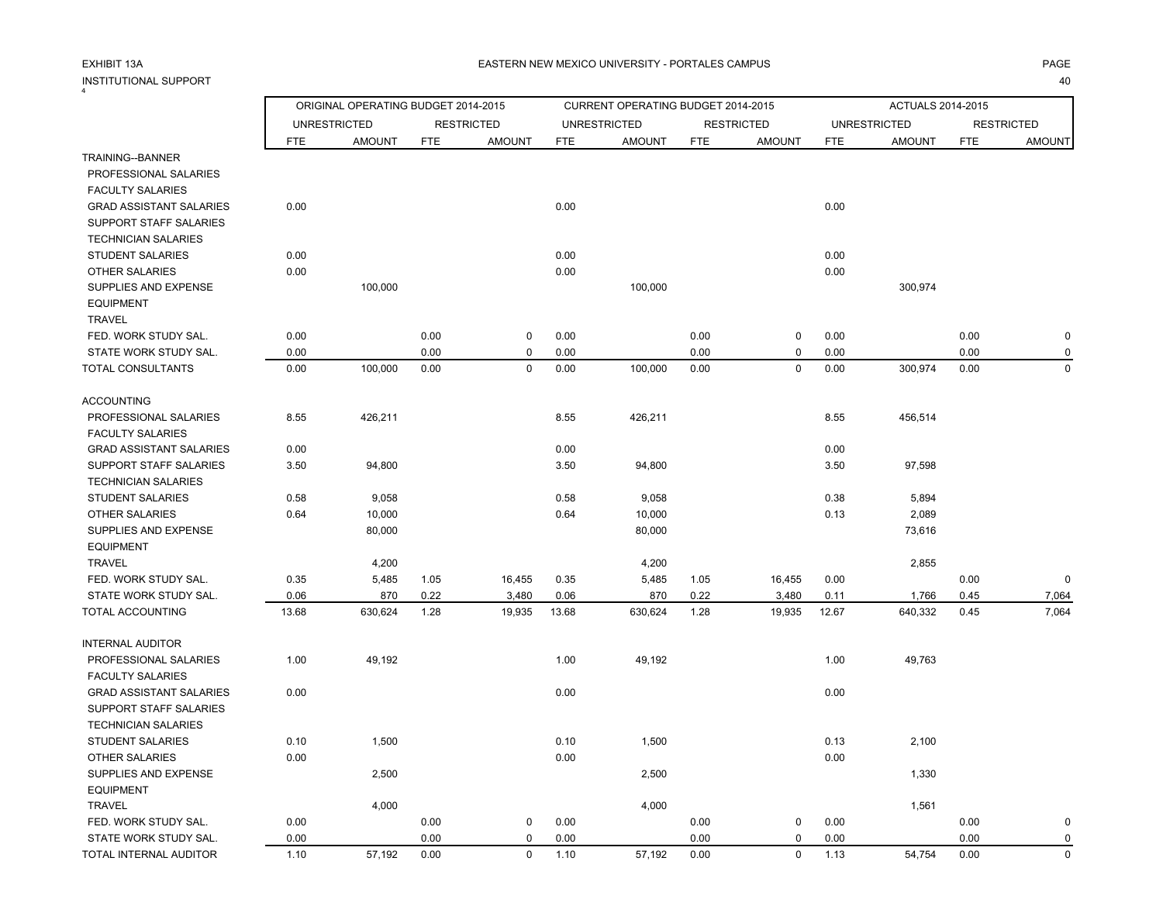# EXHIBIT 13AINSTITUTIONAL SUPPORT4

|                                                  |            | ORIGINAL OPERATING BUDGET 2014-2015 |            |                   |            | CURRENT OPERATING BUDGET 2014-2015 |            |                   |            | ACTUALS 2014-2015   |            |                   |
|--------------------------------------------------|------------|-------------------------------------|------------|-------------------|------------|------------------------------------|------------|-------------------|------------|---------------------|------------|-------------------|
|                                                  |            | <b>UNRESTRICTED</b>                 |            | <b>RESTRICTED</b> |            | <b>UNRESTRICTED</b>                |            | <b>RESTRICTED</b> |            | <b>UNRESTRICTED</b> |            | <b>RESTRICTED</b> |
|                                                  | <b>FTE</b> | <b>AMOUNT</b>                       | <b>FTE</b> | <b>AMOUNT</b>     | <b>FTE</b> | <b>AMOUNT</b>                      | <b>FTE</b> | <b>AMOUNT</b>     | <b>FTE</b> | <b>AMOUNT</b>       | <b>FTE</b> | <b>AMOUNT</b>     |
| TRAINING--BANNER                                 |            |                                     |            |                   |            |                                    |            |                   |            |                     |            |                   |
| PROFESSIONAL SALARIES                            |            |                                     |            |                   |            |                                    |            |                   |            |                     |            |                   |
| <b>FACULTY SALARIES</b>                          |            |                                     |            |                   |            |                                    |            |                   |            |                     |            |                   |
| <b>GRAD ASSISTANT SALARIES</b>                   | 0.00       |                                     |            |                   | 0.00       |                                    |            |                   | 0.00       |                     |            |                   |
| SUPPORT STAFF SALARIES                           |            |                                     |            |                   |            |                                    |            |                   |            |                     |            |                   |
| <b>TECHNICIAN SALARIES</b>                       |            |                                     |            |                   |            |                                    |            |                   |            |                     |            |                   |
| STUDENT SALARIES                                 | 0.00       |                                     |            |                   | 0.00       |                                    |            |                   | 0.00       |                     |            |                   |
| <b>OTHER SALARIES</b>                            | 0.00       |                                     |            |                   | 0.00       |                                    |            |                   | 0.00       |                     |            |                   |
| SUPPLIES AND EXPENSE                             |            | 100,000                             |            |                   |            | 100,000                            |            |                   |            | 300,974             |            |                   |
| <b>EQUIPMENT</b>                                 |            |                                     |            |                   |            |                                    |            |                   |            |                     |            |                   |
| <b>TRAVEL</b>                                    |            |                                     |            |                   |            |                                    |            |                   |            |                     |            |                   |
| FED. WORK STUDY SAL.                             | 0.00       |                                     | 0.00       | $\mathsf 0$       | 0.00       |                                    | 0.00       | 0                 | 0.00       |                     | 0.00       | $\mathbf 0$       |
| STATE WORK STUDY SAL.                            | 0.00       |                                     | 0.00       | $\mathbf 0$       | 0.00       |                                    | 0.00       | 0                 | 0.00       |                     | 0.00       | $\Omega$          |
| TOTAL CONSULTANTS                                | 0.00       | 100,000                             | 0.00       | $\mathbf 0$       | 0.00       | 100,000                            | 0.00       | 0                 | 0.00       | 300,974             | 0.00       | $\mathbf 0$       |
| <b>ACCOUNTING</b>                                |            |                                     |            |                   |            |                                    |            |                   |            |                     |            |                   |
| PROFESSIONAL SALARIES<br><b>FACULTY SALARIES</b> | 8.55       | 426,211                             |            |                   | 8.55       | 426,211                            |            |                   | 8.55       | 456,514             |            |                   |
| <b>GRAD ASSISTANT SALARIES</b>                   | 0.00       |                                     |            |                   | 0.00       |                                    |            |                   | 0.00       |                     |            |                   |
| SUPPORT STAFF SALARIES                           | 3.50       | 94,800                              |            |                   | 3.50       | 94,800                             |            |                   | 3.50       | 97,598              |            |                   |
| <b>TECHNICIAN SALARIES</b>                       |            |                                     |            |                   |            |                                    |            |                   |            |                     |            |                   |
| <b>STUDENT SALARIES</b>                          | 0.58       | 9,058                               |            |                   | 0.58       | 9,058                              |            |                   | 0.38       | 5,894               |            |                   |
| <b>OTHER SALARIES</b>                            | 0.64       | 10,000                              |            |                   | 0.64       | 10,000                             |            |                   | 0.13       | 2,089               |            |                   |
| SUPPLIES AND EXPENSE                             |            | 80,000                              |            |                   |            | 80,000                             |            |                   |            | 73,616              |            |                   |
| <b>EQUIPMENT</b>                                 |            |                                     |            |                   |            |                                    |            |                   |            |                     |            |                   |
| <b>TRAVEL</b>                                    |            | 4,200                               |            |                   |            | 4,200                              |            |                   |            | 2,855               |            |                   |
| FED. WORK STUDY SAL.                             | 0.35       | 5,485                               | 1.05       | 16,455            | 0.35       | 5,485                              | 1.05       | 16,455            | 0.00       |                     | 0.00       | $\mathbf 0$       |
| STATE WORK STUDY SAL.                            | 0.06       | 870                                 | 0.22       | 3,480             | 0.06       | 870                                | 0.22       | 3,480             | 0.11       | 1,766               | 0.45       | 7,064             |
| TOTAL ACCOUNTING                                 | 13.68      | 630,624                             | 1.28       | 19,935            | 13.68      | 630,624                            | 1.28       | 19,935            | 12.67      | 640,332             | 0.45       | 7,064             |
| <b>INTERNAL AUDITOR</b>                          |            |                                     |            |                   |            |                                    |            |                   |            |                     |            |                   |
| PROFESSIONAL SALARIES                            | 1.00       | 49,192                              |            |                   | 1.00       | 49,192                             |            |                   | 1.00       | 49,763              |            |                   |
| <b>FACULTY SALARIES</b>                          |            |                                     |            |                   |            |                                    |            |                   |            |                     |            |                   |
| <b>GRAD ASSISTANT SALARIES</b>                   | 0.00       |                                     |            |                   | 0.00       |                                    |            |                   | 0.00       |                     |            |                   |
| SUPPORT STAFF SALARIES                           |            |                                     |            |                   |            |                                    |            |                   |            |                     |            |                   |
| <b>TECHNICIAN SALARIES</b>                       |            |                                     |            |                   |            |                                    |            |                   |            |                     |            |                   |
| STUDENT SALARIES                                 | 0.10       | 1,500                               |            |                   | 0.10       | 1,500                              |            |                   | 0.13       | 2,100               |            |                   |
| <b>OTHER SALARIES</b>                            | 0.00       |                                     |            |                   | 0.00       |                                    |            |                   | 0.00       |                     |            |                   |
| SUPPLIES AND EXPENSE                             |            | 2,500                               |            |                   |            | 2,500                              |            |                   |            | 1,330               |            |                   |
| <b>EQUIPMENT</b>                                 |            |                                     |            |                   |            |                                    |            |                   |            |                     |            |                   |
| <b>TRAVEL</b>                                    |            | 4,000                               |            |                   |            | 4,000                              |            |                   |            | 1,561               |            |                   |
| FED. WORK STUDY SAL.                             | 0.00       |                                     | 0.00       | $\mathbf 0$       | 0.00       |                                    | 0.00       | $\mathbf 0$       | 0.00       |                     | 0.00       | $\Omega$          |
| STATE WORK STUDY SAL.                            | 0.00       |                                     | 0.00       | $\mathbf 0$       | 0.00       |                                    | 0.00       | 0                 | 0.00       |                     | 0.00       | $\mathbf 0$       |
| TOTAL INTERNAL AUDITOR                           | 1.10       | 57.192                              | 0.00       | $\Omega$          | 1.10       | 57.192                             | 0.00       | $\Omega$          | 1.13       | 54.754              | 0.00       | $\Omega$          |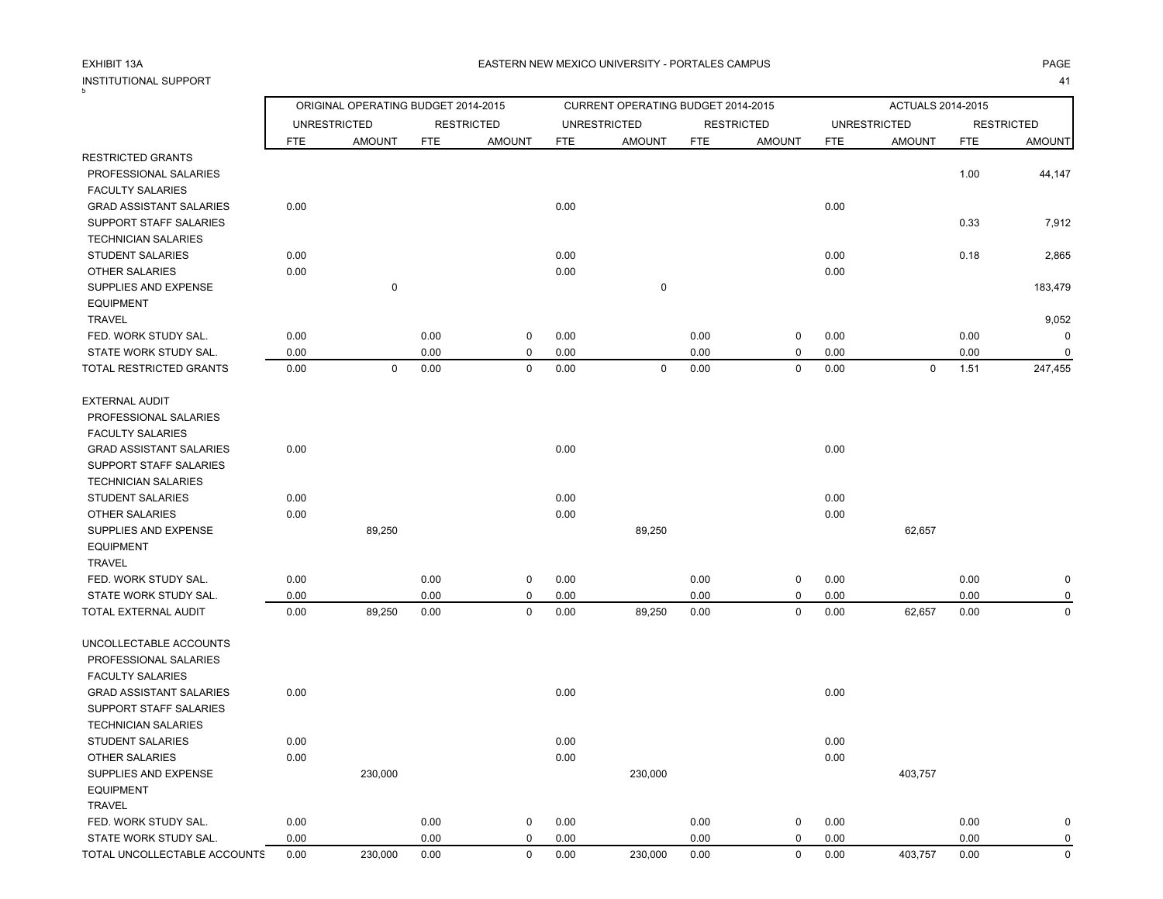# INSTITUTIONAL SUPPORT<br><sup>5</sup>

|                                |            | ORIGINAL OPERATING BUDGET 2014-2015 |            |                   |            | CURRENT OPERATING BUDGET 2014-2015 |            |                   |            | ACTUALS 2014-2015   |            |                   |
|--------------------------------|------------|-------------------------------------|------------|-------------------|------------|------------------------------------|------------|-------------------|------------|---------------------|------------|-------------------|
|                                |            | <b>UNRESTRICTED</b>                 |            | <b>RESTRICTED</b> |            | <b>UNRESTRICTED</b>                |            | <b>RESTRICTED</b> |            | <b>UNRESTRICTED</b> |            | <b>RESTRICTED</b> |
|                                | <b>FTE</b> | <b>AMOUNT</b>                       | <b>FTE</b> | <b>AMOUNT</b>     | <b>FTE</b> | <b>AMOUNT</b>                      | <b>FTE</b> | <b>AMOUNT</b>     | <b>FTE</b> | <b>AMOUNT</b>       | <b>FTE</b> | <b>AMOUNT</b>     |
| <b>RESTRICTED GRANTS</b>       |            |                                     |            |                   |            |                                    |            |                   |            |                     |            |                   |
| PROFESSIONAL SALARIES          |            |                                     |            |                   |            |                                    |            |                   |            |                     | 1.00       | 44,147            |
| <b>FACULTY SALARIES</b>        |            |                                     |            |                   |            |                                    |            |                   |            |                     |            |                   |
| <b>GRAD ASSISTANT SALARIES</b> | 0.00       |                                     |            |                   | 0.00       |                                    |            |                   | 0.00       |                     |            |                   |
| SUPPORT STAFF SALARIES         |            |                                     |            |                   |            |                                    |            |                   |            |                     | 0.33       | 7,912             |
| <b>TECHNICIAN SALARIES</b>     |            |                                     |            |                   |            |                                    |            |                   |            |                     |            |                   |
| <b>STUDENT SALARIES</b>        | 0.00       |                                     |            |                   | 0.00       |                                    |            |                   | 0.00       |                     | 0.18       | 2,865             |
| <b>OTHER SALARIES</b>          | 0.00       |                                     |            |                   | 0.00       |                                    |            |                   | 0.00       |                     |            |                   |
| SUPPLIES AND EXPENSE           |            | $\mathbf 0$                         |            |                   |            | $\mathbf 0$                        |            |                   |            |                     |            | 183,479           |
| <b>EQUIPMENT</b>               |            |                                     |            |                   |            |                                    |            |                   |            |                     |            |                   |
| <b>TRAVEL</b>                  |            |                                     |            |                   |            |                                    |            |                   |            |                     |            | 9,052             |
| FED. WORK STUDY SAL.           | 0.00       |                                     | 0.00       | $\pmb{0}$         | 0.00       |                                    | 0.00       | $\mathbf 0$       | 0.00       |                     | 0.00       | 0                 |
| STATE WORK STUDY SAL.          | 0.00       |                                     | 0.00       | $\mathbf 0$       | 0.00       |                                    | 0.00       | 0                 | 0.00       |                     | 0.00       | $\mathbf 0$       |
| TOTAL RESTRICTED GRANTS        | 0.00       | $\mathbf 0$                         | 0.00       | $\mathbf 0$       | 0.00       | $\mathbf 0$                        | 0.00       | $\pmb{0}$         | 0.00       | $\pmb{0}$           | 1.51       | 247,455           |
|                                |            |                                     |            |                   |            |                                    |            |                   |            |                     |            |                   |
| <b>EXTERNAL AUDIT</b>          |            |                                     |            |                   |            |                                    |            |                   |            |                     |            |                   |
| PROFESSIONAL SALARIES          |            |                                     |            |                   |            |                                    |            |                   |            |                     |            |                   |
| <b>FACULTY SALARIES</b>        |            |                                     |            |                   |            |                                    |            |                   |            |                     |            |                   |
| <b>GRAD ASSISTANT SALARIES</b> | 0.00       |                                     |            |                   | 0.00       |                                    |            |                   | 0.00       |                     |            |                   |
| SUPPORT STAFF SALARIES         |            |                                     |            |                   |            |                                    |            |                   |            |                     |            |                   |
| <b>TECHNICIAN SALARIES</b>     |            |                                     |            |                   |            |                                    |            |                   |            |                     |            |                   |
| <b>STUDENT SALARIES</b>        | 0.00       |                                     |            |                   | 0.00       |                                    |            |                   | 0.00       |                     |            |                   |
| <b>OTHER SALARIES</b>          | 0.00       |                                     |            |                   | 0.00       |                                    |            |                   | 0.00       |                     |            |                   |
| SUPPLIES AND EXPENSE           |            | 89,250                              |            |                   |            | 89,250                             |            |                   |            | 62,657              |            |                   |
| <b>EQUIPMENT</b>               |            |                                     |            |                   |            |                                    |            |                   |            |                     |            |                   |
| <b>TRAVEL</b>                  |            |                                     |            |                   |            |                                    |            |                   |            |                     |            |                   |
| FED. WORK STUDY SAL.           | 0.00       |                                     | 0.00       | $\mathbf 0$       | 0.00       |                                    | 0.00       | $\mathbf 0$       | 0.00       |                     | 0.00       | 0                 |
| STATE WORK STUDY SAL.          | 0.00       |                                     | 0.00       | $\mathbf 0$       | 0.00       |                                    | 0.00       | 0                 | 0.00       |                     | 0.00       | $\Omega$          |
| TOTAL EXTERNAL AUDIT           | 0.00       | 89,250                              | 0.00       | $\mathbf 0$       | 0.00       | 89,250                             | 0.00       | $\mathbf 0$       | 0.00       | 62,657              | 0.00       | $\mathbf 0$       |
|                                |            |                                     |            |                   |            |                                    |            |                   |            |                     |            |                   |
| UNCOLLECTABLE ACCOUNTS         |            |                                     |            |                   |            |                                    |            |                   |            |                     |            |                   |
| PROFESSIONAL SALARIES          |            |                                     |            |                   |            |                                    |            |                   |            |                     |            |                   |
| <b>FACULTY SALARIES</b>        |            |                                     |            |                   |            |                                    |            |                   |            |                     |            |                   |
| <b>GRAD ASSISTANT SALARIES</b> | 0.00       |                                     |            |                   | 0.00       |                                    |            |                   | 0.00       |                     |            |                   |
| <b>SUPPORT STAFF SALARIES</b>  |            |                                     |            |                   |            |                                    |            |                   |            |                     |            |                   |
| <b>TECHNICIAN SALARIES</b>     |            |                                     |            |                   |            |                                    |            |                   |            |                     |            |                   |
| <b>STUDENT SALARIES</b>        | 0.00       |                                     |            |                   | 0.00       |                                    |            |                   | 0.00       |                     |            |                   |
| <b>OTHER SALARIES</b>          | 0.00       |                                     |            |                   | 0.00       |                                    |            |                   | 0.00       |                     |            |                   |
| SUPPLIES AND EXPENSE           |            | 230,000                             |            |                   |            | 230,000                            |            |                   |            | 403,757             |            |                   |
| <b>EQUIPMENT</b>               |            |                                     |            |                   |            |                                    |            |                   |            |                     |            |                   |
| <b>TRAVEL</b>                  |            |                                     |            |                   |            |                                    |            |                   |            |                     |            |                   |
| FED. WORK STUDY SAL.           | 0.00       |                                     | 0.00       | $\mathbf 0$       | 0.00       |                                    | 0.00       | $\mathbf 0$       | 0.00       |                     | 0.00       | 0                 |
| STATE WORK STUDY SAL.          | 0.00       |                                     | 0.00       | $\mathbf 0$       | 0.00       |                                    | 0.00       | $\pmb{0}$         | 0.00       |                     | 0.00       | $\mathbf 0$       |
| TOTAL UNCOLLECTABLE ACCOUNTS   | 0.00       | 230.000                             | 0.00       | $\Omega$          | 0.00       | 230.000                            | 0.00       | $\mathbf 0$       | 0.00       | 403.757             | 0.00       | $\Omega$          |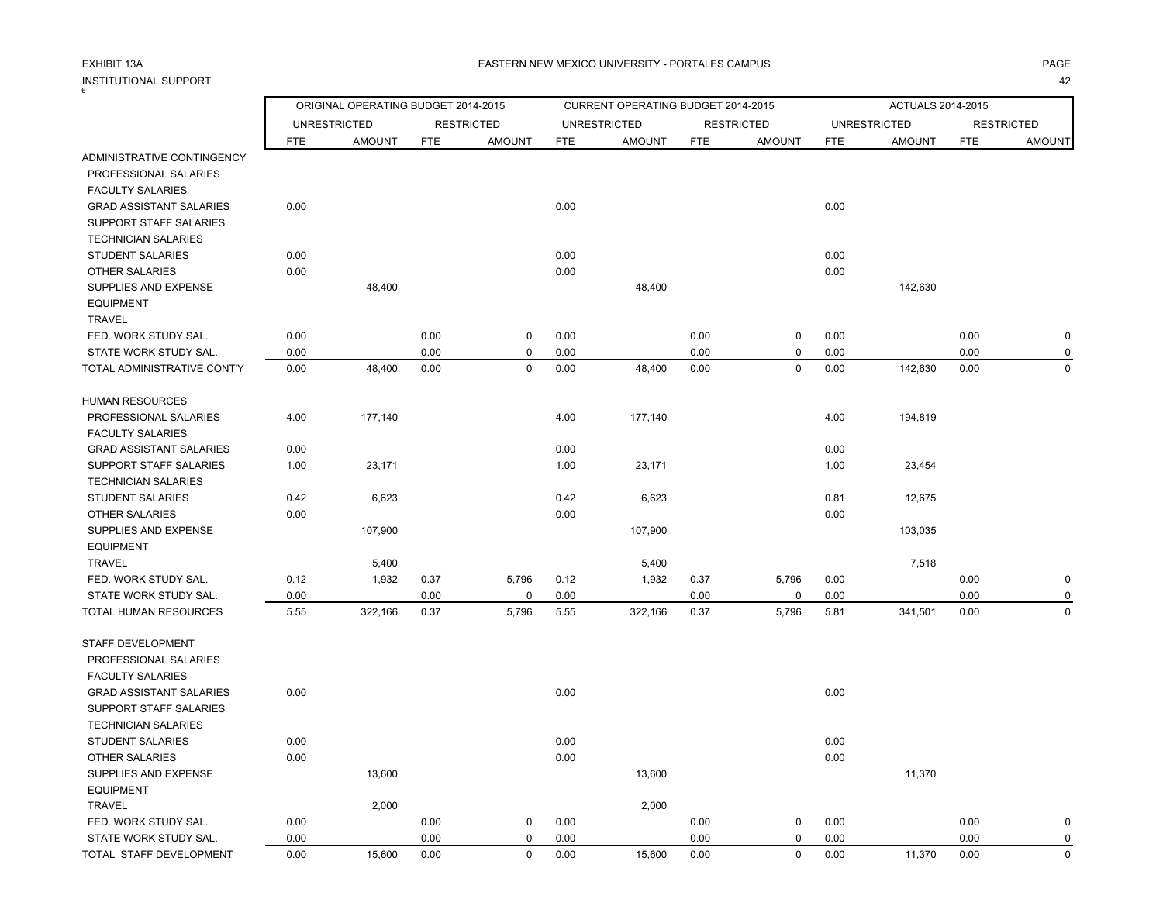# INSTITUTIONAL SUPPORT<br><sup>6</sup>

|                                |      | ORIGINAL OPERATING BUDGET 2014-2015 |            |                   |            | CURRENT OPERATING BUDGET 2014-2015 |            |                   |            | ACTUALS 2014-2015   |            |                   |
|--------------------------------|------|-------------------------------------|------------|-------------------|------------|------------------------------------|------------|-------------------|------------|---------------------|------------|-------------------|
|                                |      | <b>UNRESTRICTED</b>                 |            | <b>RESTRICTED</b> |            | <b>UNRESTRICTED</b>                |            | <b>RESTRICTED</b> |            | <b>UNRESTRICTED</b> |            | <b>RESTRICTED</b> |
|                                | FTE  | <b>AMOUNT</b>                       | <b>FTE</b> | <b>AMOUNT</b>     | <b>FTE</b> | <b>AMOUNT</b>                      | <b>FTE</b> | <b>AMOUNT</b>     | <b>FTE</b> | <b>AMOUNT</b>       | <b>FTE</b> | <b>AMOUNT</b>     |
| ADMINISTRATIVE CONTINGENCY     |      |                                     |            |                   |            |                                    |            |                   |            |                     |            |                   |
| PROFESSIONAL SALARIES          |      |                                     |            |                   |            |                                    |            |                   |            |                     |            |                   |
| <b>FACULTY SALARIES</b>        |      |                                     |            |                   |            |                                    |            |                   |            |                     |            |                   |
| <b>GRAD ASSISTANT SALARIES</b> | 0.00 |                                     |            |                   | 0.00       |                                    |            |                   | 0.00       |                     |            |                   |
| SUPPORT STAFF SALARIES         |      |                                     |            |                   |            |                                    |            |                   |            |                     |            |                   |
| <b>TECHNICIAN SALARIES</b>     |      |                                     |            |                   |            |                                    |            |                   |            |                     |            |                   |
| <b>STUDENT SALARIES</b>        | 0.00 |                                     |            |                   | 0.00       |                                    |            |                   | 0.00       |                     |            |                   |
| <b>OTHER SALARIES</b>          | 0.00 |                                     |            |                   | 0.00       |                                    |            |                   | 0.00       |                     |            |                   |
| SUPPLIES AND EXPENSE           |      | 48,400                              |            |                   |            | 48,400                             |            |                   |            | 142,630             |            |                   |
| <b>EQUIPMENT</b>               |      |                                     |            |                   |            |                                    |            |                   |            |                     |            |                   |
| <b>TRAVEL</b>                  |      |                                     |            |                   |            |                                    |            |                   |            |                     |            |                   |
| FED. WORK STUDY SAL.           | 0.00 |                                     | 0.00       | $\mathbf 0$       | 0.00       |                                    | 0.00       | 0                 | 0.00       |                     | 0.00       | $\pmb{0}$         |
| STATE WORK STUDY SAL.          | 0.00 |                                     | 0.00       | $\mathbf 0$       | 0.00       |                                    | 0.00       | 0                 | 0.00       |                     | 0.00       | $\mathbf 0$       |
| TOTAL ADMINISTRATIVE CONT'Y    | 0.00 | 48,400                              | 0.00       | $\mathbf 0$       | 0.00       | 48,400                             | 0.00       | $\mathbf 0$       | 0.00       | 142,630             | 0.00       | $\mathbf 0$       |
| <b>HUMAN RESOURCES</b>         |      |                                     |            |                   |            |                                    |            |                   |            |                     |            |                   |
| PROFESSIONAL SALARIES          | 4.00 | 177,140                             |            |                   | 4.00       | 177,140                            |            |                   | 4.00       | 194,819             |            |                   |
| <b>FACULTY SALARIES</b>        |      |                                     |            |                   |            |                                    |            |                   |            |                     |            |                   |
| <b>GRAD ASSISTANT SALARIES</b> | 0.00 |                                     |            |                   | 0.00       |                                    |            |                   | 0.00       |                     |            |                   |
| SUPPORT STAFF SALARIES         | 1.00 | 23,171                              |            |                   | 1.00       | 23,171                             |            |                   | 1.00       | 23,454              |            |                   |
| <b>TECHNICIAN SALARIES</b>     |      |                                     |            |                   |            |                                    |            |                   |            |                     |            |                   |
| <b>STUDENT SALARIES</b>        | 0.42 | 6,623                               |            |                   | 0.42       | 6,623                              |            |                   | 0.81       | 12,675              |            |                   |
| <b>OTHER SALARIES</b>          | 0.00 |                                     |            |                   | 0.00       |                                    |            |                   | 0.00       |                     |            |                   |
| SUPPLIES AND EXPENSE           |      | 107,900                             |            |                   |            | 107,900                            |            |                   |            | 103,035             |            |                   |
| <b>EQUIPMENT</b>               |      |                                     |            |                   |            |                                    |            |                   |            |                     |            |                   |
| <b>TRAVEL</b>                  |      | 5,400                               |            |                   |            | 5,400                              |            |                   |            | 7,518               |            |                   |
| FED. WORK STUDY SAL.           | 0.12 | 1,932                               | 0.37       | 5,796             | 0.12       | 1,932                              | 0.37       | 5,796             | 0.00       |                     | 0.00       | $\pmb{0}$         |
| STATE WORK STUDY SAL.          | 0.00 |                                     | 0.00       | $\mathbf 0$       | 0.00       |                                    | 0.00       | 0                 | 0.00       |                     | 0.00       | $\mathbf 0$       |
| TOTAL HUMAN RESOURCES          | 5.55 | 322,166                             | 0.37       | 5,796             | 5.55       | 322,166                            | 0.37       | 5,796             | 5.81       | 341,501             | 0.00       | 0                 |
| STAFF DEVELOPMENT              |      |                                     |            |                   |            |                                    |            |                   |            |                     |            |                   |
| PROFESSIONAL SALARIES          |      |                                     |            |                   |            |                                    |            |                   |            |                     |            |                   |
| <b>FACULTY SALARIES</b>        |      |                                     |            |                   |            |                                    |            |                   |            |                     |            |                   |
| <b>GRAD ASSISTANT SALARIES</b> | 0.00 |                                     |            |                   | 0.00       |                                    |            |                   | 0.00       |                     |            |                   |
| SUPPORT STAFF SALARIES         |      |                                     |            |                   |            |                                    |            |                   |            |                     |            |                   |
| <b>TECHNICIAN SALARIES</b>     |      |                                     |            |                   |            |                                    |            |                   |            |                     |            |                   |
| <b>STUDENT SALARIES</b>        | 0.00 |                                     |            |                   | 0.00       |                                    |            |                   | 0.00       |                     |            |                   |
| <b>OTHER SALARIES</b>          | 0.00 |                                     |            |                   | 0.00       |                                    |            |                   | 0.00       |                     |            |                   |
| SUPPLIES AND EXPENSE           |      | 13,600                              |            |                   |            | 13,600                             |            |                   |            | 11,370              |            |                   |
| <b>EQUIPMENT</b>               |      |                                     |            |                   |            |                                    |            |                   |            |                     |            |                   |
| <b>TRAVEL</b>                  |      | 2,000                               |            |                   |            | 2,000                              |            |                   |            |                     |            |                   |
| FED. WORK STUDY SAL.           | 0.00 |                                     | 0.00       | $\mathbf 0$       | 0.00       |                                    | 0.00       | 0                 | 0.00       |                     | 0.00       | $\mathbf 0$       |
| STATE WORK STUDY SAL.          | 0.00 |                                     | 0.00       | $\mathbf 0$       | 0.00       |                                    | 0.00       | 0                 | 0.00       |                     | 0.00       | $\pmb{0}$         |
| TOTAL STAFF DEVELOPMENT        | 0.00 | 15,600                              | 0.00       | $\mathbf 0$       | 0.00       | 15,600                             | 0.00       | 0                 | 0.00       | 11,370              | 0.00       | $\Omega$          |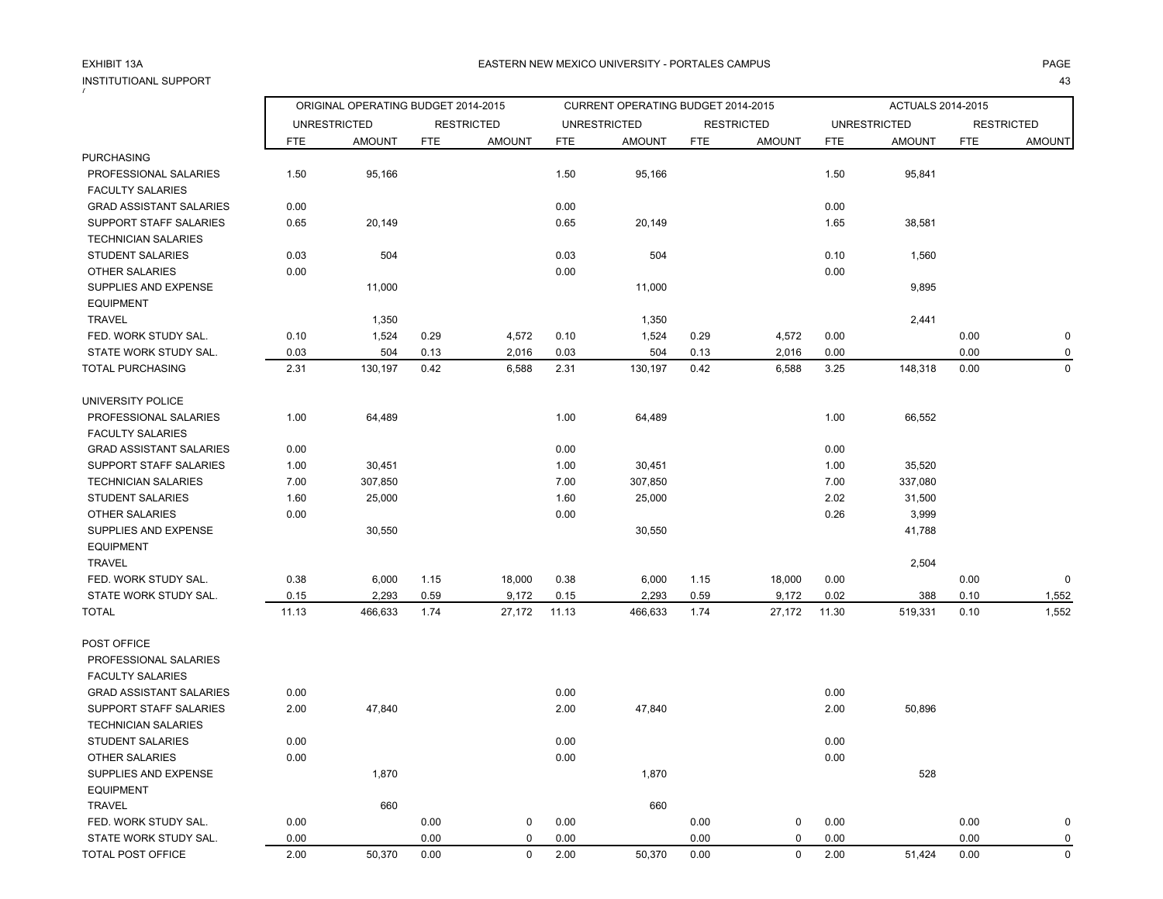# INSTITUTIOANL SUPPORT<br><sup>7</sup>

|                                |       | ORIGINAL OPERATING BUDGET 2014-2015 |            |                   |            | CURRENT OPERATING BUDGET 2014-2015 |            |                   |            | ACTUALS 2014-2015   |            |                   |
|--------------------------------|-------|-------------------------------------|------------|-------------------|------------|------------------------------------|------------|-------------------|------------|---------------------|------------|-------------------|
|                                |       | <b>UNRESTRICTED</b>                 |            | <b>RESTRICTED</b> |            | <b>UNRESTRICTED</b>                |            | <b>RESTRICTED</b> |            | <b>UNRESTRICTED</b> |            | <b>RESTRICTED</b> |
|                                | FTE   | <b>AMOUNT</b>                       | <b>FTE</b> | <b>AMOUNT</b>     | <b>FTE</b> | <b>AMOUNT</b>                      | <b>FTE</b> | <b>AMOUNT</b>     | <b>FTE</b> | <b>AMOUNT</b>       | <b>FTE</b> | <b>AMOUNT</b>     |
| <b>PURCHASING</b>              |       |                                     |            |                   |            |                                    |            |                   |            |                     |            |                   |
| PROFESSIONAL SALARIES          | 1.50  | 95,166                              |            |                   | 1.50       | 95,166                             |            |                   | 1.50       | 95,841              |            |                   |
| <b>FACULTY SALARIES</b>        |       |                                     |            |                   |            |                                    |            |                   |            |                     |            |                   |
| <b>GRAD ASSISTANT SALARIES</b> | 0.00  |                                     |            |                   | 0.00       |                                    |            |                   | 0.00       |                     |            |                   |
| SUPPORT STAFF SALARIES         | 0.65  | 20,149                              |            |                   | 0.65       | 20,149                             |            |                   | 1.65       | 38,581              |            |                   |
| <b>TECHNICIAN SALARIES</b>     |       |                                     |            |                   |            |                                    |            |                   |            |                     |            |                   |
| <b>STUDENT SALARIES</b>        | 0.03  | 504                                 |            |                   | 0.03       | 504                                |            |                   | 0.10       | 1,560               |            |                   |
| <b>OTHER SALARIES</b>          | 0.00  |                                     |            |                   | 0.00       |                                    |            |                   | 0.00       |                     |            |                   |
| SUPPLIES AND EXPENSE           |       | 11,000                              |            |                   |            | 11,000                             |            |                   |            | 9,895               |            |                   |
| <b>EQUIPMENT</b>               |       |                                     |            |                   |            |                                    |            |                   |            |                     |            |                   |
| <b>TRAVEL</b>                  |       | 1,350                               |            |                   |            | 1,350                              |            |                   |            | 2,441               |            |                   |
| FED. WORK STUDY SAL.           | 0.10  | 1,524                               | 0.29       | 4,572             | 0.10       | 1,524                              | 0.29       | 4,572             | 0.00       |                     | 0.00       | 0                 |
| STATE WORK STUDY SAL.          | 0.03  | 504                                 | 0.13       | 2,016             | 0.03       | 504                                | 0.13       | 2,016             | 0.00       |                     | 0.00       | 0                 |
| TOTAL PURCHASING               | 2.31  | 130,197                             | 0.42       | 6,588             | 2.31       | 130,197                            | 0.42       | 6,588             | 3.25       | 148,318             | 0.00       | 0                 |
| UNIVERSITY POLICE              |       |                                     |            |                   |            |                                    |            |                   |            |                     |            |                   |
| PROFESSIONAL SALARIES          | 1.00  | 64,489                              |            |                   | 1.00       | 64,489                             |            |                   | 1.00       | 66,552              |            |                   |
| <b>FACULTY SALARIES</b>        |       |                                     |            |                   |            |                                    |            |                   |            |                     |            |                   |
| <b>GRAD ASSISTANT SALARIES</b> | 0.00  |                                     |            |                   | 0.00       |                                    |            |                   | 0.00       |                     |            |                   |
| SUPPORT STAFF SALARIES         | 1.00  | 30,451                              |            |                   | 1.00       | 30,451                             |            |                   | 1.00       | 35,520              |            |                   |
| <b>TECHNICIAN SALARIES</b>     | 7.00  | 307,850                             |            |                   | 7.00       | 307,850                            |            |                   | 7.00       | 337,080             |            |                   |
| <b>STUDENT SALARIES</b>        | 1.60  | 25,000                              |            |                   | 1.60       | 25,000                             |            |                   | 2.02       | 31,500              |            |                   |
| <b>OTHER SALARIES</b>          | 0.00  |                                     |            |                   | 0.00       |                                    |            |                   | 0.26       | 3,999               |            |                   |
| SUPPLIES AND EXPENSE           |       | 30,550                              |            |                   |            | 30,550                             |            |                   |            | 41,788              |            |                   |
| <b>EQUIPMENT</b>               |       |                                     |            |                   |            |                                    |            |                   |            |                     |            |                   |
| <b>TRAVEL</b>                  |       |                                     |            |                   |            |                                    |            |                   |            | 2,504               |            |                   |
| FED. WORK STUDY SAL.           | 0.38  | 6,000                               | 1.15       | 18,000            | 0.38       | 6,000                              | 1.15       | 18,000            | 0.00       |                     | 0.00       | $\mathbf 0$       |
| STATE WORK STUDY SAL.          | 0.15  | 2,293                               | 0.59       | 9,172             | 0.15       | 2,293                              | 0.59       | 9,172             | 0.02       | 388                 | 0.10       | 1,552             |
| <b>TOTAL</b>                   | 11.13 | 466,633                             | 1.74       | 27,172            | 11.13      | 466,633                            | 1.74       | 27,172            | 11.30      | 519,331             | 0.10       | 1,552             |
| POST OFFICE                    |       |                                     |            |                   |            |                                    |            |                   |            |                     |            |                   |
| PROFESSIONAL SALARIES          |       |                                     |            |                   |            |                                    |            |                   |            |                     |            |                   |
| <b>FACULTY SALARIES</b>        |       |                                     |            |                   |            |                                    |            |                   |            |                     |            |                   |
| <b>GRAD ASSISTANT SALARIES</b> | 0.00  |                                     |            |                   | 0.00       |                                    |            |                   | 0.00       |                     |            |                   |
| SUPPORT STAFF SALARIES         | 2.00  | 47,840                              |            |                   | 2.00       | 47,840                             |            |                   | 2.00       | 50,896              |            |                   |
| <b>TECHNICIAN SALARIES</b>     |       |                                     |            |                   |            |                                    |            |                   |            |                     |            |                   |
| <b>STUDENT SALARIES</b>        | 0.00  |                                     |            |                   | 0.00       |                                    |            |                   | 0.00       |                     |            |                   |
| <b>OTHER SALARIES</b>          | 0.00  |                                     |            |                   | 0.00       |                                    |            |                   | 0.00       |                     |            |                   |
| SUPPLIES AND EXPENSE           |       | 1,870                               |            |                   |            | 1,870                              |            |                   |            | 528                 |            |                   |
| <b>EQUIPMENT</b>               |       |                                     |            |                   |            |                                    |            |                   |            |                     |            |                   |
| <b>TRAVEL</b>                  |       | 660                                 |            |                   |            | 660                                |            |                   |            |                     |            |                   |
| FED. WORK STUDY SAL.           | 0.00  |                                     | 0.00       | $\mathbf 0$       | 0.00       |                                    | 0.00       | $\mathbf 0$       | 0.00       |                     | 0.00       | $\mathbf 0$       |
| STATE WORK STUDY SAL.          | 0.00  |                                     | 0.00       | $\mathbf 0$       | 0.00       |                                    | 0.00       | $\mathbf 0$       | 0.00       |                     | 0.00       | $\mathbf 0$       |
| TOTAL POST OFFICE              | 2.00  | 50.370                              | 0.00       | $\Omega$          | 2.00       | 50.370                             | 0.00       | $\mathbf 0$       | 2.00       | 51.424              | 0.00       | $\Omega$          |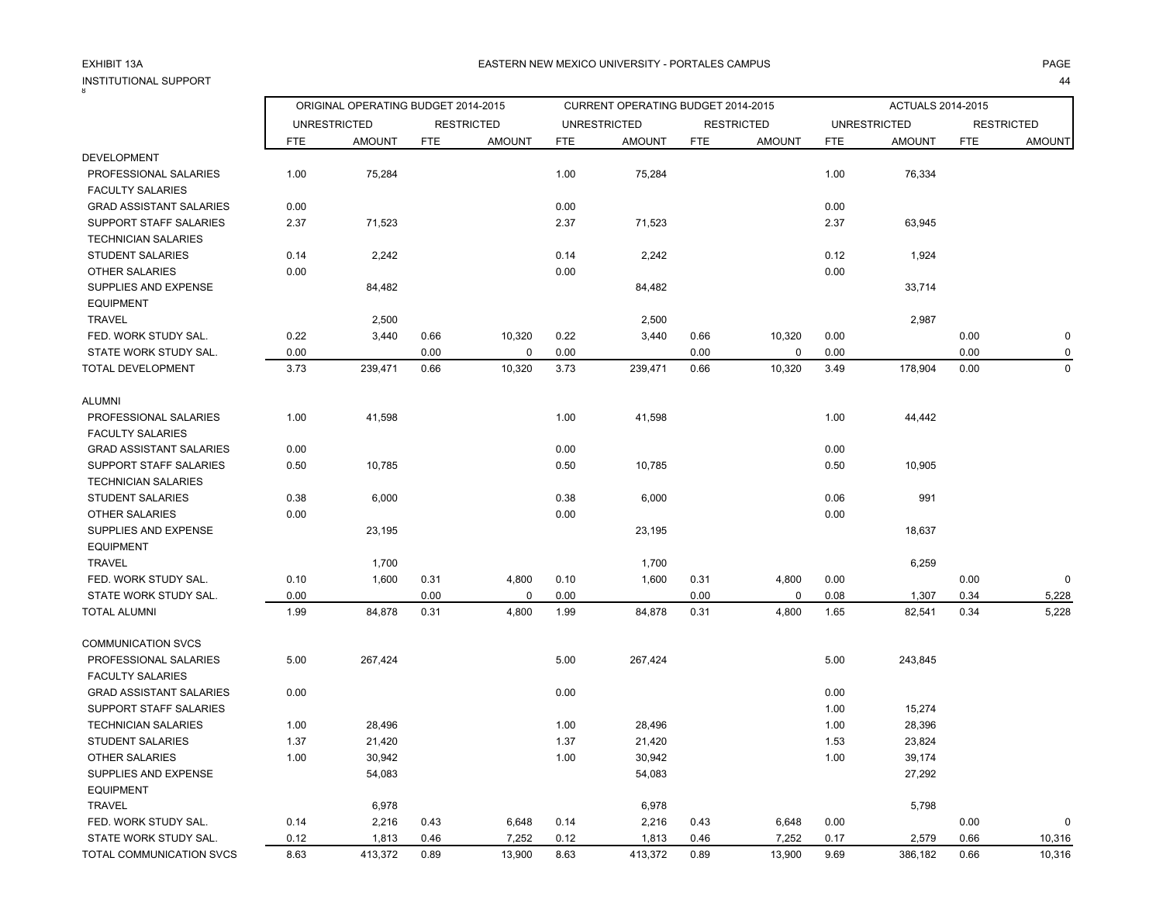# INSTITUTIONAL SUPPORT<br><sup>8</sup>

44

|                                |            | ORIGINAL OPERATING BUDGET 2014-2015 |            |                   |            | CURRENT OPERATING BUDGET 2014-2015 |            |                   |            | ACTUALS 2014-2015   |            |                   |
|--------------------------------|------------|-------------------------------------|------------|-------------------|------------|------------------------------------|------------|-------------------|------------|---------------------|------------|-------------------|
|                                |            | <b>UNRESTRICTED</b>                 |            | <b>RESTRICTED</b> |            | <b>UNRESTRICTED</b>                |            | <b>RESTRICTED</b> |            | <b>UNRESTRICTED</b> |            | <b>RESTRICTED</b> |
|                                | <b>FTE</b> | <b>AMOUNT</b>                       | <b>FTE</b> | <b>AMOUNT</b>     | <b>FTE</b> | <b>AMOUNT</b>                      | <b>FTE</b> | <b>AMOUNT</b>     | <b>FTE</b> | <b>AMOUNT</b>       | <b>FTE</b> | <b>AMOUNT</b>     |
| <b>DEVELOPMENT</b>             |            |                                     |            |                   |            |                                    |            |                   |            |                     |            |                   |
| PROFESSIONAL SALARIES          | 1.00       | 75,284                              |            |                   | 1.00       | 75,284                             |            |                   | 1.00       | 76,334              |            |                   |
| <b>FACULTY SALARIES</b>        |            |                                     |            |                   |            |                                    |            |                   |            |                     |            |                   |
| <b>GRAD ASSISTANT SALARIES</b> | 0.00       |                                     |            |                   | 0.00       |                                    |            |                   | 0.00       |                     |            |                   |
| <b>SUPPORT STAFF SALARIES</b>  | 2.37       | 71,523                              |            |                   | 2.37       | 71,523                             |            |                   | 2.37       | 63,945              |            |                   |
| <b>TECHNICIAN SALARIES</b>     |            |                                     |            |                   |            |                                    |            |                   |            |                     |            |                   |
| <b>STUDENT SALARIES</b>        | 0.14       | 2,242                               |            |                   | 0.14       | 2,242                              |            |                   | 0.12       | 1,924               |            |                   |
| <b>OTHER SALARIES</b>          | 0.00       |                                     |            |                   | 0.00       |                                    |            |                   | 0.00       |                     |            |                   |
| SUPPLIES AND EXPENSE           |            | 84,482                              |            |                   |            | 84,482                             |            |                   |            | 33,714              |            |                   |
| <b>EQUIPMENT</b>               |            |                                     |            |                   |            |                                    |            |                   |            |                     |            |                   |
| <b>TRAVEL</b>                  |            | 2,500                               |            |                   |            | 2,500                              |            |                   |            | 2,987               |            |                   |
| FED. WORK STUDY SAL.           | 0.22       | 3,440                               | 0.66       | 10,320            | 0.22       | 3,440                              | 0.66       | 10,320            | 0.00       |                     | 0.00       | $\mathbf 0$       |
| STATE WORK STUDY SAL.          | 0.00       |                                     | 0.00       | $\mathbf 0$       | 0.00       |                                    | 0.00       | $\mathbf 0$       | 0.00       |                     | 0.00       | $\mathbf 0$       |
| TOTAL DEVELOPMENT              | 3.73       | 239,471                             | 0.66       | 10,320            | 3.73       | 239,471                            | 0.66       | 10,320            | 3.49       | 178,904             | 0.00       | $\mathbf 0$       |
|                                |            |                                     |            |                   |            |                                    |            |                   |            |                     |            |                   |
| <b>ALUMNI</b>                  |            |                                     |            |                   |            |                                    |            |                   |            |                     |            |                   |
| PROFESSIONAL SALARIES          | 1.00       | 41,598                              |            |                   | 1.00       | 41,598                             |            |                   | 1.00       | 44,442              |            |                   |
| <b>FACULTY SALARIES</b>        |            |                                     |            |                   |            |                                    |            |                   |            |                     |            |                   |
| <b>GRAD ASSISTANT SALARIES</b> | 0.00       |                                     |            |                   | 0.00       |                                    |            |                   | 0.00       |                     |            |                   |
| <b>SUPPORT STAFF SALARIES</b>  | 0.50       | 10,785                              |            |                   | 0.50       | 10,785                             |            |                   | 0.50       | 10,905              |            |                   |
| <b>TECHNICIAN SALARIES</b>     |            |                                     |            |                   |            |                                    |            |                   |            |                     |            |                   |
| <b>STUDENT SALARIES</b>        | 0.38       | 6,000                               |            |                   | 0.38       | 6,000                              |            |                   | 0.06       | 991                 |            |                   |
| <b>OTHER SALARIES</b>          | 0.00       |                                     |            |                   | 0.00       |                                    |            |                   | 0.00       |                     |            |                   |
| SUPPLIES AND EXPENSE           |            | 23,195                              |            |                   |            | 23,195                             |            |                   |            | 18,637              |            |                   |
| <b>EQUIPMENT</b>               |            |                                     |            |                   |            |                                    |            |                   |            |                     |            |                   |
| <b>TRAVEL</b>                  |            | 1,700                               |            |                   |            | 1,700                              |            |                   |            | 6,259               |            |                   |
| FED. WORK STUDY SAL.           | 0.10       | 1,600                               | 0.31       | 4,800             | 0.10       | 1,600                              | 0.31       | 4,800             | 0.00       |                     | 0.00       | $\mathbf 0$       |
| STATE WORK STUDY SAL.          | 0.00       |                                     | 0.00       | $\mathbf 0$       | 0.00       |                                    | 0.00       | 0                 | 0.08       | 1,307               | 0.34       | 5,228             |
| <b>TOTAL ALUMNI</b>            | 1.99       | 84,878                              | 0.31       | 4,800             | 1.99       | 84,878                             | 0.31       | 4,800             | 1.65       | 82,541              | 0.34       | 5,228             |
| <b>COMMUNICATION SVCS</b>      |            |                                     |            |                   |            |                                    |            |                   |            |                     |            |                   |
| PROFESSIONAL SALARIES          | 5.00       | 267,424                             |            |                   | 5.00       | 267,424                            |            |                   | 5.00       | 243,845             |            |                   |
| <b>FACULTY SALARIES</b>        |            |                                     |            |                   |            |                                    |            |                   |            |                     |            |                   |
| <b>GRAD ASSISTANT SALARIES</b> | 0.00       |                                     |            |                   | 0.00       |                                    |            |                   | 0.00       |                     |            |                   |
| SUPPORT STAFF SALARIES         |            |                                     |            |                   |            |                                    |            |                   | 1.00       | 15,274              |            |                   |
| <b>TECHNICIAN SALARIES</b>     | 1.00       | 28,496                              |            |                   | 1.00       | 28,496                             |            |                   | 1.00       | 28,396              |            |                   |
| <b>STUDENT SALARIES</b>        | 1.37       | 21,420                              |            |                   | 1.37       | 21,420                             |            |                   | 1.53       | 23,824              |            |                   |
| <b>OTHER SALARIES</b>          | 1.00       | 30,942                              |            |                   | 1.00       | 30,942                             |            |                   | 1.00       | 39,174              |            |                   |
| SUPPLIES AND EXPENSE           |            | 54,083                              |            |                   |            | 54,083                             |            |                   |            | 27,292              |            |                   |
| <b>EQUIPMENT</b>               |            |                                     |            |                   |            |                                    |            |                   |            |                     |            |                   |
| <b>TRAVEL</b>                  |            | 6,978                               |            |                   |            | 6,978                              |            |                   |            | 5,798               |            |                   |
| FED. WORK STUDY SAL.           | 0.14       | 2,216                               | 0.43       | 6,648             | 0.14       | 2,216                              | 0.43       | 6,648             | 0.00       |                     | 0.00       | $\Omega$          |
| STATE WORK STUDY SAL.          | 0.12       | 1,813                               | 0.46       | 7,252             | 0.12       | 1,813                              | 0.46       | 7,252             | 0.17       | 2,579               | 0.66       | 10,316            |
| TOTAL COMMUNICATION SVCS       | 8.63       | 413,372                             | 0.89       | 13,900            | 8.63       | 413,372                            | 0.89       | 13,900            | 9.69       | 386,182             | 0.66       | 10,316            |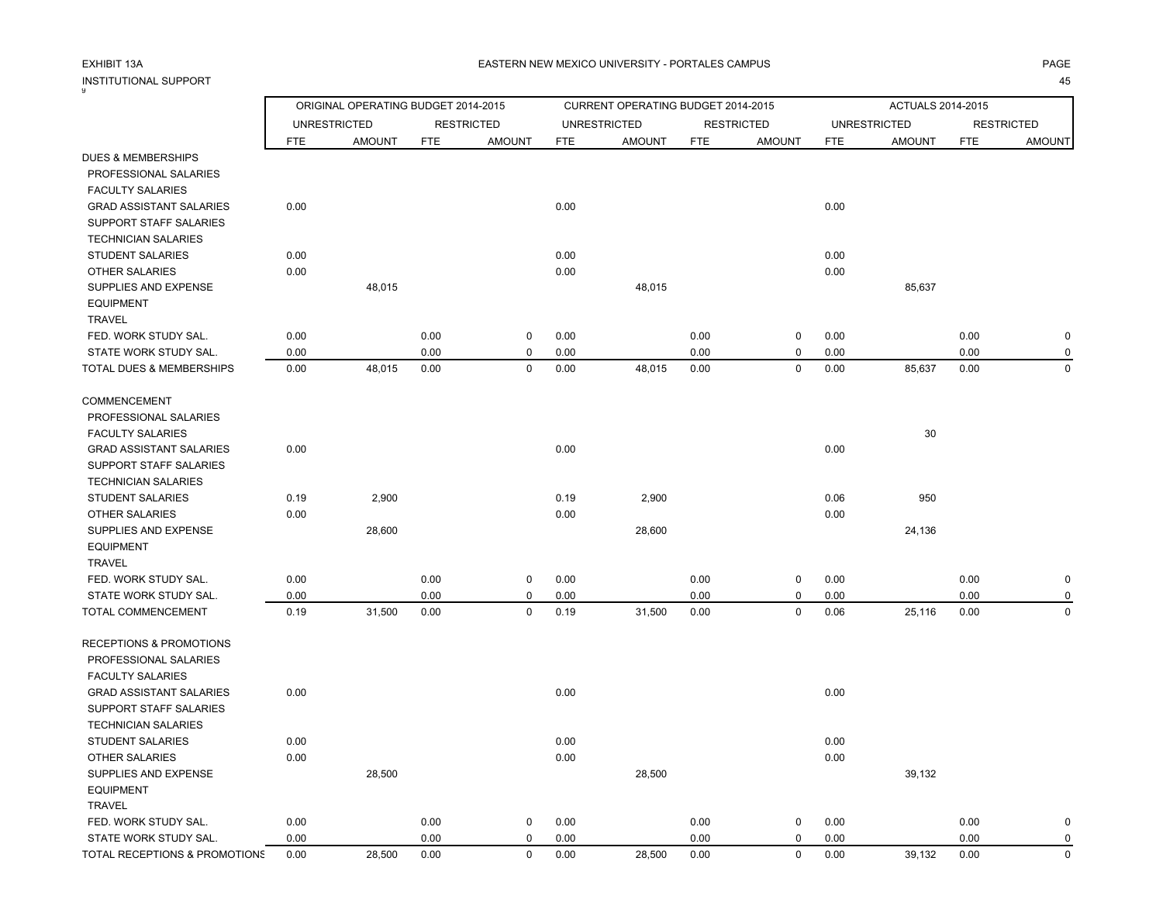# INSTITUTIONAL SUPPORT<br><sup>9</sup>

|                                    |            | ORIGINAL OPERATING BUDGET 2014-2015 |            |                   |            | CURRENT OPERATING BUDGET 2014-2015 |            |                   |            | ACTUALS 2014-2015   |            |                   |
|------------------------------------|------------|-------------------------------------|------------|-------------------|------------|------------------------------------|------------|-------------------|------------|---------------------|------------|-------------------|
|                                    |            | <b>UNRESTRICTED</b>                 |            | <b>RESTRICTED</b> |            | <b>UNRESTRICTED</b>                |            | <b>RESTRICTED</b> |            | <b>UNRESTRICTED</b> |            | <b>RESTRICTED</b> |
|                                    | <b>FTE</b> | <b>AMOUNT</b>                       | <b>FTE</b> | <b>AMOUNT</b>     | <b>FTE</b> | <b>AMOUNT</b>                      | <b>FTE</b> | <b>AMOUNT</b>     | <b>FTE</b> | <b>AMOUNT</b>       | <b>FTE</b> | <b>AMOUNT</b>     |
| <b>DUES &amp; MEMBERSHIPS</b>      |            |                                     |            |                   |            |                                    |            |                   |            |                     |            |                   |
| PROFESSIONAL SALARIES              |            |                                     |            |                   |            |                                    |            |                   |            |                     |            |                   |
| <b>FACULTY SALARIES</b>            |            |                                     |            |                   |            |                                    |            |                   |            |                     |            |                   |
| <b>GRAD ASSISTANT SALARIES</b>     | 0.00       |                                     |            |                   | 0.00       |                                    |            |                   | 0.00       |                     |            |                   |
| SUPPORT STAFF SALARIES             |            |                                     |            |                   |            |                                    |            |                   |            |                     |            |                   |
| <b>TECHNICIAN SALARIES</b>         |            |                                     |            |                   |            |                                    |            |                   |            |                     |            |                   |
| <b>STUDENT SALARIES</b>            | 0.00       |                                     |            |                   | 0.00       |                                    |            |                   | 0.00       |                     |            |                   |
| <b>OTHER SALARIES</b>              | 0.00       |                                     |            |                   | 0.00       |                                    |            |                   | 0.00       |                     |            |                   |
| SUPPLIES AND EXPENSE               |            | 48,015                              |            |                   |            | 48,015                             |            |                   |            | 85,637              |            |                   |
| <b>EQUIPMENT</b>                   |            |                                     |            |                   |            |                                    |            |                   |            |                     |            |                   |
| <b>TRAVEL</b>                      |            |                                     |            |                   |            |                                    |            |                   |            |                     |            |                   |
| FED. WORK STUDY SAL.               | 0.00       |                                     | 0.00       | $\mathbf 0$       | 0.00       |                                    | 0.00       | $\pmb{0}$         | 0.00       |                     | 0.00       | $\mathbf 0$       |
| STATE WORK STUDY SAL.              | 0.00       |                                     | 0.00       | $\mathbf 0$       | 0.00       |                                    | 0.00       | $\mathbf 0$       | 0.00       |                     | 0.00       | $\mathbf 0$       |
| TOTAL DUES & MEMBERSHIPS           | 0.00       | 48,015                              | 0.00       | $\mathbf 0$       | 0.00       | 48,015                             | 0.00       | $\mathbf 0$       | 0.00       | 85,637              | 0.00       | $\mathbf 0$       |
| COMMENCEMENT                       |            |                                     |            |                   |            |                                    |            |                   |            |                     |            |                   |
| PROFESSIONAL SALARIES              |            |                                     |            |                   |            |                                    |            |                   |            |                     |            |                   |
| <b>FACULTY SALARIES</b>            |            |                                     |            |                   |            |                                    |            |                   |            | 30                  |            |                   |
| <b>GRAD ASSISTANT SALARIES</b>     | 0.00       |                                     |            |                   | 0.00       |                                    |            |                   | 0.00       |                     |            |                   |
| SUPPORT STAFF SALARIES             |            |                                     |            |                   |            |                                    |            |                   |            |                     |            |                   |
| <b>TECHNICIAN SALARIES</b>         |            |                                     |            |                   |            |                                    |            |                   |            |                     |            |                   |
| <b>STUDENT SALARIES</b>            | 0.19       | 2,900                               |            |                   | 0.19       | 2,900                              |            |                   | 0.06       | 950                 |            |                   |
| <b>OTHER SALARIES</b>              | 0.00       |                                     |            |                   | 0.00       |                                    |            |                   | 0.00       |                     |            |                   |
| SUPPLIES AND EXPENSE               |            | 28,600                              |            |                   |            | 28,600                             |            |                   |            | 24,136              |            |                   |
| <b>EQUIPMENT</b>                   |            |                                     |            |                   |            |                                    |            |                   |            |                     |            |                   |
| <b>TRAVEL</b>                      |            |                                     |            |                   |            |                                    |            |                   |            |                     |            |                   |
| FED. WORK STUDY SAL.               | 0.00       |                                     | 0.00       | $\mathbf 0$       | 0.00       |                                    | 0.00       | 0                 | 0.00       |                     | 0.00       | 0                 |
| STATE WORK STUDY SAL.              | 0.00       |                                     | 0.00       | $\mathbf 0$       | 0.00       |                                    | 0.00       | $\mathbf 0$       | 0.00       |                     | 0.00       | $\mathbf 0$       |
| TOTAL COMMENCEMENT                 | 0.19       | 31,500                              | 0.00       | $\mathbf 0$       | 0.19       | 31,500                             | 0.00       | $\mathbf 0$       | 0.06       | 25,116              | 0.00       | $\mathbf 0$       |
| <b>RECEPTIONS &amp; PROMOTIONS</b> |            |                                     |            |                   |            |                                    |            |                   |            |                     |            |                   |
| PROFESSIONAL SALARIES              |            |                                     |            |                   |            |                                    |            |                   |            |                     |            |                   |
| <b>FACULTY SALARIES</b>            |            |                                     |            |                   |            |                                    |            |                   |            |                     |            |                   |
| <b>GRAD ASSISTANT SALARIES</b>     | 0.00       |                                     |            |                   | 0.00       |                                    |            |                   | 0.00       |                     |            |                   |
| SUPPORT STAFF SALARIES             |            |                                     |            |                   |            |                                    |            |                   |            |                     |            |                   |
| <b>TECHNICIAN SALARIES</b>         |            |                                     |            |                   |            |                                    |            |                   |            |                     |            |                   |
| <b>STUDENT SALARIES</b>            | 0.00       |                                     |            |                   | 0.00       |                                    |            |                   | 0.00       |                     |            |                   |
| OTHER SALARIES                     | 0.00       |                                     |            |                   | 0.00       |                                    |            |                   | 0.00       |                     |            |                   |
| SUPPLIES AND EXPENSE               |            | 28,500                              |            |                   |            | 28,500                             |            |                   |            | 39,132              |            |                   |
| <b>EQUIPMENT</b>                   |            |                                     |            |                   |            |                                    |            |                   |            |                     |            |                   |
| <b>TRAVEL</b>                      |            |                                     |            |                   |            |                                    |            |                   |            |                     |            |                   |
| FED. WORK STUDY SAL.               | 0.00       |                                     | 0.00       | $\mathbf 0$       | 0.00       |                                    | 0.00       | 0                 | 0.00       |                     | 0.00       | $\mathbf 0$       |
| STATE WORK STUDY SAL.              | 0.00       |                                     | 0.00       | $\mathbf 0$       | 0.00       |                                    | 0.00       | $\pmb{0}$         | 0.00       |                     | 0.00       | 0                 |
| TOTAL RECEPTIONS & PROMOTIONS      | 0.00       | 28.500                              | 0.00       | $\Omega$          | 0.00       | 28,500                             | 0.00       | $\mathbf 0$       | 0.00       | 39,132              | 0.00       | $\Omega$          |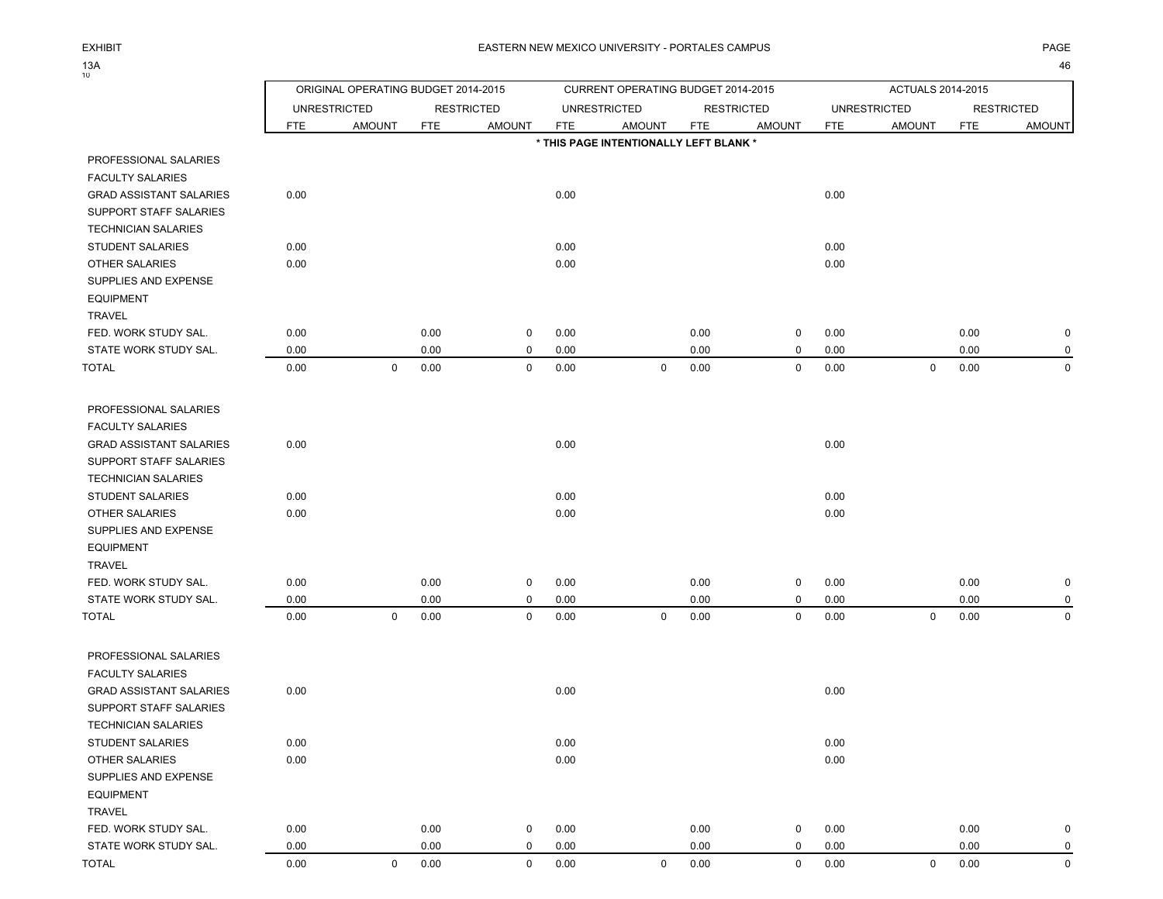EXHIBIT

ORIGINAL OPERATING BUDGET 2014-2015 CURRENT OPERATING BUDGET 2014-2015 ACTUALS 2014-2015

UNRESTRICTED RESTRICTED UNRESTRICTED RESTRICTED UNRESTRICTED RESTRICTED

|                                | FTE  | <b>AMOUNT</b> | <b>FTE</b> | <b>AMOUNT</b> | <b>FTE</b> | <b>AMOUNT</b>                          | <b>FTE</b> | <b>AMOUNT</b> | <b>FTE</b> | <b>AMOUNT</b> | <b>FTE</b> | <b>AMOUNT</b> |
|--------------------------------|------|---------------|------------|---------------|------------|----------------------------------------|------------|---------------|------------|---------------|------------|---------------|
|                                |      |               |            |               |            | * THIS PAGE INTENTIONALLY LEFT BLANK * |            |               |            |               |            |               |
| PROFESSIONAL SALARIES          |      |               |            |               |            |                                        |            |               |            |               |            |               |
| <b>FACULTY SALARIES</b>        |      |               |            |               |            |                                        |            |               |            |               |            |               |
| <b>GRAD ASSISTANT SALARIES</b> | 0.00 |               |            |               | 0.00       |                                        |            |               | 0.00       |               |            |               |
| SUPPORT STAFF SALARIES         |      |               |            |               |            |                                        |            |               |            |               |            |               |
| <b>TECHNICIAN SALARIES</b>     |      |               |            |               |            |                                        |            |               |            |               |            |               |
| <b>STUDENT SALARIES</b>        | 0.00 |               |            |               | 0.00       |                                        |            |               | 0.00       |               |            |               |
| OTHER SALARIES                 | 0.00 |               |            |               | 0.00       |                                        |            |               | 0.00       |               |            |               |
| SUPPLIES AND EXPENSE           |      |               |            |               |            |                                        |            |               |            |               |            |               |
| <b>EQUIPMENT</b>               |      |               |            |               |            |                                        |            |               |            |               |            |               |
| <b>TRAVEL</b>                  |      |               |            |               |            |                                        |            |               |            |               |            |               |
| FED. WORK STUDY SAL.           | 0.00 |               | 0.00       | 0             | 0.00       |                                        | 0.00       | 0             | 0.00       |               | 0.00       | $\pmb{0}$     |
| STATE WORK STUDY SAL.          | 0.00 |               | 0.00       | $\mathbf 0$   | 0.00       |                                        | 0.00       | 0             | 0.00       |               | 0.00       | $\mathbf 0$   |
| <b>TOTAL</b>                   | 0.00 | $\mathbf 0$   | 0.00       | $\mathbf 0$   | 0.00       | $\mathbf 0$                            | 0.00       | 0             | 0.00       | $\mathbf 0$   | 0.00       | $\mathbf 0$   |
| PROFESSIONAL SALARIES          |      |               |            |               |            |                                        |            |               |            |               |            |               |
| <b>FACULTY SALARIES</b>        |      |               |            |               |            |                                        |            |               |            |               |            |               |
| <b>GRAD ASSISTANT SALARIES</b> | 0.00 |               |            |               | 0.00       |                                        |            |               | 0.00       |               |            |               |
| SUPPORT STAFF SALARIES         |      |               |            |               |            |                                        |            |               |            |               |            |               |
| <b>TECHNICIAN SALARIES</b>     |      |               |            |               |            |                                        |            |               |            |               |            |               |
| <b>STUDENT SALARIES</b>        | 0.00 |               |            |               | 0.00       |                                        |            |               | 0.00       |               |            |               |
| <b>OTHER SALARIES</b>          | 0.00 |               |            |               | 0.00       |                                        |            |               | 0.00       |               |            |               |
| SUPPLIES AND EXPENSE           |      |               |            |               |            |                                        |            |               |            |               |            |               |
| <b>EQUIPMENT</b>               |      |               |            |               |            |                                        |            |               |            |               |            |               |
| <b>TRAVEL</b>                  |      |               |            |               |            |                                        |            |               |            |               |            |               |
| FED. WORK STUDY SAL.           | 0.00 |               | 0.00       | $\mathbf 0$   | 0.00       |                                        | 0.00       | 0             | 0.00       |               | 0.00       | $\mathbf 0$   |
| STATE WORK STUDY SAL.          | 0.00 |               | 0.00       | $\mathbf 0$   | 0.00       |                                        | 0.00       | 0             | 0.00       |               | 0.00       | 0             |
| TOTAL                          | 0.00 | $\mathsf 0$   | 0.00       | $\pmb{0}$     | 0.00       | 0                                      | 0.00       | 0             | 0.00       | $\mathbf 0$   | 0.00       | $\mathbf 0$   |
| PROFESSIONAL SALARIES          |      |               |            |               |            |                                        |            |               |            |               |            |               |
| <b>FACULTY SALARIES</b>        |      |               |            |               |            |                                        |            |               |            |               |            |               |
| <b>GRAD ASSISTANT SALARIES</b> | 0.00 |               |            |               | 0.00       |                                        |            |               | 0.00       |               |            |               |
| SUPPORT STAFF SALARIES         |      |               |            |               |            |                                        |            |               |            |               |            |               |
| <b>TECHNICIAN SALARIES</b>     |      |               |            |               |            |                                        |            |               |            |               |            |               |
| <b>STUDENT SALARIES</b>        | 0.00 |               |            |               | 0.00       |                                        |            |               | 0.00       |               |            |               |
| <b>OTHER SALARIES</b>          | 0.00 |               |            |               | 0.00       |                                        |            |               | 0.00       |               |            |               |
| SUPPLIES AND EXPENSE           |      |               |            |               |            |                                        |            |               |            |               |            |               |
| <b>EQUIPMENT</b>               |      |               |            |               |            |                                        |            |               |            |               |            |               |
| <b>TRAVEL</b>                  |      |               |            |               |            |                                        |            |               |            |               |            |               |
| FED. WORK STUDY SAL.           | 0.00 |               | 0.00       | 0             | 0.00       |                                        | 0.00       | 0             | 0.00       |               | 0.00       | $\pmb{0}$     |
| STATE WORK STUDY SAL.          | 0.00 |               | 0.00       | $\mathbf 0$   | 0.00       |                                        | 0.00       | 0             | 0.00       |               | 0.00       | $\mathbf 0$   |
| TOTAL                          | 0.00 | 0             | 0.00       | $\Omega$      | 0.00       | $\mathbf{0}$                           | 0.00       | $\Omega$      | 0.00       | $\mathbf 0$   | 0.00       | $\Omega$      |

PROFES FACULT

13A<br><sub>10</sub>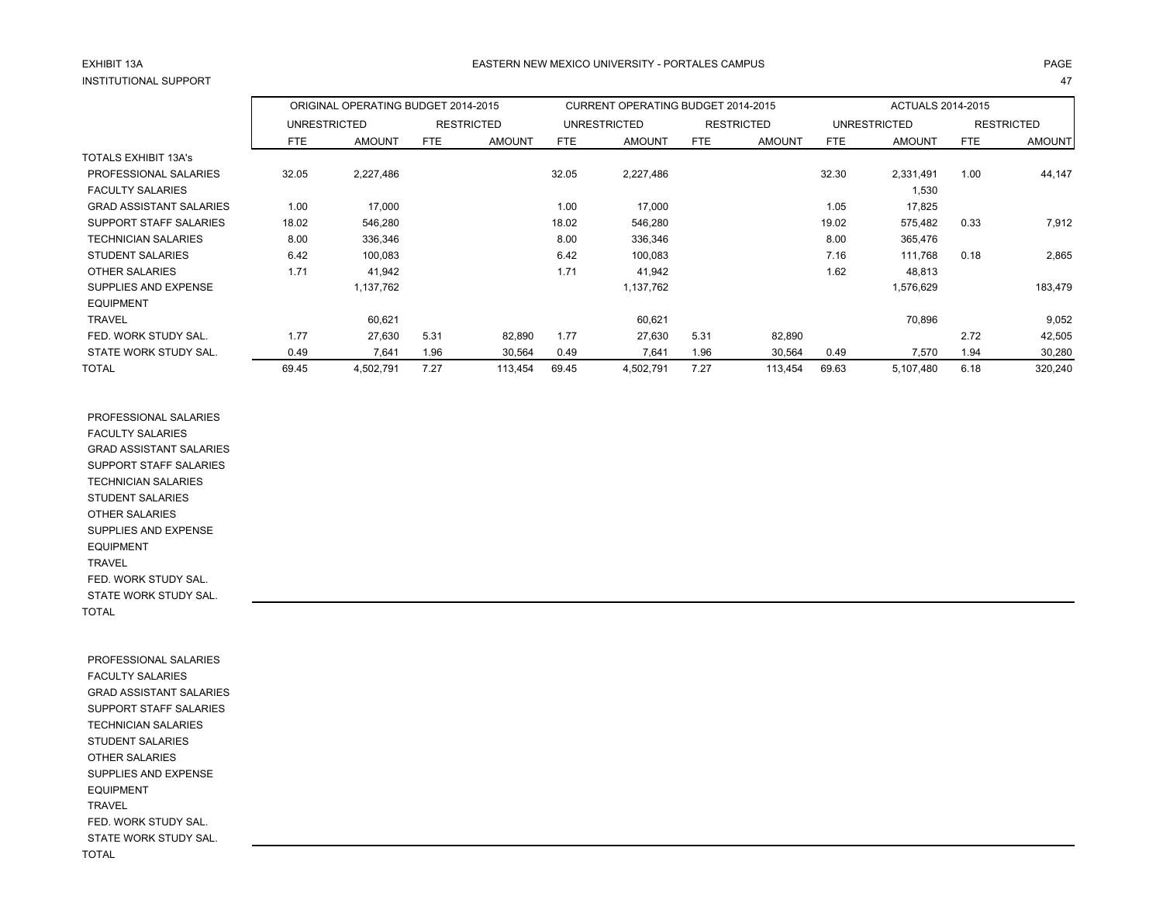# EXHIBIT 13AINSTITUTIONAL SUPPORT

T and the contract of the contract of the contract of the contract of the contract of the contract of the contract of the contract of the contract of the contract of the contract of the contract of the contract of the cont

|                                |                     | ORIGINAL OPERATING BUDGET 2014-2015 |      |                   |       | <b>CURRENT OPERATING BUDGET 2014-2015</b> |            |                   |       | <b>ACTUALS 2014-2015</b> |            |                   |
|--------------------------------|---------------------|-------------------------------------|------|-------------------|-------|-------------------------------------------|------------|-------------------|-------|--------------------------|------------|-------------------|
|                                | <b>UNRESTRICTED</b> |                                     |      | <b>RESTRICTED</b> |       | <b>UNRESTRICTED</b>                       |            | <b>RESTRICTED</b> |       | UNRESTRICTED             |            | <b>RESTRICTED</b> |
|                                | FTE                 | <b>AMOUNT</b>                       | FTE  | <b>AMOUNT</b>     | FTE   | <b>AMOUNT</b>                             | <b>FTE</b> | <b>AMOUNT</b>     | FTE   | <b>AMOUNT</b>            | <b>FTE</b> | <b>AMOUNT</b>     |
| <b>TOTALS EXHIBIT 13A's</b>    |                     |                                     |      |                   |       |                                           |            |                   |       |                          |            |                   |
| PROFESSIONAL SALARIES          | 32.05               | 2,227,486                           |      |                   | 32.05 | 2,227,486                                 |            |                   | 32.30 | 2,331,491                | 1.00       | 44,147            |
| <b>FACULTY SALARIES</b>        |                     |                                     |      |                   |       |                                           |            |                   |       | 1,530                    |            |                   |
| <b>GRAD ASSISTANT SALARIES</b> | 1.00                | 17,000                              |      |                   | 1.00  | 17,000                                    |            |                   | 1.05  | 17,825                   |            |                   |
| SUPPORT STAFF SALARIES         | 18.02               | 546,280                             |      |                   | 18.02 | 546,280                                   |            |                   | 19.02 | 575,482                  | 0.33       | 7,912             |
| <b>TECHNICIAN SALARIES</b>     | 8.00                | 336,346                             |      |                   | 8.00  | 336,346                                   |            |                   | 8.00  | 365,476                  |            |                   |
| <b>STUDENT SALARIES</b>        | 6.42                | 100,083                             |      |                   | 6.42  | 100.083                                   |            |                   | 7.16  | 111,768                  | 0.18       | 2,865             |
| <b>OTHER SALARIES</b>          | 1.71                | 41,942                              |      |                   | 1.71  | 41,942                                    |            |                   | 1.62  | 48,813                   |            |                   |
| SUPPLIES AND EXPENSE           |                     | 1,137,762                           |      |                   |       | 1,137,762                                 |            |                   |       | 1,576,629                |            | 183,479           |
| <b>EQUIPMENT</b>               |                     |                                     |      |                   |       |                                           |            |                   |       |                          |            |                   |
| <b>TRAVEL</b>                  |                     | 60,621                              |      |                   |       | 60,621                                    |            |                   |       | 70.896                   |            | 9,052             |
| FED. WORK STUDY SAL.           | 1.77                | 27,630                              | 5.31 | 82,890            | 1.77  | 27,630                                    | 5.31       | 82,890            |       |                          | 2.72       | 42,505            |
| STATE WORK STUDY SAL.          | 0.49                | 7,641                               | 1.96 | 30,564            | 0.49  | 7,641                                     | 1.96       | 30,564            | 0.49  | 7,570                    | 1.94       | 30,280            |
| <b>TOTAL</b>                   | 69.45               | 4,502,791                           | 7.27 | 113,454           | 69.45 | 4,502,791                                 | 7.27       | 113,454           | 69.63 | 5,107,480                | 6.18       | 320,240           |

 PROFESSIONAL SALARIES FACULTY SALARIES GRAD ASSISTANT SALARIES SUPPORT STAFF SALARIES TECHNICIAN SALARIES STUDENT SALARIES OTHER SALARIES SUPPLIES AND EXPENSE EQUIPMENT TRAVEL FED. WORK STUDY SAL. STATE WORK STUDY SAL. TOTAL

 PROFESSIONAL SALARIES FACULTY SALARIES GRAD ASSISTANT SALARIES SUPPORT STAFF SALARIES TECHNICIAN SALARIES STUDENT SALARIES OTHER SALARIES SUPPLIES AND EXPENSE EQUIPMENT TRAVEL FED. WORK STUDY SAL. STATE WORK STUDY SAL. TOTAL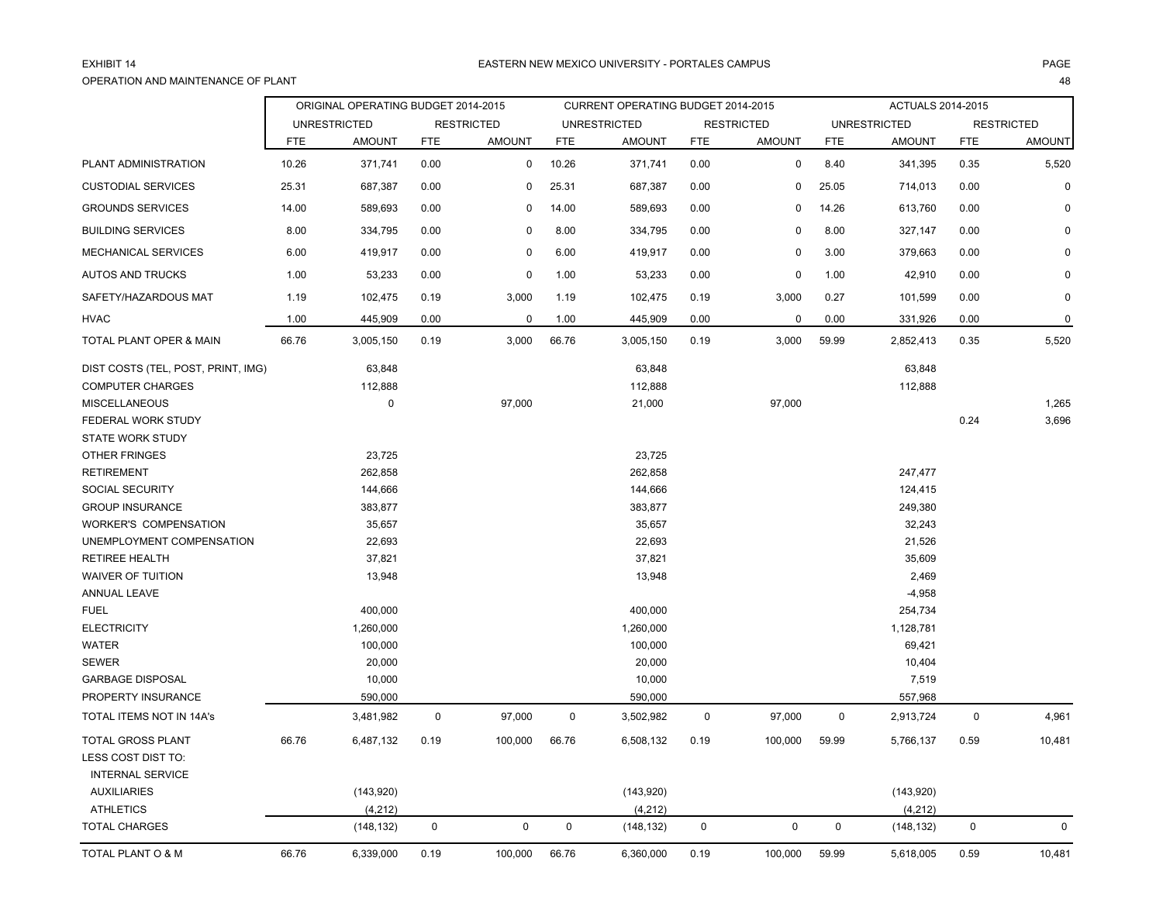### EXHIBIT 14OPERATION AND MAINTENANCE OF PLANTт произведения на селото на 148 метата на 148 метата на 148 метата на 148 метата 148 метата 148

|                                    |            | ORIGINAL OPERATING BUDGET 2014-2015 |             |                   |            | CURRENT OPERATING BUDGET 2014-2015 |             |                   |             | ACTUALS 2014-2015   |             |                   |
|------------------------------------|------------|-------------------------------------|-------------|-------------------|------------|------------------------------------|-------------|-------------------|-------------|---------------------|-------------|-------------------|
|                                    |            | <b>UNRESTRICTED</b>                 |             | <b>RESTRICTED</b> |            | <b>UNRESTRICTED</b>                |             | <b>RESTRICTED</b> |             | <b>UNRESTRICTED</b> |             | <b>RESTRICTED</b> |
|                                    | <b>FTE</b> | <b>AMOUNT</b>                       | <b>FTE</b>  | <b>AMOUNT</b>     | <b>FTE</b> | <b>AMOUNT</b>                      | <b>FTE</b>  | <b>AMOUNT</b>     | <b>FTE</b>  | <b>AMOUNT</b>       | <b>FTE</b>  | <b>AMOUNT</b>     |
| PLANT ADMINISTRATION               | 10.26      | 371,741                             | 0.00        | $\mathbf 0$       | 10.26      | 371,741                            | 0.00        | $\mathbf 0$       | 8.40        | 341,395             | 0.35        | 5,520             |
| <b>CUSTODIAL SERVICES</b>          | 25.31      | 687,387                             | 0.00        | $\mathbf 0$       | 25.31      | 687,387                            | 0.00        | $\pmb{0}$         | 25.05       | 714,013             | 0.00        | $\mathbf 0$       |
| <b>GROUNDS SERVICES</b>            | 14.00      | 589,693                             | 0.00        | 0                 | 14.00      | 589,693                            | 0.00        | $\mathbf 0$       | 14.26       | 613,760             | 0.00        |                   |
| <b>BUILDING SERVICES</b>           | 8.00       | 334,795                             | 0.00        | $\Omega$          | 8.00       | 334,795                            | 0.00        | $\mathbf 0$       | 8.00        | 327,147             | 0.00        |                   |
| MECHANICAL SERVICES                | 6.00       | 419,917                             | 0.00        | 0                 | 6.00       | 419,917                            | 0.00        | $\mathbf 0$       | 3.00        | 379,663             | 0.00        |                   |
| <b>AUTOS AND TRUCKS</b>            | 1.00       | 53,233                              | 0.00        | 0                 | 1.00       | 53,233                             | 0.00        | 0                 | 1.00        | 42,910              | 0.00        | 0                 |
| SAFETY/HAZARDOUS MAT               | 1.19       | 102,475                             | 0.19        | 3,000             | 1.19       | 102,475                            | 0.19        | 3,000             | 0.27        | 101,599             | 0.00        | $\Omega$          |
| <b>HVAC</b>                        | 1.00       | 445,909                             | 0.00        | $\Omega$          | 1.00       | 445,909                            | 0.00        | $\mathbf 0$       | 0.00        | 331,926             | 0.00        | $\mathbf 0$       |
| TOTAL PLANT OPER & MAIN            | 66.76      | 3,005,150                           | 0.19        | 3,000             | 66.76      | 3,005,150                          | 0.19        | 3,000             | 59.99       | 2,852,413           | 0.35        | 5,520             |
| DIST COSTS (TEL, POST, PRINT, IMG) |            | 63,848                              |             |                   |            | 63,848                             |             |                   |             | 63,848              |             |                   |
| <b>COMPUTER CHARGES</b>            |            | 112,888                             |             |                   |            | 112,888                            |             |                   |             | 112,888             |             |                   |
| <b>MISCELLANEOUS</b>               |            | $\pmb{0}$                           |             | 97,000            |            | 21,000                             |             | 97,000            |             |                     |             | 1,265             |
| FEDERAL WORK STUDY                 |            |                                     |             |                   |            |                                    |             |                   |             |                     | 0.24        | 3,696             |
| STATE WORK STUDY                   |            |                                     |             |                   |            |                                    |             |                   |             |                     |             |                   |
| OTHER FRINGES                      |            | 23,725                              |             |                   |            | 23,725                             |             |                   |             |                     |             |                   |
| <b>RETIREMENT</b>                  |            | 262,858                             |             |                   |            | 262,858                            |             |                   |             | 247,477             |             |                   |
| SOCIAL SECURITY                    |            | 144,666                             |             |                   |            | 144,666                            |             |                   |             | 124,415             |             |                   |
| <b>GROUP INSURANCE</b>             |            | 383,877                             |             |                   |            | 383,877                            |             |                   |             | 249,380             |             |                   |
| <b>WORKER'S COMPENSATION</b>       |            | 35,657                              |             |                   |            | 35,657                             |             |                   |             | 32,243              |             |                   |
| UNEMPLOYMENT COMPENSATION          |            | 22,693                              |             |                   |            | 22,693                             |             |                   |             | 21,526              |             |                   |
| <b>RETIREE HEALTH</b>              |            | 37,821                              |             |                   |            | 37,821                             |             |                   |             | 35,609              |             |                   |
| <b>WAIVER OF TUITION</b>           |            | 13,948                              |             |                   |            | 13,948                             |             |                   |             | 2,469               |             |                   |
| ANNUAL LEAVE                       |            |                                     |             |                   |            |                                    |             |                   |             | $-4,958$            |             |                   |
| <b>FUEL</b>                        |            | 400,000                             |             |                   |            | 400,000                            |             |                   |             | 254,734             |             |                   |
| <b>ELECTRICITY</b>                 |            | 1,260,000                           |             |                   |            | 1,260,000                          |             |                   |             | 1,128,781           |             |                   |
| <b>WATER</b>                       |            | 100,000                             |             |                   |            | 100,000                            |             |                   |             | 69,421              |             |                   |
| <b>SEWER</b>                       |            | 20,000                              |             |                   |            | 20,000                             |             |                   |             | 10,404              |             |                   |
| <b>GARBAGE DISPOSAL</b>            |            | 10,000                              |             |                   |            | 10,000                             |             |                   |             | 7,519               |             |                   |
| PROPERTY INSURANCE                 |            | 590,000                             |             |                   |            | 590,000                            |             |                   |             | 557,968             |             |                   |
| TOTAL ITEMS NOT IN 14A's           |            | 3,481,982                           | $\mathsf 0$ | 97,000            | $\pmb{0}$  | 3,502,982                          | $\mathbf 0$ | 97,000            | $\mathsf 0$ | 2,913,724           | $\mathbf 0$ | 4,961             |
| TOTAL GROSS PLANT                  | 66.76      | 6,487,132                           | 0.19        | 100,000           | 66.76      | 6,508,132                          | 0.19        | 100,000           | 59.99       | 5,766,137           | 0.59        | 10,481            |
| LESS COST DIST TO:                 |            |                                     |             |                   |            |                                    |             |                   |             |                     |             |                   |
| <b>INTERNAL SERVICE</b>            |            |                                     |             |                   |            |                                    |             |                   |             |                     |             |                   |
| <b>AUXILIARIES</b>                 |            | (143, 920)                          |             |                   |            | (143,920)                          |             |                   |             | (143,920)           |             |                   |
| <b>ATHLETICS</b>                   |            | (4, 212)                            |             |                   |            | (4, 212)                           |             |                   |             | (4, 212)            |             |                   |
| <b>TOTAL CHARGES</b>               |            | (148, 132)                          | $\mathbf 0$ | $\pmb{0}$         | 0          | (148, 132)                         | 0           | $\mathbf 0$       | $\mathbf 0$ | (148, 132)          | 0           | $\mathbf 0$       |
| TOTAL PLANT O & M                  | 66.76      | 6,339,000                           | 0.19        | 100,000           | 66.76      | 6,360,000                          | 0.19        | 100,000           | 59.99       | 5,618,005           | 0.59        | 10,481            |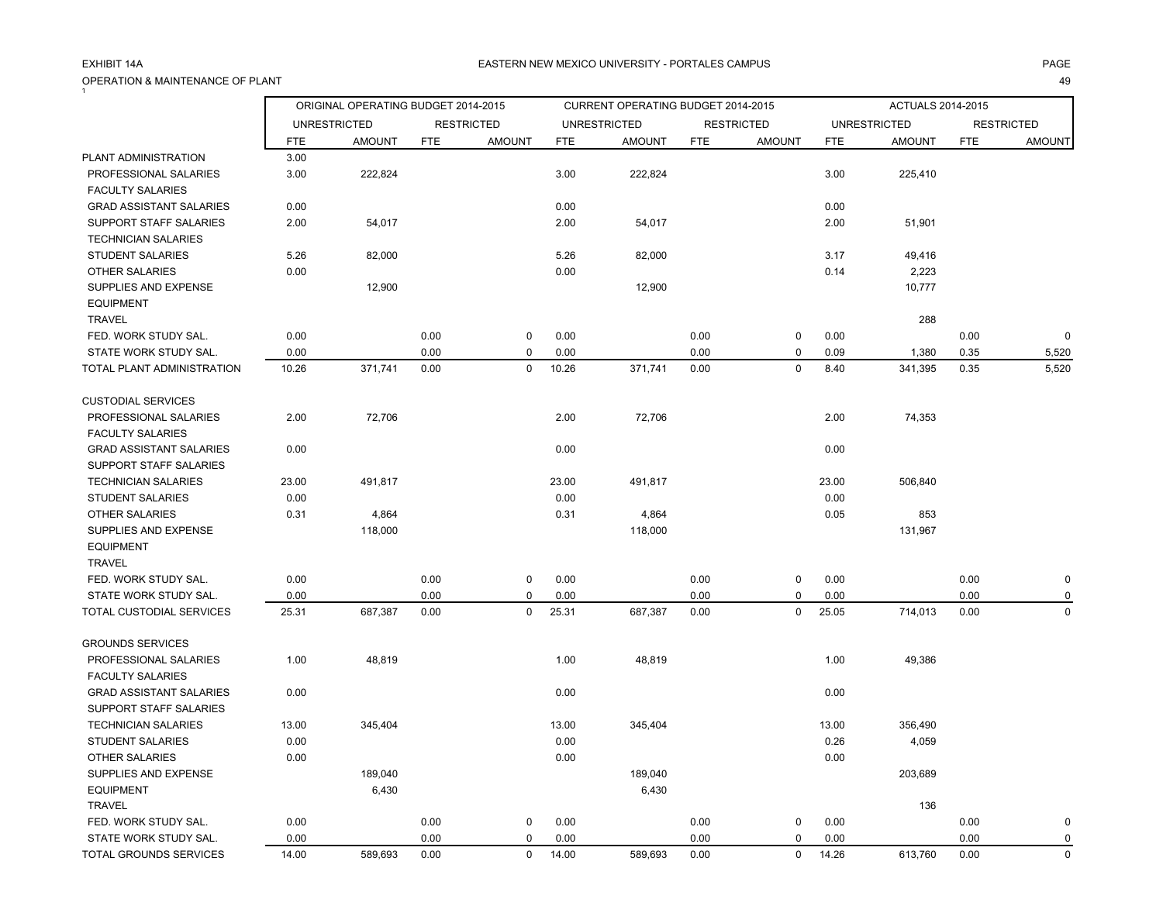OPERATION & MAINTENANCE OF PLANT

### A EASTERN NEW MEXICO UNIVERSITY - PORTALES CAMPUS AND AND AND ANGELES ON A PAGE AND A PAGE

| $\overline{1}$                                       |            | ORIGINAL OPERATING BUDGET 2014-2015 |            |                   |            | CURRENT OPERATING BUDGET 2014-2015 |            |                   |            | ACTUALS 2014-2015   |            |                   |
|------------------------------------------------------|------------|-------------------------------------|------------|-------------------|------------|------------------------------------|------------|-------------------|------------|---------------------|------------|-------------------|
|                                                      |            | <b>UNRESTRICTED</b>                 |            | <b>RESTRICTED</b> |            | <b>UNRESTRICTED</b>                |            | <b>RESTRICTED</b> |            | <b>UNRESTRICTED</b> |            | <b>RESTRICTED</b> |
|                                                      | <b>FTE</b> | <b>AMOUNT</b>                       | <b>FTE</b> | <b>AMOUNT</b>     | <b>FTE</b> | <b>AMOUNT</b>                      | <b>FTE</b> | <b>AMOUNT</b>     | <b>FTE</b> | <b>AMOUNT</b>       | <b>FTE</b> | <b>AMOUNT</b>     |
| PLANT ADMINISTRATION                                 | 3.00       |                                     |            |                   |            |                                    |            |                   |            |                     |            |                   |
| PROFESSIONAL SALARIES<br><b>FACULTY SALARIES</b>     | 3.00       | 222,824                             |            |                   | 3.00       | 222,824                            |            |                   | 3.00       | 225,410             |            |                   |
| <b>GRAD ASSISTANT SALARIES</b>                       | 0.00       |                                     |            |                   | 0.00       |                                    |            |                   | 0.00       |                     |            |                   |
| SUPPORT STAFF SALARIES<br><b>TECHNICIAN SALARIES</b> | 2.00       | 54,017                              |            |                   | 2.00       | 54,017                             |            |                   | 2.00       | 51,901              |            |                   |
| <b>STUDENT SALARIES</b>                              | 5.26       | 82,000                              |            |                   | 5.26       | 82,000                             |            |                   | 3.17       | 49,416              |            |                   |
| <b>OTHER SALARIES</b>                                | 0.00       |                                     |            |                   | 0.00       |                                    |            |                   | 0.14       | 2,223               |            |                   |
| SUPPLIES AND EXPENSE<br><b>EQUIPMENT</b>             |            | 12,900                              |            |                   |            | 12,900                             |            |                   |            | 10,777              |            |                   |
| <b>TRAVEL</b>                                        |            |                                     |            |                   |            |                                    |            |                   |            | 288                 |            |                   |
| FED. WORK STUDY SAL.                                 | 0.00       |                                     | 0.00       | $\mathbf 0$       | 0.00       |                                    | 0.00       | 0                 | 0.00       |                     | 0.00       | $\mathbf 0$       |
| STATE WORK STUDY SAL.                                | 0.00       |                                     | 0.00       | 0                 | 0.00       |                                    | 0.00       | 0                 | 0.09       | 1,380               | 0.35       | 5,520             |
| TOTAL PLANT ADMINISTRATION                           | 10.26      | 371,741                             | 0.00       | 0                 | 10.26      | 371,741                            | 0.00       | 0                 | 8.40       | 341,395             | 0.35       | 5,520             |
| <b>CUSTODIAL SERVICES</b>                            |            |                                     |            |                   |            |                                    |            |                   |            |                     |            |                   |
| PROFESSIONAL SALARIES                                | 2.00       | 72,706                              |            |                   | 2.00       | 72,706                             |            |                   | 2.00       | 74,353              |            |                   |
| <b>FACULTY SALARIES</b>                              |            |                                     |            |                   |            |                                    |            |                   |            |                     |            |                   |
| <b>GRAD ASSISTANT SALARIES</b>                       | 0.00       |                                     |            |                   | 0.00       |                                    |            |                   | 0.00       |                     |            |                   |
| <b>SUPPORT STAFF SALARIES</b>                        |            |                                     |            |                   |            |                                    |            |                   |            |                     |            |                   |
| <b>TECHNICIAN SALARIES</b>                           | 23.00      | 491,817                             |            |                   | 23.00      | 491,817                            |            |                   | 23.00      | 506,840             |            |                   |
| <b>STUDENT SALARIES</b>                              | 0.00       |                                     |            |                   | 0.00       |                                    |            |                   | 0.00       |                     |            |                   |
| <b>OTHER SALARIES</b>                                | 0.31       | 4,864                               |            |                   | 0.31       | 4,864                              |            |                   | 0.05       | 853                 |            |                   |
| SUPPLIES AND EXPENSE<br><b>EQUIPMENT</b>             |            | 118,000                             |            |                   |            | 118,000                            |            |                   |            | 131,967             |            |                   |
| <b>TRAVEL</b>                                        |            |                                     |            |                   |            |                                    |            |                   |            |                     |            |                   |
| FED. WORK STUDY SAL.                                 | 0.00       |                                     | 0.00       | $\mathbf 0$       | 0.00       |                                    | 0.00       | 0                 | 0.00       |                     | 0.00       | 0                 |
| STATE WORK STUDY SAL.                                | 0.00       |                                     | 0.00       | 0                 | 0.00       |                                    | 0.00       | 0                 | 0.00       |                     | 0.00       | 0                 |
| TOTAL CUSTODIAL SERVICES                             | 25.31      | 687,387                             | 0.00       | 0                 | 25.31      | 687,387                            | 0.00       | 0                 | 25.05      | 714,013             | 0.00       | 0                 |
| <b>GROUNDS SERVICES</b>                              |            |                                     |            |                   |            |                                    |            |                   |            |                     |            |                   |
| PROFESSIONAL SALARIES                                | 1.00       | 48,819                              |            |                   | 1.00       | 48,819                             |            |                   | 1.00       | 49,386              |            |                   |
| <b>FACULTY SALARIES</b>                              |            |                                     |            |                   |            |                                    |            |                   |            |                     |            |                   |
| <b>GRAD ASSISTANT SALARIES</b>                       | 0.00       |                                     |            |                   | 0.00       |                                    |            |                   | 0.00       |                     |            |                   |
| SUPPORT STAFF SALARIES                               |            |                                     |            |                   |            |                                    |            |                   |            |                     |            |                   |
| <b>TECHNICIAN SALARIES</b>                           | 13.00      | 345,404                             |            |                   | 13.00      | 345,404                            |            |                   | 13.00      | 356,490             |            |                   |
| <b>STUDENT SALARIES</b>                              | 0.00       |                                     |            |                   | 0.00       |                                    |            |                   | 0.26       | 4,059               |            |                   |
| OTHER SALARIES                                       | $0.00\,$   |                                     |            |                   | 0.00       |                                    |            |                   | 0.00       |                     |            |                   |
| SUPPLIES AND EXPENSE                                 |            | 189,040                             |            |                   |            | 189,040                            |            |                   |            | 203,689             |            |                   |
| <b>EQUIPMENT</b>                                     |            | 6,430                               |            |                   |            | 6,430                              |            |                   |            |                     |            |                   |
| <b>TRAVEL</b>                                        |            |                                     |            |                   |            |                                    |            |                   |            | 136                 |            |                   |
| FED. WORK STUDY SAL.                                 | 0.00       |                                     | 0.00       | 0                 | 0.00       |                                    | 0.00       | 0                 | 0.00       |                     | 0.00       | 0                 |
| STATE WORK STUDY SAL.                                | 0.00       |                                     | 0.00       | 0                 | 0.00       |                                    | 0.00       | 0                 | 0.00       |                     | 0.00       | 0                 |
| TOTAL GROUNDS SERVICES                               | 14.00      | 589,693                             | 0.00       | 0                 | 14.00      | 589,693                            | 0.00       | 0                 | 14.26      | 613,760             | 0.00       | $\mathbf 0$       |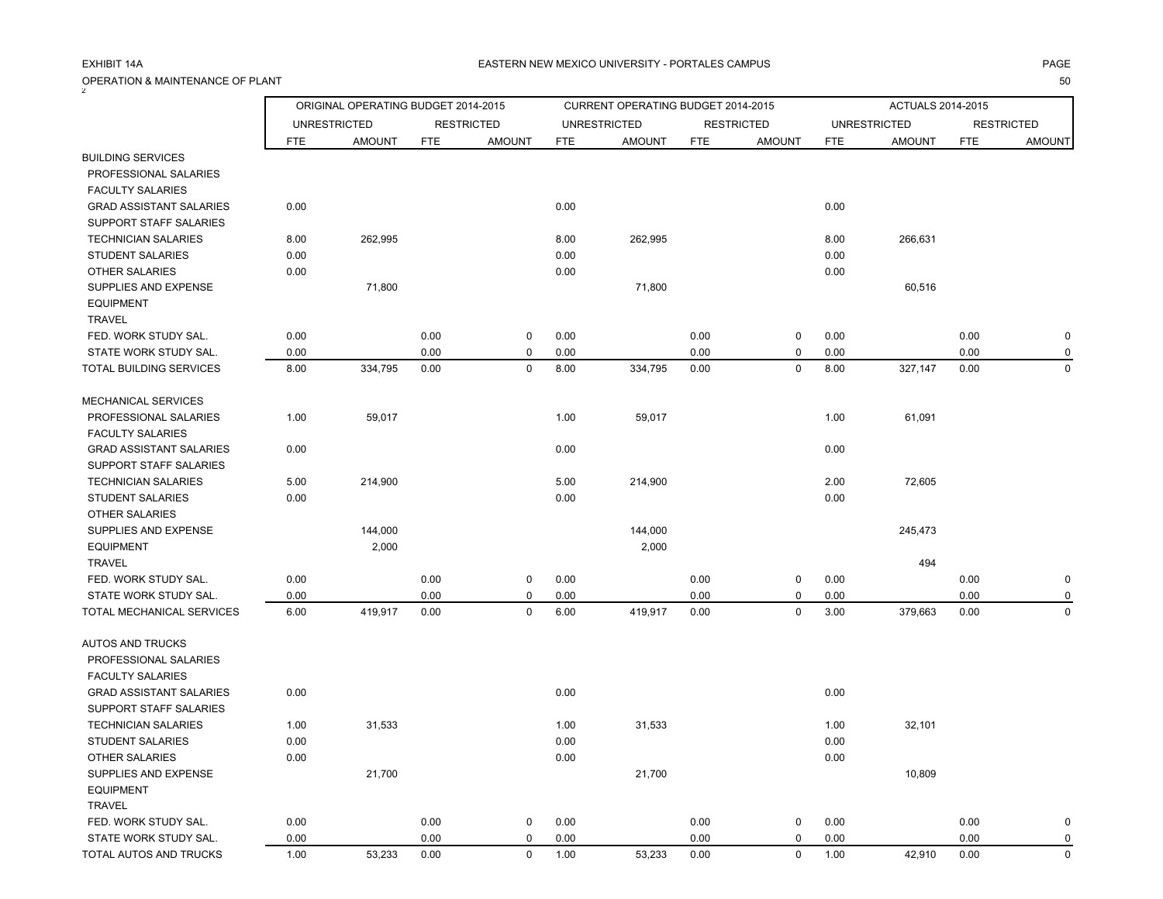| $\mathbf{Z}$                   |            | ORIGINAL OPERATING BUDGET 2014-2015 |            |                   |            | CURRENT OPERATING BUDGET 2014-2015 |            |                   |            | ACTUALS 2014-2015   |            |                   |
|--------------------------------|------------|-------------------------------------|------------|-------------------|------------|------------------------------------|------------|-------------------|------------|---------------------|------------|-------------------|
|                                |            | <b>UNRESTRICTED</b>                 |            | <b>RESTRICTED</b> |            | <b>UNRESTRICTED</b>                |            | <b>RESTRICTED</b> |            | <b>UNRESTRICTED</b> |            | <b>RESTRICTED</b> |
|                                | <b>FTE</b> | <b>AMOUNT</b>                       | <b>FTE</b> | <b>AMOUNT</b>     | <b>FTE</b> | <b>AMOUNT</b>                      | <b>FTE</b> | <b>AMOUNT</b>     | <b>FTE</b> | <b>AMOUNT</b>       | <b>FTE</b> | <b>AMOUNT</b>     |
| <b>BUILDING SERVICES</b>       |            |                                     |            |                   |            |                                    |            |                   |            |                     |            |                   |
| PROFESSIONAL SALARIES          |            |                                     |            |                   |            |                                    |            |                   |            |                     |            |                   |
| <b>FACULTY SALARIES</b>        |            |                                     |            |                   |            |                                    |            |                   |            |                     |            |                   |
| <b>GRAD ASSISTANT SALARIES</b> | 0.00       |                                     |            |                   | 0.00       |                                    |            |                   | 0.00       |                     |            |                   |
| SUPPORT STAFF SALARIES         |            |                                     |            |                   |            |                                    |            |                   |            |                     |            |                   |
| <b>TECHNICIAN SALARIES</b>     | 8.00       | 262,995                             |            |                   | 8.00       | 262,995                            |            |                   | 8.00       | 266,631             |            |                   |
| <b>STUDENT SALARIES</b>        | 0.00       |                                     |            |                   | 0.00       |                                    |            |                   | 0.00       |                     |            |                   |
| OTHER SALARIES                 | 0.00       |                                     |            |                   | 0.00       |                                    |            |                   | 0.00       |                     |            |                   |
| SUPPLIES AND EXPENSE           |            | 71,800                              |            |                   |            | 71,800                             |            |                   |            | 60,516              |            |                   |
| <b>EQUIPMENT</b>               |            |                                     |            |                   |            |                                    |            |                   |            |                     |            |                   |
| TRAVEL                         |            |                                     |            |                   |            |                                    |            |                   |            |                     |            |                   |
| FED. WORK STUDY SAL.           | 0.00       |                                     | 0.00       | 0                 | 0.00       |                                    | 0.00       | 0                 | 0.00       |                     | 0.00       | 0                 |
| STATE WORK STUDY SAL.          | 0.00       |                                     | 0.00       | 0                 | 0.00       |                                    | 0.00       | 0                 | 0.00       |                     | 0.00       | 0                 |
| TOTAL BUILDING SERVICES        | 8.00       | 334,795                             | 0.00       | 0                 | 8.00       | 334,795                            | 0.00       | 0                 | 8.00       | 327,147             | 0.00       | $\mathbf 0$       |
| MECHANICAL SERVICES            |            |                                     |            |                   |            |                                    |            |                   |            |                     |            |                   |
| PROFESSIONAL SALARIES          | 1.00       | 59,017                              |            |                   | 1.00       | 59,017                             |            |                   | 1.00       | 61,091              |            |                   |
| <b>FACULTY SALARIES</b>        |            |                                     |            |                   |            |                                    |            |                   |            |                     |            |                   |
| <b>GRAD ASSISTANT SALARIES</b> | 0.00       |                                     |            |                   | 0.00       |                                    |            |                   | 0.00       |                     |            |                   |
| SUPPORT STAFF SALARIES         |            |                                     |            |                   |            |                                    |            |                   |            |                     |            |                   |
| <b>TECHNICIAN SALARIES</b>     | 5.00       | 214,900                             |            |                   | 5.00       | 214,900                            |            |                   | 2.00       | 72,605              |            |                   |
| <b>STUDENT SALARIES</b>        | 0.00       |                                     |            |                   | 0.00       |                                    |            |                   | 0.00       |                     |            |                   |
| <b>OTHER SALARIES</b>          |            |                                     |            |                   |            |                                    |            |                   |            |                     |            |                   |
| SUPPLIES AND EXPENSE           |            | 144,000                             |            |                   |            | 144,000                            |            |                   |            | 245,473             |            |                   |
| <b>EQUIPMENT</b>               |            | 2,000                               |            |                   |            | 2,000                              |            |                   |            |                     |            |                   |
| <b>TRAVEL</b>                  |            |                                     |            |                   |            |                                    |            |                   |            | 494                 |            |                   |
| FED. WORK STUDY SAL.           | 0.00       |                                     | 0.00       | 0                 | 0.00       |                                    | 0.00       | 0                 | 0.00       |                     | 0.00       | $\pmb{0}$         |
| STATE WORK STUDY SAL.          | 0.00       |                                     | 0.00       | $\mathbf 0$       | 0.00       |                                    | 0.00       | 0                 | 0.00       |                     | 0.00       | 0                 |
| TOTAL MECHANICAL SERVICES      | 6.00       | 419,917                             | 0.00       | $\mathbf 0$       | 6.00       | 419,917                            | 0.00       | $\mathbf 0$       | 3.00       | 379,663             | 0.00       | $\mathbf 0$       |
| <b>AUTOS AND TRUCKS</b>        |            |                                     |            |                   |            |                                    |            |                   |            |                     |            |                   |
| PROFESSIONAL SALARIES          |            |                                     |            |                   |            |                                    |            |                   |            |                     |            |                   |
| <b>FACULTY SALARIES</b>        |            |                                     |            |                   |            |                                    |            |                   |            |                     |            |                   |
| <b>GRAD ASSISTANT SALARIES</b> | 0.00       |                                     |            |                   | 0.00       |                                    |            |                   | 0.00       |                     |            |                   |
| <b>SUPPORT STAFF SALARIES</b>  |            |                                     |            |                   |            |                                    |            |                   |            |                     |            |                   |
| <b>TECHNICIAN SALARIES</b>     | 1.00       | 31,533                              |            |                   | 1.00       | 31,533                             |            |                   | 1.00       | 32,101              |            |                   |
| <b>STUDENT SALARIES</b>        | 0.00       |                                     |            |                   | 0.00       |                                    |            |                   | 0.00       |                     |            |                   |
| OTHER SALARIES                 | 0.00       |                                     |            |                   | 0.00       |                                    |            |                   | 0.00       |                     |            |                   |
| SUPPLIES AND EXPENSE           |            | 21,700                              |            |                   |            | 21,700                             |            |                   |            | 10,809              |            |                   |
| <b>EQUIPMENT</b>               |            |                                     |            |                   |            |                                    |            |                   |            |                     |            |                   |
| <b>TRAVEL</b>                  |            |                                     |            |                   |            |                                    |            |                   |            |                     |            |                   |
| FED. WORK STUDY SAL.           | 0.00       |                                     | 0.00       | 0                 | 0.00       |                                    | 0.00       | 0                 | 0.00       |                     | 0.00       | $\pmb{0}$         |
| STATE WORK STUDY SAL.          | 0.00       |                                     | 0.00       | 0                 | 0.00       |                                    | 0.00       | 0                 | 0.00       |                     | 0.00       | 0                 |
| TOTAL AUTOS AND TRUCKS         | 1.00       | 53,233                              | 0.00       | $\mathbf 0$       | 1.00       | 53,233                             | 0.00       | $\mathbf 0$       | 1.00       | 42,910              | 0.00       | $\mathbf 0$       |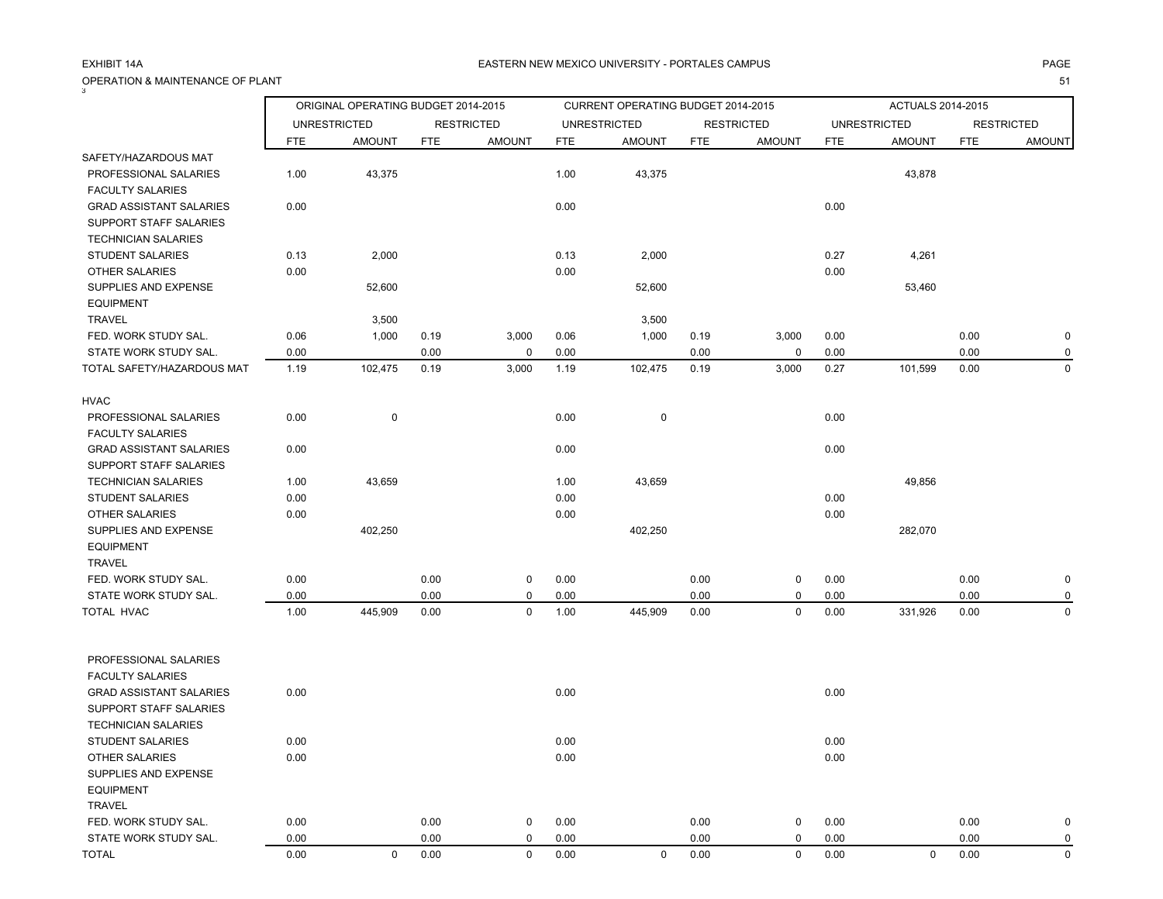|                                                           |              | ORIGINAL OPERATING BUDGET 2014-2015 |              |                   |              | CURRENT OPERATING BUDGET 2014-2015 |              |                   |              | ACTUALS 2014-2015   |              |                            |
|-----------------------------------------------------------|--------------|-------------------------------------|--------------|-------------------|--------------|------------------------------------|--------------|-------------------|--------------|---------------------|--------------|----------------------------|
|                                                           |              | <b>UNRESTRICTED</b>                 |              | <b>RESTRICTED</b> |              | <b>UNRESTRICTED</b>                |              | <b>RESTRICTED</b> |              | <b>UNRESTRICTED</b> |              | <b>RESTRICTED</b>          |
|                                                           | <b>FTE</b>   | <b>AMOUNT</b>                       | <b>FTE</b>   | <b>AMOUNT</b>     | <b>FTE</b>   | <b>AMOUNT</b>                      | <b>FTE</b>   | <b>AMOUNT</b>     | <b>FTE</b>   | <b>AMOUNT</b>       | <b>FTE</b>   | <b>AMOUNT</b>              |
| SAFETY/HAZARDOUS MAT                                      |              |                                     |              |                   |              |                                    |              |                   |              |                     |              |                            |
| PROFESSIONAL SALARIES                                     | 1.00         | 43,375                              |              |                   | 1.00         | 43,375                             |              |                   |              | 43,878              |              |                            |
| <b>FACULTY SALARIES</b>                                   |              |                                     |              |                   |              |                                    |              |                   |              |                     |              |                            |
| <b>GRAD ASSISTANT SALARIES</b>                            | 0.00         |                                     |              |                   | 0.00         |                                    |              |                   | 0.00         |                     |              |                            |
| SUPPORT STAFF SALARIES                                    |              |                                     |              |                   |              |                                    |              |                   |              |                     |              |                            |
| <b>TECHNICIAN SALARIES</b>                                |              |                                     |              |                   |              |                                    |              |                   |              |                     |              |                            |
| STUDENT SALARIES                                          | 0.13         | 2,000                               |              |                   | 0.13         | 2,000                              |              |                   | 0.27         | 4,261               |              |                            |
| OTHER SALARIES                                            | 0.00         |                                     |              |                   | 0.00         |                                    |              |                   | 0.00         |                     |              |                            |
| SUPPLIES AND EXPENSE                                      |              | 52,600                              |              |                   |              | 52,600                             |              |                   |              | 53,460              |              |                            |
| <b>EQUIPMENT</b>                                          |              |                                     |              |                   |              |                                    |              |                   |              |                     |              |                            |
| <b>TRAVEL</b>                                             |              | 3,500                               |              |                   |              | 3,500                              |              |                   |              |                     |              |                            |
| FED. WORK STUDY SAL.                                      | 0.06         | 1,000                               | 0.19         | 3,000             | 0.06         | 1,000                              | 0.19         | 3,000             | 0.00         |                     | 0.00         | $\mathbf 0$                |
| STATE WORK STUDY SAL.                                     | 0.00         |                                     | 0.00         | $\mathbf 0$       | 0.00         |                                    | 0.00         | $\mathbf 0$       | 0.00         |                     | 0.00         | $\pmb{0}$                  |
| TOTAL SAFETY/HAZARDOUS MAT                                | 1.19         | 102,475                             | 0.19         | 3,000             | 1.19         | 102,475                            | 0.19         | 3,000             | 0.27         | 101,599             | 0.00         | $\pmb{0}$                  |
| <b>HVAC</b>                                               |              |                                     |              |                   |              |                                    |              |                   |              |                     |              |                            |
| PROFESSIONAL SALARIES                                     | 0.00         | $\pmb{0}$                           |              |                   | 0.00         | $\mathsf 0$                        |              |                   | 0.00         |                     |              |                            |
| <b>FACULTY SALARIES</b>                                   |              |                                     |              |                   |              |                                    |              |                   |              |                     |              |                            |
| <b>GRAD ASSISTANT SALARIES</b>                            | 0.00         |                                     |              |                   | 0.00         |                                    |              |                   | 0.00         |                     |              |                            |
| SUPPORT STAFF SALARIES                                    |              |                                     |              |                   |              |                                    |              |                   |              |                     |              |                            |
| <b>TECHNICIAN SALARIES</b>                                | 1.00         | 43,659                              |              |                   | 1.00         | 43,659                             |              |                   |              | 49,856              |              |                            |
| <b>STUDENT SALARIES</b>                                   | 0.00         |                                     |              |                   | 0.00         |                                    |              |                   | 0.00         |                     |              |                            |
| <b>OTHER SALARIES</b>                                     | 0.00         |                                     |              |                   | 0.00         |                                    |              |                   | 0.00         |                     |              |                            |
| SUPPLIES AND EXPENSE                                      |              | 402,250                             |              |                   |              | 402,250                            |              |                   |              | 282,070             |              |                            |
| <b>EQUIPMENT</b>                                          |              |                                     |              |                   |              |                                    |              |                   |              |                     |              |                            |
| <b>TRAVEL</b>                                             |              |                                     |              |                   |              |                                    |              |                   |              |                     |              |                            |
| FED. WORK STUDY SAL.                                      | 0.00         |                                     | 0.00         | $\mathbf 0$       | 0.00         |                                    | 0.00         | $\pmb{0}$         | 0.00         |                     | 0.00         | $\mathbf 0$                |
| STATE WORK STUDY SAL.                                     | 0.00         |                                     | 0.00         | $\mathbf 0$       | 0.00         |                                    | 0.00         | $\pmb{0}$         | 0.00         |                     | 0.00         | $\pmb{0}$                  |
| TOTAL HVAC                                                | 1.00         | 445,909                             | 0.00         | $\mathsf 0$       | 1.00         | 445,909                            | 0.00         | $\pmb{0}$         | 0.00         | 331,926             | 0.00         | $\pmb{0}$                  |
|                                                           |              |                                     |              |                   |              |                                    |              |                   |              |                     |              |                            |
| PROFESSIONAL SALARIES                                     |              |                                     |              |                   |              |                                    |              |                   |              |                     |              |                            |
| <b>FACULTY SALARIES</b><br><b>GRAD ASSISTANT SALARIES</b> | 0.00         |                                     |              |                   | 0.00         |                                    |              |                   | 0.00         |                     |              |                            |
| SUPPORT STAFF SALARIES                                    |              |                                     |              |                   |              |                                    |              |                   |              |                     |              |                            |
| <b>TECHNICIAN SALARIES</b>                                |              |                                     |              |                   |              |                                    |              |                   |              |                     |              |                            |
| STUDENT SALARIES                                          | 0.00         |                                     |              |                   | 0.00         |                                    |              |                   | 0.00         |                     |              |                            |
| OTHER SALARIES                                            | 0.00         |                                     |              |                   | 0.00         |                                    |              |                   | 0.00         |                     |              |                            |
| SUPPLIES AND EXPENSE                                      |              |                                     |              |                   |              |                                    |              |                   |              |                     |              |                            |
|                                                           |              |                                     |              |                   |              |                                    |              |                   |              |                     |              |                            |
| <b>EQUIPMENT</b><br><b>TRAVEL</b>                         |              |                                     |              |                   |              |                                    |              |                   |              |                     |              |                            |
|                                                           |              |                                     |              |                   |              |                                    |              |                   |              |                     |              |                            |
| FED. WORK STUDY SAL.<br>STATE WORK STUDY SAL.             | 0.00<br>0.00 |                                     | 0.00<br>0.00 | 0<br>0            | 0.00<br>0.00 |                                    | 0.00<br>0.00 | 0<br>$\pmb{0}$    | 0.00<br>0.00 |                     | 0.00<br>0.00 | $\mathbf 0$<br>$\mathbf 0$ |
| <b>TOTAL</b>                                              | 0.00         | $\mathbf 0$                         | 0.00         | $\mathbf 0$       | 0.00         | $\mathbf 0$                        | 0.00         | $\mathbf 0$       | 0.00         | $\mathbf 0$         | 0.00         | $\mathbf 0$                |
|                                                           |              |                                     |              |                   |              |                                    |              |                   |              |                     |              |                            |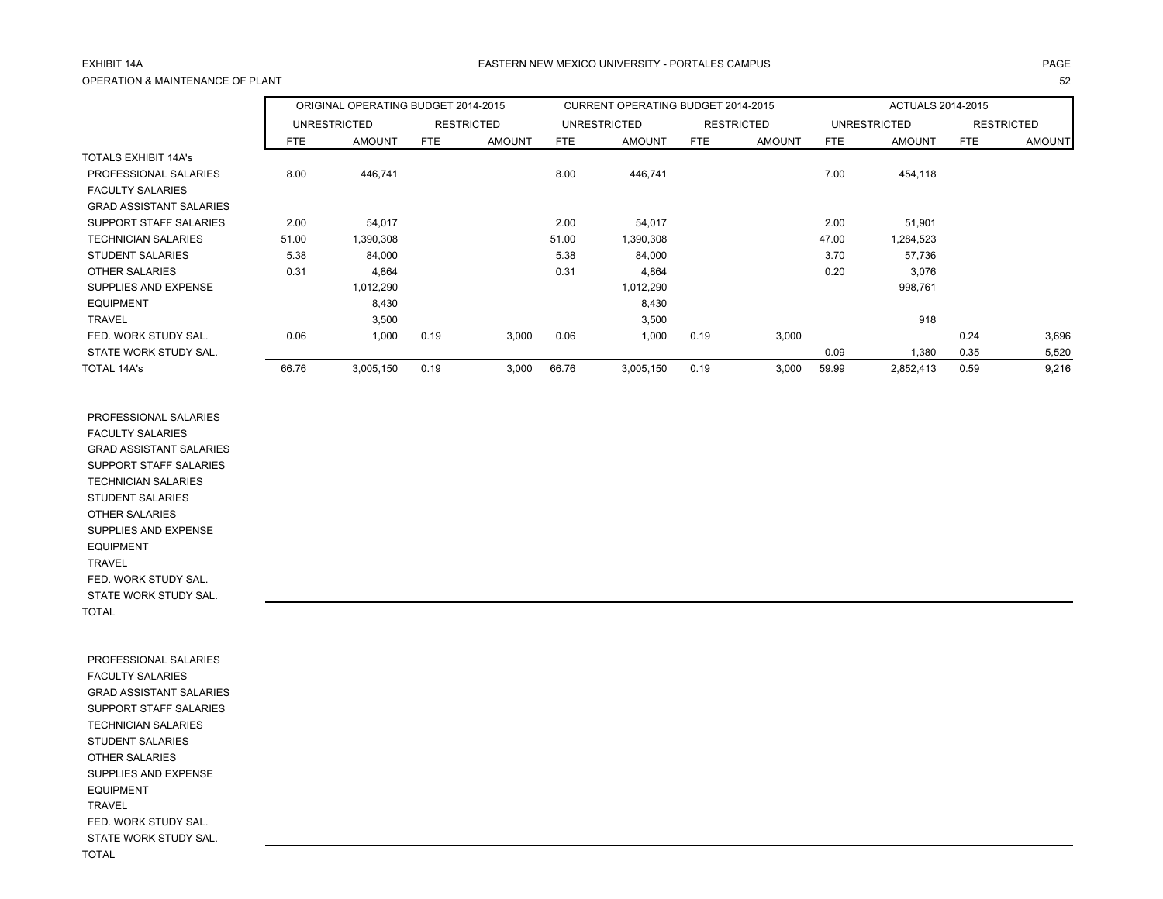### A EASTERN NEW MEXICO UNIVERSITY - PORTALES CAMPUS AND AND AND ANGELES ON A PAGE AND A PAGE OPERATION & MAINTENANCE OF PLANT

|                                               |            | ORIGINAL OPERATING BUDGET 2014-2015 |            |                   |            | CURRENT OPERATING BUDGET 2014-2015 |            |                   |            | ACTUALS 2014-2015 |            |                   |
|-----------------------------------------------|------------|-------------------------------------|------------|-------------------|------------|------------------------------------|------------|-------------------|------------|-------------------|------------|-------------------|
|                                               |            | UNRESTRICTED                        |            | <b>RESTRICTED</b> |            | UNRESTRICTED                       |            | <b>RESTRICTED</b> |            | UNRESTRICTED      |            | <b>RESTRICTED</b> |
|                                               | <b>FTE</b> | <b>AMOUNT</b>                       | <b>FTE</b> | <b>AMOUNT</b>     | <b>FTE</b> | <b>AMOUNT</b>                      | <b>FTE</b> | <b>AMOUNT</b>     | <b>FTE</b> | <b>AMOUNT</b>     | <b>FTE</b> | <b>AMOUNT</b>     |
| TOTALS EXHIBIT 14A's<br>PROFESSIONAL SALARIES | 8.00       | 446.741                             |            |                   | 8.00       | 446.741                            |            |                   | 7.00       | 454.118           |            |                   |
| <b>FACULTY SALARIES</b>                       |            |                                     |            |                   |            |                                    |            |                   |            |                   |            |                   |

| PROFESSIONAL SALARIES          | 8.00  | 446,741   |      |       | 8.00  | 446,741   |      |       | 7.00  | 454,118   |      |       |
|--------------------------------|-------|-----------|------|-------|-------|-----------|------|-------|-------|-----------|------|-------|
| <b>FACULTY SALARIES</b>        |       |           |      |       |       |           |      |       |       |           |      |       |
| <b>GRAD ASSISTANT SALARIES</b> |       |           |      |       |       |           |      |       |       |           |      |       |
| SUPPORT STAFF SALARIES         | 2.00  | 54,017    |      |       | 2.00  | 54,017    |      |       | 2.00  | 51,901    |      |       |
| <b>TECHNICIAN SALARIES</b>     | 51.00 | ,390,308  |      |       | 51.00 | 1,390,308 |      |       | 47.00 | 1,284,523 |      |       |
| <b>STUDENT SALARIES</b>        | 5.38  | 84,000    |      |       | 5.38  | 84,000    |      |       | 3.70  | 57,736    |      |       |
| <b>OTHER SALARIES</b>          | 0.31  | 4,864     |      |       | 0.31  | 4,864     |      |       | 0.20  | 3,076     |      |       |
| SUPPLIES AND EXPENSE           |       | 1,012,290 |      |       |       | 1,012,290 |      |       |       | 998,761   |      |       |
| <b>EQUIPMENT</b>               |       | 8,430     |      |       |       | 8,430     |      |       |       |           |      |       |
| <b>TRAVEL</b>                  |       | 3,500     |      |       |       | 3,500     |      |       |       | 918       |      |       |
| FED. WORK STUDY SAL.           | 0.06  | 1,000     | 0.19 | 3,000 | 0.06  | 1,000     | 0.19 | 3,000 |       |           | 0.24 | 3,696 |
| STATE WORK STUDY SAL.          |       |           |      |       |       |           |      |       | 0.09  | 1,380     | 0.35 | 5,520 |
| TOTAL 14A's                    | 66.76 | 3.005.150 | 0.19 | 3,000 | 66.76 | 3.005.150 | 0.19 | 3,000 | 59.99 | 2.852.413 | 0.59 | 9.216 |

т последници производите с производите на 1920 године на 1932 године и 1932 године и 1932 године при 1932 годи

 PROFESSIONAL SALARIES FACULTY SALARIES GRAD ASSISTANT SALARIES SUPPORT STAFF SALARIES TECHNICIAN SALARIES STUDENT SALARIES OTHER SALARIES SUPPLIES AND EXPENSE EQUIPMENT TRAVEL FED. WORK STUDY SAL. STATE WORK STUDY SAL. TOTAL

 PROFESSIONAL SALARIES FACULTY SALARIES GRAD ASSISTANT SALARIES SUPPORT STAFF SALARIES TECHNICIAN SALARIES STUDENT SALARIES OTHER SALARIES SUPPLIES AND EXPENSE EQUIPMENT TRAVEL FED. WORK STUDY SAL. STATE WORK STUDY SAL. TOTAL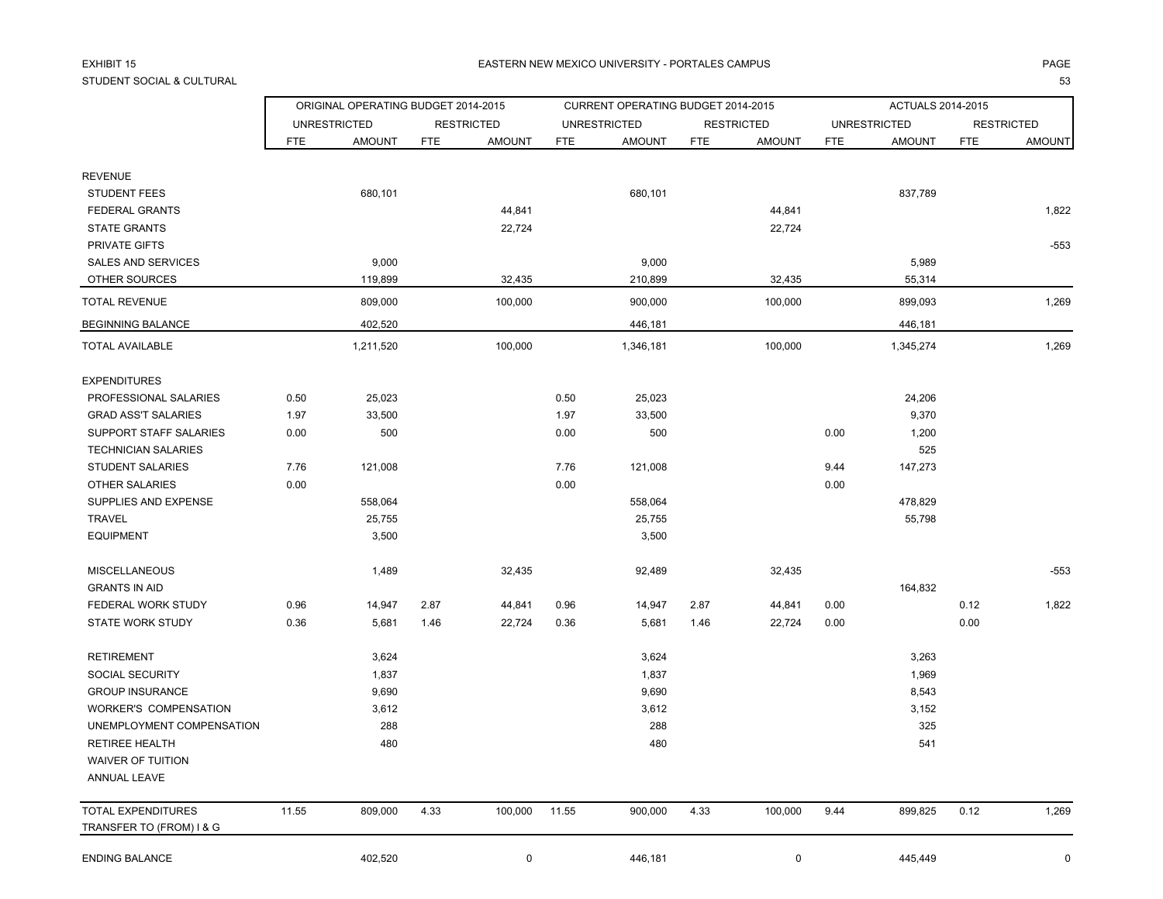# EXHIBIT 15STUDENT SOCIAL & CULTURAL

### 5 EASTERN NEW MEXICO UNIVERSITY - PORTALES CAMPUS PAGE

L LINE AND THE STATE OF THE STATE OF THE STATE OF THE STATE OF THE STATE OF THE STATE OF THE STATE OF THE STATE OF THE STATE OF THE STATE OF THE STATE OF THE STATE OF THE STATE OF THE STATE OF THE STATE OF THE STATE OF THE

|                               | ORIGINAL OPERATING BUDGET 2014-2015 |                     |            |                   |            | CURRENT OPERATING BUDGET 2014-2015 |            |                   |            | ACTUALS 2014-2015   |            |                   |
|-------------------------------|-------------------------------------|---------------------|------------|-------------------|------------|------------------------------------|------------|-------------------|------------|---------------------|------------|-------------------|
|                               |                                     | <b>UNRESTRICTED</b> |            | <b>RESTRICTED</b> |            | <b>UNRESTRICTED</b>                |            | <b>RESTRICTED</b> |            | <b>UNRESTRICTED</b> |            | <b>RESTRICTED</b> |
|                               | <b>FTE</b>                          | <b>AMOUNT</b>       | <b>FTE</b> | <b>AMOUNT</b>     | <b>FTE</b> | <b>AMOUNT</b>                      | <b>FTE</b> | <b>AMOUNT</b>     | <b>FTE</b> | <b>AMOUNT</b>       | <b>FTE</b> | <b>AMOUNT</b>     |
| <b>REVENUE</b>                |                                     |                     |            |                   |            |                                    |            |                   |            |                     |            |                   |
| <b>STUDENT FEES</b>           |                                     | 680,101             |            |                   |            | 680,101                            |            |                   |            | 837,789             |            |                   |
| <b>FEDERAL GRANTS</b>         |                                     |                     |            | 44,841            |            |                                    |            | 44,841            |            |                     |            | 1,822             |
| <b>STATE GRANTS</b>           |                                     |                     |            | 22,724            |            |                                    |            | 22,724            |            |                     |            |                   |
| PRIVATE GIFTS                 |                                     |                     |            |                   |            |                                    |            |                   |            |                     |            | $-553$            |
| SALES AND SERVICES            |                                     | 9,000               |            |                   |            | 9,000                              |            |                   |            | 5,989               |            |                   |
| OTHER SOURCES                 |                                     | 119,899             |            | 32,435            |            | 210,899                            |            | 32,435            |            | 55,314              |            |                   |
| <b>TOTAL REVENUE</b>          |                                     | 809,000             |            | 100,000           |            | 900,000                            |            | 100,000           |            | 899,093             |            | 1,269             |
| BEGINNING BALANCE             |                                     | 402,520             |            |                   |            | 446,181                            |            |                   |            | 446,181             |            |                   |
| <b>TOTAL AVAILABLE</b>        |                                     | 1,211,520           |            | 100,000           |            | 1,346,181                          |            | 100,000           |            | 1,345,274           |            | 1,269             |
| <b>EXPENDITURES</b>           |                                     |                     |            |                   |            |                                    |            |                   |            |                     |            |                   |
| PROFESSIONAL SALARIES         | 0.50                                | 25,023              |            |                   | 0.50       | 25,023                             |            |                   |            | 24,206              |            |                   |
| <b>GRAD ASS'T SALARIES</b>    | 1.97                                | 33,500              |            |                   | 1.97       | 33,500                             |            |                   |            | 9,370               |            |                   |
| <b>SUPPORT STAFF SALARIES</b> | 0.00                                | 500                 |            |                   | 0.00       | 500                                |            |                   | 0.00       | 1,200               |            |                   |
| <b>TECHNICIAN SALARIES</b>    |                                     |                     |            |                   |            |                                    |            |                   |            | 525                 |            |                   |
| <b>STUDENT SALARIES</b>       | 7.76                                | 121,008             |            |                   | 7.76       | 121,008                            |            |                   | 9.44       | 147,273             |            |                   |
| <b>OTHER SALARIES</b>         | 0.00                                |                     |            |                   | 0.00       |                                    |            |                   | 0.00       |                     |            |                   |
| SUPPLIES AND EXPENSE          |                                     | 558,064             |            |                   |            | 558,064                            |            |                   |            | 478,829             |            |                   |
| <b>TRAVEL</b>                 |                                     | 25,755              |            |                   |            | 25,755                             |            |                   |            | 55,798              |            |                   |
| <b>EQUIPMENT</b>              |                                     | 3,500               |            |                   |            | 3,500                              |            |                   |            |                     |            |                   |
| <b>MISCELLANEOUS</b>          |                                     | 1,489               |            | 32,435            |            | 92,489                             |            | 32,435            |            |                     |            | $-553$            |
| <b>GRANTS IN AID</b>          |                                     |                     |            |                   |            |                                    |            |                   |            | 164,832             |            |                   |
| <b>FEDERAL WORK STUDY</b>     | 0.96                                | 14,947              | 2.87       | 44,841            | 0.96       | 14,947                             | 2.87       | 44,841            | 0.00       |                     | 0.12       | 1,822             |
| STATE WORK STUDY              | 0.36                                | 5,681               | 1.46       | 22,724            | 0.36       | 5,681                              | 1.46       | 22,724            | 0.00       |                     | 0.00       |                   |
| <b>RETIREMENT</b>             |                                     | 3,624               |            |                   |            | 3,624                              |            |                   |            | 3,263               |            |                   |
| SOCIAL SECURITY               |                                     | 1,837               |            |                   |            | 1,837                              |            |                   |            | 1,969               |            |                   |
| <b>GROUP INSURANCE</b>        |                                     | 9,690               |            |                   |            | 9,690                              |            |                   |            | 8,543               |            |                   |
| WORKER'S COMPENSATION         |                                     | 3,612               |            |                   |            | 3,612                              |            |                   |            | 3,152               |            |                   |
| UNEMPLOYMENT COMPENSATION     |                                     | 288                 |            |                   |            | 288                                |            |                   |            | 325                 |            |                   |
| <b>RETIREE HEALTH</b>         |                                     | 480                 |            |                   |            | 480                                |            |                   |            | 541                 |            |                   |
| <b>WAIVER OF TUITION</b>      |                                     |                     |            |                   |            |                                    |            |                   |            |                     |            |                   |
| ANNUAL LEAVE                  |                                     |                     |            |                   |            |                                    |            |                   |            |                     |            |                   |
| <b>TOTAL EXPENDITURES</b>     | 11.55                               | 809,000             | 4.33       | 100,000           | 11.55      | 900,000                            | 4.33       | 100,000           | 9.44       | 899,825             | 0.12       | 1,269             |
| TRANSFER TO (FROM) I & G      |                                     |                     |            |                   |            |                                    |            |                   |            |                     |            |                   |
|                               |                                     |                     |            |                   |            |                                    |            |                   |            |                     |            |                   |

ENDING BALANCE 402,520 0 446,181 0 0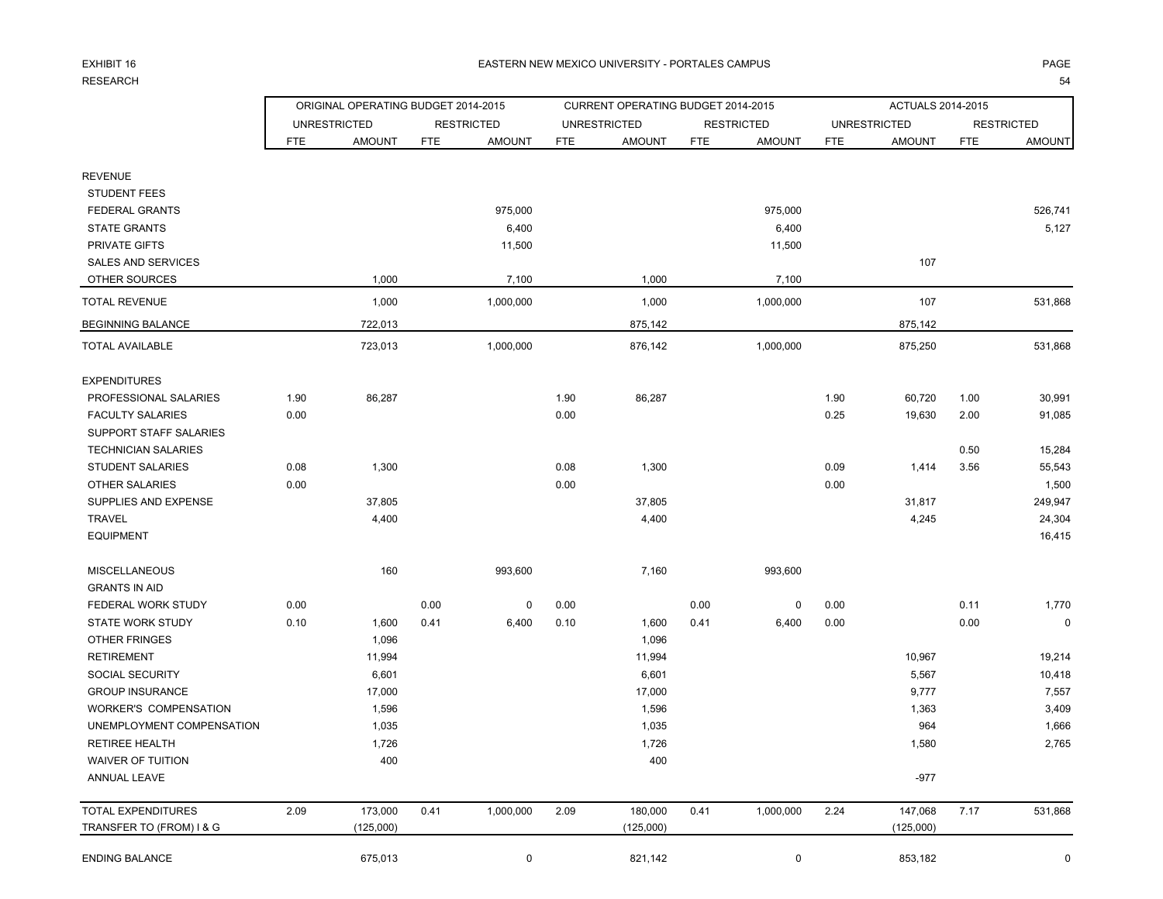# EXHIBIT 16RESEARCH

### 6 EASTERN NEW MEXICO UNIVERSITY - PORTALES CAMPUS PAGE

|                            | ORIGINAL OPERATING BUDGET 2014-2015 |                     |            |                   |            | CURRENT OPERATING BUDGET 2014-2015 |            |                   |            | <b>ACTUALS 2014-2015</b> |            |                   |
|----------------------------|-------------------------------------|---------------------|------------|-------------------|------------|------------------------------------|------------|-------------------|------------|--------------------------|------------|-------------------|
|                            |                                     | <b>UNRESTRICTED</b> |            | <b>RESTRICTED</b> |            | <b>UNRESTRICTED</b>                |            | <b>RESTRICTED</b> |            | <b>UNRESTRICTED</b>      |            | <b>RESTRICTED</b> |
|                            | <b>FTE</b>                          | <b>AMOUNT</b>       | <b>FTE</b> | <b>AMOUNT</b>     | <b>FTE</b> | <b>AMOUNT</b>                      | <b>FTE</b> | <b>AMOUNT</b>     | <b>FTE</b> | <b>AMOUNT</b>            | <b>FTE</b> | <b>AMOUNT</b>     |
| <b>REVENUE</b>             |                                     |                     |            |                   |            |                                    |            |                   |            |                          |            |                   |
| <b>STUDENT FEES</b>        |                                     |                     |            |                   |            |                                    |            |                   |            |                          |            |                   |
| <b>FEDERAL GRANTS</b>      |                                     |                     |            | 975,000           |            |                                    |            | 975,000           |            |                          |            | 526,741           |
| <b>STATE GRANTS</b>        |                                     |                     |            | 6,400             |            |                                    |            | 6,400             |            |                          |            | 5,127             |
| PRIVATE GIFTS              |                                     |                     |            | 11,500            |            |                                    |            | 11,500            |            |                          |            |                   |
| <b>SALES AND SERVICES</b>  |                                     |                     |            |                   |            |                                    |            |                   |            | 107                      |            |                   |
| OTHER SOURCES              |                                     | 1,000               |            | 7,100             |            | 1,000                              |            | 7,100             |            |                          |            |                   |
| TOTAL REVENUE              |                                     | 1,000               |            | 1,000,000         |            | 1,000                              |            | 1,000,000         |            | 107                      |            | 531,868           |
| <b>BEGINNING BALANCE</b>   |                                     | 722,013             |            |                   |            | 875,142                            |            |                   |            | 875,142                  |            |                   |
| <b>TOTAL AVAILABLE</b>     |                                     | 723,013             |            | 1,000,000         |            | 876,142                            |            | 1,000,000         |            | 875,250                  |            | 531,868           |
| <b>EXPENDITURES</b>        |                                     |                     |            |                   |            |                                    |            |                   |            |                          |            |                   |
| PROFESSIONAL SALARIES      | 1.90                                | 86,287              |            |                   | 1.90       | 86,287                             |            |                   | 1.90       | 60,720                   | 1.00       | 30,991            |
| <b>FACULTY SALARIES</b>    | 0.00                                |                     |            |                   | 0.00       |                                    |            |                   | 0.25       | 19,630                   | 2.00       | 91,085            |
| SUPPORT STAFF SALARIES     |                                     |                     |            |                   |            |                                    |            |                   |            |                          |            |                   |
| <b>TECHNICIAN SALARIES</b> |                                     |                     |            |                   |            |                                    |            |                   |            |                          | 0.50       | 15,284            |
| <b>STUDENT SALARIES</b>    | 0.08                                | 1,300               |            |                   | 0.08       | 1,300                              |            |                   | 0.09       | 1,414                    | 3.56       | 55,543            |
| <b>OTHER SALARIES</b>      | 0.00                                |                     |            |                   | 0.00       |                                    |            |                   | 0.00       |                          |            | 1,500             |
| SUPPLIES AND EXPENSE       |                                     | 37,805              |            |                   |            | 37,805                             |            |                   |            | 31,817                   |            | 249,947           |
| <b>TRAVEL</b>              |                                     | 4,400               |            |                   |            | 4,400                              |            |                   |            | 4,245                    |            | 24,304            |
| <b>EQUIPMENT</b>           |                                     |                     |            |                   |            |                                    |            |                   |            |                          |            | 16,415            |
| <b>MISCELLANEOUS</b>       |                                     | 160                 |            | 993,600           |            | 7,160                              |            | 993,600           |            |                          |            |                   |
| <b>GRANTS IN AID</b>       |                                     |                     |            |                   |            |                                    |            |                   |            |                          |            |                   |
| FEDERAL WORK STUDY         | 0.00                                |                     | 0.00       | 0                 | 0.00       |                                    | 0.00       | 0                 | 0.00       |                          | 0.11       | 1,770             |
| <b>STATE WORK STUDY</b>    | 0.10                                | 1,600               | 0.41       | 6,400             | 0.10       | 1,600                              | 0.41       | 6,400             | 0.00       |                          | 0.00       | $\mathbf 0$       |
| OTHER FRINGES              |                                     | 1,096               |            |                   |            | 1,096                              |            |                   |            |                          |            |                   |
| <b>RETIREMENT</b>          |                                     | 11,994              |            |                   |            | 11,994                             |            |                   |            | 10,967                   |            | 19,214            |
| SOCIAL SECURITY            |                                     | 6,601               |            |                   |            | 6,601                              |            |                   |            | 5,567                    |            | 10,418            |
| <b>GROUP INSURANCE</b>     |                                     | 17,000              |            |                   |            | 17,000                             |            |                   |            | 9,777                    |            | 7,557             |
| WORKER'S COMPENSATION      |                                     | 1,596               |            |                   |            | 1,596                              |            |                   |            | 1,363                    |            | 3,409             |
| UNEMPLOYMENT COMPENSATION  |                                     | 1,035               |            |                   |            | 1,035                              |            |                   |            | 964                      |            | 1,666             |
| RETIREE HEALTH             |                                     | 1,726               |            |                   |            | 1,726                              |            |                   |            | 1,580                    |            | 2,765             |
| WAIVER OF TUITION          |                                     | 400                 |            |                   |            | 400                                |            |                   |            |                          |            |                   |
| ANNUAL LEAVE               |                                     |                     |            |                   |            |                                    |            |                   |            | $-977$                   |            |                   |
| TOTAL EXPENDITURES         | 2.09                                | 173,000             | 0.41       | 1,000,000         | 2.09       | 180,000                            | 0.41       | 1,000,000         | 2.24       | 147,068                  | 7.17       | 531,868           |
| TRANSFER TO (FROM) I & G   |                                     | (125,000)           |            |                   |            | (125,000)                          |            |                   |            | (125,000)                |            |                   |
| <b>ENDING BALANCE</b>      |                                     | 675.013             |            | 0                 |            | 821.142                            |            | 0                 |            | 853,182                  |            | 0                 |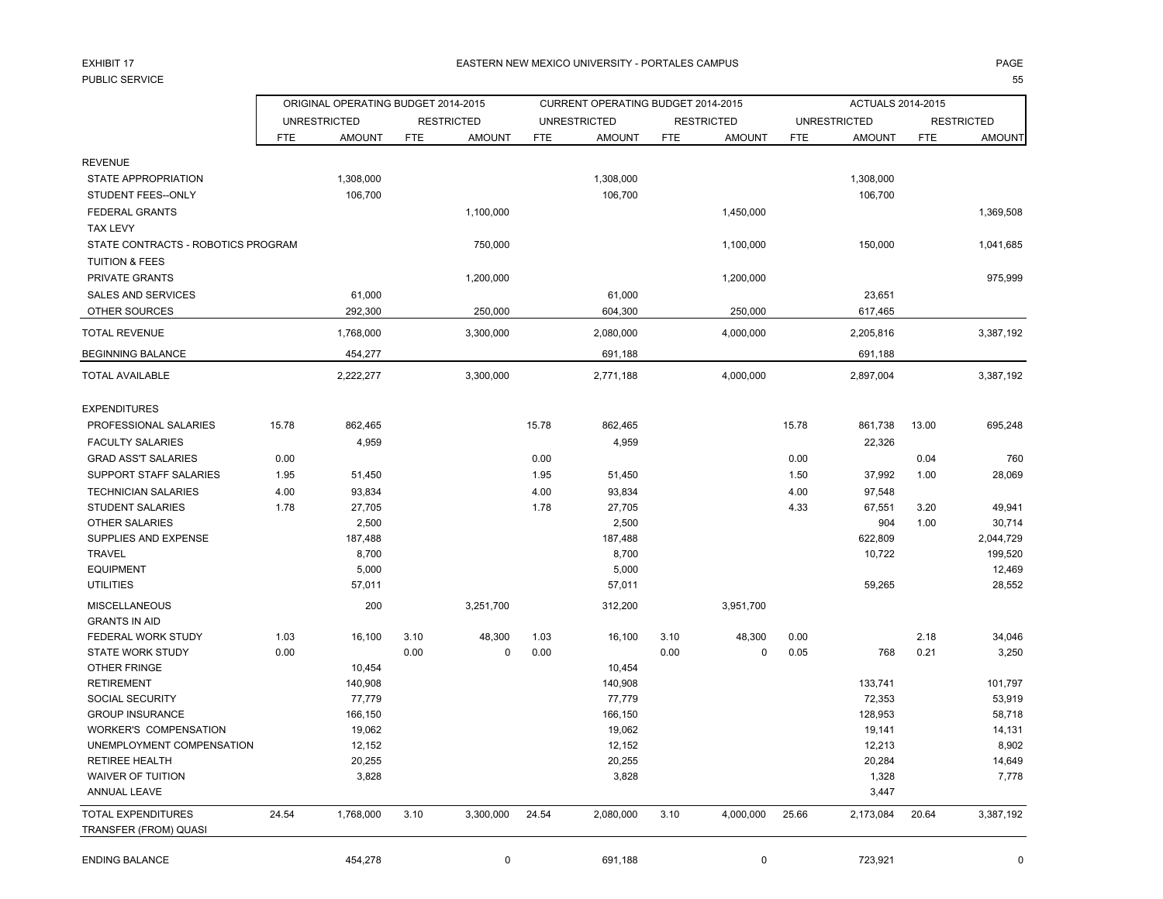# EXHIBIT 17

### The contract of the contract of the EASTERN NEW MEXICO UNIVERSITY - PORTALES CAMPUS And the contract of the contract of the PAGE

en andere en de statistiske beste in de statistiske beste beste beste beste beste beste beste beste beste beste b

|                                                    |            | ORIGINAL OPERATING BUDGET 2014-2015 |            |                   |            | CURRENT OPERATING BUDGET 2014-2015 |            |                   |            | ACTUALS 2014-2015   |            |                   |
|----------------------------------------------------|------------|-------------------------------------|------------|-------------------|------------|------------------------------------|------------|-------------------|------------|---------------------|------------|-------------------|
|                                                    |            | <b>UNRESTRICTED</b>                 |            | <b>RESTRICTED</b> |            | <b>UNRESTRICTED</b>                |            | <b>RESTRICTED</b> |            | <b>UNRESTRICTED</b> |            | <b>RESTRICTED</b> |
|                                                    | <b>FTE</b> | <b>AMOUNT</b>                       | <b>FTE</b> | <b>AMOUNT</b>     | <b>FTE</b> | <b>AMOUNT</b>                      | <b>FTE</b> | <b>AMOUNT</b>     | <b>FTE</b> | <b>AMOUNT</b>       | <b>FTE</b> | <b>AMOUNT</b>     |
| <b>REVENUE</b>                                     |            |                                     |            |                   |            |                                    |            |                   |            |                     |            |                   |
| <b>STATE APPROPRIATION</b>                         |            | 1,308,000                           |            |                   |            | 1,308,000                          |            |                   |            | 1,308,000           |            |                   |
| STUDENT FEES--ONLY                                 |            | 106,700                             |            |                   |            | 106,700                            |            |                   |            | 106,700             |            |                   |
| <b>FEDERAL GRANTS</b>                              |            |                                     |            | 1,100,000         |            |                                    |            | 1,450,000         |            |                     |            | 1,369,508         |
| <b>TAX LEVY</b>                                    |            |                                     |            |                   |            |                                    |            |                   |            |                     |            |                   |
| STATE CONTRACTS - ROBOTICS PROGRAM                 |            |                                     |            | 750,000           |            |                                    |            | 1,100,000         |            | 150,000             |            | 1,041,685         |
| <b>TUITION &amp; FEES</b>                          |            |                                     |            |                   |            |                                    |            |                   |            |                     |            |                   |
| PRIVATE GRANTS                                     |            |                                     |            | 1,200,000         |            |                                    |            | 1,200,000         |            |                     |            | 975,999           |
| <b>SALES AND SERVICES</b>                          |            | 61,000                              |            |                   |            | 61,000                             |            |                   |            | 23,651              |            |                   |
| OTHER SOURCES                                      |            | 292,300                             |            | 250,000           |            | 604,300                            |            | 250,000           |            | 617,465             |            |                   |
|                                                    |            |                                     |            |                   |            |                                    |            |                   |            |                     |            |                   |
| <b>TOTAL REVENUE</b>                               |            | 1,768,000                           |            | 3,300,000         |            | 2,080,000                          |            | 4,000,000         |            | 2,205,816           |            | 3,387,192         |
| <b>BEGINNING BALANCE</b>                           |            | 454,277                             |            |                   |            | 691,188                            |            |                   |            | 691,188             |            |                   |
| <b>TOTAL AVAILABLE</b>                             |            | 2,222,277                           |            | 3,300,000         |            | 2,771,188                          |            | 4,000,000         |            | 2,897,004           |            | 3,387,192         |
| <b>EXPENDITURES</b>                                |            |                                     |            |                   |            |                                    |            |                   |            |                     |            |                   |
| PROFESSIONAL SALARIES                              | 15.78      | 862,465                             |            |                   | 15.78      | 862,465                            |            |                   | 15.78      | 861,738             | 13.00      | 695,248           |
| <b>FACULTY SALARIES</b>                            |            | 4,959                               |            |                   |            | 4,959                              |            |                   |            | 22,326              |            |                   |
| <b>GRAD ASS'T SALARIES</b>                         | 0.00       |                                     |            |                   | 0.00       |                                    |            |                   | 0.00       |                     | 0.04       | 760               |
| SUPPORT STAFF SALARIES                             | 1.95       | 51,450                              |            |                   | 1.95       | 51,450                             |            |                   | 1.50       | 37,992              | 1.00       | 28,069            |
| <b>TECHNICIAN SALARIES</b>                         | 4.00       | 93,834                              |            |                   | 4.00       | 93,834                             |            |                   | 4.00       | 97,548              |            |                   |
| <b>STUDENT SALARIES</b>                            | 1.78       | 27,705                              |            |                   | 1.78       | 27,705                             |            |                   | 4.33       | 67,551              | 3.20       | 49,941            |
| <b>OTHER SALARIES</b>                              |            | 2,500                               |            |                   |            | 2,500                              |            |                   |            | 904                 | 1.00       | 30,714            |
| SUPPLIES AND EXPENSE                               |            | 187,488                             |            |                   |            | 187,488                            |            |                   |            | 622,809             |            | 2,044,729         |
| <b>TRAVEL</b>                                      |            | 8,700                               |            |                   |            | 8,700                              |            |                   |            | 10,722              |            | 199,520           |
| <b>EQUIPMENT</b>                                   |            | 5,000                               |            |                   |            | 5,000                              |            |                   |            |                     |            | 12,469            |
| <b>UTILITIES</b>                                   |            | 57,011                              |            |                   |            | 57,011                             |            |                   |            | 59,265              |            | 28,552            |
| <b>MISCELLANEOUS</b>                               |            | 200                                 |            | 3,251,700         |            | 312,200                            |            | 3,951,700         |            |                     |            |                   |
| <b>GRANTS IN AID</b>                               |            |                                     |            |                   |            |                                    |            |                   |            |                     |            |                   |
| FEDERAL WORK STUDY                                 | 1.03       | 16,100                              | 3.10       | 48,300            | 1.03       | 16,100                             | 3.10       | 48,300            | 0.00       |                     | 2.18       | 34,046            |
| <b>STATE WORK STUDY</b>                            | 0.00       |                                     | 0.00       | 0                 | 0.00       |                                    | 0.00       | 0                 | 0.05       | 768                 | 0.21       | 3,250             |
| OTHER FRINGE                                       |            | 10,454                              |            |                   |            | 10,454                             |            |                   |            |                     |            |                   |
| <b>RETIREMENT</b>                                  |            | 140,908                             |            |                   |            | 140,908                            |            |                   |            | 133,741             |            | 101,797           |
| <b>SOCIAL SECURITY</b>                             |            | 77,779                              |            |                   |            | 77,779                             |            |                   |            | 72,353              |            | 53,919            |
| <b>GROUP INSURANCE</b>                             |            | 166,150                             |            |                   |            | 166,150                            |            |                   |            | 128,953             |            | 58,718            |
| WORKER'S COMPENSATION                              |            | 19,062                              |            |                   |            | 19,062                             |            |                   |            | 19,141              |            | 14,131            |
| UNEMPLOYMENT COMPENSATION<br><b>RETIREE HEALTH</b> |            | 12,152<br>20,255                    |            |                   |            | 12,152<br>20,255                   |            |                   |            | 12,213<br>20,284    |            | 8,902<br>14,649   |
| <b>WAIVER OF TUITION</b>                           |            | 3,828                               |            |                   |            | 3,828                              |            |                   |            | 1,328               |            | 7,778             |
| ANNUAL LEAVE                                       |            |                                     |            |                   |            |                                    |            |                   |            | 3,447               |            |                   |
| TOTAL EXPENDITURES                                 | 24.54      | 1,768,000                           | 3.10       | 3,300,000         | 24.54      | 2,080,000                          | 3.10       | 4,000,000         | 25.66      | 2,173,084           | 20.64      | 3,387,192         |
| TRANSFER (FROM) QUASI                              |            |                                     |            |                   |            |                                    |            |                   |            |                     |            |                   |
| <b>ENDING BALANCE</b>                              |            | 454,278                             |            | $\pmb{0}$         |            | 691,188                            |            | 0                 |            | 723,921             |            | $\mathbf 0$       |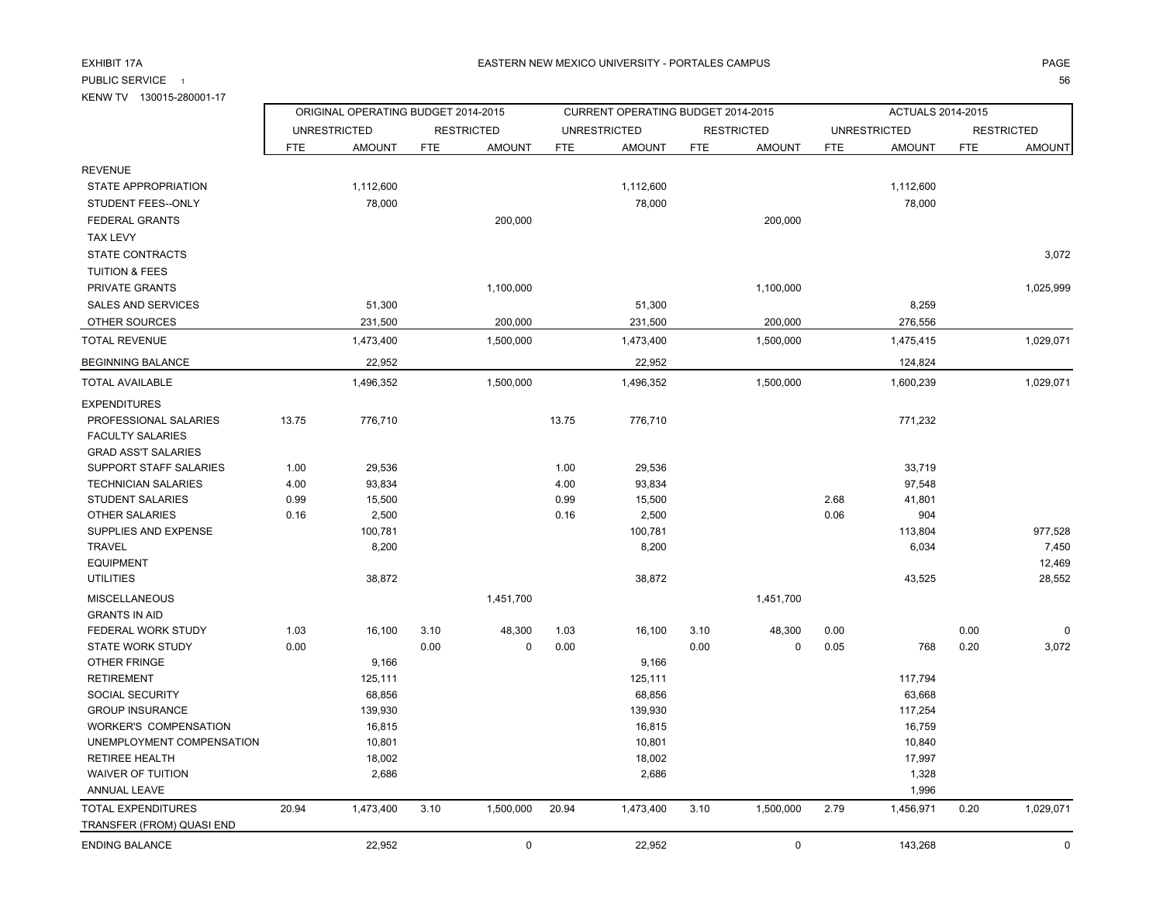PUBLIC SERVICE 1

KENW TV 130015-280001-17

### A EASTERN NEW MEXICO UNIVERSITY - PORTALES CAMPUS AND THE RESERVENT OF PAGE AND THE RESERVENT OF PAGE

ORIGINAL OPERATING BUDGET 2014-2015 CURRENT OPERATING BUDGET 2014-2015 ACTUALS 2014-2015 UNRESTRICTED RESTRICTED UNRESTRICTED RESTRICTED UNRESTRICTED RESTRICTED

<u>. 56</u>

| <b>REVENUE</b>               |       |           |      |             |       |           |      |                     |      |           |      |             |
|------------------------------|-------|-----------|------|-------------|-------|-----------|------|---------------------|------|-----------|------|-------------|
| STATE APPROPRIATION          |       | 1,112,600 |      |             |       | 1,112,600 |      |                     |      | 1,112,600 |      |             |
| STUDENT FEES--ONLY           |       | 78,000    |      |             |       | 78,000    |      |                     |      | 78,000    |      |             |
| <b>FEDERAL GRANTS</b>        |       |           |      | 200,000     |       |           |      | 200,000             |      |           |      |             |
| <b>TAX LEVY</b>              |       |           |      |             |       |           |      |                     |      |           |      |             |
| STATE CONTRACTS              |       |           |      |             |       |           |      |                     |      |           |      | 3,072       |
| <b>TUITION &amp; FEES</b>    |       |           |      |             |       |           |      |                     |      |           |      |             |
| PRIVATE GRANTS               |       |           |      | 1,100,000   |       |           |      | 1,100,000           |      |           |      | 1,025,999   |
| SALES AND SERVICES           |       | 51,300    |      |             |       | 51,300    |      |                     |      | 8,259     |      |             |
| OTHER SOURCES                |       | 231,500   |      | 200,000     |       | 231,500   |      | 200,000             |      | 276,556   |      |             |
| <b>TOTAL REVENUE</b>         |       | 1,473,400 |      | 1,500,000   |       | 1,473,400 |      | 1,500,000           |      | 1,475,415 |      | 1,029,071   |
| <b>BEGINNING BALANCE</b>     |       | 22,952    |      |             |       | 22,952    |      |                     |      | 124,824   |      |             |
| TOTAL AVAILABLE              |       | 1,496,352 |      | 1,500,000   |       | 1,496,352 |      | 1,500,000           |      | 1,600,239 |      | 1,029,071   |
| <b>EXPENDITURES</b>          |       |           |      |             |       |           |      |                     |      |           |      |             |
| PROFESSIONAL SALARIES        | 13.75 | 776,710   |      |             | 13.75 | 776,710   |      |                     |      | 771,232   |      |             |
| <b>FACULTY SALARIES</b>      |       |           |      |             |       |           |      |                     |      |           |      |             |
| <b>GRAD ASS'T SALARIES</b>   |       |           |      |             |       |           |      |                     |      |           |      |             |
| SUPPORT STAFF SALARIES       | 1.00  | 29,536    |      |             | 1.00  | 29,536    |      |                     |      | 33,719    |      |             |
| <b>TECHNICIAN SALARIES</b>   | 4.00  | 93,834    |      |             | 4.00  | 93,834    |      |                     |      | 97,548    |      |             |
| <b>STUDENT SALARIES</b>      | 0.99  | 15,500    |      |             | 0.99  | 15,500    |      |                     | 2.68 | 41,801    |      |             |
| <b>OTHER SALARIES</b>        | 0.16  | 2,500     |      |             | 0.16  | 2,500     |      |                     | 0.06 | 904       |      |             |
| SUPPLIES AND EXPENSE         |       | 100,781   |      |             |       | 100,781   |      |                     |      | 113,804   |      | 977,528     |
| <b>TRAVEL</b>                |       | 8,200     |      |             |       | 8,200     |      |                     |      | 6,034     |      | 7,450       |
| <b>EQUIPMENT</b>             |       |           |      |             |       |           |      |                     |      |           |      | 12,469      |
| <b>UTILITIES</b>             |       | 38,872    |      |             |       | 38,872    |      |                     |      | 43,525    |      | 28,552      |
| <b>MISCELLANEOUS</b>         |       |           |      | 1,451,700   |       |           |      | 1,451,700           |      |           |      |             |
| <b>GRANTS IN AID</b>         |       |           |      |             |       |           |      |                     |      |           |      |             |
| FEDERAL WORK STUDY           | 1.03  | 16,100    | 3.10 | 48,300      | 1.03  | 16,100    | 3.10 | 48,300              | 0.00 |           | 0.00 |             |
| <b>STATE WORK STUDY</b>      | 0.00  |           | 0.00 | $\mathbf 0$ | 0.00  |           | 0.00 | $\mathbf 0$         | 0.05 | 768       | 0.20 | 3,072       |
| <b>OTHER FRINGE</b>          |       | 9,166     |      |             |       | 9,166     |      |                     |      |           |      |             |
| <b>RETIREMENT</b>            |       | 125,111   |      |             |       | 125,111   |      |                     |      | 117,794   |      |             |
| SOCIAL SECURITY              |       | 68,856    |      |             |       | 68,856    |      |                     |      | 63,668    |      |             |
| <b>GROUP INSURANCE</b>       |       | 139,930   |      |             |       | 139,930   |      |                     |      | 117,254   |      |             |
| <b>WORKER'S COMPENSATION</b> |       | 16,815    |      |             |       | 16,815    |      |                     |      | 16,759    |      |             |
| UNEMPLOYMENT COMPENSATION    |       | 10,801    |      |             |       | 10,801    |      |                     |      | 10,840    |      |             |
| <b>RETIREE HEALTH</b>        |       | 18,002    |      |             |       | 18,002    |      |                     |      | 17,997    |      |             |
| <b>WAIVER OF TUITION</b>     |       | 2,686     |      |             |       | 2,686     |      |                     |      | 1,328     |      |             |
| ANNUAL LEAVE                 |       |           |      |             |       |           |      |                     |      | 1,996     |      |             |
| TOTAL EXPENDITURES           | 20.94 | 1,473,400 | 3.10 | 1,500,000   | 20.94 | 1,473,400 | 3.10 | 1,500,000           | 2.79 | 1,456,971 | 0.20 | 1,029,071   |
| TRANSFER (FROM) QUASI END    |       |           |      |             |       |           |      |                     |      |           |      |             |
| <b>ENDING BALANCE</b>        |       | 22,952    |      | $\mathsf 0$ |       | 22,952    |      | $\mathsf{O}\xspace$ |      | 143,268   |      | $\mathbf 0$ |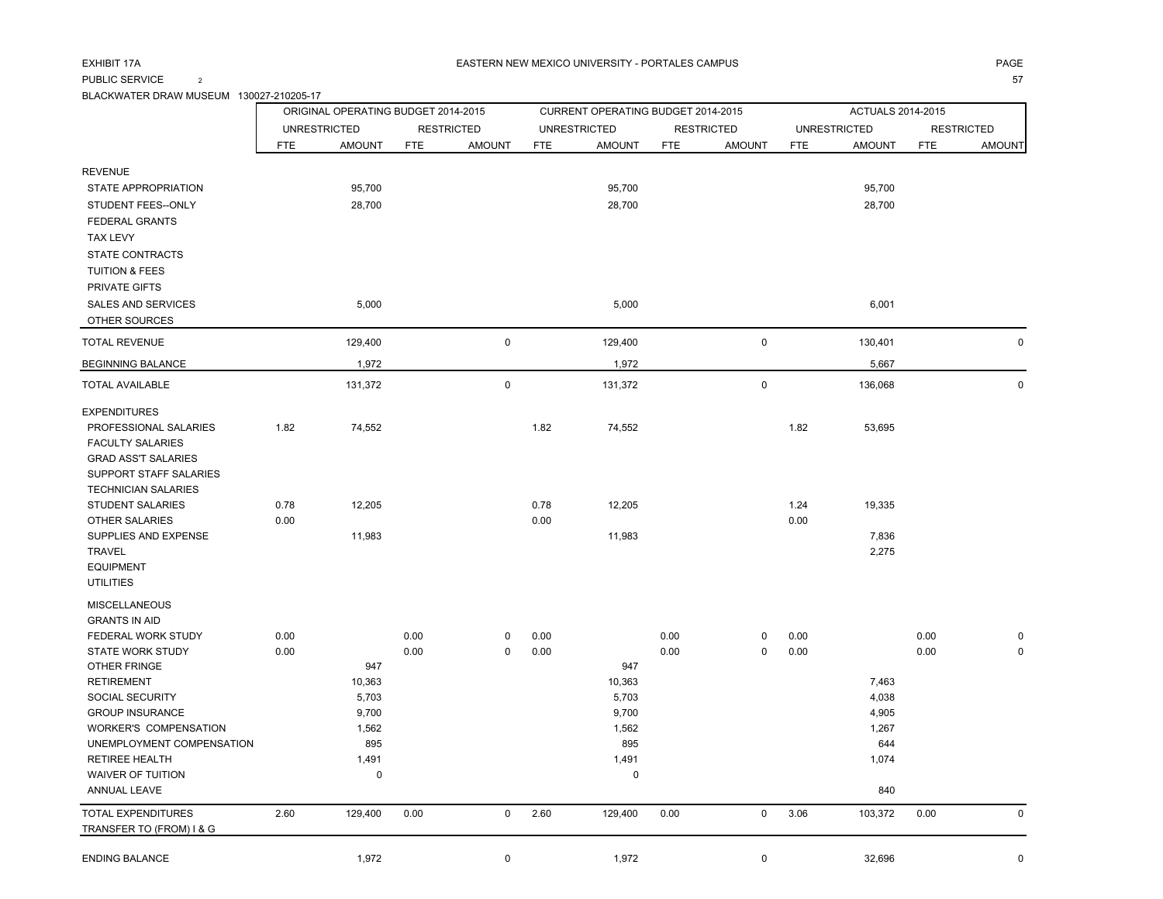PUBLIC SERVICE 2

BLACKWATER DRAW MUSEUM 130027-210205-17

|                                                |            | ORIGINAL OPERATING BUDGET 2014-2015 |            |                   |            | CURRENT OPERATING BUDGET 2014-2015 |            |                   |            | ACTUALS 2014-2015   |            |                   |
|------------------------------------------------|------------|-------------------------------------|------------|-------------------|------------|------------------------------------|------------|-------------------|------------|---------------------|------------|-------------------|
|                                                |            | <b>UNRESTRICTED</b>                 |            | <b>RESTRICTED</b> |            | <b>UNRESTRICTED</b>                |            | <b>RESTRICTED</b> |            | <b>UNRESTRICTED</b> |            | <b>RESTRICTED</b> |
|                                                | <b>FTE</b> | <b>AMOUNT</b>                       | <b>FTE</b> | <b>AMOUNT</b>     | <b>FTE</b> | <b>AMOUNT</b>                      | <b>FTE</b> | <b>AMOUNT</b>     | <b>FTE</b> | <b>AMOUNT</b>       | <b>FTE</b> | <b>AMOUNT</b>     |
| <b>REVENUE</b>                                 |            |                                     |            |                   |            |                                    |            |                   |            |                     |            |                   |
| STATE APPROPRIATION                            |            | 95,700                              |            |                   |            | 95,700                             |            |                   |            | 95,700              |            |                   |
| STUDENT FEES--ONLY                             |            | 28,700                              |            |                   |            | 28,700                             |            |                   |            | 28,700              |            |                   |
| <b>FEDERAL GRANTS</b>                          |            |                                     |            |                   |            |                                    |            |                   |            |                     |            |                   |
| <b>TAX LEVY</b>                                |            |                                     |            |                   |            |                                    |            |                   |            |                     |            |                   |
| <b>STATE CONTRACTS</b>                         |            |                                     |            |                   |            |                                    |            |                   |            |                     |            |                   |
| <b>TUITION &amp; FEES</b>                      |            |                                     |            |                   |            |                                    |            |                   |            |                     |            |                   |
| <b>PRIVATE GIFTS</b>                           |            |                                     |            |                   |            |                                    |            |                   |            |                     |            |                   |
| SALES AND SERVICES                             |            | 5,000                               |            |                   |            | 5,000                              |            |                   |            | 6,001               |            |                   |
| OTHER SOURCES                                  |            |                                     |            |                   |            |                                    |            |                   |            |                     |            |                   |
| <b>TOTAL REVENUE</b>                           |            | 129,400                             |            | $\mathbf 0$       |            | 129,400                            |            | $\mathbf 0$       |            | 130,401             |            | $\mathbf 0$       |
| <b>BEGINNING BALANCE</b>                       |            | 1,972                               |            |                   |            | 1,972                              |            |                   |            | 5,667               |            |                   |
| TOTAL AVAILABLE                                |            | 131,372                             |            | $\pmb{0}$         |            | 131,372                            |            | $\mathsf 0$       |            | 136,068             |            | $\mathbf 0$       |
| <b>EXPENDITURES</b>                            |            |                                     |            |                   |            |                                    |            |                   |            |                     |            |                   |
| PROFESSIONAL SALARIES                          | 1.82       | 74,552                              |            |                   | 1.82       | 74,552                             |            |                   | 1.82       | 53,695              |            |                   |
| <b>FACULTY SALARIES</b>                        |            |                                     |            |                   |            |                                    |            |                   |            |                     |            |                   |
| <b>GRAD ASS'T SALARIES</b>                     |            |                                     |            |                   |            |                                    |            |                   |            |                     |            |                   |
| SUPPORT STAFF SALARIES                         |            |                                     |            |                   |            |                                    |            |                   |            |                     |            |                   |
| <b>TECHNICIAN SALARIES</b><br>STUDENT SALARIES | 0.78       | 12,205                              |            |                   | 0.78       | 12,205                             |            |                   | 1.24       | 19,335              |            |                   |
| <b>OTHER SALARIES</b>                          | 0.00       |                                     |            |                   | 0.00       |                                    |            |                   | 0.00       |                     |            |                   |
| SUPPLIES AND EXPENSE                           |            | 11,983                              |            |                   |            | 11,983                             |            |                   |            | 7,836               |            |                   |
| <b>TRAVEL</b>                                  |            |                                     |            |                   |            |                                    |            |                   |            | 2,275               |            |                   |
| <b>EQUIPMENT</b>                               |            |                                     |            |                   |            |                                    |            |                   |            |                     |            |                   |
| <b>UTILITIES</b>                               |            |                                     |            |                   |            |                                    |            |                   |            |                     |            |                   |
| <b>MISCELLANEOUS</b>                           |            |                                     |            |                   |            |                                    |            |                   |            |                     |            |                   |
| <b>GRANTS IN AID</b>                           |            |                                     |            |                   |            |                                    |            |                   |            |                     |            |                   |
| FEDERAL WORK STUDY                             | 0.00       |                                     | 0.00       | 0                 | 0.00       |                                    | 0.00       | 0                 | 0.00       |                     | 0.00       | 0                 |
| STATE WORK STUDY                               | 0.00       |                                     | 0.00       | $\pmb{0}$         | 0.00       |                                    | 0.00       | $\mathsf 0$       | 0.00       |                     | 0.00       | $\pmb{0}$         |
| OTHER FRINGE                                   |            | 947                                 |            |                   |            | 947                                |            |                   |            |                     |            |                   |
| <b>RETIREMENT</b><br>SOCIAL SECURITY           |            | 10,363<br>5,703                     |            |                   |            | 10,363<br>5,703                    |            |                   |            | 7,463<br>4,038      |            |                   |
| <b>GROUP INSURANCE</b>                         |            | 9,700                               |            |                   |            | 9,700                              |            |                   |            | 4,905               |            |                   |
| <b>WORKER'S COMPENSATION</b>                   |            | 1,562                               |            |                   |            | 1,562                              |            |                   |            | 1,267               |            |                   |
| UNEMPLOYMENT COMPENSATION                      |            | 895                                 |            |                   |            | 895                                |            |                   |            | 644                 |            |                   |
| <b>RETIREE HEALTH</b>                          |            | 1,491                               |            |                   |            | 1,491                              |            |                   |            | 1,074               |            |                   |
| <b>WAIVER OF TUITION</b>                       |            | $\mathbf 0$                         |            |                   |            | $\mathbf 0$                        |            |                   |            |                     |            |                   |
| <b>ANNUAL LEAVE</b>                            |            |                                     |            |                   |            |                                    |            |                   |            | 840                 |            |                   |
| <b>TOTAL EXPENDITURES</b>                      | 2.60       | 129,400                             | 0.00       | $\pmb{0}$         | 2.60       | 129,400                            | 0.00       | $\mathsf 0$       | 3.06       | 103,372             | 0.00       | $\mathsf 0$       |
| TRANSFER TO (FROM) I & G                       |            |                                     |            |                   |            |                                    |            |                   |            |                     |            |                   |
| <b>ENDING BALANCE</b>                          |            | 1,972                               |            | $\mathbf 0$       |            | 1,972                              |            | $\mathbf 0$       |            | 32,696              |            | $\mathbf 0$       |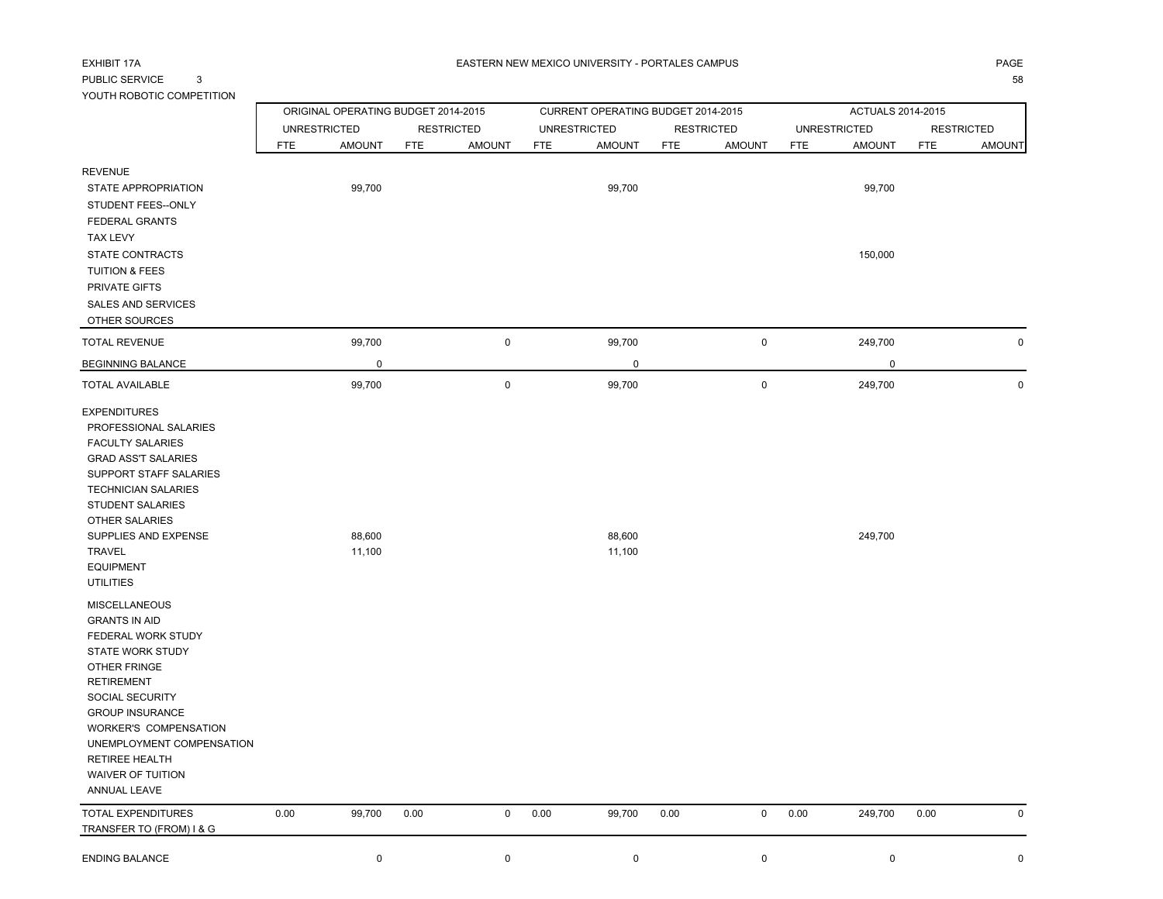# EXHIBIT 17APUBLIC SERVICE 3 YOUTH ROBOTIC COMPETITION

з процесство при полно при продължават на селото на селото на селото на селото на селото на селото на селото н<br>В 1980 година селото на селото на селото на селото на селото на селото на селото на селото на селото на селото

|                                                                                                                                                                                                                                                                                                                   |            | ORIGINAL OPERATING BUDGET 2014-2015 |            |                   |      | CURRENT OPERATING BUDGET 2014-2015 |      |                     |      | ACTUALS 2014-2015   |            |                   |
|-------------------------------------------------------------------------------------------------------------------------------------------------------------------------------------------------------------------------------------------------------------------------------------------------------------------|------------|-------------------------------------|------------|-------------------|------|------------------------------------|------|---------------------|------|---------------------|------------|-------------------|
|                                                                                                                                                                                                                                                                                                                   |            | <b>UNRESTRICTED</b>                 |            | <b>RESTRICTED</b> |      | <b>UNRESTRICTED</b>                |      | <b>RESTRICTED</b>   |      | <b>UNRESTRICTED</b> |            | <b>RESTRICTED</b> |
|                                                                                                                                                                                                                                                                                                                   | <b>FTE</b> | <b>AMOUNT</b>                       | <b>FTE</b> | <b>AMOUNT</b>     | FTE  | <b>AMOUNT</b>                      | FTE  | <b>AMOUNT</b>       | FTE  | <b>AMOUNT</b>       | <b>FTE</b> | <b>AMOUNT</b>     |
| <b>REVENUE</b><br>STATE APPROPRIATION<br>STUDENT FEES--ONLY<br><b>FEDERAL GRANTS</b><br><b>TAX LEVY</b><br><b>STATE CONTRACTS</b><br><b>TUITION &amp; FEES</b>                                                                                                                                                    |            | 99,700                              |            |                   |      | 99,700                             |      |                     |      | 99,700<br>150,000   |            |                   |
| PRIVATE GIFTS<br><b>SALES AND SERVICES</b>                                                                                                                                                                                                                                                                        |            |                                     |            |                   |      |                                    |      |                     |      |                     |            |                   |
| OTHER SOURCES                                                                                                                                                                                                                                                                                                     |            |                                     |            |                   |      |                                    |      |                     |      |                     |            |                   |
| <b>TOTAL REVENUE</b>                                                                                                                                                                                                                                                                                              |            | 99,700                              |            | $\mathsf 0$       |      | 99,700                             |      | $\mathsf 0$         |      | 249,700             |            | $\mathbf 0$       |
| <b>BEGINNING BALANCE</b>                                                                                                                                                                                                                                                                                          |            | $\mathbf 0$                         |            |                   |      | $\pmb{0}$                          |      |                     |      | 0                   |            |                   |
| <b>TOTAL AVAILABLE</b>                                                                                                                                                                                                                                                                                            |            | 99,700                              |            | $\pmb{0}$         |      | 99,700                             |      | $\pmb{0}$           |      | 249,700             |            | $\mathsf{O}$      |
| <b>EXPENDITURES</b><br>PROFESSIONAL SALARIES<br><b>FACULTY SALARIES</b><br><b>GRAD ASS'T SALARIES</b><br>SUPPORT STAFF SALARIES<br><b>TECHNICIAN SALARIES</b><br>STUDENT SALARIES<br><b>OTHER SALARIES</b><br>SUPPLIES AND EXPENSE<br><b>TRAVEL</b><br><b>EQUIPMENT</b><br><b>UTILITIES</b>                       |            | 88,600<br>11,100                    |            |                   |      | 88,600<br>11,100                   |      |                     |      | 249,700             |            |                   |
| <b>MISCELLANEOUS</b><br><b>GRANTS IN AID</b><br>FEDERAL WORK STUDY<br><b>STATE WORK STUDY</b><br>OTHER FRINGE<br><b>RETIREMENT</b><br>SOCIAL SECURITY<br><b>GROUP INSURANCE</b><br><b>WORKER'S COMPENSATION</b><br>UNEMPLOYMENT COMPENSATION<br><b>RETIREE HEALTH</b><br><b>WAIVER OF TUITION</b><br>ANNUAL LEAVE |            |                                     |            |                   |      |                                    |      |                     |      |                     |            |                   |
| TOTAL EXPENDITURES<br>TRANSFER TO (FROM) I & G                                                                                                                                                                                                                                                                    | 0.00       | 99,700                              | 0.00       | $\mathsf 0$       | 0.00 | 99,700                             | 0.00 | $\mathsf{O}\xspace$ | 0.00 | 249,700             | 0.00       | $\mathbf 0$       |
| <b>ENDING BALANCE</b>                                                                                                                                                                                                                                                                                             |            | $\mathbf 0$                         |            | $\mathbf 0$       |      | $\mathbf 0$                        |      | 0                   |      | 0                   |            | $\mathbf 0$       |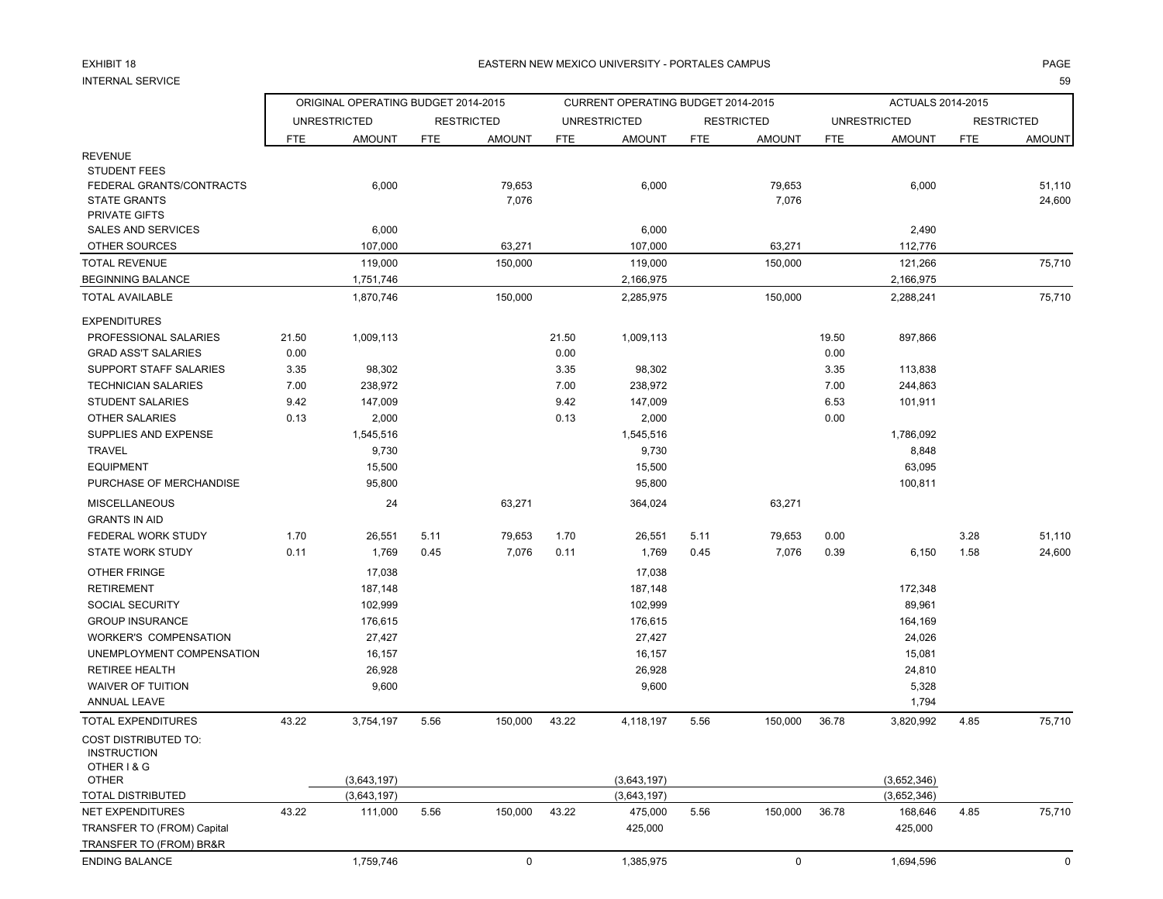## EXHIBIT 18

### 8 EASTERN NEW MEXICO UNIVERSITY - PORTALES CAMPUS PAGE

#### INTERNAL SERVICEen and the state of the state of the state of the state of the state of the state of the state of the state of the state of the state of the state of the state of the state of the state of the state of the state of the sta

|                                                                                         |            | ORIGINAL OPERATING BUDGET 2014-2015 |            |                   |       | CURRENT OPERATING BUDGET 2014-2015 |            |                   |            | ACTUALS 2014-2015   |            |                   |
|-----------------------------------------------------------------------------------------|------------|-------------------------------------|------------|-------------------|-------|------------------------------------|------------|-------------------|------------|---------------------|------------|-------------------|
|                                                                                         |            | <b>UNRESTRICTED</b>                 |            | <b>RESTRICTED</b> |       | <b>UNRESTRICTED</b>                |            | <b>RESTRICTED</b> |            | <b>UNRESTRICTED</b> |            | <b>RESTRICTED</b> |
|                                                                                         | <b>FTE</b> | <b>AMOUNT</b>                       | <b>FTE</b> | <b>AMOUNT</b>     | FTE   | <b>AMOUNT</b>                      | <b>FTE</b> | <b>AMOUNT</b>     | <b>FTE</b> | <b>AMOUNT</b>       | <b>FTE</b> | <b>AMOUNT</b>     |
| <b>REVENUE</b>                                                                          |            |                                     |            |                   |       |                                    |            |                   |            |                     |            |                   |
| <b>STUDENT FEES</b><br>FEDERAL GRANTS/CONTRACTS<br><b>STATE GRANTS</b><br>PRIVATE GIFTS |            | 6,000                               |            | 79,653<br>7,076   |       | 6,000                              |            | 79,653<br>7,076   |            | 6,000               |            | 51,110<br>24,600  |
| <b>SALES AND SERVICES</b>                                                               |            | 6,000                               |            |                   |       | 6,000                              |            |                   |            | 2,490               |            |                   |
| OTHER SOURCES                                                                           |            | 107,000                             |            | 63,271            |       | 107.000                            |            | 63,271            |            | 112,776             |            |                   |
| <b>TOTAL REVENUE</b>                                                                    |            | 119,000                             |            | 150,000           |       | 119,000                            |            | 150,000           |            | 121,266             |            | 75,710            |
| <b>BEGINNING BALANCE</b>                                                                |            | 1,751,746                           |            |                   |       | 2,166,975                          |            |                   |            | 2,166,975           |            |                   |
| <b>TOTAL AVAILABLE</b>                                                                  |            | 1,870,746                           |            | 150,000           |       | 2,285,975                          |            | 150,000           |            | 2,288,241           |            | 75,710            |
| <b>EXPENDITURES</b>                                                                     |            |                                     |            |                   |       |                                    |            |                   |            |                     |            |                   |
| PROFESSIONAL SALARIES                                                                   | 21.50      | 1,009,113                           |            |                   | 21.50 | 1,009,113                          |            |                   | 19.50      | 897,866             |            |                   |
| <b>GRAD ASS'T SALARIES</b>                                                              | 0.00       |                                     |            |                   | 0.00  |                                    |            |                   | 0.00       |                     |            |                   |
| SUPPORT STAFF SALARIES                                                                  | 3.35       | 98,302                              |            |                   | 3.35  | 98,302                             |            |                   | 3.35       | 113,838             |            |                   |
| <b>TECHNICIAN SALARIES</b>                                                              | 7.00       | 238,972                             |            |                   | 7.00  | 238,972                            |            |                   | 7.00       | 244,863             |            |                   |
| <b>STUDENT SALARIES</b>                                                                 | 9.42       | 147,009                             |            |                   | 9.42  | 147,009                            |            |                   | 6.53       | 101,911             |            |                   |
| <b>OTHER SALARIES</b>                                                                   | 0.13       | 2,000                               |            |                   | 0.13  | 2,000                              |            |                   | 0.00       |                     |            |                   |
| SUPPLIES AND EXPENSE                                                                    |            | 1,545,516                           |            |                   |       | 1,545,516                          |            |                   |            | 1,786,092           |            |                   |
| <b>TRAVEL</b>                                                                           |            | 9,730                               |            |                   |       | 9,730                              |            |                   |            | 8,848               |            |                   |
| <b>EQUIPMENT</b>                                                                        |            | 15,500                              |            |                   |       | 15,500                             |            |                   |            | 63,095              |            |                   |
| PURCHASE OF MERCHANDISE                                                                 |            | 95,800                              |            |                   |       | 95,800                             |            |                   |            | 100,811             |            |                   |
| <b>MISCELLANEOUS</b><br><b>GRANTS IN AID</b>                                            |            | 24                                  |            | 63,271            |       | 364,024                            |            | 63,271            |            |                     |            |                   |
| FEDERAL WORK STUDY                                                                      | 1.70       | 26,551                              | 5.11       | 79,653            | 1.70  | 26,551                             | 5.11       | 79,653            | 0.00       |                     | 3.28       | 51,110            |
| <b>STATE WORK STUDY</b>                                                                 | 0.11       | 1,769                               | 0.45       | 7,076             | 0.11  | 1,769                              | 0.45       | 7,076             | 0.39       | 6,150               | 1.58       | 24,600            |
| OTHER FRINGE                                                                            |            | 17,038                              |            |                   |       | 17,038                             |            |                   |            |                     |            |                   |
| <b>RETIREMENT</b>                                                                       |            | 187,148                             |            |                   |       | 187,148                            |            |                   |            | 172,348             |            |                   |
| SOCIAL SECURITY                                                                         |            | 102,999                             |            |                   |       | 102,999                            |            |                   |            | 89,961              |            |                   |
| <b>GROUP INSURANCE</b>                                                                  |            | 176,615                             |            |                   |       | 176,615                            |            |                   |            | 164,169             |            |                   |
| <b>WORKER'S COMPENSATION</b>                                                            |            | 27,427                              |            |                   |       | 27,427                             |            |                   |            | 24,026              |            |                   |
| UNEMPLOYMENT COMPENSATION                                                               |            | 16,157                              |            |                   |       | 16,157                             |            |                   |            | 15,081              |            |                   |
| <b>RETIREE HEALTH</b>                                                                   |            | 26,928                              |            |                   |       | 26,928                             |            |                   |            | 24,810              |            |                   |
| WAIVER OF TUITION                                                                       |            | 9,600                               |            |                   |       | 9,600                              |            |                   |            | 5,328               |            |                   |
| <b>ANNUAL LEAVE</b>                                                                     |            |                                     |            |                   |       |                                    |            |                   |            | 1,794               |            |                   |
| TOTAL EXPENDITURES                                                                      | 43.22      | 3,754,197                           | 5.56       | 150,000           | 43.22 | 4,118,197                          | 5.56       | 150,000           | 36.78      | 3,820,992           | 4.85       | 75,710            |
| <b>COST DISTRIBUTED TO:</b><br><b>INSTRUCTION</b>                                       |            |                                     |            |                   |       |                                    |            |                   |            |                     |            |                   |
| OTHER I & G<br><b>OTHER</b>                                                             |            | (3,643,197)                         |            |                   |       | (3,643,197)                        |            |                   |            | (3,652,346)         |            |                   |
| TOTAL DISTRIBUTED                                                                       |            | (3,643,197)                         |            |                   |       | (3,643,197)                        |            |                   |            | (3,652,346)         |            |                   |
| NET EXPENDITURES                                                                        | 43.22      | 111,000                             | 5.56       | 150,000           | 43.22 | 475,000                            | 5.56       | 150,000           | 36.78      | 168,646             | 4.85       | 75,710            |
| TRANSFER TO (FROM) Capital                                                              |            |                                     |            |                   |       | 425,000                            |            |                   |            | 425,000             |            |                   |
| TRANSFER TO (FROM) BR&R                                                                 |            |                                     |            |                   |       |                                    |            |                   |            |                     |            |                   |
| <b>ENDING BALANCE</b>                                                                   |            | 1,759,746                           |            | $\mathbf 0$       |       | 1,385,975                          |            | 0                 |            | 1,694,596           |            | $\mathbf 0$       |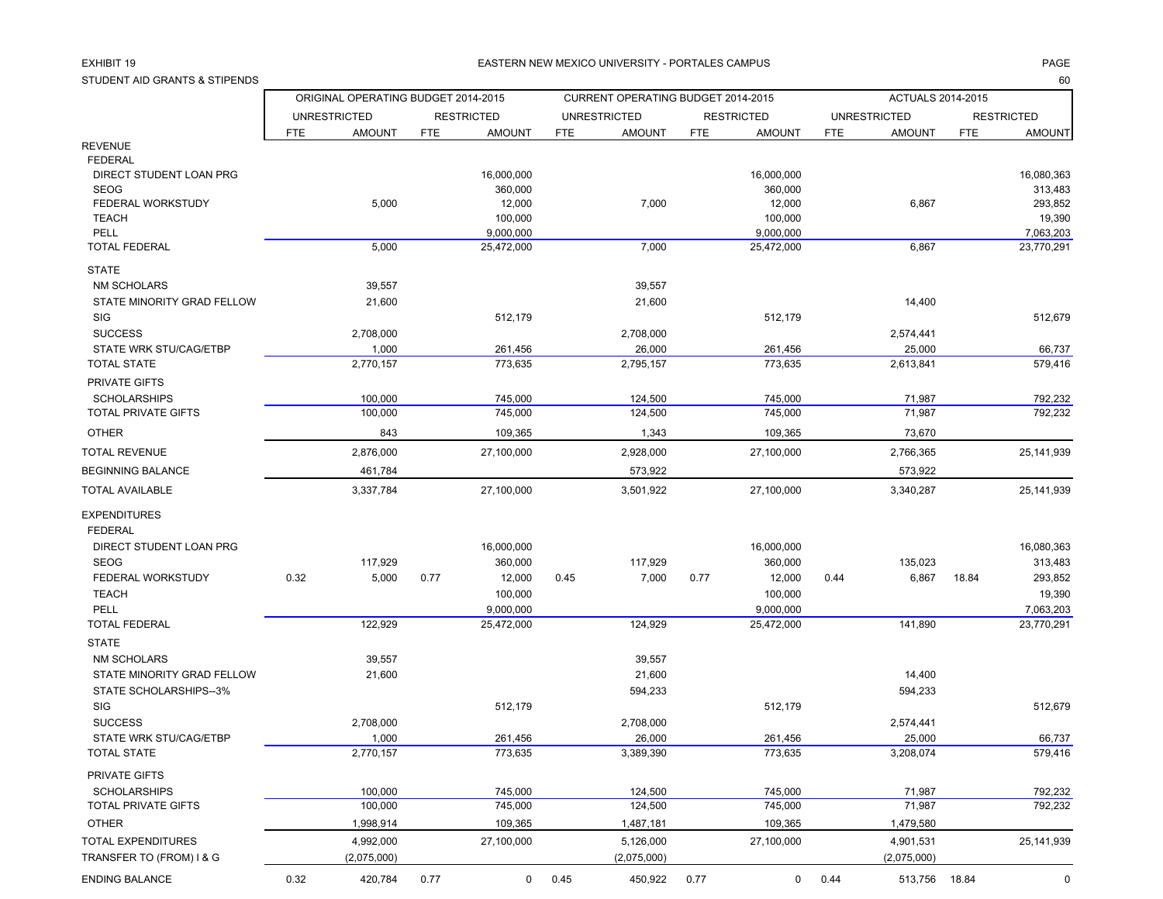### EXHIBIT 19

### 9 EASTERN NEW MEXICO UNIVERSITY - PORTALES CAMPUS PAGE

STUDENT AID GRANTS & STIPENDS

| STUDENT AID GRANTS & STIPENDS     |      |                                     |            |                   |                |                                    |            |                   |             |                     |            | 60                |
|-----------------------------------|------|-------------------------------------|------------|-------------------|----------------|------------------------------------|------------|-------------------|-------------|---------------------|------------|-------------------|
|                                   |      | ORIGINAL OPERATING BUDGET 2014-2015 |            |                   |                | CURRENT OPERATING BUDGET 2014-2015 |            |                   |             | ACTUALS 2014-2015   |            |                   |
|                                   |      | <b>UNRESTRICTED</b>                 |            | <b>RESTRICTED</b> |                | <b>UNRESTRICTED</b>                |            | <b>RESTRICTED</b> |             | <b>UNRESTRICTED</b> |            | <b>RESTRICTED</b> |
|                                   | FTE  | <b>AMOUNT</b>                       | <b>FTE</b> | <b>AMOUNT</b>     | <b>FTE</b>     | <b>AMOUNT</b>                      | <b>FTE</b> | <b>AMOUNT</b>     | <b>FTE</b>  | <b>AMOUNT</b>       | <b>FTE</b> | <b>AMOUNT</b>     |
| <b>REVENUE</b>                    |      |                                     |            |                   |                |                                    |            |                   |             |                     |            |                   |
| <b>FEDERAL</b>                    |      |                                     |            |                   |                |                                    |            |                   |             |                     |            |                   |
| DIRECT STUDENT LOAN PRG           |      |                                     |            | 16,000,000        |                |                                    |            | 16,000,000        |             |                     |            | 16.080.363        |
| <b>SEOG</b>                       |      |                                     |            | 360,000           |                |                                    |            | 360,000           |             |                     |            | 313,483           |
| FEDERAL WORKSTUDY<br><b>TEACH</b> |      | 5,000                               |            | 12,000<br>100,000 |                | 7,000                              |            | 12,000<br>100,000 |             | 6,867               |            | 293,852<br>19,390 |
| PELL                              |      |                                     |            | 9,000,000         |                |                                    |            | 9,000,000         |             |                     |            | 7.063.203         |
| <b>TOTAL FEDERAL</b>              |      | 5,000                               |            | 25,472,000        |                | 7,000                              |            | 25,472,000        |             | 6,867               |            | 23,770,291        |
| <b>STATE</b>                      |      |                                     |            |                   |                |                                    |            |                   |             |                     |            |                   |
| <b>NM SCHOLARS</b>                |      | 39,557                              |            |                   |                | 39,557                             |            |                   |             |                     |            |                   |
| STATE MINORITY GRAD FELLOW        |      | 21,600                              |            |                   |                | 21,600                             |            |                   |             | 14,400              |            |                   |
| SIG                               |      |                                     |            | 512,179           |                |                                    |            | 512,179           |             |                     |            | 512,679           |
| <b>SUCCESS</b>                    |      | 2,708,000                           |            |                   |                | 2,708,000                          |            |                   |             | 2,574,441           |            |                   |
| STATE WRK STU/CAG/ETBP            |      | 1,000                               |            | 261,456           |                | 26,000                             |            | 261,456           |             | 25,000              |            | 66,737            |
| <b>TOTAL STATE</b>                |      | 2.770.157                           |            | 773,635           |                | 2,795,157                          |            | 773,635           |             | 2.613.841           |            | 579,416           |
| PRIVATE GIFTS                     |      |                                     |            |                   |                |                                    |            |                   |             |                     |            |                   |
| <b>SCHOLARSHIPS</b>               |      | 100,000                             |            | 745,000           |                | 124,500                            |            | 745,000           |             | 71,987              |            | 792,232           |
| TOTAL PRIVATE GIFTS               |      | 100,000                             |            | 745,000           |                | 124,500                            |            | 745,000           |             | 71,987              |            | 792,232           |
|                                   |      |                                     |            |                   |                |                                    |            |                   |             |                     |            |                   |
| <b>OTHER</b>                      |      | 843                                 |            | 109,365           |                | 1,343                              |            | 109,365           |             | 73,670              |            |                   |
| <b>TOTAL REVENUE</b>              |      | 2,876,000                           |            | 27,100,000        |                | 2,928,000                          |            | 27,100,000        |             | 2,766,365           |            | 25.141.939        |
| <b>BEGINNING BALANCE</b>          |      | 461,784                             |            |                   |                | 573,922                            |            |                   |             | 573,922             |            |                   |
| <b>TOTAL AVAILABLE</b>            |      | 3,337,784                           |            | 27.100.000        |                | 3,501,922                          |            | 27.100.000        |             | 3,340,287           |            | 25,141,939        |
| <b>EXPENDITURES</b>               |      |                                     |            |                   |                |                                    |            |                   |             |                     |            |                   |
| <b>FEDERAL</b>                    |      |                                     |            |                   |                |                                    |            |                   |             |                     |            |                   |
| DIRECT STUDENT LOAN PRG           |      |                                     |            | 16,000,000        |                |                                    |            | 16,000,000        |             |                     |            | 16,080,363        |
| <b>SEOG</b>                       |      | 117,929                             |            | 360,000           |                | 117,929                            |            | 360,000           |             | 135,023             |            | 313,483           |
| FEDERAL WORKSTUDY                 | 0.32 | 5,000                               | 0.77       | 12,000            | 0.45           | 7,000                              | 0.77       | 12,000            | 0.44        | 6,867               | 18.84      | 293,852           |
| <b>TEACH</b>                      |      |                                     |            | 100,000           |                |                                    |            | 100,000           |             |                     |            | 19,390            |
| PELL                              |      |                                     |            | 9,000,000         |                |                                    |            | 9,000,000         |             |                     |            | 7,063,203         |
| <b>TOTAL FEDERAL</b>              |      | 122,929                             |            | 25,472,000        |                | 124,929                            |            | 25,472,000        |             | 141,890             |            | 23,770,291        |
| <b>STATE</b>                      |      |                                     |            |                   |                |                                    |            |                   |             |                     |            |                   |
| <b>NM SCHOLARS</b>                |      | 39,557                              |            |                   |                | 39,557                             |            |                   |             |                     |            |                   |
| STATE MINORITY GRAD FELLOW        |      | 21,600                              |            |                   |                | 21,600                             |            |                   |             | 14,400              |            |                   |
| STATE SCHOLARSHIPS--3%            |      |                                     |            |                   |                | 594,233                            |            |                   |             | 594,233             |            |                   |
| <b>SIG</b>                        |      |                                     |            | 512,179           |                |                                    |            | 512,179           |             |                     |            | 512,679           |
| <b>SUCCESS</b>                    |      | 2,708,000                           |            |                   |                | 2,708,000                          |            |                   |             | 2,574,441           |            |                   |
| STATE WRK STU/CAG/ETBP            |      | 1,000                               |            | 261,456           |                | 26,000                             |            | 261,456           |             | 25,000              |            | 66,737            |
| <b>TOTAL STATE</b>                |      | 2,770,157                           |            | 773,635           |                | 3,389,390                          |            | 773,635           |             | 3,208,074           |            | 579,416           |
| PRIVATE GIFTS                     |      |                                     |            |                   |                |                                    |            |                   |             |                     |            |                   |
| <b>SCHOLARSHIPS</b>               |      | 100,000                             |            | 745,000           |                | 124,500                            |            | 745,000           |             | 71,987              |            | 792,232           |
| TOTAL PRIVATE GIFTS               |      | 100,000                             |            | 745,000           |                | 124,500                            |            | 745,000           |             | 71,987              |            | 792,232           |
| <b>OTHER</b>                      |      | 1,998,914                           |            | 109,365           |                | 1,487,181                          |            | 109,365           |             | 1,479,580           |            |                   |
| TOTAL EXPENDITURES                |      | 4,992,000                           |            | 27,100,000        |                | 5,126,000                          |            | 27,100,000        |             | 4,901,531           |            | 25, 141, 939      |
| TRANSFER TO (FROM) I & G          |      | (2,075,000)                         |            |                   |                | (2,075,000)                        |            |                   |             | (2,075,000)         |            |                   |
| <b>ENDING BALANCE</b>             | 0.32 | 420,784                             | 0.77       |                   | $0\qquad 0.45$ | 450,922 0.77                       |            |                   | $0 \t 0.44$ | 513,756 18.84       |            | $\Omega$          |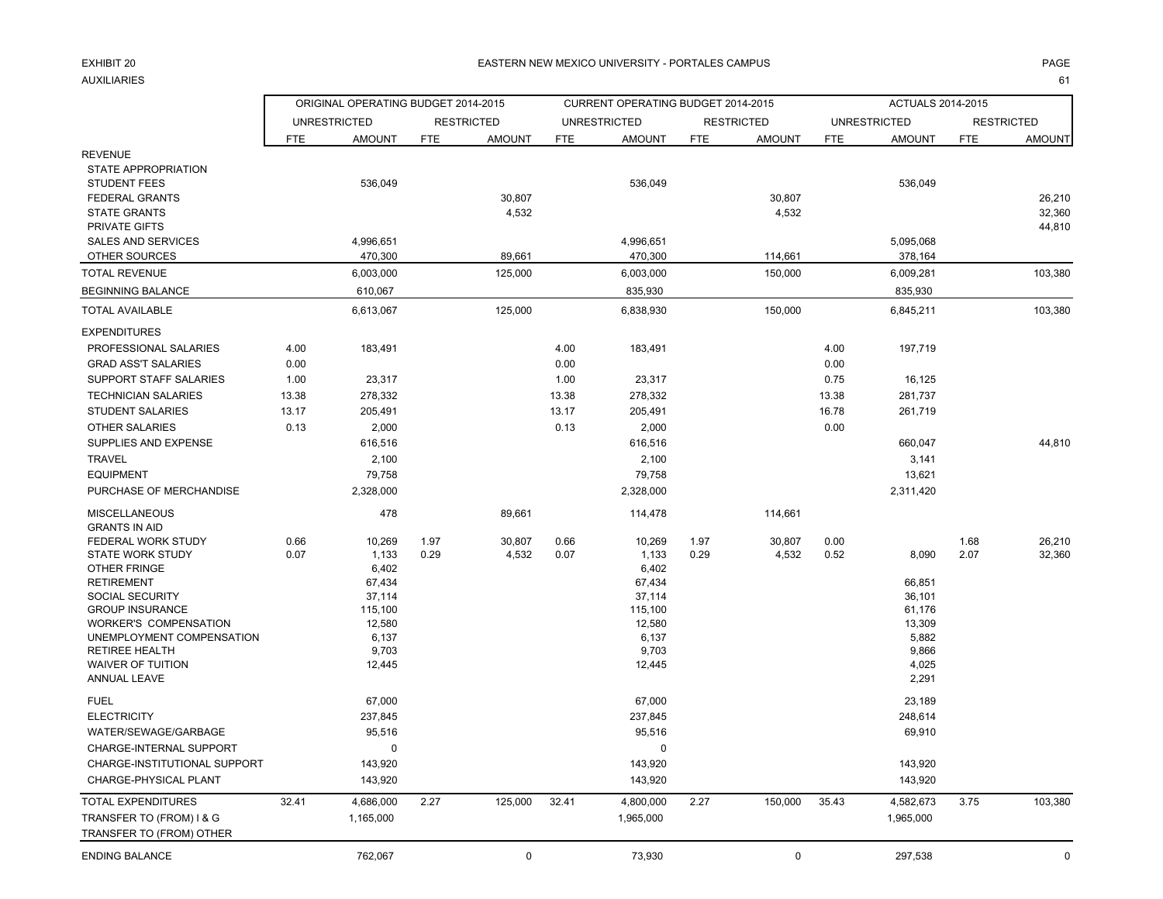## EXHIBIT 20AUXILIARIES

### 0 EASTERN NEW MEXICO UNIVERSITY - PORTALES CAMPUS PAGE

es and the second second second second second second second second second second second second second second s

|                                                                                                                                                                             | ORIGINAL OPERATING BUDGET 2014-2015 |                                                         |              |                   |              | CURRENT OPERATING BUDGET 2014-2015                      |              |                   |              | ACTUALS 2014-2015                                              |              |                   |
|-----------------------------------------------------------------------------------------------------------------------------------------------------------------------------|-------------------------------------|---------------------------------------------------------|--------------|-------------------|--------------|---------------------------------------------------------|--------------|-------------------|--------------|----------------------------------------------------------------|--------------|-------------------|
|                                                                                                                                                                             |                                     | <b>UNRESTRICTED</b>                                     |              | <b>RESTRICTED</b> |              | <b>UNRESTRICTED</b>                                     |              | <b>RESTRICTED</b> |              | <b>UNRESTRICTED</b>                                            |              | <b>RESTRICTED</b> |
|                                                                                                                                                                             | <b>FTE</b>                          | <b>AMOUNT</b>                                           | <b>FTE</b>   | <b>AMOUNT</b>     | <b>FTE</b>   | <b>AMOUNT</b>                                           | <b>FTE</b>   | <b>AMOUNT</b>     | <b>FTE</b>   | <b>AMOUNT</b>                                                  | <b>FTE</b>   | <b>AMOUNT</b>     |
| <b>REVENUE</b><br>STATE APPROPRIATION<br><b>STUDENT FEES</b><br><b>FEDERAL GRANTS</b><br><b>STATE GRANTS</b>                                                                |                                     | 536,049                                                 |              | 30,807<br>4,532   |              | 536,049                                                 |              | 30,807<br>4,532   |              | 536,049                                                        |              | 26,210<br>32,360  |
| PRIVATE GIFTS                                                                                                                                                               |                                     |                                                         |              |                   |              |                                                         |              |                   |              |                                                                |              | 44,810            |
| <b>SALES AND SERVICES</b><br>OTHER SOURCES                                                                                                                                  |                                     | 4,996,651<br>470,300                                    |              | 89,661            |              | 4,996,651<br>470,300                                    |              | 114,661           |              | 5,095,068<br>378,164                                           |              |                   |
| <b>TOTAL REVENUE</b>                                                                                                                                                        |                                     | 6,003,000                                               |              | 125,000           |              | 6,003,000                                               |              | 150,000           |              | 6,009,281                                                      |              | 103,380           |
| <b>BEGINNING BALANCE</b>                                                                                                                                                    |                                     | 610,067                                                 |              |                   |              | 835,930                                                 |              |                   |              | 835,930                                                        |              |                   |
| <b>TOTAL AVAILABLE</b>                                                                                                                                                      |                                     |                                                         |              |                   |              |                                                         |              |                   |              |                                                                |              |                   |
|                                                                                                                                                                             |                                     | 6,613,067                                               |              | 125,000           |              | 6,838,930                                               |              | 150,000           |              | 6,845,211                                                      |              | 103,380           |
| <b>EXPENDITURES</b><br>PROFESSIONAL SALARIES<br><b>GRAD ASS'T SALARIES</b>                                                                                                  | 4.00<br>0.00                        | 183,491                                                 |              |                   | 4.00<br>0.00 | 183,491                                                 |              |                   | 4.00<br>0.00 | 197,719                                                        |              |                   |
| SUPPORT STAFF SALARIES                                                                                                                                                      | 1.00                                | 23,317                                                  |              |                   | 1.00         | 23,317                                                  |              |                   | 0.75         | 16,125                                                         |              |                   |
| <b>TECHNICIAN SALARIES</b>                                                                                                                                                  | 13.38                               | 278,332                                                 |              |                   | 13.38        | 278,332                                                 |              |                   | 13.38        | 281,737                                                        |              |                   |
| <b>STUDENT SALARIES</b>                                                                                                                                                     | 13.17                               | 205,491                                                 |              |                   | 13.17        | 205,491                                                 |              |                   | 16.78        | 261,719                                                        |              |                   |
| <b>OTHER SALARIES</b>                                                                                                                                                       | 0.13                                | 2,000                                                   |              |                   | 0.13         | 2,000                                                   |              |                   | 0.00         |                                                                |              |                   |
| SUPPLIES AND EXPENSE                                                                                                                                                        |                                     | 616,516                                                 |              |                   |              | 616,516                                                 |              |                   |              | 660,047                                                        |              | 44,810            |
| TRAVEL                                                                                                                                                                      |                                     | 2,100                                                   |              |                   |              | 2,100                                                   |              |                   |              | 3,141                                                          |              |                   |
| <b>EQUIPMENT</b>                                                                                                                                                            |                                     | 79,758                                                  |              |                   |              | 79,758                                                  |              |                   |              | 13,621                                                         |              |                   |
| PURCHASE OF MERCHANDISE                                                                                                                                                     |                                     | 2,328,000                                               |              |                   |              | 2,328,000                                               |              |                   |              | 2,311,420                                                      |              |                   |
| <b>MISCELLANEOUS</b><br><b>GRANTS IN AID</b>                                                                                                                                |                                     | 478                                                     |              | 89,661            |              | 114,478                                                 |              | 114,661           |              |                                                                |              |                   |
| FEDERAL WORK STUDY<br><b>STATE WORK STUDY</b><br>OTHER FRINGE<br><b>RETIREMENT</b>                                                                                          | 0.66<br>0.07                        | 10,269<br>1,133<br>6,402<br>67,434                      | 1.97<br>0.29 | 30,807<br>4,532   | 0.66<br>0.07 | 10,269<br>1,133<br>6,402<br>67,434                      | 1.97<br>0.29 | 30,807<br>4,532   | 0.00<br>0.52 | 8,090<br>66,851                                                | 1.68<br>2.07 | 26,210<br>32,360  |
| SOCIAL SECURITY<br><b>GROUP INSURANCE</b><br><b>WORKER'S COMPENSATION</b><br>UNEMPLOYMENT COMPENSATION<br><b>RETIREE HEALTH</b><br><b>WAIVER OF TUITION</b><br>ANNUAL LEAVE |                                     | 37,114<br>115,100<br>12,580<br>6,137<br>9,703<br>12,445 |              |                   |              | 37,114<br>115,100<br>12,580<br>6,137<br>9,703<br>12,445 |              |                   |              | 36,101<br>61,176<br>13,309<br>5,882<br>9,866<br>4,025<br>2,291 |              |                   |
| <b>FUEL</b><br><b>ELECTRICITY</b><br>WATER/SEWAGE/GARBAGE<br>CHARGE-INTERNAL SUPPORT                                                                                        |                                     | 67,000<br>237,845<br>95,516<br>$\mathbf 0$              |              |                   |              | 67,000<br>237,845<br>95,516<br>$\mathbf 0$              |              |                   |              | 23,189<br>248,614<br>69,910                                    |              |                   |
| CHARGE-INSTITUTIONAL SUPPORT<br>CHARGE-PHYSICAL PLANT                                                                                                                       |                                     | 143,920<br>143,920                                      |              |                   |              | 143,920<br>143,920                                      |              |                   |              | 143,920<br>143,920                                             |              |                   |
| TOTAL EXPENDITURES<br>TRANSFER TO (FROM) I & G<br>TRANSFER TO (FROM) OTHER                                                                                                  | 32.41                               | 4,686,000<br>1,165,000                                  | 2.27         | 125,000           | 32.41        | 4,800,000<br>1,965,000                                  | 2.27         | 150,000           | 35.43        | 4,582,673<br>1,965,000                                         | 3.75         | 103,380           |
| <b>ENDING BALANCE</b>                                                                                                                                                       |                                     | 762,067                                                 |              | 0                 |              | 73,930                                                  |              | $\mathbf 0$       |              | 297,538                                                        |              | 0                 |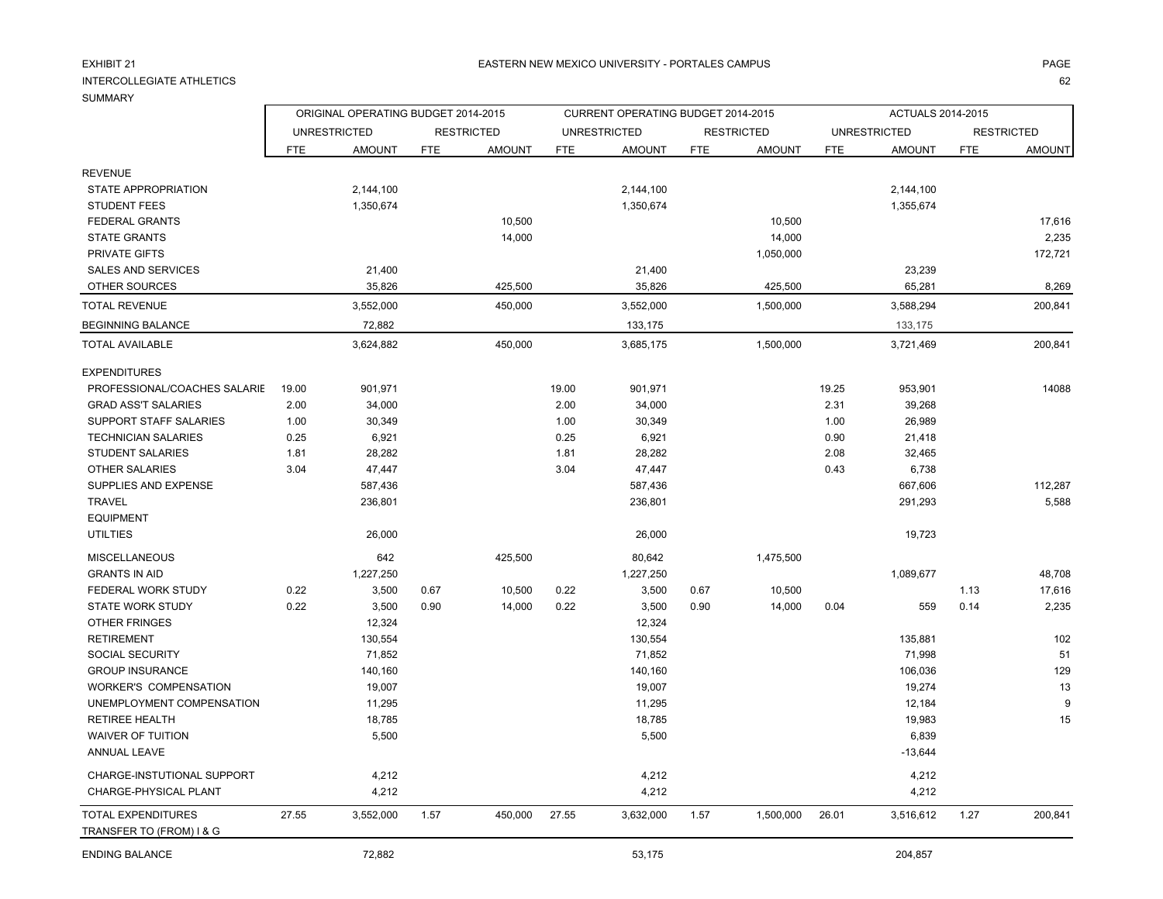## EXHIBIT 21

### INTERCOLLEGIATE ATHLETICS

|                                                       | ORIGINAL OPERATING BUDGET 2014-2015 |                     |            |                   |            | CURRENT OPERATING BUDGET 2014-2015 |            |                   |            | <b>ACTUALS 2014-2015</b> |            |                   |
|-------------------------------------------------------|-------------------------------------|---------------------|------------|-------------------|------------|------------------------------------|------------|-------------------|------------|--------------------------|------------|-------------------|
|                                                       |                                     | <b>UNRESTRICTED</b> |            | <b>RESTRICTED</b> |            | <b>UNRESTRICTED</b>                |            | <b>RESTRICTED</b> |            | <b>UNRESTRICTED</b>      |            | <b>RESTRICTED</b> |
|                                                       | <b>FTE</b>                          | <b>AMOUNT</b>       | <b>FTE</b> | <b>AMOUNT</b>     | <b>FTE</b> | <b>AMOUNT</b>                      | <b>FTE</b> | <b>AMOUNT</b>     | <b>FTE</b> | <b>AMOUNT</b>            | <b>FTE</b> | <b>AMOUNT</b>     |
| <b>REVENUE</b>                                        |                                     |                     |            |                   |            |                                    |            |                   |            |                          |            |                   |
| STATE APPROPRIATION                                   |                                     | 2,144,100           |            |                   |            | 2,144,100                          |            |                   |            | 2,144,100                |            |                   |
| <b>STUDENT FEES</b>                                   |                                     | 1,350,674           |            |                   |            | 1,350,674                          |            |                   |            | 1,355,674                |            |                   |
| <b>FEDERAL GRANTS</b>                                 |                                     |                     |            | 10,500            |            |                                    |            | 10,500            |            |                          |            | 17,616            |
| <b>STATE GRANTS</b>                                   |                                     |                     |            | 14,000            |            |                                    |            | 14,000            |            |                          |            | 2,235             |
| <b>PRIVATE GIFTS</b>                                  |                                     |                     |            |                   |            |                                    |            | 1,050,000         |            |                          |            | 172,721           |
| <b>SALES AND SERVICES</b>                             |                                     | 21,400              |            |                   |            | 21,400                             |            |                   |            | 23,239                   |            |                   |
| OTHER SOURCES                                         |                                     | 35,826              |            | 425,500           |            | 35,826                             |            | 425,500           |            | 65,281                   |            | 8,269             |
| <b>TOTAL REVENUE</b>                                  |                                     | 3,552,000           |            | 450,000           |            | 3,552,000                          |            | 1,500,000         |            | 3,588,294                |            | 200,841           |
| <b>BEGINNING BALANCE</b>                              |                                     | 72,882              |            |                   |            | 133,175                            |            |                   |            | 133,175                  |            |                   |
| <b>TOTAL AVAILABLE</b>                                |                                     | 3,624,882           |            | 450,000           |            | 3,685,175                          |            | 1,500,000         |            | 3,721,469                |            | 200,841           |
| <b>EXPENDITURES</b>                                   |                                     |                     |            |                   |            |                                    |            |                   |            |                          |            |                   |
| PROFESSIONAL/COACHES SALARIE                          | 19.00                               | 901,971             |            |                   | 19.00      | 901,971                            |            |                   | 19.25      | 953,901                  |            | 14088             |
| <b>GRAD ASS'T SALARIES</b>                            | 2.00                                | 34,000              |            |                   | 2.00       | 34,000                             |            |                   | 2.31       | 39,268                   |            |                   |
| SUPPORT STAFF SALARIES                                | 1.00                                | 30,349              |            |                   | 1.00       | 30,349                             |            |                   | 1.00       | 26,989                   |            |                   |
| <b>TECHNICIAN SALARIES</b>                            | 0.25                                | 6,921               |            |                   | 0.25       | 6,921                              |            |                   | 0.90       | 21,418                   |            |                   |
| <b>STUDENT SALARIES</b>                               | 1.81                                | 28,282              |            |                   | 1.81       | 28,282                             |            |                   | 2.08       | 32,465                   |            |                   |
| <b>OTHER SALARIES</b>                                 | 3.04                                | 47,447              |            |                   | 3.04       | 47,447                             |            |                   | 0.43       | 6,738                    |            |                   |
| SUPPLIES AND EXPENSE                                  |                                     | 587,436             |            |                   |            | 587,436                            |            |                   |            | 667,606                  |            | 112,287           |
| <b>TRAVEL</b>                                         |                                     | 236,801             |            |                   |            | 236,801                            |            |                   |            | 291,293                  |            | 5,588             |
| <b>EQUIPMENT</b>                                      |                                     |                     |            |                   |            |                                    |            |                   |            |                          |            |                   |
| <b>UTILTIES</b>                                       |                                     | 26,000              |            |                   |            | 26,000                             |            |                   |            | 19,723                   |            |                   |
| <b>MISCELLANEOUS</b>                                  |                                     | 642                 |            | 425,500           |            | 80,642                             |            | 1,475,500         |            |                          |            |                   |
| <b>GRANTS IN AID</b>                                  |                                     | 1,227,250           |            |                   |            | 1,227,250                          |            |                   |            | 1,089,677                |            | 48,708            |
| <b>FEDERAL WORK STUDY</b>                             | 0.22                                | 3,500               | 0.67       | 10,500            | 0.22       | 3,500                              | 0.67       | 10,500            |            |                          | 1.13       | 17,616            |
| <b>STATE WORK STUDY</b>                               | 0.22                                | 3,500               | 0.90       | 14,000            | 0.22       | 3,500                              | 0.90       | 14,000            | 0.04       | 559                      | 0.14       | 2,235             |
| <b>OTHER FRINGES</b>                                  |                                     | 12,324              |            |                   |            | 12,324                             |            |                   |            |                          |            |                   |
| <b>RETIREMENT</b>                                     |                                     | 130,554             |            |                   |            | 130,554                            |            |                   |            | 135,881                  |            | 102               |
| SOCIAL SECURITY                                       |                                     | 71,852              |            |                   |            | 71,852                             |            |                   |            | 71,998                   |            | 51                |
| <b>GROUP INSURANCE</b>                                |                                     | 140,160             |            |                   |            | 140,160                            |            |                   |            | 106,036                  |            | 129               |
| <b>WORKER'S COMPENSATION</b>                          |                                     | 19,007              |            |                   |            | 19,007                             |            |                   |            | 19,274                   |            | 13                |
| UNEMPLOYMENT COMPENSATION                             |                                     | 11,295              |            |                   |            | 11,295                             |            |                   |            | 12,184                   |            | 9                 |
| <b>RETIREE HEALTH</b>                                 |                                     | 18,785              |            |                   |            | 18,785                             |            |                   |            | 19,983                   |            | 15                |
| <b>WAIVER OF TUITION</b>                              |                                     | 5,500               |            |                   |            | 5,500                              |            |                   |            | 6,839                    |            |                   |
| ANNUAL LEAVE                                          |                                     |                     |            |                   |            |                                    |            |                   |            | $-13,644$                |            |                   |
| CHARGE-INSTUTIONAL SUPPORT                            |                                     | 4,212               |            |                   |            | 4,212                              |            |                   |            | 4,212                    |            |                   |
| CHARGE-PHYSICAL PLANT                                 |                                     | 4,212               |            |                   |            | 4,212                              |            |                   |            | 4,212                    |            |                   |
| <b>TOTAL EXPENDITURES</b><br>TRANSFER TO (FROM) I & G | 27.55                               | 3,552,000           | 1.57       | 450,000           | 27.55      | 3,632,000                          | 1.57       | 1,500,000         | 26.01      | 3,516,612                | 1.27       | 200,841           |

ENDING BALANCE 204,857 204,857 204,857 204,857 204,857 204,857 204,857 204,857 204,857 204,857 204,857 204,857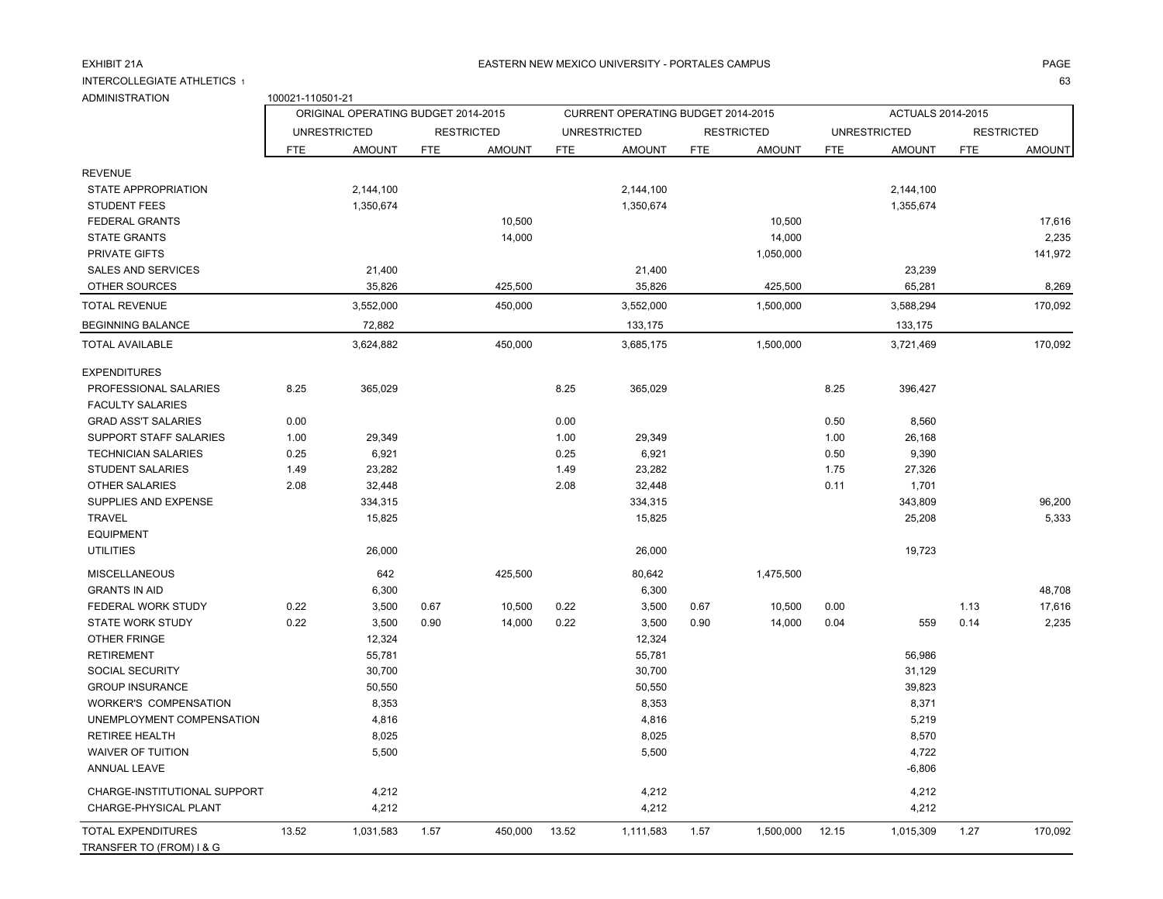### EXHIBIT 21A PAGE ASTERN NEW MEXICO UNIVERSITY - PORTALES CAMPUS AND ANNOUNCLES AND A PAGE AND PAGE

estate and the contract of the contract of the contract of the contract of the contract of the contract of the contract of the contract of the contract of the contract of the contract of the contract of the contract of the

INTERCOLLEGIATE ATHLETICS 1ADMINISTRATION 100021-110501-21

|                                                       |            | ORIGINAL OPERATING BUDGET 2014-2015 |            |                   |            | CURRENT OPERATING BUDGET 2014-2015 |            |                   |            | ACTUALS 2014-2015   |            |                   |
|-------------------------------------------------------|------------|-------------------------------------|------------|-------------------|------------|------------------------------------|------------|-------------------|------------|---------------------|------------|-------------------|
|                                                       |            | <b>UNRESTRICTED</b>                 |            | <b>RESTRICTED</b> |            | <b>UNRESTRICTED</b>                |            | <b>RESTRICTED</b> |            | <b>UNRESTRICTED</b> |            | <b>RESTRICTED</b> |
|                                                       | <b>FTE</b> | <b>AMOUNT</b>                       | <b>FTE</b> | <b>AMOUNT</b>     | <b>FTE</b> | <b>AMOUNT</b>                      | <b>FTE</b> | <b>AMOUNT</b>     | <b>FTE</b> | <b>AMOUNT</b>       | <b>FTE</b> | <b>AMOUNT</b>     |
| <b>REVENUE</b>                                        |            |                                     |            |                   |            |                                    |            |                   |            |                     |            |                   |
| STATE APPROPRIATION                                   |            | 2,144,100                           |            |                   |            | 2,144,100                          |            |                   |            | 2,144,100           |            |                   |
| <b>STUDENT FEES</b>                                   |            | 1,350,674                           |            |                   |            | 1,350,674                          |            |                   |            | 1,355,674           |            |                   |
| FEDERAL GRANTS                                        |            |                                     |            | 10,500            |            |                                    |            | 10,500            |            |                     |            | 17,616            |
| <b>STATE GRANTS</b>                                   |            |                                     |            | 14,000            |            |                                    |            | 14,000            |            |                     |            | 2,235             |
| <b>PRIVATE GIFTS</b>                                  |            |                                     |            |                   |            |                                    |            | 1,050,000         |            |                     |            | 141,972           |
| SALES AND SERVICES                                    |            | 21,400                              |            |                   |            | 21,400                             |            |                   |            | 23,239              |            |                   |
| OTHER SOURCES                                         |            | 35,826                              |            | 425,500           |            | 35,826                             |            | 425,500           |            | 65,281              |            | 8,269             |
| <b>TOTAL REVENUE</b>                                  |            | 3,552,000                           |            | 450,000           |            | 3,552,000                          |            | 1,500,000         |            | 3,588,294           |            | 170,092           |
| <b>BEGINNING BALANCE</b>                              |            | 72,882                              |            |                   |            | 133,175                            |            |                   |            | 133,175             |            |                   |
| <b>TOTAL AVAILABLE</b>                                |            | 3,624,882                           |            | 450,000           |            | 3,685,175                          |            | 1,500,000         |            | 3,721,469           |            | 170,092           |
| <b>EXPENDITURES</b>                                   |            |                                     |            |                   |            |                                    |            |                   |            |                     |            |                   |
| PROFESSIONAL SALARIES                                 | 8.25       | 365,029                             |            |                   | 8.25       | 365,029                            |            |                   | 8.25       | 396,427             |            |                   |
| <b>FACULTY SALARIES</b>                               |            |                                     |            |                   |            |                                    |            |                   |            |                     |            |                   |
| <b>GRAD ASS'T SALARIES</b>                            | 0.00       |                                     |            |                   | 0.00       |                                    |            |                   | 0.50       | 8,560               |            |                   |
| SUPPORT STAFF SALARIES                                | 1.00       | 29,349                              |            |                   | 1.00       | 29,349                             |            |                   | 1.00       | 26,168              |            |                   |
| <b>TECHNICIAN SALARIES</b>                            | 0.25       | 6,921                               |            |                   | 0.25       | 6,921                              |            |                   | 0.50       | 9,390               |            |                   |
| <b>STUDENT SALARIES</b>                               | 1.49       | 23,282                              |            |                   | 1.49       | 23,282                             |            |                   | 1.75       | 27,326              |            |                   |
| <b>OTHER SALARIES</b>                                 | 2.08       | 32,448                              |            |                   | 2.08       | 32,448                             |            |                   | 0.11       | 1,701               |            |                   |
| SUPPLIES AND EXPENSE                                  |            | 334,315                             |            |                   |            | 334,315                            |            |                   |            | 343,809             |            | 96,200            |
| <b>TRAVEL</b>                                         |            | 15,825                              |            |                   |            | 15,825                             |            |                   |            | 25,208              |            | 5,333             |
| <b>EQUIPMENT</b>                                      |            |                                     |            |                   |            |                                    |            |                   |            |                     |            |                   |
| <b>UTILITIES</b>                                      |            | 26,000                              |            |                   |            | 26,000                             |            |                   |            | 19,723              |            |                   |
| <b>MISCELLANEOUS</b>                                  |            | 642                                 |            | 425,500           |            | 80,642                             |            | 1,475,500         |            |                     |            |                   |
| <b>GRANTS IN AID</b>                                  |            | 6,300                               |            |                   |            | 6,300                              |            |                   |            |                     |            | 48,708            |
| FEDERAL WORK STUDY                                    | 0.22       | 3,500                               | 0.67       | 10,500            | 0.22       | 3,500                              | 0.67       | 10,500            | 0.00       |                     | 1.13       | 17,616            |
| <b>STATE WORK STUDY</b>                               | 0.22       | 3,500                               | 0.90       | 14,000            | 0.22       | 3,500                              | 0.90       | 14,000            | 0.04       | 559                 | 0.14       | 2,235             |
| OTHER FRINGE                                          |            | 12,324                              |            |                   |            | 12,324                             |            |                   |            |                     |            |                   |
| <b>RETIREMENT</b>                                     |            | 55,781                              |            |                   |            | 55,781                             |            |                   |            | 56,986              |            |                   |
| SOCIAL SECURITY                                       |            | 30,700                              |            |                   |            | 30,700                             |            |                   |            | 31,129              |            |                   |
| <b>GROUP INSURANCE</b>                                |            | 50,550                              |            |                   |            | 50,550                             |            |                   |            | 39,823              |            |                   |
| <b>WORKER'S COMPENSATION</b>                          |            | 8,353                               |            |                   |            | 8,353                              |            |                   |            | 8,371               |            |                   |
| UNEMPLOYMENT COMPENSATION                             |            | 4,816                               |            |                   |            | 4,816                              |            |                   |            | 5,219               |            |                   |
| <b>RETIREE HEALTH</b>                                 |            | 8,025                               |            |                   |            | 8,025                              |            |                   |            | 8,570               |            |                   |
| <b>WAIVER OF TUITION</b>                              |            | 5,500                               |            |                   |            | 5,500                              |            |                   |            | 4,722               |            |                   |
| ANNUAL LEAVE                                          |            |                                     |            |                   |            |                                    |            |                   |            | $-6,806$            |            |                   |
| CHARGE-INSTITUTIONAL SUPPORT                          |            | 4,212                               |            |                   |            | 4,212                              |            |                   |            | 4,212               |            |                   |
| CHARGE-PHYSICAL PLANT                                 |            | 4,212                               |            |                   |            | 4,212                              |            |                   |            | 4,212               |            |                   |
| <b>TOTAL EXPENDITURES</b><br>TRANSFER TO (FROM) I & G | 13.52      | 1,031,583                           | 1.57       | 450,000           | 13.52      | 1,111,583                          | 1.57       | 1,500,000         | 12.15      | 1,015,309           | 1.27       | 170,092           |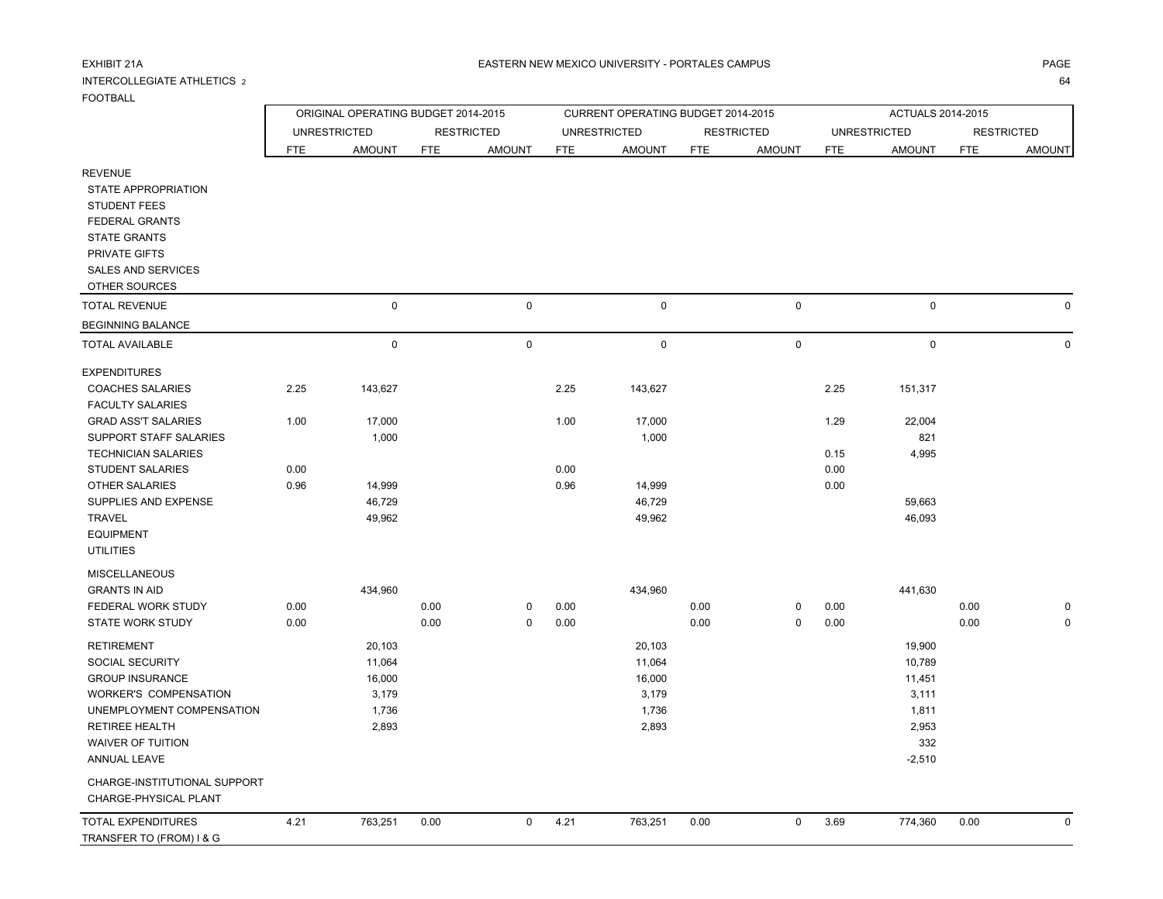### INTERCOLLEGIATE ATHLETICS 2FOOTBALL

| <b>FOOTBALL</b>                                                                                                                                                                           |              | ORIGINAL OPERATING BUDGET 2014-2015                   |              |                   |              | CURRENT OPERATING BUDGET 2014-2015                    |              |                   |              | ACTUALS 2014-2015                                                        |              |                   |
|-------------------------------------------------------------------------------------------------------------------------------------------------------------------------------------------|--------------|-------------------------------------------------------|--------------|-------------------|--------------|-------------------------------------------------------|--------------|-------------------|--------------|--------------------------------------------------------------------------|--------------|-------------------|
|                                                                                                                                                                                           |              | <b>UNRESTRICTED</b>                                   |              | <b>RESTRICTED</b> |              | <b>UNRESTRICTED</b>                                   |              | <b>RESTRICTED</b> |              | <b>UNRESTRICTED</b>                                                      |              | <b>RESTRICTED</b> |
|                                                                                                                                                                                           | <b>FTE</b>   | <b>AMOUNT</b>                                         | <b>FTE</b>   | <b>AMOUNT</b>     | FTE          | <b>AMOUNT</b>                                         | <b>FTE</b>   | <b>AMOUNT</b>     | FTE          | <b>AMOUNT</b>                                                            | <b>FTE</b>   | <b>AMOUNT</b>     |
| <b>REVENUE</b><br>STATE APPROPRIATION<br><b>STUDENT FEES</b><br>FEDERAL GRANTS<br><b>STATE GRANTS</b><br>PRIVATE GIFTS<br><b>SALES AND SERVICES</b><br>OTHER SOURCES                      |              |                                                       |              |                   |              |                                                       |              |                   |              |                                                                          |              |                   |
| <b>TOTAL REVENUE</b>                                                                                                                                                                      |              | $\pmb{0}$                                             |              | $\mathbf 0$       |              | 0                                                     |              | 0                 |              | $\mathsf 0$                                                              |              | $\Omega$          |
| BEGINNING BALANCE                                                                                                                                                                         |              |                                                       |              |                   |              |                                                       |              |                   |              |                                                                          |              |                   |
| <b>TOTAL AVAILABLE</b>                                                                                                                                                                    |              | $\pmb{0}$                                             |              | $\mathbf 0$       |              | 0                                                     |              | 0                 |              | $\mathsf 0$                                                              |              | 0                 |
| <b>EXPENDITURES</b><br><b>COACHES SALARIES</b>                                                                                                                                            | 2.25         | 143,627                                               |              |                   | 2.25         | 143,627                                               |              |                   | 2.25         | 151,317                                                                  |              |                   |
| <b>FACULTY SALARIES</b><br><b>GRAD ASS'T SALARIES</b><br>SUPPORT STAFF SALARIES<br><b>TECHNICIAN SALARIES</b>                                                                             | 1.00         | 17,000<br>1,000                                       |              |                   | 1.00         | 17,000<br>1,000                                       |              |                   | 1.29<br>0.15 | 22,004<br>821<br>4,995                                                   |              |                   |
| <b>STUDENT SALARIES</b><br><b>OTHER SALARIES</b><br>SUPPLIES AND EXPENSE<br><b>TRAVEL</b><br><b>EQUIPMENT</b><br><b>UTILITIES</b>                                                         | 0.00<br>0.96 | 14,999<br>46,729<br>49,962                            |              |                   | 0.00<br>0.96 | 14,999<br>46,729<br>49,962                            |              |                   | 0.00<br>0.00 | 59,663<br>46,093                                                         |              |                   |
| <b>MISCELLANEOUS</b><br><b>GRANTS IN AID</b><br>FEDERAL WORK STUDY<br><b>STATE WORK STUDY</b>                                                                                             | 0.00<br>0.00 | 434,960                                               | 0.00<br>0.00 | 0<br>0            | 0.00<br>0.00 | 434,960                                               | 0.00<br>0.00 | 0<br>0            | 0.00<br>0.00 | 441,630                                                                  | 0.00<br>0.00 | $\Omega$          |
| <b>RETIREMENT</b><br>SOCIAL SECURITY<br><b>GROUP INSURANCE</b><br>WORKER'S COMPENSATION<br>UNEMPLOYMENT COMPENSATION<br><b>RETIREE HEALTH</b><br>WAIVER OF TUITION<br><b>ANNUAL LEAVE</b> |              | 20,103<br>11,064<br>16,000<br>3,179<br>1,736<br>2,893 |              |                   |              | 20,103<br>11,064<br>16,000<br>3,179<br>1,736<br>2,893 |              |                   |              | 19,900<br>10,789<br>11,451<br>3,111<br>1,811<br>2,953<br>332<br>$-2,510$ |              |                   |
| CHARGE-INSTITUTIONAL SUPPORT<br>CHARGE-PHYSICAL PLANT                                                                                                                                     |              |                                                       |              |                   |              |                                                       |              |                   |              |                                                                          |              |                   |
| <b>TOTAL EXPENDITURES</b><br>TRANSFER TO (FROM) I & G                                                                                                                                     | 4.21         | 763,251                                               | 0.00         | $\mathbf 0$       | 4.21         | 763,251                                               | 0.00         | 0                 | 3.69         | 774,360                                                                  | 0.00         | $\Omega$          |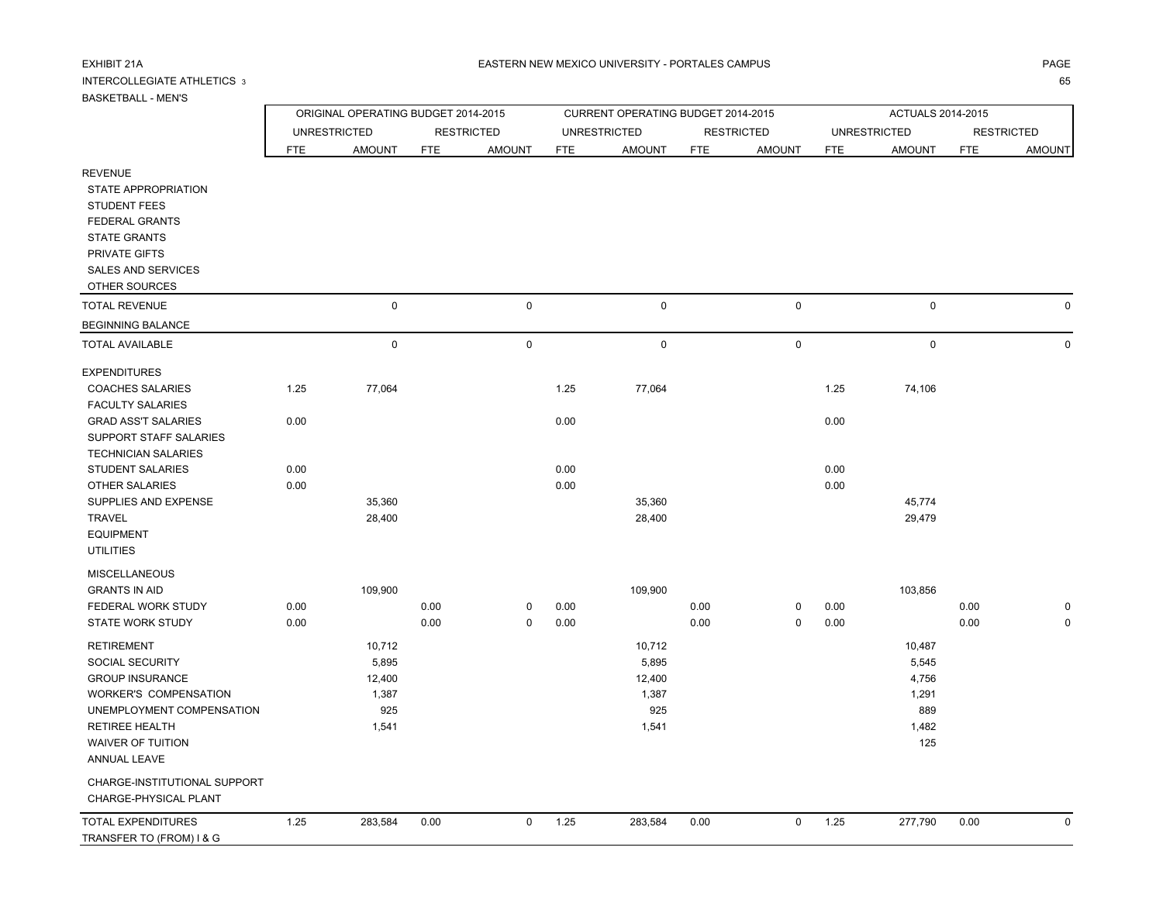# INTERCOLLEGIATE ATHLETICS 3

# BASKETBALL - MEN'S

а произведения произведения с произведения с произведения с произведения с произведения с произведения с произв 65

| <b>UNUIVE I UNLE - IVILIV U</b>                                                                                                                                                           |              | ORIGINAL OPERATING BUDGET 2014-2015                |              |                   |              | CURRENT OPERATING BUDGET 2014-2015                 |              |                   |              | ACTUALS 2014-2015                                        |              |                   |
|-------------------------------------------------------------------------------------------------------------------------------------------------------------------------------------------|--------------|----------------------------------------------------|--------------|-------------------|--------------|----------------------------------------------------|--------------|-------------------|--------------|----------------------------------------------------------|--------------|-------------------|
|                                                                                                                                                                                           |              | <b>UNRESTRICTED</b>                                |              | <b>RESTRICTED</b> |              | <b>UNRESTRICTED</b>                                |              | <b>RESTRICTED</b> |              | <b>UNRESTRICTED</b>                                      |              | <b>RESTRICTED</b> |
|                                                                                                                                                                                           | <b>FTE</b>   | <b>AMOUNT</b>                                      | <b>FTE</b>   | <b>AMOUNT</b>     | <b>FTE</b>   | <b>AMOUNT</b>                                      | <b>FTE</b>   | <b>AMOUNT</b>     | <b>FTE</b>   | <b>AMOUNT</b>                                            | <b>FTE</b>   | <b>AMOUNT</b>     |
| <b>REVENUE</b><br>STATE APPROPRIATION<br><b>STUDENT FEES</b><br>FEDERAL GRANTS<br><b>STATE GRANTS</b><br>PRIVATE GIFTS<br><b>SALES AND SERVICES</b><br>OTHER SOURCES                      |              |                                                    |              |                   |              |                                                    |              |                   |              |                                                          |              |                   |
| <b>TOTAL REVENUE</b>                                                                                                                                                                      |              | $\mathsf 0$                                        |              | $\pmb{0}$         |              | $\pmb{0}$                                          |              | $\mathsf 0$       |              | $\mathbf 0$                                              |              | $\mathbf 0$       |
| <b>BEGINNING BALANCE</b>                                                                                                                                                                  |              |                                                    |              |                   |              |                                                    |              |                   |              |                                                          |              |                   |
| TOTAL AVAILABLE                                                                                                                                                                           |              | $\mathsf 0$                                        |              | $\pmb{0}$         |              | $\pmb{0}$                                          |              | $\mathsf 0$       |              | $\mathsf 0$                                              |              | $\Omega$          |
| <b>EXPENDITURES</b><br><b>COACHES SALARIES</b><br><b>FACULTY SALARIES</b>                                                                                                                 | 1.25         | 77,064                                             |              |                   | 1.25         | 77,064                                             |              |                   | 1.25         | 74,106                                                   |              |                   |
| <b>GRAD ASS'T SALARIES</b><br>SUPPORT STAFF SALARIES<br><b>TECHNICIAN SALARIES</b>                                                                                                        | 0.00         |                                                    |              |                   | 0.00         |                                                    |              |                   | 0.00         |                                                          |              |                   |
| <b>STUDENT SALARIES</b><br>OTHER SALARIES<br>SUPPLIES AND EXPENSE<br><b>TRAVEL</b><br><b>EQUIPMENT</b><br><b>UTILITIES</b>                                                                | 0.00<br>0.00 | 35,360<br>28,400                                   |              |                   | 0.00<br>0.00 | 35,360<br>28,400                                   |              |                   | 0.00<br>0.00 | 45,774<br>29,479                                         |              |                   |
| <b>MISCELLANEOUS</b><br><b>GRANTS IN AID</b><br>FEDERAL WORK STUDY<br>STATE WORK STUDY                                                                                                    | 0.00<br>0.00 | 109,900                                            | 0.00<br>0.00 | 0<br>$\pmb{0}$    | 0.00<br>0.00 | 109,900                                            | 0.00<br>0.00 | 0<br>$\mathbf 0$  | 0.00<br>0.00 | 103,856                                                  | 0.00<br>0.00 | 0<br>$\Omega$     |
| <b>RETIREMENT</b><br>SOCIAL SECURITY<br><b>GROUP INSURANCE</b><br>WORKER'S COMPENSATION<br>UNEMPLOYMENT COMPENSATION<br><b>RETIREE HEALTH</b><br><b>WAIVER OF TUITION</b><br>ANNUAL LEAVE |              | 10,712<br>5,895<br>12,400<br>1,387<br>925<br>1,541 |              |                   |              | 10,712<br>5,895<br>12,400<br>1,387<br>925<br>1,541 |              |                   |              | 10,487<br>5,545<br>4,756<br>1,291<br>889<br>1,482<br>125 |              |                   |
| CHARGE-INSTITUTIONAL SUPPORT<br>CHARGE-PHYSICAL PLANT                                                                                                                                     |              |                                                    |              |                   |              |                                                    |              |                   |              |                                                          |              |                   |
| TOTAL EXPENDITURES<br>TRANSFER TO (FROM) I & G                                                                                                                                            | 1.25         | 283,584                                            | 0.00         | 0                 | 1.25         | 283,584                                            | 0.00         | $\mathbf 0$       | 1.25         | 277,790                                                  | 0.00         | $\mathbf 0$       |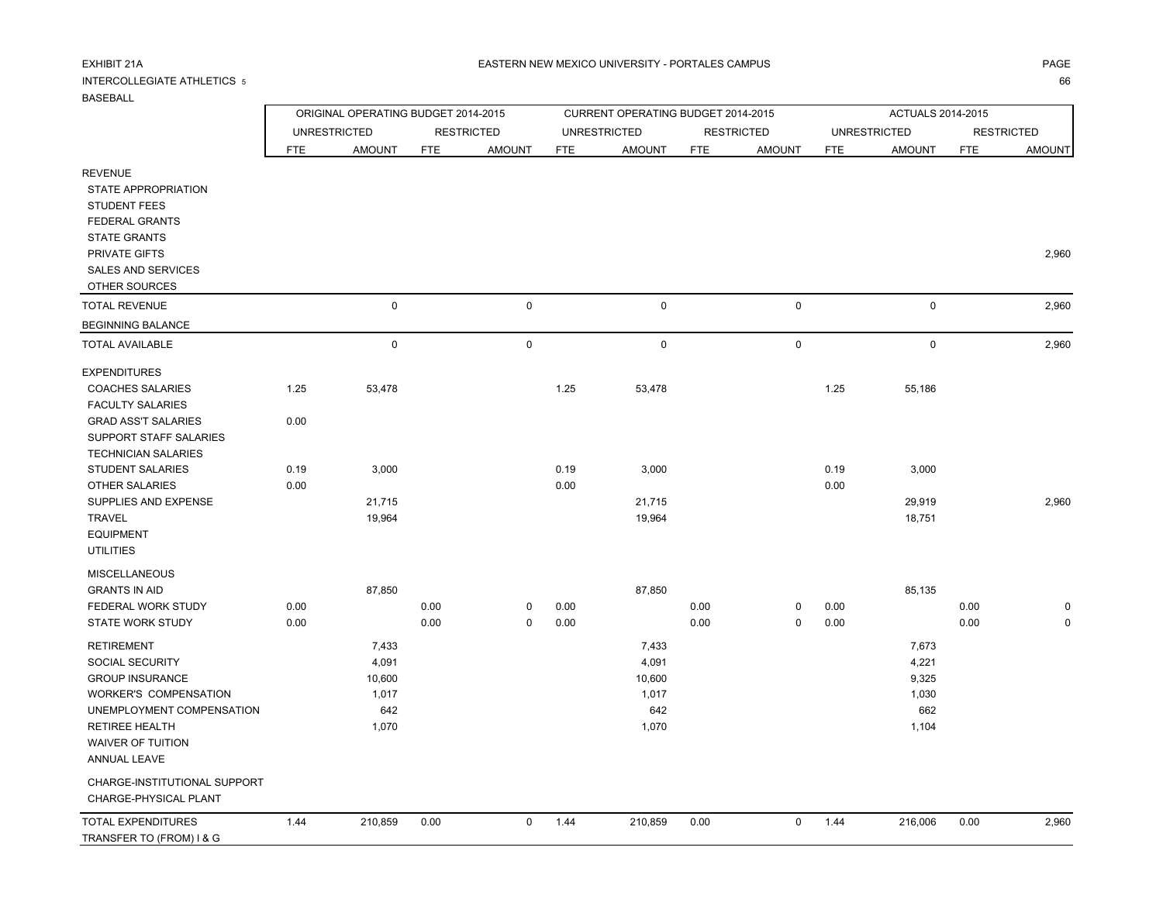#### INTERCOLLEGIATE ATHLETICS 5<u>5</u>

### BASEBALL

 WAIVER OF TUITIONANNUAL LEAVE

 CHARGE-PHYSICAL PLANT TOTAL EXPENDITURES TRANSFER TO (FROM) I & G

CHARGE-INSTITUTIONAL SUPPORT

| <b>BASEBALL</b>                            |            |                                     |            |                   |            |                                    |            |                   |            |                     |            |                   |
|--------------------------------------------|------------|-------------------------------------|------------|-------------------|------------|------------------------------------|------------|-------------------|------------|---------------------|------------|-------------------|
|                                            |            | ORIGINAL OPERATING BUDGET 2014-2015 |            |                   |            | CURRENT OPERATING BUDGET 2014-2015 |            |                   |            | ACTUALS 2014-2015   |            |                   |
|                                            |            | <b>UNRESTRICTED</b>                 |            | <b>RESTRICTED</b> |            | <b>UNRESTRICTED</b>                |            | <b>RESTRICTED</b> |            | <b>UNRESTRICTED</b> |            | <b>RESTRICTED</b> |
|                                            | <b>FTE</b> | <b>AMOUNT</b>                       | <b>FTE</b> | <b>AMOUNT</b>     | <b>FTE</b> | <b>AMOUNT</b>                      | <b>FTE</b> | <b>AMOUNT</b>     | <b>FTE</b> | <b>AMOUNT</b>       | <b>FTE</b> | <b>AMOUNT</b>     |
| <b>REVENUE</b><br>STATE APPROPRIATION      |            |                                     |            |                   |            |                                    |            |                   |            |                     |            |                   |
| <b>STUDENT FEES</b>                        |            |                                     |            |                   |            |                                    |            |                   |            |                     |            |                   |
| <b>FEDERAL GRANTS</b>                      |            |                                     |            |                   |            |                                    |            |                   |            |                     |            |                   |
| <b>STATE GRANTS</b>                        |            |                                     |            |                   |            |                                    |            |                   |            |                     |            |                   |
| PRIVATE GIFTS                              |            |                                     |            |                   |            |                                    |            |                   |            |                     |            | 2,960             |
| <b>SALES AND SERVICES</b><br>OTHER SOURCES |            |                                     |            |                   |            |                                    |            |                   |            |                     |            |                   |
| <b>TOTAL REVENUE</b>                       |            | $\mathbf 0$                         |            | $\mathbf 0$       |            | 0                                  |            | 0                 |            | 0                   |            | 2,960             |
|                                            |            |                                     |            |                   |            |                                    |            |                   |            |                     |            |                   |
| <b>BEGINNING BALANCE</b>                   |            |                                     |            |                   |            |                                    |            |                   |            |                     |            |                   |
| <b>TOTAL AVAILABLE</b>                     |            | $\pmb{0}$                           |            | $\pmb{0}$         |            | $\pmb{0}$                          |            | 0                 |            | 0                   |            | 2,960             |
| <b>EXPENDITURES</b>                        |            |                                     |            |                   |            |                                    |            |                   |            |                     |            |                   |
| <b>COACHES SALARIES</b>                    | 1.25       | 53,478                              |            |                   | 1.25       | 53,478                             |            |                   | 1.25       | 55,186              |            |                   |
| <b>FACULTY SALARIES</b>                    |            |                                     |            |                   |            |                                    |            |                   |            |                     |            |                   |
| <b>GRAD ASS'T SALARIES</b>                 | 0.00       |                                     |            |                   |            |                                    |            |                   |            |                     |            |                   |
| <b>SUPPORT STAFF SALARIES</b>              |            |                                     |            |                   |            |                                    |            |                   |            |                     |            |                   |
| <b>TECHNICIAN SALARIES</b>                 |            |                                     |            |                   |            |                                    |            |                   |            |                     |            |                   |
| <b>STUDENT SALARIES</b>                    | 0.19       | 3,000                               |            |                   | 0.19       | 3,000                              |            |                   | 0.19       | 3,000               |            |                   |
| <b>OTHER SALARIES</b>                      | 0.00       |                                     |            |                   | 0.00       |                                    |            |                   | 0.00       |                     |            |                   |
| SUPPLIES AND EXPENSE                       |            | 21,715                              |            |                   |            | 21,715                             |            |                   |            | 29,919              |            | 2,960             |
| <b>TRAVEL</b>                              |            | 19,964                              |            |                   |            | 19,964                             |            |                   |            | 18,751              |            |                   |
| <b>EQUIPMENT</b>                           |            |                                     |            |                   |            |                                    |            |                   |            |                     |            |                   |
| <b>UTILITIES</b>                           |            |                                     |            |                   |            |                                    |            |                   |            |                     |            |                   |
| <b>MISCELLANEOUS</b>                       |            |                                     |            |                   |            |                                    |            |                   |            |                     |            |                   |
| <b>GRANTS IN AID</b>                       |            | 87,850                              |            |                   |            | 87,850                             |            |                   |            | 85,135              |            |                   |
| FEDERAL WORK STUDY                         | 0.00       |                                     | 0.00       | 0                 | 0.00       |                                    | 0.00       | 0                 | 0.00       |                     | 0.00       | $\mathbf 0$       |
| <b>STATE WORK STUDY</b>                    | 0.00       |                                     | 0.00       | $\Omega$          | 0.00       |                                    | 0.00       | 0                 | 0.00       |                     | 0.00       | 0                 |
| <b>RETIREMENT</b>                          |            | 7,433                               |            |                   |            | 7,433                              |            |                   |            | 7,673               |            |                   |

 SOCIAL SECURITY 4,091 4,091 4,221 GROUP INSURANCE 9,325 WORKER'S COMPENSATION 1,017 1,017 1,017 1,030 UNEMPLOYMENT COMPENSATION 642 642 662 RETIREE HEALTH 1,070 1,070 1,070 1,070 1,070 1,070 1,070 1,070 1,104

| 1.44 | 210,859 | 0.00                 | 44. ا | 210,859 | 0.00                 | . .<br>1.44 | 216,006 | 0.00                 | 2,960 |
|------|---------|----------------------|-------|---------|----------------------|-------------|---------|----------------------|-------|
|      |         | $\sim$ $\sim$ $\sim$ |       |         | $\sim$ $\sim$ $\sim$ |             | .       | $\sim$ $\sim$ $\sim$ |       |
|      |         |                      |       |         |                      |             |         |                      |       |
|      |         |                      |       |         |                      |             |         |                      |       |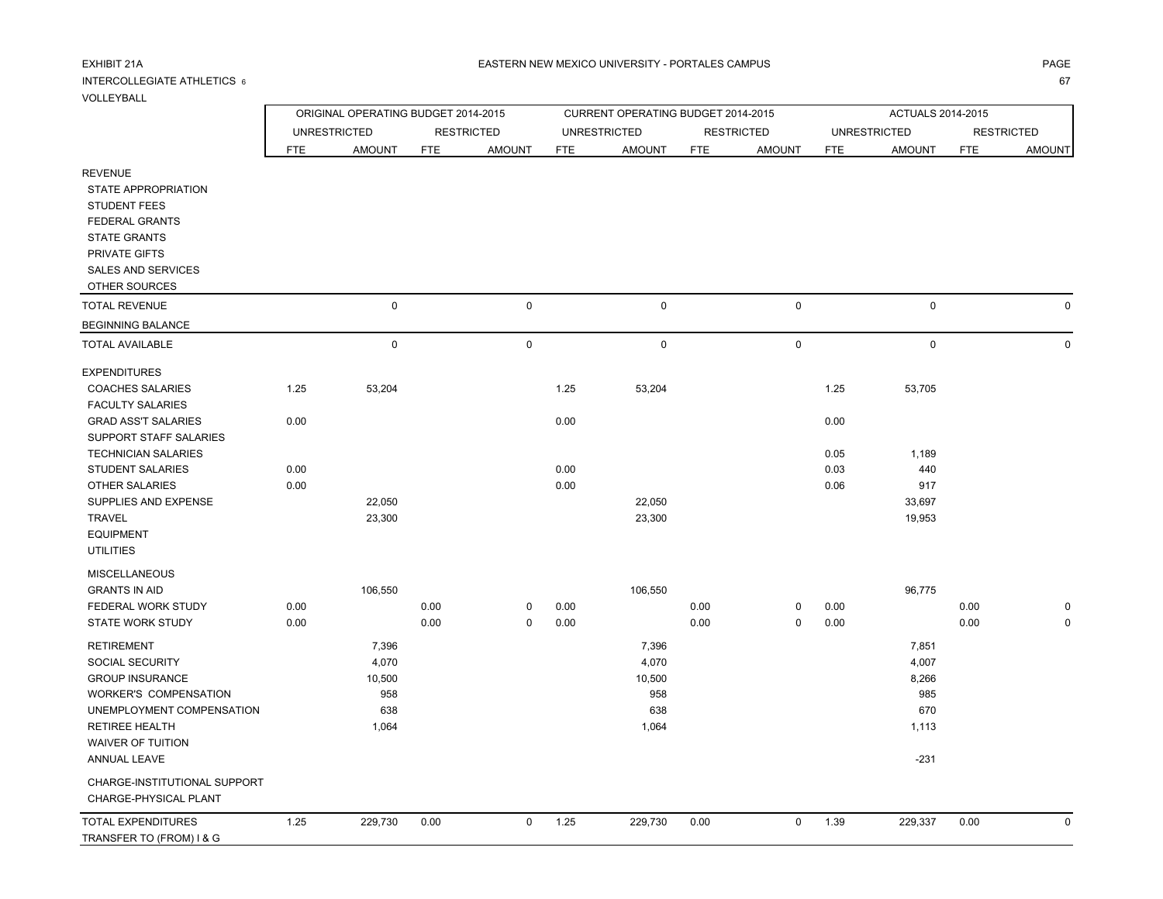#### INTERCOLLEGIATE ATHLETICS 66<sup>7</sup>

r

|                                                                                                                                                            |                     | ORIGINAL OPERATING BUDGET 2014-2015 |            |                     |            | CURRENT OPERATING BUDGET 2014-2015 |            |                   |              | ACTUALS 2014-2015   |            |                   |
|------------------------------------------------------------------------------------------------------------------------------------------------------------|---------------------|-------------------------------------|------------|---------------------|------------|------------------------------------|------------|-------------------|--------------|---------------------|------------|-------------------|
|                                                                                                                                                            | <b>UNRESTRICTED</b> |                                     |            | <b>RESTRICTED</b>   |            | <b>UNRESTRICTED</b>                |            | <b>RESTRICTED</b> |              | <b>UNRESTRICTED</b> |            | <b>RESTRICTED</b> |
|                                                                                                                                                            | <b>FTE</b>          | <b>AMOUNT</b>                       | <b>FTE</b> | <b>AMOUNT</b>       | <b>FTE</b> | <b>AMOUNT</b>                      | <b>FTE</b> | <b>AMOUNT</b>     | <b>FTE</b>   | <b>AMOUNT</b>       | <b>FTE</b> | <b>AMOUNT</b>     |
| <b>REVENUE</b><br>STATE APPROPRIATION<br><b>STUDENT FEES</b><br><b>FEDERAL GRANTS</b><br><b>STATE GRANTS</b><br>PRIVATE GIFTS<br><b>SALES AND SERVICES</b> |                     |                                     |            |                     |            |                                    |            |                   |              |                     |            |                   |
| OTHER SOURCES                                                                                                                                              |                     |                                     |            |                     |            |                                    |            |                   |              |                     |            |                   |
| <b>TOTAL REVENUE</b>                                                                                                                                       |                     | 0                                   |            | $\mathbf 0$         |            | 0                                  |            | $\mathbf 0$       |              | $\mathbf 0$         |            | $\Omega$          |
| <b>BEGINNING BALANCE</b>                                                                                                                                   |                     |                                     |            |                     |            |                                    |            |                   |              |                     |            |                   |
| <b>TOTAL AVAILABLE</b>                                                                                                                                     |                     | 0                                   |            | $\mathsf{O}\xspace$ |            | 0                                  |            | $\mathbf 0$       |              | $\pmb{0}$           |            | $\mathbf 0$       |
| <b>EXPENDITURES</b>                                                                                                                                        |                     |                                     |            |                     |            |                                    |            |                   |              |                     |            |                   |
| <b>COACHES SALARIES</b><br><b>FACULTY SALARIES</b>                                                                                                         | 1.25                | 53,204                              |            |                     | 1.25       | 53,204                             |            |                   | 1.25         | 53,705              |            |                   |
| <b>GRAD ASS'T SALARIES</b><br>SUPPORT STAFF SALARIES<br><b>TECHNICIAN SALARIES</b>                                                                         | 0.00                |                                     |            |                     | 0.00       |                                    |            |                   | 0.00<br>0.05 | 1,189               |            |                   |
| <b>STUDENT SALARIES</b>                                                                                                                                    | 0.00                |                                     |            |                     | 0.00       |                                    |            |                   | 0.03         | 440                 |            |                   |
| <b>OTHER SALARIES</b>                                                                                                                                      | 0.00                |                                     |            |                     | 0.00       |                                    |            |                   | 0.06         | 917                 |            |                   |
| SUPPLIES AND EXPENSE<br><b>TRAVEL</b><br><b>EQUIPMENT</b><br><b>UTILITIES</b>                                                                              |                     | 22,050<br>23,300                    |            |                     |            | 22,050<br>23,300                   |            |                   |              | 33,697<br>19,953    |            |                   |
| <b>MISCELLANEOUS</b><br><b>GRANTS IN AID</b>                                                                                                               |                     | 106,550                             |            |                     |            | 106,550                            |            |                   |              | 96,775              |            |                   |
| FEDERAL WORK STUDY                                                                                                                                         | 0.00                |                                     | 0.00       | 0                   | 0.00       |                                    | 0.00       | 0                 | 0.00         |                     | 0.00       | 0                 |
| <b>STATE WORK STUDY</b>                                                                                                                                    | 0.00                |                                     | 0.00       | $\mathbf 0$         | 0.00       |                                    | 0.00       | $\mathbf 0$       | 0.00         |                     | 0.00       | 0                 |
| <b>RETIREMENT</b>                                                                                                                                          |                     | 7,396                               |            |                     |            | 7,396                              |            |                   |              | 7,851               |            |                   |
| SOCIAL SECURITY                                                                                                                                            |                     | 4,070                               |            |                     |            | 4,070                              |            |                   |              | 4,007               |            |                   |
| <b>GROUP INSURANCE</b>                                                                                                                                     |                     | 10,500                              |            |                     |            | 10,500                             |            |                   |              | 8,266               |            |                   |

| UNEMPLOYMENT COMPENSATION                             |      | 638     |      |             |      | 638     |      |              |      | 670     |      |  |
|-------------------------------------------------------|------|---------|------|-------------|------|---------|------|--------------|------|---------|------|--|
| <b>RETIREE HEALTH</b>                                 |      | 1,064   |      |             |      | 1,064   |      |              |      | 1,113   |      |  |
| WAIVER OF TUITION                                     |      |         |      |             |      |         |      |              |      |         |      |  |
| ANNUAL LEAVE                                          |      |         |      |             |      |         |      |              |      | -231    |      |  |
| CHARGE-INSTITUTIONAL SUPPORT<br>CHARGE-PHYSICAL PLANT |      |         |      |             |      |         |      |              |      |         |      |  |
| TOTAL EXPENDITURES                                    | 1.25 | 229,730 | 0.00 | $\mathbf 0$ | 1.25 | 229,730 | 0.00 | $\mathbf{0}$ | 1.39 | 229,337 | 0.00 |  |
| TRANSFER TO (FROM) I & G                              |      |         |      |             |      |         |      |              |      |         |      |  |

WORKER'S COMPENSATION 958 958 985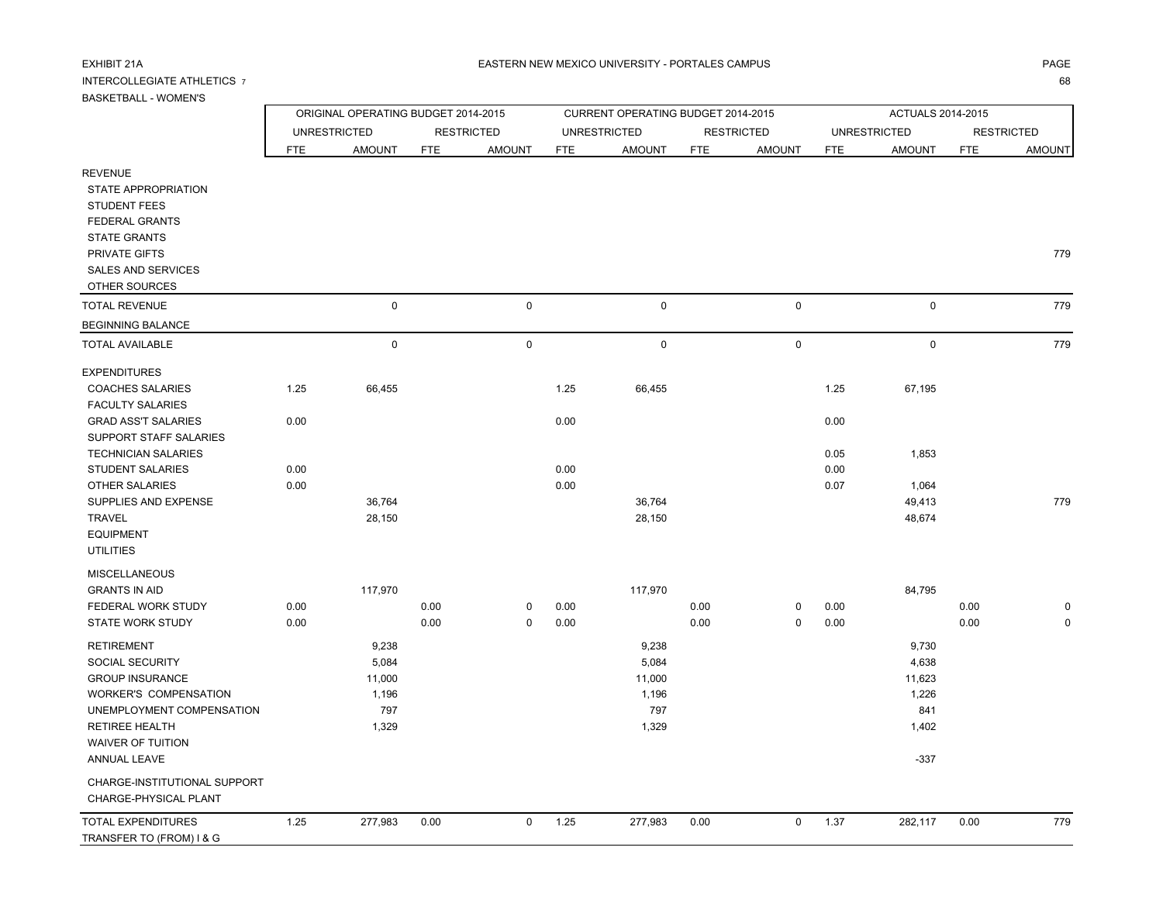# INTERCOLLEGIATE ATHLETICS 7

# BASKETBALL - WOMEN'S

TRANSFER TO (FROM) I & G

| BASNE I BALL - WUMEN S                                                                |            |                                     |            |                   |      |                                    |            |                   |              |                     |                   |               |
|---------------------------------------------------------------------------------------|------------|-------------------------------------|------------|-------------------|------|------------------------------------|------------|-------------------|--------------|---------------------|-------------------|---------------|
|                                                                                       |            | ORIGINAL OPERATING BUDGET 2014-2015 |            |                   |      | CURRENT OPERATING BUDGET 2014-2015 |            |                   |              | ACTUALS 2014-2015   |                   |               |
|                                                                                       |            | <b>UNRESTRICTED</b>                 |            | <b>RESTRICTED</b> |      | <b>UNRESTRICTED</b>                |            | <b>RESTRICTED</b> |              | <b>UNRESTRICTED</b> | <b>RESTRICTED</b> |               |
|                                                                                       | <b>FTE</b> | <b>AMOUNT</b>                       | <b>FTE</b> | <b>AMOUNT</b>     | FTE  | <b>AMOUNT</b>                      | <b>FTE</b> | <b>AMOUNT</b>     | FTE          | <b>AMOUNT</b>       | FTE               | <b>AMOUNT</b> |
| <b>REVENUE</b><br>STATE APPROPRIATION<br><b>STUDENT FEES</b><br><b>FEDERAL GRANTS</b> |            |                                     |            |                   |      |                                    |            |                   |              |                     |                   |               |
| <b>STATE GRANTS</b><br>PRIVATE GIFTS<br><b>SALES AND SERVICES</b><br>OTHER SOURCES    |            |                                     |            |                   |      |                                    |            |                   |              |                     |                   | 779           |
| <b>TOTAL REVENUE</b>                                                                  |            | $\mathsf 0$                         |            | $\pmb{0}$         |      | $\mathsf 0$                        |            | $\mathbf 0$       |              | $\mathsf 0$         |                   | 779           |
| <b>BEGINNING BALANCE</b>                                                              |            |                                     |            |                   |      |                                    |            |                   |              |                     |                   |               |
| <b>TOTAL AVAILABLE</b>                                                                |            | $\mathbf 0$                         |            | 0                 |      | $\mathbf 0$                        |            | $\mathsf 0$       |              | $\mathbf 0$         |                   | 779           |
| <b>EXPENDITURES</b>                                                                   |            |                                     |            |                   |      |                                    |            |                   |              |                     |                   |               |
| <b>COACHES SALARIES</b><br><b>FACULTY SALARIES</b>                                    | 1.25       | 66,455                              |            |                   | 1.25 | 66,455                             |            |                   | 1.25         | 67,195              |                   |               |
| <b>GRAD ASS'T SALARIES</b><br>SUPPORT STAFF SALARIES                                  | 0.00       |                                     |            |                   | 0.00 |                                    |            |                   | 0.00         |                     |                   |               |
| <b>TECHNICIAN SALARIES</b><br><b>STUDENT SALARIES</b>                                 | 0.00       |                                     |            |                   | 0.00 |                                    |            |                   | 0.05<br>0.00 | 1,853               |                   |               |
| <b>OTHER SALARIES</b>                                                                 | 0.00       |                                     |            |                   | 0.00 |                                    |            |                   | 0.07         | 1,064               |                   |               |
| SUPPLIES AND EXPENSE<br><b>TRAVEL</b><br><b>EQUIPMENT</b><br><b>UTILITIES</b>         |            | 36,764<br>28,150                    |            |                   |      | 36,764<br>28,150                   |            |                   |              | 49,413<br>48,674    |                   | 779           |
| <b>MISCELLANEOUS</b>                                                                  |            |                                     |            |                   |      |                                    |            |                   |              |                     |                   |               |
| <b>GRANTS IN AID</b>                                                                  |            | 117,970                             |            |                   |      | 117,970                            |            |                   |              | 84,795              |                   |               |
| FEDERAL WORK STUDY                                                                    | 0.00       |                                     | 0.00       | 0                 | 0.00 |                                    | 0.00       | 0                 | 0.00         |                     | 0.00              | $\Omega$      |
| STATE WORK STUDY                                                                      | 0.00       |                                     | 0.00       | 0                 | 0.00 |                                    | 0.00       | $\pmb{0}$         | 0.00         |                     | 0.00              | $\pmb{0}$     |
| <b>RETIREMENT</b>                                                                     |            | 9,238                               |            |                   |      | 9,238                              |            |                   |              | 9,730               |                   |               |
| <b>SOCIAL SECURITY</b>                                                                |            | 5,084                               |            |                   |      | 5,084                              |            |                   |              | 4,638               |                   |               |
| <b>GROUP INSURANCE</b>                                                                |            | 11,000                              |            |                   |      | 11,000                             |            |                   |              | 11,623              |                   |               |
| WORKER'S COMPENSATION                                                                 |            | 1,196                               |            |                   |      | 1,196                              |            |                   |              | 1,226               |                   |               |
| UNEMPLOYMENT COMPENSATION                                                             |            | 797                                 |            |                   |      | 797                                |            |                   |              | 841                 |                   |               |
| <b>RETIREE HEALTH</b>                                                                 |            | 1,329                               |            |                   |      | 1,329                              |            |                   |              | 1,402               |                   |               |
| WAIVER OF TUITION<br>ANNUAL LEAVE                                                     |            |                                     |            |                   |      |                                    |            |                   |              | $-337$              |                   |               |
| CHARGE-INSTITUTIONAL SUPPORT<br>CHARGE-PHYSICAL PLANT                                 |            |                                     |            |                   |      |                                    |            |                   |              |                     |                   |               |
| <b>TOTAL EXPENDITURES</b>                                                             | 1.25       | 277,983                             | 0.00       | $\mathbf 0$       | 1.25 | 277,983                            | 0.00       | $\mathbf 0$       | 1.37         | 282,117             | 0.00              | 779           |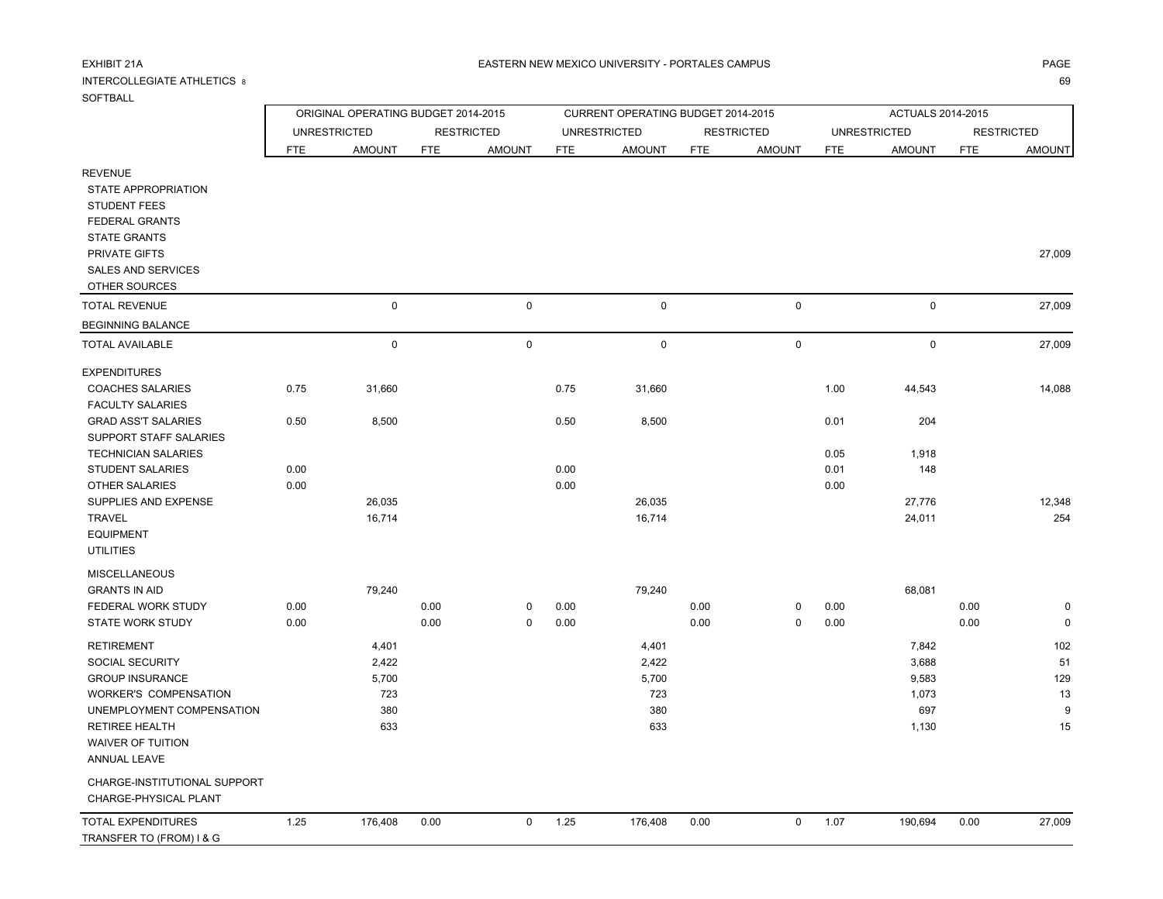# INTERCOLLEGIATE ATHLETICS 8

### SOFTBALL

|                              |            | ORIGINAL OPERATING BUDGET 2014-2015 |            |                     |            | CURRENT OPERATING BUDGET 2014-2015 |            |                   |            | ACTUALS 2014-2015   |            |                   |
|------------------------------|------------|-------------------------------------|------------|---------------------|------------|------------------------------------|------------|-------------------|------------|---------------------|------------|-------------------|
|                              |            | <b>UNRESTRICTED</b>                 |            | <b>RESTRICTED</b>   |            | <b>UNRESTRICTED</b>                |            | <b>RESTRICTED</b> |            | <b>UNRESTRICTED</b> |            | <b>RESTRICTED</b> |
|                              | <b>FTE</b> | <b>AMOUNT</b>                       | <b>FTE</b> | <b>AMOUNT</b>       | <b>FTE</b> | <b>AMOUNT</b>                      | <b>FTE</b> | <b>AMOUNT</b>     | <b>FTE</b> | <b>AMOUNT</b>       | <b>FTE</b> | <b>AMOUNT</b>     |
| <b>REVENUE</b>               |            |                                     |            |                     |            |                                    |            |                   |            |                     |            |                   |
| STATE APPROPRIATION          |            |                                     |            |                     |            |                                    |            |                   |            |                     |            |                   |
| <b>STUDENT FEES</b>          |            |                                     |            |                     |            |                                    |            |                   |            |                     |            |                   |
| <b>FEDERAL GRANTS</b>        |            |                                     |            |                     |            |                                    |            |                   |            |                     |            |                   |
| <b>STATE GRANTS</b>          |            |                                     |            |                     |            |                                    |            |                   |            |                     |            |                   |
| <b>PRIVATE GIFTS</b>         |            |                                     |            |                     |            |                                    |            |                   |            |                     |            | 27,009            |
| <b>SALES AND SERVICES</b>    |            |                                     |            |                     |            |                                    |            |                   |            |                     |            |                   |
| OTHER SOURCES                |            |                                     |            |                     |            |                                    |            |                   |            |                     |            |                   |
| <b>TOTAL REVENUE</b>         |            | $\mathsf 0$                         |            | $\mathsf{O}\xspace$ |            | $\mathsf 0$                        |            | $\mathsf 0$       |            | $\mathsf 0$         |            | 27,009            |
| <b>BEGINNING BALANCE</b>     |            |                                     |            |                     |            |                                    |            |                   |            |                     |            |                   |
| <b>TOTAL AVAILABLE</b>       |            | $\pmb{0}$                           |            | $\mathsf 0$         |            | $\mathsf 0$                        |            | $\mathsf 0$       |            | 0                   |            | 27,009            |
| <b>EXPENDITURES</b>          |            |                                     |            |                     |            |                                    |            |                   |            |                     |            |                   |
| <b>COACHES SALARIES</b>      | 0.75       | 31,660                              |            |                     | 0.75       | 31,660                             |            |                   | 1.00       | 44,543              |            | 14,088            |
| <b>FACULTY SALARIES</b>      |            |                                     |            |                     |            |                                    |            |                   |            |                     |            |                   |
| <b>GRAD ASS'T SALARIES</b>   | 0.50       | 8,500                               |            |                     | 0.50       | 8,500                              |            |                   | 0.01       | 204                 |            |                   |
| SUPPORT STAFF SALARIES       |            |                                     |            |                     |            |                                    |            |                   |            |                     |            |                   |
| <b>TECHNICIAN SALARIES</b>   |            |                                     |            |                     |            |                                    |            |                   | 0.05       | 1,918               |            |                   |
| <b>STUDENT SALARIES</b>      | 0.00       |                                     |            |                     | 0.00       |                                    |            |                   | 0.01       | 148                 |            |                   |
| <b>OTHER SALARIES</b>        | 0.00       |                                     |            |                     | 0.00       |                                    |            |                   | 0.00       |                     |            |                   |
| SUPPLIES AND EXPENSE         |            | 26,035                              |            |                     |            | 26,035                             |            |                   |            | 27,776              |            | 12,348            |
| <b>TRAVEL</b>                |            | 16,714                              |            |                     |            | 16,714                             |            |                   |            | 24,011              |            | 254               |
| <b>EQUIPMENT</b>             |            |                                     |            |                     |            |                                    |            |                   |            |                     |            |                   |
| <b>UTILITIES</b>             |            |                                     |            |                     |            |                                    |            |                   |            |                     |            |                   |
| <b>MISCELLANEOUS</b>         |            |                                     |            |                     |            |                                    |            |                   |            |                     |            |                   |
| <b>GRANTS IN AID</b>         |            | 79,240                              |            |                     |            | 79,240                             |            |                   |            | 68,081              |            |                   |
| FEDERAL WORK STUDY           | 0.00       |                                     | 0.00       | $\mathbf 0$         | 0.00       |                                    | 0.00       | 0                 | 0.00       |                     | 0.00       | 0                 |
| <b>STATE WORK STUDY</b>      | 0.00       |                                     | 0.00       | $\mathsf 0$         | 0.00       |                                    | 0.00       | $\mathbf 0$       | 0.00       |                     | 0.00       | $\mathbf 0$       |
| <b>RETIREMENT</b>            |            | 4,401                               |            |                     |            | 4,401                              |            |                   |            | 7,842               |            | 102               |
| SOCIAL SECURITY              |            | 2,422                               |            |                     |            | 2,422                              |            |                   |            | 3,688               |            | 51                |
| <b>GROUP INSURANCE</b>       |            | 5,700                               |            |                     |            | 5,700                              |            |                   |            | 9,583               |            | 129               |
| <b>WORKER'S COMPENSATION</b> |            | 723                                 |            |                     |            | 723                                |            |                   |            | 1,073               |            | 13                |
| UNEMPLOYMENT COMPENSATION    |            | 380                                 |            |                     |            | 380                                |            |                   |            | 697                 |            | 9                 |
| <b>RETIREE HEALTH</b>        |            | 633                                 |            |                     |            | 633                                |            |                   |            | 1,130               |            | 15                |
| WAIVER OF TUITION            |            |                                     |            |                     |            |                                    |            |                   |            |                     |            |                   |
| ANNUAL LEAVE                 |            |                                     |            |                     |            |                                    |            |                   |            |                     |            |                   |
| CHARGE-INSTITUTIONAL SUPPORT |            |                                     |            |                     |            |                                    |            |                   |            |                     |            |                   |
| CHARGE-PHYSICAL PLANT        |            |                                     |            |                     |            |                                    |            |                   |            |                     |            |                   |
| <b>TOTAL EXPENDITURES</b>    | 1.25       | 176,408                             | 0.00       | $\mathbf 0$         | 1.25       | 176,408                            | 0.00       | $\mathbf 0$       | 1.07       | 190,694             | 0.00       | 27,009            |
| TRANSFER TO (FROM) I & G     |            |                                     |            |                     |            |                                    |            |                   |            |                     |            |                   |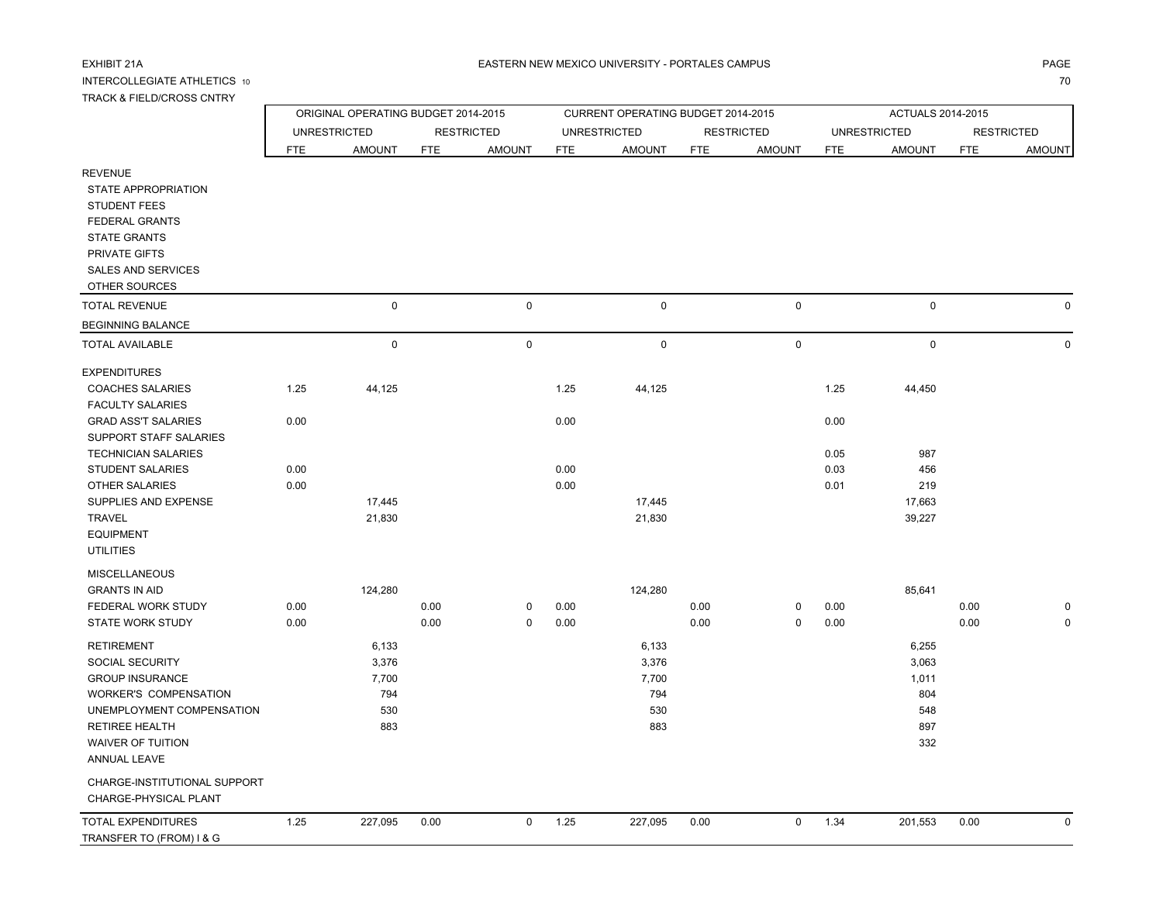INTERCOLLEGIATE ATHLETICS 10

### A EASTERN NEW MEXICO UNIVERSITY - PORTALES CAMPUS AND AND AND ANGELES ON A PAGE AND A PAGE

 7070

| TRACK & FIELD/CROSS CNTRY                                                                                                                                  |                     |                                     |              |                   |              |                                    |              |                   |                     |               |                   |               |  |  |
|------------------------------------------------------------------------------------------------------------------------------------------------------------|---------------------|-------------------------------------|--------------|-------------------|--------------|------------------------------------|--------------|-------------------|---------------------|---------------|-------------------|---------------|--|--|
|                                                                                                                                                            |                     | ORIGINAL OPERATING BUDGET 2014-2015 |              |                   |              | CURRENT OPERATING BUDGET 2014-2015 |              |                   | ACTUALS 2014-2015   |               |                   |               |  |  |
|                                                                                                                                                            | <b>UNRESTRICTED</b> |                                     |              | <b>RESTRICTED</b> |              | <b>UNRESTRICTED</b>                |              | <b>RESTRICTED</b> | <b>UNRESTRICTED</b> |               | <b>RESTRICTED</b> |               |  |  |
|                                                                                                                                                            | <b>FTE</b>          | <b>AMOUNT</b>                       | <b>FTE</b>   | <b>AMOUNT</b>     | <b>FTE</b>   | <b>AMOUNT</b>                      | <b>FTE</b>   | <b>AMOUNT</b>     | <b>FTE</b>          | <b>AMOUNT</b> | <b>FTE</b>        | <b>AMOUNT</b> |  |  |
| <b>REVENUE</b><br><b>STATE APPROPRIATION</b><br><b>STUDENT FEES</b><br>FEDERAL GRANTS<br><b>STATE GRANTS</b><br>PRIVATE GIFTS<br><b>SALES AND SERVICES</b> |                     |                                     |              |                   |              |                                    |              |                   |                     |               |                   |               |  |  |
| OTHER SOURCES<br><b>TOTAL REVENUE</b>                                                                                                                      |                     | $\mathbf 0$                         |              | $\mathsf 0$       |              | $\mathbf 0$                        |              | $\pmb{0}$         |                     | $\mathsf 0$   |                   | 0             |  |  |
|                                                                                                                                                            |                     |                                     |              |                   |              |                                    |              |                   |                     |               |                   |               |  |  |
| <b>BEGINNING BALANCE</b><br><b>TOTAL AVAILABLE</b>                                                                                                         |                     | $\mathbf 0$                         |              | $\mathbf 0$       |              | $\mathbf 0$                        |              | $\pmb{0}$         |                     | $\mathsf 0$   |                   | $\Omega$      |  |  |
|                                                                                                                                                            |                     |                                     |              |                   |              |                                    |              |                   |                     |               |                   |               |  |  |
| <b>EXPENDITURES</b><br><b>COACHES SALARIES</b><br><b>FACULTY SALARIES</b>                                                                                  | 1.25                | 44,125                              |              |                   | 1.25         | 44,125                             |              |                   | 1.25                | 44,450        |                   |               |  |  |
| <b>GRAD ASS'T SALARIES</b><br>SUPPORT STAFF SALARIES<br><b>TECHNICIAN SALARIES</b>                                                                         | 0.00                |                                     |              |                   | 0.00         |                                    |              |                   | 0.00<br>0.05        | 987           |                   |               |  |  |
| <b>STUDENT SALARIES</b>                                                                                                                                    | 0.00                |                                     |              |                   | 0.00         |                                    |              |                   | 0.03                | 456           |                   |               |  |  |
| <b>OTHER SALARIES</b>                                                                                                                                      | 0.00                |                                     |              |                   | 0.00         |                                    |              |                   | 0.01                | 219           |                   |               |  |  |
| SUPPLIES AND EXPENSE                                                                                                                                       |                     | 17,445                              |              |                   |              | 17,445                             |              |                   |                     | 17,663        |                   |               |  |  |
| TRAVEL<br><b>EQUIPMENT</b><br><b>UTILITIES</b>                                                                                                             |                     | 21,830                              |              |                   |              | 21,830                             |              |                   |                     | 39,227        |                   |               |  |  |
| <b>MISCELLANEOUS</b>                                                                                                                                       |                     |                                     |              |                   |              |                                    |              |                   |                     |               |                   |               |  |  |
| <b>GRANTS IN AID</b>                                                                                                                                       |                     | 124,280                             |              |                   |              | 124,280                            |              |                   |                     | 85,641        |                   |               |  |  |
| FEDERAL WORK STUDY<br><b>STATE WORK STUDY</b>                                                                                                              | 0.00<br>0.00        |                                     | 0.00<br>0.00 | 0<br>$\mathbf 0$  | 0.00<br>0.00 |                                    | 0.00<br>0.00 | 0<br>$\mathbf 0$  | 0.00<br>0.00        |               | 0.00<br>0.00      |               |  |  |
|                                                                                                                                                            |                     |                                     |              |                   |              |                                    |              |                   |                     |               |                   |               |  |  |
| <b>RETIREMENT</b>                                                                                                                                          |                     | 6,133                               |              |                   |              | 6,133                              |              |                   |                     | 6,255         |                   |               |  |  |
| SOCIAL SECURITY                                                                                                                                            |                     | 3,376                               |              |                   |              | 3,376                              |              |                   |                     | 3,063         |                   |               |  |  |
| <b>GROUP INSURANCE</b>                                                                                                                                     |                     | 7,700                               |              |                   |              | 7,700                              |              |                   |                     | 1,011         |                   |               |  |  |
| WORKER'S COMPENSATION                                                                                                                                      |                     | 794                                 |              |                   |              | 794                                |              |                   |                     | 804           |                   |               |  |  |
| UNEMPLOYMENT COMPENSATION                                                                                                                                  |                     | 530                                 |              |                   |              | 530                                |              |                   |                     | 548           |                   |               |  |  |
| <b>RETIREE HEALTH</b><br><b>WAIVER OF TUITION</b><br><b>ANNUAL LEAVE</b>                                                                                   |                     | 883                                 |              |                   |              | 883                                |              |                   |                     | 897<br>332    |                   |               |  |  |
| CHARGE-INSTITUTIONAL SUPPORT<br>CHARGE-PHYSICAL PLANT                                                                                                      |                     |                                     |              |                   |              |                                    |              |                   |                     |               |                   |               |  |  |
| <b>TOTAL EXPENDITURES</b><br>TRANSFER TO (FROM) I & G                                                                                                      | 1.25                | 227,095                             | 0.00         | $\mathbf 0$       | 1.25         | 227,095                            | 0.00         | $\mathbf 0$       | 1.34                | 201,553       | 0.00              | $\mathbf{0}$  |  |  |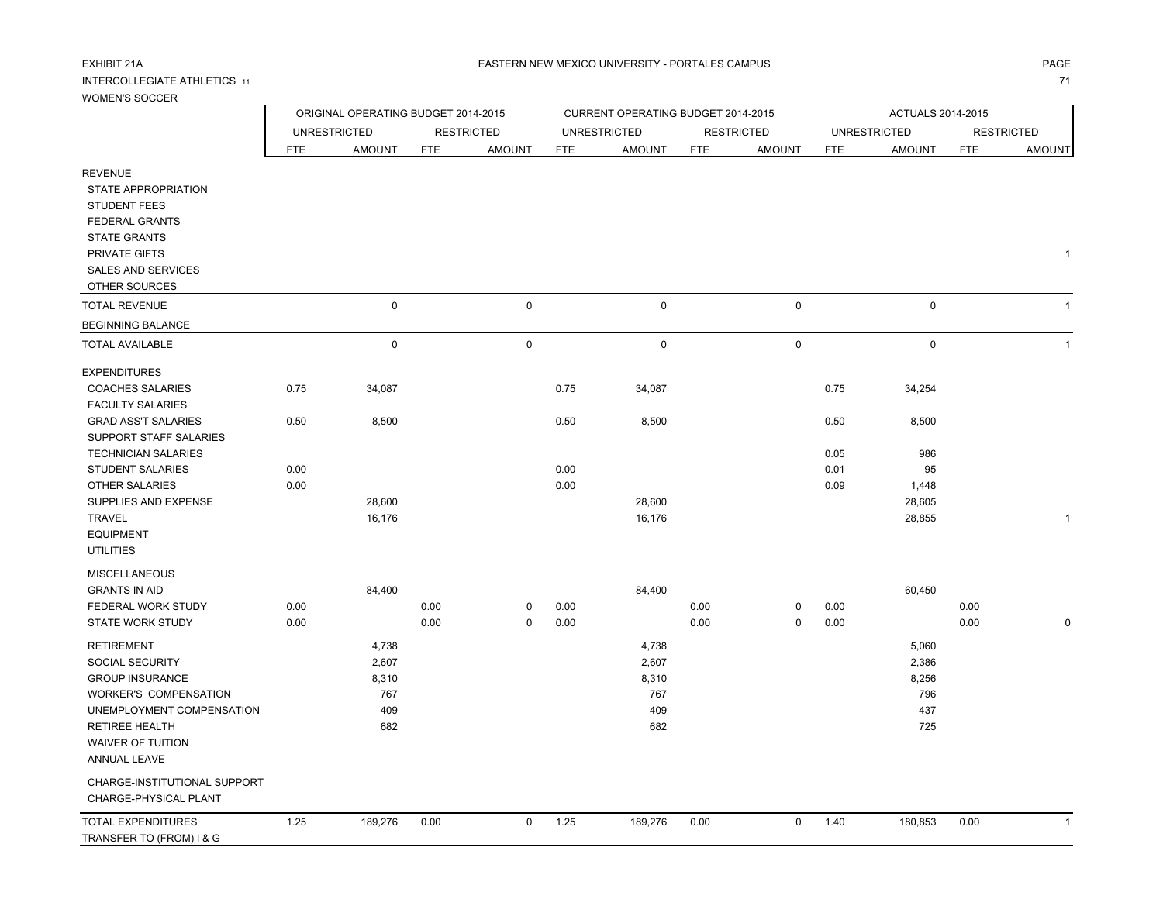REVENUE

#### INTERCOLLEGIATE ATHLETICS 111 **1 1 1**

## WOMEN'S SOCCER

 STATE APPROPRIATION STUDENT FEES FEDERAL GRANTS STATE GRANTS PRIVATE GIFTS

|                 |     | ORIGINAL OPERATING BUDGET 2014-2015 |                             |                   |               | CURRENT OPERATING BUDGET 2014-2015 |                             |            | <b>ACTUALS 2014-2015</b> |                     |                   |               |  |  |
|-----------------|-----|-------------------------------------|-----------------------------|-------------------|---------------|------------------------------------|-----------------------------|------------|--------------------------|---------------------|-------------------|---------------|--|--|
|                 |     | <b>UNRESTRICTED</b>                 |                             | <b>RESTRICTED</b> |               | UNRESTRICTED                       |                             | RESTRICTED |                          | <b>UNRESTRICTED</b> | <b>RESTRICTED</b> |               |  |  |
|                 | FTE | <b>AMOUNT</b>                       | <b>AMOUNT</b><br><b>FTE</b> |                   | AMOUNT<br>FTE |                                    | <b>FTE</b><br><b>AMOUNT</b> |            | <b>FTE</b>               | AMOUNT              | FTE               | <b>AMOUNT</b> |  |  |
|                 |     |                                     |                             |                   |               |                                    |                             |            |                          |                     |                   |               |  |  |
| <b>PRIATION</b> |     |                                     |                             |                   |               |                                    |                             |            |                          |                     |                   |               |  |  |
| S.              |     |                                     |                             |                   |               |                                    |                             |            |                          |                     |                   |               |  |  |
| <b>NTS</b>      |     |                                     |                             |                   |               |                                    |                             |            |                          |                     |                   |               |  |  |
| S.              |     |                                     |                             |                   |               |                                    |                             |            |                          |                     |                   |               |  |  |
| S               |     |                                     |                             |                   |               |                                    |                             |            |                          |                     |                   |               |  |  |
| <b>ERVICES</b>  |     |                                     |                             |                   |               |                                    |                             |            |                          |                     |                   |               |  |  |
| CES             |     |                                     |                             |                   |               |                                    |                             |            |                          |                     |                   |               |  |  |
| JΕ              |     | 0                                   |                             | 0                 |               | $\Omega$                           |                             | 0          |                          | 0                   |                   |               |  |  |
| LANCE           |     |                                     |                             |                   |               |                                    |                             |            |                          |                     |                   |               |  |  |
|                 |     |                                     |                             |                   |               |                                    |                             |            |                          |                     |                   |               |  |  |

| SALES AND SERVICES<br>OTHER SOURCES |      |             |      |             |      |           |      |             |      |             |      |  |
|-------------------------------------|------|-------------|------|-------------|------|-----------|------|-------------|------|-------------|------|--|
| <b>TOTAL REVENUE</b>                |      | 0           |      | 0           |      | 0         |      | $\mathsf 0$ |      | $\mathsf 0$ |      |  |
| <b>BEGINNING BALANCE</b>            |      |             |      |             |      |           |      |             |      |             |      |  |
| <b>TOTAL AVAILABLE</b>              |      | $\mathbf 0$ |      | 0           |      | $\pmb{0}$ |      | $\mathsf 0$ |      | $\mathsf 0$ |      |  |
| <b>EXPENDITURES</b>                 |      |             |      |             |      |           |      |             |      |             |      |  |
| <b>COACHES SALARIES</b>             | 0.75 | 34,087      |      |             | 0.75 | 34,087    |      |             | 0.75 | 34,254      |      |  |
| <b>FACULTY SALARIES</b>             |      |             |      |             |      |           |      |             |      |             |      |  |
| <b>GRAD ASS'T SALARIES</b>          | 0.50 | 8,500       |      |             | 0.50 | 8,500     |      |             | 0.50 | 8,500       |      |  |
| SUPPORT STAFF SALARIES              |      |             |      |             |      |           |      |             |      |             |      |  |
| <b>TECHNICIAN SALARIES</b>          |      |             |      |             |      |           |      |             | 0.05 | 986         |      |  |
| <b>STUDENT SALARIES</b>             | 0.00 |             |      |             | 0.00 |           |      |             | 0.01 | 95          |      |  |
| <b>OTHER SALARIES</b>               | 0.00 |             |      |             | 0.00 |           |      |             | 0.09 | 1,448       |      |  |
| SUPPLIES AND EXPENSE                |      | 28,600      |      |             |      | 28,600    |      |             |      | 28,605      |      |  |
| <b>TRAVEL</b>                       |      | 16,176      |      |             |      | 16,176    |      |             |      | 28,855      |      |  |
| <b>EQUIPMENT</b>                    |      |             |      |             |      |           |      |             |      |             |      |  |
| <b>UTILITIES</b>                    |      |             |      |             |      |           |      |             |      |             |      |  |
| <b>MISCELLANEOUS</b>                |      |             |      |             |      |           |      |             |      |             |      |  |
| <b>GRANTS IN AID</b>                |      | 84,400      |      |             |      | 84,400    |      |             |      | 60,450      |      |  |
| FEDERAL WORK STUDY                  | 0.00 |             | 0.00 | 0           | 0.00 |           | 0.00 | 0           | 0.00 |             | 0.00 |  |
| <b>STATE WORK STUDY</b>             | 0.00 |             | 0.00 | 0           | 0.00 |           | 0.00 | 0           | 0.00 |             | 0.00 |  |
| <b>RETIREMENT</b>                   |      | 4,738       |      |             |      | 4,738     |      |             |      | 5,060       |      |  |
| SOCIAL SECURITY                     |      | 2,607       |      |             |      | 2,607     |      |             |      | 2,386       |      |  |
| <b>GROUP INSURANCE</b>              |      | 8,310       |      |             |      | 8,310     |      |             |      | 8,256       |      |  |
| <b>WORKER'S COMPENSATION</b>        |      | 767         |      |             |      | 767       |      |             |      | 796         |      |  |
| UNEMPLOYMENT COMPENSATION           |      | 409         |      |             |      | 409       |      |             |      | 437         |      |  |
| <b>RETIREE HEALTH</b>               |      | 682         |      |             |      | 682       |      |             |      | 725         |      |  |
| <b>WAIVER OF TUITION</b>            |      |             |      |             |      |           |      |             |      |             |      |  |
| <b>ANNUAL LEAVE</b>                 |      |             |      |             |      |           |      |             |      |             |      |  |
| CHARGE-INSTITUTIONAL SUPPORT        |      |             |      |             |      |           |      |             |      |             |      |  |
| CHARGE-PHYSICAL PLANT               |      |             |      |             |      |           |      |             |      |             |      |  |
| <b>TOTAL EXPENDITURES</b>           | 1.25 | 189,276     | 0.00 | $\mathbf 0$ | 1.25 | 189,276   | 0.00 | 0           | 1.40 | 180,853     | 0.00 |  |
| TRANSFER TO (FROM) I & G            |      |             |      |             |      |           |      |             |      |             |      |  |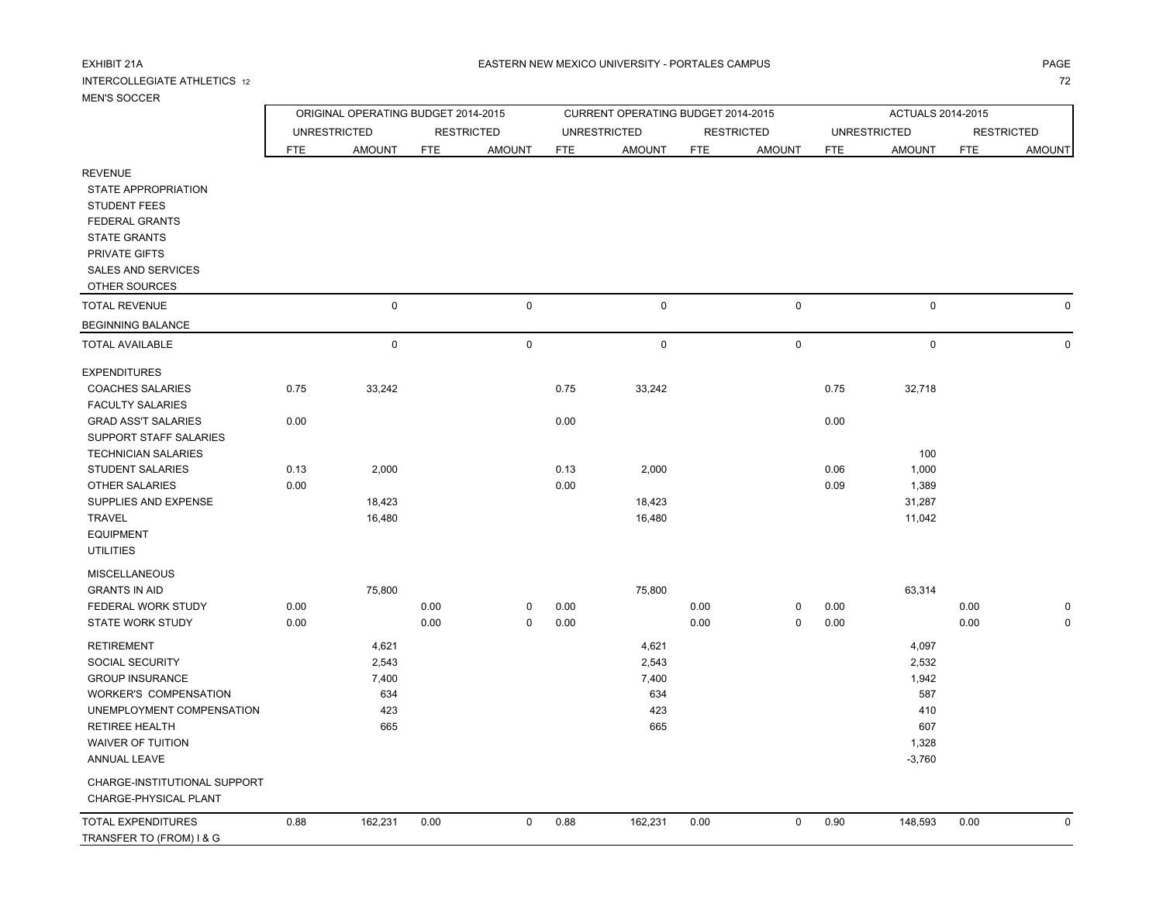#### INTERCOLLEGIATE ATHLETICS 1272

# MEN'S SOCCER

|                              |            | ORIGINAL OPERATING BUDGET 2014-2015 |            |                   |            | CURRENT OPERATING BUDGET 2014-2015 |            |                   |            |                     |                   |               |
|------------------------------|------------|-------------------------------------|------------|-------------------|------------|------------------------------------|------------|-------------------|------------|---------------------|-------------------|---------------|
|                              |            | <b>UNRESTRICTED</b>                 |            | <b>RESTRICTED</b> |            | <b>UNRESTRICTED</b>                |            | <b>RESTRICTED</b> |            | <b>UNRESTRICTED</b> | <b>RESTRICTED</b> |               |
|                              | <b>FTE</b> | <b>AMOUNT</b>                       | <b>FTE</b> | <b>AMOUNT</b>     | <b>FTE</b> | <b>AMOUNT</b>                      | <b>FTE</b> | <b>AMOUNT</b>     | <b>FTE</b> | <b>AMOUNT</b>       | <b>FTE</b>        | <b>AMOUNT</b> |
| <b>REVENUE</b>               |            |                                     |            |                   |            |                                    |            |                   |            |                     |                   |               |
| STATE APPROPRIATION          |            |                                     |            |                   |            |                                    |            |                   |            |                     |                   |               |
| <b>STUDENT FEES</b>          |            |                                     |            |                   |            |                                    |            |                   |            |                     |                   |               |
| FEDERAL GRANTS               |            |                                     |            |                   |            |                                    |            |                   |            |                     |                   |               |
| <b>STATE GRANTS</b>          |            |                                     |            |                   |            |                                    |            |                   |            |                     |                   |               |
| PRIVATE GIFTS                |            |                                     |            |                   |            |                                    |            |                   |            |                     |                   |               |
| <b>SALES AND SERVICES</b>    |            |                                     |            |                   |            |                                    |            |                   |            |                     |                   |               |
| OTHER SOURCES                |            |                                     |            |                   |            |                                    |            |                   |            |                     |                   |               |
| <b>TOTAL REVENUE</b>         |            | $\mathbf 0$                         |            | $\pmb{0}$         |            | $\mathsf 0$                        |            | $\pmb{0}$         |            | $\mathbf 0$         |                   | 0             |
| <b>BEGINNING BALANCE</b>     |            |                                     |            |                   |            |                                    |            |                   |            |                     |                   |               |
| <b>TOTAL AVAILABLE</b>       |            | $\mathbf 0$                         |            | $\mathsf 0$       |            | $\mathbf 0$                        |            | $\mathbf 0$       |            | $\mathbf 0$         |                   | $\mathbf 0$   |
| <b>EXPENDITURES</b>          |            |                                     |            |                   |            |                                    |            |                   |            |                     |                   |               |
| <b>COACHES SALARIES</b>      | 0.75       | 33,242                              |            |                   | 0.75       | 33,242                             |            |                   | 0.75       | 32,718              |                   |               |
| <b>FACULTY SALARIES</b>      |            |                                     |            |                   |            |                                    |            |                   |            |                     |                   |               |
| <b>GRAD ASS'T SALARIES</b>   | 0.00       |                                     |            |                   | 0.00       |                                    |            |                   | 0.00       |                     |                   |               |
| SUPPORT STAFF SALARIES       |            |                                     |            |                   |            |                                    |            |                   |            |                     |                   |               |
| <b>TECHNICIAN SALARIES</b>   |            |                                     |            |                   |            |                                    |            |                   |            | 100                 |                   |               |
| <b>STUDENT SALARIES</b>      | 0.13       | 2,000                               |            |                   | 0.13       | 2,000                              |            |                   | 0.06       | 1,000               |                   |               |
| OTHER SALARIES               | 0.00       |                                     |            |                   | 0.00       |                                    |            |                   | 0.09       | 1,389               |                   |               |
| SUPPLIES AND EXPENSE         |            | 18,423                              |            |                   |            | 18,423                             |            |                   |            | 31,287              |                   |               |
| <b>TRAVEL</b>                |            | 16,480                              |            |                   |            | 16,480                             |            |                   |            | 11,042              |                   |               |
| <b>EQUIPMENT</b>             |            |                                     |            |                   |            |                                    |            |                   |            |                     |                   |               |
| <b>UTILITIES</b>             |            |                                     |            |                   |            |                                    |            |                   |            |                     |                   |               |
| <b>MISCELLANEOUS</b>         |            |                                     |            |                   |            |                                    |            |                   |            |                     |                   |               |
| <b>GRANTS IN AID</b>         |            | 75,800                              |            |                   |            | 75,800                             |            |                   |            | 63,314              |                   |               |
| FEDERAL WORK STUDY           | 0.00       |                                     | 0.00       | 0                 | 0.00       |                                    | 0.00       | 0                 | 0.00       |                     | 0.00              | $\mathbf 0$   |
| STATE WORK STUDY             | 0.00       |                                     | 0.00       | $\mathbf 0$       | 0.00       |                                    | 0.00       | $\mathbf 0$       | 0.00       |                     | 0.00              | $\mathbf 0$   |
| <b>RETIREMENT</b>            |            | 4,621                               |            |                   |            | 4,621                              |            |                   |            | 4,097               |                   |               |
| SOCIAL SECURITY              |            | 2,543                               |            |                   |            | 2,543                              |            |                   |            | 2,532               |                   |               |
| <b>GROUP INSURANCE</b>       |            | 7,400                               |            |                   |            | 7,400                              |            |                   |            | 1,942               |                   |               |
| <b>WORKER'S COMPENSATION</b> |            | 634                                 |            |                   |            | 634                                |            |                   |            | 587                 |                   |               |
| UNEMPLOYMENT COMPENSATION    |            | 423                                 |            |                   |            | 423                                |            |                   |            | 410                 |                   |               |
| RETIREE HEALTH               |            | 665                                 |            |                   |            | 665                                |            |                   |            | 607                 |                   |               |

CHARGE-INSTITUTIONAL SUPPORT

CHARGE-PHYSICAL PLANT

WAIVER OF TUITION

ANNUAL LEAVE

 $\overline{a}$ 

| CHARGE-PHYSICAL PLANT    |      |         |      |  |      |         |      |  |      |         |      |  |
|--------------------------|------|---------|------|--|------|---------|------|--|------|---------|------|--|
| TOTAL EXPENDITURES       | 0.88 | 162,231 | 0.00 |  | 0.88 | 162.231 | 0.00 |  | 0.90 | 148,593 | 0.00 |  |
| TRANSFER TO (FROM) I & G |      |         |      |  |      |         |      |  |      |         |      |  |
|                          |      |         |      |  |      |         |      |  |      |         |      |  |

N 51,328

-3,760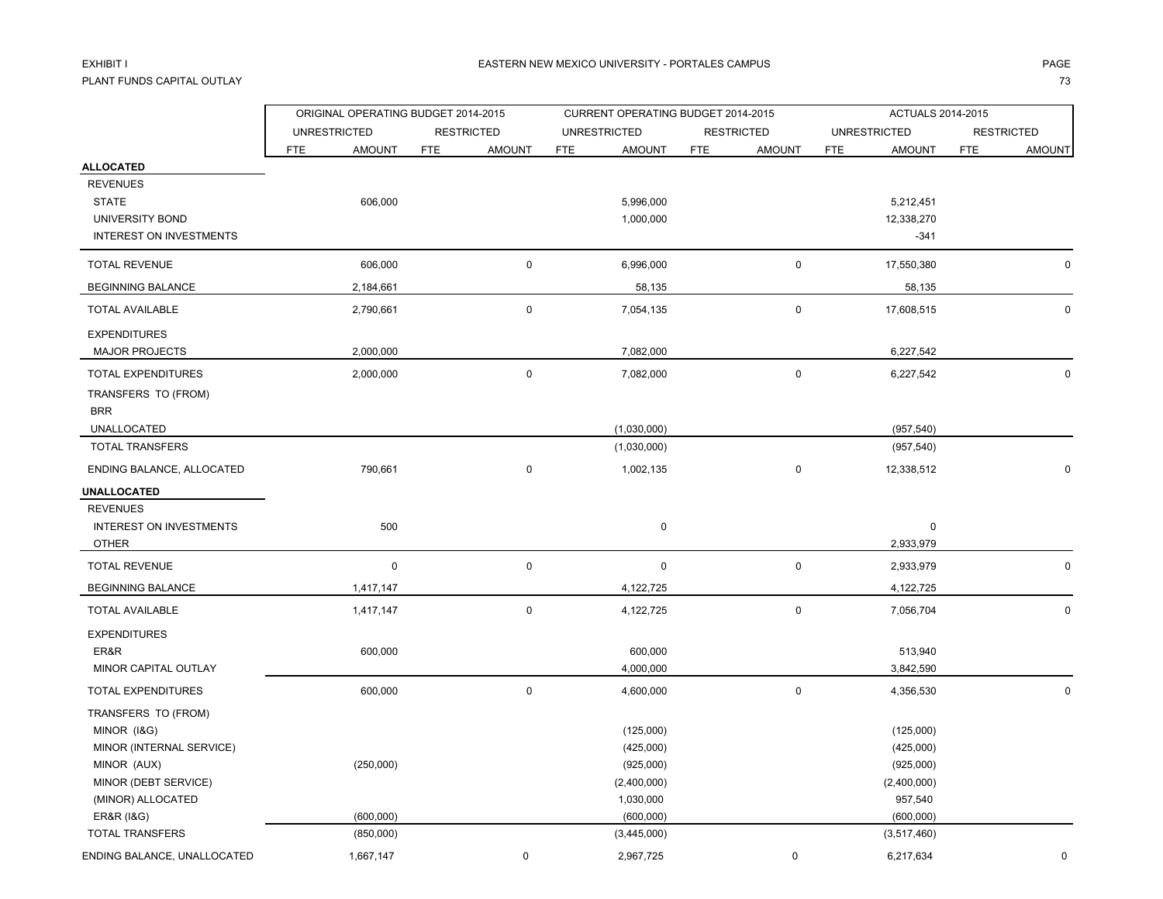# EXHIBIT I

PLANT FUNDS CAPITAL OUTLAYе с произведени произведения с произведения с произведения с произведения с произведения с произведения с прои<br>С 133 сентября 1930 году в произведении с произведения с произведения с произведения с произведения с произвед

| <b>UNRESTRICTED</b><br><b>UNRESTRICTED</b><br><b>UNRESTRICTED</b><br><b>RESTRICTED</b><br><b>RESTRICTED</b><br><b>RESTRICTED</b><br><b>FTE</b><br><b>AMOUNT</b><br><b>AMOUNT</b><br><b>FTE</b><br><b>AMOUNT</b><br><b>FTE</b><br><b>AMOUNT</b><br><b>FTE</b><br><b>AMOUNT</b><br><b>FTE</b><br><b>FTE</b><br><b>ALLOCATED</b><br><b>REVENUES</b><br><b>STATE</b><br>606,000<br>5,996,000<br>5,212,451<br>12,338,270<br>UNIVERSITY BOND<br>1,000,000<br><b>INTEREST ON INVESTMENTS</b><br>$-341$<br><b>TOTAL REVENUE</b><br>606,000<br>0<br>6,996,000<br>$\mathsf 0$<br>17,550,380<br>2,184,661<br>58,135<br>58,135<br><b>BEGINNING BALANCE</b><br>$\mathbf 0$<br>$\mathsf 0$<br>2,790,661<br><b>TOTAL AVAILABLE</b><br>7,054,135<br>17,608,515<br><b>EXPENDITURES</b><br>2,000,000<br>7,082,000<br>6,227,542<br><b>MAJOR PROJECTS</b><br>$\pmb{0}$<br>2,000,000<br>$\mathsf{O}$<br>TOTAL EXPENDITURES<br>7,082,000<br>6,227,542<br>TRANSFERS TO (FROM)<br><b>BRR</b><br>(1,030,000)<br>UNALLOCATED<br>(957, 540)<br>TOTAL TRANSFERS<br>(1,030,000)<br>(957, 540)<br>$\mathbf 0$<br>ENDING BALANCE, ALLOCATED<br>$\mathbf 0$<br>790,661<br>1,002,135<br>12,338,512<br>UNALLOCATED<br><b>REVENUES</b><br>500<br><b>INTEREST ON INVESTMENTS</b><br>0<br>0<br>2,933,979<br><b>OTHER</b><br>$\pmb{0}$<br><b>TOTAL REVENUE</b><br>$\mathbf 0$<br>0<br>0<br>2,933,979<br><b>BEGINNING BALANCE</b><br>1,417,147<br>4,122,725<br>4,122,725<br>$\pmb{0}$<br><b>TOTAL AVAILABLE</b><br>1,417,147<br>$\mathbf 0$<br>4,122,725<br>7,056,704<br><b>EXPENDITURES</b><br>ER&R<br>600,000<br>600,000<br>513,940<br>MINOR CAPITAL OUTLAY<br>4,000,000<br>3,842,590<br>$\pmb{0}$<br>TOTAL EXPENDITURES<br>600,000<br>0<br>4,600,000<br>4,356,530<br>TRANSFERS TO (FROM)<br>MINOR (I&G)<br>(125,000)<br>(125,000)<br>MINOR (INTERNAL SERVICE)<br>(425,000)<br>(425,000)<br>MINOR (AUX)<br>(250,000)<br>(925,000)<br>(925,000)<br>MINOR (DEBT SERVICE)<br>(2,400,000)<br>(2,400,000)<br>(MINOR) ALLOCATED<br>1,030,000<br>957,540<br>(600,000)<br>(600,000)<br><b>ER&amp;R (1&amp;G)</b><br>(600,000)<br>TOTAL TRANSFERS<br>(850,000)<br>(3,445,000)<br>(3,517,460) |                             | ORIGINAL OPERATING BUDGET 2014-2015 |             | CURRENT OPERATING BUDGET 2014-2015 |           |  |             |  | ACTUALS 2014-2015 |  |               |  |
|------------------------------------------------------------------------------------------------------------------------------------------------------------------------------------------------------------------------------------------------------------------------------------------------------------------------------------------------------------------------------------------------------------------------------------------------------------------------------------------------------------------------------------------------------------------------------------------------------------------------------------------------------------------------------------------------------------------------------------------------------------------------------------------------------------------------------------------------------------------------------------------------------------------------------------------------------------------------------------------------------------------------------------------------------------------------------------------------------------------------------------------------------------------------------------------------------------------------------------------------------------------------------------------------------------------------------------------------------------------------------------------------------------------------------------------------------------------------------------------------------------------------------------------------------------------------------------------------------------------------------------------------------------------------------------------------------------------------------------------------------------------------------------------------------------------------------------------------------------------------------------------------------------------------------------------------------------------------------------------------------------------------------------------------------------------------------------------------------------------------------------------------|-----------------------------|-------------------------------------|-------------|------------------------------------|-----------|--|-------------|--|-------------------|--|---------------|--|
|                                                                                                                                                                                                                                                                                                                                                                                                                                                                                                                                                                                                                                                                                                                                                                                                                                                                                                                                                                                                                                                                                                                                                                                                                                                                                                                                                                                                                                                                                                                                                                                                                                                                                                                                                                                                                                                                                                                                                                                                                                                                                                                                                |                             |                                     |             |                                    |           |  |             |  |                   |  |               |  |
|                                                                                                                                                                                                                                                                                                                                                                                                                                                                                                                                                                                                                                                                                                                                                                                                                                                                                                                                                                                                                                                                                                                                                                                                                                                                                                                                                                                                                                                                                                                                                                                                                                                                                                                                                                                                                                                                                                                                                                                                                                                                                                                                                |                             |                                     |             |                                    |           |  |             |  |                   |  | <b>AMOUNT</b> |  |
|                                                                                                                                                                                                                                                                                                                                                                                                                                                                                                                                                                                                                                                                                                                                                                                                                                                                                                                                                                                                                                                                                                                                                                                                                                                                                                                                                                                                                                                                                                                                                                                                                                                                                                                                                                                                                                                                                                                                                                                                                                                                                                                                                |                             |                                     |             |                                    |           |  |             |  |                   |  |               |  |
|                                                                                                                                                                                                                                                                                                                                                                                                                                                                                                                                                                                                                                                                                                                                                                                                                                                                                                                                                                                                                                                                                                                                                                                                                                                                                                                                                                                                                                                                                                                                                                                                                                                                                                                                                                                                                                                                                                                                                                                                                                                                                                                                                |                             |                                     |             |                                    |           |  |             |  |                   |  |               |  |
|                                                                                                                                                                                                                                                                                                                                                                                                                                                                                                                                                                                                                                                                                                                                                                                                                                                                                                                                                                                                                                                                                                                                                                                                                                                                                                                                                                                                                                                                                                                                                                                                                                                                                                                                                                                                                                                                                                                                                                                                                                                                                                                                                |                             |                                     |             |                                    |           |  |             |  |                   |  |               |  |
|                                                                                                                                                                                                                                                                                                                                                                                                                                                                                                                                                                                                                                                                                                                                                                                                                                                                                                                                                                                                                                                                                                                                                                                                                                                                                                                                                                                                                                                                                                                                                                                                                                                                                                                                                                                                                                                                                                                                                                                                                                                                                                                                                |                             |                                     |             |                                    |           |  |             |  |                   |  |               |  |
|                                                                                                                                                                                                                                                                                                                                                                                                                                                                                                                                                                                                                                                                                                                                                                                                                                                                                                                                                                                                                                                                                                                                                                                                                                                                                                                                                                                                                                                                                                                                                                                                                                                                                                                                                                                                                                                                                                                                                                                                                                                                                                                                                |                             |                                     |             |                                    |           |  |             |  |                   |  |               |  |
|                                                                                                                                                                                                                                                                                                                                                                                                                                                                                                                                                                                                                                                                                                                                                                                                                                                                                                                                                                                                                                                                                                                                                                                                                                                                                                                                                                                                                                                                                                                                                                                                                                                                                                                                                                                                                                                                                                                                                                                                                                                                                                                                                |                             |                                     |             |                                    |           |  |             |  |                   |  | $\mathbf 0$   |  |
|                                                                                                                                                                                                                                                                                                                                                                                                                                                                                                                                                                                                                                                                                                                                                                                                                                                                                                                                                                                                                                                                                                                                                                                                                                                                                                                                                                                                                                                                                                                                                                                                                                                                                                                                                                                                                                                                                                                                                                                                                                                                                                                                                |                             |                                     |             |                                    |           |  |             |  |                   |  |               |  |
|                                                                                                                                                                                                                                                                                                                                                                                                                                                                                                                                                                                                                                                                                                                                                                                                                                                                                                                                                                                                                                                                                                                                                                                                                                                                                                                                                                                                                                                                                                                                                                                                                                                                                                                                                                                                                                                                                                                                                                                                                                                                                                                                                |                             |                                     |             |                                    |           |  |             |  |                   |  | $\Omega$      |  |
|                                                                                                                                                                                                                                                                                                                                                                                                                                                                                                                                                                                                                                                                                                                                                                                                                                                                                                                                                                                                                                                                                                                                                                                                                                                                                                                                                                                                                                                                                                                                                                                                                                                                                                                                                                                                                                                                                                                                                                                                                                                                                                                                                |                             |                                     |             |                                    |           |  |             |  |                   |  |               |  |
|                                                                                                                                                                                                                                                                                                                                                                                                                                                                                                                                                                                                                                                                                                                                                                                                                                                                                                                                                                                                                                                                                                                                                                                                                                                                                                                                                                                                                                                                                                                                                                                                                                                                                                                                                                                                                                                                                                                                                                                                                                                                                                                                                |                             |                                     |             |                                    |           |  |             |  |                   |  |               |  |
|                                                                                                                                                                                                                                                                                                                                                                                                                                                                                                                                                                                                                                                                                                                                                                                                                                                                                                                                                                                                                                                                                                                                                                                                                                                                                                                                                                                                                                                                                                                                                                                                                                                                                                                                                                                                                                                                                                                                                                                                                                                                                                                                                |                             |                                     |             |                                    |           |  |             |  |                   |  | 0             |  |
|                                                                                                                                                                                                                                                                                                                                                                                                                                                                                                                                                                                                                                                                                                                                                                                                                                                                                                                                                                                                                                                                                                                                                                                                                                                                                                                                                                                                                                                                                                                                                                                                                                                                                                                                                                                                                                                                                                                                                                                                                                                                                                                                                |                             |                                     |             |                                    |           |  |             |  |                   |  |               |  |
|                                                                                                                                                                                                                                                                                                                                                                                                                                                                                                                                                                                                                                                                                                                                                                                                                                                                                                                                                                                                                                                                                                                                                                                                                                                                                                                                                                                                                                                                                                                                                                                                                                                                                                                                                                                                                                                                                                                                                                                                                                                                                                                                                |                             |                                     |             |                                    |           |  |             |  |                   |  |               |  |
|                                                                                                                                                                                                                                                                                                                                                                                                                                                                                                                                                                                                                                                                                                                                                                                                                                                                                                                                                                                                                                                                                                                                                                                                                                                                                                                                                                                                                                                                                                                                                                                                                                                                                                                                                                                                                                                                                                                                                                                                                                                                                                                                                |                             |                                     |             |                                    |           |  |             |  |                   |  |               |  |
|                                                                                                                                                                                                                                                                                                                                                                                                                                                                                                                                                                                                                                                                                                                                                                                                                                                                                                                                                                                                                                                                                                                                                                                                                                                                                                                                                                                                                                                                                                                                                                                                                                                                                                                                                                                                                                                                                                                                                                                                                                                                                                                                                |                             |                                     |             |                                    |           |  |             |  |                   |  |               |  |
|                                                                                                                                                                                                                                                                                                                                                                                                                                                                                                                                                                                                                                                                                                                                                                                                                                                                                                                                                                                                                                                                                                                                                                                                                                                                                                                                                                                                                                                                                                                                                                                                                                                                                                                                                                                                                                                                                                                                                                                                                                                                                                                                                |                             |                                     |             |                                    |           |  |             |  |                   |  | $\Omega$      |  |
|                                                                                                                                                                                                                                                                                                                                                                                                                                                                                                                                                                                                                                                                                                                                                                                                                                                                                                                                                                                                                                                                                                                                                                                                                                                                                                                                                                                                                                                                                                                                                                                                                                                                                                                                                                                                                                                                                                                                                                                                                                                                                                                                                |                             |                                     |             |                                    |           |  |             |  |                   |  |               |  |
|                                                                                                                                                                                                                                                                                                                                                                                                                                                                                                                                                                                                                                                                                                                                                                                                                                                                                                                                                                                                                                                                                                                                                                                                                                                                                                                                                                                                                                                                                                                                                                                                                                                                                                                                                                                                                                                                                                                                                                                                                                                                                                                                                |                             |                                     |             |                                    |           |  |             |  |                   |  |               |  |
|                                                                                                                                                                                                                                                                                                                                                                                                                                                                                                                                                                                                                                                                                                                                                                                                                                                                                                                                                                                                                                                                                                                                                                                                                                                                                                                                                                                                                                                                                                                                                                                                                                                                                                                                                                                                                                                                                                                                                                                                                                                                                                                                                |                             |                                     |             |                                    |           |  |             |  |                   |  |               |  |
|                                                                                                                                                                                                                                                                                                                                                                                                                                                                                                                                                                                                                                                                                                                                                                                                                                                                                                                                                                                                                                                                                                                                                                                                                                                                                                                                                                                                                                                                                                                                                                                                                                                                                                                                                                                                                                                                                                                                                                                                                                                                                                                                                |                             |                                     |             |                                    |           |  |             |  |                   |  |               |  |
|                                                                                                                                                                                                                                                                                                                                                                                                                                                                                                                                                                                                                                                                                                                                                                                                                                                                                                                                                                                                                                                                                                                                                                                                                                                                                                                                                                                                                                                                                                                                                                                                                                                                                                                                                                                                                                                                                                                                                                                                                                                                                                                                                |                             |                                     |             |                                    |           |  |             |  |                   |  | $\mathbf 0$   |  |
|                                                                                                                                                                                                                                                                                                                                                                                                                                                                                                                                                                                                                                                                                                                                                                                                                                                                                                                                                                                                                                                                                                                                                                                                                                                                                                                                                                                                                                                                                                                                                                                                                                                                                                                                                                                                                                                                                                                                                                                                                                                                                                                                                |                             |                                     |             |                                    |           |  |             |  |                   |  |               |  |
|                                                                                                                                                                                                                                                                                                                                                                                                                                                                                                                                                                                                                                                                                                                                                                                                                                                                                                                                                                                                                                                                                                                                                                                                                                                                                                                                                                                                                                                                                                                                                                                                                                                                                                                                                                                                                                                                                                                                                                                                                                                                                                                                                |                             |                                     |             |                                    |           |  |             |  |                   |  | $\mathbf 0$   |  |
|                                                                                                                                                                                                                                                                                                                                                                                                                                                                                                                                                                                                                                                                                                                                                                                                                                                                                                                                                                                                                                                                                                                                                                                                                                                                                                                                                                                                                                                                                                                                                                                                                                                                                                                                                                                                                                                                                                                                                                                                                                                                                                                                                |                             |                                     |             |                                    |           |  |             |  |                   |  |               |  |
|                                                                                                                                                                                                                                                                                                                                                                                                                                                                                                                                                                                                                                                                                                                                                                                                                                                                                                                                                                                                                                                                                                                                                                                                                                                                                                                                                                                                                                                                                                                                                                                                                                                                                                                                                                                                                                                                                                                                                                                                                                                                                                                                                |                             |                                     |             |                                    |           |  |             |  |                   |  |               |  |
|                                                                                                                                                                                                                                                                                                                                                                                                                                                                                                                                                                                                                                                                                                                                                                                                                                                                                                                                                                                                                                                                                                                                                                                                                                                                                                                                                                                                                                                                                                                                                                                                                                                                                                                                                                                                                                                                                                                                                                                                                                                                                                                                                |                             |                                     |             |                                    |           |  |             |  |                   |  |               |  |
|                                                                                                                                                                                                                                                                                                                                                                                                                                                                                                                                                                                                                                                                                                                                                                                                                                                                                                                                                                                                                                                                                                                                                                                                                                                                                                                                                                                                                                                                                                                                                                                                                                                                                                                                                                                                                                                                                                                                                                                                                                                                                                                                                |                             |                                     |             |                                    |           |  |             |  |                   |  | $\mathbf 0$   |  |
|                                                                                                                                                                                                                                                                                                                                                                                                                                                                                                                                                                                                                                                                                                                                                                                                                                                                                                                                                                                                                                                                                                                                                                                                                                                                                                                                                                                                                                                                                                                                                                                                                                                                                                                                                                                                                                                                                                                                                                                                                                                                                                                                                |                             |                                     |             |                                    |           |  |             |  |                   |  |               |  |
|                                                                                                                                                                                                                                                                                                                                                                                                                                                                                                                                                                                                                                                                                                                                                                                                                                                                                                                                                                                                                                                                                                                                                                                                                                                                                                                                                                                                                                                                                                                                                                                                                                                                                                                                                                                                                                                                                                                                                                                                                                                                                                                                                |                             |                                     |             |                                    |           |  |             |  |                   |  |               |  |
|                                                                                                                                                                                                                                                                                                                                                                                                                                                                                                                                                                                                                                                                                                                                                                                                                                                                                                                                                                                                                                                                                                                                                                                                                                                                                                                                                                                                                                                                                                                                                                                                                                                                                                                                                                                                                                                                                                                                                                                                                                                                                                                                                |                             |                                     |             |                                    |           |  |             |  |                   |  |               |  |
|                                                                                                                                                                                                                                                                                                                                                                                                                                                                                                                                                                                                                                                                                                                                                                                                                                                                                                                                                                                                                                                                                                                                                                                                                                                                                                                                                                                                                                                                                                                                                                                                                                                                                                                                                                                                                                                                                                                                                                                                                                                                                                                                                |                             |                                     |             |                                    |           |  |             |  |                   |  |               |  |
|                                                                                                                                                                                                                                                                                                                                                                                                                                                                                                                                                                                                                                                                                                                                                                                                                                                                                                                                                                                                                                                                                                                                                                                                                                                                                                                                                                                                                                                                                                                                                                                                                                                                                                                                                                                                                                                                                                                                                                                                                                                                                                                                                |                             |                                     |             |                                    |           |  |             |  |                   |  |               |  |
|                                                                                                                                                                                                                                                                                                                                                                                                                                                                                                                                                                                                                                                                                                                                                                                                                                                                                                                                                                                                                                                                                                                                                                                                                                                                                                                                                                                                                                                                                                                                                                                                                                                                                                                                                                                                                                                                                                                                                                                                                                                                                                                                                |                             |                                     |             |                                    |           |  |             |  |                   |  |               |  |
|                                                                                                                                                                                                                                                                                                                                                                                                                                                                                                                                                                                                                                                                                                                                                                                                                                                                                                                                                                                                                                                                                                                                                                                                                                                                                                                                                                                                                                                                                                                                                                                                                                                                                                                                                                                                                                                                                                                                                                                                                                                                                                                                                |                             |                                     |             |                                    |           |  |             |  |                   |  |               |  |
|                                                                                                                                                                                                                                                                                                                                                                                                                                                                                                                                                                                                                                                                                                                                                                                                                                                                                                                                                                                                                                                                                                                                                                                                                                                                                                                                                                                                                                                                                                                                                                                                                                                                                                                                                                                                                                                                                                                                                                                                                                                                                                                                                | ENDING BALANCE, UNALLOCATED | 1.667.147                           | $\mathbf 0$ |                                    | 2.967.725 |  | $\mathbf 0$ |  | 6.217.634         |  | $\Omega$      |  |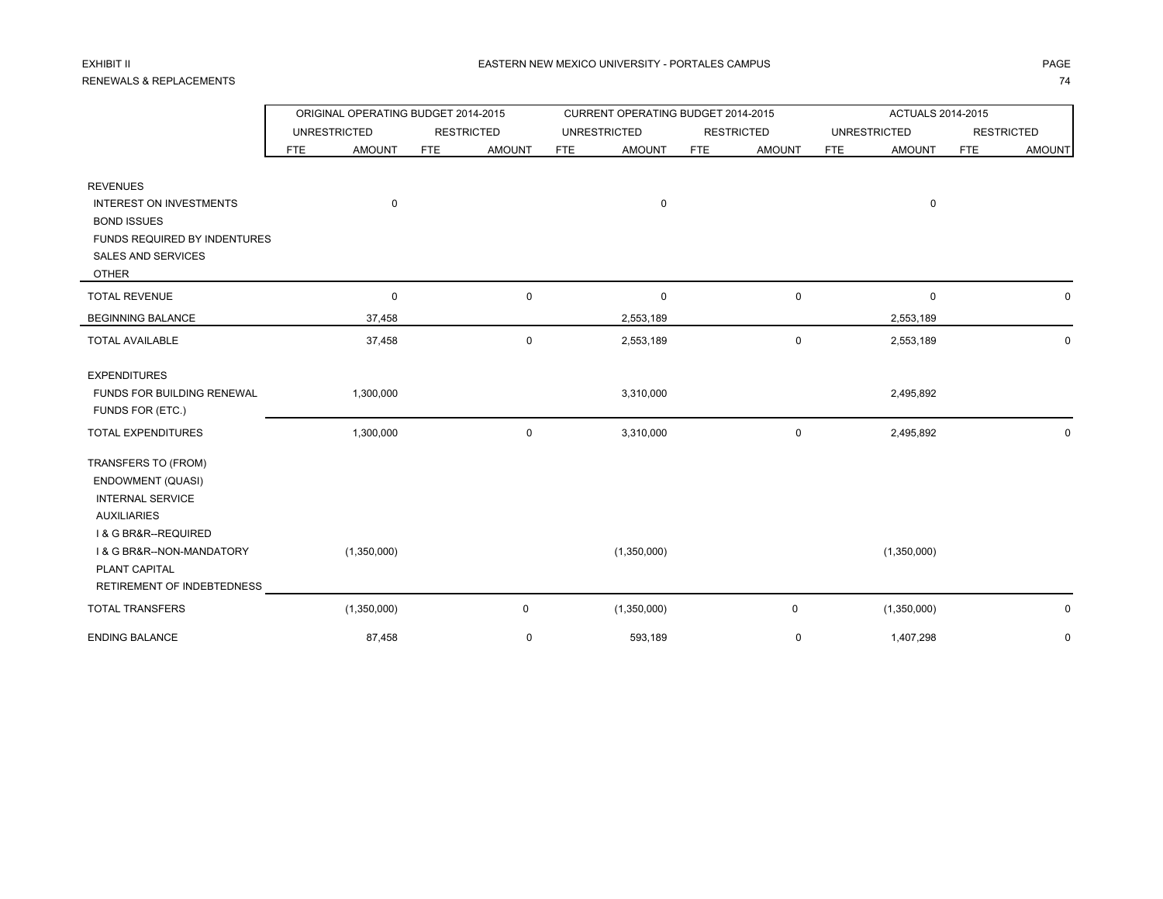# EXHIBIT II

|                                    | ORIGINAL OPERATING BUDGET 2014-2015 |               |            |                   |                     | CURRENT OPERATING BUDGET 2014-2015 |            |                   | ACTUALS 2014-2015   |               |                   |               |
|------------------------------------|-------------------------------------|---------------|------------|-------------------|---------------------|------------------------------------|------------|-------------------|---------------------|---------------|-------------------|---------------|
|                                    | <b>UNRESTRICTED</b>                 |               |            | <b>RESTRICTED</b> | <b>UNRESTRICTED</b> |                                    |            | <b>RESTRICTED</b> | <b>UNRESTRICTED</b> |               | <b>RESTRICTED</b> |               |
|                                    | <b>FTE</b>                          | <b>AMOUNT</b> | <b>FTE</b> | <b>AMOUNT</b>     | <b>FTE</b>          | <b>AMOUNT</b>                      | <b>FTE</b> | <b>AMOUNT</b>     | <b>FTE</b>          | <b>AMOUNT</b> | <b>FTE</b>        | <b>AMOUNT</b> |
| <b>REVENUES</b>                    |                                     |               |            |                   |                     |                                    |            |                   |                     |               |                   |               |
| <b>INTEREST ON INVESTMENTS</b>     |                                     | $\mathbf 0$   |            |                   |                     | $\mathbf 0$                        |            |                   |                     | $\mathbf 0$   |                   |               |
| <b>BOND ISSUES</b>                 |                                     |               |            |                   |                     |                                    |            |                   |                     |               |                   |               |
| FUNDS REQUIRED BY INDENTURES       |                                     |               |            |                   |                     |                                    |            |                   |                     |               |                   |               |
| <b>SALES AND SERVICES</b>          |                                     |               |            |                   |                     |                                    |            |                   |                     |               |                   |               |
| <b>OTHER</b>                       |                                     |               |            |                   |                     |                                    |            |                   |                     |               |                   |               |
| <b>TOTAL REVENUE</b>               |                                     | 0             |            | $\mathbf 0$       |                     | 0                                  |            | $\pmb{0}$         |                     | $\mathbf 0$   |                   | 0             |
| <b>BEGINNING BALANCE</b>           |                                     | 37,458        |            |                   |                     | 2,553,189                          |            |                   |                     | 2,553,189     |                   |               |
| <b>TOTAL AVAILABLE</b>             |                                     | 37,458        |            | $\mathbf 0$       |                     | 2,553,189                          |            | 0                 |                     | 2,553,189     |                   | 0             |
| <b>EXPENDITURES</b>                |                                     |               |            |                   |                     |                                    |            |                   |                     |               |                   |               |
| <b>FUNDS FOR BUILDING RENEWAL</b>  |                                     | 1,300,000     |            |                   |                     | 3,310,000                          |            |                   |                     | 2,495,892     |                   |               |
| FUNDS FOR (ETC.)                   |                                     |               |            |                   |                     |                                    |            |                   |                     |               |                   |               |
| TOTAL EXPENDITURES                 |                                     | 1,300,000     |            | $\mathbf 0$       |                     | 3,310,000                          |            | 0                 |                     | 2,495,892     |                   | 0             |
| TRANSFERS TO (FROM)                |                                     |               |            |                   |                     |                                    |            |                   |                     |               |                   |               |
| ENDOWMENT (QUASI)                  |                                     |               |            |                   |                     |                                    |            |                   |                     |               |                   |               |
| <b>INTERNAL SERVICE</b>            |                                     |               |            |                   |                     |                                    |            |                   |                     |               |                   |               |
| <b>AUXILIARIES</b>                 |                                     |               |            |                   |                     |                                    |            |                   |                     |               |                   |               |
| <b>1&amp; G BR&amp;R--REQUIRED</b> |                                     |               |            |                   |                     |                                    |            |                   |                     |               |                   |               |
| I & G BR&R--NON-MANDATORY          |                                     | (1,350,000)   |            |                   |                     | (1,350,000)                        |            |                   |                     | (1,350,000)   |                   |               |
| PLANT CAPITAL                      |                                     |               |            |                   |                     |                                    |            |                   |                     |               |                   |               |
| RETIREMENT OF INDEBTEDNESS         |                                     |               |            |                   |                     |                                    |            |                   |                     |               |                   |               |
| <b>TOTAL TRANSFERS</b>             |                                     | (1,350,000)   |            | $\mathsf 0$       |                     | (1,350,000)                        |            | 0                 |                     | (1,350,000)   |                   | 0             |
| <b>ENDING BALANCE</b>              |                                     | 87,458        |            | $\mathbf 0$       |                     | 593,189                            |            | 0                 |                     | 1,407,298     |                   | 0             |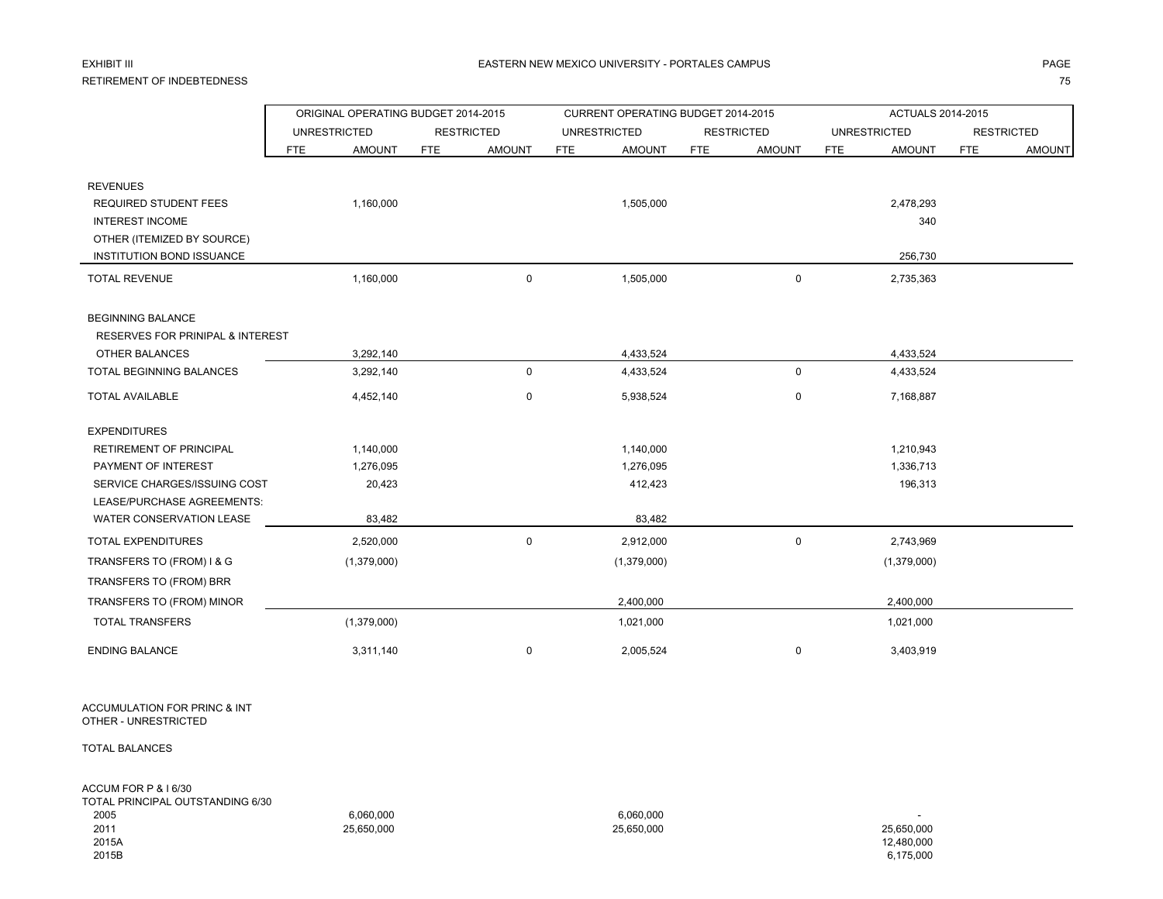### EXHIBIT III

#### RETIREMENT OF INDEBTEDNESSS and the contract of the contract of the contract of the contract of the contract of the contract of the contract of the contract of the contract of the contract of the contract of the contract of the contract of the cont

|                                             | ORIGINAL OPERATING BUDGET 2014-2015 |                      | CURRENT OPERATING BUDGET 2014-2015 |                             | ACTUALS 2014-2015           |                             |
|---------------------------------------------|-------------------------------------|----------------------|------------------------------------|-----------------------------|-----------------------------|-----------------------------|
|                                             | <b>UNRESTRICTED</b>                 | <b>RESTRICTED</b>    | <b>UNRESTRICTED</b>                | <b>RESTRICTED</b>           | <b>UNRESTRICTED</b>         | <b>RESTRICTED</b>           |
|                                             | <b>AMOUNT</b><br><b>FTE</b>         | FTE<br><b>AMOUNT</b> | <b>FTE</b><br><b>AMOUNT</b>        | <b>FTE</b><br><b>AMOUNT</b> | <b>FTE</b><br><b>AMOUNT</b> | <b>FTE</b><br><b>AMOUNT</b> |
| <b>REVENUES</b>                             |                                     |                      |                                    |                             |                             |                             |
| <b>REQUIRED STUDENT FEES</b>                | 1,160,000                           |                      | 1,505,000                          |                             | 2,478,293                   |                             |
| <b>INTEREST INCOME</b>                      |                                     |                      |                                    |                             | 340                         |                             |
| OTHER (ITEMIZED BY SOURCE)                  |                                     |                      |                                    |                             |                             |                             |
| INSTITUTION BOND ISSUANCE                   |                                     |                      |                                    |                             | 256,730                     |                             |
| <b>TOTAL REVENUE</b>                        | 1,160,000                           | $\mathbf 0$          | 1,505,000                          | 0                           | 2,735,363                   |                             |
| <b>BEGINNING BALANCE</b>                    |                                     |                      |                                    |                             |                             |                             |
| <b>RESERVES FOR PRINIPAL &amp; INTEREST</b> |                                     |                      |                                    |                             |                             |                             |
| OTHER BALANCES                              | 3,292,140                           |                      | 4,433,524                          |                             | 4,433,524                   |                             |
| TOTAL BEGINNING BALANCES                    | 3,292,140                           | $\mathbf 0$          | 4,433,524                          | 0                           | 4,433,524                   |                             |
| <b>TOTAL AVAILABLE</b>                      | 4,452,140                           | $\mathbf 0$          | 5,938,524                          | 0                           | 7,168,887                   |                             |
| <b>EXPENDITURES</b>                         |                                     |                      |                                    |                             |                             |                             |
| RETIREMENT OF PRINCIPAL                     | 1,140,000                           |                      | 1,140,000                          |                             | 1,210,943                   |                             |
| PAYMENT OF INTEREST                         | 1,276,095                           |                      | 1,276,095                          |                             | 1,336,713                   |                             |
| SERVICE CHARGES/ISSUING COST                | 20,423                              |                      | 412,423                            |                             | 196,313                     |                             |
| LEASE/PURCHASE AGREEMENTS:                  |                                     |                      |                                    |                             |                             |                             |
| WATER CONSERVATION LEASE                    | 83,482                              |                      | 83,482                             |                             |                             |                             |
| <b>TOTAL EXPENDITURES</b>                   | 2,520,000                           | $\mathbf 0$          | 2,912,000                          | 0                           | 2,743,969                   |                             |
| TRANSFERS TO (FROM) I & G                   | (1,379,000)                         |                      | (1,379,000)                        |                             | (1,379,000)                 |                             |
| TRANSFERS TO (FROM) BRR                     |                                     |                      |                                    |                             |                             |                             |
| TRANSFERS TO (FROM) MINOR                   |                                     |                      | 2,400,000                          |                             | 2,400,000                   |                             |
| <b>TOTAL TRANSFERS</b>                      | (1,379,000)                         |                      | 1,021,000                          |                             | 1,021,000                   |                             |
| <b>ENDING BALANCE</b>                       | 3,311,140                           | 0                    | 2,005,524                          | 0                           | 3,403,919                   |                             |

ACCUMULATION FOR PRINC & INT OTHER - UNRESTRICTED

TOTAL BALANCES

ACCUM FOR P & I 6/30 TOTAL PRINCIPAL OUTSTANDING 6/30 2005 6,060,000 6,060,000 - 2011 25,650,000 25,650,000 25,650,000 2015A 12,480,000 2015B6,175,000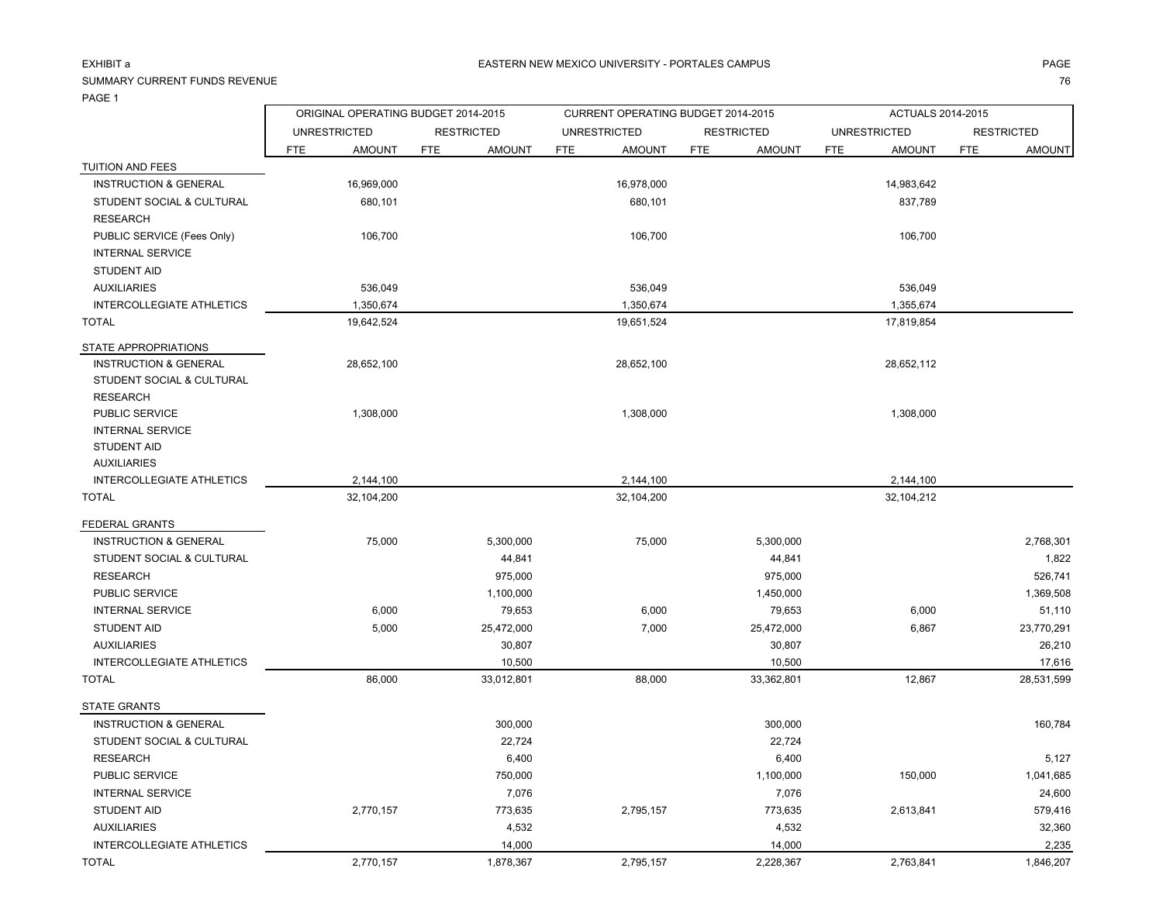### EXHIBIT a

# SUMMARY CURRENT FUNDS REVENUE

|  |  | 76<br>. . |
|--|--|-----------|
|  |  |           |

|                                  | ORIGINAL OPERATING BUDGET 2014-2015 |                             | CURRENT OPERATING BUDGET 2014-2015 |                             | <b>ACTUALS 2014-2015</b>    |                             |
|----------------------------------|-------------------------------------|-----------------------------|------------------------------------|-----------------------------|-----------------------------|-----------------------------|
|                                  | <b>UNRESTRICTED</b>                 | <b>RESTRICTED</b>           | <b>UNRESTRICTED</b>                | <b>RESTRICTED</b>           | <b>UNRESTRICTED</b>         | <b>RESTRICTED</b>           |
|                                  | <b>FTE</b><br><b>AMOUNT</b>         | <b>FTE</b><br><b>AMOUNT</b> | <b>FTE</b><br><b>AMOUNT</b>        | <b>FTE</b><br><b>AMOUNT</b> | <b>AMOUNT</b><br><b>FTE</b> | <b>FTE</b><br><b>AMOUNT</b> |
| TUITION AND FEES                 |                                     |                             |                                    |                             |                             |                             |
| <b>INSTRUCTION &amp; GENERAL</b> | 16,969,000                          |                             | 16,978,000                         |                             | 14,983,642                  |                             |
| STUDENT SOCIAL & CULTURAL        | 680,101                             |                             | 680,101                            |                             | 837,789                     |                             |
| <b>RESEARCH</b>                  |                                     |                             |                                    |                             |                             |                             |
| PUBLIC SERVICE (Fees Only)       | 106,700                             |                             | 106,700                            |                             | 106,700                     |                             |
| <b>INTERNAL SERVICE</b>          |                                     |                             |                                    |                             |                             |                             |
| <b>STUDENT AID</b>               |                                     |                             |                                    |                             |                             |                             |
| <b>AUXILIARIES</b>               | 536,049                             |                             | 536,049                            |                             | 536,049                     |                             |
| <b>INTERCOLLEGIATE ATHLETICS</b> | 1,350,674                           |                             | 1,350,674                          |                             | 1,355,674                   |                             |
| <b>TOTAL</b>                     | 19,642,524                          |                             | 19,651,524                         |                             | 17,819,854                  |                             |
| STATE APPROPRIATIONS             |                                     |                             |                                    |                             |                             |                             |
| <b>INSTRUCTION &amp; GENERAL</b> | 28,652,100                          |                             | 28,652,100                         |                             | 28,652,112                  |                             |
| STUDENT SOCIAL & CULTURAL        |                                     |                             |                                    |                             |                             |                             |
| <b>RESEARCH</b>                  |                                     |                             |                                    |                             |                             |                             |
| PUBLIC SERVICE                   | 1,308,000                           |                             | 1,308,000                          |                             | 1,308,000                   |                             |
| <b>INTERNAL SERVICE</b>          |                                     |                             |                                    |                             |                             |                             |
| <b>STUDENT AID</b>               |                                     |                             |                                    |                             |                             |                             |
| <b>AUXILIARIES</b>               |                                     |                             |                                    |                             |                             |                             |
| INTERCOLLEGIATE ATHLETICS        | 2,144,100                           |                             | 2,144,100                          |                             | 2,144,100                   |                             |
| <b>TOTAL</b>                     | 32,104,200                          |                             | 32,104,200                         |                             | 32,104,212                  |                             |
| FEDERAL GRANTS                   |                                     |                             |                                    |                             |                             |                             |
| <b>INSTRUCTION &amp; GENERAL</b> | 75,000                              | 5,300,000                   | 75,000                             | 5,300,000                   |                             | 2,768,301                   |
| STUDENT SOCIAL & CULTURAL        |                                     | 44,841                      |                                    | 44,841                      |                             | 1,822                       |
| <b>RESEARCH</b>                  |                                     | 975,000                     |                                    | 975,000                     |                             | 526,741                     |
| PUBLIC SERVICE                   |                                     | 1,100,000                   |                                    | 1,450,000                   |                             | 1,369,508                   |
| <b>INTERNAL SERVICE</b>          | 6,000                               | 79,653                      | 6,000                              | 79,653                      | 6,000                       | 51,110                      |
| <b>STUDENT AID</b>               | 5,000                               | 25,472,000                  | 7,000                              | 25,472,000                  | 6,867                       | 23,770,291                  |
| <b>AUXILIARIES</b>               |                                     | 30,807                      |                                    | 30,807                      |                             | 26,210                      |
| INTERCOLLEGIATE ATHLETICS        |                                     | 10,500                      |                                    | 10,500                      |                             | 17,616                      |
| <b>TOTAL</b>                     | 86,000                              | 33,012,801                  | 88,000                             | 33,362,801                  | 12,867                      | 28,531,599                  |
| <b>STATE GRANTS</b>              |                                     |                             |                                    |                             |                             |                             |
| <b>INSTRUCTION &amp; GENERAL</b> |                                     | 300,000                     |                                    | 300,000                     |                             | 160,784                     |
| STUDENT SOCIAL & CULTURAL        |                                     | 22,724                      |                                    | 22,724                      |                             |                             |
| <b>RESEARCH</b>                  |                                     | 6,400                       |                                    | 6,400                       |                             | 5,127                       |
| PUBLIC SERVICE                   |                                     | 750,000                     |                                    | 1,100,000                   | 150,000                     | 1,041,685                   |
| <b>INTERNAL SERVICE</b>          |                                     | 7,076                       |                                    | 7,076                       |                             | 24,600                      |
| <b>STUDENT AID</b>               | 2,770,157                           | 773,635                     | 2,795,157                          | 773,635                     | 2,613,841                   | 579,416                     |
| <b>AUXILIARIES</b>               |                                     | 4,532                       |                                    | 4,532                       |                             | 32,360                      |
| <b>INTERCOLLEGIATE ATHLETICS</b> |                                     | 14,000                      |                                    | 14,000                      |                             | 2,235                       |
| TOTAL                            | 2,770,157                           | 1,878,367                   | 2,795,157                          | 2,228,367                   | 2,763,841                   | 1,846,207                   |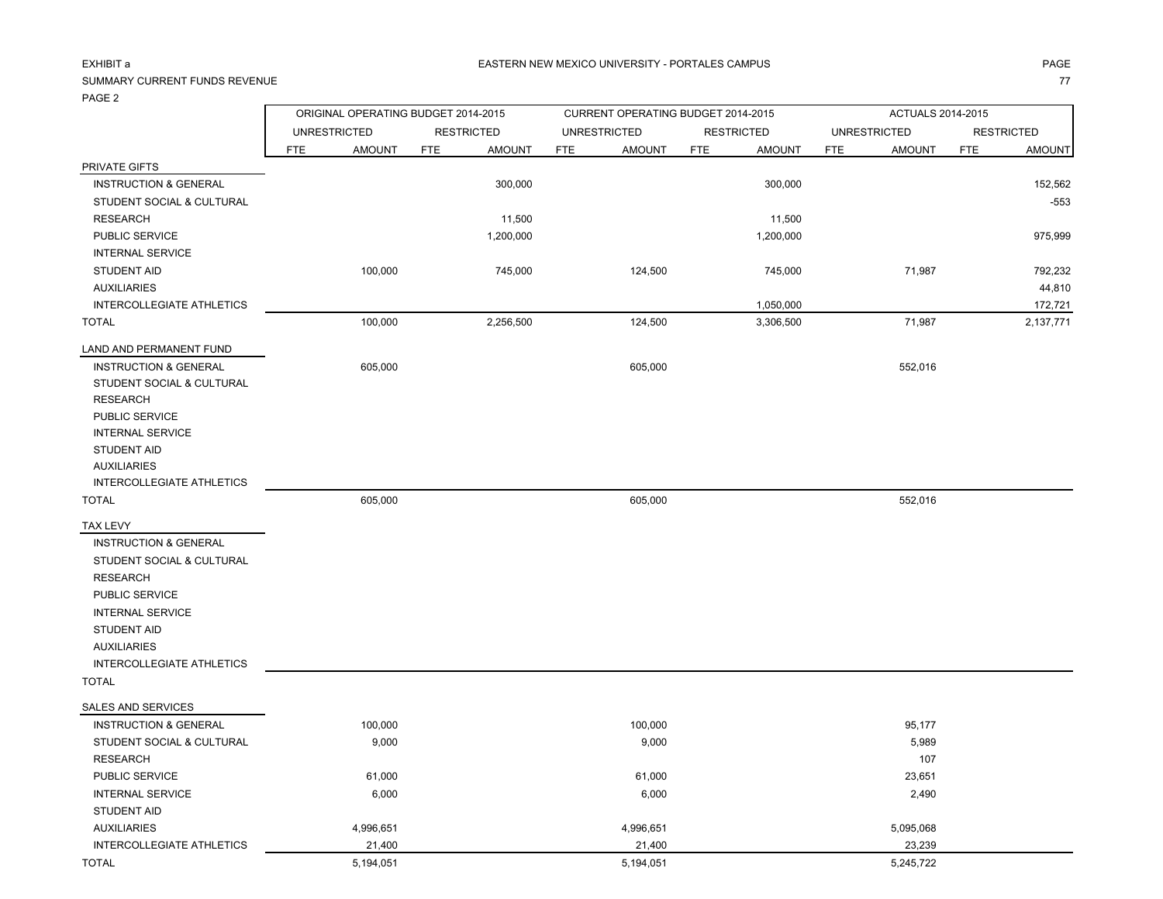### EXHIBIT a

# SUMMARY CURRENT FUNDS REVENUE

PAGE 2

| . <i>.</i>                       | ORIGINAL OPERATING BUDGET 2014-2015 |                             | CURRENT OPERATING BUDGET 2014-2015 |                             | ACTUALS 2014-2015           |                             |  |  |
|----------------------------------|-------------------------------------|-----------------------------|------------------------------------|-----------------------------|-----------------------------|-----------------------------|--|--|
|                                  | <b>UNRESTRICTED</b>                 | <b>RESTRICTED</b>           | <b>UNRESTRICTED</b>                | <b>RESTRICTED</b>           | <b>UNRESTRICTED</b>         | <b>RESTRICTED</b>           |  |  |
|                                  | <b>FTE</b><br><b>AMOUNT</b>         | <b>FTE</b><br><b>AMOUNT</b> | <b>AMOUNT</b><br><b>FTE</b>        | <b>FTE</b><br><b>AMOUNT</b> | <b>AMOUNT</b><br><b>FTE</b> | <b>FTE</b><br><b>AMOUNT</b> |  |  |
| PRIVATE GIFTS                    |                                     |                             |                                    |                             |                             |                             |  |  |
| <b>INSTRUCTION &amp; GENERAL</b> |                                     | 300,000                     |                                    | 300,000                     |                             | 152,562                     |  |  |
| STUDENT SOCIAL & CULTURAL        |                                     |                             |                                    |                             |                             | $-553$                      |  |  |
| <b>RESEARCH</b>                  |                                     | 11,500                      |                                    | 11,500                      |                             |                             |  |  |
| PUBLIC SERVICE                   |                                     | 1,200,000                   |                                    | 1,200,000                   |                             | 975,999                     |  |  |
| <b>INTERNAL SERVICE</b>          |                                     |                             |                                    |                             |                             |                             |  |  |
| <b>STUDENT AID</b>               | 100,000                             | 745,000                     | 124,500                            | 745,000                     | 71,987                      | 792,232                     |  |  |
| <b>AUXILIARIES</b>               |                                     |                             |                                    |                             |                             | 44,810                      |  |  |
| INTERCOLLEGIATE ATHLETICS        |                                     |                             |                                    | 1,050,000                   |                             | 172,721                     |  |  |
| <b>TOTAL</b>                     | 100,000                             | 2,256,500                   | 124,500                            | 3,306,500                   | 71,987                      | 2,137,771                   |  |  |
| LAND AND PERMANENT FUND          |                                     |                             |                                    |                             |                             |                             |  |  |
| <b>INSTRUCTION &amp; GENERAL</b> | 605,000                             |                             | 605,000                            |                             | 552,016                     |                             |  |  |
| STUDENT SOCIAL & CULTURAL        |                                     |                             |                                    |                             |                             |                             |  |  |
| <b>RESEARCH</b>                  |                                     |                             |                                    |                             |                             |                             |  |  |
| PUBLIC SERVICE                   |                                     |                             |                                    |                             |                             |                             |  |  |
| <b>INTERNAL SERVICE</b>          |                                     |                             |                                    |                             |                             |                             |  |  |
| <b>STUDENT AID</b>               |                                     |                             |                                    |                             |                             |                             |  |  |
| <b>AUXILIARIES</b>               |                                     |                             |                                    |                             |                             |                             |  |  |
| INTERCOLLEGIATE ATHLETICS        |                                     |                             |                                    |                             |                             |                             |  |  |
| <b>TOTAL</b>                     | 605,000                             |                             | 605,000                            |                             | 552,016                     |                             |  |  |
| TAX LEVY                         |                                     |                             |                                    |                             |                             |                             |  |  |
| <b>INSTRUCTION &amp; GENERAL</b> |                                     |                             |                                    |                             |                             |                             |  |  |
| STUDENT SOCIAL & CULTURAL        |                                     |                             |                                    |                             |                             |                             |  |  |
| <b>RESEARCH</b>                  |                                     |                             |                                    |                             |                             |                             |  |  |
| PUBLIC SERVICE                   |                                     |                             |                                    |                             |                             |                             |  |  |
| <b>INTERNAL SERVICE</b>          |                                     |                             |                                    |                             |                             |                             |  |  |
| <b>STUDENT AID</b>               |                                     |                             |                                    |                             |                             |                             |  |  |
| <b>AUXILIARIES</b>               |                                     |                             |                                    |                             |                             |                             |  |  |
| INTERCOLLEGIATE ATHLETICS        |                                     |                             |                                    |                             |                             |                             |  |  |
| <b>TOTAL</b>                     |                                     |                             |                                    |                             |                             |                             |  |  |
| SALES AND SERVICES               |                                     |                             |                                    |                             |                             |                             |  |  |
| <b>INSTRUCTION &amp; GENERAL</b> | 100,000                             |                             | 100,000                            |                             | 95,177                      |                             |  |  |
| STUDENT SOCIAL & CULTURAL        | 9,000                               |                             | 9,000                              |                             | 5,989                       |                             |  |  |
| <b>RESEARCH</b>                  |                                     |                             |                                    |                             | 107                         |                             |  |  |
| PUBLIC SERVICE                   | 61,000                              |                             | 61,000                             |                             | 23,651                      |                             |  |  |
| <b>INTERNAL SERVICE</b>          | 6,000                               |                             | 6,000                              |                             | 2,490                       |                             |  |  |
| <b>STUDENT AID</b>               |                                     |                             |                                    |                             |                             |                             |  |  |
| <b>AUXILIARIES</b>               | 4,996,651                           |                             | 4,996,651                          |                             | 5,095,068                   |                             |  |  |
| INTERCOLLEGIATE ATHLETICS        | 21,400                              |                             | 21,400                             |                             | 23,239                      |                             |  |  |
| <b>TOTAL</b>                     | 5,194,051                           |                             | 5,194,051                          |                             | 5,245,722                   |                             |  |  |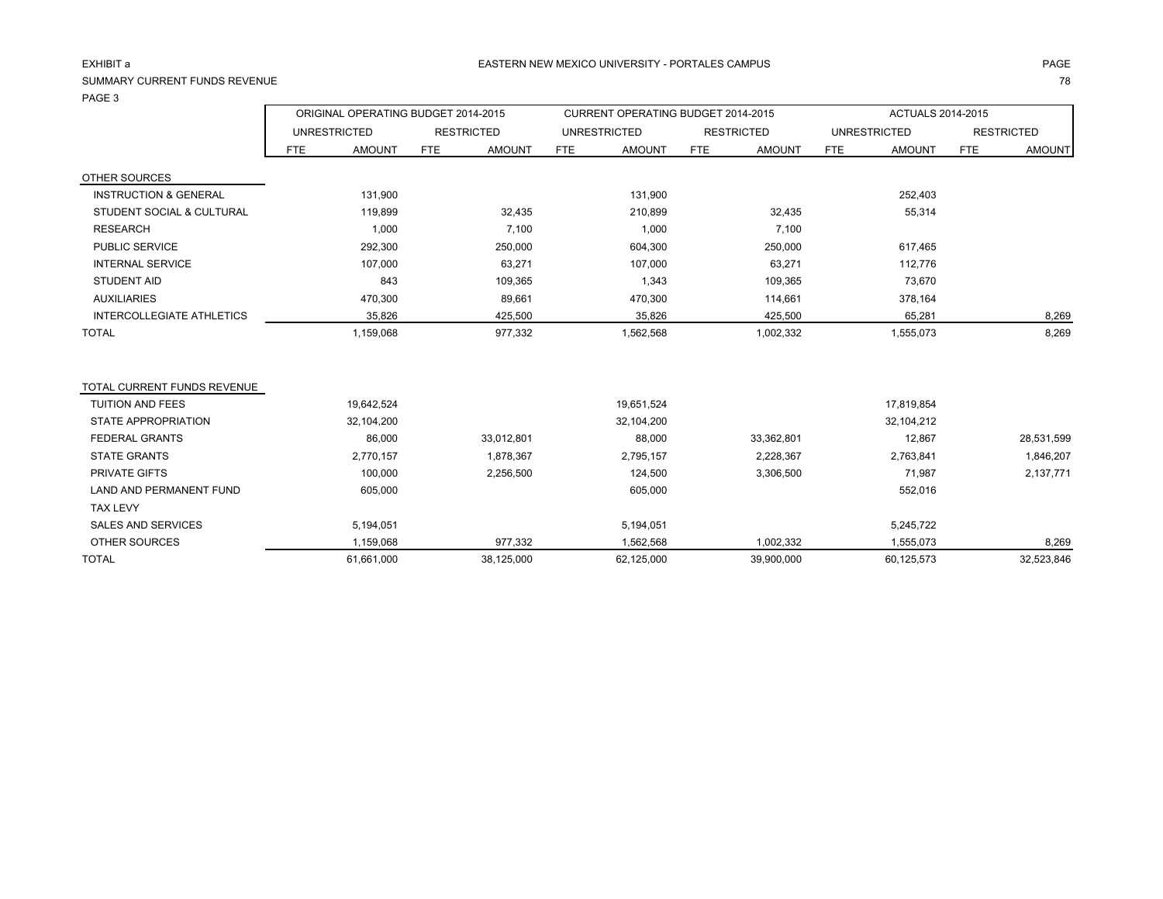### EXHIBIT a

## SUMMARY CURRENT FUNDS REVENUEPAGE 3

E and the contract of the contract of the contract of the contract of the contract of the contract of the contract of the contract of the contract of the contract of the contract of the contract of the contract of the cont

|                                  |                     |               | ORIGINAL OPERATING BUDGET 2014-2015 |               |            | CURRENT OPERATING BUDGET 2014-2015 |            |                   |            | ACTUALS 2014-2015   |            |                   |
|----------------------------------|---------------------|---------------|-------------------------------------|---------------|------------|------------------------------------|------------|-------------------|------------|---------------------|------------|-------------------|
|                                  | <b>UNRESTRICTED</b> |               | <b>RESTRICTED</b>                   |               |            | <b>UNRESTRICTED</b>                |            | <b>RESTRICTED</b> |            | <b>UNRESTRICTED</b> |            | <b>RESTRICTED</b> |
|                                  | <b>FTE</b>          | <b>AMOUNT</b> | <b>FTE</b>                          | <b>AMOUNT</b> | <b>FTE</b> | <b>AMOUNT</b>                      | <b>FTE</b> | <b>AMOUNT</b>     | <b>FTE</b> | <b>AMOUNT</b>       | <b>FTE</b> | <b>AMOUNT</b>     |
| OTHER SOURCES                    |                     |               |                                     |               |            |                                    |            |                   |            |                     |            |                   |
| <b>INSTRUCTION &amp; GENERAL</b> |                     | 131,900       |                                     |               |            | 131,900                            |            |                   |            | 252,403             |            |                   |
| STUDENT SOCIAL & CULTURAL        |                     | 119,899       |                                     | 32,435        |            | 210,899                            |            | 32,435            |            | 55,314              |            |                   |
| <b>RESEARCH</b>                  |                     | 1,000         |                                     | 7,100         |            | 1,000                              |            | 7,100             |            |                     |            |                   |
| <b>PUBLIC SERVICE</b>            |                     | 292,300       |                                     | 250,000       |            | 604,300                            |            | 250,000           |            | 617,465             |            |                   |
| <b>INTERNAL SERVICE</b>          |                     | 107,000       |                                     | 63,271        |            | 107,000                            |            | 63,271            |            | 112,776             |            |                   |
| <b>STUDENT AID</b>               |                     | 843           |                                     | 109,365       |            | 1,343                              |            | 109,365           |            | 73,670              |            |                   |
| <b>AUXILIARIES</b>               |                     | 470,300       |                                     | 89,661        |            | 470,300                            |            | 114,661           |            | 378,164             |            |                   |
| INTERCOLLEGIATE ATHLETICS        |                     | 35,826        |                                     | 425,500       |            | 35,826                             |            | 425,500           |            | 65,281              |            | 8,269             |
| <b>TOTAL</b>                     |                     | 1,159,068     |                                     | 977,332       |            | 1,562,568                          |            | 1,002,332         |            | 1,555,073           |            | 8,269             |
| TOTAL CURRENT FUNDS REVENUE      |                     |               |                                     |               |            |                                    |            |                   |            |                     |            |                   |
| <b>TUITION AND FEES</b>          |                     | 19,642,524    |                                     |               |            | 19,651,524                         |            |                   |            | 17,819,854          |            |                   |
| STATE APPROPRIATION              |                     | 32,104,200    |                                     |               |            | 32,104,200                         |            |                   |            | 32,104,212          |            |                   |
| <b>FEDERAL GRANTS</b>            |                     | 86,000        |                                     | 33,012,801    |            | 88,000                             |            | 33,362,801        |            | 12,867              |            | 28,531,599        |
| <b>STATE GRANTS</b>              |                     | 2,770,157     |                                     | 1,878,367     |            | 2,795,157                          |            | 2,228,367         |            | 2,763,841           |            | 1,846,207         |
| <b>PRIVATE GIFTS</b>             |                     | 100,000       |                                     | 2,256,500     |            | 124,500                            |            | 3,306,500         |            | 71,987              |            | 2,137,771         |
| <b>LAND AND PERMANENT FUND</b>   |                     | 605,000       |                                     |               |            | 605,000                            |            |                   |            | 552,016             |            |                   |
| <b>TAX LEVY</b>                  |                     |               |                                     |               |            |                                    |            |                   |            |                     |            |                   |
| <b>SALES AND SERVICES</b>        |                     | 5,194,051     |                                     |               |            | 5,194,051                          |            |                   |            | 5,245,722           |            |                   |
| OTHER SOURCES                    |                     | 1,159,068     |                                     | 977,332       |            | 1,562,568                          |            | 1,002,332         |            | 1,555,073           |            | 8,269             |
| <b>TOTAL</b>                     |                     | 61,661,000    |                                     | 38,125,000    |            | 62.125.000                         |            | 39,900,000        |            | 60,125,573          |            | 32,523,846        |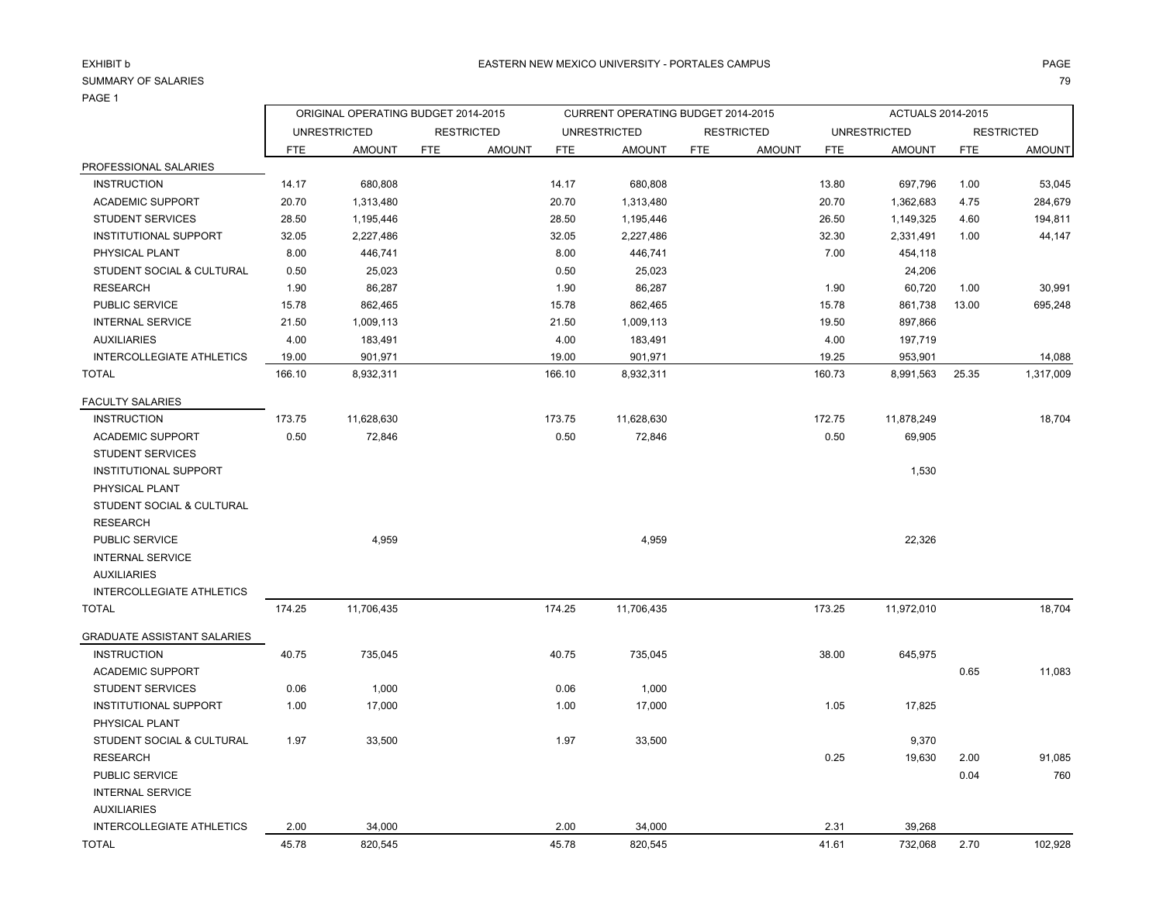#### SUMMARY OF SALARIESS and the contract of the contract of the contract of the contract of the contract of the contract of the contract of the contract of the contract of the contract of the contract of the contract of the contract of the cont

PHYSICAL PLANT

PUBLIC SERVICE

INTERNAL SERVICE

RESEARCH

AUXILIARIES

|                                  |            | ORIGINAL OPERATING BUDGET 2014-2015 |                   |               |            | CURRENT OPERATING BUDGET 2014-2015 |            |                   |            | ACTUALS 2014-2015   |            |                   |
|----------------------------------|------------|-------------------------------------|-------------------|---------------|------------|------------------------------------|------------|-------------------|------------|---------------------|------------|-------------------|
|                                  |            | <b>UNRESTRICTED</b>                 | <b>RESTRICTED</b> |               |            | <b>UNRESTRICTED</b>                |            | <b>RESTRICTED</b> |            | <b>UNRESTRICTED</b> |            | <b>RESTRICTED</b> |
|                                  | <b>FTE</b> | <b>AMOUNT</b>                       | <b>FTE</b>        | <b>AMOUNT</b> | <b>FTE</b> | <b>AMOUNT</b>                      | <b>FTE</b> | <b>AMOUNT</b>     | <b>FTE</b> | <b>AMOUNT</b>       | <b>FTE</b> | <b>AMOUNT</b>     |
| PROFESSIONAL SALARIES            |            |                                     |                   |               |            |                                    |            |                   |            |                     |            |                   |
| <b>INSTRUCTION</b>               | 14.17      | 680,808                             |                   |               | 14.17      | 680,808                            |            |                   | 13.80      | 697,796             | 1.00       | 53,045            |
| <b>ACADEMIC SUPPORT</b>          | 20.70      | 1,313,480                           |                   |               | 20.70      | 1,313,480                          |            |                   | 20.70      | 1,362,683           | 4.75       | 284,679           |
| <b>STUDENT SERVICES</b>          | 28.50      | 1,195,446                           |                   |               | 28.50      | 1,195,446                          |            |                   | 26.50      | 1,149,325           | 4.60       | 194,811           |
| <b>INSTITUTIONAL SUPPORT</b>     | 32.05      | 2,227,486                           |                   |               | 32.05      | 2,227,486                          |            |                   | 32.30      | 2,331,491           | 1.00       | 44,147            |
| PHYSICAL PLANT                   | 8.00       | 446,741                             |                   |               | 8.00       | 446,741                            |            |                   | 7.00       | 454,118             |            |                   |
| STUDENT SOCIAL & CULTURAL        | 0.50       | 25,023                              |                   |               | 0.50       | 25,023                             |            |                   |            | 24,206              |            |                   |
| <b>RESEARCH</b>                  | 1.90       | 86,287                              |                   |               | 1.90       | 86,287                             |            |                   | 1.90       | 60,720              | 1.00       | 30,991            |
| <b>PUBLIC SERVICE</b>            | 15.78      | 862,465                             |                   |               | 15.78      | 862,465                            |            |                   | 15.78      | 861,738             | 13.00      | 695,248           |
| <b>INTERNAL SERVICE</b>          | 21.50      | 1,009,113                           |                   |               | 21.50      | 1,009,113                          |            |                   | 19.50      | 897,866             |            |                   |
| <b>AUXILIARIES</b>               | 4.00       | 183,491                             |                   |               | 4.00       | 183,491                            |            |                   | 4.00       | 197,719             |            |                   |
| INTERCOLLEGIATE ATHLETICS        | 19.00      | 901,971                             |                   |               | 19.00      | 901,971                            |            |                   | 19.25      | 953,901             |            | 14,088            |
| <b>TOTAL</b>                     | 166.10     | 8,932,311                           |                   |               | 166.10     | 8,932,311                          |            |                   | 160.73     | 8,991,563           | 25.35      | 1,317,009         |
| <b>FACULTY SALARIES</b>          |            |                                     |                   |               |            |                                    |            |                   |            |                     |            |                   |
| <b>INSTRUCTION</b>               | 173.75     | 11,628,630                          |                   |               | 173.75     | 11,628,630                         |            |                   | 172.75     | 11,878,249          |            | 18,704            |
| <b>ACADEMIC SUPPORT</b>          | 0.50       | 72,846                              |                   |               | 0.50       | 72,846                             |            |                   | 0.50       | 69,905              |            |                   |
| <b>STUDENT SERVICES</b>          |            |                                     |                   |               |            |                                    |            |                   |            |                     |            |                   |
| INSTITUTIONAL SUPPORT            |            |                                     |                   |               |            |                                    |            |                   |            | 1,530               |            |                   |
| PHYSICAL PLANT                   |            |                                     |                   |               |            |                                    |            |                   |            |                     |            |                   |
| STUDENT SOCIAL & CULTURAL        |            |                                     |                   |               |            |                                    |            |                   |            |                     |            |                   |
| <b>RESEARCH</b>                  |            |                                     |                   |               |            |                                    |            |                   |            |                     |            |                   |
| PUBLIC SERVICE                   |            | 4.959                               |                   |               |            | 4,959                              |            |                   |            | 22,326              |            |                   |
| <b>INTERNAL SERVICE</b>          |            |                                     |                   |               |            |                                    |            |                   |            |                     |            |                   |
| <b>AUXILIARIES</b>               |            |                                     |                   |               |            |                                    |            |                   |            |                     |            |                   |
| <b>INTERCOLLEGIATE ATHLETICS</b> |            |                                     |                   |               |            |                                    |            |                   |            |                     |            |                   |
| TOTAL                            | 174.25     | 11,706,435                          |                   |               | 174.25     | 11,706,435                         |            |                   | 173.25     | 11,972,010          |            | 18,704            |
| GRADUATE ASSISTANT SALARIES      |            |                                     |                   |               |            |                                    |            |                   |            |                     |            |                   |
| <b>INSTRUCTION</b>               | 40.75      | 735,045                             |                   |               | 40.75      | 735,045                            |            |                   | 38.00      | 645,975             |            |                   |
| <b>ACADEMIC SUPPORT</b>          |            |                                     |                   |               |            |                                    |            |                   |            |                     | 0.65       | 11,083            |

INSTITUTIONAL SUPPORT 1.00 17,000 1.00 17,000 1.05 17,825

STUDENT SOCIAL & CULTURAL 1.97 33,500 33,500 33,500 33,500 33,500 33,500 33,500 3,370

STUDENT SERVICES  $0.06$  0.06 1,000 0.06 0.06 1,000

| INTERCOLLEGIATE ATHLETICS | 2.00 | 34.000  | 2.0 <sub>C</sub> | 34.000  | ּ פי  | 39.268  |      |         |
|---------------------------|------|---------|------------------|---------|-------|---------|------|---------|
| TOTAL                     |      | 820,545 | 45.78            | 820,545 | 11.61 | 732,068 | 2.70 | 102,928 |

0.25 19,630 2.00 91,085

0.04 760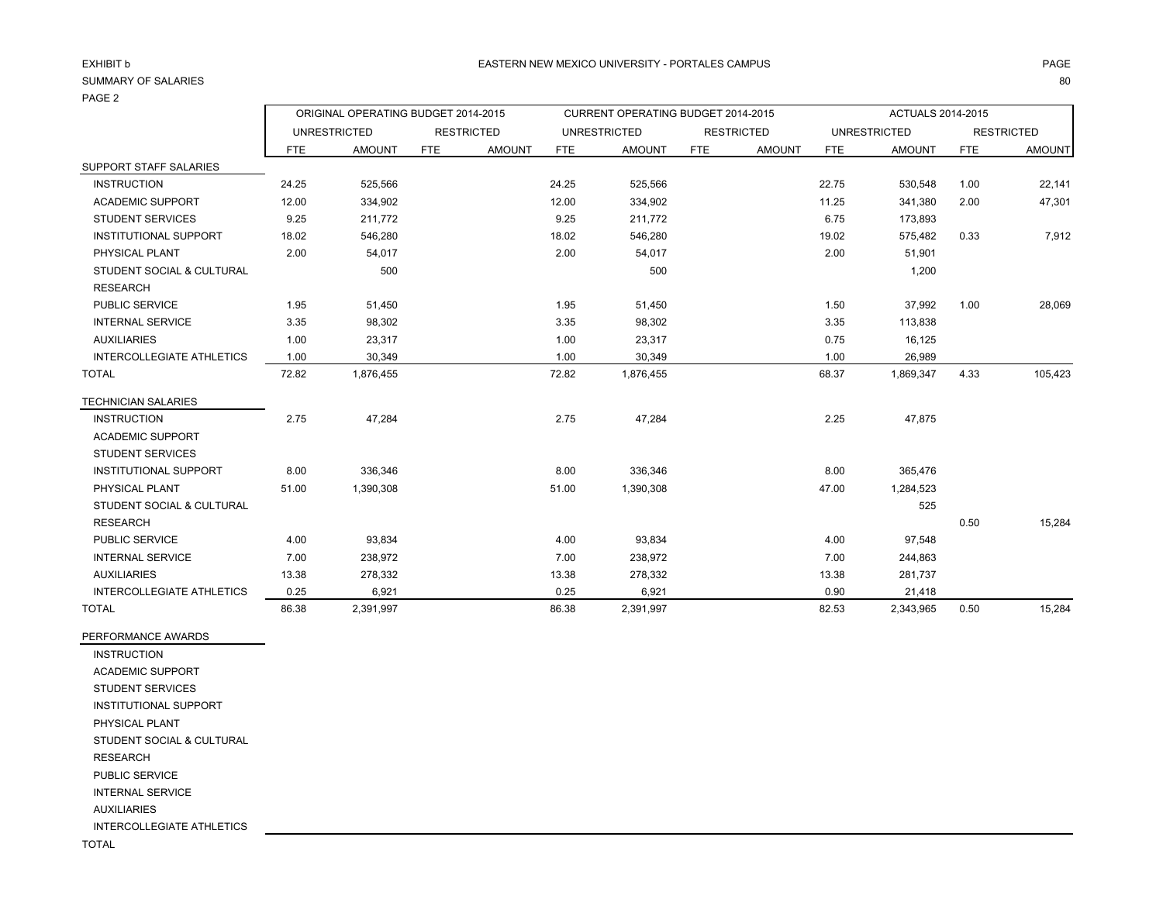#### SUMMARY OF SALARIESS and the contract of the contract of the contract of the contract of the contract of the contract of the contract of the contract of the contract of the contract of the contract of the contract of the contract of the cont

|                                              |       | ORIGINAL OPERATING BUDGET 2014-2015 |            |                   |            | CURRENT OPERATING BUDGET 2014-2015 |     |                   |            | ACTUALS 2014-2015   |            |                   |
|----------------------------------------------|-------|-------------------------------------|------------|-------------------|------------|------------------------------------|-----|-------------------|------------|---------------------|------------|-------------------|
|                                              |       | <b>UNRESTRICTED</b>                 |            | <b>RESTRICTED</b> |            | <b>UNRESTRICTED</b>                |     | <b>RESTRICTED</b> |            | <b>UNRESTRICTED</b> |            | <b>RESTRICTED</b> |
|                                              | FTE   | <b>AMOUNT</b>                       | <b>FTE</b> | <b>AMOUNT</b>     | <b>FTE</b> | <b>AMOUNT</b>                      | FTE | <b>AMOUNT</b>     | <b>FTE</b> | <b>AMOUNT</b>       | <b>FTE</b> | <b>AMOUNT</b>     |
| SUPPORT STAFF SALARIES                       |       |                                     |            |                   |            |                                    |     |                   |            |                     |            |                   |
| <b>INSTRUCTION</b>                           | 24.25 | 525,566                             |            |                   | 24.25      | 525,566                            |     |                   | 22.75      | 530,548             | 1.00       | 22,141            |
| <b>ACADEMIC SUPPORT</b>                      | 12.00 | 334,902                             |            |                   | 12.00      | 334,902                            |     |                   | 11.25      | 341,380             | 2.00       | 47,301            |
| <b>STUDENT SERVICES</b>                      | 9.25  | 211,772                             |            |                   | 9.25       | 211,772                            |     |                   | 6.75       | 173,893             |            |                   |
| <b>INSTITUTIONAL SUPPORT</b>                 | 18.02 | 546,280                             |            |                   | 18.02      | 546,280                            |     |                   | 19.02      | 575,482             | 0.33       | 7,912             |
| PHYSICAL PLANT                               | 2.00  | 54,017                              |            |                   | 2.00       | 54,017                             |     |                   | 2.00       | 51,901              |            |                   |
| STUDENT SOCIAL & CULTURAL<br><b>RESEARCH</b> |       | 500                                 |            |                   |            | 500                                |     |                   |            | 1,200               |            |                   |
| PUBLIC SERVICE                               | 1.95  | 51,450                              |            |                   | 1.95       | 51,450                             |     |                   | 1.50       | 37,992              | 1.00       | 28,069            |
| <b>INTERNAL SERVICE</b>                      | 3.35  | 98,302                              |            |                   | 3.35       | 98,302                             |     |                   | 3.35       | 113,838             |            |                   |
| <b>AUXILIARIES</b>                           | 1.00  | 23,317                              |            |                   | 1.00       | 23,317                             |     |                   | 0.75       | 16,125              |            |                   |
| INTERCOLLEGIATE ATHLETICS                    | 1.00  | 30,349                              |            |                   | 1.00       | 30,349                             |     |                   | 1.00       | 26,989              |            |                   |
| <b>TOTAL</b>                                 | 72.82 | 1,876,455                           |            |                   | 72.82      | 1,876,455                          |     |                   | 68.37      | 1,869,347           | 4.33       | 105,423           |
| <b>TECHNICIAN SALARIES</b>                   |       |                                     |            |                   |            |                                    |     |                   |            |                     |            |                   |
| <b>INSTRUCTION</b>                           | 2.75  | 47,284                              |            |                   | 2.75       | 47,284                             |     |                   | 2.25       | 47,875              |            |                   |
| <b>ACADEMIC SUPPORT</b>                      |       |                                     |            |                   |            |                                    |     |                   |            |                     |            |                   |
| <b>STUDENT SERVICES</b>                      |       |                                     |            |                   |            |                                    |     |                   |            |                     |            |                   |
| <b>INSTITUTIONAL SUPPORT</b>                 | 8.00  | 336,346                             |            |                   | 8.00       | 336,346                            |     |                   | 8.00       | 365,476             |            |                   |
| PHYSICAL PLANT                               | 51.00 | 1,390,308                           |            |                   | 51.00      | 1,390,308                          |     |                   | 47.00      | 1,284,523           |            |                   |
| STUDENT SOCIAL & CULTURAL                    |       |                                     |            |                   |            |                                    |     |                   |            | 525                 |            |                   |
| <b>RESEARCH</b>                              |       |                                     |            |                   |            |                                    |     |                   |            |                     | 0.50       | 15,284            |
| PUBLIC SERVICE                               | 4.00  | 93,834                              |            |                   | 4.00       | 93,834                             |     |                   | 4.00       | 97,548              |            |                   |
| <b>INTERNAL SERVICE</b>                      | 7.00  | 238,972                             |            |                   | 7.00       | 238,972                            |     |                   | 7.00       | 244,863             |            |                   |
| <b>AUXILIARIES</b>                           | 13.38 | 278,332                             |            |                   | 13.38      | 278,332                            |     |                   | 13.38      | 281,737             |            |                   |
| <b>INTERCOLLEGIATE ATHLETICS</b>             | 0.25  | 6,921                               |            |                   | 0.25       | 6.921                              |     |                   | 0.90       | 21,418              |            |                   |

TOTAL 86.38 2,391,997 86.38 2,391,997 82.53 2,343,965 0.50 15,284

PERFORMANCE AWARDS INSTRUCTION ACADEMIC SUPPORT STUDENT SERVICES INSTITUTIONAL SUPPORT PHYSICAL PLANT STUDENT SOCIAL & CULTURAL RESEARCH PUBLIC SERVICE INTERNAL SERVICE AUXILIARIES INTERCOLLEGIATE ATHLETICS

TOTAL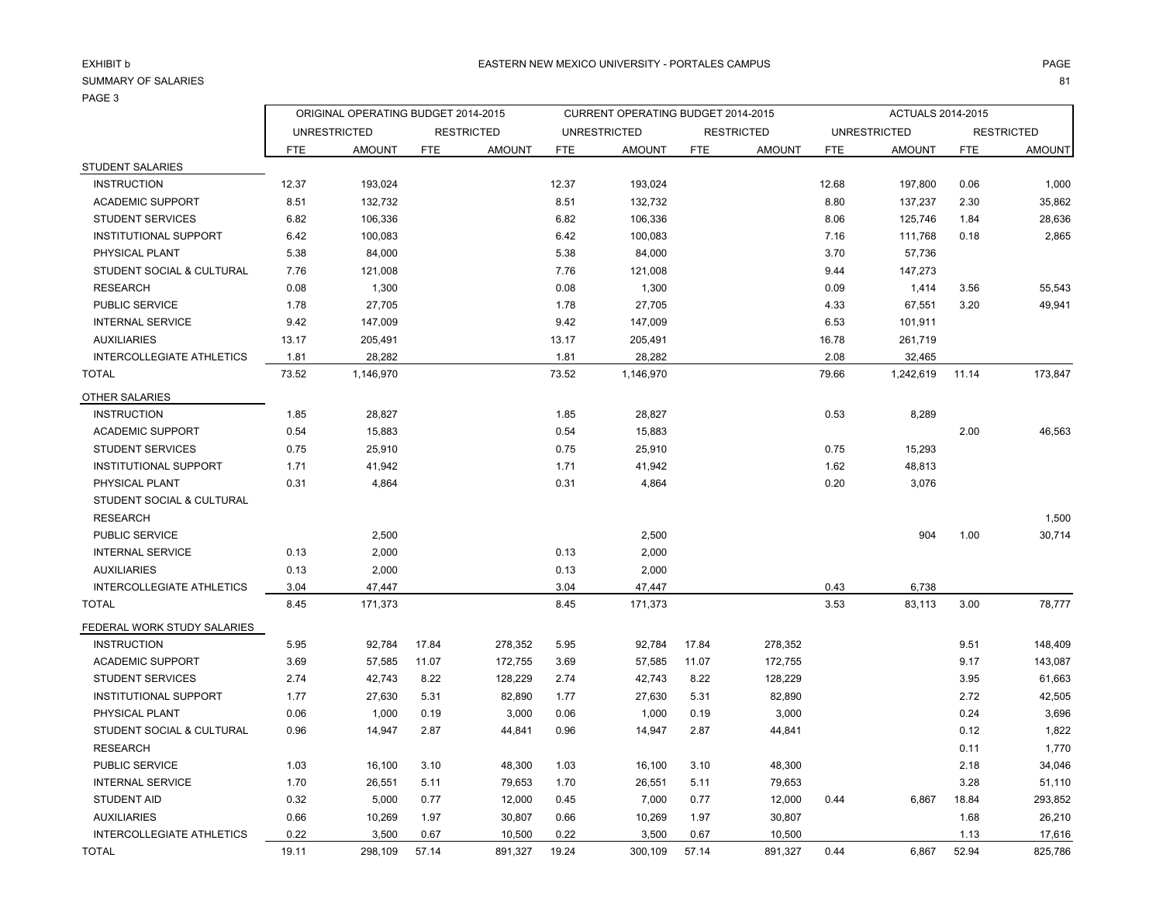# SUMMARY OF SALARIES

S and the contract of the contract of the contract of the contract of the contract of the contract of the contract of the contract of the contract of the contract of the contract of the contract of the contract of the cont

|                                  | ORIGINAL OPERATING BUDGET 2014-2015 |                     |            |                   | CURRENT OPERATING BUDGET 2014-2015 |                     |            |                   |            | ACTUALS 2014-2015   |            |                   |  |
|----------------------------------|-------------------------------------|---------------------|------------|-------------------|------------------------------------|---------------------|------------|-------------------|------------|---------------------|------------|-------------------|--|
|                                  |                                     | <b>UNRESTRICTED</b> |            | <b>RESTRICTED</b> |                                    | <b>UNRESTRICTED</b> |            | <b>RESTRICTED</b> |            | <b>UNRESTRICTED</b> |            | <b>RESTRICTED</b> |  |
|                                  | <b>FTE</b>                          | <b>AMOUNT</b>       | <b>FTE</b> | <b>AMOUNT</b>     | <b>FTE</b>                         | <b>AMOUNT</b>       | <b>FTE</b> | <b>AMOUNT</b>     | <b>FTE</b> | <b>AMOUNT</b>       | <b>FTE</b> | <b>AMOUNT</b>     |  |
| <b>STUDENT SALARIES</b>          |                                     |                     |            |                   |                                    |                     |            |                   |            |                     |            |                   |  |
| <b>INSTRUCTION</b>               | 12.37                               | 193,024             |            |                   | 12.37                              | 193,024             |            |                   | 12.68      | 197,800             | 0.06       | 1,000             |  |
| <b>ACADEMIC SUPPORT</b>          | 8.51                                | 132,732             |            |                   | 8.51                               | 132,732             |            |                   | 8.80       | 137,237             | 2.30       | 35,862            |  |
| <b>STUDENT SERVICES</b>          | 6.82                                | 106,336             |            |                   | 6.82                               | 106,336             |            |                   | 8.06       | 125,746             | 1.84       | 28,636            |  |
| INSTITUTIONAL SUPPORT            | 6.42                                | 100,083             |            |                   | 6.42                               | 100,083             |            |                   | 7.16       | 111,768             | 0.18       | 2,865             |  |
| PHYSICAL PLANT                   | 5.38                                | 84,000              |            |                   | 5.38                               | 84,000              |            |                   | 3.70       | 57,736              |            |                   |  |
| STUDENT SOCIAL & CULTURAL        | 7.76                                | 121,008             |            |                   | 7.76                               | 121,008             |            |                   | 9.44       | 147,273             |            |                   |  |
| <b>RESEARCH</b>                  | 0.08                                | 1,300               |            |                   | 0.08                               | 1,300               |            |                   | 0.09       | 1,414               | 3.56       | 55,543            |  |
| PUBLIC SERVICE                   | 1.78                                | 27,705              |            |                   | 1.78                               | 27,705              |            |                   | 4.33       | 67,551              | 3.20       | 49,941            |  |
| <b>INTERNAL SERVICE</b>          | 9.42                                | 147,009             |            |                   | 9.42                               | 147,009             |            |                   | 6.53       | 101,911             |            |                   |  |
| <b>AUXILIARIES</b>               | 13.17                               | 205,491             |            |                   | 13.17                              | 205,491             |            |                   | 16.78      | 261,719             |            |                   |  |
| <b>INTERCOLLEGIATE ATHLETICS</b> | 1.81                                | 28,282              |            |                   | 1.81                               | 28,282              |            |                   | 2.08       | 32,465              |            |                   |  |
| <b>TOTAL</b>                     | 73.52                               | 1,146,970           |            |                   | 73.52                              | 1,146,970           |            |                   | 79.66      | 1,242,619           | 11.14      | 173,847           |  |
| OTHER SALARIES                   |                                     |                     |            |                   |                                    |                     |            |                   |            |                     |            |                   |  |
| <b>INSTRUCTION</b>               | 1.85                                | 28,827              |            |                   | 1.85                               | 28,827              |            |                   | 0.53       | 8,289               |            |                   |  |
| <b>ACADEMIC SUPPORT</b>          | 0.54                                | 15,883              |            |                   | 0.54                               | 15,883              |            |                   |            |                     | 2.00       | 46,563            |  |
| <b>STUDENT SERVICES</b>          | 0.75                                | 25,910              |            |                   | 0.75                               | 25,910              |            |                   | 0.75       | 15,293              |            |                   |  |
| <b>INSTITUTIONAL SUPPORT</b>     | 1.71                                | 41,942              |            |                   | 1.71                               | 41,942              |            |                   | 1.62       | 48,813              |            |                   |  |
| PHYSICAL PLANT                   | 0.31                                | 4,864               |            |                   | 0.31                               | 4,864               |            |                   | 0.20       | 3,076               |            |                   |  |
| STUDENT SOCIAL & CULTURAL        |                                     |                     |            |                   |                                    |                     |            |                   |            |                     |            |                   |  |
| <b>RESEARCH</b>                  |                                     |                     |            |                   |                                    |                     |            |                   |            |                     |            | 1,500             |  |
| PUBLIC SERVICE                   |                                     | 2,500               |            |                   |                                    | 2,500               |            |                   |            | 904                 | 1.00       | 30,714            |  |
| <b>INTERNAL SERVICE</b>          | 0.13                                | 2,000               |            |                   | 0.13                               | 2,000               |            |                   |            |                     |            |                   |  |
| <b>AUXILIARIES</b>               | 0.13                                | 2,000               |            |                   | 0.13                               | 2,000               |            |                   |            |                     |            |                   |  |
| <b>INTERCOLLEGIATE ATHLETICS</b> | 3.04                                | 47,447              |            |                   | 3.04                               | 47,447              |            |                   | 0.43       | 6,738               |            |                   |  |
| <b>TOTAL</b>                     | 8.45                                | 171,373             |            |                   | 8.45                               | 171,373             |            |                   | 3.53       | 83,113              | 3.00       | 78,777            |  |
| FEDERAL WORK STUDY SALARIES      |                                     |                     |            |                   |                                    |                     |            |                   |            |                     |            |                   |  |
| <b>INSTRUCTION</b>               | 5.95                                | 92,784              | 17.84      | 278,352           | 5.95                               | 92,784              | 17.84      | 278,352           |            |                     | 9.51       | 148,409           |  |
| <b>ACADEMIC SUPPORT</b>          | 3.69                                | 57,585              | 11.07      | 172,755           | 3.69                               | 57,585              | 11.07      | 172,755           |            |                     | 9.17       | 143,087           |  |
| <b>STUDENT SERVICES</b>          | 2.74                                | 42,743              | 8.22       | 128,229           | 2.74                               | 42,743              | 8.22       | 128,229           |            |                     | 3.95       | 61,663            |  |
| <b>INSTITUTIONAL SUPPORT</b>     | 1.77                                | 27,630              | 5.31       | 82,890            | 1.77                               | 27,630              | 5.31       | 82,890            |            |                     | 2.72       | 42,505            |  |
| PHYSICAL PLANT                   | 0.06                                | 1,000               | 0.19       | 3,000             | 0.06                               | 1,000               | 0.19       | 3,000             |            |                     | 0.24       | 3,696             |  |
| STUDENT SOCIAL & CULTURAL        | 0.96                                | 14,947              | 2.87       | 44,841            | 0.96                               | 14,947              | 2.87       | 44,841            |            |                     | 0.12       | 1,822             |  |
| <b>RESEARCH</b>                  |                                     |                     |            |                   |                                    |                     |            |                   |            |                     | 0.11       | 1,770             |  |
| PUBLIC SERVICE                   | 1.03                                | 16,100              | 3.10       | 48,300            | 1.03                               | 16,100              | 3.10       | 48,300            |            |                     | 2.18       | 34,046            |  |
| <b>INTERNAL SERVICE</b>          | 1.70                                | 26,551              | 5.11       | 79,653            | 1.70                               | 26,551              | 5.11       | 79,653            |            |                     | 3.28       | 51,110            |  |
| STUDENT AID                      | 0.32                                | 5,000               | 0.77       | 12,000            | 0.45                               | 7,000               | 0.77       | 12,000            | 0.44       | 6,867               | 18.84      | 293,852           |  |
| <b>AUXILIARIES</b>               | 0.66                                | 10,269              | 1.97       | 30,807            | 0.66                               | 10,269              | 1.97       | 30,807            |            |                     | 1.68       | 26,210            |  |
| <b>INTERCOLLEGIATE ATHLETICS</b> | 0.22                                | 3,500               | 0.67       | 10,500            | 0.22                               | 3,500               | 0.67       | 10,500            |            |                     | 1.13       | 17,616            |  |
| <b>TOTAL</b>                     | 19.11                               | 298,109             | 57.14      | 891,327           | 19.24                              | 300.109             | 57.14      | 891,327           | 0.44       | 6,867               | 52.94      | 825,786           |  |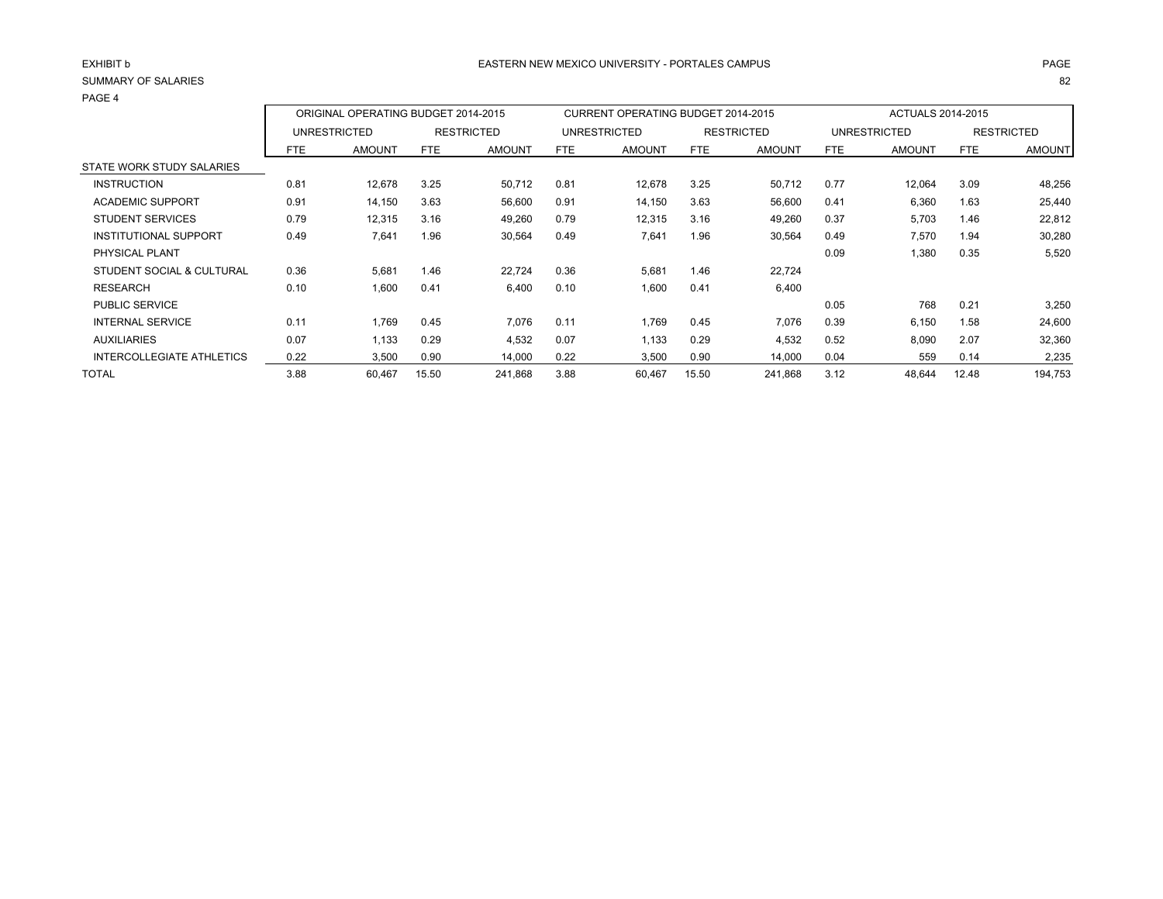#### SUMMARY OF SALARIESS and the contract of the contract of the contract of the contract of the contract of the contract of the contract of the contract of the contract of the contract of the contract of the contract of the contract of the cont

| <b>FAGL 4</b>                    |            |                                     |       |                   |            |                                           |            |                   |      |                     |            |                   |
|----------------------------------|------------|-------------------------------------|-------|-------------------|------------|-------------------------------------------|------------|-------------------|------|---------------------|------------|-------------------|
|                                  |            | ORIGINAL OPERATING BUDGET 2014-2015 |       |                   |            | <b>CURRENT OPERATING BUDGET 2014-2015</b> |            |                   |      | ACTUALS 2014-2015   |            |                   |
|                                  |            | <b>UNRESTRICTED</b>                 |       | <b>RESTRICTED</b> |            | <b>UNRESTRICTED</b>                       |            | <b>RESTRICTED</b> |      | <b>UNRESTRICTED</b> |            | <b>RESTRICTED</b> |
|                                  | <b>FTE</b> | <b>AMOUNT</b>                       | FTE   | <b>AMOUNT</b>     | <b>FTE</b> | <b>AMOUNT</b>                             | <b>FTE</b> | <b>AMOUNT</b>     | FTE. | <b>AMOUNT</b>       | <b>FTE</b> | <b>AMOUNT</b>     |
| STATE WORK STUDY SALARIES        |            |                                     |       |                   |            |                                           |            |                   |      |                     |            |                   |
| <b>INSTRUCTION</b>               | 0.81       | 12,678                              | 3.25  | 50,712            | 0.81       | 12,678                                    | 3.25       | 50,712            | 0.77 | 12,064              | 3.09       | 48,256            |
| <b>ACADEMIC SUPPORT</b>          | 0.91       | 14,150                              | 3.63  | 56,600            | 0.91       | 14,150                                    | 3.63       | 56,600            | 0.41 | 6,360               | 1.63       | 25,440            |
| <b>STUDENT SERVICES</b>          | 0.79       | 12,315                              | 3.16  | 49,260            | 0.79       | 12,315                                    | 3.16       | 49,260            | 0.37 | 5,703               | 1.46       | 22,812            |
| <b>INSTITUTIONAL SUPPORT</b>     | 0.49       | 7,641                               | 1.96  | 30,564            | 0.49       | 7,641                                     | 1.96       | 30,564            | 0.49 | 7,570               | 1.94       | 30,280            |
| PHYSICAL PLANT                   |            |                                     |       |                   |            |                                           |            |                   | 0.09 | 1,380               | 0.35       | 5,520             |
| STUDENT SOCIAL & CULTURAL        | 0.36       | 5,681                               | 1.46  | 22,724            | 0.36       | 5,681                                     | 1.46       | 22,724            |      |                     |            |                   |
| <b>RESEARCH</b>                  | 0.10       | 1,600                               | 0.41  | 6.400             | 0.10       | 1,600                                     | 0.41       | 6,400             |      |                     |            |                   |
| <b>PUBLIC SERVICE</b>            |            |                                     |       |                   |            |                                           |            |                   | 0.05 | 768                 | 0.21       | 3,250             |
| <b>INTERNAL SERVICE</b>          | 0.11       | 1.769                               | 0.45  | 7,076             | 0.11       | 1,769                                     | 0.45       | 7,076             | 0.39 | 6,150               | 1.58       | 24,600            |
| <b>AUXILIARIES</b>               | 0.07       | 1.133                               | 0.29  | 4,532             | 0.07       | 1,133                                     | 0.29       | 4,532             | 0.52 | 8,090               | 2.07       | 32,360            |
| <b>INTERCOLLEGIATE ATHLETICS</b> | 0.22       | 3,500                               | 0.90  | 14,000            | 0.22       | 3,500                                     | 0.90       | 14,000            | 0.04 | 559                 | 0.14       | 2,235             |
| <b>TOTAL</b>                     | 3.88       | 60,467                              | 15.50 | 241,868           | 3.88       | 60,467                                    | 15.50      | 241,868           | 3.12 | 48,644              | 12.48      | 194,753           |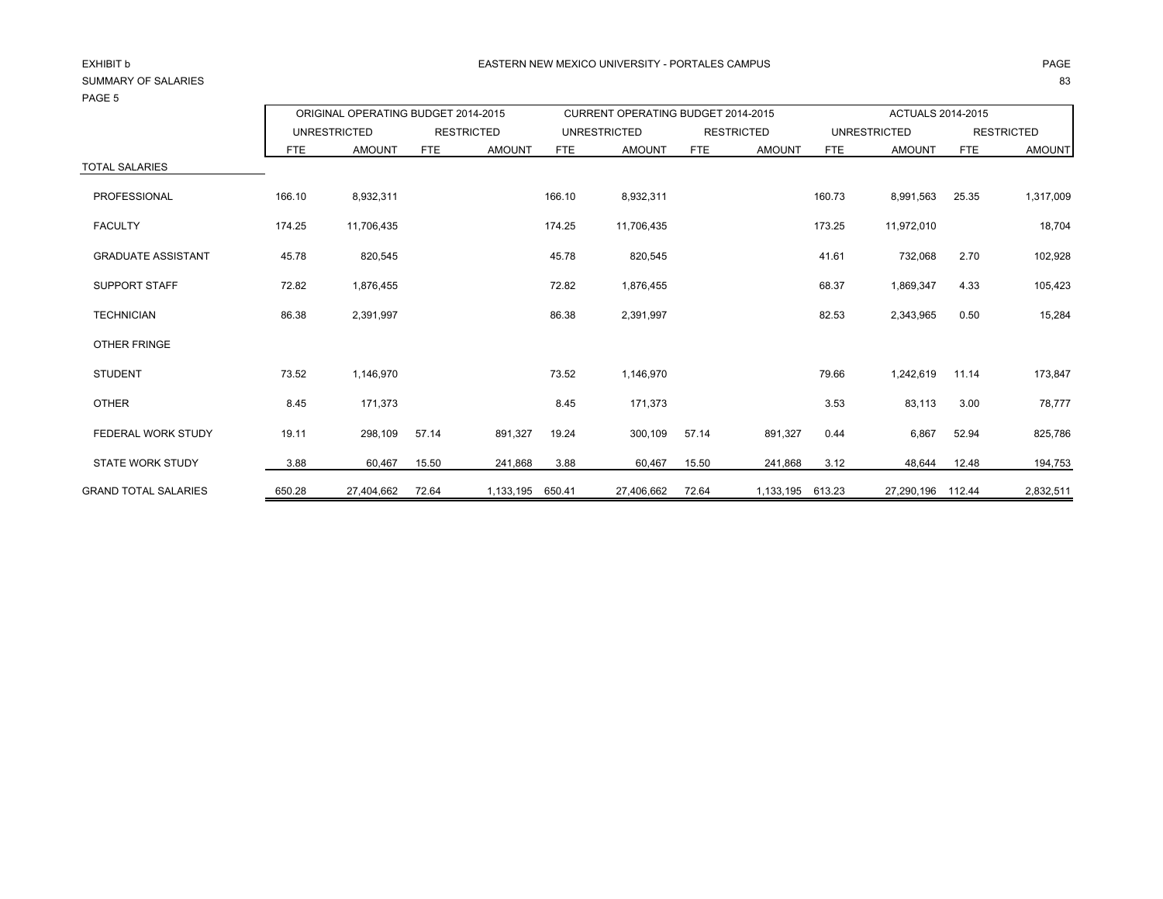| <b>PAGE 3</b>               |            |                                     |            |                                    |            |                     |                          |                     |            |                   |            |               |
|-----------------------------|------------|-------------------------------------|------------|------------------------------------|------------|---------------------|--------------------------|---------------------|------------|-------------------|------------|---------------|
|                             |            | ORIGINAL OPERATING BUDGET 2014-2015 |            | CURRENT OPERATING BUDGET 2014-2015 |            |                     | <b>ACTUALS 2014-2015</b> |                     |            |                   |            |               |
|                             |            | <b>UNRESTRICTED</b>                 |            | <b>RESTRICTED</b>                  |            | <b>UNRESTRICTED</b> | <b>RESTRICTED</b>        | <b>UNRESTRICTED</b> |            | <b>RESTRICTED</b> |            |               |
|                             | <b>FTE</b> | <b>AMOUNT</b>                       | <b>FTE</b> | <b>AMOUNT</b>                      | <b>FTE</b> | <b>AMOUNT</b>       | <b>FTE</b>               | <b>AMOUNT</b>       | <b>FTE</b> | <b>AMOUNT</b>     | <b>FTE</b> | <b>AMOUNT</b> |
| <b>TOTAL SALARIES</b>       |            |                                     |            |                                    |            |                     |                          |                     |            |                   |            |               |
| PROFESSIONAL                | 166.10     | 8,932,311                           |            |                                    | 166.10     | 8,932,311           |                          |                     | 160.73     | 8,991,563         | 25.35      | 1,317,009     |
| <b>FACULTY</b>              | 174.25     | 11,706,435                          |            |                                    | 174.25     | 11,706,435          |                          |                     | 173.25     | 11,972,010        |            | 18,704        |
| <b>GRADUATE ASSISTANT</b>   | 45.78      | 820,545                             |            |                                    | 45.78      | 820,545             |                          |                     | 41.61      | 732,068           | 2.70       | 102,928       |
| <b>SUPPORT STAFF</b>        | 72.82      | 1,876,455                           |            |                                    | 72.82      | 1,876,455           |                          |                     | 68.37      | 1,869,347         | 4.33       | 105,423       |
| <b>TECHNICIAN</b>           | 86.38      | 2,391,997                           |            |                                    | 86.38      | 2,391,997           |                          |                     | 82.53      | 2,343,965         | 0.50       | 15,284        |
| <b>OTHER FRINGE</b>         |            |                                     |            |                                    |            |                     |                          |                     |            |                   |            |               |
| <b>STUDENT</b>              | 73.52      | 1,146,970                           |            |                                    | 73.52      | 1,146,970           |                          |                     | 79.66      | 1,242,619         | 11.14      | 173,847       |
| <b>OTHER</b>                | 8.45       | 171,373                             |            |                                    | 8.45       | 171,373             |                          |                     | 3.53       | 83,113            | 3.00       | 78,777        |
| FEDERAL WORK STUDY          | 19.11      | 298,109                             | 57.14      | 891,327                            | 19.24      | 300,109             | 57.14                    | 891,327             | 0.44       | 6,867             | 52.94      | 825,786       |
| <b>STATE WORK STUDY</b>     | 3.88       | 60,467                              | 15.50      | 241,868                            | 3.88       | 60,467              | 15.50                    | 241,868             | 3.12       | 48,644            | 12.48      | 194,753       |
| <b>GRAND TOTAL SALARIES</b> | 650.28     | 27,404,662                          | 72.64      | 1,133,195                          | 650.41     | 27,406,662          | 72.64                    | 1,133,195           | 613.23     | 27,290,196 112.44 |            | 2,832,511     |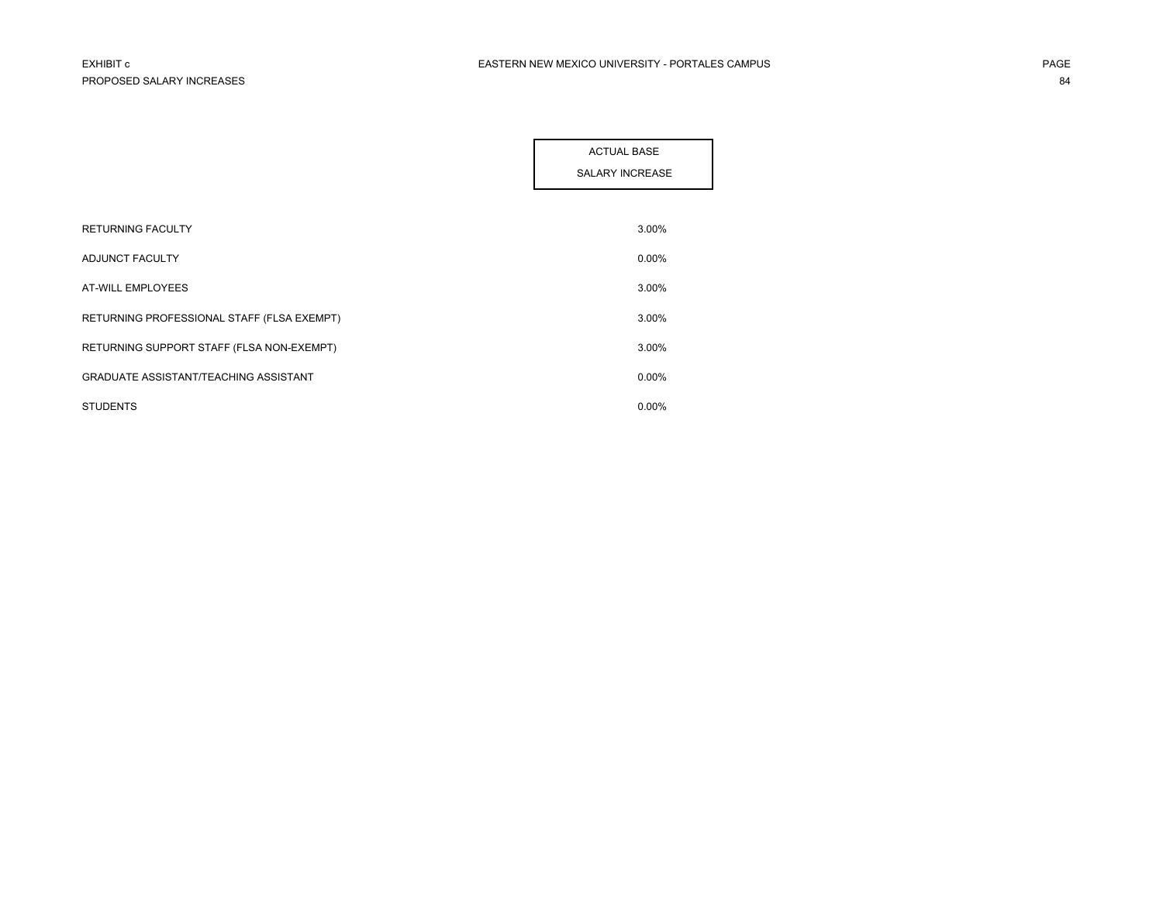|                                              | <b>ACTUAL BASE</b>     |
|----------------------------------------------|------------------------|
|                                              | <b>SALARY INCREASE</b> |
|                                              |                        |
| <b>RETURNING FACULTY</b>                     | 3.00%                  |
| ADJUNCT FACULTY                              | 0.00%                  |
| AT-WILL EMPLOYEES                            | 3.00%                  |
| RETURNING PROFESSIONAL STAFF (FLSA EXEMPT)   | 3.00%                  |
| RETURNING SUPPORT STAFF (FLSA NON-EXEMPT)    | 3.00%                  |
| <b>GRADUATE ASSISTANT/TEACHING ASSISTANT</b> | 0.00%                  |
| <b>STUDENTS</b>                              | $0.00\%$               |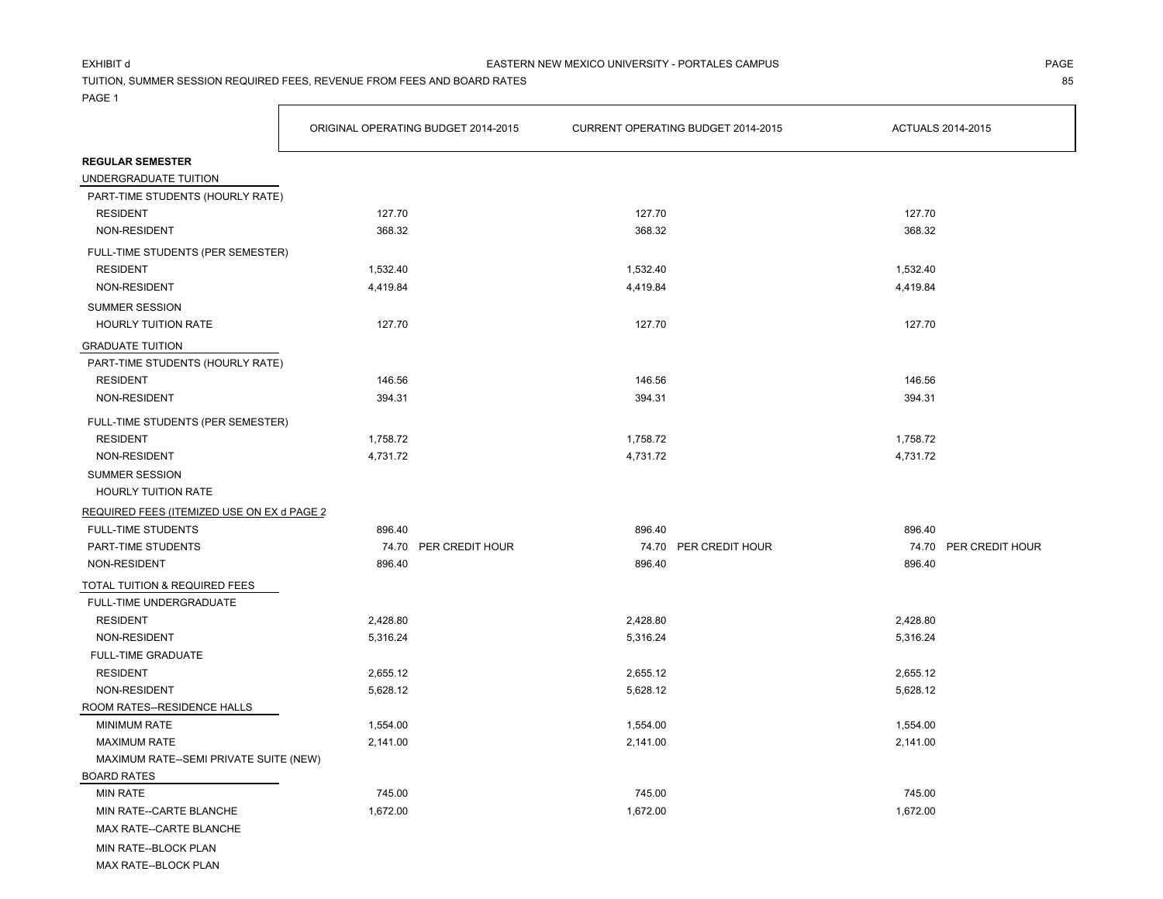### EXHIBIT d

TUITION, SUMMER SESSION REQUIRED FEES, REVENUE FROM FEES AND BOARD RATES 85

**F** 

PAGE 1

|                                            | ORIGINAL OPERATING BUDGET 2014-2015 |                       | CURRENT OPERATING BUDGET 2014-2015 |                       | ACTUALS 2014-2015 |                       |
|--------------------------------------------|-------------------------------------|-----------------------|------------------------------------|-----------------------|-------------------|-----------------------|
| <b>REGULAR SEMESTER</b>                    |                                     |                       |                                    |                       |                   |                       |
| UNDERGRADUATE TUITION                      |                                     |                       |                                    |                       |                   |                       |
| PART-TIME STUDENTS (HOURLY RATE)           |                                     |                       |                                    |                       |                   |                       |
| <b>RESIDENT</b>                            | 127.70                              |                       | 127.70                             |                       | 127.70            |                       |
| NON-RESIDENT                               | 368.32                              |                       | 368.32                             |                       | 368.32            |                       |
| FULL-TIME STUDENTS (PER SEMESTER)          |                                     |                       |                                    |                       |                   |                       |
| <b>RESIDENT</b>                            | 1,532.40                            |                       | 1,532.40                           |                       | 1,532.40          |                       |
| NON-RESIDENT                               | 4,419.84                            |                       | 4,419.84                           |                       | 4,419.84          |                       |
| <b>SUMMER SESSION</b>                      |                                     |                       |                                    |                       |                   |                       |
| <b>HOURLY TUITION RATE</b>                 | 127.70                              |                       | 127.70                             |                       | 127.70            |                       |
| <b>GRADUATE TUITION</b>                    |                                     |                       |                                    |                       |                   |                       |
| PART-TIME STUDENTS (HOURLY RATE)           |                                     |                       |                                    |                       |                   |                       |
| <b>RESIDENT</b>                            | 146.56                              |                       | 146.56                             |                       | 146.56            |                       |
| NON-RESIDENT                               | 394.31                              |                       | 394.31                             |                       | 394.31            |                       |
| FULL-TIME STUDENTS (PER SEMESTER)          |                                     |                       |                                    |                       |                   |                       |
| <b>RESIDENT</b>                            | 1,758.72                            |                       | 1,758.72                           |                       | 1,758.72          |                       |
| NON-RESIDENT                               | 4,731.72                            |                       | 4,731.72                           |                       | 4,731.72          |                       |
| SUMMER SESSION                             |                                     |                       |                                    |                       |                   |                       |
| HOURLY TUITION RATE                        |                                     |                       |                                    |                       |                   |                       |
| REQUIRED FEES (ITEMIZED USE ON EX d PAGE 2 |                                     |                       |                                    |                       |                   |                       |
| <b>FULL-TIME STUDENTS</b>                  | 896.40                              |                       | 896.40                             |                       | 896.40            |                       |
| PART-TIME STUDENTS                         |                                     | 74.70 PER CREDIT HOUR |                                    | 74.70 PER CREDIT HOUR |                   | 74.70 PER CREDIT HOUR |
| NON-RESIDENT                               | 896.40                              |                       | 896.40                             |                       | 896.40            |                       |
| TOTAL TUITION & REQUIRED FEES              |                                     |                       |                                    |                       |                   |                       |
| FULL-TIME UNDERGRADUATE                    |                                     |                       |                                    |                       |                   |                       |
| <b>RESIDENT</b>                            | 2,428.80                            |                       | 2,428.80                           |                       | 2,428.80          |                       |
| NON-RESIDENT                               | 5,316.24                            |                       | 5,316.24                           |                       | 5,316.24          |                       |
| <b>FULL-TIME GRADUATE</b>                  |                                     |                       |                                    |                       |                   |                       |
| <b>RESIDENT</b>                            | 2,655.12                            |                       | 2,655.12                           |                       | 2,655.12          |                       |
| NON-RESIDENT                               | 5,628.12                            |                       | 5,628.12                           |                       | 5,628.12          |                       |
| ROOM RATES--RESIDENCE HALLS                |                                     |                       |                                    |                       |                   |                       |
| <b>MINIMUM RATE</b>                        | 1,554.00                            |                       | 1,554.00                           |                       | 1,554.00          |                       |
| <b>MAXIMUM RATE</b>                        | 2,141.00                            |                       | 2,141.00                           |                       | 2,141.00          |                       |
| MAXIMUM RATE--SEMI PRIVATE SUITE (NEW)     |                                     |                       |                                    |                       |                   |                       |
| <b>BOARD RATES</b>                         |                                     |                       |                                    |                       |                   |                       |
| <b>MIN RATE</b>                            | 745.00                              |                       | 745.00                             |                       | 745.00            |                       |
| MIN RATE--CARTE BLANCHE                    | 1,672.00                            |                       | 1,672.00                           |                       | 1,672.00          |                       |
| MAX RATE--CARTE BLANCHE                    |                                     |                       |                                    |                       |                   |                       |
| MIN RATE--BLOCK PLAN                       |                                     |                       |                                    |                       |                   |                       |

MAX RATE--BLOCK PLAN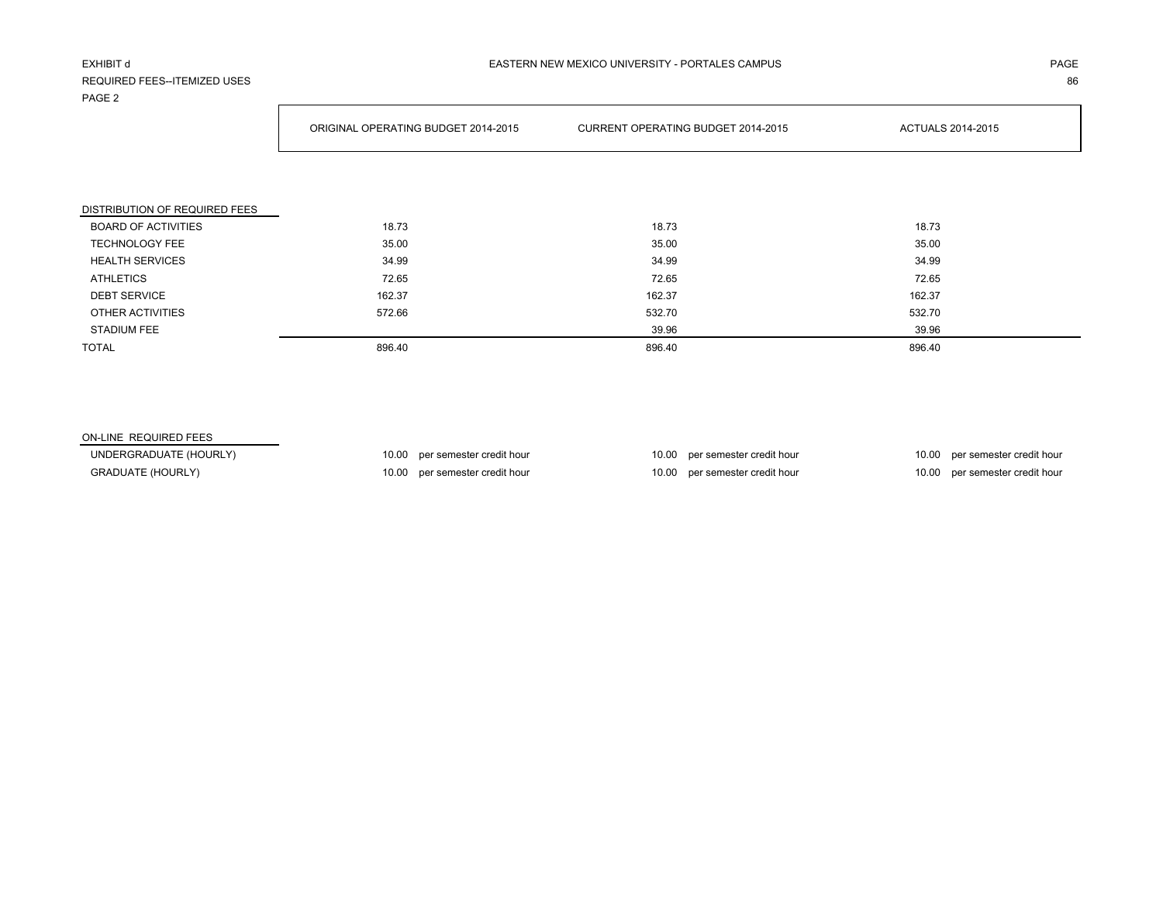#### EXHIBIT d

# REQUIRED FEES--ITEMIZED USESPAGE 2

ORIGINAL OPERATING BUDGET 2014-2015 CURRENT OPERATING BUDGET 2014-2015 ACTUALS 2014-2015

S and the contract of the contract of the contract of the contract of the contract of the contract of the contract of the contract of the contract of the contract of the contract of the contract of the contract of the cont

| DISTRIBUTION OF REQUIRED FEES |        |        |        |
|-------------------------------|--------|--------|--------|
| <b>BOARD OF ACTIVITIES</b>    | 18.73  | 18.73  | 18.73  |
| <b>TECHNOLOGY FEE</b>         | 35.00  | 35.00  | 35.00  |
| <b>HEALTH SERVICES</b>        | 34.99  | 34.99  | 34.99  |
| <b>ATHLETICS</b>              | 72.65  | 72.65  | 72.65  |
| <b>DEBT SERVICE</b>           | 162.37 | 162.37 | 162.37 |
| OTHER ACTIVITIES              | 572.66 | 532.70 | 532.70 |
| <b>STADIUM FEE</b>            |        | 39.96  | 39.96  |
| <b>TOTAL</b>                  | 896.40 | 896.40 | 896.40 |

#### ON-LINE REQUIRED FEES

GRADUATE (HOURLY) **10.00** per semester credit hour 10.00 per semester credit hour 10.00 per semester credit hour 10.00 per semester credit hour

UNDERGRADUATE (HOURLY) 10.00 per semester credit hour 10.00 per semester credit hour 10.00 per semester credit hour 10.00 per semester credit hour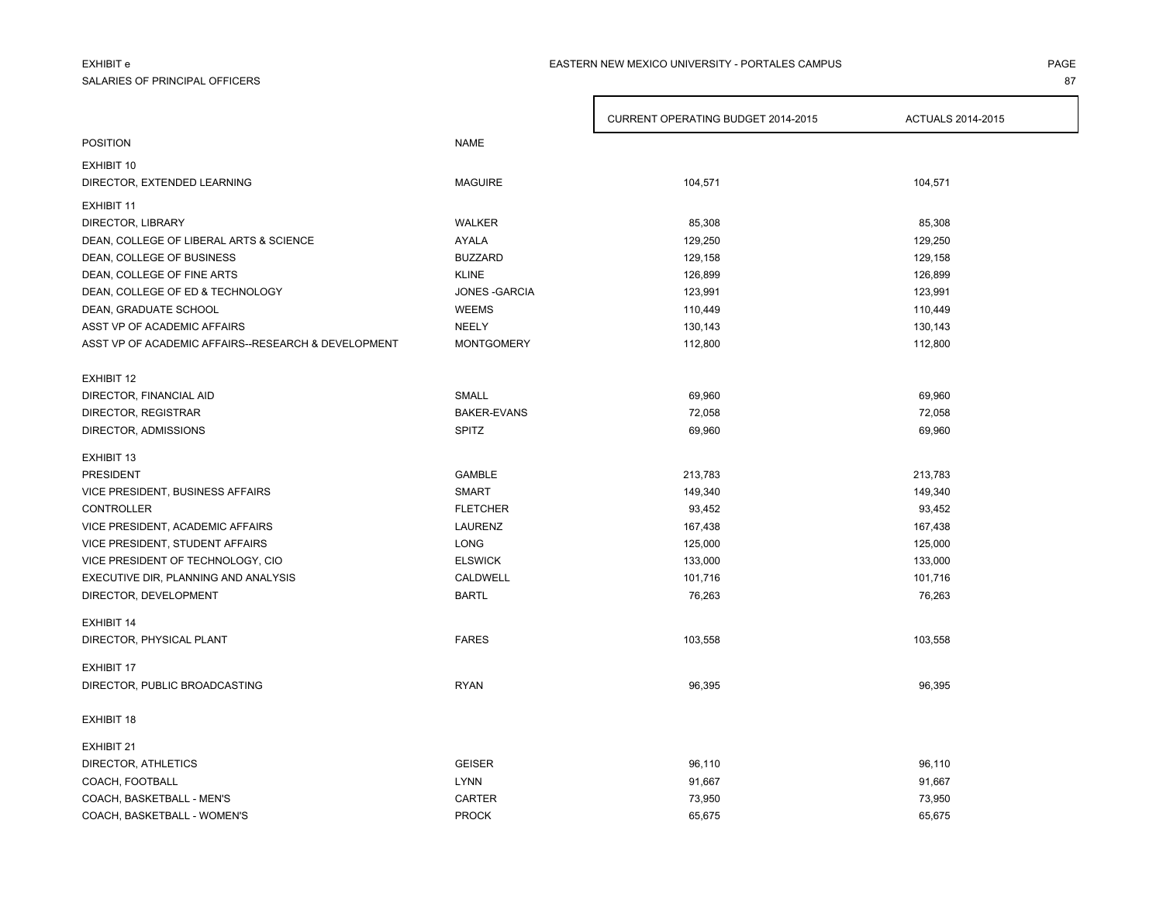# EXHIBIT e

#### SALARIES OF PRINCIPAL OFFICERSS and the contract of the contract of the contract of the contract of the contract of the contract of the contract of the contract of the contract of the contract of the contract of the contract of the contract of the cont

#### PAGEEASTERN NEW MEXICO UNIVERSITY - PORTALES CAMPUS

|                                                     |                    | CURRENT OPERATING BUDGET 2014-2015 | ACTUALS 2014-2015 |
|-----------------------------------------------------|--------------------|------------------------------------|-------------------|
| <b>POSITION</b>                                     | <b>NAME</b>        |                                    |                   |
| EXHIBIT 10                                          |                    |                                    |                   |
| DIRECTOR, EXTENDED LEARNING                         | <b>MAGUIRE</b>     | 104,571                            | 104,571           |
| <b>EXHIBIT 11</b>                                   |                    |                                    |                   |
| DIRECTOR, LIBRARY                                   | WALKER             | 85,308                             | 85,308            |
| DEAN, COLLEGE OF LIBERAL ARTS & SCIENCE             | <b>AYALA</b>       | 129,250                            | 129,250           |
| DEAN, COLLEGE OF BUSINESS                           | <b>BUZZARD</b>     | 129,158                            | 129,158           |
| DEAN, COLLEGE OF FINE ARTS                          | <b>KLINE</b>       | 126,899                            | 126,899           |
| DEAN, COLLEGE OF ED & TECHNOLOGY                    | JONES - GARCIA     | 123,991                            | 123,991           |
| DEAN, GRADUATE SCHOOL                               | <b>WEEMS</b>       | 110,449                            | 110,449           |
| ASST VP OF ACADEMIC AFFAIRS                         | <b>NEELY</b>       | 130,143                            | 130,143           |
| ASST VP OF ACADEMIC AFFAIRS--RESEARCH & DEVELOPMENT | <b>MONTGOMERY</b>  | 112,800                            | 112,800           |
|                                                     |                    |                                    |                   |
| <b>EXHIBIT 12</b>                                   |                    |                                    |                   |
| DIRECTOR, FINANCIAL AID                             | SMALL              | 69,960                             | 69,960            |
| DIRECTOR, REGISTRAR                                 | <b>BAKER-EVANS</b> | 72,058                             | 72,058            |
| DIRECTOR, ADMISSIONS                                | <b>SPITZ</b>       | 69,960                             | 69,960            |
| <b>EXHIBIT 13</b>                                   |                    |                                    |                   |
| <b>PRESIDENT</b>                                    | <b>GAMBLE</b>      | 213,783                            | 213,783           |
| VICE PRESIDENT, BUSINESS AFFAIRS                    | <b>SMART</b>       | 149,340                            | 149,340           |
| <b>CONTROLLER</b>                                   | <b>FLETCHER</b>    | 93,452                             | 93,452            |
| VICE PRESIDENT, ACADEMIC AFFAIRS                    | <b>LAURENZ</b>     | 167,438                            | 167,438           |
| VICE PRESIDENT, STUDENT AFFAIRS                     | LONG               | 125,000                            | 125,000           |
| VICE PRESIDENT OF TECHNOLOGY, CIO                   | <b>ELSWICK</b>     | 133,000                            | 133,000           |
| EXECUTIVE DIR, PLANNING AND ANALYSIS                | CALDWELL           | 101,716                            | 101,716           |
| DIRECTOR, DEVELOPMENT                               | <b>BARTL</b>       | 76,263                             | 76,263            |
| <b>EXHIBIT 14</b>                                   |                    |                                    |                   |
| DIRECTOR, PHYSICAL PLANT                            | <b>FARES</b>       | 103,558                            | 103,558           |
|                                                     |                    |                                    |                   |
| <b>EXHIBIT 17</b>                                   |                    |                                    |                   |
| DIRECTOR, PUBLIC BROADCASTING                       | <b>RYAN</b>        | 96,395                             | 96,395            |
| <b>EXHIBIT 18</b>                                   |                    |                                    |                   |
| <b>EXHIBIT 21</b>                                   |                    |                                    |                   |
| DIRECTOR, ATHLETICS                                 | <b>GEISER</b>      | 96,110                             | 96,110            |
| COACH, FOOTBALL                                     | <b>LYNN</b>        | 91,667                             | 91,667            |
| COACH, BASKETBALL - MEN'S                           | CARTER             | 73,950                             | 73,950            |
| COACH, BASKETBALL - WOMEN'S                         | <b>PROCK</b>       | 65,675                             | 65,675            |

 $\mathbf{r}$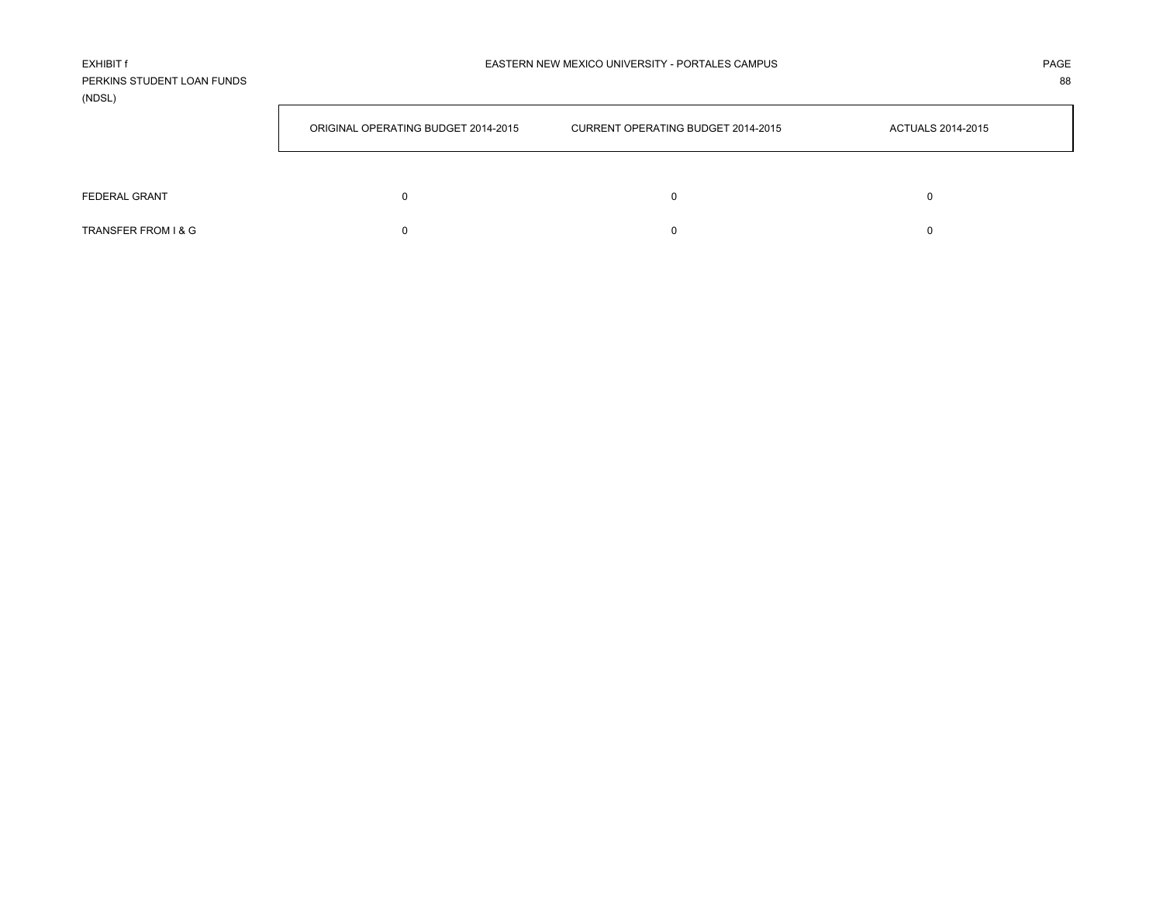| <b>FXHIBIT f</b>           |
|----------------------------|
| PERKINS STUDENT LOAN FUNDS |
| (NDSL)                     |

| <u></u>             |                                     |                                    |                          |  |  |
|---------------------|-------------------------------------|------------------------------------|--------------------------|--|--|
|                     | ORIGINAL OPERATING BUDGET 2014-2015 | CURRENT OPERATING BUDGET 2014-2015 | <b>ACTUALS 2014-2015</b> |  |  |
|                     |                                     |                                    |                          |  |  |
| FEDERAL GRANT       |                                     |                                    |                          |  |  |
| TRANSFER FROM I & G |                                     |                                    |                          |  |  |